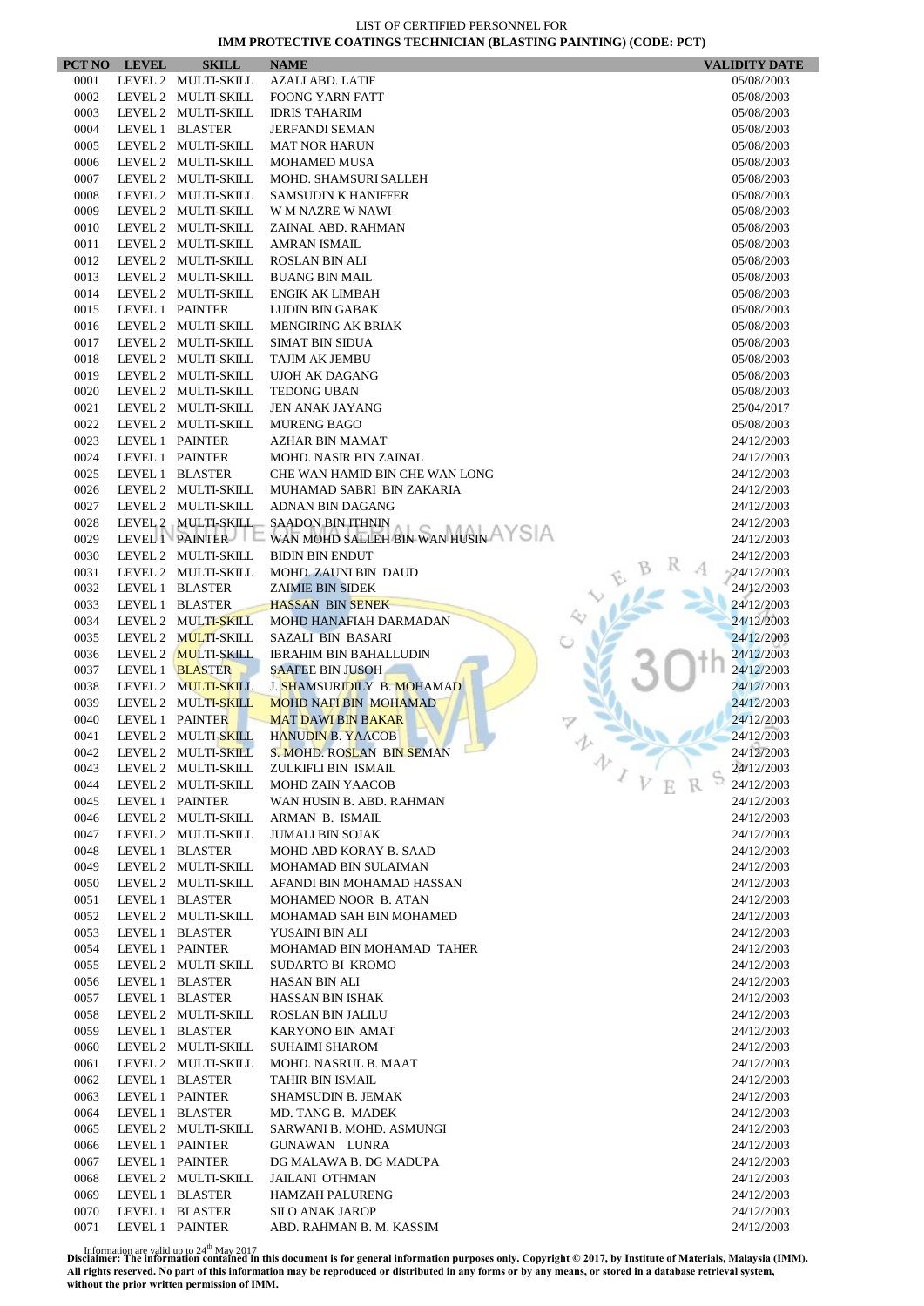|              | PCT NO LEVEL | <b>SKILL</b>                           | <b>NAME</b>                                     | <b>VALIDITY DATE</b>     |
|--------------|--------------|----------------------------------------|-------------------------------------------------|--------------------------|
| 0001         |              | LEVEL 2 MULTI-SKILL                    | <b>AZALI ABD. LATIF</b>                         | 05/08/2003               |
| 0002         |              | LEVEL 2 MULTI-SKILL                    | <b>FOONG YARN FATT</b>                          | 05/08/2003               |
| 0003         |              | LEVEL 2 MULTI-SKILL                    | <b>IDRIS TAHARIM</b>                            | 05/08/2003               |
| 0004         |              | LEVEL 1 BLASTER                        | <b>JERFANDI SEMAN</b>                           | 05/08/2003               |
| 0005         |              | LEVEL 2 MULTI-SKILL                    | <b>MAT NOR HARUN</b>                            | 05/08/2003               |
| 0006         |              | LEVEL 2 MULTI-SKILL                    | <b>MOHAMED MUSA</b>                             | 05/08/2003               |
| 0007         |              | LEVEL 2 MULTI-SKILL                    | MOHD. SHAMSURI SALLEH                           | 05/08/2003               |
| 0008         |              | LEVEL 2 MULTI-SKILL                    | <b>SAMSUDIN K HANIFFER</b>                      | 05/08/2003               |
| 0009         |              | LEVEL 2 MULTI-SKILL                    | W M NAZRE W NAWI                                | 05/08/2003               |
| 0010         |              | LEVEL 2 MULTI-SKILL                    | ZAINAL ABD. RAHMAN                              | 05/08/2003               |
| 0011         |              | LEVEL 2 MULTI-SKILL                    | AMRAN ISMAIL                                    | 05/08/2003               |
| 0012         |              | LEVEL 2 MULTI-SKILL                    | <b>ROSLAN BIN ALI</b>                           | 05/08/2003               |
| 0013         |              | LEVEL 2 MULTI-SKILL                    | <b>BUANG BIN MAIL</b>                           | 05/08/2003               |
| 0014         |              | LEVEL 2 MULTI-SKILL                    | <b>ENGIK AK LIMBAH</b>                          | 05/08/2003               |
| 0015         |              | LEVEL 1 PAINTER                        | <b>LUDIN BIN GABAK</b>                          | 05/08/2003               |
| 0016         |              | LEVEL 2 MULTI-SKILL                    | <b>MENGIRING AK BRIAK</b>                       | 05/08/2003               |
| 0017         |              | LEVEL 2 MULTI-SKILL                    | <b>SIMAT BIN SIDUA</b>                          | 05/08/2003               |
| 0018         |              | LEVEL 2 MULTI-SKILL                    | TAJIM AK JEMBU                                  | 05/08/2003               |
| 0019         |              | LEVEL 2 MULTI-SKILL                    | <b>UJOH AK DAGANG</b>                           | 05/08/2003               |
| 0020         |              | LEVEL 2 MULTI-SKILL                    | <b>TEDONG UBAN</b>                              | 05/08/2003               |
| 0021         |              | LEVEL 2 MULTI-SKILL                    | JEN ANAK JAYANG                                 | 25/04/2017               |
| 0022         |              | LEVEL 2 MULTI-SKILL                    | <b>MURENG BAGO</b>                              | 05/08/2003               |
| 0023         |              | LEVEL 1 PAINTER                        | AZHAR BIN MAMAT                                 | 24/12/2003               |
| 0024         |              | LEVEL 1 PAINTER                        | <b>MOHD. NASIR BIN ZAINAL</b>                   | 24/12/2003               |
| 0025         |              | LEVEL 1 BLASTER                        | CHE WAN HAMID BIN CHE WAN LONG                  | 24/12/2003               |
| 0026         |              | LEVEL 2 MULTI-SKILL                    | MUHAMAD SABRI BIN ZAKARIA                       | 24/12/2003               |
| 0027         |              | LEVEL 2 MULTI-SKILL                    | ADNAN BIN DAGANG                                | 24/12/2003               |
| 0028         |              | LEVEL 2 MULTI-SKILL                    | <b>SAADON BIN ITHNIN</b>                        | 24/12/2003               |
| 0029         |              | LEVEL 1 PAINTER                        | WAN MOHD SALLEH BIN WAN HUSIN AYSIA             | 24/12/2003               |
| 0030         |              | LEVEL 2 MULTI-SKILL                    | <b>BIDIN BIN ENDUT</b>                          | 24/12/2003               |
| 0031         |              | LEVEL 2 MULTI-SKILL                    | MOHD. ZAUNI BIN DAUD                            | 24/12/2003               |
| 0032         |              | LEVEL 1 BLASTER                        | <b>ZAIMIE BIN SIDEK</b>                         | 24/12/2003               |
| 0033         |              | LEVEL 1 BLASTER                        | <b>HASSAN BIN SENEK</b>                         | 24/12/2003               |
| 0034         |              | LEVEL 2 MULTI-SKILL                    | MOHD HANAFIAH DARMADAN                          | 24/12/2003               |
| 0035         |              | LEVEL 2 MULTI-SKILL                    | SAZALI BIN BASARI                               | 24/12/2003               |
| 0036         |              | LEVEL 2 MULTI-SKILL                    | <b>IBRAHIM BIN BAHALLUDIN</b>                   | 24/12/2003               |
| 0037         |              | LEVEL 1 BLASTER                        | <b>SAAFEE BIN JUSOH</b>                         | 24/12/2003               |
| 0038         |              | LEVEL 2 MULTI-SKILL                    | J. SHAMSURIDILY B. MOHAMAD                      | 24/12/2003               |
| 0039         |              | LEVEL 2 MULTI-SKILL                    | <b>MOHD NAFI BIN MOHAMAD</b>                    | 24/12/2003               |
| 0040         |              | LEVEL 1 PAINTER                        | <b>MAT DAWI BIN BAKAR</b>                       | 24/12/2003               |
| 0041         |              | LEVEL 2 MULTI-SKILL                    | <b>HANUDIN B. YAACOB</b>                        | 24/12/2003               |
| 0042         |              | LEVEL 2 MULTI-SKILL                    | S. MOHD. ROSLAN BIN SEMAN                       | 24/12/2003               |
| 0043         |              | LEVEL 2 MULTI-SKILL                    | ZULKIFLI BIN ISMAIL                             | v<br>24/12/2003          |
| 0044         |              | LEVEL 2 MULTI-SKILL                    | <b>MOHD ZAIN YAACOB</b>                         | 24/12/2003               |
| 0045         |              | LEVEL 1 PAINTER                        | WAN HUSIN B. ABD. RAHMAN                        | 24/12/2003               |
| 0046         |              | LEVEL 2 MULTI-SKILL                    | ARMAN B. ISMAIL                                 | 24/12/2003               |
| 0047         |              | LEVEL 2 MULTI-SKILL                    | <b>JUMALI BIN SOJAK</b>                         | 24/12/2003               |
| 0048         |              | LEVEL 1 BLASTER                        | MOHD ABD KORAY B. SAAD                          | 24/12/2003               |
| 0049         |              | LEVEL 2 MULTI-SKILL                    | MOHAMAD BIN SULAIMAN                            | 24/12/2003               |
| 0050         |              | LEVEL 2 MULTI-SKILL                    | AFANDI BIN MOHAMAD HASSAN                       | 24/12/2003               |
| 0051         |              | LEVEL 1 BLASTER                        | MOHAMED NOOR B. ATAN                            | 24/12/2003               |
| 0052         |              | LEVEL 2 MULTI-SKILL                    | MOHAMAD SAH BIN MOHAMED                         | 24/12/2003               |
| 0053         |              | LEVEL 1 BLASTER                        | YUSAINI BIN ALI                                 | 24/12/2003               |
| 0054         |              | LEVEL 1 PAINTER                        | MOHAMAD BIN MOHAMAD TAHER                       | 24/12/2003               |
| 0055         |              | LEVEL 2 MULTI-SKILL                    | <b>SUDARTO BI KROMO</b>                         | 24/12/2003               |
| 0056         |              | LEVEL 1 BLASTER                        | HASAN BIN ALI                                   | 24/12/2003               |
| 0057         |              | LEVEL 1 BLASTER                        | HASSAN BIN ISHAK                                | 24/12/2003               |
| 0058         |              | LEVEL 2 MULTI-SKILL                    | ROSLAN BIN JALILU                               | 24/12/2003               |
| 0059         |              | LEVEL 1 BLASTER                        | KARYONO BIN AMAT                                | 24/12/2003               |
| 0060         |              | LEVEL 2 MULTI-SKILL                    | <b>SUHAIMI SHAROM</b>                           | 24/12/2003               |
| 0061         |              | LEVEL 2 MULTI-SKILL                    | MOHD. NASRUL B. MAAT                            | 24/12/2003               |
| 0062         |              | LEVEL 1 BLASTER                        | TAHIR BIN ISMAIL                                | 24/12/2003               |
| 0063         |              | LEVEL 1 PAINTER                        | SHAMSUDIN B. JEMAK                              | 24/12/2003               |
| 0064         |              | LEVEL 1 BLASTER                        | MD. TANG B. MADEK                               | 24/12/2003               |
| 0065         |              | LEVEL 2 MULTI-SKILL                    | SARWANI B. MOHD. ASMUNGI                        | 24/12/2003               |
| 0066         |              | LEVEL 1 PAINTER                        | GUNAWAN LUNRA                                   | 24/12/2003               |
|              |              |                                        |                                                 |                          |
| 0067<br>0068 |              | LEVEL 1 PAINTER<br>LEVEL 2 MULTI-SKILL | DG MALAWA B. DG MADUPA<br><b>JAILANI OTHMAN</b> | 24/12/2003<br>24/12/2003 |
| 0069         |              | LEVEL 1 BLASTER                        | <b>HAMZAH PALURENG</b>                          | 24/12/2003               |
| 0070         |              | LEVEL 1 BLASTER                        | <b>SILO ANAK JAROP</b>                          | 24/12/2003               |
| 0071         |              | LEVEL 1 PAINTER                        | ABD. RAHMAN B. M. KASSIM                        | 24/12/2003               |
|              |              |                                        |                                                 |                          |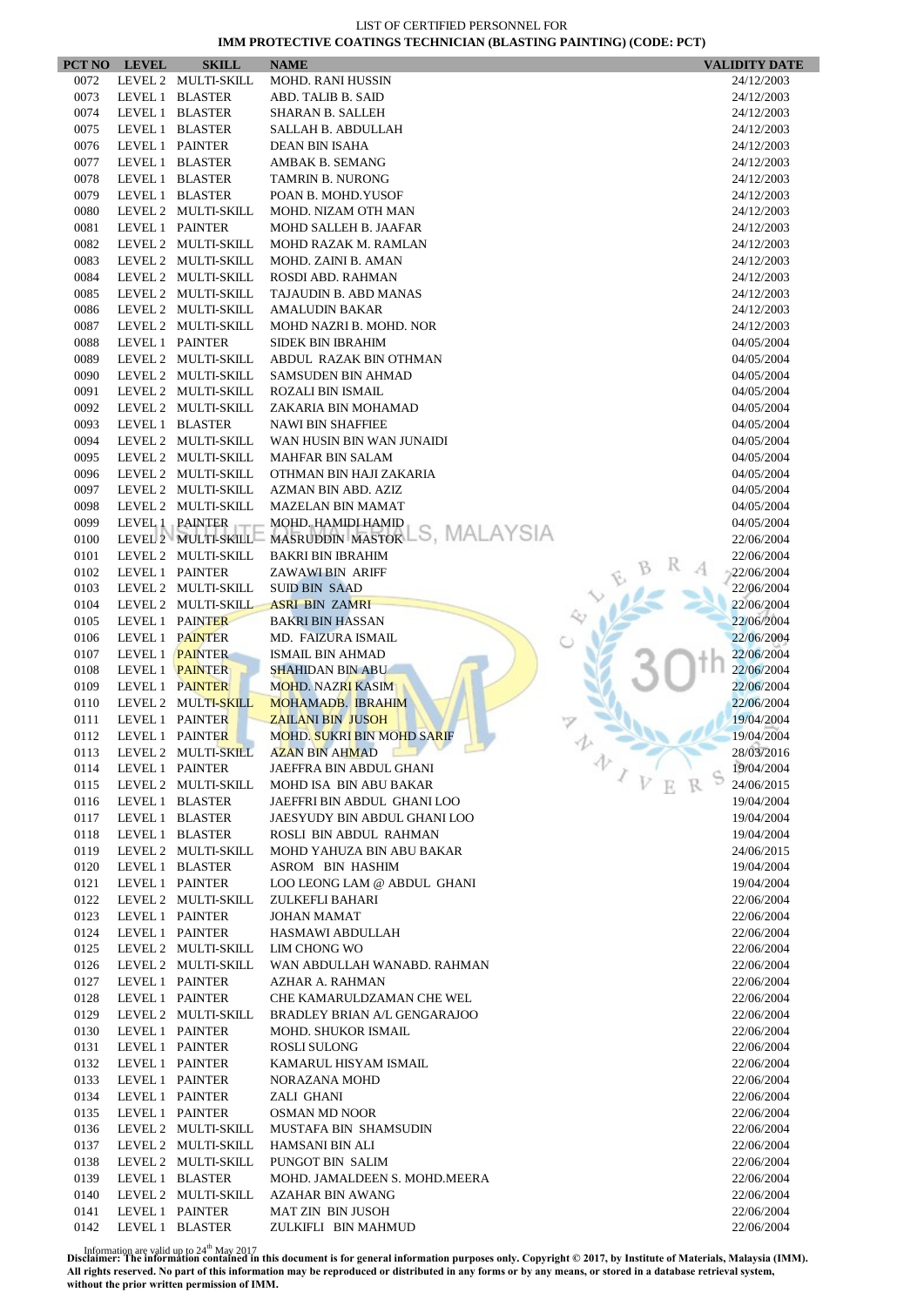| PCT NO | <b>LEVEL</b>    | <b>SKILL</b>        | <b>NAME</b>                                       | <b>VALIDITY DATE</b> |
|--------|-----------------|---------------------|---------------------------------------------------|----------------------|
| 0072   |                 | LEVEL 2 MULTI-SKILL | <b>MOHD. RANI HUSSIN</b>                          | 24/12/2003           |
| 0073   |                 | LEVEL 1 BLASTER     | ABD. TALIB B. SAID                                | 24/12/2003           |
| 0074   |                 | LEVEL 1 BLASTER     | SHARAN B. SALLEH                                  | 24/12/2003           |
| 0075   |                 | LEVEL 1 BLASTER     | SALLAH B. ABDULLAH                                | 24/12/2003           |
| 0076   |                 | LEVEL 1 PAINTER     | <b>DEAN BIN ISAHA</b>                             | 24/12/2003           |
| 0077   |                 | LEVEL 1 BLASTER     | AMBAK B. SEMANG                                   | 24/12/2003           |
| 0078   |                 | LEVEL 1 BLASTER     | TAMRIN B. NURONG                                  | 24/12/2003           |
| 0079   |                 | LEVEL 1 BLASTER     | POAN B. MOHD.YUSOF                                | 24/12/2003           |
| 0080   |                 | LEVEL 2 MULTI-SKILL | MOHD. NIZAM OTH MAN                               | 24/12/2003           |
| 0081   |                 | LEVEL 1 PAINTER     | <b>MOHD SALLEH B. JAAFAR</b>                      | 24/12/2003           |
| 0082   |                 | LEVEL 2 MULTI-SKILL | MOHD RAZAK M. RAMLAN                              | 24/12/2003           |
| 0083   |                 | LEVEL 2 MULTI-SKILL | MOHD. ZAINI B. AMAN                               | 24/12/2003           |
| 0084   |                 | LEVEL 2 MULTI-SKILL | ROSDI ABD. RAHMAN                                 | 24/12/2003           |
| 0085   |                 | LEVEL 2 MULTI-SKILL | TAJAUDIN B. ABD MANAS                             | 24/12/2003           |
| 0086   |                 | LEVEL 2 MULTI-SKILL | <b>AMALUDIN BAKAR</b>                             | 24/12/2003           |
| 0087   |                 | LEVEL 2 MULTI-SKILL | MOHD NAZRI B. MOHD. NOR                           | 24/12/2003           |
| 0088   |                 | LEVEL 1 PAINTER     | <b>SIDEK BIN IBRAHIM</b>                          | 04/05/2004           |
| 0089   |                 | LEVEL 2 MULTI-SKILL | ABDUL RAZAK BIN OTHMAN                            | 04/05/2004           |
| 0090   |                 | LEVEL 2 MULTI-SKILL | <b>SAMSUDEN BIN AHMAD</b>                         | 04/05/2004           |
| 0091   |                 | LEVEL 2 MULTI-SKILL | <b>ROZALI BIN ISMAIL</b>                          | 04/05/2004           |
| 0092   |                 | LEVEL 2 MULTI-SKILL | ZAKARIA BIN MOHAMAD                               | 04/05/2004           |
| 0093   |                 | LEVEL 1 BLASTER     | <b>NAWI BIN SHAFFIEE</b>                          | 04/05/2004           |
| 0094   |                 | LEVEL 2 MULTI-SKILL | WAN HUSIN BIN WAN JUNAIDI                         | 04/05/2004           |
| 0095   |                 | LEVEL 2 MULTI-SKILL | <b>MAHFAR BIN SALAM</b>                           | 04/05/2004           |
| 0096   |                 | LEVEL 2 MULTI-SKILL | OTHMAN BIN HAJI ZAKARIA                           | 04/05/2004           |
| 0097   |                 | LEVEL 2 MULTI-SKILL | AZMAN BIN ABD. AZIZ                               | 04/05/2004           |
| 0098   |                 | LEVEL 2 MULTI-SKILL | <b>MAZELAN BIN MAMAT</b>                          | 04/05/2004           |
| 0099   |                 | LEVEL 1 PAINTER     | MOHD. HAMIDI HAMID                                | 04/05/2004           |
| 0100   |                 |                     | LEVEL 2 MULTI-SKILL MASRUDDIN MASTOR LS, MALAYSIA | 22/06/2004           |
| 0101   |                 | LEVEL 2 MULTI-SKILL | <b>BAKRI BIN IBRAHIM</b>                          | 22/06/2004           |
| 0102   |                 | LEVEL 1 PAINTER     | ZAWAWI BIN ARIFF                                  | 22/06/2004           |
| 0103   |                 | LEVEL 2 MULTI-SKILL | <b>SUID BIN SAAD</b>                              | 22/06/2004           |
| 0104   |                 | LEVEL 2 MULTI-SKILL | <b>ASRI BIN ZAMRI</b>                             | 22/06/2004           |
| 0105   |                 | LEVEL 1 PAINTER     | <b>BAKRI BIN HASSAN</b>                           | 22/06/2004           |
| 0106   |                 | LEVEL 1 PAINTER     | MD. FAIZURA ISMAIL                                | 22/06/2004           |
| 0107   |                 | LEVEL 1 PAINTER     | <b>ISMAIL BIN AHMAD</b>                           | 22/06/2004           |
| 0108   |                 | LEVEL 1 PAINTER     | <b>SHAHIDAN BIN ABU</b>                           | 22/06/2004           |
| 0109   |                 | LEVEL 1 PAINTER     | <b>MOHD. NAZRI KASIM</b>                          | 22/06/2004           |
| 0110   |                 | LEVEL 2 MULTI-SKILL | MOHAMADB. IBRAHIM                                 | 22/06/2004           |
| 0111   |                 | LEVEL 1 PAINTER     | <b>ZAILANI BIN JUSOH</b>                          | 19/04/2004           |
| 0112   | LEVEL 1 PAINTER |                     | MOHD. SUKRI BIN MOHD SARIF                        | 19/04/2004           |
| 0113   |                 | LEVEL 2 MULTI-SKILL | <b>AZAN BIN AHMAD</b>                             | 28/03/2016           |
| 0114   |                 | LEVEL 1 PAINTER     | JAEFFRA BIN ABDUL GHANI                           | 办<br>19/04/2004      |
| 0115   |                 | LEVEL 2 MULTI-SKILL | MOHD ISA BIN ABU BAKAR                            | 24/06/2015           |
| 0116   |                 | LEVEL 1 BLASTER     | JAEFFRI BIN ABDUL GHANI LOO                       | 19/04/2004           |
| 0117   |                 | LEVEL 1 BLASTER     | JAESYUDY BIN ABDUL GHANI LOO                      | 19/04/2004           |
| 0118   |                 | LEVEL 1 BLASTER     | ROSLI BIN ABDUL RAHMAN                            | 19/04/2004           |
| 0119   |                 | LEVEL 2 MULTI-SKILL | MOHD YAHUZA BIN ABU BAKAR                         | 24/06/2015           |
| 0120   |                 | LEVEL 1 BLASTER     | ASROM BIN HASHIM                                  | 19/04/2004           |
| 0121   |                 | LEVEL 1 PAINTER     | LOO LEONG LAM @ ABDUL GHANI                       | 19/04/2004           |
| 0122   |                 | LEVEL 2 MULTI-SKILL | ZULKEFLI BAHARI                                   | 22/06/2004           |
| 0123   |                 | LEVEL 1 PAINTER     | <b>JOHAN MAMAT</b>                                | 22/06/2004           |
| 0124   |                 | LEVEL 1 PAINTER     | HASMAWI ABDULLAH                                  | 22/06/2004           |
| 0125   |                 | LEVEL 2 MULTI-SKILL | LIM CHONG WO                                      | 22/06/2004           |
| 0126   |                 | LEVEL 2 MULTI-SKILL | WAN ABDULLAH WANABD. RAHMAN                       | 22/06/2004           |
| 0127   |                 | LEVEL 1 PAINTER     | AZHAR A. RAHMAN                                   | 22/06/2004           |
| 0128   |                 | LEVEL 1 PAINTER     | CHE KAMARULDZAMAN CHE WEL                         | 22/06/2004           |
| 0129   |                 | LEVEL 2 MULTI-SKILL | <b>BRADLEY BRIAN A/L GENGARAJOO</b>               | 22/06/2004           |
| 0130   |                 | LEVEL 1 PAINTER     | <b>MOHD. SHUKOR ISMAIL</b>                        | 22/06/2004           |
| 0131   |                 | LEVEL 1 PAINTER     | ROSLI SULONG                                      | 22/06/2004           |
| 0132   |                 | LEVEL 1 PAINTER     | KAMARUL HISYAM ISMAIL                             | 22/06/2004           |
| 0133   |                 | LEVEL 1 PAINTER     | NORAZANA MOHD                                     | 22/06/2004           |
| 0134   |                 | LEVEL 1 PAINTER     | ZALI GHANI                                        | 22/06/2004           |
| 0135   |                 |                     |                                                   |                      |
|        |                 | LEVEL 1 PAINTER     | <b>OSMAN MD NOOR</b>                              | 22/06/2004           |
| 0136   |                 | LEVEL 2 MULTI-SKILL | MUSTAFA BIN SHAMSUDIN                             | 22/06/2004           |
| 0137   |                 | LEVEL 2 MULTI-SKILL | HAMSANI BIN ALI                                   | 22/06/2004           |
| 0138   |                 | LEVEL 2 MULTI-SKILL | PUNGOT BIN SALIM                                  | 22/06/2004           |
| 0139   |                 | LEVEL 1 BLASTER     | MOHD. JAMALDEEN S. MOHD.MEERA                     | 22/06/2004           |
| 0140   |                 | LEVEL 2 MULTI-SKILL | <b>AZAHAR BIN AWANG</b>                           | 22/06/2004           |
| 0141   |                 | LEVEL 1 PAINTER     | <b>MAT ZIN BIN JUSOH</b>                          | 22/06/2004           |
| 0142   |                 | LEVEL 1 BLASTER     | ZULKIFLI BIN MAHMUD                               | 22/06/2004           |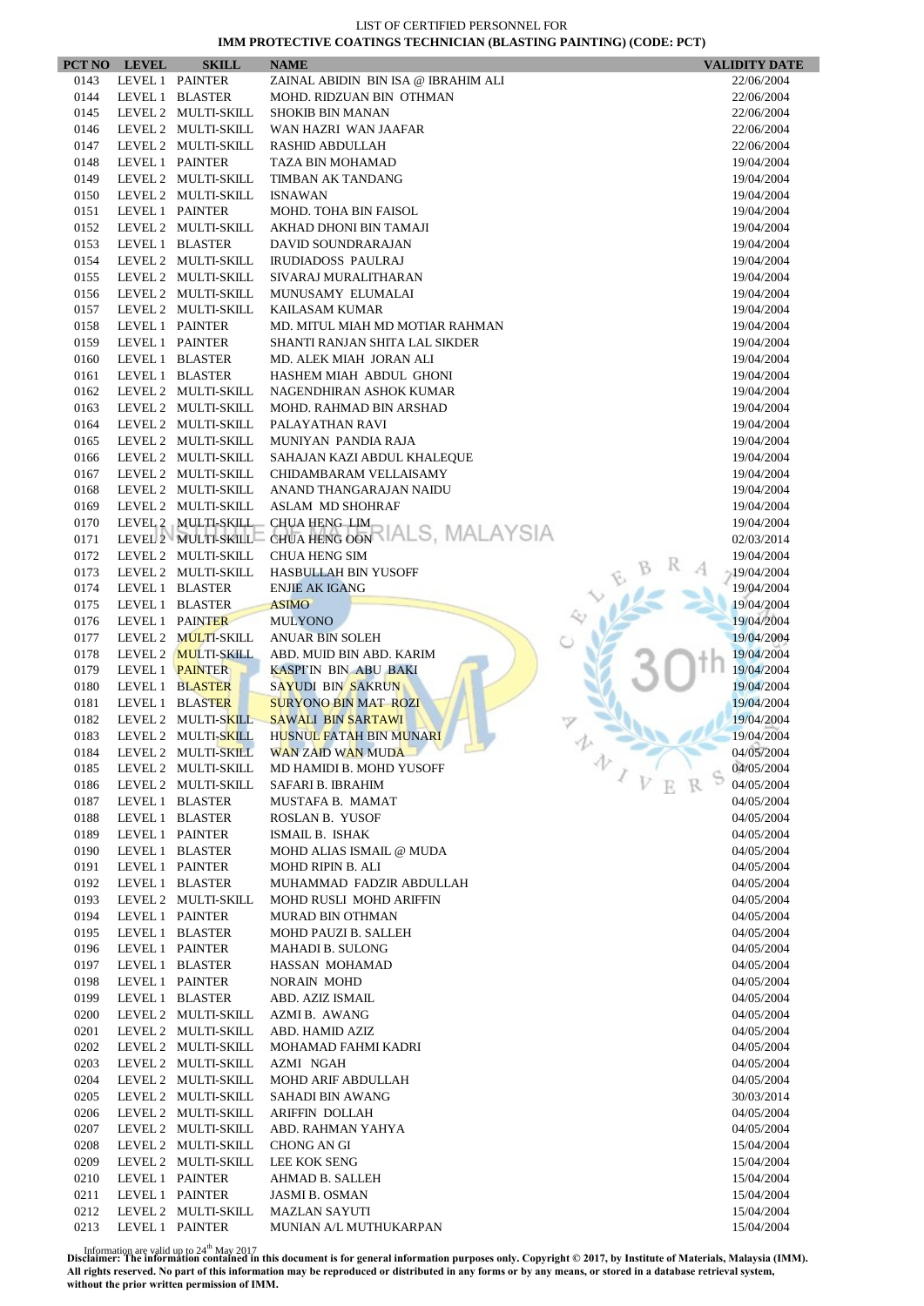|              | PCT NO LEVEL | <b>SKILL</b>                       | <b>NAME</b>                                    | <b>VALIDITY DATE</b>     |
|--------------|--------------|------------------------------------|------------------------------------------------|--------------------------|
| 0143         |              | LEVEL 1 PAINTER                    | ZAINAL ABIDIN BIN ISA @ IBRAHIM ALI            | 22/06/2004               |
| 0144         |              | LEVEL 1 BLASTER                    | MOHD. RIDZUAN BIN OTHMAN                       | 22/06/2004               |
| 0145         |              | LEVEL 2 MULTI-SKILL                | <b>SHOKIB BIN MANAN</b>                        | 22/06/2004               |
| 0146         |              | LEVEL 2 MULTI-SKILL                | WAN HAZRI WAN JAAFAR                           | 22/06/2004               |
| 0147         |              | LEVEL 2 MULTI-SKILL                | RASHID ABDULLAH                                | 22/06/2004               |
| 0148         |              | LEVEL 1 PAINTER                    | <b>TAZA BIN MOHAMAD</b>                        | 19/04/2004               |
| 0149         |              | LEVEL 2 MULTI-SKILL                | TIMBAN AK TANDANG                              | 19/04/2004               |
| 0150         |              | LEVEL 2 MULTI-SKILL                | <b>ISNAWAN</b>                                 | 19/04/2004               |
| 0151         |              | LEVEL 1 PAINTER                    | MOHD. TOHA BIN FAISOL                          | 19/04/2004               |
| 0152         |              | LEVEL 2 MULTI-SKILL                | AKHAD DHONI BIN TAMAJI                         | 19/04/2004               |
| 0153         |              | LEVEL 1 BLASTER                    | DAVID SOUNDRARAJAN                             | 19/04/2004               |
| 0154         |              | LEVEL 2 MULTI-SKILL                | <b>IRUDIADOSS PAULRAJ</b>                      | 19/04/2004               |
| 0155         |              | LEVEL 2 MULTI-SKILL                | SIVARAJ MURALITHARAN                           | 19/04/2004               |
| 0156         |              | LEVEL 2 MULTI-SKILL                | MUNUSAMY ELUMALAI                              | 19/04/2004               |
| 0157         |              | LEVEL 2 MULTI-SKILL                | <b>KAILASAM KUMAR</b>                          | 19/04/2004               |
| 0158         |              | LEVEL 1 PAINTER                    | MD. MITUL MIAH MD MOTIAR RAHMAN                | 19/04/2004               |
| 0159         |              | LEVEL 1 PAINTER                    | SHANTI RANJAN SHITA LAL SIKDER                 | 19/04/2004               |
| 0160         |              | LEVEL 1 BLASTER                    | MD. ALEK MIAH JORAN ALI                        | 19/04/2004               |
| 0161         |              | LEVEL 1 BLASTER                    | HASHEM MIAH ABDUL GHONI                        | 19/04/2004               |
| 0162         |              | LEVEL 2 MULTI-SKILL                | NAGENDHIRAN ASHOK KUMAR                        | 19/04/2004               |
| 0163         |              | LEVEL 2 MULTI-SKILL                | MOHD. RAHMAD BIN ARSHAD                        | 19/04/2004               |
| 0164         |              | LEVEL 2 MULTI-SKILL                | PALAYATHAN RAVI                                | 19/04/2004               |
| 0165         |              | LEVEL 2 MULTI-SKILL                | MUNIYAN PANDIA RAJA                            | 19/04/2004               |
| 0166         |              | LEVEL 2 MULTI-SKILL                | SAHAJAN KAZI ABDUL KHALEQUE                    | 19/04/2004               |
| 0167         |              | LEVEL 2 MULTI-SKILL                | CHIDAMBARAM VELLAISAMY                         | 19/04/2004               |
| 0168         |              | LEVEL 2 MULTI-SKILL                | ANAND THANGARAJAN NAIDU                        | 19/04/2004               |
| 0169         |              | LEVEL 2 MULTI-SKILL                | ASLAM MD SHOHRAF                               | 19/04/2004               |
| 0170         |              | LEVEL 2 MULTI-SKILL                | CHUA HENG LIM<br>CHUA HENG OON VIALS, MALAYSIA | 19/04/2004               |
| 0171         |              | LEVEL 2 MULTI-SKILL                |                                                | 02/03/2014               |
| 0172         |              | LEVEL 2 MULTI-SKILL                | <b>CHUA HENG SIM</b>                           | 19/04/2004               |
| 0173         |              | LEVEL 2 MULTI-SKILL                | <b>HASBULLAH BIN YUSOFF</b>                    | 19/04/2004               |
| 0174         |              | LEVEL 1 BLASTER                    | <b>ENJIE AK IGANG</b>                          | 19/04/2004               |
| 0175<br>0176 |              | LEVEL 1 BLASTER<br>LEVEL 1 PAINTER | <b>ASIMO</b>                                   | 19/04/2004<br>19/04/2004 |
| 0177         |              | LEVEL 2 MULTI-SKILL                | <b>MULYONO</b><br><b>ANUAR BIN SOLEH</b>       | 19/04/2004               |
| 0178         |              | LEVEL 2 MULTI-SKILL                | ABD. MUID BIN ABD. KARIM                       | 19/04/2004               |
| 0179         |              | LEVEL 1 PAINTER                    | <b>KASPI'IN BIN ABU BAKI</b>                   | 19/04/2004               |
| 0180         |              | LEVEL 1 BLASTER                    | SAYUDI BIN SAKRUN                              | 19/04/2004               |
| 0181         |              | LEVEL 1 BLASTER                    | <b>SURYONO BIN MAT ROZI</b>                    | 19/04/2004               |
| 0182         |              | LEVEL 2 MULTI-SKILL                | <b>SAWALI BIN SARTAWI</b>                      | 19/04/2004               |
| 0183         |              | LEVEL 2 MULTI-SKILL                | HUSNUL FATAH BIN MUNARI                        | 19/04/2004               |
| 0184         |              | LEVEL 2 MULTI-SKILL                | WAN ZAID WAN MUDA                              | 04/05/2004               |
| 0185         |              | LEVEL 2 MULTI-SKILL                | MD HAMIDI B. MOHD YUSOFF                       | 办<br>04/05/2004          |
| 0186         |              | LEVEL 2 MULTI-SKILL                | SAFARI B. IBRAHIM                              | 04/05/2004               |
| 0187         |              | LEVEL 1 BLASTER                    | MUSTAFA B. MAMAT                               | 04/05/2004               |
| 0188         |              | LEVEL 1 BLASTER                    | ROSLAN B. YUSOF                                | 04/05/2004               |
| 0189         |              | LEVEL 1 PAINTER                    | ISMAIL B. ISHAK                                | 04/05/2004               |
| 0190         |              | LEVEL 1 BLASTER                    | MOHD ALIAS ISMAIL @ MUDA                       | 04/05/2004               |
| 0191         |              | LEVEL 1 PAINTER                    | <b>MOHD RIPIN B. ALI</b>                       | 04/05/2004               |
| 0192         |              | LEVEL 1 BLASTER                    | MUHAMMAD FADZIR ABDULLAH                       | 04/05/2004               |
| 0193         |              | LEVEL 2 MULTI-SKILL                | MOHD RUSLI MOHD ARIFFIN                        | 04/05/2004               |
| 0194         |              | LEVEL 1 PAINTER                    | MURAD BIN OTHMAN                               | 04/05/2004               |
| 0195         |              | LEVEL 1 BLASTER                    | MOHD PAUZI B. SALLEH                           | 04/05/2004               |
| 0196         |              | LEVEL 1 PAINTER                    | MAHADI B. SULONG                               | 04/05/2004               |
| 0197         |              | LEVEL 1 BLASTER                    | HASSAN MOHAMAD                                 | 04/05/2004               |
| 0198         |              | LEVEL 1 PAINTER                    | <b>NORAIN MOHD</b>                             | 04/05/2004               |
| 0199         |              | LEVEL 1 BLASTER                    | ABD. AZIZ ISMAIL                               | 04/05/2004               |
| 0200         |              | LEVEL 2 MULTI-SKILL                | AZMI B. AWANG                                  | 04/05/2004               |
| 0201         |              | LEVEL 2 MULTI-SKILL                | ABD. HAMID AZIZ                                | 04/05/2004               |
| 0202         |              | LEVEL 2 MULTI-SKILL                | MOHAMAD FAHMI KADRI                            | 04/05/2004               |
| 0203         |              | LEVEL 2 MULTI-SKILL                | AZMI NGAH                                      | 04/05/2004               |
| 0204         |              | LEVEL 2 MULTI-SKILL                | MOHD ARIF ABDULLAH                             | 04/05/2004               |
| 0205         |              | LEVEL 2 MULTI-SKILL                | SAHADI BIN AWANG                               | 30/03/2014               |
| 0206         |              | LEVEL 2 MULTI-SKILL                | ARIFFIN DOLLAH                                 | 04/05/2004               |
| 0207         |              | LEVEL 2 MULTI-SKILL                | ABD. RAHMAN YAHYA                              | 04/05/2004               |
| 0208         |              | LEVEL 2 MULTI-SKILL                | CHONG AN GI                                    | 15/04/2004               |
| 0209         |              | LEVEL 2 MULTI-SKILL                | LEE KOK SENG                                   | 15/04/2004               |
| 0210         |              | LEVEL 1 PAINTER                    | AHMAD B. SALLEH                                | 15/04/2004               |
| 0211         |              | LEVEL 1 PAINTER                    | <b>JASMI B. OSMAN</b>                          | 15/04/2004               |
| 0212         |              | LEVEL 2 MULTI-SKILL                | <b>MAZLAN SAYUTI</b>                           | 15/04/2004               |
| 0213         |              | LEVEL 1 PAINTER                    | MUNIAN A/L MUTHUKARPAN                         | 15/04/2004               |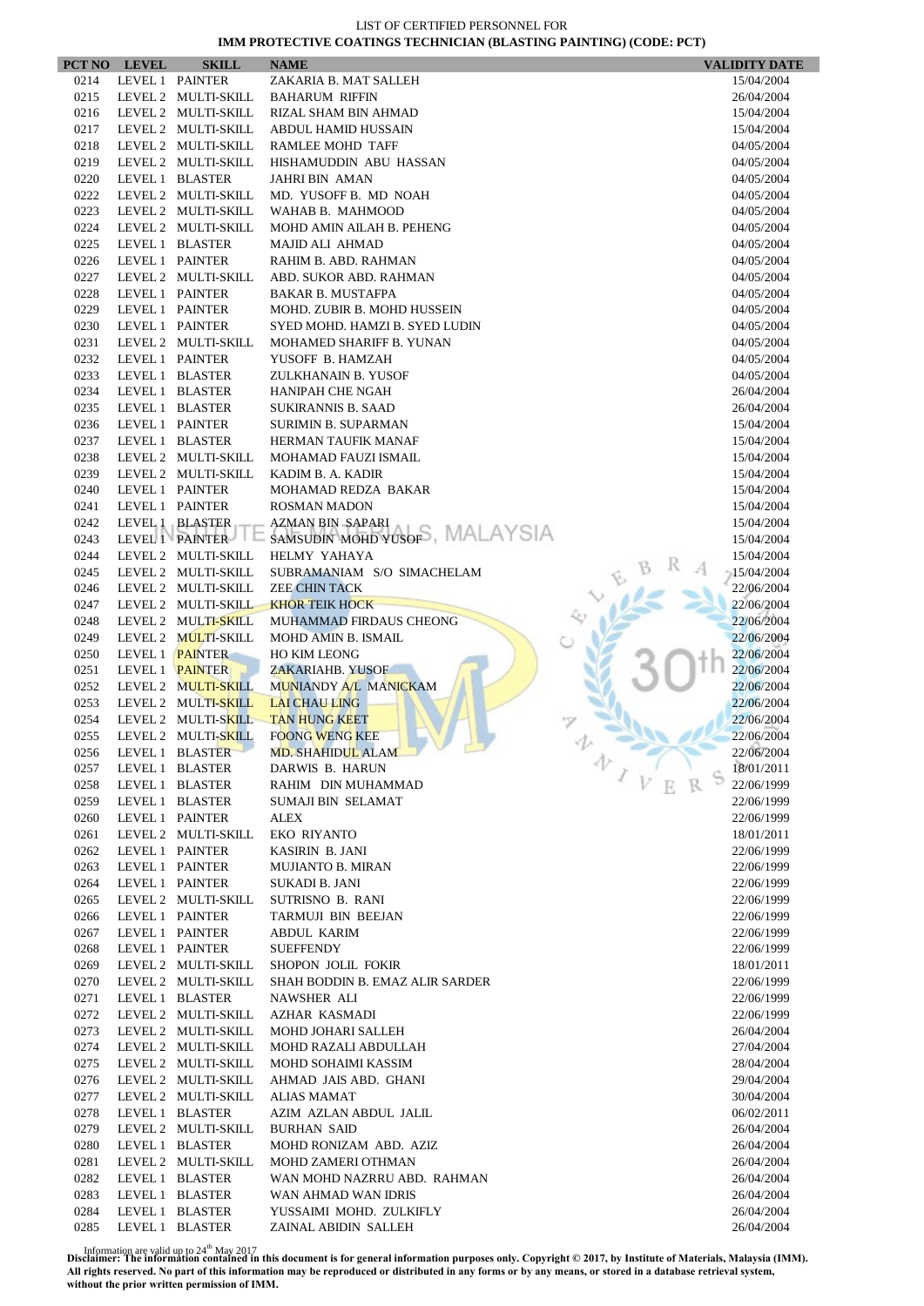|              | PCT NO LEVEL                       | <b>SKILL</b>                               | <b>NAME</b>                                 |            | <b>VALIDITY DATE</b>     |
|--------------|------------------------------------|--------------------------------------------|---------------------------------------------|------------|--------------------------|
| 0214         | LEVEL 1 PAINTER                    |                                            | ZAKARIA B. MAT SALLEH                       |            | 15/04/2004               |
| 0215         |                                    | LEVEL 2 MULTI-SKILL                        | <b>BAHARUM RIFFIN</b>                       |            | 26/04/2004               |
| 0216         |                                    | LEVEL 2 MULTI-SKILL                        | RIZAL SHAM BIN AHMAD                        |            | 15/04/2004               |
| 0217         |                                    | LEVEL 2 MULTI-SKILL                        | ABDUL HAMID HUSSAIN                         |            | 15/04/2004               |
| 0218         |                                    | LEVEL 2 MULTI-SKILL                        | RAMLEE MOHD TAFF                            |            | 04/05/2004               |
| 0219         |                                    | LEVEL 2 MULTI-SKILL                        | HISHAMUDDIN ABU HASSAN                      |            | 04/05/2004               |
| 0220<br>0222 |                                    | LEVEL 1 BLASTER<br>LEVEL 2 MULTI-SKILL     | <b>JAHRI BIN AMAN</b>                       |            | 04/05/2004               |
| 0223         |                                    | LEVEL 2 MULTI-SKILL                        | MD. YUSOFF B. MD NOAH<br>WAHAB B. MAHMOOD   |            | 04/05/2004<br>04/05/2004 |
| 0224         |                                    | LEVEL 2 MULTI-SKILL                        | MOHD AMIN AILAH B. PEHENG                   |            | 04/05/2004               |
| 0225         |                                    | LEVEL 1 BLASTER                            | <b>MAJID ALI AHMAD</b>                      |            | 04/05/2004               |
| 0226         | LEVEL 1 PAINTER                    |                                            | RAHIM B. ABD. RAHMAN                        |            | 04/05/2004               |
| 0227         |                                    | LEVEL 2 MULTI-SKILL                        | ABD. SUKOR ABD. RAHMAN                      |            | 04/05/2004               |
| 0228         | LEVEL 1 PAINTER                    |                                            | <b>BAKAR B. MUSTAFPA</b>                    |            | 04/05/2004               |
| 0229         |                                    | LEVEL 1 PAINTER                            | MOHD. ZUBIR B. MOHD HUSSEIN                 |            | 04/05/2004               |
| 0230         | LEVEL 1 PAINTER                    |                                            | SYED MOHD. HAMZI B. SYED LUDIN              |            | 04/05/2004               |
| 0231         |                                    | LEVEL 2 MULTI-SKILL                        | MOHAMED SHARIFF B. YUNAN                    |            | 04/05/2004               |
| 0232         | LEVEL 1 PAINTER                    |                                            | YUSOFF B. HAMZAH                            |            | 04/05/2004               |
| 0233         |                                    | LEVEL 1 BLASTER                            | ZULKHANAIN B. YUSOF                         |            | 04/05/2004               |
| 0234         |                                    | LEVEL 1 BLASTER                            | HANIPAH CHE NGAH                            |            | 26/04/2004               |
| 0235         |                                    | LEVEL 1 BLASTER                            | <b>SUKIRANNIS B. SAAD</b>                   |            | 26/04/2004               |
| 0236         | LEVEL 1 PAINTER                    |                                            | <b>SURIMIN B. SUPARMAN</b>                  |            | 15/04/2004               |
| 0237         |                                    | LEVEL 1 BLASTER                            | HERMAN TAUFIK MANAF                         |            | 15/04/2004               |
| 0238         |                                    | LEVEL 2 MULTI-SKILL                        | MOHAMAD FAUZI ISMAIL                        |            | 15/04/2004               |
| 0239         |                                    | LEVEL 2 MULTI-SKILL                        | KADIM B. A. KADIR                           |            | 15/04/2004               |
| 0240<br>0241 | LEVEL 1 PAINTER<br>LEVEL 1 PAINTER |                                            | MOHAMAD REDZA BAKAR<br><b>ROSMAN MADON</b>  |            | 15/04/2004<br>15/04/2004 |
| 0242         |                                    | LEVEL 1 BLASTER                            | <b>AZMAN BIN SAPARI</b>                     |            | 15/04/2004               |
| 0243         |                                    | LEVEL 1 PAINTER                            | SAMSUDIN MOHD YUSOFS, MALAYSIA              |            | 15/04/2004               |
| 0244         |                                    | LEVEL 2 MULTI-SKILL                        | HELMY YAHAYA                                |            | 15/04/2004               |
| 0245         |                                    | LEVEL 2 MULTI-SKILL                        | SUBRAMANIAM S/O SIMACHELAM                  |            | 15/04/2004               |
| 0246         |                                    | LEVEL 2 MULTI-SKILL                        | <b>ZEE CHIN TACK</b>                        |            | 22/06/2004               |
| 0247         |                                    | LEVEL 2 MULTI-SKILL                        | <b>KHOR TEIK HOCK</b>                       |            | 22/06/2004               |
| 0248         |                                    | LEVEL 2 MULTI-SKILL                        | MUHAMMAD FIRDAUS CHEONG                     |            | 22/06/2004               |
| 0249         |                                    | LEVEL 2 MULTI-SKILL                        | <b>MOHD AMIN B. ISMAIL</b>                  |            | 22/06/2004               |
| 0250         | LEVEL 1 PAINTER                    |                                            | <b>HO KIM LEONG</b>                         |            | 22/06/2004               |
| 0251         | LEVEL 1 PAINTER                    |                                            | <b>ZAKARIAHB. YUSOF</b>                     |            | 22/06/2004               |
| 0252         |                                    | LEVEL 2 MULTI-SKILL                        | MUNIANDY A/L MANICKAM                       |            | 22/06/2004               |
| 0253         |                                    | LEVEL 2 MULTI-SKILL                        | <b>LAI CHAU LING</b>                        |            | 22/06/2004               |
| 0254         |                                    | LEVEL 2 MULTI-SKILL                        | <b>TAN HUNG KEET</b>                        |            | 22/06/2004               |
| 0255         |                                    | LEVEL 2 MULTI-SKILL                        | <b>FOONG WENG KEE</b>                       |            | 22/06/2004               |
| 0256<br>0257 |                                    | LEVEL 1 BLASTER<br>LEVEL 1 BLASTER         | MD. SHAHIDUL ALAM<br>DARWIS B. HARUN        | 办          | 22/06/2004<br>18/01/2011 |
| 0258         |                                    | LEVEL 1 BLASTER                            | RAHIM DIN MUHAMMAD                          | $\sqrt{V}$ | 22/06/1999               |
| 0259         |                                    | LEVEL 1 BLASTER                            | SUMAJI BIN SELAMAT                          |            | 22/06/1999               |
| 0260         |                                    | LEVEL 1 PAINTER                            | ALEX                                        |            | 22/06/1999               |
| 0261         |                                    | LEVEL 2 MULTI-SKILL                        | <b>EKO RIYANTO</b>                          |            | 18/01/2011               |
| 0262         | LEVEL 1 PAINTER                    |                                            | KASIRIN B. JANI                             |            | 22/06/1999               |
| 0263         |                                    | LEVEL 1 PAINTER                            | <b>MUJIANTO B. MIRAN</b>                    |            | 22/06/1999               |
| 0264         | LEVEL 1 PAINTER                    |                                            | SUKADI B. JANI                              |            | 22/06/1999               |
| 0265         |                                    | LEVEL 2 MULTI-SKILL                        | SUTRISNO B. RANI                            |            | 22/06/1999               |
| 0266         | LEVEL 1 PAINTER                    |                                            | TARMUJI BIN BEEJAN                          |            | 22/06/1999               |
| 0267         |                                    | LEVEL 1 PAINTER                            | ABDUL KARIM                                 |            | 22/06/1999               |
| 0268         | LEVEL 1 PAINTER                    |                                            | <b>SUEFFENDY</b>                            |            | 22/06/1999               |
| 0269         |                                    | LEVEL 2 MULTI-SKILL                        | SHOPON JOLIL FOKIR                          |            | 18/01/2011               |
| 0270         |                                    | LEVEL 2 MULTI-SKILL                        | SHAH BODDIN B. EMAZ ALIR SARDER             |            | 22/06/1999               |
| 0271         |                                    | LEVEL 1 BLASTER                            | NAWSHER ALI                                 |            | 22/06/1999               |
| 0272         |                                    | LEVEL 2 MULTI-SKILL                        | AZHAR KASMADI                               |            | 22/06/1999               |
| 0273         |                                    | LEVEL 2 MULTI-SKILL                        | MOHD JOHARI SALLEH                          |            | 26/04/2004               |
| 0274<br>0275 |                                    | LEVEL 2 MULTI-SKILL<br>LEVEL 2 MULTI-SKILL | MOHD RAZALI ABDULLAH<br>MOHD SOHAIMI KASSIM |            | 27/04/2004<br>28/04/2004 |
| 0276         |                                    | LEVEL 2 MULTI-SKILL                        | AHMAD JAIS ABD. GHANI                       |            | 29/04/2004               |
| 0277         |                                    | LEVEL 2 MULTI-SKILL                        | <b>ALIAS MAMAT</b>                          |            | 30/04/2004               |
| 0278         |                                    | LEVEL 1 BLASTER                            | AZIM AZLAN ABDUL JALIL                      |            | 06/02/2011               |
| 0279         |                                    | LEVEL 2 MULTI-SKILL                        | <b>BURHAN SAID</b>                          |            | 26/04/2004               |
| 0280         |                                    | LEVEL 1 BLASTER                            | MOHD RONIZAM ABD. AZIZ                      |            | 26/04/2004               |
| 0281         |                                    | LEVEL 2 MULTI-SKILL                        | MOHD ZAMERI OTHMAN                          |            | 26/04/2004               |
| 0282         |                                    | LEVEL 1 BLASTER                            | WAN MOHD NAZRRU ABD. RAHMAN                 |            | 26/04/2004               |
| 0283         |                                    | LEVEL 1 BLASTER                            | WAN AHMAD WAN IDRIS                         |            | 26/04/2004               |
| 0284         |                                    | LEVEL 1 BLASTER                            | YUSSAIMI MOHD. ZULKIFLY                     |            | 26/04/2004               |
| 0285         |                                    | LEVEL 1 BLASTER                            | ZAINAL ABIDIN SALLEH                        |            | 26/04/2004               |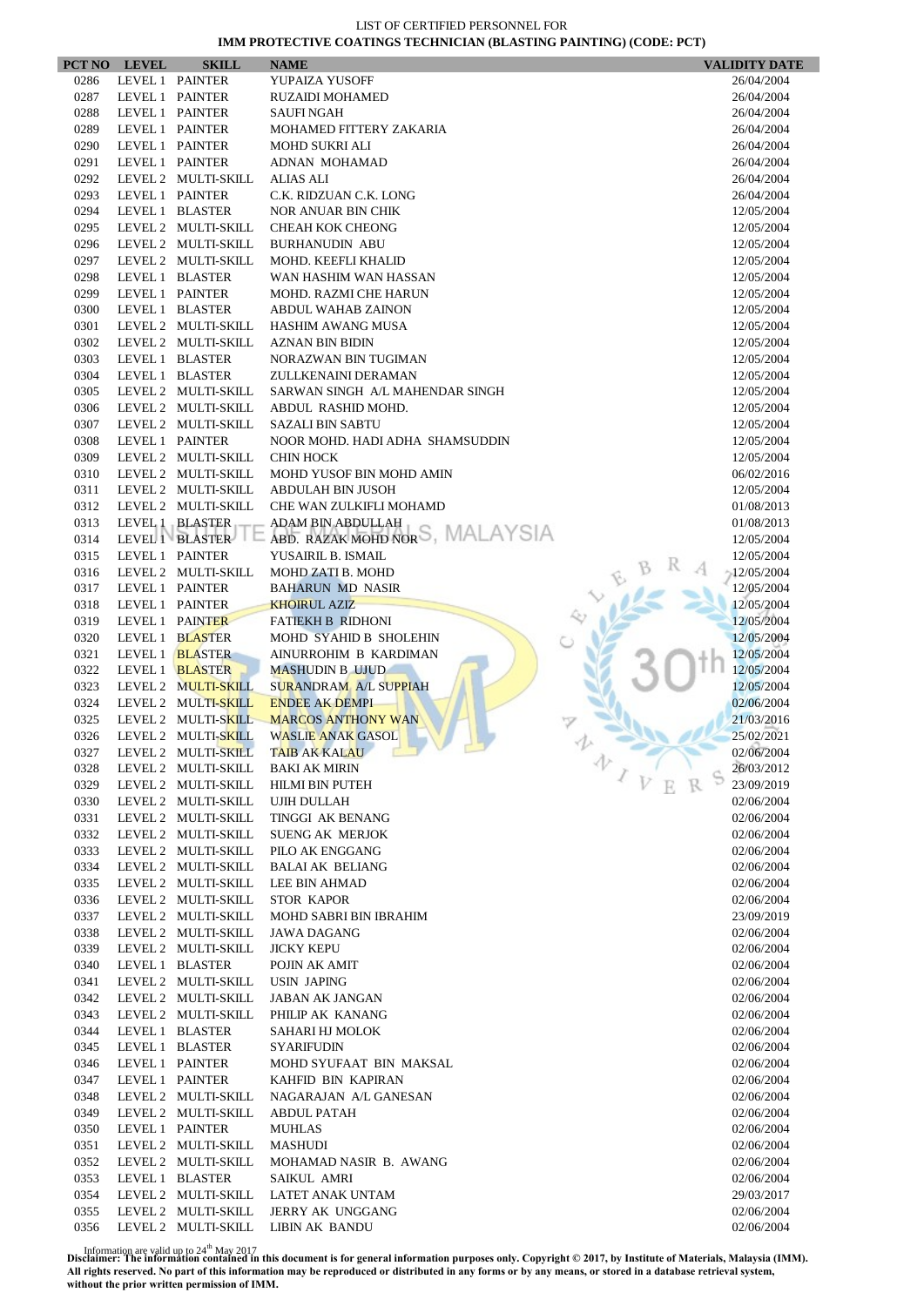|              | PCT NO LEVEL    | <b>SKILL</b>                               | <b>NAME</b>                                      | <b>VALIDITY DATE</b>     |
|--------------|-----------------|--------------------------------------------|--------------------------------------------------|--------------------------|
| 0286         |                 | LEVEL 1 PAINTER                            | YUPAIZA YUSOFF                                   | 26/04/2004               |
| 0287         |                 | LEVEL 1 PAINTER                            | <b>RUZAIDI MOHAMED</b>                           | 26/04/2004               |
| 0288         |                 | LEVEL 1 PAINTER                            | SAUFI NGAH                                       | 26/04/2004               |
| 0289         | LEVEL 1 PAINTER |                                            | MOHAMED FITTERY ZAKARIA                          | 26/04/2004               |
| 0290         | LEVEL 1 PAINTER |                                            | <b>MOHD SUKRI ALI</b>                            | 26/04/2004               |
| 0291         |                 | LEVEL 1 PAINTER                            | ADNAN MOHAMAD                                    | 26/04/2004               |
| 0292<br>0293 |                 | LEVEL 2 MULTI-SKILL<br>LEVEL 1 PAINTER     | <b>ALIAS ALI</b><br>C.K. RIDZUAN C.K. LONG       | 26/04/2004<br>26/04/2004 |
| 0294         |                 | LEVEL 1 BLASTER                            | <b>NOR ANUAR BIN CHIK</b>                        | 12/05/2004               |
| 0295         |                 | LEVEL 2 MULTI-SKILL                        | CHEAH KOK CHEONG                                 | 12/05/2004               |
| 0296         |                 | LEVEL 2 MULTI-SKILL                        | <b>BURHANUDIN ABU</b>                            | 12/05/2004               |
| 0297         |                 | LEVEL 2 MULTI-SKILL                        | MOHD. KEEFLI KHALID                              | 12/05/2004               |
| 0298         |                 | LEVEL 1 BLASTER                            | WAN HASHIM WAN HASSAN                            | 12/05/2004               |
| 0299         |                 | LEVEL 1 PAINTER                            | MOHD. RAZMI CHE HARUN                            | 12/05/2004               |
| 0300         |                 | LEVEL 1 BLASTER                            | <b>ABDUL WAHAB ZAINON</b>                        | 12/05/2004               |
| 0301         |                 | LEVEL 2 MULTI-SKILL                        | HASHIM AWANG MUSA                                | 12/05/2004               |
| 0302         |                 | LEVEL 2 MULTI-SKILL                        | <b>AZNAN BIN BIDIN</b>                           | 12/05/2004               |
| 0303         |                 | LEVEL 1 BLASTER                            | NORAZWAN BIN TUGIMAN                             | 12/05/2004               |
| 0304         |                 | LEVEL 1 BLASTER                            | ZULLKENAINI DERAMAN                              | 12/05/2004               |
| 0305         |                 | LEVEL 2 MULTI-SKILL                        | SARWAN SINGH A/L MAHENDAR SINGH                  | 12/05/2004               |
| 0306         |                 | LEVEL 2 MULTI-SKILL                        | ABDUL RASHID MOHD.                               | 12/05/2004               |
| 0307         |                 | LEVEL 2 MULTI-SKILL                        | <b>SAZALI BIN SABTU</b>                          | 12/05/2004               |
| 0308         |                 | LEVEL 1 PAINTER                            | NOOR MOHD. HADI ADHA SHAMSUDDIN                  | 12/05/2004               |
| 0309<br>0310 |                 | LEVEL 2 MULTI-SKILL<br>LEVEL 2 MULTI-SKILL | <b>CHIN HOCK</b><br>MOHD YUSOF BIN MOHD AMIN     | 12/05/2004<br>06/02/2016 |
| 0311         |                 | LEVEL 2 MULTI-SKILL                        | <b>ABDULAH BIN JUSOH</b>                         | 12/05/2004               |
| 0312         |                 | LEVEL 2 MULTI-SKILL                        | CHE WAN ZULKIFLI MOHAMD                          | 01/08/2013               |
| 0313         |                 | LEVEL 1 BLASTER                            | ADAM BIN ABDULLAH                                | 01/08/2013               |
| 0314         |                 |                                            | LEVEL I BLASTER E ABD. RAZAK MOHD NORS, MALAYSIA | 12/05/2004               |
| 0315         |                 | LEVEL 1 PAINTER                            | YUSAIRIL B. ISMAIL                               | 12/05/2004               |
| 0316         |                 | LEVEL 2 MULTI-SKILL                        | MOHD ZATI B. MOHD                                | $-12/05/2004$            |
| 0317         |                 | LEVEL 1 PAINTER                            | <b>BAHARUN MD NASIR</b>                          | 12/05/2004               |
| 0318         | LEVEL 1 PAINTER |                                            | <b>KHOIRUL AZIZ</b>                              | 12/05/2004               |
| 0319         |                 | LEVEL 1 PAINTER                            | <b>FATIEKH B RIDHONI</b>                         | 12/05/2004               |
| 0320         |                 | LEVEL 1 BLASTER                            | MOHD SYAHID B SHOLEHIN                           | 12/05/2004               |
| 0321         |                 | LEVEL 1 BLASTER                            | AINURROHIM B KARDIMAN                            | 12/05/2004               |
| 0322         |                 | LEVEL 1 BLASTER                            | <b>MASHUDIN B UJUD</b>                           | 12/05/2004               |
| 0323         |                 | LEVEL 2 MULTI-SKILL                        | <b>SURANDRAM A/L SUPPIAH</b>                     | 12/05/2004               |
| 0324         |                 | LEVEL 2 MULTI-SKILL                        | <b>ENDEE AK DEMPI</b>                            | 02/06/2004               |
| 0325         |                 | LEVEL 2 MULTI-SKILL<br>LEVEL 2 MULTI-SKILL | <b>MARCOS ANTHONY WAN</b>                        | 21/03/2016               |
| 0326<br>0327 |                 | LEVEL 2 MULTI-SKILL                        | <b>WASLIE ANAK GASOL</b><br><b>TAIB AK KALAU</b> | 25/02/2021<br>02/06/2004 |
| 0328         |                 | LEVEL 2 MULTI-SKILL                        | v<br><b>BAKI AK MIRIN</b>                        | 26/03/2012               |
| 0329         |                 | LEVEL 2 MULTI-SKILL                        | <b>HILMI BIN PUTEH</b>                           | 23/09/2019               |
| 0330         |                 | LEVEL 2 MULTI-SKILL                        | UJIH DULLAH                                      | 02/06/2004               |
| 0331         |                 | LEVEL 2 MULTI-SKILL                        | TINGGI AK BENANG                                 | 02/06/2004               |
| 0332         |                 | LEVEL 2 MULTI-SKILL                        | <b>SUENG AK MERJOK</b>                           | 02/06/2004               |
| 0333         |                 | LEVEL 2 MULTI-SKILL                        | PILO AK ENGGANG                                  | 02/06/2004               |
| 0334         |                 | LEVEL 2 MULTI-SKILL                        | <b>BALAI AK BELIANG</b>                          | 02/06/2004               |
| 0335         |                 | LEVEL 2 MULTI-SKILL                        | LEE BIN AHMAD                                    | 02/06/2004               |
| 0336         |                 | LEVEL 2 MULTI-SKILL                        | <b>STOR KAPOR</b>                                | 02/06/2004               |
| 0337         |                 | LEVEL 2 MULTI-SKILL                        | <b>MOHD SABRI BIN IBRAHIM</b>                    | 23/09/2019               |
| 0338         |                 | LEVEL 2 MULTI-SKILL                        | <b>JAWA DAGANG</b>                               | 02/06/2004               |
| 0339         |                 | LEVEL 2 MULTI-SKILL                        | <b>JICKY KEPU</b>                                | 02/06/2004               |
| 0340         |                 | LEVEL 1 BLASTER                            | POJIN AK AMIT                                    | 02/06/2004               |
| 0341         |                 | LEVEL 2 MULTI-SKILL                        | <b>USIN JAPING</b>                               | 02/06/2004               |
| 0342         |                 | LEVEL 2 MULTI-SKILL                        | <b>JABAN AK JANGAN</b>                           | 02/06/2004               |
| 0343<br>0344 |                 | LEVEL 2 MULTI-SKILL<br>LEVEL 1 BLASTER     | PHILIP AK KANANG<br>SAHARI HJ MOLOK              | 02/06/2004<br>02/06/2004 |
| 0345         |                 | LEVEL 1 BLASTER                            | <b>SYARIFUDIN</b>                                | 02/06/2004               |
| 0346         |                 | LEVEL 1 PAINTER                            | MOHD SYUFAAT BIN MAKSAL                          | 02/06/2004               |
| 0347         |                 | LEVEL 1 PAINTER                            | KAHFID BIN KAPIRAN                               | 02/06/2004               |
| 0348         |                 | LEVEL 2 MULTI-SKILL                        | NAGARAJAN A/L GANESAN                            | 02/06/2004               |
| 0349         |                 | LEVEL 2 MULTI-SKILL                        | <b>ABDUL PATAH</b>                               | 02/06/2004               |
| 0350         |                 | LEVEL 1 PAINTER                            | MUHLAS                                           | 02/06/2004               |
| 0351         |                 | LEVEL 2 MULTI-SKILL                        | <b>MASHUDI</b>                                   | 02/06/2004               |
| 0352         |                 | LEVEL 2 MULTI-SKILL                        | MOHAMAD NASIR B. AWANG                           | 02/06/2004               |
| 0353         |                 | LEVEL 1 BLASTER                            | SAIKUL AMRI                                      | 02/06/2004               |
| 0354         |                 | LEVEL 2 MULTI-SKILL                        | LATET ANAK UNTAM                                 | 29/03/2017               |
| 0355         |                 | LEVEL 2 MULTI-SKILL                        | <b>JERRY AK UNGGANG</b>                          | 02/06/2004               |
| 0356         |                 | LEVEL 2 MULTI-SKILL                        | <b>LIBIN AK BANDU</b>                            | 02/06/2004               |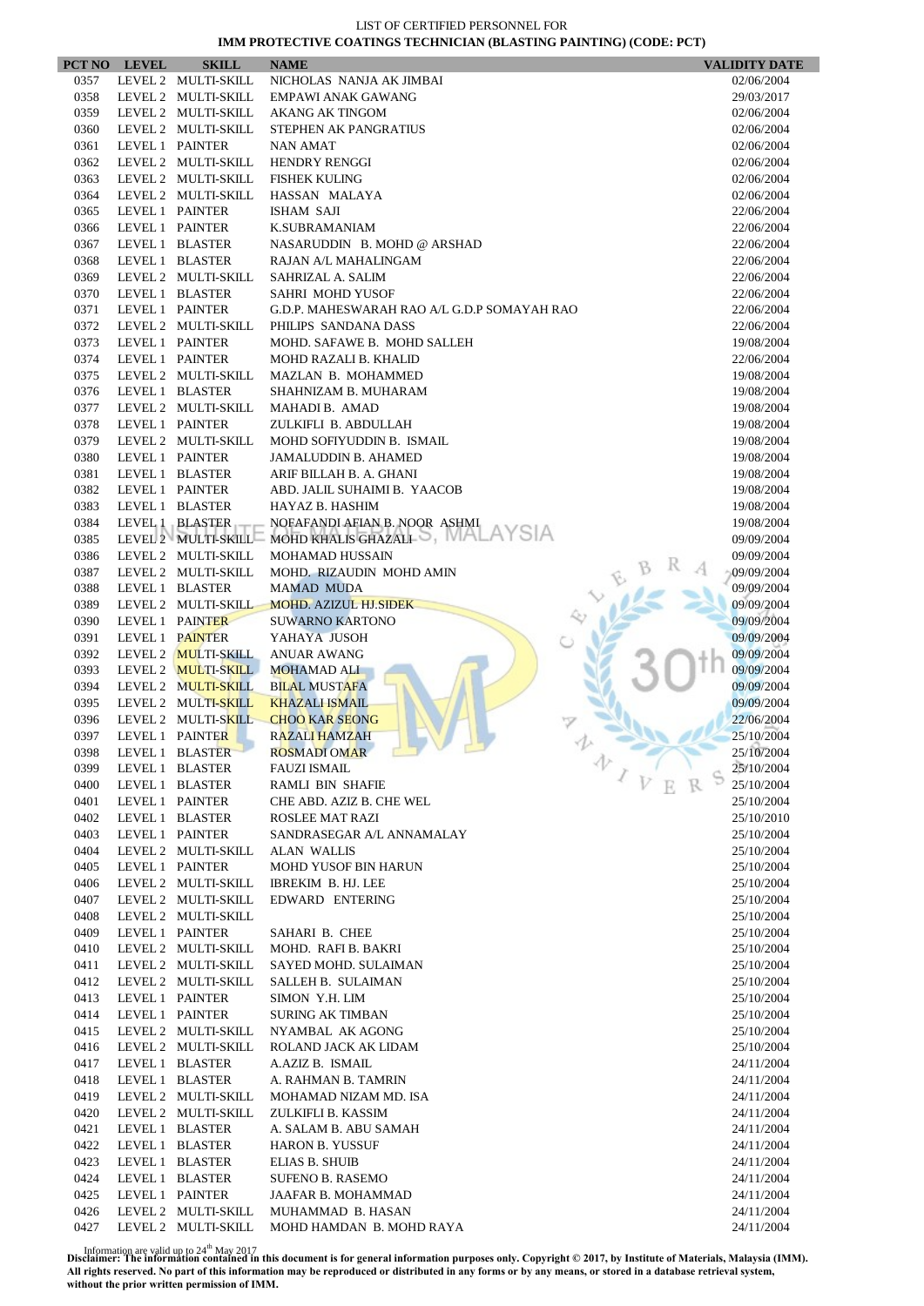|              | PCT NO LEVEL                       | <b>SKILL</b>               | <b>NAME</b>                                             | <b>VALIDITY DATE</b>     |
|--------------|------------------------------------|----------------------------|---------------------------------------------------------|--------------------------|
| 0357         |                                    | LEVEL 2 MULTI-SKILL        | NICHOLAS NANJA AK JIMBAI                                | 02/06/2004               |
| 0358         |                                    | LEVEL 2 MULTI-SKILL        | EMPAWI ANAK GAWANG                                      | 29/03/2017               |
| 0359         |                                    | LEVEL 2 MULTI-SKILL        | <b>AKANG AK TINGOM</b>                                  | 02/06/2004               |
| 0360         |                                    | LEVEL 2 MULTI-SKILL        | STEPHEN AK PANGRATIUS                                   | 02/06/2004               |
| 0361         | LEVEL 1 PAINTER                    |                            | NAN AMAT                                                | 02/06/2004               |
| 0362         |                                    | LEVEL 2 MULTI-SKILL        | <b>HENDRY RENGGI</b>                                    | 02/06/2004               |
| 0363         |                                    | LEVEL 2 MULTI-SKILL        | <b>FISHEK KULING</b>                                    | 02/06/2004               |
| 0364<br>0365 | LEVEL 1 PAINTER                    | LEVEL 2 MULTI-SKILL        | HASSAN MALAYA<br><b>ISHAM SAJI</b>                      | 02/06/2004<br>22/06/2004 |
| 0366         | LEVEL 1 PAINTER                    |                            | <b>K.SUBRAMANIAM</b>                                    | 22/06/2004               |
| 0367         |                                    | LEVEL 1 BLASTER            | NASARUDDIN B. MOHD @ ARSHAD                             | 22/06/2004               |
| 0368         |                                    | LEVEL 1 BLASTER            | RAJAN A/L MAHALINGAM                                    | 22/06/2004               |
| 0369         |                                    | LEVEL 2 MULTI-SKILL        | SAHRIZAL A. SALIM                                       | 22/06/2004               |
| 0370         |                                    | LEVEL 1 BLASTER            | SAHRI MOHD YUSOF                                        | 22/06/2004               |
| 0371         | LEVEL 1 PAINTER                    |                            | G.D.P. MAHESWARAH RAO A/L G.D.P SOMAYAH RAO             | 22/06/2004               |
| 0372         |                                    | LEVEL 2 MULTI-SKILL        | PHILIPS SANDANA DASS                                    | 22/06/2004               |
| 0373         | LEVEL 1 PAINTER                    |                            | MOHD. SAFAWE B. MOHD SALLEH                             | 19/08/2004               |
| 0374         | LEVEL 1 PAINTER                    |                            | <b>MOHD RAZALI B. KHALID</b>                            | 22/06/2004               |
| 0375         |                                    | LEVEL 2 MULTI-SKILL        | MAZLAN B. MOHAMMED                                      | 19/08/2004               |
| 0376         |                                    | LEVEL 1 BLASTER            | SHAHNIZAM B. MUHARAM                                    | 19/08/2004               |
| 0377         |                                    | LEVEL 2 MULTI-SKILL        | MAHADI B. AMAD                                          | 19/08/2004               |
| 0378         | LEVEL 1 PAINTER                    |                            | ZULKIFLI B. ABDULLAH                                    | 19/08/2004               |
| 0379         |                                    | LEVEL 2 MULTI-SKILL        | MOHD SOFIYUDDIN B. ISMAIL                               | 19/08/2004               |
| 0380         | LEVEL 1 PAINTER                    |                            | <b>JAMALUDDIN B. AHAMED</b>                             | 19/08/2004               |
| 0381<br>0382 | LEVEL 1 PAINTER                    | LEVEL 1 BLASTER            | ARIF BILLAH B. A. GHANI<br>ABD. JALIL SUHAIMI B. YAACOB | 19/08/2004<br>19/08/2004 |
| 0383         |                                    | LEVEL 1 BLASTER            | HAYAZ B. HASHIM                                         | 19/08/2004               |
| 0384         |                                    | LEVEL 1 BLASTER            | NOFAFANDI AFIAN B. NOOR ASHMI                           | 19/08/2004               |
| 0385         |                                    |                            | LEVEL 2 MULTI-SKILL MOHD KHALIS GHAZALI .               | 09/09/2004               |
| 0386         |                                    | LEVEL 2 MULTI-SKILL        | <b>MOHAMAD HUSSAIN</b>                                  | 09/09/2004               |
| 0387         |                                    | LEVEL 2 MULTI-SKILL        | MOHD. RIZAUDIN MOHD AMIN                                | 09/09/2004               |
| 0388         |                                    | LEVEL 1 BLASTER            | <b>MAMAD MUDA</b>                                       | 09/09/2004               |
| 0389         |                                    | LEVEL 2 MULTI-SKILL        | <b>MOHD. AZIZUL HJ.SIDEK</b>                            | 09/09/2004               |
| 0390         |                                    | LEVEL 1 PAINTER            | <b>SUWARNO KARTONO</b>                                  | 09/09/2004               |
| 0391         | LEVEL 1 PAINTER                    |                            | YAHAYA JUSOH                                            | 09/09/2004               |
| 0392         |                                    | LEVEL 2 <b>MULTI-SKILL</b> | <b>ANUAR AWANG</b>                                      | 09/09/2004               |
| 0393         |                                    | LEVEL 2 MULTI-SKILL        | <b>MOHAMAD ALI</b>                                      | 09/09/2004               |
| 0394         |                                    | LEVEL 2 MULTI-SKILL        | <b>BILAL MUSTAFA</b>                                    | 09/09/2004               |
| 0395         |                                    | LEVEL 2 MULTI-SKILL        | <b>KHAZALI ISMAIL</b>                                   | 09/09/2004               |
| 0396         |                                    | LEVEL 2 MULTI-SKILL        | <b>CHOO KAR SEONG</b>                                   | 22/06/2004               |
| 0397<br>0398 | LEVEL 1 PAINTER                    | LEVEL 1 BLASTER            | RAZALI HAMZAH<br><b>ROSMADI OMAR</b>                    | 25/10/2004<br>25/10/2004 |
| 0399         |                                    | LEVEL 1 BLASTER            | 办<br><b>FAUZI ISMAIL</b>                                | 25/10/2004               |
| 0400         |                                    | LEVEL 1 BLASTER            | RAMLI BIN SHAFIE                                        | 25/10/2004               |
| 0401         |                                    | LEVEL 1 PAINTER            | CHE ABD. AZIZ B. CHE WEL                                | 25/10/2004               |
| 0402         |                                    | LEVEL 1 BLASTER            | ROSLEE MAT RAZI                                         | 25/10/2010               |
| 0403         | LEVEL 1 PAINTER                    |                            | SANDRASEGAR A/L ANNAMALAY                               | 25/10/2004               |
| 0404         |                                    | LEVEL 2 MULTI-SKILL        | <b>ALAN WALLIS</b>                                      | 25/10/2004               |
| 0405         | LEVEL 1 PAINTER                    |                            | <b>MOHD YUSOF BIN HARUN</b>                             | 25/10/2004               |
| 0406         |                                    | LEVEL 2 MULTI-SKILL        | IBREKIM B. HJ. LEE                                      | 25/10/2004               |
| 0407         |                                    | LEVEL 2 MULTI-SKILL        | EDWARD ENTERING                                         | 25/10/2004               |
| 0408         |                                    | LEVEL 2 MULTI-SKILL        |                                                         | 25/10/2004               |
| 0409         | LEVEL 1 PAINTER                    |                            | SAHARI B. CHEE                                          | 25/10/2004               |
| 0410         |                                    | LEVEL 2 MULTI-SKILL        | MOHD. RAFI B. BAKRI                                     | 25/10/2004               |
| 0411         |                                    | LEVEL 2 MULTI-SKILL        | SAYED MOHD. SULAIMAN                                    | 25/10/2004               |
| 0412         |                                    | LEVEL 2 MULTI-SKILL        | SALLEH B. SULAIMAN                                      | 25/10/2004               |
| 0413<br>0414 | LEVEL 1 PAINTER<br>LEVEL 1 PAINTER |                            | SIMON Y.H. LIM<br><b>SURING AK TIMBAN</b>               | 25/10/2004               |
| 0415         |                                    | LEVEL 2 MULTI-SKILL        | NYAMBAL AK AGONG                                        | 25/10/2004<br>25/10/2004 |
| 0416         |                                    | LEVEL 2 MULTI-SKILL        | ROLAND JACK AK LIDAM                                    | 25/10/2004               |
| 0417         |                                    | LEVEL 1 BLASTER            | A.AZIZ B. ISMAIL                                        | 24/11/2004               |
| 0418         |                                    | LEVEL 1 BLASTER            | A. RAHMAN B. TAMRIN                                     | 24/11/2004               |
| 0419         |                                    | LEVEL 2 MULTI-SKILL        | MOHAMAD NIZAM MD. ISA                                   | 24/11/2004               |
| 0420         |                                    | LEVEL 2 MULTI-SKILL        | ZULKIFLI B. KASSIM                                      | 24/11/2004               |
| 0421         |                                    | LEVEL 1 BLASTER            | A. SALAM B. ABU SAMAH                                   | 24/11/2004               |
| 0422         |                                    | LEVEL 1 BLASTER            | <b>HARON B. YUSSUF</b>                                  | 24/11/2004               |
| 0423         |                                    | LEVEL 1 BLASTER            | <b>ELIAS B. SHUIB</b>                                   | 24/11/2004               |
| 0424         |                                    | LEVEL 1 BLASTER            | <b>SUFENO B. RASEMO</b>                                 | 24/11/2004               |
| 0425         |                                    | LEVEL 1 PAINTER            | JAAFAR B. MOHAMMAD                                      | 24/11/2004               |
| 0426         |                                    | LEVEL 2 MULTI-SKILL        | MUHAMMAD B. HASAN                                       | 24/11/2004               |
| 0427         |                                    | LEVEL 2 MULTI-SKILL        | MOHD HAMDAN B. MOHD RAYA                                | 24/11/2004               |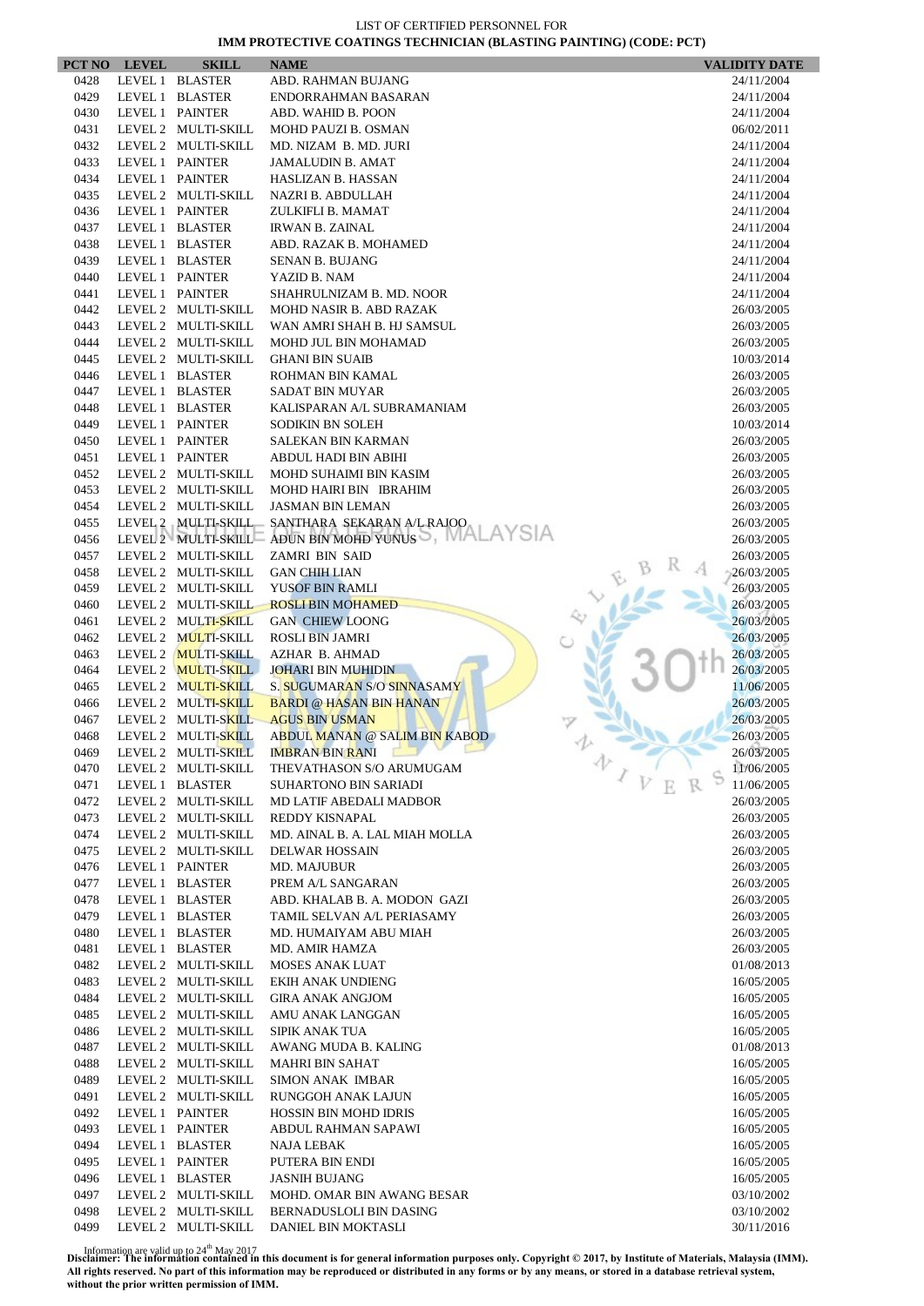|              | PCT NO LEVEL | <b>SKILL</b>                       | <b>NAME</b>                                                | <b>VALIDITY DATE</b> |
|--------------|--------------|------------------------------------|------------------------------------------------------------|----------------------|
| 0428         |              | LEVEL 1 BLASTER                    | ABD. RAHMAN BUJANG                                         | 24/11/2004           |
| 0429         |              | LEVEL 1 BLASTER                    | ENDORRAHMAN BASARAN                                        | 24/11/2004           |
| 0430         |              | LEVEL 1 PAINTER                    | ABD. WAHID B. POON                                         | 24/11/2004           |
| 0431         |              | LEVEL 2 MULTI-SKILL                | <b>MOHD PAUZI B. OSMAN</b>                                 | 06/02/2011           |
| 0432         |              | LEVEL 2 MULTI-SKILL                | MD. NIZAM B. MD. JURI                                      | 24/11/2004           |
| 0433         |              | LEVEL 1 PAINTER                    | <b>JAMALUDIN B. AMAT</b>                                   | 24/11/2004           |
| 0434         |              | LEVEL 1 PAINTER                    | HASLIZAN B. HASSAN                                         | 24/11/2004           |
| 0435         |              | LEVEL 2 MULTI-SKILL                | NAZRI B. ABDULLAH                                          | 24/11/2004           |
| 0436         |              | LEVEL 1 PAINTER                    | ZULKIFLI B. MAMAT                                          | 24/11/2004           |
| 0437         |              | LEVEL 1 BLASTER                    | <b>IRWAN B. ZAINAL</b>                                     | 24/11/2004           |
| 0438         |              | LEVEL 1 BLASTER                    | ABD. RAZAK B. MOHAMED                                      | 24/11/2004           |
| 0439         |              | LEVEL 1 BLASTER                    | <b>SENAN B. BUJANG</b>                                     | 24/11/2004           |
| 0440         |              | LEVEL 1 PAINTER                    | YAZID B. NAM                                               | 24/11/2004           |
| 0441         |              | LEVEL 1 PAINTER                    | SHAHRULNIZAM B. MD. NOOR                                   | 24/11/2004           |
| 0442         |              | LEVEL 2 MULTI-SKILL                | MOHD NASIR B. ABD RAZAK                                    | 26/03/2005           |
| 0443         |              | LEVEL 2 MULTI-SKILL                | WAN AMRI SHAH B. HJ SAMSUL                                 | 26/03/2005           |
| 0444         |              | LEVEL 2 MULTI-SKILL                | MOHD JUL BIN MOHAMAD                                       | 26/03/2005           |
| 0445         |              | LEVEL 2 MULTI-SKILL                | <b>GHANI BIN SUAIB</b>                                     | 10/03/2014           |
| 0446         |              | LEVEL 1 BLASTER                    | ROHMAN BIN KAMAL                                           | 26/03/2005           |
| 0447         |              | LEVEL 1 BLASTER                    | <b>SADAT BIN MUYAR</b>                                     | 26/03/2005           |
| 0448         |              | LEVEL 1 BLASTER                    | KALISPARAN A/L SUBRAMANIAM                                 | 26/03/2005           |
| 0449         |              | LEVEL 1 PAINTER                    | <b>SODIKIN BN SOLEH</b>                                    | 10/03/2014           |
| 0450         |              | LEVEL 1 PAINTER                    | SALEKAN BIN KARMAN                                         | 26/03/2005           |
| 0451         |              | LEVEL 1 PAINTER                    | ABDUL HADI BIN ABIHI                                       | 26/03/2005           |
| 0452         |              | LEVEL 2 MULTI-SKILL                | MOHD SUHAIMI BIN KASIM                                     | 26/03/2005           |
| 0453         |              | LEVEL 2 MULTI-SKILL                | MOHD HAIRI BIN IBRAHIM                                     | 26/03/2005           |
| 0454         |              | LEVEL 2 MULTI-SKILL                | <b>JASMAN BIN LEMAN</b>                                    | 26/03/2005           |
| 0455         |              | LEVEL 2 MULTI-SKILL                | SANTHARA SEKARAN A/L RAJOO                                 | 26/03/2005           |
| 0456         |              |                                    | LEVEL 2 MULTI-SKILL ADUN BIN MOHD YUNUS                    | 26/03/2005           |
| 0457         |              | LEVEL 2 MULTI-SKILL                | ZAMRI BIN SAID                                             | 26/03/2005           |
| 0458         |              | LEVEL 2 MULTI-SKILL                | <b>GAN CHIH LIAN</b>                                       | 26/03/2005           |
| 0459         |              | LEVEL 2 MULTI-SKILL                | YUSOF BIN RAMLI                                            | 26/03/2005           |
| 0460         |              | LEVEL 2 MULTI-SKILL                | <b>ROSLI BIN MOHAMED</b>                                   | 26/03/2005           |
| 0461         |              | LEVEL 2 MULTI-SKILL                | <b>GAN CHIEW LOONG</b>                                     | 26/03/2005           |
| 0462         |              | LEVEL 2 MULTI-SKILL                | <b>ROSLI BIN JAMRI</b>                                     | 26/03/2005           |
| 0463         |              | LEVEL 2 MULTI-SKILL                | AZHAR B. AHMAD                                             | 26/03/2005           |
| 0464         |              | LEVEL 2 MULTI-SKILL                | <b>JOHARI BIN MUHIDIN</b>                                  | 26/03/2005           |
| 0465         |              | LEVEL 2 MULTI-SKILL                | S. SUGUMARAN S/O SINNASAMY                                 | 11/06/2005           |
| 0466         |              | LEVEL 2 MULTI-SKILL                | <b>BARDI @ HASAN BIN HANAN</b>                             | 26/03/2005           |
| 0467         |              | LEVEL 2 MULTI-SKILL                | <b>AGUS BIN USMAN</b>                                      | 26/03/2005           |
| 0468         |              | LEVEL 2 MULTI-SKILL                | ABDUL MANAN @ SALIM BIN KABOD                              | 26/03/2005           |
| 0469         |              | LEVEL 2 MULTI-SKILL                | <b>IMBRAN BIN RANI</b>                                     | 26/03/2005           |
| 0470         |              | LEVEL 2 MULTI-SKILL                | <b>College Property</b><br>THEVATHASON S/O ARUMUGAM        | v<br>11/06/2005      |
| 0471         |              | LEVEL 1 BLASTER                    | <b>SUHARTONO BIN SARIADI</b>                               | 11/06/2005           |
| 0472         |              | LEVEL 2 MULTI-SKILL                | MD LATIF ABEDALI MADBOR                                    | 26/03/2005           |
| 0473         |              | LEVEL 2 MULTI-SKILL                | REDDY KISNAPAL                                             |                      |
| 0474         |              | LEVEL 2 MULTI-SKILL                | MD. AINAL B. A. LAL MIAH MOLLA                             | 26/03/2005           |
| 0475         |              | LEVEL 2 MULTI-SKILL                |                                                            | 26/03/2005           |
|              |              |                                    | <b>DELWAR HOSSAIN</b>                                      | 26/03/2005           |
| 0476<br>0477 |              | LEVEL 1 PAINTER<br>LEVEL 1 BLASTER | MD. MAJUBUR<br>PREM A/L SANGARAN                           | 26/03/2005           |
| 0478         |              | LEVEL 1 BLASTER                    |                                                            | 26/03/2005           |
| 0479         |              | LEVEL 1 BLASTER                    | ABD. KHALAB B. A. MODON GAZI<br>TAMIL SELVAN A/L PERIASAMY | 26/03/2005           |
| 0480         |              | LEVEL 1 BLASTER                    |                                                            | 26/03/2005           |
|              |              |                                    | MD. HUMAIYAM ABU MIAH                                      | 26/03/2005           |
| 0481         |              | LEVEL 1 BLASTER                    | MD. AMIR HAMZA                                             | 26/03/2005           |
| 0482         |              | LEVEL 2 MULTI-SKILL                | <b>MOSES ANAK LUAT</b>                                     | 01/08/2013           |
| 0483         |              | LEVEL 2 MULTI-SKILL                | EKIH ANAK UNDIENG                                          | 16/05/2005           |
| 0484         |              | LEVEL 2 MULTI-SKILL                | <b>GIRA ANAK ANGJOM</b>                                    | 16/05/2005           |
| 0485         |              | LEVEL 2 MULTI-SKILL                | AMU ANAK LANGGAN                                           | 16/05/2005           |
| 0486         |              | LEVEL 2 MULTI-SKILL                | SIPIK ANAK TUA                                             | 16/05/2005           |
| 0487         |              | LEVEL 2 MULTI-SKILL                | AWANG MUDA B. KALING                                       | 01/08/2013           |
| 0488         |              | LEVEL 2 MULTI-SKILL                | <b>MAHRI BIN SAHAT</b>                                     | 16/05/2005           |
| 0489         |              | LEVEL 2 MULTI-SKILL                | <b>SIMON ANAK IMBAR</b>                                    | 16/05/2005           |
| 0491         |              | LEVEL 2 MULTI-SKILL                | RUNGGOH ANAK LAJUN                                         | 16/05/2005           |
| 0492         |              | LEVEL 1 PAINTER                    | HOSSIN BIN MOHD IDRIS                                      | 16/05/2005           |
| 0493         |              | LEVEL 1 PAINTER                    | ABDUL RAHMAN SAPAWI                                        | 16/05/2005           |
| 0494         |              | LEVEL 1 BLASTER                    | NAJA LEBAK                                                 | 16/05/2005           |
| 0495         |              | LEVEL 1 PAINTER                    | PUTERA BIN ENDI                                            | 16/05/2005           |
| 0496         |              | LEVEL 1 BLASTER                    | <b>JASNIH BUJANG</b>                                       | 16/05/2005           |
| 0497         |              | LEVEL 2 MULTI-SKILL                | MOHD. OMAR BIN AWANG BESAR                                 | 03/10/2002           |
| 0498         |              | LEVEL 2 MULTI-SKILL                | BERNADUSLOLI BIN DASING                                    | 03/10/2002           |
| 0499         |              | LEVEL 2 MULTI-SKILL                | DANIEL BIN MOKTASLI                                        | 30/11/2016           |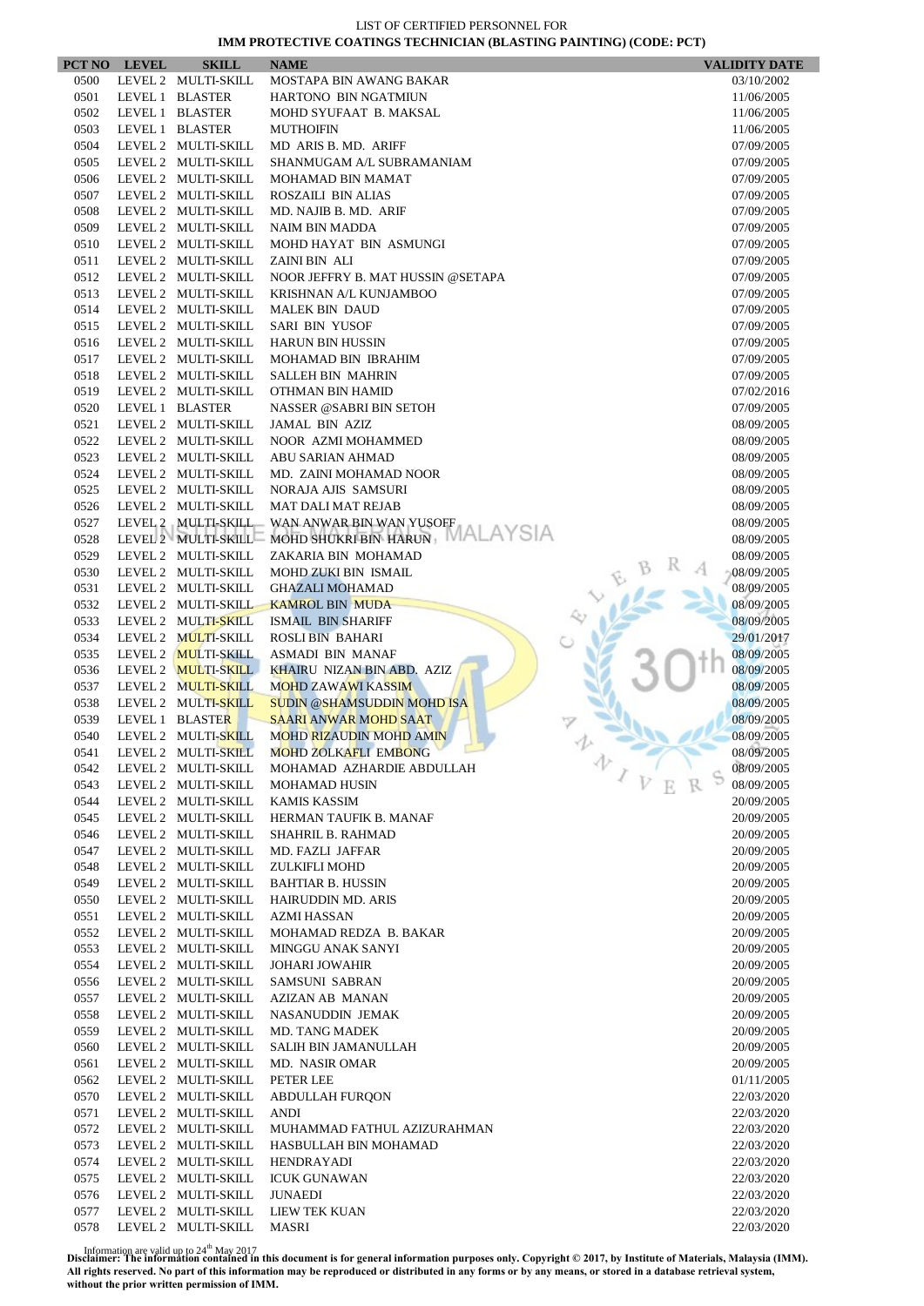| PCT NO       | <b>LEVEL</b> | <b>SKILL</b>                               | <b>NAME</b>                                                    | <b>VALIDITY DATE</b>                                   |
|--------------|--------------|--------------------------------------------|----------------------------------------------------------------|--------------------------------------------------------|
| 0500         |              | LEVEL 2 MULTI-SKILL                        | MOSTAPA BIN AWANG BAKAR                                        | 03/10/2002                                             |
| 0501         |              | LEVEL 1 BLASTER                            | HARTONO BIN NGATMIUN                                           | 11/06/2005                                             |
| 0502         |              | LEVEL 1 BLASTER                            | MOHD SYUFAAT B. MAKSAL                                         | 11/06/2005                                             |
| 0503         |              | LEVEL 1 BLASTER                            | <b>MUTHOIFIN</b>                                               | 11/06/2005                                             |
| 0504         |              | LEVEL 2 MULTI-SKILL                        | MD ARIS B. MD. ARIFF                                           | 07/09/2005                                             |
| 0505         |              | LEVEL 2 MULTI-SKILL                        | SHANMUGAM A/L SUBRAMANIAM                                      | 07/09/2005                                             |
| 0506<br>0507 |              | LEVEL 2 MULTI-SKILL<br>LEVEL 2 MULTI-SKILL | MOHAMAD BIN MAMAT<br>ROSZAILI BIN ALIAS                        | 07/09/2005<br>07/09/2005                               |
| 0508         |              | LEVEL 2 MULTI-SKILL                        | MD. NAJIB B. MD. ARIF                                          | 07/09/2005                                             |
| 0509         |              | LEVEL 2 MULTI-SKILL                        | <b>NAIM BIN MADDA</b>                                          | 07/09/2005                                             |
| 0510         |              | LEVEL 2 MULTI-SKILL                        | MOHD HAYAT BIN ASMUNGI                                         | 07/09/2005                                             |
| 0511         |              | LEVEL 2 MULTI-SKILL                        | ZAINI BIN ALI                                                  | 07/09/2005                                             |
| 0512         |              | LEVEL 2 MULTI-SKILL                        | NOOR JEFFRY B. MAT HUSSIN @SETAPA                              | 07/09/2005                                             |
| 0513         |              | LEVEL 2 MULTI-SKILL                        | KRISHNAN A/L KUNJAMBOO                                         | 07/09/2005                                             |
| 0514         |              | LEVEL 2 MULTI-SKILL                        | <b>MALEK BIN DAUD</b>                                          | 07/09/2005                                             |
| 0515         |              | LEVEL 2 MULTI-SKILL                        | SARI BIN YUSOF                                                 | 07/09/2005                                             |
| 0516         |              | LEVEL 2 MULTI-SKILL                        | <b>HARUN BIN HUSSIN</b>                                        | 07/09/2005                                             |
| 0517         |              | LEVEL 2 MULTI-SKILL                        | MOHAMAD BIN IBRAHIM                                            | 07/09/2005                                             |
| 0518         |              | LEVEL 2 MULTI-SKILL                        | <b>SALLEH BIN MAHRIN</b>                                       | 07/09/2005                                             |
| 0519         |              | LEVEL 2 MULTI-SKILL                        | OTHMAN BIN HAMID                                               | 07/02/2016                                             |
| 0520         |              | LEVEL 1 BLASTER                            | NASSER @SABRI BIN SETOH                                        | 07/09/2005                                             |
| 0521         |              | LEVEL 2 MULTI-SKILL                        | JAMAL BIN AZIZ                                                 | 08/09/2005                                             |
| 0522         |              | LEVEL 2 MULTI-SKILL                        | NOOR AZMI MOHAMMED                                             | 08/09/2005                                             |
| 0523<br>0524 |              | LEVEL 2 MULTI-SKILL<br>LEVEL 2 MULTI-SKILL | <b>ABU SARIAN AHMAD</b><br>MD. ZAINI MOHAMAD NOOR              | 08/09/2005<br>08/09/2005                               |
| 0525         |              | LEVEL 2 MULTI-SKILL                        | NORAJA AJIS SAMSURI                                            | 08/09/2005                                             |
| 0526         |              | LEVEL 2 MULTI-SKILL                        | <b>MAT DALI MAT REJAB</b>                                      | 08/09/2005                                             |
| 0527         |              | LEVEL 2 MULTI-SKILL                        | WAN ANWAR BIN WAN YUSOFF                                       | 08/09/2005                                             |
| 0528         |              | LEVEL 2 MULTI-SKILL                        | <b>MALAYSIA</b><br>MOHD SHUKRI BIN HARUN                       | 08/09/2005                                             |
| 0529         |              | LEVEL 2 MULTI-SKILL                        | ZAKARIA BIN MOHAMAD                                            | 08/09/2005                                             |
| 0530         |              | LEVEL 2 MULTI-SKILL                        | MOHD ZUKI BIN ISMAIL                                           | 08/09/2005                                             |
| 0531         |              | LEVEL 2 MULTI-SKILL                        | <b>GHAZALI MOHAMAD</b>                                         | 08/09/2005                                             |
| 0532         |              | LEVEL 2 MULTI-SKILL                        | <b>KAMROL BIN MUDA</b>                                         | 08/09/2005                                             |
| 0533         |              | LEVEL 2 MULTI-SKILL                        | <b>ISMAIL BIN SHARIFF</b>                                      | 08/09/2005                                             |
| 0534         |              | LEVEL 2 MULTI-SKILL                        | <b>ROSLI BIN BAHARI</b>                                        | 29/01/2017                                             |
| 0535         |              | LEVEL 2 MULTI-SKILL                        | ASMADI BIN MANAF                                               | 08/09/2005                                             |
| 0536         |              | LEVEL 2 MULTI-SKILL                        | <b>KHAIRU NIZAN BIN ABD. AZIZ</b>                              | 08/09/2005                                             |
| 0537         |              | LEVEL 2 MULTI-SKILL                        | <b>MOHD ZAWAWI KASSIM</b>                                      | 08/09/2005                                             |
| 0538         |              | LEVEL 2 MULTI-SKILL                        | <b>SUDIN @SHAMSUDDIN MOHD ISA</b>                              | 08/09/2005                                             |
| 0539<br>0540 |              | LEVEL 1 BLASTER<br>LEVEL 2 MULTI-SKILL     | <b>SAARI ANWAR MOHD SAAT</b><br><b>MOHD RIZAUDIN MOHD AMIN</b> | 08/09/2005<br>08/09/2005                               |
| 0541         |              | LEVEL 2 MULTI-SKILL                        | <b>MOHD ZOLKAFLI EMBONG</b>                                    | 08/09/2005                                             |
| 0542         |              | LEVEL 2 MULTI-SKILL                        | MOHAMAD AZHARDIE ABDULLAH                                      | 办<br>08/09/2005                                        |
| 0543         |              | LEVEL 2 MULTI-SKILL                        | MOHAMAD HUSIN                                                  | $\mathcal{I}$ $\boldsymbol{\mathcal{V}}$<br>08/09/2005 |
| 0544         |              | LEVEL 2 MULTI-SKILL                        | <b>KAMIS KASSIM</b>                                            | 20/09/2005                                             |
| 0545         |              | LEVEL 2 MULTI-SKILL                        | HERMAN TAUFIK B. MANAF                                         | 20/09/2005                                             |
| 0546         |              | LEVEL 2 MULTI-SKILL                        | <b>SHAHRIL B. RAHMAD</b>                                       | 20/09/2005                                             |
| 0547         |              | LEVEL 2 MULTI-SKILL                        | MD. FAZLI JAFFAR                                               | 20/09/2005                                             |
| 0548         |              | LEVEL 2 MULTI-SKILL                        | ZULKIFLI MOHD                                                  | 20/09/2005                                             |
| 0549         |              | LEVEL 2 MULTI-SKILL                        | <b>BAHTIAR B. HUSSIN</b>                                       | 20/09/2005                                             |
| 0550         |              | LEVEL 2 MULTI-SKILL                        | HAIRUDDIN MD. ARIS                                             | 20/09/2005                                             |
| 0551         |              | LEVEL 2 MULTI-SKILL                        | AZMI HASSAN                                                    | 20/09/2005                                             |
| 0552         |              | LEVEL 2 MULTI-SKILL                        | MOHAMAD REDZA B. BAKAR                                         | 20/09/2005                                             |
| 0553         |              | LEVEL 2 MULTI-SKILL                        | <b>MINGGU ANAK SANYI</b>                                       | 20/09/2005                                             |
| 0554         |              | LEVEL 2 MULTI-SKILL                        | <b>JOHARI JOWAHIR</b>                                          | 20/09/2005                                             |
| 0556         |              | LEVEL 2 MULTI-SKILL                        | SAMSUNI SABRAN                                                 | 20/09/2005                                             |
| 0557<br>0558 |              | LEVEL 2 MULTI-SKILL<br>LEVEL 2 MULTI-SKILL | AZIZAN AB MANAN<br>NASANUDDIN JEMAK                            | 20/09/2005<br>20/09/2005                               |
| 0559         |              | LEVEL 2 MULTI-SKILL                        | <b>MD. TANG MADEK</b>                                          | 20/09/2005                                             |
| 0560         |              | LEVEL 2 MULTI-SKILL                        | SALIH BIN JAMANULLAH                                           | 20/09/2005                                             |
| 0561         |              | LEVEL 2 MULTI-SKILL                        | MD. NASIR OMAR                                                 | 20/09/2005                                             |
| 0562         |              | LEVEL 2 MULTI-SKILL                        | PETER LEE                                                      | 01/11/2005                                             |
| 0570         |              | LEVEL 2 MULTI-SKILL                        | <b>ABDULLAH FURQON</b>                                         | 22/03/2020                                             |
| 0571         |              | LEVEL 2 MULTI-SKILL                        | ANDI                                                           | 22/03/2020                                             |
| 0572         |              | LEVEL 2 MULTI-SKILL                        | MUHAMMAD FATHUL AZIZURAHMAN                                    | 22/03/2020                                             |
| 0573         |              | LEVEL 2 MULTI-SKILL                        | HASBULLAH BIN MOHAMAD                                          | 22/03/2020                                             |
| 0574         |              | LEVEL 2 MULTI-SKILL                        | HENDRAYADI                                                     | 22/03/2020                                             |
| 0575         |              | LEVEL 2 MULTI-SKILL                        | <b>ICUK GUNAWAN</b>                                            | 22/03/2020                                             |
| 0576         |              | LEVEL 2 MULTI-SKILL                        | <b>JUNAEDI</b>                                                 | 22/03/2020                                             |
| 0577         |              | LEVEL 2 MULTI-SKILL                        | LIEW TEK KUAN                                                  | 22/03/2020                                             |
| 0578         |              | LEVEL 2 MULTI-SKILL                        | MASRI                                                          | 22/03/2020                                             |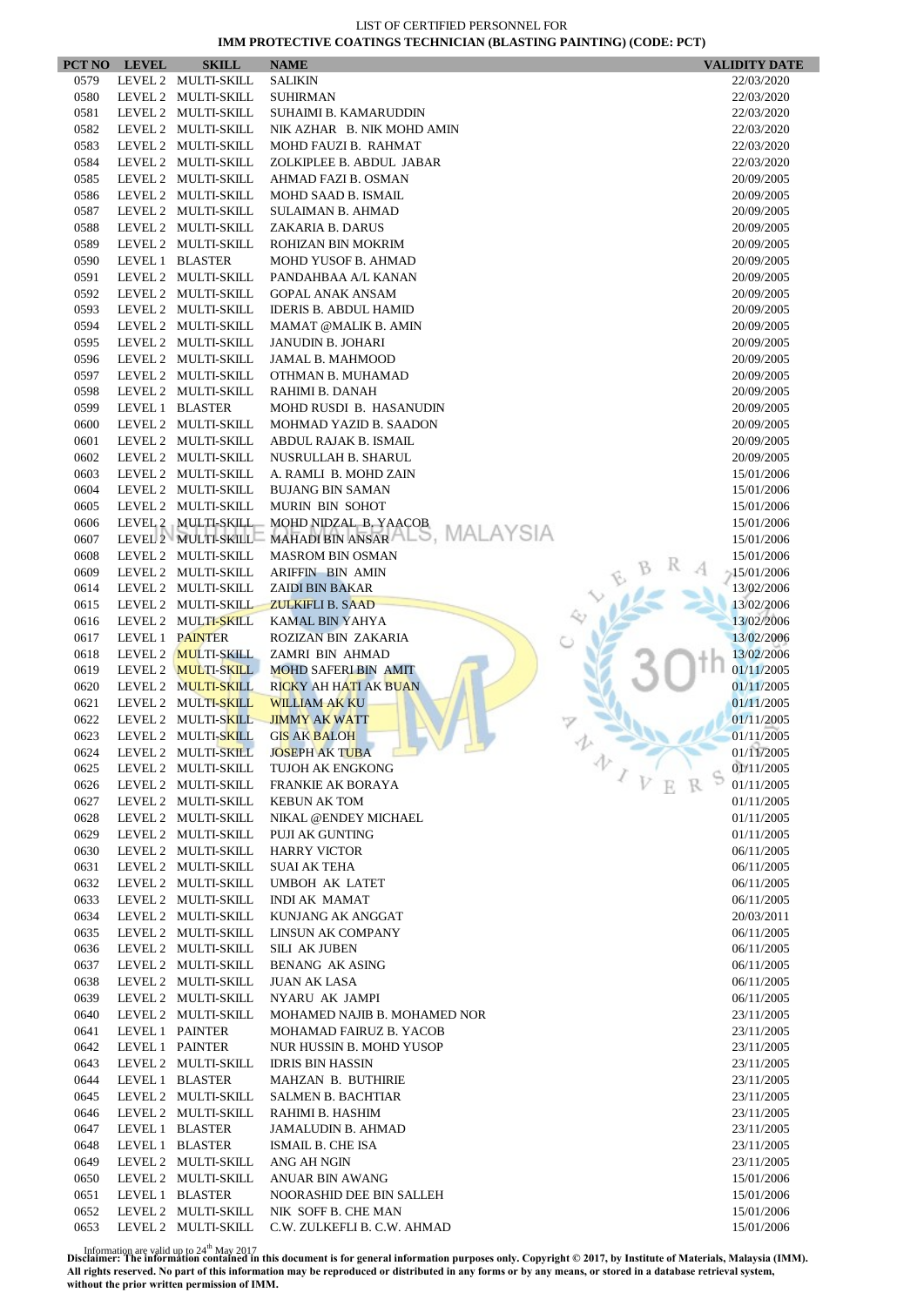|              | PCT NO LEVEL | <b>SKILL</b>                               | <b>NAME</b>                                     | <b>VALIDITY DATE</b>     |
|--------------|--------------|--------------------------------------------|-------------------------------------------------|--------------------------|
| 0579         |              | LEVEL 2 MULTI-SKILL                        | <b>SALIKIN</b>                                  | 22/03/2020               |
| 0580         |              | LEVEL 2 MULTI-SKILL                        | <b>SUHIRMAN</b>                                 | 22/03/2020               |
| 0581         |              | LEVEL 2 MULTI-SKILL                        | SUHAIMI B. KAMARUDDIN                           | 22/03/2020               |
| 0582         |              | LEVEL 2 MULTI-SKILL                        | NIK AZHAR B. NIK MOHD AMIN                      | 22/03/2020               |
| 0583         |              | LEVEL 2 MULTI-SKILL                        | MOHD FAUZI B. RAHMAT                            | 22/03/2020               |
| 0584         |              | LEVEL 2 MULTI-SKILL                        | ZOLKIPLEE B. ABDUL JABAR                        | 22/03/2020               |
| 0585         |              | LEVEL 2 MULTI-SKILL<br>LEVEL 2 MULTI-SKILL | AHMAD FAZI B. OSMAN                             | 20/09/2005               |
| 0586<br>0587 |              | LEVEL 2 MULTI-SKILL                        | MOHD SAAD B. ISMAIL<br><b>SULAIMAN B. AHMAD</b> | 20/09/2005<br>20/09/2005 |
| 0588         |              | LEVEL 2 MULTI-SKILL                        | ZAKARIA B. DARUS                                | 20/09/2005               |
| 0589         |              | LEVEL 2 MULTI-SKILL                        | ROHIZAN BIN MOKRIM                              | 20/09/2005               |
| 0590         |              | LEVEL 1 BLASTER                            | MOHD YUSOF B. AHMAD                             | 20/09/2005               |
| 0591         |              | LEVEL 2 MULTI-SKILL                        | PANDAHBAA A/L KANAN                             | 20/09/2005               |
| 0592         |              | LEVEL 2 MULTI-SKILL                        | <b>GOPAL ANAK ANSAM</b>                         | 20/09/2005               |
| 0593         |              | LEVEL 2 MULTI-SKILL                        | <b>IDERIS B. ABDUL HAMID</b>                    | 20/09/2005               |
| 0594         |              | LEVEL 2 MULTI-SKILL                        | <b>MAMAT @MALIK B. AMIN</b>                     | 20/09/2005               |
| 0595         |              | LEVEL 2 MULTI-SKILL                        | <b>JANUDIN B. JOHARI</b>                        | 20/09/2005               |
| 0596         |              | LEVEL 2 MULTI-SKILL                        | <b>JAMAL B. MAHMOOD</b>                         | 20/09/2005               |
| 0597         |              | LEVEL 2 MULTI-SKILL                        | OTHMAN B. MUHAMAD                               | 20/09/2005               |
| 0598         |              | LEVEL 2 MULTI-SKILL                        | RAHIMI B. DANAH                                 | 20/09/2005               |
| 0599         |              | LEVEL 1 BLASTER                            | MOHD RUSDI B. HASANUDIN                         | 20/09/2005               |
| 0600         |              | LEVEL 2 MULTI-SKILL                        | MOHMAD YAZID B. SAADON                          | 20/09/2005               |
| 0601         |              | LEVEL 2 MULTI-SKILL                        | ABDUL RAJAK B. ISMAIL                           | 20/09/2005               |
| 0602<br>0603 |              | LEVEL 2 MULTI-SKILL<br>LEVEL 2 MULTI-SKILL | NUSRULLAH B. SHARUL<br>A. RAMLI B. MOHD ZAIN    | 20/09/2005               |
| 0604         |              | LEVEL 2 MULTI-SKILL                        | <b>BUJANG BIN SAMAN</b>                         | 15/01/2006<br>15/01/2006 |
| 0605         |              | LEVEL 2 MULTI-SKILL                        | MURIN BIN SOHOT                                 | 15/01/2006               |
| 0606         |              | LEVEL 2 MULTI-SKILL                        | MOHD NIDZAL B. YAACOB                           | 15/01/2006               |
| 0607         |              | LEVEL 2 MULTI-SKILL                        | MAHADI BIN ANSAR ALS, MALAYSIA                  | 15/01/2006               |
| 0608         |              | LEVEL 2 MULTI-SKILL                        | <b>MASROM BIN OSMAN</b>                         | 15/01/2006               |
| 0609         |              | LEVEL 2 MULTI-SKILL                        | <b>ARIFFIN BIN AMIN</b>                         | $-15/01/2006$            |
| 0614         |              | LEVEL 2 MULTI-SKILL                        | <b>ZAIDI BIN BAKAR</b>                          | 13/02/2006               |
| 0615         |              | LEVEL 2 MULTI-SKILL                        | <b>ZULKIFLI B. SAAD</b>                         | 13/02/2006               |
| 0616         |              | LEVEL 2 MULTI-SKILL                        | KAMAL BIN YAHYA                                 | 13/02/2006               |
| 0617         |              | LEVEL 1 PAINTER                            | ROZIZAN BIN ZAKARIA                             | 13/02/2006               |
| 0618         |              | LEVEL 2 MULTI-SKILL                        | ZAMRI BIN AHMAD                                 | 13/02/2006               |
| 0619         |              | LEVEL 2 MULTI-SKILL                        | <b>MOHD SAFERI BIN AMIT</b>                     | 01/11/2005               |
| 0620         |              | LEVEL 2 MULTI-SKILL                        | RICKY AH HATI AK BUAN                           | 01/11/2005               |
| 0621         |              | LEVEL 2 MULTI-SKILL                        | <b>WILLIAM AK KU</b>                            | 01/11/2005               |
| 0622<br>0623 |              | LEVEL 2 MULTI-SKILL<br>LEVEL 2 MULTI-SKILL | <b>JIMMY AK WATT</b><br><b>GIS AK BALOH</b>     | 01/11/2005<br>01/11/2005 |
| 0624         |              | LEVEL 2 MULTI-SKILL                        | <b>JOSEPH AK TUBA</b>                           | 01/11/2005               |
| 0625         |              | LEVEL 2 MULTI-SKILL                        | 办<br>TUJOH AK ENGKONG                           | 01/11/2005               |
| 0626         |              | LEVEL 2 MULTI-SKILL                        | <b>FRANKIE AK BORAYA</b>                        | 01/11/2005               |
| 0627         |              | LEVEL 2 MULTI-SKILL                        | <b>KEBUN AK TOM</b>                             | 01/11/2005               |
| 0628         |              | LEVEL 2 MULTI-SKILL                        | NIKAL @ENDEY MICHAEL                            | 01/11/2005               |
| 0629         |              | LEVEL 2 MULTI-SKILL                        | PUJI AK GUNTING                                 | 01/11/2005               |
| 0630         |              | LEVEL 2 MULTI-SKILL                        | <b>HARRY VICTOR</b>                             | 06/11/2005               |
| 0631         |              | LEVEL 2 MULTI-SKILL                        | <b>SUAI AK TEHA</b>                             | 06/11/2005               |
| 0632         |              | LEVEL 2 MULTI-SKILL                        | <b>UMBOH AK LATET</b>                           | 06/11/2005               |
| 0633         |              | LEVEL 2 MULTI-SKILL                        | <b>INDI AK MAMAT</b>                            | 06/11/2005               |
| 0634         |              | LEVEL 2 MULTI-SKILL                        | KUNJANG AK ANGGAT                               | 20/03/2011               |
| 0635         |              | LEVEL 2 MULTI-SKILL                        | LINSUN AK COMPANY                               | 06/11/2005               |
| 0636         |              | LEVEL 2 MULTI-SKILL                        | <b>SILI AK JUBEN</b>                            | 06/11/2005               |
| 0637         |              | LEVEL 2 MULTI-SKILL                        | <b>BENANG AK ASING</b>                          | 06/11/2005               |
| 0638         |              | LEVEL 2 MULTI-SKILL                        | <b>JUAN AK LASA</b>                             | 06/11/2005               |
| 0639<br>0640 |              | LEVEL 2 MULTI-SKILL<br>LEVEL 2 MULTI-SKILL | NYARU AK JAMPI<br>MOHAMED NAJIB B. MOHAMED NOR  | 06/11/2005               |
| 0641         |              | LEVEL 1 PAINTER                            | MOHAMAD FAIRUZ B. YACOB                         | 23/11/2005<br>23/11/2005 |
| 0642         |              | LEVEL 1 PAINTER                            | NUR HUSSIN B. MOHD YUSOP                        | 23/11/2005               |
| 0643         |              | LEVEL 2 MULTI-SKILL                        | <b>IDRIS BIN HASSIN</b>                         | 23/11/2005               |
| 0644         |              | LEVEL 1 BLASTER                            | MAHZAN B. BUTHIRIE                              | 23/11/2005               |
| 0645         |              | LEVEL 2 MULTI-SKILL                        | <b>SALMEN B. BACHTIAR</b>                       | 23/11/2005               |
| 0646         |              | LEVEL 2 MULTI-SKILL                        | RAHIMI B. HASHIM                                | 23/11/2005               |
| 0647         |              | LEVEL 1 BLASTER                            | <b>JAMALUDIN B. AHMAD</b>                       | 23/11/2005               |
| 0648         |              | LEVEL 1 BLASTER                            | ISMAIL B. CHE ISA                               | 23/11/2005               |
| 0649         |              | LEVEL 2 MULTI-SKILL                        | ANG AH NGIN                                     | 23/11/2005               |
| 0650         |              | LEVEL 2 MULTI-SKILL                        | ANUAR BIN AWANG                                 | 15/01/2006               |
| 0651         |              | LEVEL 1 BLASTER                            | NOORASHID DEE BIN SALLEH                        | 15/01/2006               |
| 0652         |              | LEVEL 2 MULTI-SKILL                        | NIK SOFF B. CHE MAN                             | 15/01/2006               |
| 0653         |              | LEVEL 2 MULTI-SKILL                        | C.W. ZULKEFLI B. C.W. AHMAD                     | 15/01/2006               |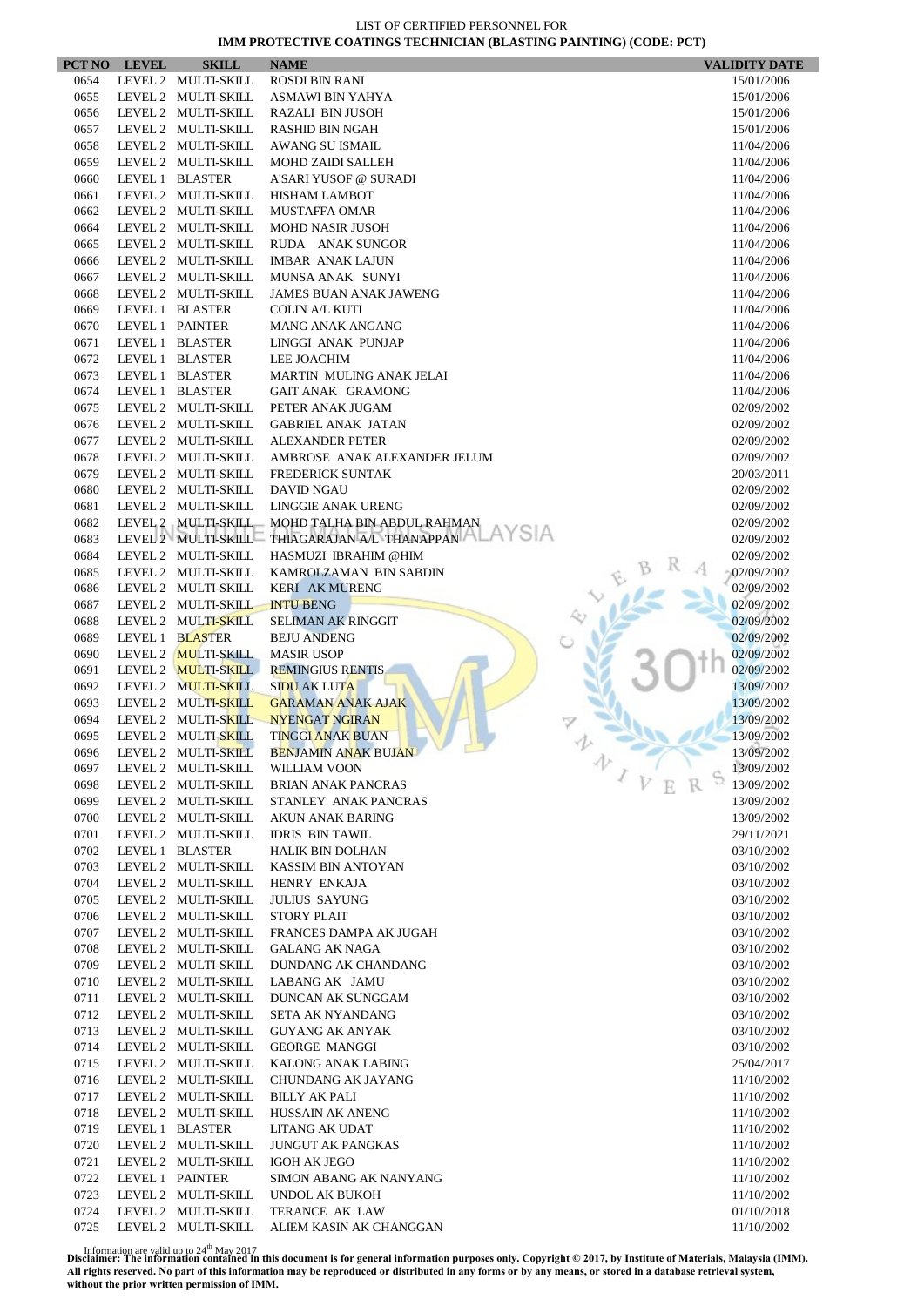|              | PCT NO LEVEL    | <b>SKILL</b>                               | <b>NAME</b>                                     | <b>VALIDITY DATE</b>     |
|--------------|-----------------|--------------------------------------------|-------------------------------------------------|--------------------------|
| 0654         |                 | LEVEL 2 MULTI-SKILL                        | <b>ROSDI BIN RANI</b>                           | 15/01/2006               |
| 0655         |                 | LEVEL 2 MULTI-SKILL                        | ASMAWI BIN YAHYA                                | 15/01/2006               |
| 0656         |                 | LEVEL 2 MULTI-SKILL                        | <b>RAZALI BIN JUSOH</b>                         | 15/01/2006               |
| 0657         |                 | LEVEL 2 MULTI-SKILL                        | RASHID BIN NGAH                                 | 15/01/2006               |
| 0658         |                 | LEVEL 2 MULTI-SKILL                        | <b>AWANG SU ISMAIL</b>                          | 11/04/2006               |
| 0659         |                 | LEVEL 2 MULTI-SKILL                        | <b>MOHD ZAIDI SALLEH</b>                        | 11/04/2006               |
| 0660         |                 | LEVEL 1 BLASTER                            | A'SARI YUSOF @ SURADI                           | 11/04/2006               |
| 0661         |                 | LEVEL 2 MULTI-SKILL                        | <b>HISHAM LAMBOT</b>                            | 11/04/2006               |
| 0662         |                 | LEVEL 2 MULTI-SKILL<br>LEVEL 2 MULTI-SKILL | <b>MUSTAFFA OMAR</b>                            | 11/04/2006               |
| 0664         |                 | LEVEL 2 MULTI-SKILL                        | <b>MOHD NASIR JUSOH</b><br>RUDA ANAK SUNGOR     | 11/04/2006<br>11/04/2006 |
| 0665         |                 | LEVEL 2 MULTI-SKILL                        | <b>IMBAR ANAK LAJUN</b>                         |                          |
| 0666<br>0667 |                 | LEVEL 2 MULTI-SKILL                        | MUNSA ANAK SUNYI                                | 11/04/2006<br>11/04/2006 |
| 0668         |                 | LEVEL 2 MULTI-SKILL                        | <b>JAMES BUAN ANAK JAWENG</b>                   | 11/04/2006               |
| 0669         |                 | LEVEL 1 BLASTER                            | <b>COLIN A/L KUTI</b>                           | 11/04/2006               |
| 0670         |                 | LEVEL 1 PAINTER                            | MANG ANAK ANGANG                                | 11/04/2006               |
| 0671         |                 | LEVEL 1 BLASTER                            | LINGGI ANAK PUNJAP                              | 11/04/2006               |
| 0672         |                 | LEVEL 1 BLASTER                            | <b>LEE JOACHIM</b>                              | 11/04/2006               |
| 0673         |                 | LEVEL 1 BLASTER                            | MARTIN MULING ANAK JELAI                        | 11/04/2006               |
| 0674         |                 | LEVEL 1 BLASTER                            | GAIT ANAK GRAMONG                               | 11/04/2006               |
| 0675         |                 | LEVEL 2 MULTI-SKILL                        | PETER ANAK JUGAM                                | 02/09/2002               |
| 0676         |                 | LEVEL 2 MULTI-SKILL                        | <b>GABRIEL ANAK JATAN</b>                       | 02/09/2002               |
| 0677         |                 | LEVEL 2 MULTI-SKILL                        | <b>ALEXANDER PETER</b>                          | 02/09/2002               |
| 0678         |                 | LEVEL 2 MULTI-SKILL                        | AMBROSE ANAK ALEXANDER JELUM                    | 02/09/2002               |
| 0679         |                 | LEVEL 2 MULTI-SKILL                        | <b>FREDERICK SUNTAK</b>                         | 20/03/2011               |
| 0680         |                 | LEVEL 2 MULTI-SKILL                        | <b>DAVID NGAU</b>                               | 02/09/2002               |
| 0681         |                 | LEVEL 2 MULTI-SKILL                        | <b>LINGGIE ANAK URENG</b>                       | 02/09/2002               |
| 0682         |                 |                                            | LEVEL 2 MULTI-SKILL MOHD TALHA BIN ABDUL RAHMAN | 02/09/2002               |
| 0683         |                 |                                            | LEVEL 2 MULTI-SKILL THIAGARAJAN A/L THANAPPAN   | 02/09/2002               |
| 0684         |                 | LEVEL 2 MULTI-SKILL                        | HASMUZI IBRAHIM @HIM                            | 02/09/2002               |
| 0685         |                 | LEVEL 2 MULTI-SKILL                        | KAMROLZAMAN BIN SABDIN                          | 02/09/2002               |
| 0686         |                 | LEVEL 2 MULTI-SKILL                        | <b>KERI AK MURENG</b>                           | 02/09/2002               |
| 0687         |                 | LEVEL 2 MULTI-SKILL                        | <b>INTU BENG</b>                                | 02/09/2002               |
| 0688         |                 | LEVEL 2 MULTI-SKILL                        | <b>SELIMAN AK RINGGIT</b>                       | 02/09/2002               |
| 0689         |                 | LEVEL 1 BLASTER                            | <b>BEJU ANDENG</b>                              | 02/09/2002               |
| 0690         |                 | LEVEL 2 MULTI-SKILL                        | <b>MASIR USOP</b>                               | 02/09/2002               |
| 0691         |                 | LEVEL 2 MULTI-SKILL                        | <b>REMINGIUS RENTIS</b>                         | 02/09/2002               |
| 0692         |                 | LEVEL 2 MULTI-SKILL                        | <b>SIDU AK LUTA</b>                             | 13/09/2002               |
| 0693         |                 | LEVEL 2 MULTI-SKILL                        | <b>GARAMAN ANAK AJAK</b>                        | 13/09/2002               |
| 0694         |                 | LEVEL 2 MULTI-SKILL                        | <b>NYENGAT NGIRAN</b>                           | 13/09/2002               |
| 0695         |                 | LEVEL 2 MULTI-SKILL                        | <b>TINGGI ANAK BUAN</b>                         | 13/09/2002               |
| 0696         |                 | LEVEL 2 MULTI-SKILL                        | <b>BENJAMIN ANAK BUJAN</b><br>办                 | 13/09/2002               |
| 0697         |                 | LEVEL 2 MULTI-SKILL                        | WILLIAM VOON                                    | 13/09/2002               |
| 0698         |                 | LEVEL 2 MULTI-SKILL                        | <b>BRIAN ANAK PANCRAS</b>                       | 13/09/2002               |
| 0699         |                 | LEVEL 2 MULTI-SKILL                        | STANLEY ANAK PANCRAS                            | 13/09/2002               |
| 0700         |                 | LEVEL 2 MULTI-SKILL                        | AKUN ANAK BARING                                | 13/09/2002               |
| 0701         |                 | LEVEL 2 MULTI-SKILL                        | <b>IDRIS BIN TAWIL</b>                          | 29/11/2021               |
| 0702         |                 | LEVEL 1 BLASTER                            | <b>HALIK BIN DOLHAN</b>                         | 03/10/2002               |
| 0703<br>0704 |                 | LEVEL 2 MULTI-SKILL<br>LEVEL 2 MULTI-SKILL | KASSIM BIN ANTOYAN<br>HENRY ENKAJA              | 03/10/2002<br>03/10/2002 |
| 0705         |                 | LEVEL 2 MULTI-SKILL                        | <b>JULIUS SAYUNG</b>                            | 03/10/2002               |
| 0706         |                 | LEVEL 2 MULTI-SKILL                        | <b>STORY PLAIT</b>                              | 03/10/2002               |
| 0707         |                 | LEVEL 2 MULTI-SKILL                        | FRANCES DAMPA AK JUGAH                          | 03/10/2002               |
| 0708         |                 | LEVEL 2 MULTI-SKILL                        | <b>GALANG AK NAGA</b>                           | 03/10/2002               |
| 0709         |                 | LEVEL 2 MULTI-SKILL                        | DUNDANG AK CHANDANG                             | 03/10/2002               |
| 0710         |                 | LEVEL 2 MULTI-SKILL                        | LABANG AK JAMU                                  | 03/10/2002               |
| 0711         |                 | LEVEL 2 MULTI-SKILL                        | DUNCAN AK SUNGGAM                               | 03/10/2002               |
| 0712         |                 | LEVEL 2 MULTI-SKILL                        | SETA AK NYANDANG                                | 03/10/2002               |
| 0713         |                 | LEVEL 2 MULTI-SKILL                        | <b>GUYANG AK ANYAK</b>                          | 03/10/2002               |
| 0714         |                 | LEVEL 2 MULTI-SKILL                        | <b>GEORGE MANGGI</b>                            | 03/10/2002               |
| 0715         |                 | LEVEL 2 MULTI-SKILL                        | KALONG ANAK LABING                              | 25/04/2017               |
| 0716         |                 | LEVEL 2 MULTI-SKILL                        | CHUNDANG AK JAYANG                              | 11/10/2002               |
| 0717         |                 | LEVEL 2 MULTI-SKILL                        | <b>BILLY AK PALI</b>                            | 11/10/2002               |
| 0718         |                 | LEVEL 2 MULTI-SKILL                        | HUSSAIN AK ANENG                                | 11/10/2002               |
| 0719         |                 | LEVEL 1 BLASTER                            | LITANG AK UDAT                                  | 11/10/2002               |
| 0720         |                 | LEVEL 2 MULTI-SKILL                        | <b>JUNGUT AK PANGKAS</b>                        | 11/10/2002               |
| 0721         |                 | LEVEL 2 MULTI-SKILL                        | <b>IGOH AK JEGO</b>                             | 11/10/2002               |
| 0722         | LEVEL 1 PAINTER |                                            | SIMON ABANG AK NANYANG                          | 11/10/2002               |
| 0723         |                 | LEVEL 2 MULTI-SKILL                        | UNDOL AK BUKOH                                  | 11/10/2002               |
| 0724         |                 | LEVEL 2 MULTI-SKILL                        | TERANCE AK LAW                                  | 01/10/2018               |
| 0725         |                 | LEVEL 2 MULTI-SKILL                        | ALIEM KASIN AK CHANGGAN                         | 11/10/2002               |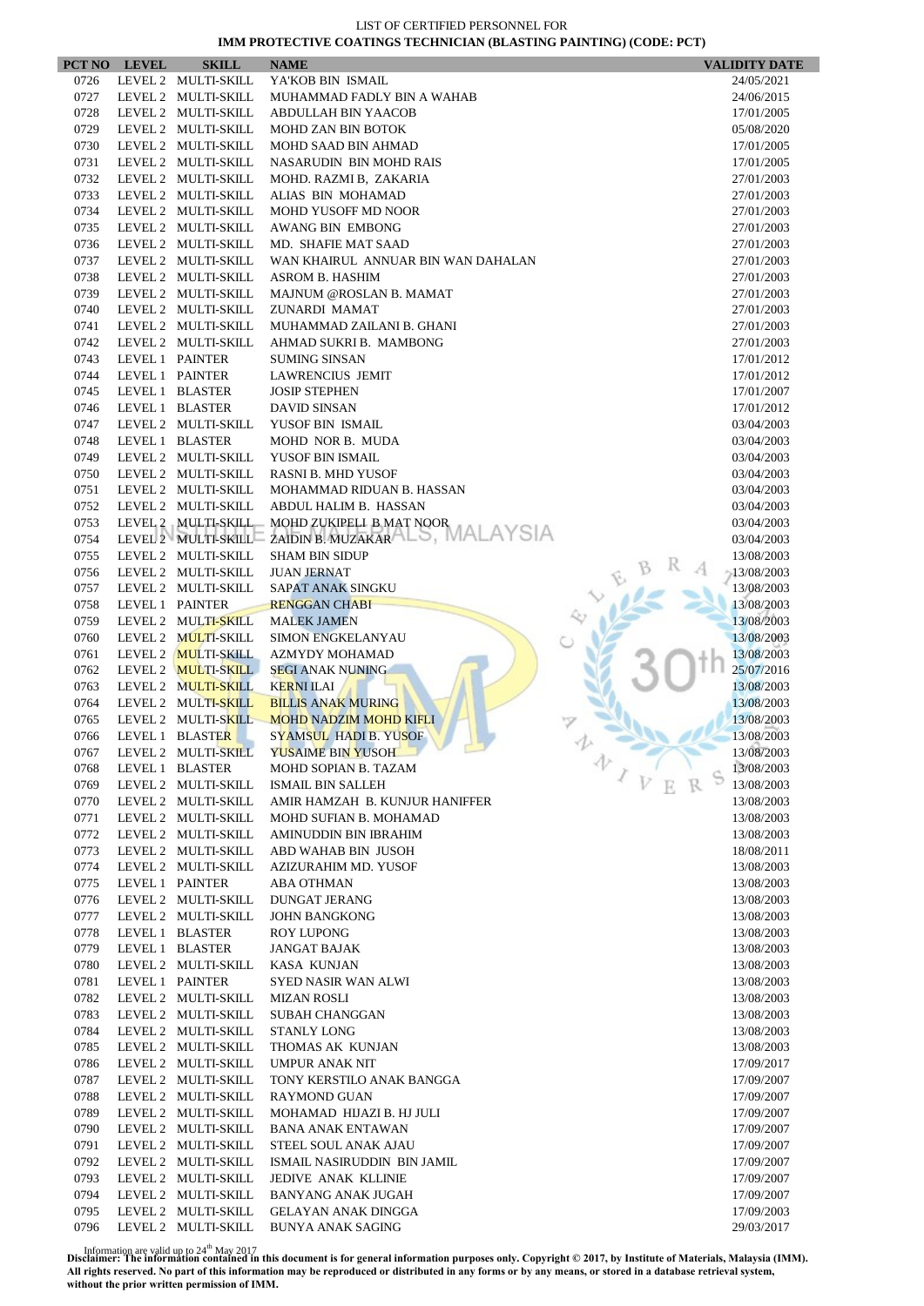|              | PCT NO LEVEL    | <b>SKILL</b>                               | <b>NAME</b>                                             | <b>VALIDITY DATE</b>     |
|--------------|-----------------|--------------------------------------------|---------------------------------------------------------|--------------------------|
| 0726         |                 | LEVEL 2 MULTI-SKILL                        | YA'KOB BIN ISMAIL                                       | 24/05/2021               |
| 0727         |                 | LEVEL 2 MULTI-SKILL                        | MUHAMMAD FADLY BIN A WAHAB                              | 24/06/2015               |
| 0728         |                 | LEVEL 2 MULTI-SKILL                        | ABDULLAH BIN YAACOB                                     | 17/01/2005               |
| 0729         |                 | LEVEL 2 MULTI-SKILL                        | <b>MOHD ZAN BIN BOTOK</b>                               | 05/08/2020               |
| 0730         |                 | LEVEL 2 MULTI-SKILL                        | MOHD SAAD BIN AHMAD                                     | 17/01/2005               |
| 0731         |                 | LEVEL 2 MULTI-SKILL                        | <b>NASARUDIN BIN MOHD RAIS</b>                          | 17/01/2005               |
| 0732         |                 | LEVEL 2 MULTI-SKILL                        | MOHD. RAZMI B, ZAKARIA                                  | 27/01/2003               |
| 0733         |                 | LEVEL 2 MULTI-SKILL                        | ALIAS BIN MOHAMAD                                       | 27/01/2003               |
| 0734         |                 | LEVEL 2 MULTI-SKILL                        | MOHD YUSOFF MD NOOR                                     | 27/01/2003               |
| 0735         |                 | LEVEL 2 MULTI-SKILL                        | AWANG BIN EMBONG                                        | 27/01/2003               |
| 0736         |                 | LEVEL 2 MULTI-SKILL                        | MD. SHAFIE MAT SAAD                                     | 27/01/2003               |
| 0737         |                 | LEVEL 2 MULTI-SKILL                        | WAN KHAIRUL ANNUAR BIN WAN DAHALAN                      | 27/01/2003               |
| 0738         |                 | LEVEL 2 MULTI-SKILL                        | <b>ASROM B. HASHIM</b>                                  | 27/01/2003               |
| 0739         |                 | LEVEL 2 MULTI-SKILL                        | MAJNUM @ROSLAN B. MAMAT                                 | 27/01/2003               |
| 0740         |                 | LEVEL 2 MULTI-SKILL                        | ZUNARDI MAMAT                                           | 27/01/2003               |
| 0741         |                 | LEVEL 2 MULTI-SKILL                        | MUHAMMAD ZAILANI B. GHANI                               | 27/01/2003               |
| 0742         |                 | LEVEL 2 MULTI-SKILL                        | AHMAD SUKRI B. MAMBONG                                  | 27/01/2003               |
| 0743         |                 | LEVEL 1 PAINTER                            | <b>SUMING SINSAN</b>                                    | 17/01/2012               |
| 0744         |                 | LEVEL 1 PAINTER                            | <b>LAWRENCIUS JEMIT</b>                                 | 17/01/2012               |
| 0745         |                 | LEVEL 1 BLASTER                            | <b>JOSIP STEPHEN</b>                                    | 17/01/2007               |
| 0746         |                 | LEVEL 1 BLASTER                            | <b>DAVID SINSAN</b>                                     | 17/01/2012               |
| 0747         |                 | LEVEL 2 MULTI-SKILL                        | YUSOF BIN ISMAIL                                        | 03/04/2003               |
| 0748         |                 | LEVEL 1 BLASTER                            | MOHD NOR B. MUDA                                        | 03/04/2003               |
| 0749         |                 | LEVEL 2 MULTI-SKILL                        | YUSOF BIN ISMAIL                                        | 03/04/2003               |
| 0750         |                 | LEVEL 2 MULTI-SKILL                        | <b>RASNI B. MHD YUSOF</b>                               | 03/04/2003               |
| 0751         |                 | LEVEL 2 MULTI-SKILL                        | MOHAMMAD RIDUAN B. HASSAN                               | 03/04/2003               |
| 0752         |                 | LEVEL 2 MULTI-SKILL                        | ABDUL HALIM B. HASSAN                                   | 03/04/2003               |
| 0753         |                 | LEVEL 2 MULTI-SKILL                        | MOHD ZUKIPELI B MAT NOOR                                | 03/04/2003               |
| 0754         |                 |                                            | .AYSIA<br>LEVEL 2 MULTI-SKILL ZAIDIN B. MUZAKAR ALS, MA | 03/04/2003               |
| 0755         |                 | LEVEL 2 MULTI-SKILL                        | <b>SHAM BIN SIDUP</b>                                   | 13/08/2003               |
| 0756         |                 | LEVEL 2 MULTI-SKILL                        | <b>JUAN JERNAT</b>                                      | $-13/08/2003$            |
| 0757         |                 | LEVEL 2 MULTI-SKILL                        | <b>SAPAT ANAK SINGKU</b>                                | 13/08/2003               |
| 0758         |                 | LEVEL 1 PAINTER                            | <b>RENGGAN CHABI</b>                                    | 13/08/2003               |
| 0759         |                 | LEVEL 2 MULTI-SKILL                        | <b>MALEK JAMEN</b>                                      | 13/08/2003               |
| 0760         |                 | LEVEL 2 MULTI-SKILL                        | <b>SIMON ENGKELANYAU</b>                                | 13/08/2003               |
| 0761         |                 | LEVEL 2 MULTI-SKILL                        | <b>AZMYDY MOHAMAD</b>                                   | 13/08/2003               |
| 0762         |                 | LEVEL 2 MULTI-SKILL                        | <b>SEGI ANAK NUNING</b>                                 | 25/07/2016               |
| 0763         |                 | LEVEL 2 MULTI-SKILL                        | <b>KERNI ILAI</b>                                       | 13/08/2003               |
| 0764         |                 | LEVEL 2 MULTI-SKILL                        | <b>BILLIS ANAK MURING</b>                               | 13/08/2003               |
| 0765         |                 | LEVEL 2 MULTI-SKILL                        | <b>MOHD NADZIM MOHD KIFLI</b>                           | 13/08/2003               |
| 0766         |                 | LEVEL 1 BLASTER                            | SYAMSUL HADI B. YUSOF                                   | 13/08/2003               |
| 0767         |                 | LEVEL 2 MULTI-SKILL                        | YUSAIME BIN YUSOH                                       | 13/08/2003<br>v          |
| 0768         |                 | LEVEL 1 BLASTER                            | MOHD SOPIAN B. TAZAM                                    | 13/08/2003               |
| 0769         |                 | LEVEL 2 MULTI-SKILL                        | <b>ISMAIL BIN SALLEH</b>                                | 13/08/2003               |
| 0770         |                 | LEVEL 2 MULTI-SKILL                        | AMIR HAMZAH B. KUNJUR HANIFFER                          | 13/08/2003               |
| 0771         |                 | LEVEL 2 MULTI-SKILL                        | MOHD SUFIAN B. MOHAMAD                                  | 13/08/2003               |
| 0772         |                 | LEVEL 2 MULTI-SKILL                        | AMINUDDIN BIN IBRAHIM                                   | 13/08/2003               |
| 0773         |                 | LEVEL 2 MULTI-SKILL                        | ABD WAHAB BIN JUSOH                                     | 18/08/2011               |
| 0774         |                 | LEVEL 2 MULTI-SKILL                        | AZIZURAHIM MD. YUSOF                                    | 13/08/2003               |
| 0775         | LEVEL 1 PAINTER |                                            | ABA OTHMAN                                              | 13/08/2003               |
| 0776         |                 | LEVEL 2 MULTI-SKILL                        | <b>DUNGAT JERANG</b>                                    | 13/08/2003               |
| 0777         |                 | LEVEL 2 MULTI-SKILL                        | <b>JOHN BANGKONG</b>                                    | 13/08/2003               |
| 0778         |                 | LEVEL 1 BLASTER                            | <b>ROY LUPONG</b>                                       | 13/08/2003               |
| 0779         |                 | LEVEL 1 BLASTER                            | <b>JANGAT BAJAK</b>                                     | 13/08/2003               |
| 0780<br>0781 |                 | LEVEL 2 MULTI-SKILL<br>LEVEL 1 PAINTER     | KASA KUNJAN                                             | 13/08/2003               |
| 0782         |                 | LEVEL 2 MULTI-SKILL                        | SYED NASIR WAN ALWI<br><b>MIZAN ROSLI</b>               | 13/08/2003<br>13/08/2003 |
| 0783         |                 | LEVEL 2 MULTI-SKILL                        | <b>SUBAH CHANGGAN</b>                                   | 13/08/2003               |
|              |                 |                                            |                                                         |                          |
| 0784<br>0785 |                 | LEVEL 2 MULTI-SKILL<br>LEVEL 2 MULTI-SKILL | STANLY LONG<br>THOMAS AK KUNJAN                         | 13/08/2003<br>13/08/2003 |
| 0786         |                 | LEVEL 2 MULTI-SKILL                        | <b>UMPUR ANAK NIT</b>                                   | 17/09/2017               |
| 0787         |                 | LEVEL 2 MULTI-SKILL                        | TONY KERSTILO ANAK BANGGA                               | 17/09/2007               |
| 0788         |                 | LEVEL 2 MULTI-SKILL                        | <b>RAYMOND GUAN</b>                                     | 17/09/2007               |
| 0789         |                 | LEVEL 2 MULTI-SKILL                        | MOHAMAD HIJAZI B. HJ JULI                               | 17/09/2007               |
| 0790         |                 | LEVEL 2 MULTI-SKILL                        | <b>BANA ANAK ENTAWAN</b>                                |                          |
| 0791         |                 | LEVEL 2 MULTI-SKILL                        | STEEL SOUL ANAK AJAU                                    | 17/09/2007<br>17/09/2007 |
| 0792         |                 | LEVEL 2 MULTI-SKILL                        | ISMAIL NASIRUDDIN BIN JAMIL                             | 17/09/2007               |
| 0793         |                 | LEVEL 2 MULTI-SKILL                        | JEDIVE ANAK KLLINIE                                     | 17/09/2007               |
| 0794         |                 | LEVEL 2 MULTI-SKILL                        | <b>BANYANG ANAK JUGAH</b>                               | 17/09/2007               |
| 0795         |                 | LEVEL 2 MULTI-SKILL                        | GELAYAN ANAK DINGGA                                     | 17/09/2003               |
| 0796         |                 | LEVEL 2 MULTI-SKILL                        | <b>BUNYA ANAK SAGING</b>                                | 29/03/2017               |
|              |                 |                                            |                                                         |                          |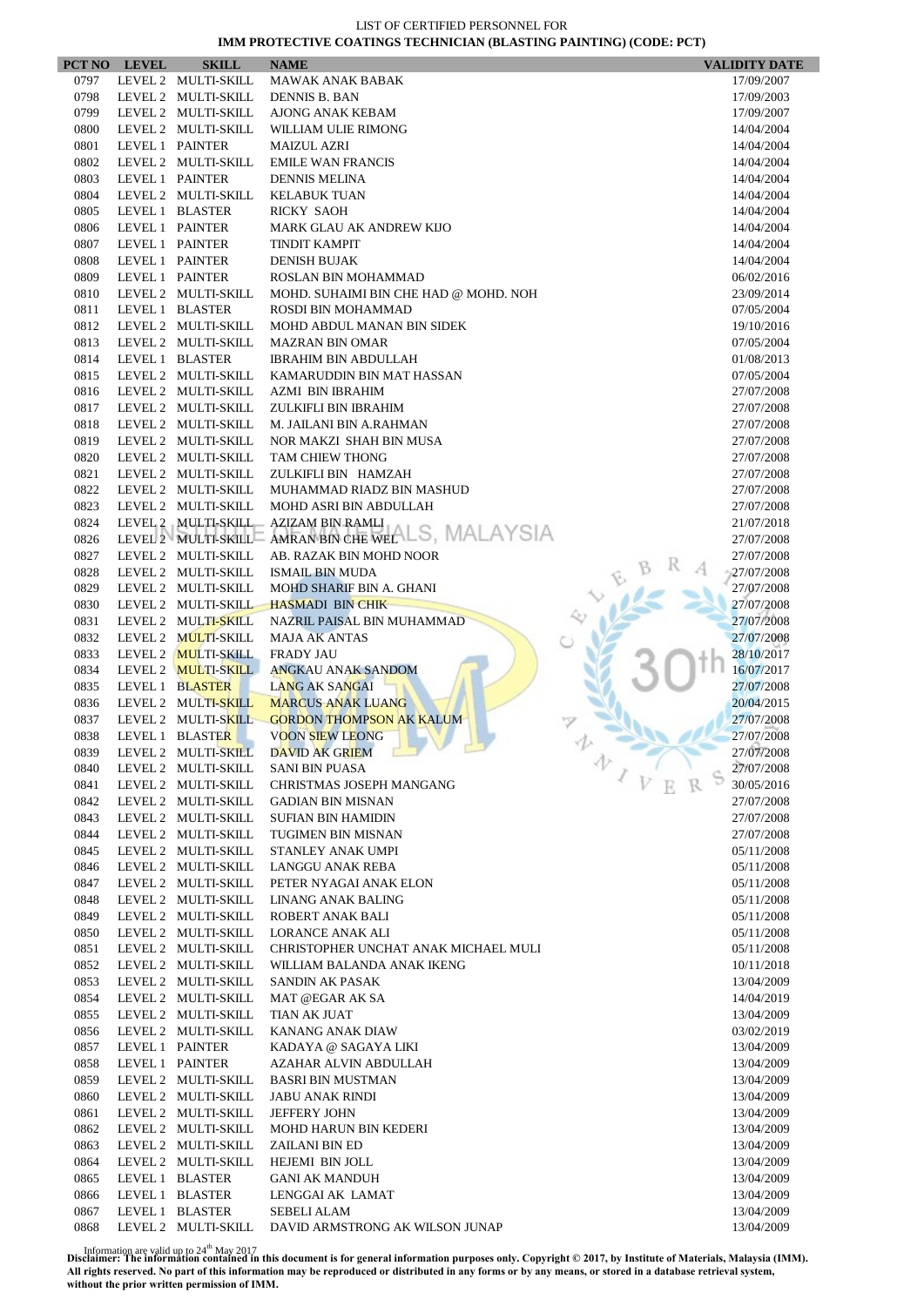|              | PCT NO LEVEL | <b>SKILL</b>                               | <b>NAME</b>                                       | <b>VALIDITY DATE</b>     |
|--------------|--------------|--------------------------------------------|---------------------------------------------------|--------------------------|
| 0797         |              | LEVEL 2 MULTI-SKILL                        | <b>MAWAK ANAK BABAK</b>                           | 17/09/2007               |
| 0798         |              | LEVEL 2 MULTI-SKILL                        | <b>DENNIS B. BAN</b>                              | 17/09/2003               |
| 0799         |              | LEVEL 2 MULTI-SKILL                        | AJONG ANAK KEBAM                                  | 17/09/2007               |
| 0800         |              | LEVEL 2 MULTI-SKILL                        | WILLIAM ULIE RIMONG                               | 14/04/2004               |
| 0801         |              | LEVEL 1 PAINTER                            | <b>MAIZUL AZRI</b>                                | 14/04/2004               |
| 0802         |              | LEVEL 2 MULTI-SKILL<br>LEVEL 1 PAINTER     | <b>EMILE WAN FRANCIS</b>                          | 14/04/2004               |
| 0803<br>0804 |              | LEVEL 2 MULTI-SKILL                        | <b>DENNIS MELINA</b><br><b>KELABUK TUAN</b>       | 14/04/2004<br>14/04/2004 |
| 0805         |              | LEVEL 1 BLASTER                            | <b>RICKY SAOH</b>                                 | 14/04/2004               |
| 0806         |              | LEVEL 1 PAINTER                            | MARK GLAU AK ANDREW KIJO                          | 14/04/2004               |
| 0807         |              | LEVEL 1 PAINTER                            | <b>TINDIT KAMPIT</b>                              | 14/04/2004               |
| 0808         |              | LEVEL 1 PAINTER                            | <b>DENISH BUJAK</b>                               | 14/04/2004               |
| 0809         |              | LEVEL 1 PAINTER                            | ROSLAN BIN MOHAMMAD                               | 06/02/2016               |
| 0810         |              | LEVEL 2 MULTI-SKILL                        | MOHD. SUHAIMI BIN CHE HAD @ MOHD. NOH             | 23/09/2014               |
| 0811         |              | LEVEL 1 BLASTER                            | ROSDI BIN MOHAMMAD                                | 07/05/2004               |
| 0812         |              | LEVEL 2 MULTI-SKILL                        | MOHD ABDUL MANAN BIN SIDEK                        | 19/10/2016               |
| 0813         |              | LEVEL 2 MULTI-SKILL                        | <b>MAZRAN BIN OMAR</b>                            | 07/05/2004               |
| 0814         |              | LEVEL 1 BLASTER                            | <b>IBRAHIM BIN ABDULLAH</b>                       | 01/08/2013               |
| 0815         |              | LEVEL 2 MULTI-SKILL                        | KAMARUDDIN BIN MAT HASSAN                         | 07/05/2004               |
| 0816         |              | LEVEL 2 MULTI-SKILL                        | <b>AZMI BIN IBRAHIM</b>                           | 27/07/2008               |
| 0817         |              | LEVEL 2 MULTI-SKILL                        | ZULKIFLI BIN IBRAHIM                              | 27/07/2008               |
| 0818         |              | LEVEL 2 MULTI-SKILL                        | M. JAILANI BIN A.RAHMAN                           | 27/07/2008               |
| 0819         |              | LEVEL 2 MULTI-SKILL                        | NOR MAKZI SHAH BIN MUSA                           | 27/07/2008               |
| 0820         |              | LEVEL 2 MULTI-SKILL<br>LEVEL 2 MULTI-SKILL | TAM CHIEW THONG                                   | 27/07/2008<br>27/07/2008 |
| 0821<br>0822 |              | LEVEL 2 MULTI-SKILL                        | ZULKIFLI BIN HAMZAH<br>MUHAMMAD RIADZ BIN MASHUD  | 27/07/2008               |
| 0823         |              | LEVEL 2 MULTI-SKILL                        | MOHD ASRI BIN ABDULLAH                            | 27/07/2008               |
| 0824         |              |                                            | LEVEL 2 MULTI-SKILL AZIZAM BIN RAMLI              | 21/07/2018               |
| 0826         |              |                                            | LEVEL 2 MULTI-SKILL AMRAN BIN CHE WELLS, MALAYSIA | 27/07/2008               |
| 0827         |              | LEVEL 2 MULTI-SKILL                        | AB. RAZAK BIN MOHD NOOR                           | 27/07/2008               |
| 0828         |              | LEVEL 2 MULTI-SKILL                        | <b>ISMAIL BIN MUDA</b>                            | 27/07/2008               |
| 0829         |              | LEVEL 2 MULTI-SKILL                        | MOHD SHARIF BIN A. GHANI                          | 27/07/2008               |
| 0830         |              | LEVEL 2 MULTI-SKILL                        | <b>HASMADI BIN CHIK</b>                           | 27/07/2008               |
| 0831         |              | LEVEL 2 MULTI-SKILL                        | NAZRIL PAISAL BIN MUHAMMAD                        | 27/07/2008               |
| 0832         |              | LEVEL 2 MULTI-SKILL                        | <b>MAJA AK ANTAS</b>                              | 27/07/2008               |
| 0833         |              | LEVEL 2 MULTI-SKILL                        | <b>FRADY JAU</b>                                  | 28/10/2017               |
| 0834         |              | LEVEL 2 MULTI-SKILL                        | <b>ANGKAU ANAK SANDOM</b>                         | 16/07/2017               |
| 0835         |              | LEVEL 1 BLASTER                            | <b>LANG AK SANGAI</b>                             | 27/07/2008               |
| 0836         |              | LEVEL 2 MULTI-SKILL                        | <b>MARCUS ANAK LUANG</b>                          | 20/04/2015               |
| 0837         |              | LEVEL 2 MULTI-SKILL<br>LEVEL 1 BLASTER     | <b>GORDON THOMPSON AK KALUM</b>                   | 27/07/2008               |
| 0838<br>0839 |              | LEVEL 2 MULTI-SKILL                        | <b>VOON SIEW LEONG</b><br><b>DAVID AK GRIEM</b>   | 27/07/2008<br>27/07/2008 |
| 0840         |              | LEVEL 2 MULTI-SKILL                        | 办<br><b>SANI BIN PUASA</b>                        | 27/07/2008               |
| 0841         |              | LEVEL 2 MULTI-SKILL                        | CHRISTMAS JOSEPH MANGANG                          | 30/05/2016               |
| 0842         |              | LEVEL 2 MULTI-SKILL                        | <b>GADIAN BIN MISNAN</b>                          | 27/07/2008               |
| 0843         |              | LEVEL 2 MULTI-SKILL                        | <b>SUFIAN BIN HAMIDIN</b>                         | 27/07/2008               |
| 0844         |              | LEVEL 2 MULTI-SKILL                        | <b>TUGIMEN BIN MISNAN</b>                         | 27/07/2008               |
| 0845         |              | LEVEL 2 MULTI-SKILL                        | STANLEY ANAK UMPI                                 | 05/11/2008               |
| 0846         |              | LEVEL 2 MULTI-SKILL                        | LANGGU ANAK REBA                                  | 05/11/2008               |
| 0847         |              | LEVEL 2 MULTI-SKILL                        | PETER NYAGAI ANAK ELON                            | 05/11/2008               |
| 0848         |              | LEVEL 2 MULTI-SKILL                        | LINANG ANAK BALING                                | 05/11/2008               |
| 0849         |              | LEVEL 2 MULTI-SKILL                        | ROBERT ANAK BALI                                  | 05/11/2008               |
| 0850         |              | LEVEL 2 MULTI-SKILL                        | <b>LORANCE ANAK ALI</b>                           | 05/11/2008               |
| 0851         |              | LEVEL 2 MULTI-SKILL                        | CHRISTOPHER UNCHAT ANAK MICHAEL MULI              | 05/11/2008               |
| 0852         |              | LEVEL 2 MULTI-SKILL                        | WILLIAM BALANDA ANAK IKENG                        | 10/11/2018               |
| 0853         |              | LEVEL 2 MULTI-SKILL                        | <b>SANDIN AK PASAK</b>                            | 13/04/2009               |
| 0854         |              | LEVEL 2 MULTI-SKILL                        | MAT @EGAR AK SA                                   | 14/04/2019               |
| 0855         |              | LEVEL 2 MULTI-SKILL                        | TIAN AK JUAT                                      | 13/04/2009               |
| 0856<br>0857 |              | LEVEL 2 MULTI-SKILL<br>LEVEL 1 PAINTER     | KANANG ANAK DIAW                                  | 03/02/2019               |
| 0858         |              | LEVEL 1 PAINTER                            | KADAYA @ SAGAYA LIKI<br>AZAHAR ALVIN ABDULLAH     | 13/04/2009<br>13/04/2009 |
| 0859         |              | LEVEL 2 MULTI-SKILL                        | <b>BASRI BIN MUSTMAN</b>                          | 13/04/2009               |
| 0860         |              | LEVEL 2 MULTI-SKILL                        | JABU ANAK RINDI                                   | 13/04/2009               |
| 0861         |              | LEVEL 2 MULTI-SKILL                        | <b>JEFFERY JOHN</b>                               | 13/04/2009               |
| 0862         |              | LEVEL 2 MULTI-SKILL                        | <b>MOHD HARUN BIN KEDERI</b>                      | 13/04/2009               |
| 0863         |              | LEVEL 2 MULTI-SKILL                        | <b>ZAILANI BIN ED</b>                             | 13/04/2009               |
| 0864         |              | LEVEL 2 MULTI-SKILL                        | HEJEMI BIN JOLL                                   | 13/04/2009               |
| 0865         |              | LEVEL 1 BLASTER                            | <b>GANI AK MANDUH</b>                             | 13/04/2009               |
| 0866         |              | LEVEL 1 BLASTER                            | LENGGAI AK LAMAT                                  | 13/04/2009               |
| 0867         |              | LEVEL 1 BLASTER                            | SEBELI ALAM                                       | 13/04/2009               |
| 0868         |              | LEVEL 2 MULTI-SKILL                        | DAVID ARMSTRONG AK WILSON JUNAP                   | 13/04/2009               |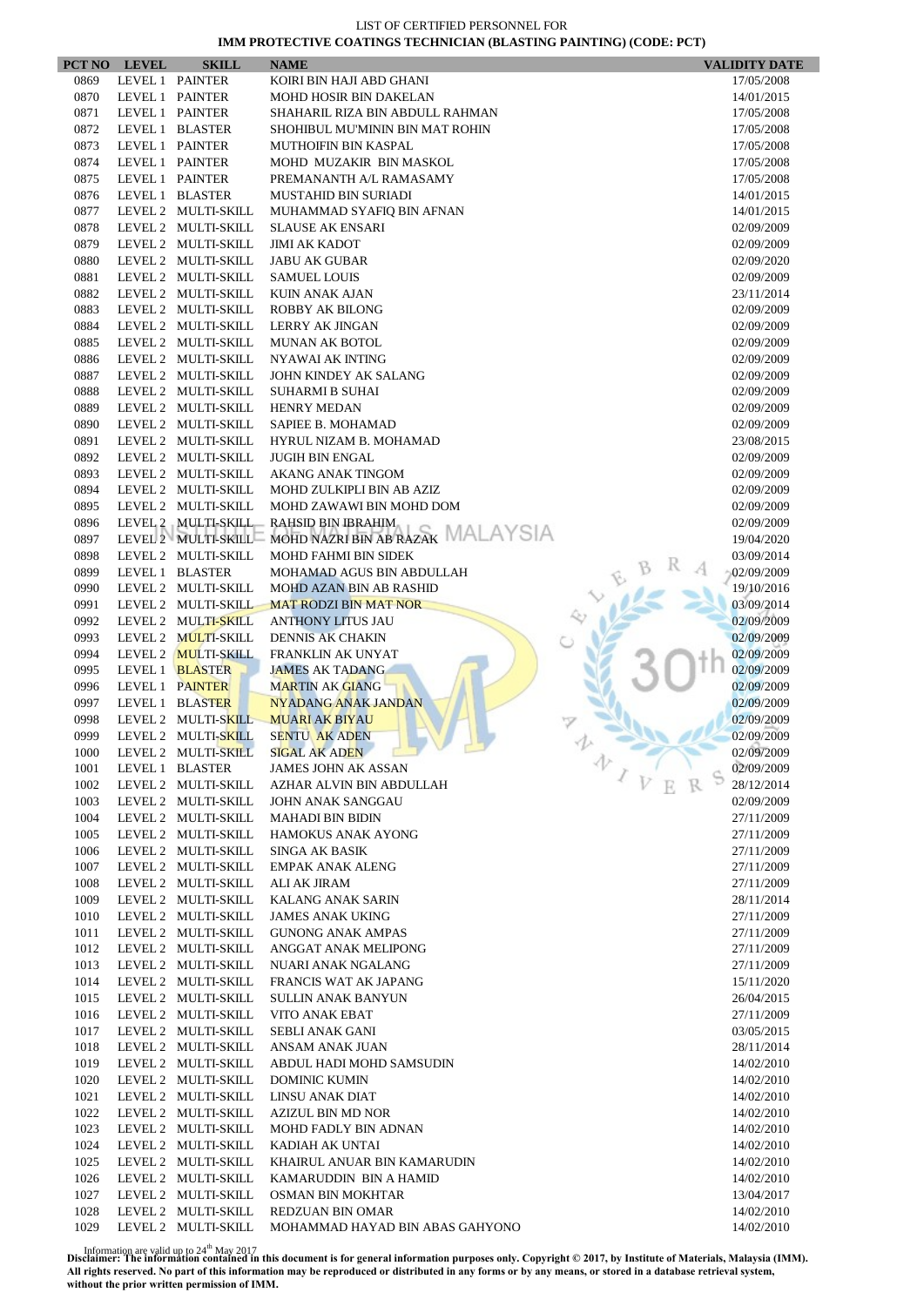| 0869<br>LEVEL 1 PAINTER<br>KOIRI BIN HAJI ABD GHANI<br>17/05/2008<br>0870<br>LEVEL 1 PAINTER<br>MOHD HOSIR BIN DAKELAN<br>14/01/2015<br>LEVEL 1 PAINTER<br>0871<br>SHAHARIL RIZA BIN ABDULL RAHMAN<br>17/05/2008<br>0872<br>LEVEL 1 BLASTER<br>SHOHIBUL MU'MININ BIN MAT ROHIN<br>17/05/2008<br>LEVEL 1 PAINTER<br>0873<br>MUTHOIFIN BIN KASPAL<br>17/05/2008<br>0874<br>LEVEL 1 PAINTER<br>MOHD MUZAKIR BIN MASKOL<br>17/05/2008<br>LEVEL 1 PAINTER<br>0875<br>PREMANANTH A/L RAMASAMY<br>17/05/2008<br>LEVEL 1 BLASTER<br>0876<br><b>MUSTAHID BIN SURIADI</b><br>14/01/2015<br>LEVEL 2 MULTI-SKILL<br>0877<br>MUHAMMAD SYAFIQ BIN AFNAN<br>14/01/2015<br>LEVEL 2 MULTI-SKILL<br>0878<br><b>SLAUSE AK ENSARI</b><br>02/09/2009<br>0879<br>LEVEL 2 MULTI-SKILL<br><b>JIMI AK KADOT</b><br>02/09/2009<br>0880<br>LEVEL 2 MULTI-SKILL<br><b>JABU AK GUBAR</b><br>02/09/2020<br>0881<br>LEVEL 2 MULTI-SKILL<br><b>SAMUEL LOUIS</b><br>02/09/2009<br>0882<br>LEVEL 2 MULTI-SKILL<br><b>KUIN ANAK AJAN</b><br>23/11/2014<br>0883<br>LEVEL 2 MULTI-SKILL<br><b>ROBBY AK BILONG</b><br>02/09/2009<br>0884<br>LEVEL 2 MULTI-SKILL<br>LERRY AK JINGAN<br>02/09/2009<br>LEVEL 2 MULTI-SKILL<br>0885<br><b>MUNAN AK BOTOL</b><br>02/09/2009<br>0886<br>LEVEL 2 MULTI-SKILL<br>NYAWAI AK INTING<br>02/09/2009<br>0887<br>LEVEL 2 MULTI-SKILL<br>JOHN KINDEY AK SALANG<br>02/09/2009<br>0888<br>LEVEL 2 MULTI-SKILL<br>SUHARMI B SUHAI<br>02/09/2009<br>0889<br>LEVEL 2 MULTI-SKILL<br><b>HENRY MEDAN</b><br>02/09/2009<br>0890<br>LEVEL 2 MULTI-SKILL<br>SAPIEE B. MOHAMAD<br>02/09/2009<br>0891<br>LEVEL 2 MULTI-SKILL<br>HYRUL NIZAM B. MOHAMAD<br>23/08/2015<br>LEVEL 2 MULTI-SKILL<br><b>JUGIH BIN ENGAL</b><br>0892<br>02/09/2009<br>LEVEL 2 MULTI-SKILL<br>0893<br>AKANG ANAK TINGOM<br>02/09/2009<br>LEVEL 2 MULTI-SKILL<br>0894<br>MOHD ZULKIPLI BIN AB AZIZ<br>02/09/2009<br>0895<br>LEVEL 2 MULTI-SKILL<br>MOHD ZAWAWI BIN MOHD DOM<br>02/09/2009<br>LEVEL 2 MULTI-SKILL<br>0896<br>RAHSID BIN IBRAHIM<br>02/09/2009<br>MOHD NAZRI BIN AB RAZAK MALAYSIA<br>LEVEL 2 MULTI-SKILL<br>0897<br>19/04/2020<br>LEVEL 2 MULTI-SKILL<br>0898<br><b>MOHD FAHMI BIN SIDEK</b><br>03/09/2014<br>0899<br>LEVEL 1 BLASTER<br>02/09/2009<br>MOHAMAD AGUS BIN ABDULLAH<br>LEVEL 2 MULTI-SKILL<br>0990<br>MOHD AZAN BIN AB RASHID<br>19/10/2016<br>0991<br>LEVEL 2 MULTI-SKILL<br><b>MAT RODZI BIN MAT NOR</b><br>03/09/2014<br>LEVEL 2 MULTI-SKILL<br>02/09/2009<br>0992<br><b>ANTHONY LITUS JAU</b><br>0993<br>LEVEL 2 MULTI-SKILL<br><b>DENNIS AK CHAKIN</b><br>02/09/2009<br>0994<br>LEVEL 2 MULTI-SKILL<br>FRANKLIN AK UNYAT<br>02/09/2009<br>0995<br>LEVEL 1 BLASTER<br><b>JAMES AK TADANG</b><br>02/09/2009<br>0996<br>LEVEL 1 PAINTER<br><b>MARTIN AK GIANG</b><br>02/09/2009<br>0997<br>LEVEL 1 BLASTER<br><b>NYADANG ANAK JANDAN</b><br>02/09/2009<br>0998<br>LEVEL 2 MULTI-SKILL<br><b>MUARI AK BIYAU</b><br>02/09/2009<br>0999<br>LEVEL 2 MULTI-SKILL<br><b>SENTU AK ADEN</b><br>02/09/2009<br>LEVEL 2 MULTI-SKILL<br><b>SIGAL AK ADEN</b><br>02/09/2009<br>1000<br>办<br><b>JAMES JOHN AK ASSAN</b><br>02/09/2009<br>1001<br>LEVEL 1 BLASTER<br>$\sqrt{V}$<br>LEVEL 2 MULTI-SKILL<br>28/12/2014<br>1002<br>AZHAR ALVIN BIN ABDULLAH<br>LEVEL 2 MULTI-SKILL<br>1003<br>JOHN ANAK SANGGAU<br>02/09/2009<br>LEVEL 2 MULTI-SKILL<br>1004<br><b>MAHADI BIN BIDIN</b><br>27/11/2009<br>1005<br>LEVEL 2 MULTI-SKILL<br><b>HAMOKUS ANAK AYONG</b><br>27/11/2009<br>LEVEL 2 MULTI-SKILL<br>1006<br>SINGA AK BASIK<br>27/11/2009<br>1007<br>LEVEL 2 MULTI-SKILL<br><b>EMPAK ANAK ALENG</b><br>27/11/2009<br>1008<br>LEVEL 2 MULTI-SKILL<br>ALI AK JIRAM<br>27/11/2009<br>1009<br>LEVEL 2 MULTI-SKILL<br>KALANG ANAK SARIN<br>28/11/2014<br>1010<br>LEVEL 2 MULTI-SKILL<br><b>JAMES ANAK UKING</b><br>27/11/2009<br>1011<br>LEVEL 2 MULTI-SKILL<br><b>GUNONG ANAK AMPAS</b><br>27/11/2009<br>LEVEL 2 MULTI-SKILL<br>1012<br>ANGGAT ANAK MELIPONG<br>27/11/2009<br>1013<br>LEVEL 2 MULTI-SKILL<br>NUARI ANAK NGALANG<br>27/11/2009<br>1014<br>LEVEL 2 MULTI-SKILL<br>FRANCIS WAT AK JAPANG<br>15/11/2020<br>1015<br>LEVEL 2 MULTI-SKILL<br><b>SULLIN ANAK BANYUN</b><br>26/04/2015<br>1016<br>LEVEL 2 MULTI-SKILL<br>VITO ANAK EBAT<br>27/11/2009<br>1017<br>LEVEL 2 MULTI-SKILL<br>SEBLI ANAK GANI<br>03/05/2015<br>LEVEL 2 MULTI-SKILL<br>1018<br>ANSAM ANAK JUAN<br>28/11/2014<br>LEVEL 2 MULTI-SKILL<br>1019<br>ABDUL HADI MOHD SAMSUDIN<br>14/02/2010<br>LEVEL 2 MULTI-SKILL<br>1020<br><b>DOMINIC KUMIN</b><br>14/02/2010<br>1021<br>LEVEL 2 MULTI-SKILL<br>LINSU ANAK DIAT<br>14/02/2010<br>1022<br>LEVEL 2 MULTI-SKILL<br><b>AZIZUL BIN MD NOR</b><br>14/02/2010<br>LEVEL 2 MULTI-SKILL<br>MOHD FADLY BIN ADNAN<br>1023<br>14/02/2010<br>LEVEL 2 MULTI-SKILL<br>1024<br>KADIAH AK UNTAI<br>14/02/2010<br>LEVEL 2 MULTI-SKILL<br>1025<br>KHAIRUL ANUAR BIN KAMARUDIN<br>14/02/2010<br>LEVEL 2 MULTI-SKILL<br>1026<br>KAMARUDDIN BIN A HAMID<br>14/02/2010<br>LEVEL 2 MULTI-SKILL<br>1027<br>OSMAN BIN MOKHTAR<br>13/04/2017<br>LEVEL 2 MULTI-SKILL<br>1028<br>REDZUAN BIN OMAR<br>14/02/2010<br>1029<br>LEVEL 2 MULTI-SKILL<br>MOHAMMAD HAYAD BIN ABAS GAHYONO<br>14/02/2010 | PCT NO | <b>LEVEL</b> | <b>SKILL</b> | <b>NAME</b> | <b>VALIDITY DATE</b> |
|-------------------------------------------------------------------------------------------------------------------------------------------------------------------------------------------------------------------------------------------------------------------------------------------------------------------------------------------------------------------------------------------------------------------------------------------------------------------------------------------------------------------------------------------------------------------------------------------------------------------------------------------------------------------------------------------------------------------------------------------------------------------------------------------------------------------------------------------------------------------------------------------------------------------------------------------------------------------------------------------------------------------------------------------------------------------------------------------------------------------------------------------------------------------------------------------------------------------------------------------------------------------------------------------------------------------------------------------------------------------------------------------------------------------------------------------------------------------------------------------------------------------------------------------------------------------------------------------------------------------------------------------------------------------------------------------------------------------------------------------------------------------------------------------------------------------------------------------------------------------------------------------------------------------------------------------------------------------------------------------------------------------------------------------------------------------------------------------------------------------------------------------------------------------------------------------------------------------------------------------------------------------------------------------------------------------------------------------------------------------------------------------------------------------------------------------------------------------------------------------------------------------------------------------------------------------------------------------------------------------------------------------------------------------------------------------------------------------------------------------------------------------------------------------------------------------------------------------------------------------------------------------------------------------------------------------------------------------------------------------------------------------------------------------------------------------------------------------------------------------------------------------------------------------------------------------------------------------------------------------------------------------------------------------------------------------------------------------------------------------------------------------------------------------------------------------------------------------------------------------------------------------------------------------------------------------------------------------------------------------------------------------------------------------------------------------------------------------------------------------------------------------------------------------------------------------------------------------------------------------------------------------------------------------------------------------------------------------------------------------------------------------------------------------------------------------------------------------------------------------------------------------------------------------------------------------------------------------------------------------------------------------------------------------------------------------------------------------------------------------------------------------------------------------------------------------------------------------------------------------------------------------------------------------------------------------------------------------------------------------------------------------------------------------------------------------------------------------------------------------------------------------------------------------------------------------------------------------------------------------------------------------------------------------------------------------------------------------------------------------------------------------------------------------------------------------------------------------------------------------------------------------------------------------|--------|--------------|--------------|-------------|----------------------|
|                                                                                                                                                                                                                                                                                                                                                                                                                                                                                                                                                                                                                                                                                                                                                                                                                                                                                                                                                                                                                                                                                                                                                                                                                                                                                                                                                                                                                                                                                                                                                                                                                                                                                                                                                                                                                                                                                                                                                                                                                                                                                                                                                                                                                                                                                                                                                                                                                                                                                                                                                                                                                                                                                                                                                                                                                                                                                                                                                                                                                                                                                                                                                                                                                                                                                                                                                                                                                                                                                                                                                                                                                                                                                                                                                                                                                                                                                                                                                                                                                                                                                                                                                                                                                                                                                                                                                                                                                                                                                                                                                                                                                                                                                                                                                                                                                                                                                                                                                                                                                                                                                                                                                                   |        |              |              |             |                      |
|                                                                                                                                                                                                                                                                                                                                                                                                                                                                                                                                                                                                                                                                                                                                                                                                                                                                                                                                                                                                                                                                                                                                                                                                                                                                                                                                                                                                                                                                                                                                                                                                                                                                                                                                                                                                                                                                                                                                                                                                                                                                                                                                                                                                                                                                                                                                                                                                                                                                                                                                                                                                                                                                                                                                                                                                                                                                                                                                                                                                                                                                                                                                                                                                                                                                                                                                                                                                                                                                                                                                                                                                                                                                                                                                                                                                                                                                                                                                                                                                                                                                                                                                                                                                                                                                                                                                                                                                                                                                                                                                                                                                                                                                                                                                                                                                                                                                                                                                                                                                                                                                                                                                                                   |        |              |              |             |                      |
|                                                                                                                                                                                                                                                                                                                                                                                                                                                                                                                                                                                                                                                                                                                                                                                                                                                                                                                                                                                                                                                                                                                                                                                                                                                                                                                                                                                                                                                                                                                                                                                                                                                                                                                                                                                                                                                                                                                                                                                                                                                                                                                                                                                                                                                                                                                                                                                                                                                                                                                                                                                                                                                                                                                                                                                                                                                                                                                                                                                                                                                                                                                                                                                                                                                                                                                                                                                                                                                                                                                                                                                                                                                                                                                                                                                                                                                                                                                                                                                                                                                                                                                                                                                                                                                                                                                                                                                                                                                                                                                                                                                                                                                                                                                                                                                                                                                                                                                                                                                                                                                                                                                                                                   |        |              |              |             |                      |
|                                                                                                                                                                                                                                                                                                                                                                                                                                                                                                                                                                                                                                                                                                                                                                                                                                                                                                                                                                                                                                                                                                                                                                                                                                                                                                                                                                                                                                                                                                                                                                                                                                                                                                                                                                                                                                                                                                                                                                                                                                                                                                                                                                                                                                                                                                                                                                                                                                                                                                                                                                                                                                                                                                                                                                                                                                                                                                                                                                                                                                                                                                                                                                                                                                                                                                                                                                                                                                                                                                                                                                                                                                                                                                                                                                                                                                                                                                                                                                                                                                                                                                                                                                                                                                                                                                                                                                                                                                                                                                                                                                                                                                                                                                                                                                                                                                                                                                                                                                                                                                                                                                                                                                   |        |              |              |             |                      |
|                                                                                                                                                                                                                                                                                                                                                                                                                                                                                                                                                                                                                                                                                                                                                                                                                                                                                                                                                                                                                                                                                                                                                                                                                                                                                                                                                                                                                                                                                                                                                                                                                                                                                                                                                                                                                                                                                                                                                                                                                                                                                                                                                                                                                                                                                                                                                                                                                                                                                                                                                                                                                                                                                                                                                                                                                                                                                                                                                                                                                                                                                                                                                                                                                                                                                                                                                                                                                                                                                                                                                                                                                                                                                                                                                                                                                                                                                                                                                                                                                                                                                                                                                                                                                                                                                                                                                                                                                                                                                                                                                                                                                                                                                                                                                                                                                                                                                                                                                                                                                                                                                                                                                                   |        |              |              |             |                      |
|                                                                                                                                                                                                                                                                                                                                                                                                                                                                                                                                                                                                                                                                                                                                                                                                                                                                                                                                                                                                                                                                                                                                                                                                                                                                                                                                                                                                                                                                                                                                                                                                                                                                                                                                                                                                                                                                                                                                                                                                                                                                                                                                                                                                                                                                                                                                                                                                                                                                                                                                                                                                                                                                                                                                                                                                                                                                                                                                                                                                                                                                                                                                                                                                                                                                                                                                                                                                                                                                                                                                                                                                                                                                                                                                                                                                                                                                                                                                                                                                                                                                                                                                                                                                                                                                                                                                                                                                                                                                                                                                                                                                                                                                                                                                                                                                                                                                                                                                                                                                                                                                                                                                                                   |        |              |              |             |                      |
|                                                                                                                                                                                                                                                                                                                                                                                                                                                                                                                                                                                                                                                                                                                                                                                                                                                                                                                                                                                                                                                                                                                                                                                                                                                                                                                                                                                                                                                                                                                                                                                                                                                                                                                                                                                                                                                                                                                                                                                                                                                                                                                                                                                                                                                                                                                                                                                                                                                                                                                                                                                                                                                                                                                                                                                                                                                                                                                                                                                                                                                                                                                                                                                                                                                                                                                                                                                                                                                                                                                                                                                                                                                                                                                                                                                                                                                                                                                                                                                                                                                                                                                                                                                                                                                                                                                                                                                                                                                                                                                                                                                                                                                                                                                                                                                                                                                                                                                                                                                                                                                                                                                                                                   |        |              |              |             |                      |
|                                                                                                                                                                                                                                                                                                                                                                                                                                                                                                                                                                                                                                                                                                                                                                                                                                                                                                                                                                                                                                                                                                                                                                                                                                                                                                                                                                                                                                                                                                                                                                                                                                                                                                                                                                                                                                                                                                                                                                                                                                                                                                                                                                                                                                                                                                                                                                                                                                                                                                                                                                                                                                                                                                                                                                                                                                                                                                                                                                                                                                                                                                                                                                                                                                                                                                                                                                                                                                                                                                                                                                                                                                                                                                                                                                                                                                                                                                                                                                                                                                                                                                                                                                                                                                                                                                                                                                                                                                                                                                                                                                                                                                                                                                                                                                                                                                                                                                                                                                                                                                                                                                                                                                   |        |              |              |             |                      |
|                                                                                                                                                                                                                                                                                                                                                                                                                                                                                                                                                                                                                                                                                                                                                                                                                                                                                                                                                                                                                                                                                                                                                                                                                                                                                                                                                                                                                                                                                                                                                                                                                                                                                                                                                                                                                                                                                                                                                                                                                                                                                                                                                                                                                                                                                                                                                                                                                                                                                                                                                                                                                                                                                                                                                                                                                                                                                                                                                                                                                                                                                                                                                                                                                                                                                                                                                                                                                                                                                                                                                                                                                                                                                                                                                                                                                                                                                                                                                                                                                                                                                                                                                                                                                                                                                                                                                                                                                                                                                                                                                                                                                                                                                                                                                                                                                                                                                                                                                                                                                                                                                                                                                                   |        |              |              |             |                      |
|                                                                                                                                                                                                                                                                                                                                                                                                                                                                                                                                                                                                                                                                                                                                                                                                                                                                                                                                                                                                                                                                                                                                                                                                                                                                                                                                                                                                                                                                                                                                                                                                                                                                                                                                                                                                                                                                                                                                                                                                                                                                                                                                                                                                                                                                                                                                                                                                                                                                                                                                                                                                                                                                                                                                                                                                                                                                                                                                                                                                                                                                                                                                                                                                                                                                                                                                                                                                                                                                                                                                                                                                                                                                                                                                                                                                                                                                                                                                                                                                                                                                                                                                                                                                                                                                                                                                                                                                                                                                                                                                                                                                                                                                                                                                                                                                                                                                                                                                                                                                                                                                                                                                                                   |        |              |              |             |                      |
|                                                                                                                                                                                                                                                                                                                                                                                                                                                                                                                                                                                                                                                                                                                                                                                                                                                                                                                                                                                                                                                                                                                                                                                                                                                                                                                                                                                                                                                                                                                                                                                                                                                                                                                                                                                                                                                                                                                                                                                                                                                                                                                                                                                                                                                                                                                                                                                                                                                                                                                                                                                                                                                                                                                                                                                                                                                                                                                                                                                                                                                                                                                                                                                                                                                                                                                                                                                                                                                                                                                                                                                                                                                                                                                                                                                                                                                                                                                                                                                                                                                                                                                                                                                                                                                                                                                                                                                                                                                                                                                                                                                                                                                                                                                                                                                                                                                                                                                                                                                                                                                                                                                                                                   |        |              |              |             |                      |
|                                                                                                                                                                                                                                                                                                                                                                                                                                                                                                                                                                                                                                                                                                                                                                                                                                                                                                                                                                                                                                                                                                                                                                                                                                                                                                                                                                                                                                                                                                                                                                                                                                                                                                                                                                                                                                                                                                                                                                                                                                                                                                                                                                                                                                                                                                                                                                                                                                                                                                                                                                                                                                                                                                                                                                                                                                                                                                                                                                                                                                                                                                                                                                                                                                                                                                                                                                                                                                                                                                                                                                                                                                                                                                                                                                                                                                                                                                                                                                                                                                                                                                                                                                                                                                                                                                                                                                                                                                                                                                                                                                                                                                                                                                                                                                                                                                                                                                                                                                                                                                                                                                                                                                   |        |              |              |             |                      |
|                                                                                                                                                                                                                                                                                                                                                                                                                                                                                                                                                                                                                                                                                                                                                                                                                                                                                                                                                                                                                                                                                                                                                                                                                                                                                                                                                                                                                                                                                                                                                                                                                                                                                                                                                                                                                                                                                                                                                                                                                                                                                                                                                                                                                                                                                                                                                                                                                                                                                                                                                                                                                                                                                                                                                                                                                                                                                                                                                                                                                                                                                                                                                                                                                                                                                                                                                                                                                                                                                                                                                                                                                                                                                                                                                                                                                                                                                                                                                                                                                                                                                                                                                                                                                                                                                                                                                                                                                                                                                                                                                                                                                                                                                                                                                                                                                                                                                                                                                                                                                                                                                                                                                                   |        |              |              |             |                      |
|                                                                                                                                                                                                                                                                                                                                                                                                                                                                                                                                                                                                                                                                                                                                                                                                                                                                                                                                                                                                                                                                                                                                                                                                                                                                                                                                                                                                                                                                                                                                                                                                                                                                                                                                                                                                                                                                                                                                                                                                                                                                                                                                                                                                                                                                                                                                                                                                                                                                                                                                                                                                                                                                                                                                                                                                                                                                                                                                                                                                                                                                                                                                                                                                                                                                                                                                                                                                                                                                                                                                                                                                                                                                                                                                                                                                                                                                                                                                                                                                                                                                                                                                                                                                                                                                                                                                                                                                                                                                                                                                                                                                                                                                                                                                                                                                                                                                                                                                                                                                                                                                                                                                                                   |        |              |              |             |                      |
|                                                                                                                                                                                                                                                                                                                                                                                                                                                                                                                                                                                                                                                                                                                                                                                                                                                                                                                                                                                                                                                                                                                                                                                                                                                                                                                                                                                                                                                                                                                                                                                                                                                                                                                                                                                                                                                                                                                                                                                                                                                                                                                                                                                                                                                                                                                                                                                                                                                                                                                                                                                                                                                                                                                                                                                                                                                                                                                                                                                                                                                                                                                                                                                                                                                                                                                                                                                                                                                                                                                                                                                                                                                                                                                                                                                                                                                                                                                                                                                                                                                                                                                                                                                                                                                                                                                                                                                                                                                                                                                                                                                                                                                                                                                                                                                                                                                                                                                                                                                                                                                                                                                                                                   |        |              |              |             |                      |
|                                                                                                                                                                                                                                                                                                                                                                                                                                                                                                                                                                                                                                                                                                                                                                                                                                                                                                                                                                                                                                                                                                                                                                                                                                                                                                                                                                                                                                                                                                                                                                                                                                                                                                                                                                                                                                                                                                                                                                                                                                                                                                                                                                                                                                                                                                                                                                                                                                                                                                                                                                                                                                                                                                                                                                                                                                                                                                                                                                                                                                                                                                                                                                                                                                                                                                                                                                                                                                                                                                                                                                                                                                                                                                                                                                                                                                                                                                                                                                                                                                                                                                                                                                                                                                                                                                                                                                                                                                                                                                                                                                                                                                                                                                                                                                                                                                                                                                                                                                                                                                                                                                                                                                   |        |              |              |             |                      |
|                                                                                                                                                                                                                                                                                                                                                                                                                                                                                                                                                                                                                                                                                                                                                                                                                                                                                                                                                                                                                                                                                                                                                                                                                                                                                                                                                                                                                                                                                                                                                                                                                                                                                                                                                                                                                                                                                                                                                                                                                                                                                                                                                                                                                                                                                                                                                                                                                                                                                                                                                                                                                                                                                                                                                                                                                                                                                                                                                                                                                                                                                                                                                                                                                                                                                                                                                                                                                                                                                                                                                                                                                                                                                                                                                                                                                                                                                                                                                                                                                                                                                                                                                                                                                                                                                                                                                                                                                                                                                                                                                                                                                                                                                                                                                                                                                                                                                                                                                                                                                                                                                                                                                                   |        |              |              |             |                      |
|                                                                                                                                                                                                                                                                                                                                                                                                                                                                                                                                                                                                                                                                                                                                                                                                                                                                                                                                                                                                                                                                                                                                                                                                                                                                                                                                                                                                                                                                                                                                                                                                                                                                                                                                                                                                                                                                                                                                                                                                                                                                                                                                                                                                                                                                                                                                                                                                                                                                                                                                                                                                                                                                                                                                                                                                                                                                                                                                                                                                                                                                                                                                                                                                                                                                                                                                                                                                                                                                                                                                                                                                                                                                                                                                                                                                                                                                                                                                                                                                                                                                                                                                                                                                                                                                                                                                                                                                                                                                                                                                                                                                                                                                                                                                                                                                                                                                                                                                                                                                                                                                                                                                                                   |        |              |              |             |                      |
|                                                                                                                                                                                                                                                                                                                                                                                                                                                                                                                                                                                                                                                                                                                                                                                                                                                                                                                                                                                                                                                                                                                                                                                                                                                                                                                                                                                                                                                                                                                                                                                                                                                                                                                                                                                                                                                                                                                                                                                                                                                                                                                                                                                                                                                                                                                                                                                                                                                                                                                                                                                                                                                                                                                                                                                                                                                                                                                                                                                                                                                                                                                                                                                                                                                                                                                                                                                                                                                                                                                                                                                                                                                                                                                                                                                                                                                                                                                                                                                                                                                                                                                                                                                                                                                                                                                                                                                                                                                                                                                                                                                                                                                                                                                                                                                                                                                                                                                                                                                                                                                                                                                                                                   |        |              |              |             |                      |
|                                                                                                                                                                                                                                                                                                                                                                                                                                                                                                                                                                                                                                                                                                                                                                                                                                                                                                                                                                                                                                                                                                                                                                                                                                                                                                                                                                                                                                                                                                                                                                                                                                                                                                                                                                                                                                                                                                                                                                                                                                                                                                                                                                                                                                                                                                                                                                                                                                                                                                                                                                                                                                                                                                                                                                                                                                                                                                                                                                                                                                                                                                                                                                                                                                                                                                                                                                                                                                                                                                                                                                                                                                                                                                                                                                                                                                                                                                                                                                                                                                                                                                                                                                                                                                                                                                                                                                                                                                                                                                                                                                                                                                                                                                                                                                                                                                                                                                                                                                                                                                                                                                                                                                   |        |              |              |             |                      |
|                                                                                                                                                                                                                                                                                                                                                                                                                                                                                                                                                                                                                                                                                                                                                                                                                                                                                                                                                                                                                                                                                                                                                                                                                                                                                                                                                                                                                                                                                                                                                                                                                                                                                                                                                                                                                                                                                                                                                                                                                                                                                                                                                                                                                                                                                                                                                                                                                                                                                                                                                                                                                                                                                                                                                                                                                                                                                                                                                                                                                                                                                                                                                                                                                                                                                                                                                                                                                                                                                                                                                                                                                                                                                                                                                                                                                                                                                                                                                                                                                                                                                                                                                                                                                                                                                                                                                                                                                                                                                                                                                                                                                                                                                                                                                                                                                                                                                                                                                                                                                                                                                                                                                                   |        |              |              |             |                      |
|                                                                                                                                                                                                                                                                                                                                                                                                                                                                                                                                                                                                                                                                                                                                                                                                                                                                                                                                                                                                                                                                                                                                                                                                                                                                                                                                                                                                                                                                                                                                                                                                                                                                                                                                                                                                                                                                                                                                                                                                                                                                                                                                                                                                                                                                                                                                                                                                                                                                                                                                                                                                                                                                                                                                                                                                                                                                                                                                                                                                                                                                                                                                                                                                                                                                                                                                                                                                                                                                                                                                                                                                                                                                                                                                                                                                                                                                                                                                                                                                                                                                                                                                                                                                                                                                                                                                                                                                                                                                                                                                                                                                                                                                                                                                                                                                                                                                                                                                                                                                                                                                                                                                                                   |        |              |              |             |                      |
|                                                                                                                                                                                                                                                                                                                                                                                                                                                                                                                                                                                                                                                                                                                                                                                                                                                                                                                                                                                                                                                                                                                                                                                                                                                                                                                                                                                                                                                                                                                                                                                                                                                                                                                                                                                                                                                                                                                                                                                                                                                                                                                                                                                                                                                                                                                                                                                                                                                                                                                                                                                                                                                                                                                                                                                                                                                                                                                                                                                                                                                                                                                                                                                                                                                                                                                                                                                                                                                                                                                                                                                                                                                                                                                                                                                                                                                                                                                                                                                                                                                                                                                                                                                                                                                                                                                                                                                                                                                                                                                                                                                                                                                                                                                                                                                                                                                                                                                                                                                                                                                                                                                                                                   |        |              |              |             |                      |
|                                                                                                                                                                                                                                                                                                                                                                                                                                                                                                                                                                                                                                                                                                                                                                                                                                                                                                                                                                                                                                                                                                                                                                                                                                                                                                                                                                                                                                                                                                                                                                                                                                                                                                                                                                                                                                                                                                                                                                                                                                                                                                                                                                                                                                                                                                                                                                                                                                                                                                                                                                                                                                                                                                                                                                                                                                                                                                                                                                                                                                                                                                                                                                                                                                                                                                                                                                                                                                                                                                                                                                                                                                                                                                                                                                                                                                                                                                                                                                                                                                                                                                                                                                                                                                                                                                                                                                                                                                                                                                                                                                                                                                                                                                                                                                                                                                                                                                                                                                                                                                                                                                                                                                   |        |              |              |             |                      |
|                                                                                                                                                                                                                                                                                                                                                                                                                                                                                                                                                                                                                                                                                                                                                                                                                                                                                                                                                                                                                                                                                                                                                                                                                                                                                                                                                                                                                                                                                                                                                                                                                                                                                                                                                                                                                                                                                                                                                                                                                                                                                                                                                                                                                                                                                                                                                                                                                                                                                                                                                                                                                                                                                                                                                                                                                                                                                                                                                                                                                                                                                                                                                                                                                                                                                                                                                                                                                                                                                                                                                                                                                                                                                                                                                                                                                                                                                                                                                                                                                                                                                                                                                                                                                                                                                                                                                                                                                                                                                                                                                                                                                                                                                                                                                                                                                                                                                                                                                                                                                                                                                                                                                                   |        |              |              |             |                      |
|                                                                                                                                                                                                                                                                                                                                                                                                                                                                                                                                                                                                                                                                                                                                                                                                                                                                                                                                                                                                                                                                                                                                                                                                                                                                                                                                                                                                                                                                                                                                                                                                                                                                                                                                                                                                                                                                                                                                                                                                                                                                                                                                                                                                                                                                                                                                                                                                                                                                                                                                                                                                                                                                                                                                                                                                                                                                                                                                                                                                                                                                                                                                                                                                                                                                                                                                                                                                                                                                                                                                                                                                                                                                                                                                                                                                                                                                                                                                                                                                                                                                                                                                                                                                                                                                                                                                                                                                                                                                                                                                                                                                                                                                                                                                                                                                                                                                                                                                                                                                                                                                                                                                                                   |        |              |              |             |                      |
|                                                                                                                                                                                                                                                                                                                                                                                                                                                                                                                                                                                                                                                                                                                                                                                                                                                                                                                                                                                                                                                                                                                                                                                                                                                                                                                                                                                                                                                                                                                                                                                                                                                                                                                                                                                                                                                                                                                                                                                                                                                                                                                                                                                                                                                                                                                                                                                                                                                                                                                                                                                                                                                                                                                                                                                                                                                                                                                                                                                                                                                                                                                                                                                                                                                                                                                                                                                                                                                                                                                                                                                                                                                                                                                                                                                                                                                                                                                                                                                                                                                                                                                                                                                                                                                                                                                                                                                                                                                                                                                                                                                                                                                                                                                                                                                                                                                                                                                                                                                                                                                                                                                                                                   |        |              |              |             |                      |
|                                                                                                                                                                                                                                                                                                                                                                                                                                                                                                                                                                                                                                                                                                                                                                                                                                                                                                                                                                                                                                                                                                                                                                                                                                                                                                                                                                                                                                                                                                                                                                                                                                                                                                                                                                                                                                                                                                                                                                                                                                                                                                                                                                                                                                                                                                                                                                                                                                                                                                                                                                                                                                                                                                                                                                                                                                                                                                                                                                                                                                                                                                                                                                                                                                                                                                                                                                                                                                                                                                                                                                                                                                                                                                                                                                                                                                                                                                                                                                                                                                                                                                                                                                                                                                                                                                                                                                                                                                                                                                                                                                                                                                                                                                                                                                                                                                                                                                                                                                                                                                                                                                                                                                   |        |              |              |             |                      |
|                                                                                                                                                                                                                                                                                                                                                                                                                                                                                                                                                                                                                                                                                                                                                                                                                                                                                                                                                                                                                                                                                                                                                                                                                                                                                                                                                                                                                                                                                                                                                                                                                                                                                                                                                                                                                                                                                                                                                                                                                                                                                                                                                                                                                                                                                                                                                                                                                                                                                                                                                                                                                                                                                                                                                                                                                                                                                                                                                                                                                                                                                                                                                                                                                                                                                                                                                                                                                                                                                                                                                                                                                                                                                                                                                                                                                                                                                                                                                                                                                                                                                                                                                                                                                                                                                                                                                                                                                                                                                                                                                                                                                                                                                                                                                                                                                                                                                                                                                                                                                                                                                                                                                                   |        |              |              |             |                      |
|                                                                                                                                                                                                                                                                                                                                                                                                                                                                                                                                                                                                                                                                                                                                                                                                                                                                                                                                                                                                                                                                                                                                                                                                                                                                                                                                                                                                                                                                                                                                                                                                                                                                                                                                                                                                                                                                                                                                                                                                                                                                                                                                                                                                                                                                                                                                                                                                                                                                                                                                                                                                                                                                                                                                                                                                                                                                                                                                                                                                                                                                                                                                                                                                                                                                                                                                                                                                                                                                                                                                                                                                                                                                                                                                                                                                                                                                                                                                                                                                                                                                                                                                                                                                                                                                                                                                                                                                                                                                                                                                                                                                                                                                                                                                                                                                                                                                                                                                                                                                                                                                                                                                                                   |        |              |              |             |                      |
|                                                                                                                                                                                                                                                                                                                                                                                                                                                                                                                                                                                                                                                                                                                                                                                                                                                                                                                                                                                                                                                                                                                                                                                                                                                                                                                                                                                                                                                                                                                                                                                                                                                                                                                                                                                                                                                                                                                                                                                                                                                                                                                                                                                                                                                                                                                                                                                                                                                                                                                                                                                                                                                                                                                                                                                                                                                                                                                                                                                                                                                                                                                                                                                                                                                                                                                                                                                                                                                                                                                                                                                                                                                                                                                                                                                                                                                                                                                                                                                                                                                                                                                                                                                                                                                                                                                                                                                                                                                                                                                                                                                                                                                                                                                                                                                                                                                                                                                                                                                                                                                                                                                                                                   |        |              |              |             |                      |
|                                                                                                                                                                                                                                                                                                                                                                                                                                                                                                                                                                                                                                                                                                                                                                                                                                                                                                                                                                                                                                                                                                                                                                                                                                                                                                                                                                                                                                                                                                                                                                                                                                                                                                                                                                                                                                                                                                                                                                                                                                                                                                                                                                                                                                                                                                                                                                                                                                                                                                                                                                                                                                                                                                                                                                                                                                                                                                                                                                                                                                                                                                                                                                                                                                                                                                                                                                                                                                                                                                                                                                                                                                                                                                                                                                                                                                                                                                                                                                                                                                                                                                                                                                                                                                                                                                                                                                                                                                                                                                                                                                                                                                                                                                                                                                                                                                                                                                                                                                                                                                                                                                                                                                   |        |              |              |             |                      |
|                                                                                                                                                                                                                                                                                                                                                                                                                                                                                                                                                                                                                                                                                                                                                                                                                                                                                                                                                                                                                                                                                                                                                                                                                                                                                                                                                                                                                                                                                                                                                                                                                                                                                                                                                                                                                                                                                                                                                                                                                                                                                                                                                                                                                                                                                                                                                                                                                                                                                                                                                                                                                                                                                                                                                                                                                                                                                                                                                                                                                                                                                                                                                                                                                                                                                                                                                                                                                                                                                                                                                                                                                                                                                                                                                                                                                                                                                                                                                                                                                                                                                                                                                                                                                                                                                                                                                                                                                                                                                                                                                                                                                                                                                                                                                                                                                                                                                                                                                                                                                                                                                                                                                                   |        |              |              |             |                      |
|                                                                                                                                                                                                                                                                                                                                                                                                                                                                                                                                                                                                                                                                                                                                                                                                                                                                                                                                                                                                                                                                                                                                                                                                                                                                                                                                                                                                                                                                                                                                                                                                                                                                                                                                                                                                                                                                                                                                                                                                                                                                                                                                                                                                                                                                                                                                                                                                                                                                                                                                                                                                                                                                                                                                                                                                                                                                                                                                                                                                                                                                                                                                                                                                                                                                                                                                                                                                                                                                                                                                                                                                                                                                                                                                                                                                                                                                                                                                                                                                                                                                                                                                                                                                                                                                                                                                                                                                                                                                                                                                                                                                                                                                                                                                                                                                                                                                                                                                                                                                                                                                                                                                                                   |        |              |              |             |                      |
|                                                                                                                                                                                                                                                                                                                                                                                                                                                                                                                                                                                                                                                                                                                                                                                                                                                                                                                                                                                                                                                                                                                                                                                                                                                                                                                                                                                                                                                                                                                                                                                                                                                                                                                                                                                                                                                                                                                                                                                                                                                                                                                                                                                                                                                                                                                                                                                                                                                                                                                                                                                                                                                                                                                                                                                                                                                                                                                                                                                                                                                                                                                                                                                                                                                                                                                                                                                                                                                                                                                                                                                                                                                                                                                                                                                                                                                                                                                                                                                                                                                                                                                                                                                                                                                                                                                                                                                                                                                                                                                                                                                                                                                                                                                                                                                                                                                                                                                                                                                                                                                                                                                                                                   |        |              |              |             |                      |
|                                                                                                                                                                                                                                                                                                                                                                                                                                                                                                                                                                                                                                                                                                                                                                                                                                                                                                                                                                                                                                                                                                                                                                                                                                                                                                                                                                                                                                                                                                                                                                                                                                                                                                                                                                                                                                                                                                                                                                                                                                                                                                                                                                                                                                                                                                                                                                                                                                                                                                                                                                                                                                                                                                                                                                                                                                                                                                                                                                                                                                                                                                                                                                                                                                                                                                                                                                                                                                                                                                                                                                                                                                                                                                                                                                                                                                                                                                                                                                                                                                                                                                                                                                                                                                                                                                                                                                                                                                                                                                                                                                                                                                                                                                                                                                                                                                                                                                                                                                                                                                                                                                                                                                   |        |              |              |             |                      |
|                                                                                                                                                                                                                                                                                                                                                                                                                                                                                                                                                                                                                                                                                                                                                                                                                                                                                                                                                                                                                                                                                                                                                                                                                                                                                                                                                                                                                                                                                                                                                                                                                                                                                                                                                                                                                                                                                                                                                                                                                                                                                                                                                                                                                                                                                                                                                                                                                                                                                                                                                                                                                                                                                                                                                                                                                                                                                                                                                                                                                                                                                                                                                                                                                                                                                                                                                                                                                                                                                                                                                                                                                                                                                                                                                                                                                                                                                                                                                                                                                                                                                                                                                                                                                                                                                                                                                                                                                                                                                                                                                                                                                                                                                                                                                                                                                                                                                                                                                                                                                                                                                                                                                                   |        |              |              |             |                      |
|                                                                                                                                                                                                                                                                                                                                                                                                                                                                                                                                                                                                                                                                                                                                                                                                                                                                                                                                                                                                                                                                                                                                                                                                                                                                                                                                                                                                                                                                                                                                                                                                                                                                                                                                                                                                                                                                                                                                                                                                                                                                                                                                                                                                                                                                                                                                                                                                                                                                                                                                                                                                                                                                                                                                                                                                                                                                                                                                                                                                                                                                                                                                                                                                                                                                                                                                                                                                                                                                                                                                                                                                                                                                                                                                                                                                                                                                                                                                                                                                                                                                                                                                                                                                                                                                                                                                                                                                                                                                                                                                                                                                                                                                                                                                                                                                                                                                                                                                                                                                                                                                                                                                                                   |        |              |              |             |                      |
|                                                                                                                                                                                                                                                                                                                                                                                                                                                                                                                                                                                                                                                                                                                                                                                                                                                                                                                                                                                                                                                                                                                                                                                                                                                                                                                                                                                                                                                                                                                                                                                                                                                                                                                                                                                                                                                                                                                                                                                                                                                                                                                                                                                                                                                                                                                                                                                                                                                                                                                                                                                                                                                                                                                                                                                                                                                                                                                                                                                                                                                                                                                                                                                                                                                                                                                                                                                                                                                                                                                                                                                                                                                                                                                                                                                                                                                                                                                                                                                                                                                                                                                                                                                                                                                                                                                                                                                                                                                                                                                                                                                                                                                                                                                                                                                                                                                                                                                                                                                                                                                                                                                                                                   |        |              |              |             |                      |
|                                                                                                                                                                                                                                                                                                                                                                                                                                                                                                                                                                                                                                                                                                                                                                                                                                                                                                                                                                                                                                                                                                                                                                                                                                                                                                                                                                                                                                                                                                                                                                                                                                                                                                                                                                                                                                                                                                                                                                                                                                                                                                                                                                                                                                                                                                                                                                                                                                                                                                                                                                                                                                                                                                                                                                                                                                                                                                                                                                                                                                                                                                                                                                                                                                                                                                                                                                                                                                                                                                                                                                                                                                                                                                                                                                                                                                                                                                                                                                                                                                                                                                                                                                                                                                                                                                                                                                                                                                                                                                                                                                                                                                                                                                                                                                                                                                                                                                                                                                                                                                                                                                                                                                   |        |              |              |             |                      |
|                                                                                                                                                                                                                                                                                                                                                                                                                                                                                                                                                                                                                                                                                                                                                                                                                                                                                                                                                                                                                                                                                                                                                                                                                                                                                                                                                                                                                                                                                                                                                                                                                                                                                                                                                                                                                                                                                                                                                                                                                                                                                                                                                                                                                                                                                                                                                                                                                                                                                                                                                                                                                                                                                                                                                                                                                                                                                                                                                                                                                                                                                                                                                                                                                                                                                                                                                                                                                                                                                                                                                                                                                                                                                                                                                                                                                                                                                                                                                                                                                                                                                                                                                                                                                                                                                                                                                                                                                                                                                                                                                                                                                                                                                                                                                                                                                                                                                                                                                                                                                                                                                                                                                                   |        |              |              |             |                      |
|                                                                                                                                                                                                                                                                                                                                                                                                                                                                                                                                                                                                                                                                                                                                                                                                                                                                                                                                                                                                                                                                                                                                                                                                                                                                                                                                                                                                                                                                                                                                                                                                                                                                                                                                                                                                                                                                                                                                                                                                                                                                                                                                                                                                                                                                                                                                                                                                                                                                                                                                                                                                                                                                                                                                                                                                                                                                                                                                                                                                                                                                                                                                                                                                                                                                                                                                                                                                                                                                                                                                                                                                                                                                                                                                                                                                                                                                                                                                                                                                                                                                                                                                                                                                                                                                                                                                                                                                                                                                                                                                                                                                                                                                                                                                                                                                                                                                                                                                                                                                                                                                                                                                                                   |        |              |              |             |                      |
|                                                                                                                                                                                                                                                                                                                                                                                                                                                                                                                                                                                                                                                                                                                                                                                                                                                                                                                                                                                                                                                                                                                                                                                                                                                                                                                                                                                                                                                                                                                                                                                                                                                                                                                                                                                                                                                                                                                                                                                                                                                                                                                                                                                                                                                                                                                                                                                                                                                                                                                                                                                                                                                                                                                                                                                                                                                                                                                                                                                                                                                                                                                                                                                                                                                                                                                                                                                                                                                                                                                                                                                                                                                                                                                                                                                                                                                                                                                                                                                                                                                                                                                                                                                                                                                                                                                                                                                                                                                                                                                                                                                                                                                                                                                                                                                                                                                                                                                                                                                                                                                                                                                                                                   |        |              |              |             |                      |
|                                                                                                                                                                                                                                                                                                                                                                                                                                                                                                                                                                                                                                                                                                                                                                                                                                                                                                                                                                                                                                                                                                                                                                                                                                                                                                                                                                                                                                                                                                                                                                                                                                                                                                                                                                                                                                                                                                                                                                                                                                                                                                                                                                                                                                                                                                                                                                                                                                                                                                                                                                                                                                                                                                                                                                                                                                                                                                                                                                                                                                                                                                                                                                                                                                                                                                                                                                                                                                                                                                                                                                                                                                                                                                                                                                                                                                                                                                                                                                                                                                                                                                                                                                                                                                                                                                                                                                                                                                                                                                                                                                                                                                                                                                                                                                                                                                                                                                                                                                                                                                                                                                                                                                   |        |              |              |             |                      |
|                                                                                                                                                                                                                                                                                                                                                                                                                                                                                                                                                                                                                                                                                                                                                                                                                                                                                                                                                                                                                                                                                                                                                                                                                                                                                                                                                                                                                                                                                                                                                                                                                                                                                                                                                                                                                                                                                                                                                                                                                                                                                                                                                                                                                                                                                                                                                                                                                                                                                                                                                                                                                                                                                                                                                                                                                                                                                                                                                                                                                                                                                                                                                                                                                                                                                                                                                                                                                                                                                                                                                                                                                                                                                                                                                                                                                                                                                                                                                                                                                                                                                                                                                                                                                                                                                                                                                                                                                                                                                                                                                                                                                                                                                                                                                                                                                                                                                                                                                                                                                                                                                                                                                                   |        |              |              |             |                      |
|                                                                                                                                                                                                                                                                                                                                                                                                                                                                                                                                                                                                                                                                                                                                                                                                                                                                                                                                                                                                                                                                                                                                                                                                                                                                                                                                                                                                                                                                                                                                                                                                                                                                                                                                                                                                                                                                                                                                                                                                                                                                                                                                                                                                                                                                                                                                                                                                                                                                                                                                                                                                                                                                                                                                                                                                                                                                                                                                                                                                                                                                                                                                                                                                                                                                                                                                                                                                                                                                                                                                                                                                                                                                                                                                                                                                                                                                                                                                                                                                                                                                                                                                                                                                                                                                                                                                                                                                                                                                                                                                                                                                                                                                                                                                                                                                                                                                                                                                                                                                                                                                                                                                                                   |        |              |              |             |                      |
|                                                                                                                                                                                                                                                                                                                                                                                                                                                                                                                                                                                                                                                                                                                                                                                                                                                                                                                                                                                                                                                                                                                                                                                                                                                                                                                                                                                                                                                                                                                                                                                                                                                                                                                                                                                                                                                                                                                                                                                                                                                                                                                                                                                                                                                                                                                                                                                                                                                                                                                                                                                                                                                                                                                                                                                                                                                                                                                                                                                                                                                                                                                                                                                                                                                                                                                                                                                                                                                                                                                                                                                                                                                                                                                                                                                                                                                                                                                                                                                                                                                                                                                                                                                                                                                                                                                                                                                                                                                                                                                                                                                                                                                                                                                                                                                                                                                                                                                                                                                                                                                                                                                                                                   |        |              |              |             |                      |
|                                                                                                                                                                                                                                                                                                                                                                                                                                                                                                                                                                                                                                                                                                                                                                                                                                                                                                                                                                                                                                                                                                                                                                                                                                                                                                                                                                                                                                                                                                                                                                                                                                                                                                                                                                                                                                                                                                                                                                                                                                                                                                                                                                                                                                                                                                                                                                                                                                                                                                                                                                                                                                                                                                                                                                                                                                                                                                                                                                                                                                                                                                                                                                                                                                                                                                                                                                                                                                                                                                                                                                                                                                                                                                                                                                                                                                                                                                                                                                                                                                                                                                                                                                                                                                                                                                                                                                                                                                                                                                                                                                                                                                                                                                                                                                                                                                                                                                                                                                                                                                                                                                                                                                   |        |              |              |             |                      |
|                                                                                                                                                                                                                                                                                                                                                                                                                                                                                                                                                                                                                                                                                                                                                                                                                                                                                                                                                                                                                                                                                                                                                                                                                                                                                                                                                                                                                                                                                                                                                                                                                                                                                                                                                                                                                                                                                                                                                                                                                                                                                                                                                                                                                                                                                                                                                                                                                                                                                                                                                                                                                                                                                                                                                                                                                                                                                                                                                                                                                                                                                                                                                                                                                                                                                                                                                                                                                                                                                                                                                                                                                                                                                                                                                                                                                                                                                                                                                                                                                                                                                                                                                                                                                                                                                                                                                                                                                                                                                                                                                                                                                                                                                                                                                                                                                                                                                                                                                                                                                                                                                                                                                                   |        |              |              |             |                      |
|                                                                                                                                                                                                                                                                                                                                                                                                                                                                                                                                                                                                                                                                                                                                                                                                                                                                                                                                                                                                                                                                                                                                                                                                                                                                                                                                                                                                                                                                                                                                                                                                                                                                                                                                                                                                                                                                                                                                                                                                                                                                                                                                                                                                                                                                                                                                                                                                                                                                                                                                                                                                                                                                                                                                                                                                                                                                                                                                                                                                                                                                                                                                                                                                                                                                                                                                                                                                                                                                                                                                                                                                                                                                                                                                                                                                                                                                                                                                                                                                                                                                                                                                                                                                                                                                                                                                                                                                                                                                                                                                                                                                                                                                                                                                                                                                                                                                                                                                                                                                                                                                                                                                                                   |        |              |              |             |                      |
|                                                                                                                                                                                                                                                                                                                                                                                                                                                                                                                                                                                                                                                                                                                                                                                                                                                                                                                                                                                                                                                                                                                                                                                                                                                                                                                                                                                                                                                                                                                                                                                                                                                                                                                                                                                                                                                                                                                                                                                                                                                                                                                                                                                                                                                                                                                                                                                                                                                                                                                                                                                                                                                                                                                                                                                                                                                                                                                                                                                                                                                                                                                                                                                                                                                                                                                                                                                                                                                                                                                                                                                                                                                                                                                                                                                                                                                                                                                                                                                                                                                                                                                                                                                                                                                                                                                                                                                                                                                                                                                                                                                                                                                                                                                                                                                                                                                                                                                                                                                                                                                                                                                                                                   |        |              |              |             |                      |
|                                                                                                                                                                                                                                                                                                                                                                                                                                                                                                                                                                                                                                                                                                                                                                                                                                                                                                                                                                                                                                                                                                                                                                                                                                                                                                                                                                                                                                                                                                                                                                                                                                                                                                                                                                                                                                                                                                                                                                                                                                                                                                                                                                                                                                                                                                                                                                                                                                                                                                                                                                                                                                                                                                                                                                                                                                                                                                                                                                                                                                                                                                                                                                                                                                                                                                                                                                                                                                                                                                                                                                                                                                                                                                                                                                                                                                                                                                                                                                                                                                                                                                                                                                                                                                                                                                                                                                                                                                                                                                                                                                                                                                                                                                                                                                                                                                                                                                                                                                                                                                                                                                                                                                   |        |              |              |             |                      |
|                                                                                                                                                                                                                                                                                                                                                                                                                                                                                                                                                                                                                                                                                                                                                                                                                                                                                                                                                                                                                                                                                                                                                                                                                                                                                                                                                                                                                                                                                                                                                                                                                                                                                                                                                                                                                                                                                                                                                                                                                                                                                                                                                                                                                                                                                                                                                                                                                                                                                                                                                                                                                                                                                                                                                                                                                                                                                                                                                                                                                                                                                                                                                                                                                                                                                                                                                                                                                                                                                                                                                                                                                                                                                                                                                                                                                                                                                                                                                                                                                                                                                                                                                                                                                                                                                                                                                                                                                                                                                                                                                                                                                                                                                                                                                                                                                                                                                                                                                                                                                                                                                                                                                                   |        |              |              |             |                      |
|                                                                                                                                                                                                                                                                                                                                                                                                                                                                                                                                                                                                                                                                                                                                                                                                                                                                                                                                                                                                                                                                                                                                                                                                                                                                                                                                                                                                                                                                                                                                                                                                                                                                                                                                                                                                                                                                                                                                                                                                                                                                                                                                                                                                                                                                                                                                                                                                                                                                                                                                                                                                                                                                                                                                                                                                                                                                                                                                                                                                                                                                                                                                                                                                                                                                                                                                                                                                                                                                                                                                                                                                                                                                                                                                                                                                                                                                                                                                                                                                                                                                                                                                                                                                                                                                                                                                                                                                                                                                                                                                                                                                                                                                                                                                                                                                                                                                                                                                                                                                                                                                                                                                                                   |        |              |              |             |                      |
|                                                                                                                                                                                                                                                                                                                                                                                                                                                                                                                                                                                                                                                                                                                                                                                                                                                                                                                                                                                                                                                                                                                                                                                                                                                                                                                                                                                                                                                                                                                                                                                                                                                                                                                                                                                                                                                                                                                                                                                                                                                                                                                                                                                                                                                                                                                                                                                                                                                                                                                                                                                                                                                                                                                                                                                                                                                                                                                                                                                                                                                                                                                                                                                                                                                                                                                                                                                                                                                                                                                                                                                                                                                                                                                                                                                                                                                                                                                                                                                                                                                                                                                                                                                                                                                                                                                                                                                                                                                                                                                                                                                                                                                                                                                                                                                                                                                                                                                                                                                                                                                                                                                                                                   |        |              |              |             |                      |
|                                                                                                                                                                                                                                                                                                                                                                                                                                                                                                                                                                                                                                                                                                                                                                                                                                                                                                                                                                                                                                                                                                                                                                                                                                                                                                                                                                                                                                                                                                                                                                                                                                                                                                                                                                                                                                                                                                                                                                                                                                                                                                                                                                                                                                                                                                                                                                                                                                                                                                                                                                                                                                                                                                                                                                                                                                                                                                                                                                                                                                                                                                                                                                                                                                                                                                                                                                                                                                                                                                                                                                                                                                                                                                                                                                                                                                                                                                                                                                                                                                                                                                                                                                                                                                                                                                                                                                                                                                                                                                                                                                                                                                                                                                                                                                                                                                                                                                                                                                                                                                                                                                                                                                   |        |              |              |             |                      |
|                                                                                                                                                                                                                                                                                                                                                                                                                                                                                                                                                                                                                                                                                                                                                                                                                                                                                                                                                                                                                                                                                                                                                                                                                                                                                                                                                                                                                                                                                                                                                                                                                                                                                                                                                                                                                                                                                                                                                                                                                                                                                                                                                                                                                                                                                                                                                                                                                                                                                                                                                                                                                                                                                                                                                                                                                                                                                                                                                                                                                                                                                                                                                                                                                                                                                                                                                                                                                                                                                                                                                                                                                                                                                                                                                                                                                                                                                                                                                                                                                                                                                                                                                                                                                                                                                                                                                                                                                                                                                                                                                                                                                                                                                                                                                                                                                                                                                                                                                                                                                                                                                                                                                                   |        |              |              |             |                      |
|                                                                                                                                                                                                                                                                                                                                                                                                                                                                                                                                                                                                                                                                                                                                                                                                                                                                                                                                                                                                                                                                                                                                                                                                                                                                                                                                                                                                                                                                                                                                                                                                                                                                                                                                                                                                                                                                                                                                                                                                                                                                                                                                                                                                                                                                                                                                                                                                                                                                                                                                                                                                                                                                                                                                                                                                                                                                                                                                                                                                                                                                                                                                                                                                                                                                                                                                                                                                                                                                                                                                                                                                                                                                                                                                                                                                                                                                                                                                                                                                                                                                                                                                                                                                                                                                                                                                                                                                                                                                                                                                                                                                                                                                                                                                                                                                                                                                                                                                                                                                                                                                                                                                                                   |        |              |              |             |                      |
|                                                                                                                                                                                                                                                                                                                                                                                                                                                                                                                                                                                                                                                                                                                                                                                                                                                                                                                                                                                                                                                                                                                                                                                                                                                                                                                                                                                                                                                                                                                                                                                                                                                                                                                                                                                                                                                                                                                                                                                                                                                                                                                                                                                                                                                                                                                                                                                                                                                                                                                                                                                                                                                                                                                                                                                                                                                                                                                                                                                                                                                                                                                                                                                                                                                                                                                                                                                                                                                                                                                                                                                                                                                                                                                                                                                                                                                                                                                                                                                                                                                                                                                                                                                                                                                                                                                                                                                                                                                                                                                                                                                                                                                                                                                                                                                                                                                                                                                                                                                                                                                                                                                                                                   |        |              |              |             |                      |
|                                                                                                                                                                                                                                                                                                                                                                                                                                                                                                                                                                                                                                                                                                                                                                                                                                                                                                                                                                                                                                                                                                                                                                                                                                                                                                                                                                                                                                                                                                                                                                                                                                                                                                                                                                                                                                                                                                                                                                                                                                                                                                                                                                                                                                                                                                                                                                                                                                                                                                                                                                                                                                                                                                                                                                                                                                                                                                                                                                                                                                                                                                                                                                                                                                                                                                                                                                                                                                                                                                                                                                                                                                                                                                                                                                                                                                                                                                                                                                                                                                                                                                                                                                                                                                                                                                                                                                                                                                                                                                                                                                                                                                                                                                                                                                                                                                                                                                                                                                                                                                                                                                                                                                   |        |              |              |             |                      |
|                                                                                                                                                                                                                                                                                                                                                                                                                                                                                                                                                                                                                                                                                                                                                                                                                                                                                                                                                                                                                                                                                                                                                                                                                                                                                                                                                                                                                                                                                                                                                                                                                                                                                                                                                                                                                                                                                                                                                                                                                                                                                                                                                                                                                                                                                                                                                                                                                                                                                                                                                                                                                                                                                                                                                                                                                                                                                                                                                                                                                                                                                                                                                                                                                                                                                                                                                                                                                                                                                                                                                                                                                                                                                                                                                                                                                                                                                                                                                                                                                                                                                                                                                                                                                                                                                                                                                                                                                                                                                                                                                                                                                                                                                                                                                                                                                                                                                                                                                                                                                                                                                                                                                                   |        |              |              |             |                      |
|                                                                                                                                                                                                                                                                                                                                                                                                                                                                                                                                                                                                                                                                                                                                                                                                                                                                                                                                                                                                                                                                                                                                                                                                                                                                                                                                                                                                                                                                                                                                                                                                                                                                                                                                                                                                                                                                                                                                                                                                                                                                                                                                                                                                                                                                                                                                                                                                                                                                                                                                                                                                                                                                                                                                                                                                                                                                                                                                                                                                                                                                                                                                                                                                                                                                                                                                                                                                                                                                                                                                                                                                                                                                                                                                                                                                                                                                                                                                                                                                                                                                                                                                                                                                                                                                                                                                                                                                                                                                                                                                                                                                                                                                                                                                                                                                                                                                                                                                                                                                                                                                                                                                                                   |        |              |              |             |                      |
|                                                                                                                                                                                                                                                                                                                                                                                                                                                                                                                                                                                                                                                                                                                                                                                                                                                                                                                                                                                                                                                                                                                                                                                                                                                                                                                                                                                                                                                                                                                                                                                                                                                                                                                                                                                                                                                                                                                                                                                                                                                                                                                                                                                                                                                                                                                                                                                                                                                                                                                                                                                                                                                                                                                                                                                                                                                                                                                                                                                                                                                                                                                                                                                                                                                                                                                                                                                                                                                                                                                                                                                                                                                                                                                                                                                                                                                                                                                                                                                                                                                                                                                                                                                                                                                                                                                                                                                                                                                                                                                                                                                                                                                                                                                                                                                                                                                                                                                                                                                                                                                                                                                                                                   |        |              |              |             |                      |
|                                                                                                                                                                                                                                                                                                                                                                                                                                                                                                                                                                                                                                                                                                                                                                                                                                                                                                                                                                                                                                                                                                                                                                                                                                                                                                                                                                                                                                                                                                                                                                                                                                                                                                                                                                                                                                                                                                                                                                                                                                                                                                                                                                                                                                                                                                                                                                                                                                                                                                                                                                                                                                                                                                                                                                                                                                                                                                                                                                                                                                                                                                                                                                                                                                                                                                                                                                                                                                                                                                                                                                                                                                                                                                                                                                                                                                                                                                                                                                                                                                                                                                                                                                                                                                                                                                                                                                                                                                                                                                                                                                                                                                                                                                                                                                                                                                                                                                                                                                                                                                                                                                                                                                   |        |              |              |             |                      |
|                                                                                                                                                                                                                                                                                                                                                                                                                                                                                                                                                                                                                                                                                                                                                                                                                                                                                                                                                                                                                                                                                                                                                                                                                                                                                                                                                                                                                                                                                                                                                                                                                                                                                                                                                                                                                                                                                                                                                                                                                                                                                                                                                                                                                                                                                                                                                                                                                                                                                                                                                                                                                                                                                                                                                                                                                                                                                                                                                                                                                                                                                                                                                                                                                                                                                                                                                                                                                                                                                                                                                                                                                                                                                                                                                                                                                                                                                                                                                                                                                                                                                                                                                                                                                                                                                                                                                                                                                                                                                                                                                                                                                                                                                                                                                                                                                                                                                                                                                                                                                                                                                                                                                                   |        |              |              |             |                      |
|                                                                                                                                                                                                                                                                                                                                                                                                                                                                                                                                                                                                                                                                                                                                                                                                                                                                                                                                                                                                                                                                                                                                                                                                                                                                                                                                                                                                                                                                                                                                                                                                                                                                                                                                                                                                                                                                                                                                                                                                                                                                                                                                                                                                                                                                                                                                                                                                                                                                                                                                                                                                                                                                                                                                                                                                                                                                                                                                                                                                                                                                                                                                                                                                                                                                                                                                                                                                                                                                                                                                                                                                                                                                                                                                                                                                                                                                                                                                                                                                                                                                                                                                                                                                                                                                                                                                                                                                                                                                                                                                                                                                                                                                                                                                                                                                                                                                                                                                                                                                                                                                                                                                                                   |        |              |              |             |                      |
|                                                                                                                                                                                                                                                                                                                                                                                                                                                                                                                                                                                                                                                                                                                                                                                                                                                                                                                                                                                                                                                                                                                                                                                                                                                                                                                                                                                                                                                                                                                                                                                                                                                                                                                                                                                                                                                                                                                                                                                                                                                                                                                                                                                                                                                                                                                                                                                                                                                                                                                                                                                                                                                                                                                                                                                                                                                                                                                                                                                                                                                                                                                                                                                                                                                                                                                                                                                                                                                                                                                                                                                                                                                                                                                                                                                                                                                                                                                                                                                                                                                                                                                                                                                                                                                                                                                                                                                                                                                                                                                                                                                                                                                                                                                                                                                                                                                                                                                                                                                                                                                                                                                                                                   |        |              |              |             |                      |
|                                                                                                                                                                                                                                                                                                                                                                                                                                                                                                                                                                                                                                                                                                                                                                                                                                                                                                                                                                                                                                                                                                                                                                                                                                                                                                                                                                                                                                                                                                                                                                                                                                                                                                                                                                                                                                                                                                                                                                                                                                                                                                                                                                                                                                                                                                                                                                                                                                                                                                                                                                                                                                                                                                                                                                                                                                                                                                                                                                                                                                                                                                                                                                                                                                                                                                                                                                                                                                                                                                                                                                                                                                                                                                                                                                                                                                                                                                                                                                                                                                                                                                                                                                                                                                                                                                                                                                                                                                                                                                                                                                                                                                                                                                                                                                                                                                                                                                                                                                                                                                                                                                                                                                   |        |              |              |             |                      |
|                                                                                                                                                                                                                                                                                                                                                                                                                                                                                                                                                                                                                                                                                                                                                                                                                                                                                                                                                                                                                                                                                                                                                                                                                                                                                                                                                                                                                                                                                                                                                                                                                                                                                                                                                                                                                                                                                                                                                                                                                                                                                                                                                                                                                                                                                                                                                                                                                                                                                                                                                                                                                                                                                                                                                                                                                                                                                                                                                                                                                                                                                                                                                                                                                                                                                                                                                                                                                                                                                                                                                                                                                                                                                                                                                                                                                                                                                                                                                                                                                                                                                                                                                                                                                                                                                                                                                                                                                                                                                                                                                                                                                                                                                                                                                                                                                                                                                                                                                                                                                                                                                                                                                                   |        |              |              |             |                      |
|                                                                                                                                                                                                                                                                                                                                                                                                                                                                                                                                                                                                                                                                                                                                                                                                                                                                                                                                                                                                                                                                                                                                                                                                                                                                                                                                                                                                                                                                                                                                                                                                                                                                                                                                                                                                                                                                                                                                                                                                                                                                                                                                                                                                                                                                                                                                                                                                                                                                                                                                                                                                                                                                                                                                                                                                                                                                                                                                                                                                                                                                                                                                                                                                                                                                                                                                                                                                                                                                                                                                                                                                                                                                                                                                                                                                                                                                                                                                                                                                                                                                                                                                                                                                                                                                                                                                                                                                                                                                                                                                                                                                                                                                                                                                                                                                                                                                                                                                                                                                                                                                                                                                                                   |        |              |              |             |                      |
|                                                                                                                                                                                                                                                                                                                                                                                                                                                                                                                                                                                                                                                                                                                                                                                                                                                                                                                                                                                                                                                                                                                                                                                                                                                                                                                                                                                                                                                                                                                                                                                                                                                                                                                                                                                                                                                                                                                                                                                                                                                                                                                                                                                                                                                                                                                                                                                                                                                                                                                                                                                                                                                                                                                                                                                                                                                                                                                                                                                                                                                                                                                                                                                                                                                                                                                                                                                                                                                                                                                                                                                                                                                                                                                                                                                                                                                                                                                                                                                                                                                                                                                                                                                                                                                                                                                                                                                                                                                                                                                                                                                                                                                                                                                                                                                                                                                                                                                                                                                                                                                                                                                                                                   |        |              |              |             |                      |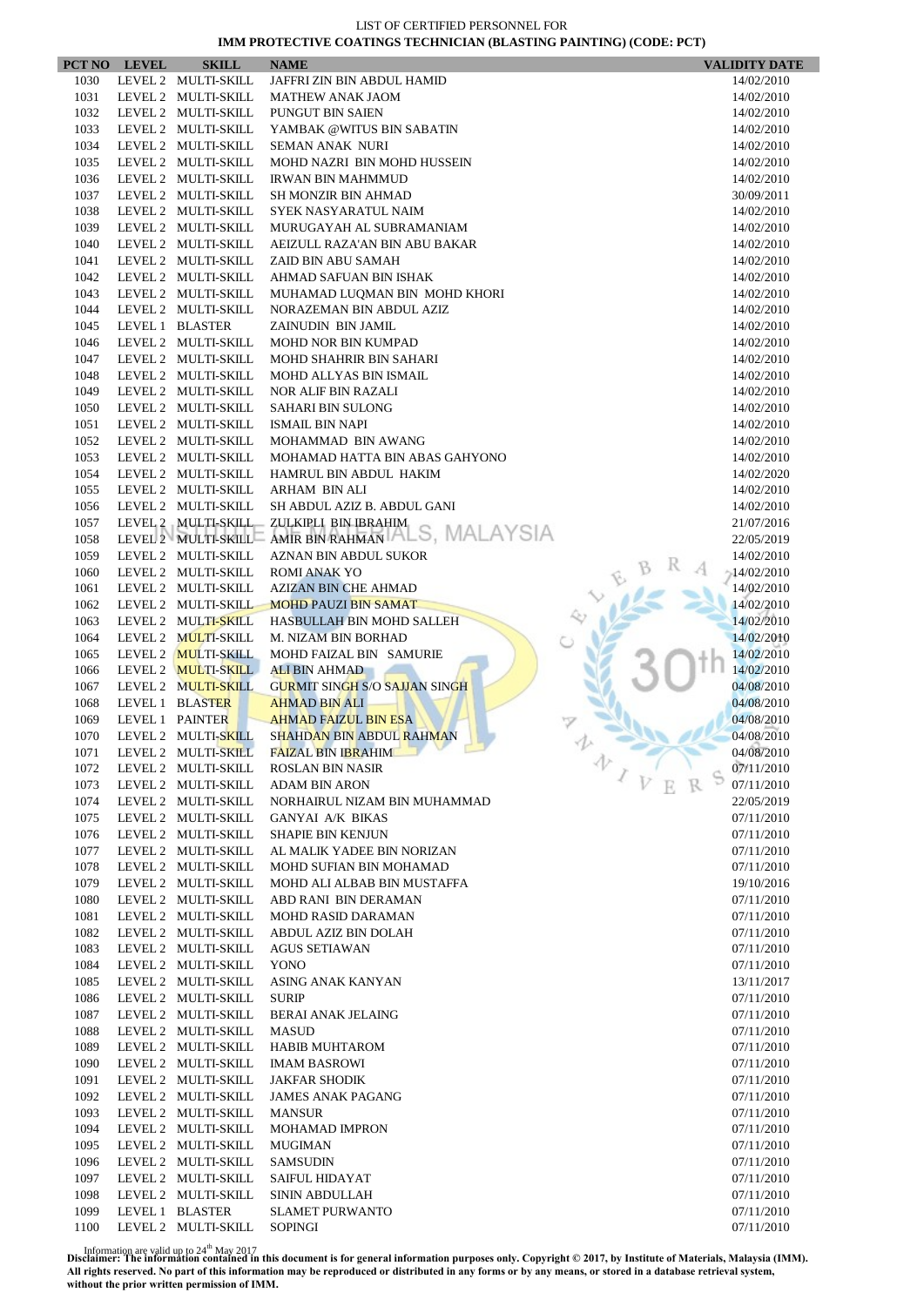|              | PCT NO LEVEL | <b>SKILL</b>                               | <b>NAME</b>                                           | <b>VALIDITY DATE</b>     |
|--------------|--------------|--------------------------------------------|-------------------------------------------------------|--------------------------|
| 1030         |              | LEVEL 2 MULTI-SKILL                        | JAFFRI ZIN BIN ABDUL HAMID                            | 14/02/2010               |
| 1031         |              | LEVEL 2 MULTI-SKILL                        | <b>MATHEW ANAK JAOM</b>                               | 14/02/2010               |
| 1032         |              | LEVEL 2 MULTI-SKILL                        | PUNGUT BIN SAIEN                                      | 14/02/2010               |
| 1033         |              | LEVEL 2 MULTI-SKILL                        | YAMBAK @WITUS BIN SABATIN                             | 14/02/2010               |
| 1034         |              | LEVEL 2 MULTI-SKILL                        | <b>SEMAN ANAK NURI</b>                                | 14/02/2010               |
| 1035         |              | LEVEL 2 MULTI-SKILL                        | MOHD NAZRI BIN MOHD HUSSEIN                           | 14/02/2010               |
| 1036         |              | LEVEL 2 MULTI-SKILL                        | <b>IRWAN BIN MAHMMUD</b>                              | 14/02/2010               |
| 1037         |              | LEVEL 2 MULTI-SKILL                        | <b>SH MONZIR BIN AHMAD</b>                            | 30/09/2011               |
| 1038         |              | LEVEL 2 MULTI-SKILL                        | SYEK NASYARATUL NAIM                                  | 14/02/2010               |
| 1039         |              | LEVEL 2 MULTI-SKILL                        | MURUGAYAH AL SUBRAMANIAM                              | 14/02/2010               |
| 1040         |              | LEVEL 2 MULTI-SKILL                        | AEIZULL RAZA'AN BIN ABU BAKAR                         | 14/02/2010               |
| 1041         |              | LEVEL 2 MULTI-SKILL                        | ZAID BIN ABU SAMAH                                    | 14/02/2010               |
| 1042         |              | LEVEL 2 MULTI-SKILL                        | AHMAD SAFUAN BIN ISHAK                                | 14/02/2010               |
| 1043         |              | LEVEL 2 MULTI-SKILL                        | MUHAMAD LUQMAN BIN MOHD KHORI                         | 14/02/2010               |
| 1044         |              | LEVEL 2 MULTI-SKILL                        | NORAZEMAN BIN ABDUL AZIZ                              | 14/02/2010               |
| 1045         |              | LEVEL 1 BLASTER                            | ZAINUDIN BIN JAMIL                                    | 14/02/2010               |
| 1046         |              | LEVEL 2 MULTI-SKILL                        | <b>MOHD NOR BIN KUMPAD</b>                            | 14/02/2010               |
| 1047         |              | LEVEL 2 MULTI-SKILL                        | MOHD SHAHRIR BIN SAHARI<br>MOHD ALLYAS BIN ISMAIL     | 14/02/2010               |
| 1048<br>1049 |              | LEVEL 2 MULTI-SKILL<br>LEVEL 2 MULTI-SKILL |                                                       | 14/02/2010               |
| 1050         |              | LEVEL 2 MULTI-SKILL                        | NOR ALIF BIN RAZALI<br><b>SAHARI BIN SULONG</b>       | 14/02/2010<br>14/02/2010 |
| 1051         |              | LEVEL 2 MULTI-SKILL                        | <b>ISMAIL BIN NAPI</b>                                | 14/02/2010               |
| 1052         |              | LEVEL 2 MULTI-SKILL                        | MOHAMMAD BIN AWANG                                    | 14/02/2010               |
| 1053         |              | LEVEL 2 MULTI-SKILL                        | MOHAMAD HATTA BIN ABAS GAHYONO                        | 14/02/2010               |
| 1054         |              | LEVEL 2 MULTI-SKILL                        | HAMRUL BIN ABDUL HAKIM                                | 14/02/2020               |
| 1055         |              | LEVEL 2 MULTI-SKILL                        | <b>ARHAM BIN ALI</b>                                  | 14/02/2010               |
| 1056         |              | LEVEL 2 MULTI-SKILL                        | SH ABDUL AZIZ B. ABDUL GANI                           | 14/02/2010               |
| 1057         |              | LEVEL 2 MULTI-SKILL                        | ZULKIPLI BIN IBRAHIM                                  | 21/07/2016               |
| 1058         |              |                                            | LEVEL 2 MULTI-SKILL AMIR BIN RAHMAN ALS, MALAYSIA     | 22/05/2019               |
| 1059         |              | LEVEL 2 MULTI-SKILL                        | AZNAN BIN ABDUL SUKOR                                 | 14/02/2010               |
| 1060         |              | LEVEL 2 MULTI-SKILL                        | <b>ROMI ANAK YO</b>                                   | $-14/02/2010$            |
| 1061         |              | LEVEL 2 MULTI-SKILL                        | <b>AZIZAN BIN CHE AHMAD</b>                           | 14/02/2010               |
| 1062         |              | LEVEL 2 MULTI-SKILL                        | <b>MOHD PAUZI BIN SAMAT</b>                           | 14/02/2010               |
| 1063         |              | LEVEL 2 MULTI-SKILL                        | HASBULLAH BIN MOHD SALLEH                             | 14/02/2010               |
| 1064         |              | LEVEL 2 MULTI-SKILL                        | <b>M. NIZAM BIN BORHAD</b>                            | 14/02/2010               |
| 1065         |              | LEVEL 2 MULTI-SKILL                        | MOHD FAIZAL BIN SAMURIE                               | 14/02/2010               |
| 1066         |              | LEVEL 2 MULTI-SKILL                        | <b>ALI BIN AHMAD</b>                                  | 14/02/2010               |
| 1067         |              | LEVEL 2 MULTI-SKILL                        | <b>GURMIT SINGH S/O SAJJAN SINGH</b>                  | 04/08/2010               |
| 1068         |              | LEVEL 1 BLASTER                            | <b>AHMAD BIN ALI</b>                                  | 04/08/2010               |
| 1069         |              | LEVEL 1 PAINTER                            | <b>AHMAD FAIZUL BIN ESA</b>                           | 04/08/2010               |
| 1070         |              | LEVEL 2 MULTI-SKILL                        | SHAHDAN BIN ABDUL RAHMAN                              | 04/08/2010               |
| 1071         |              | LEVEL 2 MULTI-SKILL                        | <b>FAIZAL BIN IBRAHIM</b>                             | 04/08/2010<br>办          |
| 1072         |              | LEVEL 2 MULTI-SKILL                        | <b>ROSLAN BIN NASIR</b>                               | 07/11/2010<br>$\sqrt{V}$ |
| 1073         |              | LEVEL 2 MULTI-SKILL                        | <b>ADAM BIN ARON</b>                                  | 07/11/2010               |
| 1074         |              | LEVEL 2 MULTI-SKILL                        | NORHAIRUL NIZAM BIN MUHAMMAD                          | 22/05/2019               |
| 1075         |              | LEVEL 2 MULTI-SKILL                        | <b>GANYAI A/K BIKAS</b>                               | 07/11/2010               |
| 1076         |              | LEVEL 2 MULTI-SKILL<br>LEVEL 2 MULTI-SKILL | <b>SHAPIE BIN KENJUN</b>                              | 07/11/2010               |
| 1077<br>1078 |              | LEVEL 2 MULTI-SKILL                        | AL MALIK YADEE BIN NORIZAN<br>MOHD SUFIAN BIN MOHAMAD | 07/11/2010<br>07/11/2010 |
| 1079         |              | LEVEL 2 MULTI-SKILL                        | MOHD ALI ALBAB BIN MUSTAFFA                           | 19/10/2016               |
| 1080         |              | LEVEL 2 MULTI-SKILL                        | ABD RANI BIN DERAMAN                                  | 07/11/2010               |
| 1081         |              | LEVEL 2 MULTI-SKILL                        | MOHD RASID DARAMAN                                    | 07/11/2010               |
| 1082         |              | LEVEL 2 MULTI-SKILL                        | ABDUL AZIZ BIN DOLAH                                  | 07/11/2010               |
| 1083         |              | LEVEL 2 MULTI-SKILL                        | <b>AGUS SETIAWAN</b>                                  | 07/11/2010               |
| 1084         |              | LEVEL 2 MULTI-SKILL                        | YONO                                                  | 07/11/2010               |
| 1085         |              | LEVEL 2 MULTI-SKILL                        | ASING ANAK KANYAN                                     | 13/11/2017               |
| 1086         |              | LEVEL 2 MULTI-SKILL                        | <b>SURIP</b>                                          | 07/11/2010               |
| 1087         |              | LEVEL 2 MULTI-SKILL                        | <b>BERAI ANAK JELAING</b>                             | 07/11/2010               |
| 1088         |              | LEVEL 2 MULTI-SKILL                        | <b>MASUD</b>                                          | 07/11/2010               |
| 1089         |              | LEVEL 2 MULTI-SKILL                        | <b>HABIB MUHTAROM</b>                                 | 07/11/2010               |
| 1090         |              | LEVEL 2 MULTI-SKILL                        | <b>IMAM BASROWI</b>                                   | 07/11/2010               |
| 1091         |              | LEVEL 2 MULTI-SKILL                        | <b>JAKFAR SHODIK</b>                                  | 07/11/2010               |
| 1092         |              | LEVEL 2 MULTI-SKILL                        | <b>JAMES ANAK PAGANG</b>                              | 07/11/2010               |
| 1093         |              | LEVEL 2 MULTI-SKILL                        | <b>MANSUR</b>                                         | 07/11/2010               |
| 1094         |              | LEVEL 2 MULTI-SKILL                        | <b>MOHAMAD IMPRON</b>                                 | 07/11/2010               |
| 1095         |              | LEVEL 2 MULTI-SKILL                        | <b>MUGIMAN</b>                                        | 07/11/2010               |
| 1096         |              | LEVEL 2 MULTI-SKILL                        | <b>SAMSUDIN</b>                                       | 07/11/2010               |
| 1097         |              | LEVEL 2 MULTI-SKILL                        | SAIFUL HIDAYAT                                        | 07/11/2010               |
| 1098         |              | LEVEL 2 MULTI-SKILL                        | SININ ABDULLAH                                        | 07/11/2010               |
| 1099         |              | LEVEL 1 BLASTER                            | <b>SLAMET PURWANTO</b>                                | 07/11/2010               |
| 1100         |              | LEVEL 2 MULTI-SKILL                        | <b>SOPINGI</b>                                        | 07/11/2010               |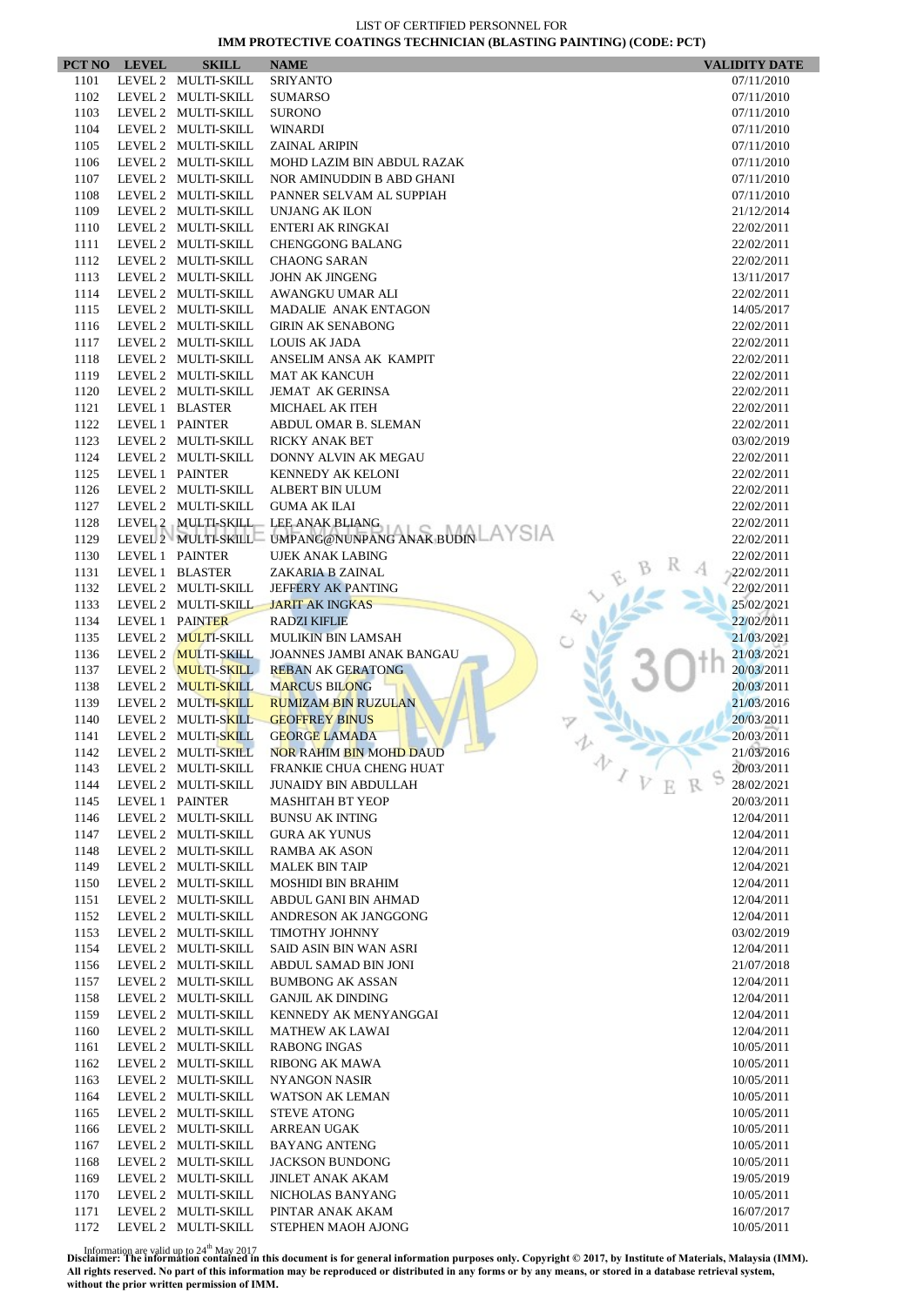|              | PCT NO LEVEL    | <b>SKILL</b>                               | <b>NAME</b>                                         | <b>VALIDITY DATE</b>         |
|--------------|-----------------|--------------------------------------------|-----------------------------------------------------|------------------------------|
| 1101         |                 | LEVEL 2 MULTI-SKILL                        | <b>SRIYANTO</b>                                     | 07/11/2010                   |
| 1102         |                 | LEVEL 2 MULTI-SKILL                        | <b>SUMARSO</b>                                      | 07/11/2010                   |
| 1103         |                 | LEVEL 2 MULTI-SKILL                        | <b>SURONO</b>                                       | 07/11/2010                   |
| 1104         |                 | LEVEL 2 MULTI-SKILL                        | WINARDI                                             | 07/11/2010                   |
| 1105         |                 | LEVEL 2 MULTI-SKILL                        | <b>ZAINAL ARIPIN</b>                                | 07/11/2010                   |
| 1106         |                 | LEVEL 2 MULTI-SKILL                        | MOHD LAZIM BIN ABDUL RAZAK                          | 07/11/2010                   |
| 1107         |                 | LEVEL 2 MULTI-SKILL                        | NOR AMINUDDIN B ABD GHANI                           | 07/11/2010                   |
| 1108         |                 | LEVEL 2 MULTI-SKILL                        | PANNER SELVAM AL SUPPIAH                            | 07/11/2010                   |
| 1109         |                 | LEVEL 2 MULTI-SKILL                        | <b>UNJANG AK ILON</b>                               | 21/12/2014                   |
| 1110         |                 | LEVEL 2 MULTI-SKILL                        | ENTERI AK RINGKAI                                   | 22/02/2011                   |
| 1111         |                 | LEVEL 2 MULTI-SKILL                        | <b>CHENGGONG BALANG</b>                             | 22/02/2011                   |
| 1112         |                 | LEVEL 2 MULTI-SKILL                        | <b>CHAONG SARAN</b>                                 | 22/02/2011                   |
| 1113         |                 | LEVEL 2 MULTI-SKILL                        | <b>JOHN AK JINGENG</b>                              | 13/11/2017                   |
| 1114<br>1115 |                 | LEVEL 2 MULTI-SKILL<br>LEVEL 2 MULTI-SKILL | AWANGKU UMAR ALI<br>MADALIE ANAK ENTAGON            | 22/02/2011                   |
| 1116         |                 | LEVEL 2 MULTI-SKILL                        | <b>GIRIN AK SENABONG</b>                            | 14/05/2017<br>22/02/2011     |
| 1117         |                 | LEVEL 2 MULTI-SKILL                        | LOUIS AK JADA                                       | 22/02/2011                   |
| 1118         |                 | LEVEL 2 MULTI-SKILL                        | ANSELIM ANSA AK KAMPIT                              | 22/02/2011                   |
| 1119         |                 | LEVEL 2 MULTI-SKILL                        | <b>MAT AK KANCUH</b>                                | 22/02/2011                   |
| 1120         |                 | LEVEL 2 MULTI-SKILL                        | <b>JEMAT AK GERINSA</b>                             | 22/02/2011                   |
| 1121         |                 | LEVEL 1 BLASTER                            | MICHAEL AK ITEH                                     | 22/02/2011                   |
| 1122         | LEVEL 1 PAINTER |                                            | ABDUL OMAR B. SLEMAN                                | 22/02/2011                   |
| 1123         |                 | LEVEL 2 MULTI-SKILL                        | <b>RICKY ANAK BET</b>                               | 03/02/2019                   |
| 1124         |                 | LEVEL 2 MULTI-SKILL                        | DONNY ALVIN AK MEGAU                                | 22/02/2011                   |
| 1125         | LEVEL 1 PAINTER |                                            | KENNEDY AK KELONI                                   | 22/02/2011                   |
| 1126         |                 | LEVEL 2 MULTI-SKILL                        | ALBERT BIN ULUM                                     | 22/02/2011                   |
| 1127         |                 | LEVEL 2 MULTI-SKILL                        | <b>GUMA AK ILAI</b>                                 | 22/02/2011                   |
| 1128         |                 |                                            | LEVEL 2 MULTI-SKILL LEE ANAK BLIANG                 | 22/02/2011                   |
| 1129         |                 |                                            | LEVEL 2 MULTI-SKILL UMPANG@NUNPANG ANAK BUDIN AYSIA | 22/02/2011                   |
| 1130         |                 | LEVEL 1 PAINTER                            | <b>UJEK ANAK LABING</b>                             | 22/02/2011                   |
| 1131         |                 | LEVEL 1 BLASTER                            | ZAKARIA B ZAINAL                                    | 22/02/2011                   |
| 1132         |                 | LEVEL 2 MULTI-SKILL                        | JEFFERY AK PANTING                                  | 22/02/2011                   |
| 1133         |                 | LEVEL 2 MULTI-SKILL                        | <b>JARIT AK INGKAS</b>                              | 25/02/2021                   |
| 1134         |                 | LEVEL 1 PAINTER                            | <b>RADZI KIFLIE</b>                                 | 22/02/2011                   |
| 1135         |                 | LEVEL 2 MULTI-SKILL                        | <b>MULIKIN BIN LAMSAH</b>                           | 21/03/2021                   |
| 1136         |                 | LEVEL 2 MULTI-SKILL                        | JOANNES JAMBI ANAK BANGAU                           | 21/03/2021                   |
| 1137         |                 | LEVEL 2 MULTI-SKILL                        | <b>REBAN AK GERATONG</b>                            | 20/03/2011                   |
| 1138         |                 | LEVEL 2 MULTI-SKILL                        | <b>MARCUS BILONG</b>                                | 20/03/2011                   |
| 1139         |                 | LEVEL 2 MULTI-SKILL                        | <b>RUMIZAM BIN RUZULAN</b>                          | 21/03/2016                   |
| 1140         |                 | LEVEL 2 MULTI-SKILL<br>LEVEL 2 MULTI-SKILL | <b>GEOFFREY BINUS</b>                               | 20/03/2011                   |
| 1141<br>1142 |                 | LEVEL 2 MULTI-SKILL                        | <b>GEORGE LAMADA</b><br>NOR RAHIM BIN MOHD DAUD     | 20/03/2011<br>21/03/2016     |
| 1143         |                 | LEVEL 2 MULTI-SKILL                        | FRANKIE CHUA CHENG HUAT                             | 办<br>20/03/2011              |
| 1144         |                 | LEVEL 2 MULTI-SKILL                        | <b>JUNAIDY BIN ABDULLAH</b>                         | $\overline{V}$<br>28/02/2021 |
| 1145         |                 | LEVEL 1 PAINTER                            | <b>MASHITAH BT YEOP</b>                             | 20/03/2011                   |
| 1146         |                 | LEVEL 2 MULTI-SKILL                        | <b>BUNSU AK INTING</b>                              | 12/04/2011                   |
| 1147         |                 | LEVEL 2 MULTI-SKILL                        | <b>GURA AK YUNUS</b>                                | 12/04/2011                   |
| 1148         |                 | LEVEL 2 MULTI-SKILL                        | <b>RAMBA AK ASON</b>                                | 12/04/2011                   |
| 1149         |                 | LEVEL 2 MULTI-SKILL                        | <b>MALEK BIN TAIP</b>                               | 12/04/2021                   |
| 1150         |                 | LEVEL 2 MULTI-SKILL                        | <b>MOSHIDI BIN BRAHIM</b>                           | 12/04/2011                   |
| 1151         |                 | LEVEL 2 MULTI-SKILL                        | ABDUL GANI BIN AHMAD                                | 12/04/2011                   |
| 1152         |                 | LEVEL 2 MULTI-SKILL                        | ANDRESON AK JANGGONG                                | 12/04/2011                   |
| 1153         |                 | LEVEL 2 MULTI-SKILL                        | TIMOTHY JOHNNY                                      | 03/02/2019                   |
| 1154         |                 | LEVEL 2 MULTI-SKILL                        | SAID ASIN BIN WAN ASRI                              | 12/04/2011                   |
| 1156         |                 | LEVEL 2 MULTI-SKILL                        | ABDUL SAMAD BIN JONI                                | 21/07/2018                   |
| 1157         |                 | LEVEL 2 MULTI-SKILL                        | <b>BUMBONG AK ASSAN</b>                             | 12/04/2011                   |
| 1158         |                 | LEVEL 2 MULTI-SKILL                        | <b>GANJIL AK DINDING</b>                            | 12/04/2011                   |
| 1159         |                 | LEVEL 2 MULTI-SKILL                        | KENNEDY AK MENYANGGAI                               | 12/04/2011                   |
| 1160         |                 | LEVEL 2 MULTI-SKILL                        | <b>MATHEW AK LAWAI</b>                              | 12/04/2011                   |
| 1161         |                 | LEVEL 2 MULTI-SKILL                        | <b>RABONG INGAS</b>                                 | 10/05/2011                   |
| 1162         |                 | LEVEL 2 MULTI-SKILL                        | RIBONG AK MAWA                                      | 10/05/2011                   |
| 1163         |                 | LEVEL 2 MULTI-SKILL                        | <b>NYANGON NASIR</b>                                | 10/05/2011                   |
| 1164         |                 | LEVEL 2 MULTI-SKILL                        | WATSON AK LEMAN                                     | 10/05/2011                   |
| 1165         |                 | LEVEL 2 MULTI-SKILL                        | <b>STEVE ATONG</b>                                  | 10/05/2011                   |
| 1166         |                 | LEVEL 2 MULTI-SKILL                        | ARREAN UGAK                                         | 10/05/2011                   |
| 1167         |                 | LEVEL 2 MULTI-SKILL                        | <b>BAYANG ANTENG</b>                                | 10/05/2011                   |
| 1168         |                 | LEVEL 2 MULTI-SKILL                        | <b>JACKSON BUNDONG</b>                              | 10/05/2011                   |
| 1169<br>1170 |                 | LEVEL 2 MULTI-SKILL<br>LEVEL 2 MULTI-SKILL | <b>JINLET ANAK AKAM</b><br>NICHOLAS BANYANG         | 19/05/2019<br>10/05/2011     |
| 1171         |                 | LEVEL 2 MULTI-SKILL                        | PINTAR ANAK AKAM                                    | 16/07/2017                   |
| 1172         |                 | LEVEL 2 MULTI-SKILL                        | STEPHEN MAOH AJONG                                  | 10/05/2011                   |
|              |                 |                                            |                                                     |                              |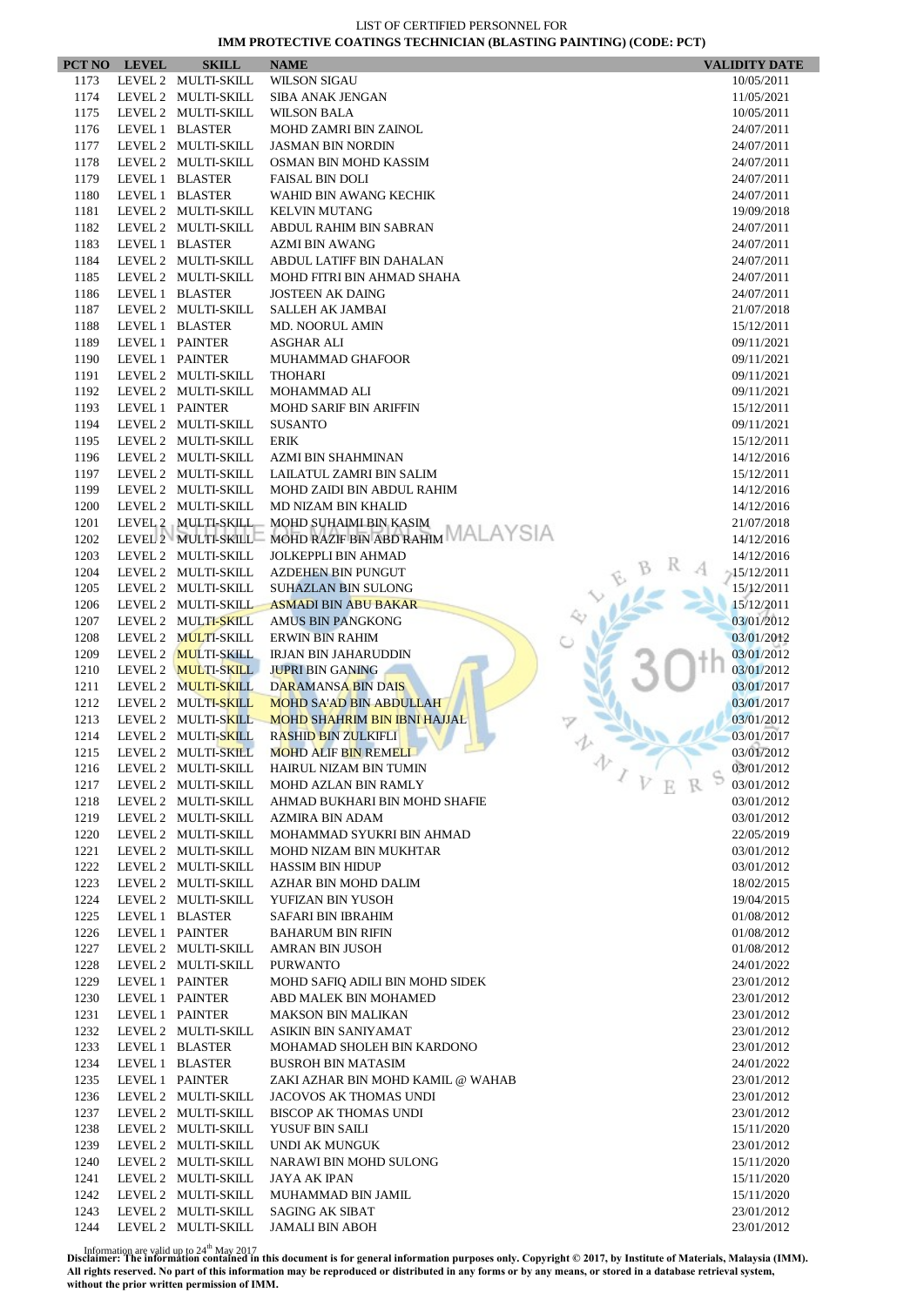| LEVEL 2 MULTI-SKILL<br><b>WILSON SIGAU</b><br>1173<br>10/05/2011<br>1174<br>LEVEL 2 MULTI-SKILL<br>11/05/2021<br><b>SIBA ANAK JENGAN</b><br>1175<br>LEVEL 2 MULTI-SKILL<br><b>WILSON BALA</b><br>10/05/2011<br>1176<br>LEVEL 1 BLASTER<br><b>MOHD ZAMRI BIN ZAINOL</b><br>24/07/2011<br>1177<br>LEVEL 2 MULTI-SKILL<br><b>JASMAN BIN NORDIN</b><br>24/07/2011<br>1178<br>LEVEL 2 MULTI-SKILL<br>OSMAN BIN MOHD KASSIM<br>24/07/2011<br>1179<br>LEVEL 1 BLASTER<br><b>FAISAL BIN DOLI</b><br>24/07/2011<br>1180<br>LEVEL 1 BLASTER<br>WAHID BIN AWANG KECHIK<br>24/07/2011<br>1181<br>LEVEL 2 MULTI-SKILL<br><b>KELVIN MUTANG</b><br>19/09/2018<br>1182<br>LEVEL 2 MULTI-SKILL<br>ABDUL RAHIM BIN SABRAN<br>24/07/2011<br>1183<br>LEVEL 1 BLASTER<br><b>AZMI BIN AWANG</b><br>24/07/2011<br>1184<br>LEVEL 2 MULTI-SKILL<br>ABDUL LATIFF BIN DAHALAN<br>24/07/2011<br>1185<br>LEVEL 2 MULTI-SKILL<br>MOHD FITRI BIN AHMAD SHAHA<br>24/07/2011<br>1186<br>LEVEL 1 BLASTER<br><b>JOSTEEN AK DAING</b><br>24/07/2011<br>1187<br>LEVEL 2 MULTI-SKILL<br>SALLEH AK JAMBAI<br>21/07/2018<br>1188<br>LEVEL 1 BLASTER<br><b>MD. NOORUL AMIN</b><br>15/12/2011<br>1189<br>LEVEL 1 PAINTER<br>ASGHAR ALI<br>09/11/2021<br>1190<br>LEVEL 1 PAINTER<br><b>MUHAMMAD GHAFOOR</b><br>09/11/2021<br>1191<br>LEVEL 2 MULTI-SKILL<br><b>THOHARI</b><br>09/11/2021<br>1192<br>LEVEL 2 MULTI-SKILL<br><b>MOHAMMAD ALI</b><br>09/11/2021<br>1193<br>LEVEL 1 PAINTER<br><b>MOHD SARIF BIN ARIFFIN</b><br>15/12/2011<br>1194<br>LEVEL 2 MULTI-SKILL<br><b>SUSANTO</b><br>09/11/2021<br>1195<br>LEVEL 2 MULTI-SKILL<br><b>ERIK</b><br>15/12/2011<br>1196<br>LEVEL 2 MULTI-SKILL<br>AZMI BIN SHAHMINAN<br>14/12/2016<br>1197<br>LEVEL 2 MULTI-SKILL<br>LAILATUL ZAMRI BIN SALIM<br>15/12/2011<br>1199<br>LEVEL 2 MULTI-SKILL<br>MOHD ZAIDI BIN ABDUL RAHIM<br>14/12/2016<br>1200<br>LEVEL 2 MULTI-SKILL<br>MD NIZAM BIN KHALID<br>14/12/2016<br>1201<br>LEVEL 2 MULTI-SKILL<br>MOHD SUHAIMI BIN KASIM<br>21/07/2018<br>MOHD RAZIF BIN ABD RAHIM MALAYSIA<br>LEVEL 2 MULTI-SKILL<br>1202<br>14/12/2016<br>1203<br>LEVEL 2 MULTI-SKILL<br>JOLKEPPLI BIN AHMAD<br>14/12/2016<br>1204<br>LEVEL 2 MULTI-SKILL<br><b>AZDEHEN BIN PUNGUT</b><br>$-15/12/2011$<br>1205<br>LEVEL 2 MULTI-SKILL<br><b>SUHAZLAN BIN SULONG</b><br>15/12/2011<br>1206<br>LEVEL 2 MULTI-SKILL<br><b>ASMADI BIN ABU BAKAR</b><br>15/12/2011<br>1207<br>LEVEL 2 MULTI-SKILL<br><b>AMUS BIN PANGKONG</b><br>03/01/2012<br>LEVEL 2 MULTI-SKILL<br>1208<br>03/01/2012<br><b>ERWIN BIN RAHIM</b><br>LEVEL 2 MULTI-SKILL<br>1209<br><b>IRJAN BIN JAHARUDDIN</b><br>03/01/2012<br>1210<br>LEVEL 2 MULTI-SKILL<br><b>JUPRI BIN GANING</b><br>03/01/2012<br>1211<br>LEVEL 2 MULTI-SKILL<br>DARAMANSA BIN DAIS<br>03/01/2017<br>1212<br>LEVEL 2 MULTI-SKILL<br><b>MOHD SA'AD BIN ABDULLAH</b><br>03/01/2017<br>1213<br>LEVEL 2 MULTI-SKILL<br><b>MOHD SHAHRIM BIN IBNI HAJJAL</b><br>03/01/2012<br>1214<br>LEVEL 2 MULTI-SKILL<br>03/01/2017<br><b>RASHID BIN ZULKIFLI</b><br>1215<br>LEVEL 2 MULTI-SKILL<br>03/01/2012<br><b>MOHD ALIF BIN REMELI</b><br>办<br>03/01/2012<br>1216<br>LEVEL 2 MULTI-SKILL<br>HAIRUL NIZAM BIN TUMIN<br>03/01/2012<br>1217<br>LEVEL 2 MULTI-SKILL<br>MOHD AZLAN BIN RAMLY<br>1218<br>LEVEL 2 MULTI-SKILL<br>AHMAD BUKHARI BIN MOHD SHAFIE<br>03/01/2012<br>1219<br>LEVEL 2 MULTI-SKILL<br>AZMIRA BIN ADAM<br>03/01/2012<br>1220<br>LEVEL 2 MULTI-SKILL<br>MOHAMMAD SYUKRI BIN AHMAD<br>22/05/2019<br>1221<br>LEVEL 2 MULTI-SKILL<br>MOHD NIZAM BIN MUKHTAR<br>03/01/2012<br>1222<br>LEVEL 2 MULTI-SKILL<br><b>HASSIM BIN HIDUP</b><br>03/01/2012<br>1223<br>LEVEL 2 MULTI-SKILL<br>AZHAR BIN MOHD DALIM<br>18/02/2015<br>1224<br>LEVEL 2 MULTI-SKILL<br>YUFIZAN BIN YUSOH<br>19/04/2015<br>1225<br>LEVEL 1 BLASTER<br>SAFARI BIN IBRAHIM<br>01/08/2012<br>1226<br>LEVEL 1 PAINTER<br><b>BAHARUM BIN RIFIN</b><br>01/08/2012<br>1227<br>LEVEL 2 MULTI-SKILL<br>AMRAN BIN JUSOH<br>01/08/2012<br>1228<br>LEVEL 2 MULTI-SKILL<br><b>PURWANTO</b><br>24/01/2022<br>1229<br>MOHD SAFIQ ADILI BIN MOHD SIDEK<br>LEVEL 1 PAINTER<br>23/01/2012<br>1230<br>LEVEL 1 PAINTER<br>ABD MALEK BIN MOHAMED<br>23/01/2012<br>1231<br>LEVEL 1 PAINTER<br><b>MAKSON BIN MALIKAN</b><br>23/01/2012<br>1232<br>LEVEL 2 MULTI-SKILL<br>ASIKIN BIN SANIYAMAT<br>23/01/2012<br>1233<br>LEVEL 1 BLASTER<br>MOHAMAD SHOLEH BIN KARDONO<br>23/01/2012<br>1234<br>LEVEL 1 BLASTER<br><b>BUSROH BIN MATASIM</b><br>24/01/2022<br>1235<br>LEVEL 1 PAINTER<br>ZAKI AZHAR BIN MOHD KAMIL @ WAHAB<br>23/01/2012<br>1236<br>LEVEL 2 MULTI-SKILL<br>JACOVOS AK THOMAS UNDI<br>23/01/2012<br>1237<br>LEVEL 2 MULTI-SKILL<br>BISCOP AK THOMAS UNDI<br>23/01/2012<br>1238<br>LEVEL 2 MULTI-SKILL<br>YUSUF BIN SAILI<br>15/11/2020<br>1239<br>LEVEL 2 MULTI-SKILL<br>UNDI AK MUNGUK<br>23/01/2012<br>1240<br>LEVEL 2 MULTI-SKILL<br>NARAWI BIN MOHD SULONG<br>15/11/2020<br>1241<br>LEVEL 2 MULTI-SKILL<br>JAYA AK IPAN<br>15/11/2020<br>1242<br>LEVEL 2 MULTI-SKILL<br>MUHAMMAD BIN JAMIL<br>15/11/2020<br>1243<br>LEVEL 2 MULTI-SKILL<br><b>SAGING AK SIBAT</b><br>23/01/2012<br>1244<br>LEVEL 2 MULTI-SKILL<br>JAMALI BIN ABOH<br>23/01/2012 | PCT NO LEVEL | <b>SKILL</b> | <b>NAME</b> | <b>VALIDITY DATE</b> |
|----------------------------------------------------------------------------------------------------------------------------------------------------------------------------------------------------------------------------------------------------------------------------------------------------------------------------------------------------------------------------------------------------------------------------------------------------------------------------------------------------------------------------------------------------------------------------------------------------------------------------------------------------------------------------------------------------------------------------------------------------------------------------------------------------------------------------------------------------------------------------------------------------------------------------------------------------------------------------------------------------------------------------------------------------------------------------------------------------------------------------------------------------------------------------------------------------------------------------------------------------------------------------------------------------------------------------------------------------------------------------------------------------------------------------------------------------------------------------------------------------------------------------------------------------------------------------------------------------------------------------------------------------------------------------------------------------------------------------------------------------------------------------------------------------------------------------------------------------------------------------------------------------------------------------------------------------------------------------------------------------------------------------------------------------------------------------------------------------------------------------------------------------------------------------------------------------------------------------------------------------------------------------------------------------------------------------------------------------------------------------------------------------------------------------------------------------------------------------------------------------------------------------------------------------------------------------------------------------------------------------------------------------------------------------------------------------------------------------------------------------------------------------------------------------------------------------------------------------------------------------------------------------------------------------------------------------------------------------------------------------------------------------------------------------------------------------------------------------------------------------------------------------------------------------------------------------------------------------------------------------------------------------------------------------------------------------------------------------------------------------------------------------------------------------------------------------------------------------------------------------------------------------------------------------------------------------------------------------------------------------------------------------------------------------------------------------------------------------------------------------------------------------------------------------------------------------------------------------------------------------------------------------------------------------------------------------------------------------------------------------------------------------------------------------------------------------------------------------------------------------------------------------------------------------------------------------------------------------------------------------------------------------------------------------------------------------------------------------------------------------------------------------------------------------------------------------------------------------------------------------------------------------------------------------------------------------------------------------------------------------------------------------------------------------------------------------------------------------------------------------------------------------------------------------------------------------------------------------------------------------------------------------------------------------------------------------------------------------------------------------------------------------------------------------------------------------------------------------------------------------------------------------------------------|--------------|--------------|-------------|----------------------|
|                                                                                                                                                                                                                                                                                                                                                                                                                                                                                                                                                                                                                                                                                                                                                                                                                                                                                                                                                                                                                                                                                                                                                                                                                                                                                                                                                                                                                                                                                                                                                                                                                                                                                                                                                                                                                                                                                                                                                                                                                                                                                                                                                                                                                                                                                                                                                                                                                                                                                                                                                                                                                                                                                                                                                                                                                                                                                                                                                                                                                                                                                                                                                                                                                                                                                                                                                                                                                                                                                                                                                                                                                                                                                                                                                                                                                                                                                                                                                                                                                                                                                                                                                                                                                                                                                                                                                                                                                                                                                                                                                                                                                                                                                                                                                                                                                                                                                                                                                                                                                                                                                                                                                                      |              |              |             |                      |
|                                                                                                                                                                                                                                                                                                                                                                                                                                                                                                                                                                                                                                                                                                                                                                                                                                                                                                                                                                                                                                                                                                                                                                                                                                                                                                                                                                                                                                                                                                                                                                                                                                                                                                                                                                                                                                                                                                                                                                                                                                                                                                                                                                                                                                                                                                                                                                                                                                                                                                                                                                                                                                                                                                                                                                                                                                                                                                                                                                                                                                                                                                                                                                                                                                                                                                                                                                                                                                                                                                                                                                                                                                                                                                                                                                                                                                                                                                                                                                                                                                                                                                                                                                                                                                                                                                                                                                                                                                                                                                                                                                                                                                                                                                                                                                                                                                                                                                                                                                                                                                                                                                                                                                      |              |              |             |                      |
|                                                                                                                                                                                                                                                                                                                                                                                                                                                                                                                                                                                                                                                                                                                                                                                                                                                                                                                                                                                                                                                                                                                                                                                                                                                                                                                                                                                                                                                                                                                                                                                                                                                                                                                                                                                                                                                                                                                                                                                                                                                                                                                                                                                                                                                                                                                                                                                                                                                                                                                                                                                                                                                                                                                                                                                                                                                                                                                                                                                                                                                                                                                                                                                                                                                                                                                                                                                                                                                                                                                                                                                                                                                                                                                                                                                                                                                                                                                                                                                                                                                                                                                                                                                                                                                                                                                                                                                                                                                                                                                                                                                                                                                                                                                                                                                                                                                                                                                                                                                                                                                                                                                                                                      |              |              |             |                      |
|                                                                                                                                                                                                                                                                                                                                                                                                                                                                                                                                                                                                                                                                                                                                                                                                                                                                                                                                                                                                                                                                                                                                                                                                                                                                                                                                                                                                                                                                                                                                                                                                                                                                                                                                                                                                                                                                                                                                                                                                                                                                                                                                                                                                                                                                                                                                                                                                                                                                                                                                                                                                                                                                                                                                                                                                                                                                                                                                                                                                                                                                                                                                                                                                                                                                                                                                                                                                                                                                                                                                                                                                                                                                                                                                                                                                                                                                                                                                                                                                                                                                                                                                                                                                                                                                                                                                                                                                                                                                                                                                                                                                                                                                                                                                                                                                                                                                                                                                                                                                                                                                                                                                                                      |              |              |             |                      |
|                                                                                                                                                                                                                                                                                                                                                                                                                                                                                                                                                                                                                                                                                                                                                                                                                                                                                                                                                                                                                                                                                                                                                                                                                                                                                                                                                                                                                                                                                                                                                                                                                                                                                                                                                                                                                                                                                                                                                                                                                                                                                                                                                                                                                                                                                                                                                                                                                                                                                                                                                                                                                                                                                                                                                                                                                                                                                                                                                                                                                                                                                                                                                                                                                                                                                                                                                                                                                                                                                                                                                                                                                                                                                                                                                                                                                                                                                                                                                                                                                                                                                                                                                                                                                                                                                                                                                                                                                                                                                                                                                                                                                                                                                                                                                                                                                                                                                                                                                                                                                                                                                                                                                                      |              |              |             |                      |
|                                                                                                                                                                                                                                                                                                                                                                                                                                                                                                                                                                                                                                                                                                                                                                                                                                                                                                                                                                                                                                                                                                                                                                                                                                                                                                                                                                                                                                                                                                                                                                                                                                                                                                                                                                                                                                                                                                                                                                                                                                                                                                                                                                                                                                                                                                                                                                                                                                                                                                                                                                                                                                                                                                                                                                                                                                                                                                                                                                                                                                                                                                                                                                                                                                                                                                                                                                                                                                                                                                                                                                                                                                                                                                                                                                                                                                                                                                                                                                                                                                                                                                                                                                                                                                                                                                                                                                                                                                                                                                                                                                                                                                                                                                                                                                                                                                                                                                                                                                                                                                                                                                                                                                      |              |              |             |                      |
|                                                                                                                                                                                                                                                                                                                                                                                                                                                                                                                                                                                                                                                                                                                                                                                                                                                                                                                                                                                                                                                                                                                                                                                                                                                                                                                                                                                                                                                                                                                                                                                                                                                                                                                                                                                                                                                                                                                                                                                                                                                                                                                                                                                                                                                                                                                                                                                                                                                                                                                                                                                                                                                                                                                                                                                                                                                                                                                                                                                                                                                                                                                                                                                                                                                                                                                                                                                                                                                                                                                                                                                                                                                                                                                                                                                                                                                                                                                                                                                                                                                                                                                                                                                                                                                                                                                                                                                                                                                                                                                                                                                                                                                                                                                                                                                                                                                                                                                                                                                                                                                                                                                                                                      |              |              |             |                      |
|                                                                                                                                                                                                                                                                                                                                                                                                                                                                                                                                                                                                                                                                                                                                                                                                                                                                                                                                                                                                                                                                                                                                                                                                                                                                                                                                                                                                                                                                                                                                                                                                                                                                                                                                                                                                                                                                                                                                                                                                                                                                                                                                                                                                                                                                                                                                                                                                                                                                                                                                                                                                                                                                                                                                                                                                                                                                                                                                                                                                                                                                                                                                                                                                                                                                                                                                                                                                                                                                                                                                                                                                                                                                                                                                                                                                                                                                                                                                                                                                                                                                                                                                                                                                                                                                                                                                                                                                                                                                                                                                                                                                                                                                                                                                                                                                                                                                                                                                                                                                                                                                                                                                                                      |              |              |             |                      |
|                                                                                                                                                                                                                                                                                                                                                                                                                                                                                                                                                                                                                                                                                                                                                                                                                                                                                                                                                                                                                                                                                                                                                                                                                                                                                                                                                                                                                                                                                                                                                                                                                                                                                                                                                                                                                                                                                                                                                                                                                                                                                                                                                                                                                                                                                                                                                                                                                                                                                                                                                                                                                                                                                                                                                                                                                                                                                                                                                                                                                                                                                                                                                                                                                                                                                                                                                                                                                                                                                                                                                                                                                                                                                                                                                                                                                                                                                                                                                                                                                                                                                                                                                                                                                                                                                                                                                                                                                                                                                                                                                                                                                                                                                                                                                                                                                                                                                                                                                                                                                                                                                                                                                                      |              |              |             |                      |
|                                                                                                                                                                                                                                                                                                                                                                                                                                                                                                                                                                                                                                                                                                                                                                                                                                                                                                                                                                                                                                                                                                                                                                                                                                                                                                                                                                                                                                                                                                                                                                                                                                                                                                                                                                                                                                                                                                                                                                                                                                                                                                                                                                                                                                                                                                                                                                                                                                                                                                                                                                                                                                                                                                                                                                                                                                                                                                                                                                                                                                                                                                                                                                                                                                                                                                                                                                                                                                                                                                                                                                                                                                                                                                                                                                                                                                                                                                                                                                                                                                                                                                                                                                                                                                                                                                                                                                                                                                                                                                                                                                                                                                                                                                                                                                                                                                                                                                                                                                                                                                                                                                                                                                      |              |              |             |                      |
|                                                                                                                                                                                                                                                                                                                                                                                                                                                                                                                                                                                                                                                                                                                                                                                                                                                                                                                                                                                                                                                                                                                                                                                                                                                                                                                                                                                                                                                                                                                                                                                                                                                                                                                                                                                                                                                                                                                                                                                                                                                                                                                                                                                                                                                                                                                                                                                                                                                                                                                                                                                                                                                                                                                                                                                                                                                                                                                                                                                                                                                                                                                                                                                                                                                                                                                                                                                                                                                                                                                                                                                                                                                                                                                                                                                                                                                                                                                                                                                                                                                                                                                                                                                                                                                                                                                                                                                                                                                                                                                                                                                                                                                                                                                                                                                                                                                                                                                                                                                                                                                                                                                                                                      |              |              |             |                      |
|                                                                                                                                                                                                                                                                                                                                                                                                                                                                                                                                                                                                                                                                                                                                                                                                                                                                                                                                                                                                                                                                                                                                                                                                                                                                                                                                                                                                                                                                                                                                                                                                                                                                                                                                                                                                                                                                                                                                                                                                                                                                                                                                                                                                                                                                                                                                                                                                                                                                                                                                                                                                                                                                                                                                                                                                                                                                                                                                                                                                                                                                                                                                                                                                                                                                                                                                                                                                                                                                                                                                                                                                                                                                                                                                                                                                                                                                                                                                                                                                                                                                                                                                                                                                                                                                                                                                                                                                                                                                                                                                                                                                                                                                                                                                                                                                                                                                                                                                                                                                                                                                                                                                                                      |              |              |             |                      |
|                                                                                                                                                                                                                                                                                                                                                                                                                                                                                                                                                                                                                                                                                                                                                                                                                                                                                                                                                                                                                                                                                                                                                                                                                                                                                                                                                                                                                                                                                                                                                                                                                                                                                                                                                                                                                                                                                                                                                                                                                                                                                                                                                                                                                                                                                                                                                                                                                                                                                                                                                                                                                                                                                                                                                                                                                                                                                                                                                                                                                                                                                                                                                                                                                                                                                                                                                                                                                                                                                                                                                                                                                                                                                                                                                                                                                                                                                                                                                                                                                                                                                                                                                                                                                                                                                                                                                                                                                                                                                                                                                                                                                                                                                                                                                                                                                                                                                                                                                                                                                                                                                                                                                                      |              |              |             |                      |
|                                                                                                                                                                                                                                                                                                                                                                                                                                                                                                                                                                                                                                                                                                                                                                                                                                                                                                                                                                                                                                                                                                                                                                                                                                                                                                                                                                                                                                                                                                                                                                                                                                                                                                                                                                                                                                                                                                                                                                                                                                                                                                                                                                                                                                                                                                                                                                                                                                                                                                                                                                                                                                                                                                                                                                                                                                                                                                                                                                                                                                                                                                                                                                                                                                                                                                                                                                                                                                                                                                                                                                                                                                                                                                                                                                                                                                                                                                                                                                                                                                                                                                                                                                                                                                                                                                                                                                                                                                                                                                                                                                                                                                                                                                                                                                                                                                                                                                                                                                                                                                                                                                                                                                      |              |              |             |                      |
|                                                                                                                                                                                                                                                                                                                                                                                                                                                                                                                                                                                                                                                                                                                                                                                                                                                                                                                                                                                                                                                                                                                                                                                                                                                                                                                                                                                                                                                                                                                                                                                                                                                                                                                                                                                                                                                                                                                                                                                                                                                                                                                                                                                                                                                                                                                                                                                                                                                                                                                                                                                                                                                                                                                                                                                                                                                                                                                                                                                                                                                                                                                                                                                                                                                                                                                                                                                                                                                                                                                                                                                                                                                                                                                                                                                                                                                                                                                                                                                                                                                                                                                                                                                                                                                                                                                                                                                                                                                                                                                                                                                                                                                                                                                                                                                                                                                                                                                                                                                                                                                                                                                                                                      |              |              |             |                      |
|                                                                                                                                                                                                                                                                                                                                                                                                                                                                                                                                                                                                                                                                                                                                                                                                                                                                                                                                                                                                                                                                                                                                                                                                                                                                                                                                                                                                                                                                                                                                                                                                                                                                                                                                                                                                                                                                                                                                                                                                                                                                                                                                                                                                                                                                                                                                                                                                                                                                                                                                                                                                                                                                                                                                                                                                                                                                                                                                                                                                                                                                                                                                                                                                                                                                                                                                                                                                                                                                                                                                                                                                                                                                                                                                                                                                                                                                                                                                                                                                                                                                                                                                                                                                                                                                                                                                                                                                                                                                                                                                                                                                                                                                                                                                                                                                                                                                                                                                                                                                                                                                                                                                                                      |              |              |             |                      |
|                                                                                                                                                                                                                                                                                                                                                                                                                                                                                                                                                                                                                                                                                                                                                                                                                                                                                                                                                                                                                                                                                                                                                                                                                                                                                                                                                                                                                                                                                                                                                                                                                                                                                                                                                                                                                                                                                                                                                                                                                                                                                                                                                                                                                                                                                                                                                                                                                                                                                                                                                                                                                                                                                                                                                                                                                                                                                                                                                                                                                                                                                                                                                                                                                                                                                                                                                                                                                                                                                                                                                                                                                                                                                                                                                                                                                                                                                                                                                                                                                                                                                                                                                                                                                                                                                                                                                                                                                                                                                                                                                                                                                                                                                                                                                                                                                                                                                                                                                                                                                                                                                                                                                                      |              |              |             |                      |
|                                                                                                                                                                                                                                                                                                                                                                                                                                                                                                                                                                                                                                                                                                                                                                                                                                                                                                                                                                                                                                                                                                                                                                                                                                                                                                                                                                                                                                                                                                                                                                                                                                                                                                                                                                                                                                                                                                                                                                                                                                                                                                                                                                                                                                                                                                                                                                                                                                                                                                                                                                                                                                                                                                                                                                                                                                                                                                                                                                                                                                                                                                                                                                                                                                                                                                                                                                                                                                                                                                                                                                                                                                                                                                                                                                                                                                                                                                                                                                                                                                                                                                                                                                                                                                                                                                                                                                                                                                                                                                                                                                                                                                                                                                                                                                                                                                                                                                                                                                                                                                                                                                                                                                      |              |              |             |                      |
|                                                                                                                                                                                                                                                                                                                                                                                                                                                                                                                                                                                                                                                                                                                                                                                                                                                                                                                                                                                                                                                                                                                                                                                                                                                                                                                                                                                                                                                                                                                                                                                                                                                                                                                                                                                                                                                                                                                                                                                                                                                                                                                                                                                                                                                                                                                                                                                                                                                                                                                                                                                                                                                                                                                                                                                                                                                                                                                                                                                                                                                                                                                                                                                                                                                                                                                                                                                                                                                                                                                                                                                                                                                                                                                                                                                                                                                                                                                                                                                                                                                                                                                                                                                                                                                                                                                                                                                                                                                                                                                                                                                                                                                                                                                                                                                                                                                                                                                                                                                                                                                                                                                                                                      |              |              |             |                      |
|                                                                                                                                                                                                                                                                                                                                                                                                                                                                                                                                                                                                                                                                                                                                                                                                                                                                                                                                                                                                                                                                                                                                                                                                                                                                                                                                                                                                                                                                                                                                                                                                                                                                                                                                                                                                                                                                                                                                                                                                                                                                                                                                                                                                                                                                                                                                                                                                                                                                                                                                                                                                                                                                                                                                                                                                                                                                                                                                                                                                                                                                                                                                                                                                                                                                                                                                                                                                                                                                                                                                                                                                                                                                                                                                                                                                                                                                                                                                                                                                                                                                                                                                                                                                                                                                                                                                                                                                                                                                                                                                                                                                                                                                                                                                                                                                                                                                                                                                                                                                                                                                                                                                                                      |              |              |             |                      |
|                                                                                                                                                                                                                                                                                                                                                                                                                                                                                                                                                                                                                                                                                                                                                                                                                                                                                                                                                                                                                                                                                                                                                                                                                                                                                                                                                                                                                                                                                                                                                                                                                                                                                                                                                                                                                                                                                                                                                                                                                                                                                                                                                                                                                                                                                                                                                                                                                                                                                                                                                                                                                                                                                                                                                                                                                                                                                                                                                                                                                                                                                                                                                                                                                                                                                                                                                                                                                                                                                                                                                                                                                                                                                                                                                                                                                                                                                                                                                                                                                                                                                                                                                                                                                                                                                                                                                                                                                                                                                                                                                                                                                                                                                                                                                                                                                                                                                                                                                                                                                                                                                                                                                                      |              |              |             |                      |
|                                                                                                                                                                                                                                                                                                                                                                                                                                                                                                                                                                                                                                                                                                                                                                                                                                                                                                                                                                                                                                                                                                                                                                                                                                                                                                                                                                                                                                                                                                                                                                                                                                                                                                                                                                                                                                                                                                                                                                                                                                                                                                                                                                                                                                                                                                                                                                                                                                                                                                                                                                                                                                                                                                                                                                                                                                                                                                                                                                                                                                                                                                                                                                                                                                                                                                                                                                                                                                                                                                                                                                                                                                                                                                                                                                                                                                                                                                                                                                                                                                                                                                                                                                                                                                                                                                                                                                                                                                                                                                                                                                                                                                                                                                                                                                                                                                                                                                                                                                                                                                                                                                                                                                      |              |              |             |                      |
|                                                                                                                                                                                                                                                                                                                                                                                                                                                                                                                                                                                                                                                                                                                                                                                                                                                                                                                                                                                                                                                                                                                                                                                                                                                                                                                                                                                                                                                                                                                                                                                                                                                                                                                                                                                                                                                                                                                                                                                                                                                                                                                                                                                                                                                                                                                                                                                                                                                                                                                                                                                                                                                                                                                                                                                                                                                                                                                                                                                                                                                                                                                                                                                                                                                                                                                                                                                                                                                                                                                                                                                                                                                                                                                                                                                                                                                                                                                                                                                                                                                                                                                                                                                                                                                                                                                                                                                                                                                                                                                                                                                                                                                                                                                                                                                                                                                                                                                                                                                                                                                                                                                                                                      |              |              |             |                      |
|                                                                                                                                                                                                                                                                                                                                                                                                                                                                                                                                                                                                                                                                                                                                                                                                                                                                                                                                                                                                                                                                                                                                                                                                                                                                                                                                                                                                                                                                                                                                                                                                                                                                                                                                                                                                                                                                                                                                                                                                                                                                                                                                                                                                                                                                                                                                                                                                                                                                                                                                                                                                                                                                                                                                                                                                                                                                                                                                                                                                                                                                                                                                                                                                                                                                                                                                                                                                                                                                                                                                                                                                                                                                                                                                                                                                                                                                                                                                                                                                                                                                                                                                                                                                                                                                                                                                                                                                                                                                                                                                                                                                                                                                                                                                                                                                                                                                                                                                                                                                                                                                                                                                                                      |              |              |             |                      |
|                                                                                                                                                                                                                                                                                                                                                                                                                                                                                                                                                                                                                                                                                                                                                                                                                                                                                                                                                                                                                                                                                                                                                                                                                                                                                                                                                                                                                                                                                                                                                                                                                                                                                                                                                                                                                                                                                                                                                                                                                                                                                                                                                                                                                                                                                                                                                                                                                                                                                                                                                                                                                                                                                                                                                                                                                                                                                                                                                                                                                                                                                                                                                                                                                                                                                                                                                                                                                                                                                                                                                                                                                                                                                                                                                                                                                                                                                                                                                                                                                                                                                                                                                                                                                                                                                                                                                                                                                                                                                                                                                                                                                                                                                                                                                                                                                                                                                                                                                                                                                                                                                                                                                                      |              |              |             |                      |
|                                                                                                                                                                                                                                                                                                                                                                                                                                                                                                                                                                                                                                                                                                                                                                                                                                                                                                                                                                                                                                                                                                                                                                                                                                                                                                                                                                                                                                                                                                                                                                                                                                                                                                                                                                                                                                                                                                                                                                                                                                                                                                                                                                                                                                                                                                                                                                                                                                                                                                                                                                                                                                                                                                                                                                                                                                                                                                                                                                                                                                                                                                                                                                                                                                                                                                                                                                                                                                                                                                                                                                                                                                                                                                                                                                                                                                                                                                                                                                                                                                                                                                                                                                                                                                                                                                                                                                                                                                                                                                                                                                                                                                                                                                                                                                                                                                                                                                                                                                                                                                                                                                                                                                      |              |              |             |                      |
|                                                                                                                                                                                                                                                                                                                                                                                                                                                                                                                                                                                                                                                                                                                                                                                                                                                                                                                                                                                                                                                                                                                                                                                                                                                                                                                                                                                                                                                                                                                                                                                                                                                                                                                                                                                                                                                                                                                                                                                                                                                                                                                                                                                                                                                                                                                                                                                                                                                                                                                                                                                                                                                                                                                                                                                                                                                                                                                                                                                                                                                                                                                                                                                                                                                                                                                                                                                                                                                                                                                                                                                                                                                                                                                                                                                                                                                                                                                                                                                                                                                                                                                                                                                                                                                                                                                                                                                                                                                                                                                                                                                                                                                                                                                                                                                                                                                                                                                                                                                                                                                                                                                                                                      |              |              |             |                      |
|                                                                                                                                                                                                                                                                                                                                                                                                                                                                                                                                                                                                                                                                                                                                                                                                                                                                                                                                                                                                                                                                                                                                                                                                                                                                                                                                                                                                                                                                                                                                                                                                                                                                                                                                                                                                                                                                                                                                                                                                                                                                                                                                                                                                                                                                                                                                                                                                                                                                                                                                                                                                                                                                                                                                                                                                                                                                                                                                                                                                                                                                                                                                                                                                                                                                                                                                                                                                                                                                                                                                                                                                                                                                                                                                                                                                                                                                                                                                                                                                                                                                                                                                                                                                                                                                                                                                                                                                                                                                                                                                                                                                                                                                                                                                                                                                                                                                                                                                                                                                                                                                                                                                                                      |              |              |             |                      |
|                                                                                                                                                                                                                                                                                                                                                                                                                                                                                                                                                                                                                                                                                                                                                                                                                                                                                                                                                                                                                                                                                                                                                                                                                                                                                                                                                                                                                                                                                                                                                                                                                                                                                                                                                                                                                                                                                                                                                                                                                                                                                                                                                                                                                                                                                                                                                                                                                                                                                                                                                                                                                                                                                                                                                                                                                                                                                                                                                                                                                                                                                                                                                                                                                                                                                                                                                                                                                                                                                                                                                                                                                                                                                                                                                                                                                                                                                                                                                                                                                                                                                                                                                                                                                                                                                                                                                                                                                                                                                                                                                                                                                                                                                                                                                                                                                                                                                                                                                                                                                                                                                                                                                                      |              |              |             |                      |
|                                                                                                                                                                                                                                                                                                                                                                                                                                                                                                                                                                                                                                                                                                                                                                                                                                                                                                                                                                                                                                                                                                                                                                                                                                                                                                                                                                                                                                                                                                                                                                                                                                                                                                                                                                                                                                                                                                                                                                                                                                                                                                                                                                                                                                                                                                                                                                                                                                                                                                                                                                                                                                                                                                                                                                                                                                                                                                                                                                                                                                                                                                                                                                                                                                                                                                                                                                                                                                                                                                                                                                                                                                                                                                                                                                                                                                                                                                                                                                                                                                                                                                                                                                                                                                                                                                                                                                                                                                                                                                                                                                                                                                                                                                                                                                                                                                                                                                                                                                                                                                                                                                                                                                      |              |              |             |                      |
|                                                                                                                                                                                                                                                                                                                                                                                                                                                                                                                                                                                                                                                                                                                                                                                                                                                                                                                                                                                                                                                                                                                                                                                                                                                                                                                                                                                                                                                                                                                                                                                                                                                                                                                                                                                                                                                                                                                                                                                                                                                                                                                                                                                                                                                                                                                                                                                                                                                                                                                                                                                                                                                                                                                                                                                                                                                                                                                                                                                                                                                                                                                                                                                                                                                                                                                                                                                                                                                                                                                                                                                                                                                                                                                                                                                                                                                                                                                                                                                                                                                                                                                                                                                                                                                                                                                                                                                                                                                                                                                                                                                                                                                                                                                                                                                                                                                                                                                                                                                                                                                                                                                                                                      |              |              |             |                      |
|                                                                                                                                                                                                                                                                                                                                                                                                                                                                                                                                                                                                                                                                                                                                                                                                                                                                                                                                                                                                                                                                                                                                                                                                                                                                                                                                                                                                                                                                                                                                                                                                                                                                                                                                                                                                                                                                                                                                                                                                                                                                                                                                                                                                                                                                                                                                                                                                                                                                                                                                                                                                                                                                                                                                                                                                                                                                                                                                                                                                                                                                                                                                                                                                                                                                                                                                                                                                                                                                                                                                                                                                                                                                                                                                                                                                                                                                                                                                                                                                                                                                                                                                                                                                                                                                                                                                                                                                                                                                                                                                                                                                                                                                                                                                                                                                                                                                                                                                                                                                                                                                                                                                                                      |              |              |             |                      |
|                                                                                                                                                                                                                                                                                                                                                                                                                                                                                                                                                                                                                                                                                                                                                                                                                                                                                                                                                                                                                                                                                                                                                                                                                                                                                                                                                                                                                                                                                                                                                                                                                                                                                                                                                                                                                                                                                                                                                                                                                                                                                                                                                                                                                                                                                                                                                                                                                                                                                                                                                                                                                                                                                                                                                                                                                                                                                                                                                                                                                                                                                                                                                                                                                                                                                                                                                                                                                                                                                                                                                                                                                                                                                                                                                                                                                                                                                                                                                                                                                                                                                                                                                                                                                                                                                                                                                                                                                                                                                                                                                                                                                                                                                                                                                                                                                                                                                                                                                                                                                                                                                                                                                                      |              |              |             |                      |
|                                                                                                                                                                                                                                                                                                                                                                                                                                                                                                                                                                                                                                                                                                                                                                                                                                                                                                                                                                                                                                                                                                                                                                                                                                                                                                                                                                                                                                                                                                                                                                                                                                                                                                                                                                                                                                                                                                                                                                                                                                                                                                                                                                                                                                                                                                                                                                                                                                                                                                                                                                                                                                                                                                                                                                                                                                                                                                                                                                                                                                                                                                                                                                                                                                                                                                                                                                                                                                                                                                                                                                                                                                                                                                                                                                                                                                                                                                                                                                                                                                                                                                                                                                                                                                                                                                                                                                                                                                                                                                                                                                                                                                                                                                                                                                                                                                                                                                                                                                                                                                                                                                                                                                      |              |              |             |                      |
|                                                                                                                                                                                                                                                                                                                                                                                                                                                                                                                                                                                                                                                                                                                                                                                                                                                                                                                                                                                                                                                                                                                                                                                                                                                                                                                                                                                                                                                                                                                                                                                                                                                                                                                                                                                                                                                                                                                                                                                                                                                                                                                                                                                                                                                                                                                                                                                                                                                                                                                                                                                                                                                                                                                                                                                                                                                                                                                                                                                                                                                                                                                                                                                                                                                                                                                                                                                                                                                                                                                                                                                                                                                                                                                                                                                                                                                                                                                                                                                                                                                                                                                                                                                                                                                                                                                                                                                                                                                                                                                                                                                                                                                                                                                                                                                                                                                                                                                                                                                                                                                                                                                                                                      |              |              |             |                      |
|                                                                                                                                                                                                                                                                                                                                                                                                                                                                                                                                                                                                                                                                                                                                                                                                                                                                                                                                                                                                                                                                                                                                                                                                                                                                                                                                                                                                                                                                                                                                                                                                                                                                                                                                                                                                                                                                                                                                                                                                                                                                                                                                                                                                                                                                                                                                                                                                                                                                                                                                                                                                                                                                                                                                                                                                                                                                                                                                                                                                                                                                                                                                                                                                                                                                                                                                                                                                                                                                                                                                                                                                                                                                                                                                                                                                                                                                                                                                                                                                                                                                                                                                                                                                                                                                                                                                                                                                                                                                                                                                                                                                                                                                                                                                                                                                                                                                                                                                                                                                                                                                                                                                                                      |              |              |             |                      |
|                                                                                                                                                                                                                                                                                                                                                                                                                                                                                                                                                                                                                                                                                                                                                                                                                                                                                                                                                                                                                                                                                                                                                                                                                                                                                                                                                                                                                                                                                                                                                                                                                                                                                                                                                                                                                                                                                                                                                                                                                                                                                                                                                                                                                                                                                                                                                                                                                                                                                                                                                                                                                                                                                                                                                                                                                                                                                                                                                                                                                                                                                                                                                                                                                                                                                                                                                                                                                                                                                                                                                                                                                                                                                                                                                                                                                                                                                                                                                                                                                                                                                                                                                                                                                                                                                                                                                                                                                                                                                                                                                                                                                                                                                                                                                                                                                                                                                                                                                                                                                                                                                                                                                                      |              |              |             |                      |
|                                                                                                                                                                                                                                                                                                                                                                                                                                                                                                                                                                                                                                                                                                                                                                                                                                                                                                                                                                                                                                                                                                                                                                                                                                                                                                                                                                                                                                                                                                                                                                                                                                                                                                                                                                                                                                                                                                                                                                                                                                                                                                                                                                                                                                                                                                                                                                                                                                                                                                                                                                                                                                                                                                                                                                                                                                                                                                                                                                                                                                                                                                                                                                                                                                                                                                                                                                                                                                                                                                                                                                                                                                                                                                                                                                                                                                                                                                                                                                                                                                                                                                                                                                                                                                                                                                                                                                                                                                                                                                                                                                                                                                                                                                                                                                                                                                                                                                                                                                                                                                                                                                                                                                      |              |              |             |                      |
|                                                                                                                                                                                                                                                                                                                                                                                                                                                                                                                                                                                                                                                                                                                                                                                                                                                                                                                                                                                                                                                                                                                                                                                                                                                                                                                                                                                                                                                                                                                                                                                                                                                                                                                                                                                                                                                                                                                                                                                                                                                                                                                                                                                                                                                                                                                                                                                                                                                                                                                                                                                                                                                                                                                                                                                                                                                                                                                                                                                                                                                                                                                                                                                                                                                                                                                                                                                                                                                                                                                                                                                                                                                                                                                                                                                                                                                                                                                                                                                                                                                                                                                                                                                                                                                                                                                                                                                                                                                                                                                                                                                                                                                                                                                                                                                                                                                                                                                                                                                                                                                                                                                                                                      |              |              |             |                      |
|                                                                                                                                                                                                                                                                                                                                                                                                                                                                                                                                                                                                                                                                                                                                                                                                                                                                                                                                                                                                                                                                                                                                                                                                                                                                                                                                                                                                                                                                                                                                                                                                                                                                                                                                                                                                                                                                                                                                                                                                                                                                                                                                                                                                                                                                                                                                                                                                                                                                                                                                                                                                                                                                                                                                                                                                                                                                                                                                                                                                                                                                                                                                                                                                                                                                                                                                                                                                                                                                                                                                                                                                                                                                                                                                                                                                                                                                                                                                                                                                                                                                                                                                                                                                                                                                                                                                                                                                                                                                                                                                                                                                                                                                                                                                                                                                                                                                                                                                                                                                                                                                                                                                                                      |              |              |             |                      |
|                                                                                                                                                                                                                                                                                                                                                                                                                                                                                                                                                                                                                                                                                                                                                                                                                                                                                                                                                                                                                                                                                                                                                                                                                                                                                                                                                                                                                                                                                                                                                                                                                                                                                                                                                                                                                                                                                                                                                                                                                                                                                                                                                                                                                                                                                                                                                                                                                                                                                                                                                                                                                                                                                                                                                                                                                                                                                                                                                                                                                                                                                                                                                                                                                                                                                                                                                                                                                                                                                                                                                                                                                                                                                                                                                                                                                                                                                                                                                                                                                                                                                                                                                                                                                                                                                                                                                                                                                                                                                                                                                                                                                                                                                                                                                                                                                                                                                                                                                                                                                                                                                                                                                                      |              |              |             |                      |
|                                                                                                                                                                                                                                                                                                                                                                                                                                                                                                                                                                                                                                                                                                                                                                                                                                                                                                                                                                                                                                                                                                                                                                                                                                                                                                                                                                                                                                                                                                                                                                                                                                                                                                                                                                                                                                                                                                                                                                                                                                                                                                                                                                                                                                                                                                                                                                                                                                                                                                                                                                                                                                                                                                                                                                                                                                                                                                                                                                                                                                                                                                                                                                                                                                                                                                                                                                                                                                                                                                                                                                                                                                                                                                                                                                                                                                                                                                                                                                                                                                                                                                                                                                                                                                                                                                                                                                                                                                                                                                                                                                                                                                                                                                                                                                                                                                                                                                                                                                                                                                                                                                                                                                      |              |              |             |                      |
|                                                                                                                                                                                                                                                                                                                                                                                                                                                                                                                                                                                                                                                                                                                                                                                                                                                                                                                                                                                                                                                                                                                                                                                                                                                                                                                                                                                                                                                                                                                                                                                                                                                                                                                                                                                                                                                                                                                                                                                                                                                                                                                                                                                                                                                                                                                                                                                                                                                                                                                                                                                                                                                                                                                                                                                                                                                                                                                                                                                                                                                                                                                                                                                                                                                                                                                                                                                                                                                                                                                                                                                                                                                                                                                                                                                                                                                                                                                                                                                                                                                                                                                                                                                                                                                                                                                                                                                                                                                                                                                                                                                                                                                                                                                                                                                                                                                                                                                                                                                                                                                                                                                                                                      |              |              |             |                      |
|                                                                                                                                                                                                                                                                                                                                                                                                                                                                                                                                                                                                                                                                                                                                                                                                                                                                                                                                                                                                                                                                                                                                                                                                                                                                                                                                                                                                                                                                                                                                                                                                                                                                                                                                                                                                                                                                                                                                                                                                                                                                                                                                                                                                                                                                                                                                                                                                                                                                                                                                                                                                                                                                                                                                                                                                                                                                                                                                                                                                                                                                                                                                                                                                                                                                                                                                                                                                                                                                                                                                                                                                                                                                                                                                                                                                                                                                                                                                                                                                                                                                                                                                                                                                                                                                                                                                                                                                                                                                                                                                                                                                                                                                                                                                                                                                                                                                                                                                                                                                                                                                                                                                                                      |              |              |             |                      |
|                                                                                                                                                                                                                                                                                                                                                                                                                                                                                                                                                                                                                                                                                                                                                                                                                                                                                                                                                                                                                                                                                                                                                                                                                                                                                                                                                                                                                                                                                                                                                                                                                                                                                                                                                                                                                                                                                                                                                                                                                                                                                                                                                                                                                                                                                                                                                                                                                                                                                                                                                                                                                                                                                                                                                                                                                                                                                                                                                                                                                                                                                                                                                                                                                                                                                                                                                                                                                                                                                                                                                                                                                                                                                                                                                                                                                                                                                                                                                                                                                                                                                                                                                                                                                                                                                                                                                                                                                                                                                                                                                                                                                                                                                                                                                                                                                                                                                                                                                                                                                                                                                                                                                                      |              |              |             |                      |
|                                                                                                                                                                                                                                                                                                                                                                                                                                                                                                                                                                                                                                                                                                                                                                                                                                                                                                                                                                                                                                                                                                                                                                                                                                                                                                                                                                                                                                                                                                                                                                                                                                                                                                                                                                                                                                                                                                                                                                                                                                                                                                                                                                                                                                                                                                                                                                                                                                                                                                                                                                                                                                                                                                                                                                                                                                                                                                                                                                                                                                                                                                                                                                                                                                                                                                                                                                                                                                                                                                                                                                                                                                                                                                                                                                                                                                                                                                                                                                                                                                                                                                                                                                                                                                                                                                                                                                                                                                                                                                                                                                                                                                                                                                                                                                                                                                                                                                                                                                                                                                                                                                                                                                      |              |              |             |                      |
|                                                                                                                                                                                                                                                                                                                                                                                                                                                                                                                                                                                                                                                                                                                                                                                                                                                                                                                                                                                                                                                                                                                                                                                                                                                                                                                                                                                                                                                                                                                                                                                                                                                                                                                                                                                                                                                                                                                                                                                                                                                                                                                                                                                                                                                                                                                                                                                                                                                                                                                                                                                                                                                                                                                                                                                                                                                                                                                                                                                                                                                                                                                                                                                                                                                                                                                                                                                                                                                                                                                                                                                                                                                                                                                                                                                                                                                                                                                                                                                                                                                                                                                                                                                                                                                                                                                                                                                                                                                                                                                                                                                                                                                                                                                                                                                                                                                                                                                                                                                                                                                                                                                                                                      |              |              |             |                      |
|                                                                                                                                                                                                                                                                                                                                                                                                                                                                                                                                                                                                                                                                                                                                                                                                                                                                                                                                                                                                                                                                                                                                                                                                                                                                                                                                                                                                                                                                                                                                                                                                                                                                                                                                                                                                                                                                                                                                                                                                                                                                                                                                                                                                                                                                                                                                                                                                                                                                                                                                                                                                                                                                                                                                                                                                                                                                                                                                                                                                                                                                                                                                                                                                                                                                                                                                                                                                                                                                                                                                                                                                                                                                                                                                                                                                                                                                                                                                                                                                                                                                                                                                                                                                                                                                                                                                                                                                                                                                                                                                                                                                                                                                                                                                                                                                                                                                                                                                                                                                                                                                                                                                                                      |              |              |             |                      |
|                                                                                                                                                                                                                                                                                                                                                                                                                                                                                                                                                                                                                                                                                                                                                                                                                                                                                                                                                                                                                                                                                                                                                                                                                                                                                                                                                                                                                                                                                                                                                                                                                                                                                                                                                                                                                                                                                                                                                                                                                                                                                                                                                                                                                                                                                                                                                                                                                                                                                                                                                                                                                                                                                                                                                                                                                                                                                                                                                                                                                                                                                                                                                                                                                                                                                                                                                                                                                                                                                                                                                                                                                                                                                                                                                                                                                                                                                                                                                                                                                                                                                                                                                                                                                                                                                                                                                                                                                                                                                                                                                                                                                                                                                                                                                                                                                                                                                                                                                                                                                                                                                                                                                                      |              |              |             |                      |
|                                                                                                                                                                                                                                                                                                                                                                                                                                                                                                                                                                                                                                                                                                                                                                                                                                                                                                                                                                                                                                                                                                                                                                                                                                                                                                                                                                                                                                                                                                                                                                                                                                                                                                                                                                                                                                                                                                                                                                                                                                                                                                                                                                                                                                                                                                                                                                                                                                                                                                                                                                                                                                                                                                                                                                                                                                                                                                                                                                                                                                                                                                                                                                                                                                                                                                                                                                                                                                                                                                                                                                                                                                                                                                                                                                                                                                                                                                                                                                                                                                                                                                                                                                                                                                                                                                                                                                                                                                                                                                                                                                                                                                                                                                                                                                                                                                                                                                                                                                                                                                                                                                                                                                      |              |              |             |                      |
|                                                                                                                                                                                                                                                                                                                                                                                                                                                                                                                                                                                                                                                                                                                                                                                                                                                                                                                                                                                                                                                                                                                                                                                                                                                                                                                                                                                                                                                                                                                                                                                                                                                                                                                                                                                                                                                                                                                                                                                                                                                                                                                                                                                                                                                                                                                                                                                                                                                                                                                                                                                                                                                                                                                                                                                                                                                                                                                                                                                                                                                                                                                                                                                                                                                                                                                                                                                                                                                                                                                                                                                                                                                                                                                                                                                                                                                                                                                                                                                                                                                                                                                                                                                                                                                                                                                                                                                                                                                                                                                                                                                                                                                                                                                                                                                                                                                                                                                                                                                                                                                                                                                                                                      |              |              |             |                      |
|                                                                                                                                                                                                                                                                                                                                                                                                                                                                                                                                                                                                                                                                                                                                                                                                                                                                                                                                                                                                                                                                                                                                                                                                                                                                                                                                                                                                                                                                                                                                                                                                                                                                                                                                                                                                                                                                                                                                                                                                                                                                                                                                                                                                                                                                                                                                                                                                                                                                                                                                                                                                                                                                                                                                                                                                                                                                                                                                                                                                                                                                                                                                                                                                                                                                                                                                                                                                                                                                                                                                                                                                                                                                                                                                                                                                                                                                                                                                                                                                                                                                                                                                                                                                                                                                                                                                                                                                                                                                                                                                                                                                                                                                                                                                                                                                                                                                                                                                                                                                                                                                                                                                                                      |              |              |             |                      |
|                                                                                                                                                                                                                                                                                                                                                                                                                                                                                                                                                                                                                                                                                                                                                                                                                                                                                                                                                                                                                                                                                                                                                                                                                                                                                                                                                                                                                                                                                                                                                                                                                                                                                                                                                                                                                                                                                                                                                                                                                                                                                                                                                                                                                                                                                                                                                                                                                                                                                                                                                                                                                                                                                                                                                                                                                                                                                                                                                                                                                                                                                                                                                                                                                                                                                                                                                                                                                                                                                                                                                                                                                                                                                                                                                                                                                                                                                                                                                                                                                                                                                                                                                                                                                                                                                                                                                                                                                                                                                                                                                                                                                                                                                                                                                                                                                                                                                                                                                                                                                                                                                                                                                                      |              |              |             |                      |
|                                                                                                                                                                                                                                                                                                                                                                                                                                                                                                                                                                                                                                                                                                                                                                                                                                                                                                                                                                                                                                                                                                                                                                                                                                                                                                                                                                                                                                                                                                                                                                                                                                                                                                                                                                                                                                                                                                                                                                                                                                                                                                                                                                                                                                                                                                                                                                                                                                                                                                                                                                                                                                                                                                                                                                                                                                                                                                                                                                                                                                                                                                                                                                                                                                                                                                                                                                                                                                                                                                                                                                                                                                                                                                                                                                                                                                                                                                                                                                                                                                                                                                                                                                                                                                                                                                                                                                                                                                                                                                                                                                                                                                                                                                                                                                                                                                                                                                                                                                                                                                                                                                                                                                      |              |              |             |                      |
|                                                                                                                                                                                                                                                                                                                                                                                                                                                                                                                                                                                                                                                                                                                                                                                                                                                                                                                                                                                                                                                                                                                                                                                                                                                                                                                                                                                                                                                                                                                                                                                                                                                                                                                                                                                                                                                                                                                                                                                                                                                                                                                                                                                                                                                                                                                                                                                                                                                                                                                                                                                                                                                                                                                                                                                                                                                                                                                                                                                                                                                                                                                                                                                                                                                                                                                                                                                                                                                                                                                                                                                                                                                                                                                                                                                                                                                                                                                                                                                                                                                                                                                                                                                                                                                                                                                                                                                                                                                                                                                                                                                                                                                                                                                                                                                                                                                                                                                                                                                                                                                                                                                                                                      |              |              |             |                      |
|                                                                                                                                                                                                                                                                                                                                                                                                                                                                                                                                                                                                                                                                                                                                                                                                                                                                                                                                                                                                                                                                                                                                                                                                                                                                                                                                                                                                                                                                                                                                                                                                                                                                                                                                                                                                                                                                                                                                                                                                                                                                                                                                                                                                                                                                                                                                                                                                                                                                                                                                                                                                                                                                                                                                                                                                                                                                                                                                                                                                                                                                                                                                                                                                                                                                                                                                                                                                                                                                                                                                                                                                                                                                                                                                                                                                                                                                                                                                                                                                                                                                                                                                                                                                                                                                                                                                                                                                                                                                                                                                                                                                                                                                                                                                                                                                                                                                                                                                                                                                                                                                                                                                                                      |              |              |             |                      |
|                                                                                                                                                                                                                                                                                                                                                                                                                                                                                                                                                                                                                                                                                                                                                                                                                                                                                                                                                                                                                                                                                                                                                                                                                                                                                                                                                                                                                                                                                                                                                                                                                                                                                                                                                                                                                                                                                                                                                                                                                                                                                                                                                                                                                                                                                                                                                                                                                                                                                                                                                                                                                                                                                                                                                                                                                                                                                                                                                                                                                                                                                                                                                                                                                                                                                                                                                                                                                                                                                                                                                                                                                                                                                                                                                                                                                                                                                                                                                                                                                                                                                                                                                                                                                                                                                                                                                                                                                                                                                                                                                                                                                                                                                                                                                                                                                                                                                                                                                                                                                                                                                                                                                                      |              |              |             |                      |
|                                                                                                                                                                                                                                                                                                                                                                                                                                                                                                                                                                                                                                                                                                                                                                                                                                                                                                                                                                                                                                                                                                                                                                                                                                                                                                                                                                                                                                                                                                                                                                                                                                                                                                                                                                                                                                                                                                                                                                                                                                                                                                                                                                                                                                                                                                                                                                                                                                                                                                                                                                                                                                                                                                                                                                                                                                                                                                                                                                                                                                                                                                                                                                                                                                                                                                                                                                                                                                                                                                                                                                                                                                                                                                                                                                                                                                                                                                                                                                                                                                                                                                                                                                                                                                                                                                                                                                                                                                                                                                                                                                                                                                                                                                                                                                                                                                                                                                                                                                                                                                                                                                                                                                      |              |              |             |                      |
|                                                                                                                                                                                                                                                                                                                                                                                                                                                                                                                                                                                                                                                                                                                                                                                                                                                                                                                                                                                                                                                                                                                                                                                                                                                                                                                                                                                                                                                                                                                                                                                                                                                                                                                                                                                                                                                                                                                                                                                                                                                                                                                                                                                                                                                                                                                                                                                                                                                                                                                                                                                                                                                                                                                                                                                                                                                                                                                                                                                                                                                                                                                                                                                                                                                                                                                                                                                                                                                                                                                                                                                                                                                                                                                                                                                                                                                                                                                                                                                                                                                                                                                                                                                                                                                                                                                                                                                                                                                                                                                                                                                                                                                                                                                                                                                                                                                                                                                                                                                                                                                                                                                                                                      |              |              |             |                      |
|                                                                                                                                                                                                                                                                                                                                                                                                                                                                                                                                                                                                                                                                                                                                                                                                                                                                                                                                                                                                                                                                                                                                                                                                                                                                                                                                                                                                                                                                                                                                                                                                                                                                                                                                                                                                                                                                                                                                                                                                                                                                                                                                                                                                                                                                                                                                                                                                                                                                                                                                                                                                                                                                                                                                                                                                                                                                                                                                                                                                                                                                                                                                                                                                                                                                                                                                                                                                                                                                                                                                                                                                                                                                                                                                                                                                                                                                                                                                                                                                                                                                                                                                                                                                                                                                                                                                                                                                                                                                                                                                                                                                                                                                                                                                                                                                                                                                                                                                                                                                                                                                                                                                                                      |              |              |             |                      |
|                                                                                                                                                                                                                                                                                                                                                                                                                                                                                                                                                                                                                                                                                                                                                                                                                                                                                                                                                                                                                                                                                                                                                                                                                                                                                                                                                                                                                                                                                                                                                                                                                                                                                                                                                                                                                                                                                                                                                                                                                                                                                                                                                                                                                                                                                                                                                                                                                                                                                                                                                                                                                                                                                                                                                                                                                                                                                                                                                                                                                                                                                                                                                                                                                                                                                                                                                                                                                                                                                                                                                                                                                                                                                                                                                                                                                                                                                                                                                                                                                                                                                                                                                                                                                                                                                                                                                                                                                                                                                                                                                                                                                                                                                                                                                                                                                                                                                                                                                                                                                                                                                                                                                                      |              |              |             |                      |
|                                                                                                                                                                                                                                                                                                                                                                                                                                                                                                                                                                                                                                                                                                                                                                                                                                                                                                                                                                                                                                                                                                                                                                                                                                                                                                                                                                                                                                                                                                                                                                                                                                                                                                                                                                                                                                                                                                                                                                                                                                                                                                                                                                                                                                                                                                                                                                                                                                                                                                                                                                                                                                                                                                                                                                                                                                                                                                                                                                                                                                                                                                                                                                                                                                                                                                                                                                                                                                                                                                                                                                                                                                                                                                                                                                                                                                                                                                                                                                                                                                                                                                                                                                                                                                                                                                                                                                                                                                                                                                                                                                                                                                                                                                                                                                                                                                                                                                                                                                                                                                                                                                                                                                      |              |              |             |                      |
|                                                                                                                                                                                                                                                                                                                                                                                                                                                                                                                                                                                                                                                                                                                                                                                                                                                                                                                                                                                                                                                                                                                                                                                                                                                                                                                                                                                                                                                                                                                                                                                                                                                                                                                                                                                                                                                                                                                                                                                                                                                                                                                                                                                                                                                                                                                                                                                                                                                                                                                                                                                                                                                                                                                                                                                                                                                                                                                                                                                                                                                                                                                                                                                                                                                                                                                                                                                                                                                                                                                                                                                                                                                                                                                                                                                                                                                                                                                                                                                                                                                                                                                                                                                                                                                                                                                                                                                                                                                                                                                                                                                                                                                                                                                                                                                                                                                                                                                                                                                                                                                                                                                                                                      |              |              |             |                      |
|                                                                                                                                                                                                                                                                                                                                                                                                                                                                                                                                                                                                                                                                                                                                                                                                                                                                                                                                                                                                                                                                                                                                                                                                                                                                                                                                                                                                                                                                                                                                                                                                                                                                                                                                                                                                                                                                                                                                                                                                                                                                                                                                                                                                                                                                                                                                                                                                                                                                                                                                                                                                                                                                                                                                                                                                                                                                                                                                                                                                                                                                                                                                                                                                                                                                                                                                                                                                                                                                                                                                                                                                                                                                                                                                                                                                                                                                                                                                                                                                                                                                                                                                                                                                                                                                                                                                                                                                                                                                                                                                                                                                                                                                                                                                                                                                                                                                                                                                                                                                                                                                                                                                                                      |              |              |             |                      |
|                                                                                                                                                                                                                                                                                                                                                                                                                                                                                                                                                                                                                                                                                                                                                                                                                                                                                                                                                                                                                                                                                                                                                                                                                                                                                                                                                                                                                                                                                                                                                                                                                                                                                                                                                                                                                                                                                                                                                                                                                                                                                                                                                                                                                                                                                                                                                                                                                                                                                                                                                                                                                                                                                                                                                                                                                                                                                                                                                                                                                                                                                                                                                                                                                                                                                                                                                                                                                                                                                                                                                                                                                                                                                                                                                                                                                                                                                                                                                                                                                                                                                                                                                                                                                                                                                                                                                                                                                                                                                                                                                                                                                                                                                                                                                                                                                                                                                                                                                                                                                                                                                                                                                                      |              |              |             |                      |
|                                                                                                                                                                                                                                                                                                                                                                                                                                                                                                                                                                                                                                                                                                                                                                                                                                                                                                                                                                                                                                                                                                                                                                                                                                                                                                                                                                                                                                                                                                                                                                                                                                                                                                                                                                                                                                                                                                                                                                                                                                                                                                                                                                                                                                                                                                                                                                                                                                                                                                                                                                                                                                                                                                                                                                                                                                                                                                                                                                                                                                                                                                                                                                                                                                                                                                                                                                                                                                                                                                                                                                                                                                                                                                                                                                                                                                                                                                                                                                                                                                                                                                                                                                                                                                                                                                                                                                                                                                                                                                                                                                                                                                                                                                                                                                                                                                                                                                                                                                                                                                                                                                                                                                      |              |              |             |                      |
|                                                                                                                                                                                                                                                                                                                                                                                                                                                                                                                                                                                                                                                                                                                                                                                                                                                                                                                                                                                                                                                                                                                                                                                                                                                                                                                                                                                                                                                                                                                                                                                                                                                                                                                                                                                                                                                                                                                                                                                                                                                                                                                                                                                                                                                                                                                                                                                                                                                                                                                                                                                                                                                                                                                                                                                                                                                                                                                                                                                                                                                                                                                                                                                                                                                                                                                                                                                                                                                                                                                                                                                                                                                                                                                                                                                                                                                                                                                                                                                                                                                                                                                                                                                                                                                                                                                                                                                                                                                                                                                                                                                                                                                                                                                                                                                                                                                                                                                                                                                                                                                                                                                                                                      |              |              |             |                      |
|                                                                                                                                                                                                                                                                                                                                                                                                                                                                                                                                                                                                                                                                                                                                                                                                                                                                                                                                                                                                                                                                                                                                                                                                                                                                                                                                                                                                                                                                                                                                                                                                                                                                                                                                                                                                                                                                                                                                                                                                                                                                                                                                                                                                                                                                                                                                                                                                                                                                                                                                                                                                                                                                                                                                                                                                                                                                                                                                                                                                                                                                                                                                                                                                                                                                                                                                                                                                                                                                                                                                                                                                                                                                                                                                                                                                                                                                                                                                                                                                                                                                                                                                                                                                                                                                                                                                                                                                                                                                                                                                                                                                                                                                                                                                                                                                                                                                                                                                                                                                                                                                                                                                                                      |              |              |             |                      |
|                                                                                                                                                                                                                                                                                                                                                                                                                                                                                                                                                                                                                                                                                                                                                                                                                                                                                                                                                                                                                                                                                                                                                                                                                                                                                                                                                                                                                                                                                                                                                                                                                                                                                                                                                                                                                                                                                                                                                                                                                                                                                                                                                                                                                                                                                                                                                                                                                                                                                                                                                                                                                                                                                                                                                                                                                                                                                                                                                                                                                                                                                                                                                                                                                                                                                                                                                                                                                                                                                                                                                                                                                                                                                                                                                                                                                                                                                                                                                                                                                                                                                                                                                                                                                                                                                                                                                                                                                                                                                                                                                                                                                                                                                                                                                                                                                                                                                                                                                                                                                                                                                                                                                                      |              |              |             |                      |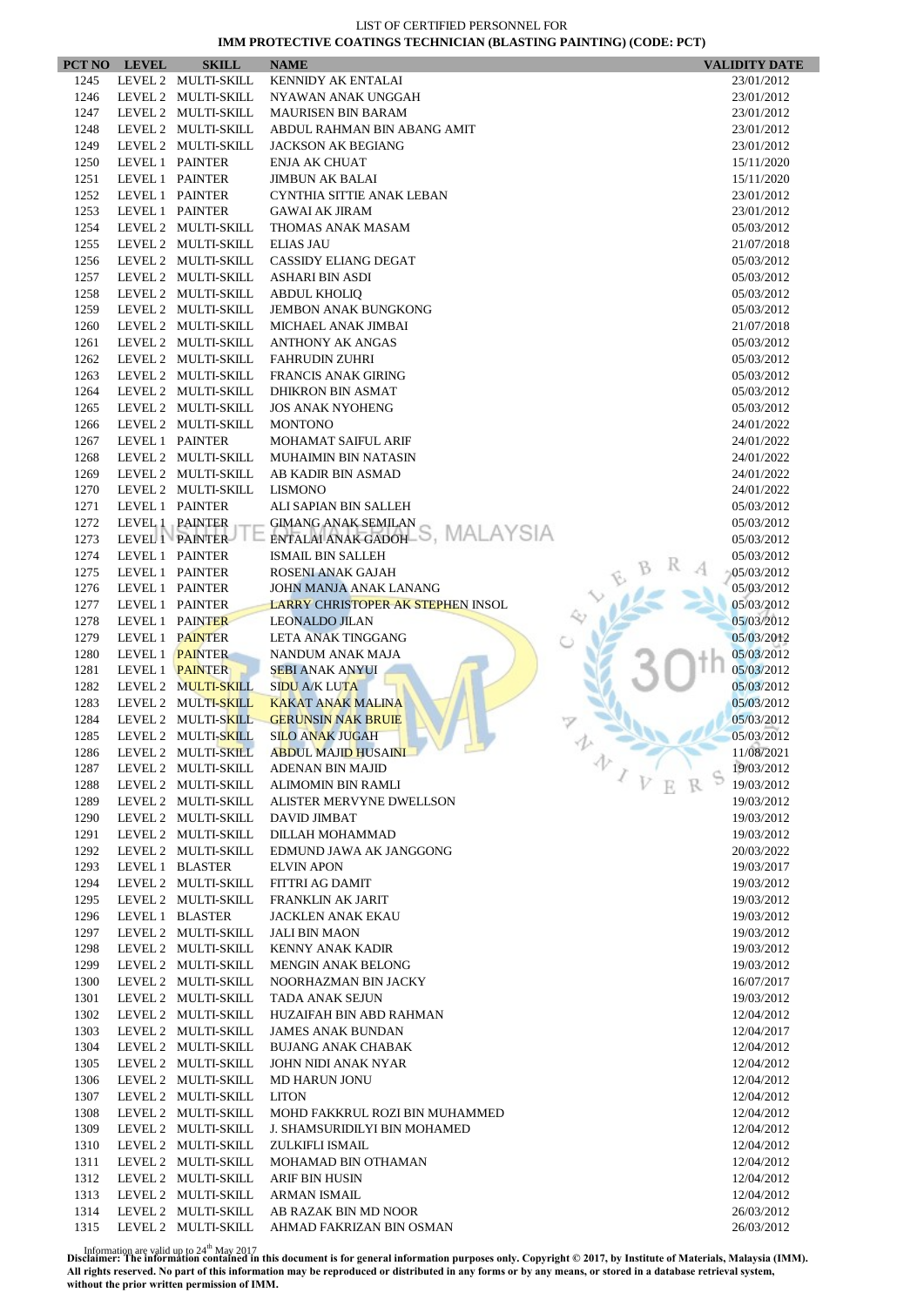|              | PCT NO LEVEL    | <b>SKILL</b>        | <b>NAME</b>                                                        |   | <b>VALIDITY DATE</b>     |
|--------------|-----------------|---------------------|--------------------------------------------------------------------|---|--------------------------|
| 1245         |                 | LEVEL 2 MULTI-SKILL | <b>KENNIDY AK ENTALAI</b>                                          |   | 23/01/2012               |
| 1246         |                 | LEVEL 2 MULTI-SKILL | NYAWAN ANAK UNGGAH                                                 |   | 23/01/2012               |
| 1247         |                 | LEVEL 2 MULTI-SKILL | <b>MAURISEN BIN BARAM</b>                                          |   | 23/01/2012               |
| 1248         |                 | LEVEL 2 MULTI-SKILL | ABDUL RAHMAN BIN ABANG AMIT                                        |   | 23/01/2012               |
| 1249         |                 | LEVEL 2 MULTI-SKILL | <b>JACKSON AK BEGIANG</b>                                          |   | 23/01/2012               |
| 1250         |                 | LEVEL 1 PAINTER     | <b>ENJA AK CHUAT</b>                                               |   | 15/11/2020               |
| 1251         |                 | LEVEL 1 PAINTER     | <b>JIMBUN AK BALAI</b>                                             |   | 15/11/2020               |
| 1252         | LEVEL 1 PAINTER |                     | CYNTHIA SITTIE ANAK LEBAN                                          |   | 23/01/2012               |
| 1253         |                 | LEVEL 1 PAINTER     | <b>GAWAI AK JIRAM</b>                                              |   | 23/01/2012               |
| 1254         |                 | LEVEL 2 MULTI-SKILL | THOMAS ANAK MASAM                                                  |   | 05/03/2012               |
| 1255         |                 | LEVEL 2 MULTI-SKILL | <b>ELIAS JAU</b>                                                   |   | 21/07/2018               |
| 1256         |                 | LEVEL 2 MULTI-SKILL | <b>CASSIDY ELIANG DEGAT</b>                                        |   | 05/03/2012               |
| 1257         |                 | LEVEL 2 MULTI-SKILL | ASHARI BIN ASDI                                                    |   | 05/03/2012               |
| 1258         |                 | LEVEL 2 MULTI-SKILL | <b>ABDUL KHOLIQ</b>                                                |   | 05/03/2012               |
| 1259         |                 | LEVEL 2 MULTI-SKILL | <b>JEMBON ANAK BUNGKONG</b>                                        |   | 05/03/2012               |
| 1260         |                 | LEVEL 2 MULTI-SKILL | MICHAEL ANAK JIMBAI                                                |   | 21/07/2018               |
| 1261         |                 | LEVEL 2 MULTI-SKILL | <b>ANTHONY AK ANGAS</b>                                            |   | 05/03/2012               |
| 1262         |                 | LEVEL 2 MULTI-SKILL | <b>FAHRUDIN ZUHRI</b>                                              |   | 05/03/2012               |
| 1263         |                 | LEVEL 2 MULTI-SKILL | <b>FRANCIS ANAK GIRING</b>                                         |   | 05/03/2012               |
| 1264         |                 | LEVEL 2 MULTI-SKILL | <b>DHIKRON BIN ASMAT</b>                                           |   | 05/03/2012               |
| 1265         |                 | LEVEL 2 MULTI-SKILL | <b>JOS ANAK NYOHENG</b>                                            |   | 05/03/2012               |
| 1266         |                 | LEVEL 2 MULTI-SKILL | <b>MONTONO</b>                                                     |   | 24/01/2022               |
| 1267         |                 | LEVEL 1 PAINTER     | <b>MOHAMAT SAIFUL ARIF</b>                                         |   | 24/01/2022               |
| 1268         |                 | LEVEL 2 MULTI-SKILL | MUHAIMIN BIN NATASIN                                               |   | 24/01/2022               |
| 1269         |                 | LEVEL 2 MULTI-SKILL | AB KADIR BIN ASMAD                                                 |   | 24/01/2022               |
| 1270         |                 | LEVEL 2 MULTI-SKILL | <b>LISMONO</b>                                                     |   | 24/01/2022               |
| 1271         |                 | LEVEL 1 PAINTER     | ALI SAPIAN BIN SALLEH                                              |   | 05/03/2012               |
| 1272         | LEVEL 1 PAINTER |                     | <b>GIMANG ANAK SEMILAN</b><br>ENTALAI ANAK GADOH-S, MALAYSIA       |   | 05/03/2012               |
| 1273         |                 | LEVEL 1 PAINTER     |                                                                    |   | 05/03/2012               |
| 1274         | LEVEL 1 PAINTER |                     | <b>ISMAIL BIN SALLEH</b>                                           |   | 05/03/2012               |
| 1275         |                 | LEVEL 1 PAINTER     | ROSENI ANAK GAJAH                                                  |   | 05/03/2012               |
| 1276<br>1277 | LEVEL 1 PAINTER | LEVEL 1 PAINTER     | JOHN MANJA ANAK LANANG<br><b>LARRY CHRISTOPER AK STEPHEN INSOL</b> |   | 05/03/2012<br>05/03/2012 |
| 1278         |                 | LEVEL 1 PAINTER     | <b>LEONALDO JILAN</b>                                              |   | 05/03/2012               |
| 1279         |                 | LEVEL 1 PAINTER     | LETA ANAK TINGGANG                                                 |   | 05/03/2012               |
| 1280         |                 | LEVEL 1 PAINTER     | NANDUM ANAK MAJA                                                   |   | 05/03/2012               |
| 1281         |                 | LEVEL 1 PAINTER     | <b>SEBI ANAK ANYUI</b>                                             |   | 05/03/2012               |
| 1282         |                 | LEVEL 2 MULTI-SKILL | <b>SIDU A/K LUTA</b>                                               |   | 05/03/2012               |
| 1283         |                 | LEVEL 2 MULTI-SKILL | <b>KAKAT ANAK MALINA</b>                                           |   | 05/03/2012               |
| 1284         |                 | LEVEL 2 MULTI-SKILL | <b>GERUNSIN NAK BRUIE</b>                                          |   | 05/03/2012               |
| 1285         |                 | LEVEL 2 MULTI-SKILL | <b>SILO ANAK JUGAH</b>                                             |   | 05/03/2012               |
| 1286         |                 | LEVEL 2 MULTI-SKILL | <b>ABDUL MAJID HUSAINI</b>                                         |   | 11/08/2021               |
| 1287         |                 | LEVEL 2 MULTI-SKILL | <b>ADENAN BIN MAJID</b>                                            | 办 | 19/03/2012               |
| 1288         |                 | LEVEL 2 MULTI-SKILL | ALIMOMIN BIN RAMLI                                                 |   | 19/03/2012               |
| 1289         |                 | LEVEL 2 MULTI-SKILL | ALISTER MERVYNE DWELLSON                                           |   | 19/03/2012               |
| 1290         |                 | LEVEL 2 MULTI-SKILL | DAVID JIMBAT                                                       |   | 19/03/2012               |
| 1291         |                 | LEVEL 2 MULTI-SKILL | DILLAH MOHAMMAD                                                    |   | 19/03/2012               |
| 1292         |                 | LEVEL 2 MULTI-SKILL | EDMUND JAWA AK JANGGONG                                            |   | 20/03/2022               |
| 1293         |                 | LEVEL 1 BLASTER     | <b>ELVIN APON</b>                                                  |   | 19/03/2017               |
| 1294         |                 | LEVEL 2 MULTI-SKILL | <b>FITTRI AG DAMIT</b>                                             |   | 19/03/2012               |
| 1295         |                 | LEVEL 2 MULTI-SKILL | <b>FRANKLIN AK JARIT</b>                                           |   | 19/03/2012               |
| 1296         |                 | LEVEL 1 BLASTER     | JACKLEN ANAK EKAU                                                  |   | 19/03/2012               |
| 1297         |                 | LEVEL 2 MULTI-SKILL | <b>JALI BIN MAON</b>                                               |   | 19/03/2012               |
| 1298         |                 | LEVEL 2 MULTI-SKILL | KENNY ANAK KADIR                                                   |   | 19/03/2012               |
| 1299         |                 | LEVEL 2 MULTI-SKILL | <b>MENGIN ANAK BELONG</b>                                          |   | 19/03/2012               |
| 1300         |                 | LEVEL 2 MULTI-SKILL | NOORHAZMAN BIN JACKY                                               |   | 16/07/2017               |
| 1301         |                 | LEVEL 2 MULTI-SKILL | TADA ANAK SEJUN                                                    |   | 19/03/2012               |
| 1302         |                 | LEVEL 2 MULTI-SKILL | HUZAIFAH BIN ABD RAHMAN                                            |   | 12/04/2012               |
| 1303         |                 | LEVEL 2 MULTI-SKILL | <b>JAMES ANAK BUNDAN</b>                                           |   | 12/04/2017               |
| 1304         |                 | LEVEL 2 MULTI-SKILL | <b>BUJANG ANAK CHABAK</b>                                          |   | 12/04/2012               |
| 1305         |                 | LEVEL 2 MULTI-SKILL | JOHN NIDI ANAK NYAR                                                |   | 12/04/2012               |
| 1306         |                 | LEVEL 2 MULTI-SKILL | <b>MD HARUN JONU</b>                                               |   | 12/04/2012               |
| 1307         |                 | LEVEL 2 MULTI-SKILL | <b>LITON</b>                                                       |   | 12/04/2012               |
| 1308         |                 | LEVEL 2 MULTI-SKILL | MOHD FAKKRUL ROZI BIN MUHAMMED                                     |   | 12/04/2012               |
| 1309         |                 | LEVEL 2 MULTI-SKILL | J. SHAMSURIDILYI BIN MOHAMED                                       |   | 12/04/2012               |
| 1310         |                 | LEVEL 2 MULTI-SKILL | ZULKIFLI ISMAIL                                                    |   | 12/04/2012               |
| 1311         |                 | LEVEL 2 MULTI-SKILL | MOHAMAD BIN OTHAMAN                                                |   | 12/04/2012               |
| 1312         |                 | LEVEL 2 MULTI-SKILL | ARIF BIN HUSIN                                                     |   | 12/04/2012               |
| 1313         |                 | LEVEL 2 MULTI-SKILL | ARMAN ISMAIL                                                       |   | 12/04/2012               |
| 1314         |                 | LEVEL 2 MULTI-SKILL | AB RAZAK BIN MD NOOR                                               |   | 26/03/2012               |
| 1315         |                 | LEVEL 2 MULTI-SKILL | AHMAD FAKRIZAN BIN OSMAN                                           |   | 26/03/2012               |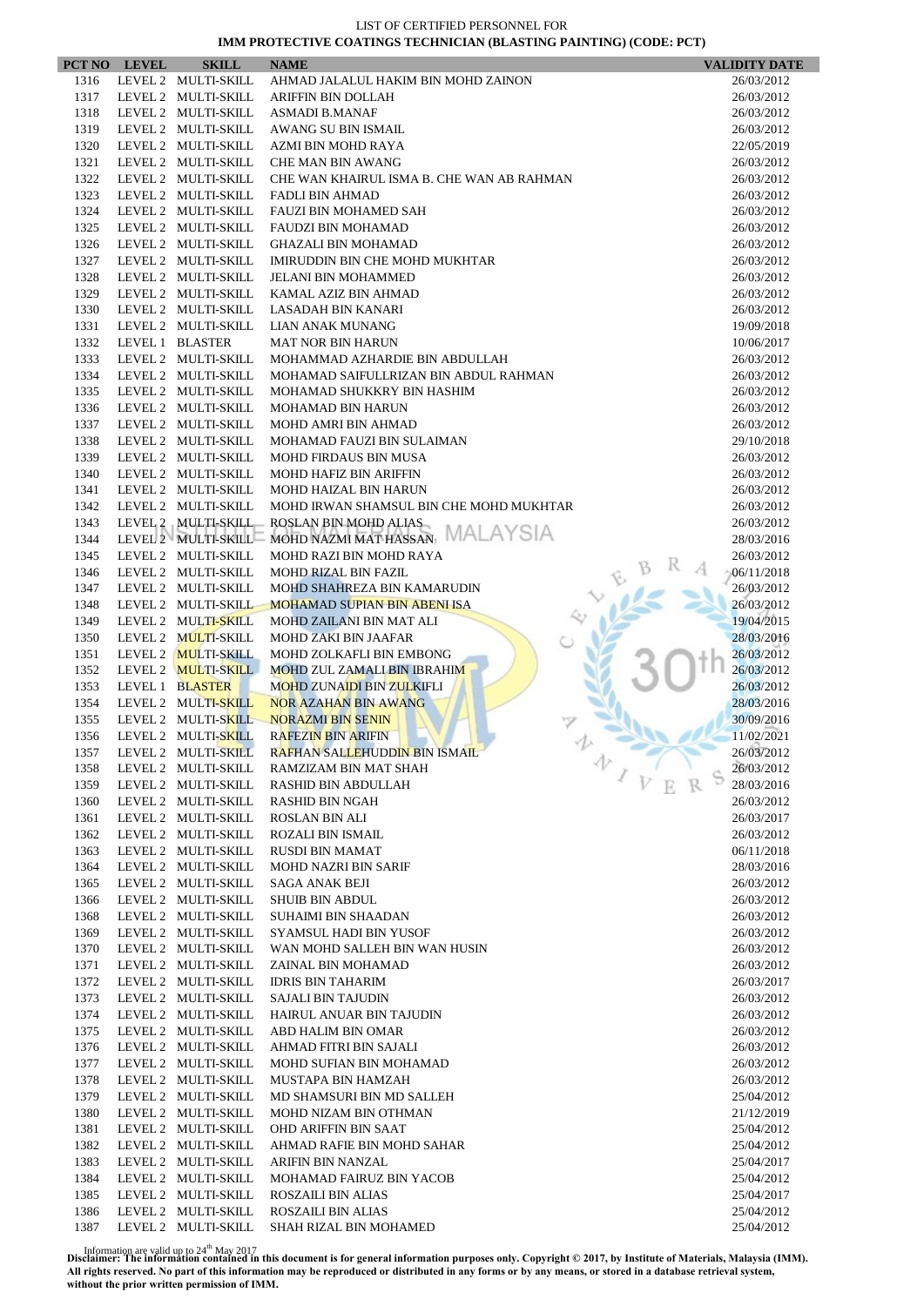| PCT NO       | <b>LEVEL</b> | <b>SKILL</b>                               | <b>NAME</b>                                                             | <b>VALIDITY DATE</b>     |
|--------------|--------------|--------------------------------------------|-------------------------------------------------------------------------|--------------------------|
| 1316         |              | LEVEL 2 MULTI-SKILL                        | AHMAD JALALUL HAKIM BIN MOHD ZAINON                                     | 26/03/2012               |
| 1317         |              | LEVEL 2 MULTI-SKILL                        | ARIFFIN BIN DOLLAH                                                      | 26/03/2012               |
| 1318         |              | LEVEL 2 MULTI-SKILL                        | <b>ASMADI B.MANAF</b>                                                   | 26/03/2012               |
| 1319         |              | LEVEL 2 MULTI-SKILL                        | AWANG SU BIN ISMAIL                                                     | 26/03/2012               |
| 1320         |              | LEVEL 2 MULTI-SKILL                        | AZMI BIN MOHD RAYA                                                      | 22/05/2019               |
| 1321<br>1322 |              | LEVEL 2 MULTI-SKILL<br>LEVEL 2 MULTI-SKILL | <b>CHE MAN BIN AWANG</b><br>CHE WAN KHAIRUL ISMA B. CHE WAN AB RAHMAN   | 26/03/2012<br>26/03/2012 |
| 1323         |              | LEVEL 2 MULTI-SKILL                        | <b>FADLI BIN AHMAD</b>                                                  | 26/03/2012               |
| 1324         |              | LEVEL 2 MULTI-SKILL                        | <b>FAUZI BIN MOHAMED SAH</b>                                            | 26/03/2012               |
| 1325         |              | LEVEL 2 MULTI-SKILL                        | <b>FAUDZI BIN MOHAMAD</b>                                               | 26/03/2012               |
| 1326         |              | LEVEL 2 MULTI-SKILL                        | <b>GHAZALI BIN MOHAMAD</b>                                              | 26/03/2012               |
| 1327         |              | LEVEL 2 MULTI-SKILL                        | <b>IMIRUDDIN BIN CHE MOHD MUKHTAR</b>                                   | 26/03/2012               |
| 1328         |              | LEVEL 2 MULTI-SKILL                        | <b>JELANI BIN MOHAMMED</b>                                              | 26/03/2012               |
| 1329         |              | LEVEL 2 MULTI-SKILL                        | KAMAL AZIZ BIN AHMAD                                                    | 26/03/2012               |
| 1330         |              | LEVEL 2 MULTI-SKILL                        | LASADAH BIN KANARI                                                      | 26/03/2012               |
| 1331         |              | LEVEL 2 MULTI-SKILL                        | LIAN ANAK MUNANG                                                        | 19/09/2018               |
| 1332<br>1333 |              | LEVEL 1 BLASTER                            | <b>MAT NOR BIN HARUN</b>                                                | 10/06/2017               |
| 1334         |              | LEVEL 2 MULTI-SKILL<br>LEVEL 2 MULTI-SKILL | MOHAMMAD AZHARDIE BIN ABDULLAH<br>MOHAMAD SAIFULLRIZAN BIN ABDUL RAHMAN | 26/03/2012<br>26/03/2012 |
| 1335         |              | LEVEL 2 MULTI-SKILL                        | MOHAMAD SHUKKRY BIN HASHIM                                              | 26/03/2012               |
| 1336         |              | LEVEL 2 MULTI-SKILL                        | <b>MOHAMAD BIN HARUN</b>                                                | 26/03/2012               |
| 1337         |              | LEVEL 2 MULTI-SKILL                        | MOHD AMRI BIN AHMAD                                                     | 26/03/2012               |
| 1338         |              | LEVEL 2 MULTI-SKILL                        | MOHAMAD FAUZI BIN SULAIMAN                                              | 29/10/2018               |
| 1339         |              | LEVEL 2 MULTI-SKILL                        | <b>MOHD FIRDAUS BIN MUSA</b>                                            | 26/03/2012               |
| 1340         |              | LEVEL 2 MULTI-SKILL                        | <b>MOHD HAFIZ BIN ARIFFIN</b>                                           | 26/03/2012               |
| 1341         |              | LEVEL 2 MULTI-SKILL                        | <b>MOHD HAIZAL BIN HARUN</b>                                            | 26/03/2012               |
| 1342         |              | LEVEL 2 MULTI-SKILL                        | MOHD IRWAN SHAMSUL BIN CHE MOHD MUKHTAR                                 | 26/03/2012               |
| 1343         |              | LEVEL 2 MULTI-SKILL                        | ROSLAN BIN MOHD ALIAS<br>MALAYSIA                                       | 26/03/2012               |
| 1344         |              | LEVEL 2 MULTI-SKILL                        | MOHD NAZMI MAT HASSAN                                                   | 28/03/2016               |
| 1345<br>1346 |              | LEVEL 2 MULTI-SKILL<br>LEVEL 2 MULTI-SKILL | MOHD RAZI BIN MOHD RAYA<br><b>MOHD RIZAL BIN FAZIL</b>                  | 26/03/2012<br>06/11/2018 |
| 1347         |              | LEVEL 2 MULTI-SKILL                        | MOHD SHAHREZA BIN KAMARUDIN                                             | 26/03/2012               |
| 1348         |              | LEVEL 2 MULTI-SKILL                        | <b>MOHAMAD SUPIAN BIN ABENI ISA</b>                                     | 26/03/2012               |
| 1349         |              | LEVEL 2 MULTI-SKILL                        | MOHD ZAILANI BIN MAT ALI                                                | 19/04/2015               |
| 1350         |              | LEVEL 2 MULTI-SKILL                        | <b>MOHD ZAKI BIN JAAFAR</b>                                             | 28/03/2016               |
| 1351         |              | LEVEL 2 MULTI-SKILL                        | MOHD ZOLKAFLI BIN EMBONG                                                | 26/03/2012               |
| 1352         |              | LEVEL 2 MULTI-SKILL                        | <b>MOHD ZUL ZAMALI BIN IBRAHIM</b>                                      | 26/03/2012               |
| 1353         |              | LEVEL 1 BLASTER                            | <b>MOHD ZUNAIDI BIN ZULKIFLI</b>                                        | 26/03/2012               |
| 1354         |              | LEVEL 2 MULTI-SKILL                        | <b>NOR AZAHAN BIN AWANG</b>                                             | 28/03/2016               |
| 1355<br>1356 |              | LEVEL 2 MULTI-SKILL<br>LEVEL 2 MULTI-SKILL | <b>NORAZMI BIN SENIN</b><br><b>RAFEZIN BIN ARIFIN</b>                   | 30/09/2016<br>11/02/2021 |
| 1357         |              | LEVEL 2 MULTI-SKILL                        | RAFHAN SALLEHUDDIN BIN ISMAIL                                           | 26/03/2012               |
| 1358         |              | LEVEL 2 MULTI-SKILL                        | 办<br>RAMZIZAM BIN MAT SHAH                                              | 26/03/2012               |
| 1359         |              | LEVEL 2 MULTI-SKILL                        | $\mathcal{I}$ $\mathcal{V}$<br>RASHID BIN ABDULLAH                      | 28/03/2016               |
| 1360         |              | LEVEL 2 MULTI-SKILL                        | RASHID BIN NGAH                                                         | 26/03/2012               |
| 1361         |              | LEVEL 2 MULTI-SKILL                        | <b>ROSLAN BIN ALI</b>                                                   | 26/03/2017               |
| 1362         |              | LEVEL 2 MULTI-SKILL                        | <b>ROZALI BIN ISMAIL</b>                                                | 26/03/2012               |
| 1363         |              | LEVEL 2 MULTI-SKILL                        | <b>RUSDI BIN MAMAT</b>                                                  | 06/11/2018               |
| 1364         |              | LEVEL 2 MULTI-SKILL                        | <b>MOHD NAZRI BIN SARIF</b>                                             | 28/03/2016               |
| 1365<br>1366 |              | LEVEL 2 MULTI-SKILL<br>LEVEL 2 MULTI-SKILL | SAGA ANAK BEJI<br><b>SHUIB BIN ABDUL</b>                                | 26/03/2012<br>26/03/2012 |
| 1368         |              | LEVEL 2 MULTI-SKILL                        | SUHAIMI BIN SHAADAN                                                     | 26/03/2012               |
| 1369         |              | LEVEL 2 MULTI-SKILL                        | SYAMSUL HADI BIN YUSOF                                                  | 26/03/2012               |
| 1370         |              | LEVEL 2 MULTI-SKILL                        | WAN MOHD SALLEH BIN WAN HUSIN                                           | 26/03/2012               |
| 1371         |              | LEVEL 2 MULTI-SKILL                        | ZAINAL BIN MOHAMAD                                                      | 26/03/2012               |
| 1372         |              | LEVEL 2 MULTI-SKILL                        | <b>IDRIS BIN TAHARIM</b>                                                | 26/03/2017               |
| 1373         |              | LEVEL 2 MULTI-SKILL                        | <b>SAJALI BIN TAJUDIN</b>                                               | 26/03/2012               |
| 1374         |              | LEVEL 2 MULTI-SKILL                        | HAIRUL ANUAR BIN TAJUDIN                                                | 26/03/2012               |
| 1375         |              | LEVEL 2 MULTI-SKILL                        | ABD HALIM BIN OMAR                                                      | 26/03/2012               |
| 1376         |              | LEVEL 2 MULTI-SKILL                        | AHMAD FITRI BIN SAJALI                                                  | 26/03/2012               |
| 1377<br>1378 |              | LEVEL 2 MULTI-SKILL<br>LEVEL 2 MULTI-SKILL | MOHD SUFIAN BIN MOHAMAD<br>MUSTAPA BIN HAMZAH                           | 26/03/2012<br>26/03/2012 |
| 1379         |              | LEVEL 2 MULTI-SKILL                        | MD SHAMSURI BIN MD SALLEH                                               | 25/04/2012               |
| 1380         |              | LEVEL 2 MULTI-SKILL                        | MOHD NIZAM BIN OTHMAN                                                   | 21/12/2019               |
| 1381         |              | LEVEL 2 MULTI-SKILL                        | <b>OHD ARIFFIN BIN SAAT</b>                                             | 25/04/2012               |
| 1382         |              | LEVEL 2 MULTI-SKILL                        | AHMAD RAFIE BIN MOHD SAHAR                                              | 25/04/2012               |
| 1383         |              | LEVEL 2 MULTI-SKILL                        | ARIFIN BIN NANZAL                                                       | 25/04/2017               |
| 1384         |              | LEVEL 2 MULTI-SKILL                        | MOHAMAD FAIRUZ BIN YACOB                                                | 25/04/2012               |
| 1385         |              | LEVEL 2 MULTI-SKILL                        | ROSZAILI BIN ALIAS                                                      | 25/04/2017               |
| 1386         |              | LEVEL 2 MULTI-SKILL                        | ROSZAILI BIN ALIAS                                                      | 25/04/2012               |
| 1387         |              | LEVEL 2 MULTI-SKILL                        | SHAH RIZAL BIN MOHAMED                                                  | 25/04/2012               |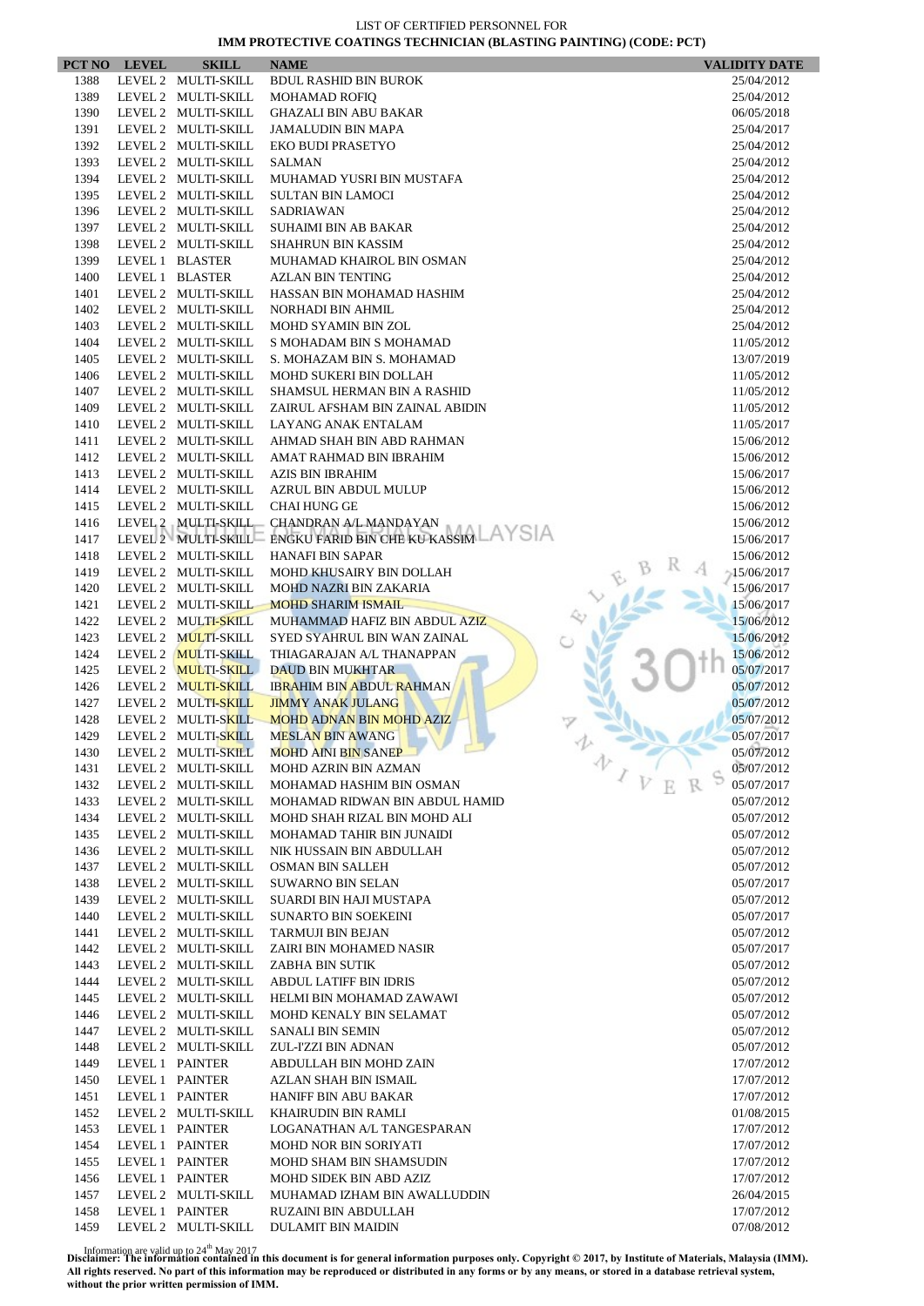|              | PCT NO LEVEL | <b>SKILL</b>                               | <b>NAME</b>                                                | <b>VALIDITY DATE</b>     |
|--------------|--------------|--------------------------------------------|------------------------------------------------------------|--------------------------|
| 1388         |              | LEVEL 2 MULTI-SKILL                        | <b>BDUL RASHID BIN BUROK</b>                               | 25/04/2012               |
| 1389         |              | LEVEL 2 MULTI-SKILL                        | <b>MOHAMAD ROFIQ</b>                                       | 25/04/2012               |
| 1390         |              | LEVEL 2 MULTI-SKILL                        | <b>GHAZALI BIN ABU BAKAR</b>                               | 06/05/2018               |
| 1391         |              | LEVEL 2 MULTI-SKILL                        | <b>JAMALUDIN BIN MAPA</b>                                  | 25/04/2017               |
| 1392         |              | LEVEL 2 MULTI-SKILL<br>LEVEL 2 MULTI-SKILL | EKO BUDI PRASETYO                                          | 25/04/2012               |
| 1393<br>1394 |              | LEVEL 2 MULTI-SKILL                        | <b>SALMAN</b><br>MUHAMAD YUSRI BIN MUSTAFA                 | 25/04/2012<br>25/04/2012 |
| 1395         |              | LEVEL 2 MULTI-SKILL                        | <b>SULTAN BIN LAMOCI</b>                                   | 25/04/2012               |
| 1396         |              | LEVEL 2 MULTI-SKILL                        | <b>SADRIAWAN</b>                                           | 25/04/2012               |
| 1397         |              | LEVEL 2 MULTI-SKILL                        | <b>SUHAIMI BIN AB BAKAR</b>                                | 25/04/2012               |
| 1398         |              | LEVEL 2 MULTI-SKILL                        | <b>SHAHRUN BIN KASSIM</b>                                  | 25/04/2012               |
| 1399         |              | LEVEL 1 BLASTER                            | MUHAMAD KHAIROL BIN OSMAN                                  | 25/04/2012               |
| 1400         |              | LEVEL 1 BLASTER                            | <b>AZLAN BIN TENTING</b>                                   | 25/04/2012               |
| 1401         |              | LEVEL 2 MULTI-SKILL                        | HASSAN BIN MOHAMAD HASHIM                                  | 25/04/2012               |
| 1402         |              | LEVEL 2 MULTI-SKILL                        | NORHADI BIN AHMIL                                          | 25/04/2012               |
| 1403         |              | LEVEL 2 MULTI-SKILL                        | <b>MOHD SYAMIN BIN ZOL</b>                                 | 25/04/2012               |
| 1404         |              | LEVEL 2 MULTI-SKILL                        | S MOHADAM BIN S MOHAMAD                                    | 11/05/2012               |
| 1405         |              | LEVEL 2 MULTI-SKILL                        | S. MOHAZAM BIN S. MOHAMAD                                  | 13/07/2019               |
| 1406         |              | LEVEL 2 MULTI-SKILL                        | MOHD SUKERI BIN DOLLAH                                     | 11/05/2012               |
| 1407         |              | LEVEL 2 MULTI-SKILL                        | SHAMSUL HERMAN BIN A RASHID                                | 11/05/2012               |
| 1409<br>1410 |              | LEVEL 2 MULTI-SKILL                        | ZAIRUL AFSHAM BIN ZAINAL ABIDIN                            | 11/05/2012               |
| 1411         |              | LEVEL 2 MULTI-SKILL<br>LEVEL 2 MULTI-SKILL | LAYANG ANAK ENTALAM<br>AHMAD SHAH BIN ABD RAHMAN           | 11/05/2017<br>15/06/2012 |
| 1412         |              | LEVEL 2 MULTI-SKILL                        | AMAT RAHMAD BIN IBRAHIM                                    | 15/06/2012               |
| 1413         |              | LEVEL 2 MULTI-SKILL                        | <b>AZIS BIN IBRAHIM</b>                                    | 15/06/2017               |
| 1414         |              | LEVEL 2 MULTI-SKILL                        | <b>AZRUL BIN ABDUL MULUP</b>                               | 15/06/2012               |
| 1415         |              | LEVEL 2 MULTI-SKILL                        | <b>CHAI HUNG GE</b>                                        | 15/06/2012               |
| 1416         |              | LEVEL 2 MULTI-SKILL                        | CHANDRAN A/L MANDAYAN                                      | 15/06/2012               |
| 1417         |              |                                            | LEVEL 2 MULTI-SKILL ENGKU FARID BIN CHE KU KASSIM          | 15/06/2017               |
| 1418         |              | LEVEL 2 MULTI-SKILL                        | <b>HANAFI BIN SAPAR</b>                                    | 15/06/2012               |
| 1419         |              | LEVEL 2 MULTI-SKILL                        | MOHD KHUSAIRY BIN DOLLAH                                   | $-15/06/2017$            |
| 1420         |              | LEVEL 2 MULTI-SKILL                        | MOHD NAZRI BIN ZAKARIA                                     | 15/06/2017               |
| 1421         |              | LEVEL 2 MULTI-SKILL                        | <b>MOHD SHARIM ISMAIL</b>                                  | 15/06/2017               |
| 1422         |              | LEVEL 2 MULTI-SKILL                        | MUHAMMAD HAFIZ BIN ABDUL AZIZ                              | 15/06/2012               |
| 1423         |              | LEVEL 2 MULTI-SKILL                        | SYED SYAHRUL BIN WAN ZAINAL                                | 15/06/2012               |
| 1424         |              | LEVEL 2 MULTI-SKILL                        | THIAGARAJAN A/L THANAPPAN                                  | 15/06/2012               |
| 1425<br>1426 |              | LEVEL 2 MULTI-SKILL<br>LEVEL 2 MULTI-SKILL | <b>DAUD BIN MUKHTAR</b><br><b>IBRAHIM BIN ABDUL RAHMAN</b> | 05/07/2017<br>05/07/2012 |
| 1427         |              | LEVEL 2 MULTI-SKILL                        | <b>JIMMY ANAK JULANG</b>                                   | 05/07/2012               |
| 1428         |              | LEVEL 2 MULTI-SKILL                        | <b>MOHD ADNAN BIN MOHD AZIZ</b>                            | 05/07/2012               |
| 1429         |              | LEVEL 2 MULTI-SKILL                        | <b>MESLAN BIN AWANG</b>                                    | 05/07/2017               |
| 1430         |              |                                            | LEVEL 2 MULTI-SKILL MOHD AINI BIN SANEP                    | 05/07/2012               |
| 1431         |              | LEVEL 2 MULTI-SKILL                        | 办<br>MOHD AZRIN BIN AZMAN                                  | 05/07/2012               |
| 1432         |              | LEVEL 2 MULTI-SKILL                        | MOHAMAD HASHIM BIN OSMAN                                   | 05/07/2017               |
| 1433         |              | LEVEL 2 MULTI-SKILL                        | MOHAMAD RIDWAN BIN ABDUL HAMID                             | 05/07/2012               |
| 1434         |              | LEVEL 2 MULTI-SKILL                        | MOHD SHAH RIZAL BIN MOHD ALI                               | 05/07/2012               |
| 1435         |              | LEVEL 2 MULTI-SKILL                        | MOHAMAD TAHIR BIN JUNAIDI                                  | 05/07/2012               |
| 1436         |              | LEVEL 2 MULTI-SKILL                        | NIK HUSSAIN BIN ABDULLAH                                   | 05/07/2012               |
| 1437         |              | LEVEL 2 MULTI-SKILL                        | OSMAN BIN SALLEH                                           | 05/07/2012               |
| 1438<br>1439 |              | LEVEL 2 MULTI-SKILL<br>LEVEL 2 MULTI-SKILL | <b>SUWARNO BIN SELAN</b><br>SUARDI BIN HAJI MUSTAPA        | 05/07/2017<br>05/07/2012 |
| 1440         |              | LEVEL 2 MULTI-SKILL                        | <b>SUNARTO BIN SOEKEINI</b>                                | 05/07/2017               |
| 1441         |              | LEVEL 2 MULTI-SKILL                        | <b>TARMUJI BIN BEJAN</b>                                   | 05/07/2012               |
| 1442         |              | LEVEL 2 MULTI-SKILL                        | ZAIRI BIN MOHAMED NASIR                                    | 05/07/2017               |
| 1443         |              | LEVEL 2 MULTI-SKILL                        | ZABHA BIN SUTIK                                            | 05/07/2012               |
| 1444         |              | LEVEL 2 MULTI-SKILL                        | <b>ABDUL LATIFF BIN IDRIS</b>                              | 05/07/2012               |
| 1445         |              | LEVEL 2 MULTI-SKILL                        | HELMI BIN MOHAMAD ZAWAWI                                   | 05/07/2012               |
| 1446         |              | LEVEL 2 MULTI-SKILL                        | MOHD KENALY BIN SELAMAT                                    | 05/07/2012               |
| 1447         |              | LEVEL 2 MULTI-SKILL                        | <b>SANALI BIN SEMIN</b>                                    | 05/07/2012               |
| 1448         |              | LEVEL 2 MULTI-SKILL                        | ZUL-I'ZZI BIN ADNAN                                        | 05/07/2012               |
| 1449         |              | LEVEL 1 PAINTER                            | ABDULLAH BIN MOHD ZAIN                                     | 17/07/2012               |
| 1450         |              | LEVEL 1 PAINTER                            | AZLAN SHAH BIN ISMAIL                                      | 17/07/2012               |
| 1451         |              | LEVEL 1 PAINTER                            | HANIFF BIN ABU BAKAR                                       | 17/07/2012               |
| 1452         |              | LEVEL 2 MULTI-SKILL                        | KHAIRUDIN BIN RAMLI                                        | 01/08/2015               |
| 1453<br>1454 |              | LEVEL 1 PAINTER<br>LEVEL 1 PAINTER         | LOGANATHAN A/L TANGESPARAN<br><b>MOHD NOR BIN SORIYATI</b> | 17/07/2012<br>17/07/2012 |
| 1455         |              | LEVEL 1 PAINTER                            | MOHD SHAM BIN SHAMSUDIN                                    | 17/07/2012               |
| 1456         |              | LEVEL 1 PAINTER                            | MOHD SIDEK BIN ABD AZIZ                                    | 17/07/2012               |
| 1457         |              | LEVEL 2 MULTI-SKILL                        | MUHAMAD IZHAM BIN AWALLUDDIN                               | 26/04/2015               |
| 1458         |              | LEVEL 1 PAINTER                            | RUZAINI BIN ABDULLAH                                       | 17/07/2012               |
| 1459         |              | LEVEL 2 MULTI-SKILL                        | <b>DULAMIT BIN MAIDIN</b>                                  | 07/08/2012               |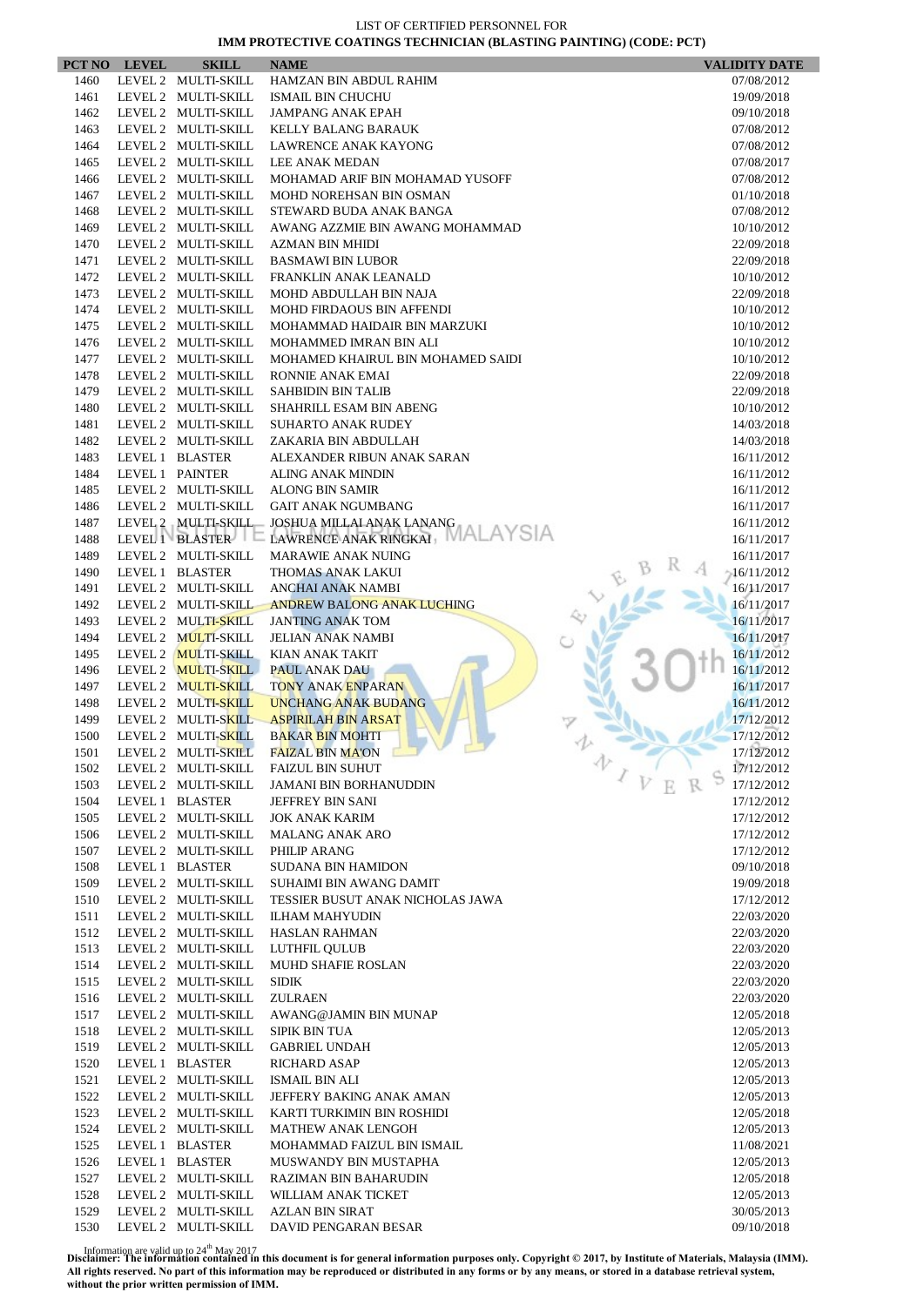|              | PCT NO LEVEL    | <b>SKILL</b>                               | <b>NAME</b>                                            | <b>VALIDITY DATE</b>          |
|--------------|-----------------|--------------------------------------------|--------------------------------------------------------|-------------------------------|
| 1460         |                 | LEVEL 2 MULTI-SKILL                        | HAMZAN BIN ABDUL RAHIM                                 | 07/08/2012                    |
| 1461         |                 | LEVEL 2 MULTI-SKILL                        | <b>ISMAIL BIN CHUCHU</b>                               | 19/09/2018                    |
| 1462         |                 | LEVEL 2 MULTI-SKILL                        | <b>JAMPANG ANAK EPAH</b>                               | 09/10/2018                    |
| 1463         |                 | LEVEL 2 MULTI-SKILL                        | KELLY BALANG BARAUK                                    | 07/08/2012                    |
| 1464         |                 | LEVEL 2 MULTI-SKILL                        | <b>LAWRENCE ANAK KAYONG</b>                            | 07/08/2012                    |
| 1465         |                 | LEVEL 2 MULTI-SKILL                        | <b>LEE ANAK MEDAN</b>                                  | 07/08/2017                    |
| 1466         |                 | LEVEL 2 MULTI-SKILL<br>LEVEL 2 MULTI-SKILL | MOHAMAD ARIF BIN MOHAMAD YUSOFF                        | 07/08/2012                    |
| 1467<br>1468 |                 | LEVEL 2 MULTI-SKILL                        | MOHD NOREHSAN BIN OSMAN<br>STEWARD BUDA ANAK BANGA     | 01/10/2018<br>07/08/2012      |
| 1469         |                 | LEVEL 2 MULTI-SKILL                        | AWANG AZZMIE BIN AWANG MOHAMMAD                        | 10/10/2012                    |
| 1470         |                 | LEVEL 2 MULTI-SKILL                        | <b>AZMAN BIN MHIDI</b>                                 | 22/09/2018                    |
| 1471         |                 | LEVEL 2 MULTI-SKILL                        | <b>BASMAWI BIN LUBOR</b>                               | 22/09/2018                    |
| 1472         |                 | LEVEL 2 MULTI-SKILL                        | FRANKLIN ANAK LEANALD                                  | 10/10/2012                    |
| 1473         |                 | LEVEL 2 MULTI-SKILL                        | MOHD ABDULLAH BIN NAJA                                 | 22/09/2018                    |
| 1474         |                 | LEVEL 2 MULTI-SKILL                        | <b>MOHD FIRDAOUS BIN AFFENDI</b>                       | 10/10/2012                    |
| 1475         |                 | LEVEL 2 MULTI-SKILL                        | MOHAMMAD HAIDAIR BIN MARZUKI                           | 10/10/2012                    |
| 1476         |                 | LEVEL 2 MULTI-SKILL                        | MOHAMMED IMRAN BIN ALI                                 | 10/10/2012                    |
| 1477         |                 | LEVEL 2 MULTI-SKILL                        | MOHAMED KHAIRUL BIN MOHAMED SAIDI                      | 10/10/2012                    |
| 1478         |                 | LEVEL 2 MULTI-SKILL                        | RONNIE ANAK EMAI                                       | 22/09/2018                    |
| 1479         |                 | LEVEL 2 MULTI-SKILL                        | <b>SAHBIDIN BIN TALIB</b>                              | 22/09/2018                    |
| 1480         |                 | LEVEL 2 MULTI-SKILL                        | SHAHRILL ESAM BIN ABENG                                | 10/10/2012                    |
| 1481         |                 | LEVEL 2 MULTI-SKILL                        | <b>SUHARTO ANAK RUDEY</b>                              | 14/03/2018                    |
| 1482         |                 | LEVEL 2 MULTI-SKILL                        | ZAKARIA BIN ABDULLAH                                   | 14/03/2018                    |
| 1483         |                 | LEVEL 1 BLASTER                            | ALEXANDER RIBUN ANAK SARAN<br><b>ALING ANAK MINDIN</b> | 16/11/2012                    |
| 1484<br>1485 | LEVEL 1 PAINTER | LEVEL 2 MULTI-SKILL                        | <b>ALONG BIN SAMIR</b>                                 | 16/11/2012<br>16/11/2012      |
| 1486         |                 | LEVEL 2 MULTI-SKILL                        | <b>GAIT ANAK NGUMBANG</b>                              | 16/11/2017                    |
| 1487         |                 | LEVEL 2 MULTI-SKILL                        | JOSHUA MILLAI ANAK LANANG                              | 16/11/2012                    |
| 1488         |                 | LEVEL 1 BLASTER                            | LAWRENCE ANAK RINGKAI                                  | 16/11/2017                    |
| 1489         |                 | LEVEL 2 MULTI-SKILL                        | <b>MARAWIE ANAK NUING</b>                              | 16/11/2017                    |
| 1490         |                 | LEVEL 1 BLASTER                            | THOMAS ANAK LAKUI                                      | $-16/11/2012$                 |
| 1491         |                 | LEVEL 2 MULTI-SKILL                        | ANCHAI ANAK NAMBI                                      | 16/11/2017                    |
| 1492         |                 | LEVEL 2 MULTI-SKILL                        | <b>ANDREW BALONG ANAK LUCHING</b>                      | 16/11/2017                    |
| 1493         |                 | LEVEL 2 MULTI-SKILL                        | <b>JANTING ANAK TOM</b>                                | 16/11/2017                    |
| 1494         |                 | LEVEL 2 MULTI-SKILL                        | <b>JELIAN ANAK NAMBI</b>                               | 16/11/2017                    |
| 1495         |                 | LEVEL 2 MULTI-SKILL                        | <b>KIAN ANAK TAKIT</b>                                 | 16/11/2012                    |
| 1496         |                 | LEVEL 2 MULTI-SKILL                        | <b>PAUL ANAK DAU</b>                                   | 16/11/2012                    |
| 1497         |                 | LEVEL 2 MULTI-SKILL                        | <b>TONY ANAK ENPARAN</b>                               | 16/11/2017                    |
| 1498         |                 | LEVEL 2 MULTI-SKILL                        | <b>UNCHANG ANAK BUDANG</b>                             | 16/11/2012                    |
| 1499         |                 | LEVEL 2 MULTI-SKILL                        | <b>ASPIRILAH BIN ARSAT</b>                             | 17/12/2012                    |
| 1500         |                 | LEVEL 2 MULTI-SKILL                        | <b>BAKAR BIN MOHTI</b><br><b>FAIZAL BIN MA'ON</b>      | 17/12/2012                    |
| 1501         |                 | LEVEL 2 MULTI-SKILL                        | <b>Contract Contract Contract</b><br>FAIZUL BIN SUHUT  | 17/12/2012<br>办<br>17/12/2012 |
| 1502<br>1503 |                 | LEVEL 2 MULTI-SKILL<br>LEVEL 2 MULTI-SKILL | <b>JAMANI BIN BORHANUDDIN</b>                          | 17/12/2012                    |
| 1504         |                 | LEVEL 1 BLASTER                            | JEFFREY BIN SANI                                       | 17/12/2012                    |
| 1505         |                 | LEVEL 2 MULTI-SKILL                        | <b>JOK ANAK KARIM</b>                                  | 17/12/2012                    |
| 1506         |                 | LEVEL 2 MULTI-SKILL                        | <b>MALANG ANAK ARO</b>                                 | 17/12/2012                    |
| 1507         |                 | LEVEL 2 MULTI-SKILL                        | PHILIP ARANG                                           | 17/12/2012                    |
| 1508         |                 | LEVEL 1 BLASTER                            | <b>SUDANA BIN HAMIDON</b>                              | 09/10/2018                    |
| 1509         |                 | LEVEL 2 MULTI-SKILL                        | <b>SUHAIMI BIN AWANG DAMIT</b>                         | 19/09/2018                    |
| 1510         |                 | LEVEL 2 MULTI-SKILL                        | TESSIER BUSUT ANAK NICHOLAS JAWA                       | 17/12/2012                    |
| 1511         |                 | LEVEL 2 MULTI-SKILL                        | <b>ILHAM MAHYUDIN</b>                                  | 22/03/2020                    |
| 1512         |                 | LEVEL 2 MULTI-SKILL                        | <b>HASLAN RAHMAN</b>                                   | 22/03/2020                    |
| 1513         |                 | LEVEL 2 MULTI-SKILL                        | LUTHFIL QULUB                                          | 22/03/2020                    |
| 1514         |                 | LEVEL 2 MULTI-SKILL                        | <b>MUHD SHAFIE ROSLAN</b>                              | 22/03/2020                    |
| 1515         |                 | LEVEL 2 MULTI-SKILL                        | <b>SIDIK</b>                                           | 22/03/2020                    |
| 1516         |                 | LEVEL 2 MULTI-SKILL                        | <b>ZULRAEN</b>                                         | 22/03/2020                    |
| 1517         |                 | LEVEL 2 MULTI-SKILL                        | AWANG@JAMIN BIN MUNAP                                  | 12/05/2018                    |
| 1518         |                 | LEVEL 2 MULTI-SKILL                        | <b>SIPIK BIN TUA</b>                                   | 12/05/2013                    |
| 1519<br>1520 |                 | LEVEL 2 MULTI-SKILL<br>LEVEL 1 BLASTER     | <b>GABRIEL UNDAH</b><br><b>RICHARD ASAP</b>            | 12/05/2013<br>12/05/2013      |
| 1521         |                 | LEVEL 2 MULTI-SKILL                        | ISMAIL BIN ALI                                         | 12/05/2013                    |
| 1522         |                 | LEVEL 2 MULTI-SKILL                        | JEFFERY BAKING ANAK AMAN                               | 12/05/2013                    |
| 1523         |                 | LEVEL 2 MULTI-SKILL                        | KARTI TURKIMIN BIN ROSHIDI                             | 12/05/2018                    |
| 1524         |                 | LEVEL 2 MULTI-SKILL                        | <b>MATHEW ANAK LENGOH</b>                              | 12/05/2013                    |
| 1525         |                 | LEVEL 1 BLASTER                            | MOHAMMAD FAIZUL BIN ISMAIL                             | 11/08/2021                    |
| 1526         |                 | LEVEL 1 BLASTER                            | MUSWANDY BIN MUSTAPHA                                  | 12/05/2013                    |
| 1527         |                 | LEVEL 2 MULTI-SKILL                        | <b>RAZIMAN BIN BAHARUDIN</b>                           | 12/05/2018                    |
| 1528         |                 | LEVEL 2 MULTI-SKILL                        | WILLIAM ANAK TICKET                                    | 12/05/2013                    |
| 1529         |                 | LEVEL 2 MULTI-SKILL                        | <b>AZLAN BIN SIRAT</b>                                 | 30/05/2013                    |
| 1530         |                 | LEVEL 2 MULTI-SKILL                        | DAVID PENGARAN BESAR                                   | 09/10/2018                    |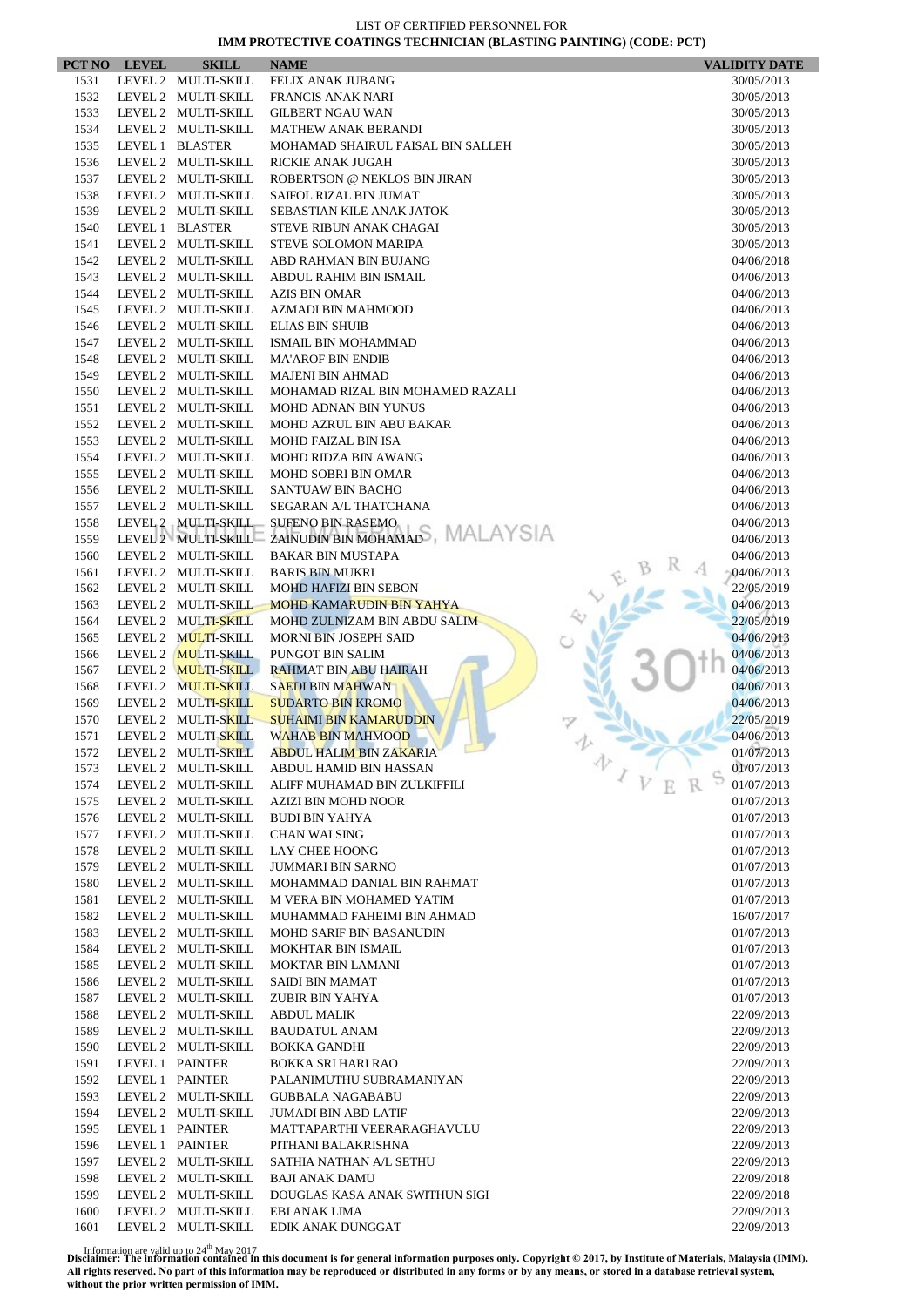|              | PCT NO LEVEL | <b>SKILL</b>                               | <b>NAME</b>                                               | <b>VALIDITY DATE</b>     |
|--------------|--------------|--------------------------------------------|-----------------------------------------------------------|--------------------------|
| 1531         |              | LEVEL 2 MULTI-SKILL                        | FELIX ANAK JUBANG                                         | 30/05/2013               |
| 1532         |              | LEVEL 2 MULTI-SKILL                        | FRANCIS ANAK NARI                                         | 30/05/2013               |
| 1533         |              | LEVEL 2 MULTI-SKILL                        | <b>GILBERT NGAU WAN</b>                                   | 30/05/2013               |
| 1534         |              | LEVEL 2 MULTI-SKILL                        | <b>MATHEW ANAK BERANDI</b>                                | 30/05/2013               |
| 1535         |              | LEVEL 1 BLASTER                            | MOHAMAD SHAIRUL FAISAL BIN SALLEH                         | 30/05/2013               |
| 1536         |              | LEVEL 2 MULTI-SKILL                        | <b>RICKIE ANAK JUGAH</b>                                  | 30/05/2013               |
| 1537         |              | LEVEL 2 MULTI-SKILL                        | ROBERTSON @ NEKLOS BIN JIRAN                              | 30/05/2013               |
| 1538         |              | LEVEL 2 MULTI-SKILL                        | SAIFOL RIZAL BIN JUMAT                                    | 30/05/2013               |
| 1539         |              | LEVEL 2 MULTI-SKILL                        | <b>SEBASTIAN KILE ANAK JATOK</b>                          | 30/05/2013               |
| 1540         |              | LEVEL 1 BLASTER                            | STEVE RIBUN ANAK CHAGAI                                   | 30/05/2013               |
| 1541         |              | LEVEL 2 MULTI-SKILL                        | STEVE SOLOMON MARIPA                                      | 30/05/2013               |
| 1542         |              | LEVEL 2 MULTI-SKILL                        | ABD RAHMAN BIN BUJANG                                     | 04/06/2018               |
| 1543         |              | LEVEL 2 MULTI-SKILL                        | ABDUL RAHIM BIN ISMAIL                                    | 04/06/2013               |
| 1544         |              | LEVEL 2 MULTI-SKILL                        | <b>AZIS BIN OMAR</b>                                      | 04/06/2013               |
| 1545         |              | LEVEL 2 MULTI-SKILL                        | AZMADI BIN MAHMOOD                                        | 04/06/2013               |
| 1546         |              | LEVEL 2 MULTI-SKILL                        | <b>ELIAS BIN SHUIB</b>                                    | 04/06/2013               |
| 1547         |              | LEVEL 2 MULTI-SKILL                        | ISMAIL BIN MOHAMMAD                                       | 04/06/2013               |
| 1548         |              | LEVEL 2 MULTI-SKILL                        | <b>MA'AROF BIN ENDIB</b>                                  | 04/06/2013               |
| 1549         |              | LEVEL 2 MULTI-SKILL                        | <b>MAJENI BIN AHMAD</b>                                   | 04/06/2013               |
| 1550         |              | LEVEL 2 MULTI-SKILL                        | MOHAMAD RIZAL BIN MOHAMED RAZALI                          | 04/06/2013               |
| 1551         |              | LEVEL 2 MULTI-SKILL                        | <b>MOHD ADNAN BIN YUNUS</b>                               | 04/06/2013               |
| 1552         |              | LEVEL 2 MULTI-SKILL                        | MOHD AZRUL BIN ABU BAKAR                                  | 04/06/2013               |
| 1553         |              | LEVEL 2 MULTI-SKILL<br>LEVEL 2 MULTI-SKILL | <b>MOHD FAIZAL BIN ISA</b><br><b>MOHD RIDZA BIN AWANG</b> | 04/06/2013<br>04/06/2013 |
| 1554         |              |                                            | <b>MOHD SOBRI BIN OMAR</b>                                |                          |
| 1555<br>1556 |              | LEVEL 2 MULTI-SKILL<br>LEVEL 2 MULTI-SKILL | <b>SANTUAW BIN BACHO</b>                                  | 04/06/2013<br>04/06/2013 |
| 1557         |              | LEVEL 2 MULTI-SKILL                        | SEGARAN A/L THATCHANA                                     | 04/06/2013               |
| 1558         |              | LEVEL 2 MULTI-SKILL                        | <b>SUFENO BIN RASEMO</b>                                  | 04/06/2013               |
| 1559         |              | LEVEL 2 MULTI-SKILL                        | ZAINUDIN BIN MOHAMADS, MALAYSIA                           | 04/06/2013               |
| 1560         |              | LEVEL 2 MULTI-SKILL                        | <b>BAKAR BIN MUSTAPA</b>                                  | 04/06/2013               |
| 1561         |              | LEVEL 2 MULTI-SKILL                        | <b>BARIS BIN MUKRI</b>                                    | 04/06/2013               |
| 1562         |              | LEVEL 2 MULTI-SKILL                        | <b>MOHD HAFIZI BIN SEBON</b>                              | 22/05/2019               |
| 1563         |              | LEVEL 2 MULTI-SKILL                        | <b>MOHD KAMARUDIN BIN YAHYA</b>                           | 04/06/2013               |
| 1564         |              | LEVEL 2 MULTI-SKILL                        | MOHD ZULNIZAM BIN ABDU SALIM                              | 22/05/2019               |
| 1565         |              | LEVEL 2 MULTI-SKILL                        | <b>MORNI BIN JOSEPH SAID</b>                              | 04/06/2013               |
| 1566         |              | LEVEL 2 MULTI-SKILL                        | PUNGOT BIN SALIM                                          | 04/06/2013               |
| 1567         |              | LEVEL 2 MULTI-SKILL                        | <b>RAHMAT BIN ABU HAIRAH</b>                              | 04/06/2013               |
| 1568         |              | LEVEL 2 MULTI-SKILL                        | <b>SAEDI BIN MAHWAN</b>                                   | 04/06/2013               |
| 1569         |              | LEVEL 2 MULTI-SKILL                        | <b>SUDARTO BIN KROMO</b>                                  | 04/06/2013               |
| 1570         |              | LEVEL 2 MULTI-SKILL                        | <b>SUHAIMI BIN KAMARUDDIN</b>                             | 22/05/2019               |
| 1571         |              | LEVEL 2 MULTI-SKILL                        | WAHAB BIN MAHMOOD                                         | 04/06/2013               |
| 1572         |              | LEVEL 2 MULTI-SKILL                        | <b>ABDUL HALIM BIN ZAKARIA</b>                            | 01/07/2013               |
| 1573         |              | LEVEL 2 MULTI-SKILL                        | ABDUL HAMID BIN HASSAN                                    | 办<br>01/07/2013          |
| 1574         |              | LEVEL 2 MULTI-SKILL                        | ALIFF MUHAMAD BIN ZULKIFFILI                              | 01/07/2013               |
| 1575         |              | LEVEL 2 MULTI-SKILL                        | AZIZI BIN MOHD NOOR                                       | 01/07/2013               |
| 1576         |              | LEVEL 2 MULTI-SKILL                        | <b>BUDI BIN YAHYA</b>                                     | 01/07/2013               |
| 1577         |              | LEVEL 2 MULTI-SKILL                        | <b>CHAN WAI SING</b>                                      | 01/07/2013               |
| 1578         |              | LEVEL 2 MULTI-SKILL                        | <b>LAY CHEE HOONG</b>                                     | 01/07/2013               |
| 1579         |              | LEVEL 2 MULTI-SKILL                        | <b>JUMMARI BIN SARNO</b>                                  | 01/07/2013               |
| 1580         |              | LEVEL 2 MULTI-SKILL                        | MOHAMMAD DANIAL BIN RAHMAT                                | 01/07/2013               |
| 1581         |              | LEVEL 2 MULTI-SKILL                        | M VERA BIN MOHAMED YATIM                                  | 01/07/2013               |
| 1582         |              | LEVEL 2 MULTI-SKILL                        | MUHAMMAD FAHEIMI BIN AHMAD                                | 16/07/2017               |
| 1583         |              | LEVEL 2 MULTI-SKILL                        | <b>MOHD SARIF BIN BASANUDIN</b>                           | 01/07/2013               |
| 1584         |              | LEVEL 2 MULTI-SKILL                        | <b>MOKHTAR BIN ISMAIL</b>                                 | 01/07/2013               |
| 1585         |              | LEVEL 2 MULTI-SKILL                        | <b>MOKTAR BIN LAMANI</b>                                  | 01/07/2013               |
| 1586         |              | LEVEL 2 MULTI-SKILL                        | SAIDI BIN MAMAT                                           | 01/07/2013               |
| 1587         |              | LEVEL 2 MULTI-SKILL                        | ZUBIR BIN YAHYA                                           | 01/07/2013               |
| 1588         |              | LEVEL 2 MULTI-SKILL                        | <b>ABDUL MALIK</b>                                        | 22/09/2013               |
| 1589         |              | LEVEL 2 MULTI-SKILL                        | <b>BAUDATUL ANAM</b>                                      | 22/09/2013               |
| 1590         |              | LEVEL 2 MULTI-SKILL                        | <b>BOKKA GANDHI</b>                                       | 22/09/2013               |
| 1591<br>1592 |              | LEVEL 1 PAINTER                            | BOKKA SRI HARI RAO                                        | 22/09/2013               |
| 1593         |              | LEVEL 1 PAINTER<br>LEVEL 2 MULTI-SKILL     | PALANIMUTHU SUBRAMANIYAN<br><b>GUBBALA NAGABABU</b>       | 22/09/2013<br>22/09/2013 |
| 1594         |              | LEVEL 2 MULTI-SKILL                        | <b>JUMADI BIN ABD LATIF</b>                               | 22/09/2013               |
| 1595         |              | LEVEL 1 PAINTER                            | MATTAPARTHI VEERARAGHAVULU                                |                          |
| 1596         |              | LEVEL 1 PAINTER                            | PITHANI BALAKRISHNA                                       | 22/09/2013<br>22/09/2013 |
| 1597         |              | LEVEL 2 MULTI-SKILL                        | SATHIA NATHAN A/L SETHU                                   | 22/09/2013               |
| 1598         |              | LEVEL 2 MULTI-SKILL                        | <b>BAJI ANAK DAMU</b>                                     | 22/09/2018               |
| 1599         |              | LEVEL 2 MULTI-SKILL                        | DOUGLAS KASA ANAK SWITHUN SIGI                            | 22/09/2018               |
| 1600         |              | LEVEL 2 MULTI-SKILL                        | EBI ANAK LIMA                                             | 22/09/2013               |
| 1601         |              | LEVEL 2 MULTI-SKILL                        | EDIK ANAK DUNGGAT                                         | 22/09/2013               |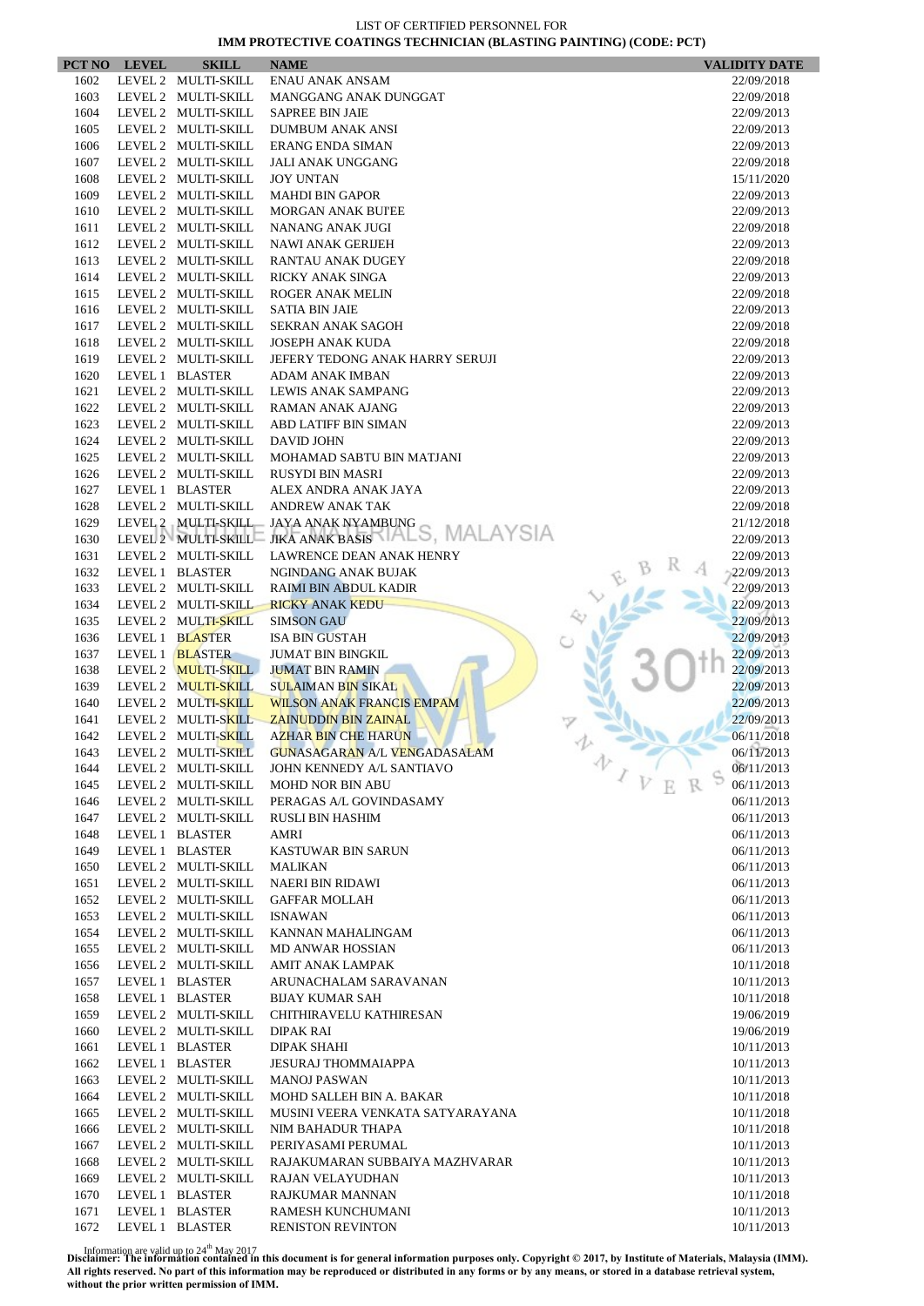|              | PCT NO LEVEL | <b>SKILL</b>                               | <b>NAME</b>                                         | <b>VALIDITY DATE</b>     |
|--------------|--------------|--------------------------------------------|-----------------------------------------------------|--------------------------|
| 1602         |              | LEVEL 2 MULTI-SKILL                        | <b>ENAU ANAK ANSAM</b>                              | 22/09/2018               |
| 1603         |              | LEVEL 2 MULTI-SKILL                        | MANGGANG ANAK DUNGGAT                               | 22/09/2018               |
| 1604         |              | LEVEL 2 MULTI-SKILL                        | <b>SAPREE BIN JAIE</b>                              | 22/09/2013               |
| 1605         |              | LEVEL 2 MULTI-SKILL                        | <b>DUMBUM ANAK ANSI</b>                             | 22/09/2013               |
| 1606         |              | LEVEL 2 MULTI-SKILL                        | <b>ERANG ENDA SIMAN</b>                             | 22/09/2013               |
| 1607         |              | LEVEL 2 MULTI-SKILL                        | <b>JALI ANAK UNGGANG</b>                            | 22/09/2018               |
| 1608         |              | LEVEL 2 MULTI-SKILL                        | <b>JOY UNTAN</b>                                    | 15/11/2020               |
| 1609         |              | LEVEL 2 MULTI-SKILL                        | <b>MAHDI BIN GAPOR</b>                              | 22/09/2013               |
| 1610         |              | LEVEL 2 MULTI-SKILL                        | <b>MORGAN ANAK BUI'EE</b>                           | 22/09/2013               |
| 1611         |              | LEVEL 2 MULTI-SKILL                        | NANANG ANAK JUGI                                    | 22/09/2018               |
| 1612         |              | LEVEL 2 MULTI-SKILL                        | <b>NAWI ANAK GERIJEH</b>                            | 22/09/2013               |
| 1613         |              | LEVEL 2 MULTI-SKILL                        | <b>RANTAU ANAK DUGEY</b>                            | 22/09/2018               |
| 1614         |              | LEVEL 2 MULTI-SKILL                        | RICKY ANAK SINGA                                    | 22/09/2013               |
| 1615         |              | LEVEL 2 MULTI-SKILL                        | <b>ROGER ANAK MELIN</b>                             | 22/09/2018               |
| 1616         |              | LEVEL 2 MULTI-SKILL                        | <b>SATIA BIN JAIE</b>                               | 22/09/2013               |
| 1617         |              | LEVEL 2 MULTI-SKILL<br>LEVEL 2 MULTI-SKILL | SEKRAN ANAK SAGOH                                   | 22/09/2018               |
| 1618         |              | LEVEL 2 MULTI-SKILL                        | <b>JOSEPH ANAK KUDA</b>                             | 22/09/2018               |
| 1619<br>1620 |              | LEVEL 1 BLASTER                            | JEFERY TEDONG ANAK HARRY SERUJI                     | 22/09/2013               |
| 1621         |              | LEVEL 2 MULTI-SKILL                        | ADAM ANAK IMBAN<br>LEWIS ANAK SAMPANG               | 22/09/2013<br>22/09/2013 |
| 1622         |              | LEVEL 2 MULTI-SKILL                        | RAMAN ANAK AJANG                                    |                          |
| 1623         |              | LEVEL 2 MULTI-SKILL                        | <b>ABD LATIFF BIN SIMAN</b>                         | 22/09/2013<br>22/09/2013 |
| 1624         |              | LEVEL 2 MULTI-SKILL                        | DAVID JOHN                                          | 22/09/2013               |
| 1625         |              | LEVEL 2 MULTI-SKILL                        | MOHAMAD SABTU BIN MATJANI                           | 22/09/2013               |
| 1626         |              | LEVEL 2 MULTI-SKILL                        | <b>RUSYDI BIN MASRI</b>                             | 22/09/2013               |
| 1627         |              | LEVEL 1 BLASTER                            | ALEX ANDRA ANAK JAYA                                | 22/09/2013               |
| 1628         |              | LEVEL 2 MULTI-SKILL                        | <b>ANDREW ANAK TAK</b>                              | 22/09/2018               |
| 1629         |              |                                            | LEVEL 2 MULTI-SKILL JAYA ANAK NYAMBUNG              | 21/12/2018               |
| 1630         |              |                                            | LEVEL2 MULTI-SKILL= JIKA ANAK BASIS VIALS, MALAYSIA | 22/09/2013               |
| 1631         |              | LEVEL 2 MULTI-SKILL                        | LAWRENCE DEAN ANAK HENRY                            | 22/09/2013               |
| 1632         |              | LEVEL 1 BLASTER                            | NGINDANG ANAK BUJAK                                 | 22/09/2013               |
| 1633         |              | LEVEL 2 MULTI-SKILL                        | <b>RAIMI BIN ABDUL KADIR</b>                        | 22/09/2013               |
| 1634         |              | LEVEL 2 MULTI-SKILL                        | <b>RICKY ANAK KEDU</b>                              | 22/09/2013               |
| 1635         |              | LEVEL 2 MULTI-SKILL                        | <b>SIMSON GAU</b>                                   | 22/09/2013               |
| 1636         |              | LEVEL 1 BLASTER                            | <b>ISA BIN GUSTAH</b>                               | 22/09/2013               |
| 1637         |              | LEVEL 1 BLASTER                            | <b>JUMAT BIN BINGKIL</b>                            | 22/09/2013               |
| 1638         |              | LEVEL 2 MULTI-SKILL                        | <b>JUMAT BIN RAMIN</b>                              | 22/09/2013               |
| 1639         |              | LEVEL 2 MULTI-SKILL                        | <b>SULAIMAN BIN SIKAL</b>                           | 22/09/2013               |
| 1640         |              | LEVEL 2 MULTI-SKILL                        | <b>WILSON ANAK FRANCIS EMPAM</b>                    | 22/09/2013               |
| 1641         |              | LEVEL 2 MULTI-SKILL                        | <b>ZAINUDDIN BIN ZAINAL</b>                         | 22/09/2013               |
| 1642         |              | LEVEL 2 MULTI-SKILL                        | <b>AZHAR BIN CHE HARUN</b>                          | 06/11/2018               |
| 1643         |              | LEVEL 2 MULTI-SKILL                        | GUNASAGARAN A/L VENGADASALAM                        | 06/11/2013               |
| 1644         |              | LEVEL 2 MULTI-SKILL                        | JOHN KENNEDY A/L SANTIAVO                           | v<br>06/11/2013          |
| 1645         |              | LEVEL 2 MULTI-SKILL                        | <b>MOHD NOR BIN ABU</b>                             | 06/11/2013               |
| 1646         |              | LEVEL 2 MULTI-SKILL                        | PERAGAS A/L GOVINDASAMY                             | 06/11/2013               |
| 1647         |              | LEVEL 2 MULTI-SKILL                        | RUSLI BIN HASHIM                                    | 06/11/2013               |
| 1648         |              | LEVEL 1 BLASTER                            | AMRI                                                | 06/11/2013               |
| 1649         |              | LEVEL 1 BLASTER                            | <b>KASTUWAR BIN SARUN</b>                           | 06/11/2013               |
| 1650         |              | LEVEL 2 MULTI-SKILL                        | MALIKAN                                             | 06/11/2013               |
| 1651         |              | LEVEL 2 MULTI-SKILL                        | <b>NAERI BIN RIDAWI</b>                             | 06/11/2013               |
| 1652         |              | LEVEL 2 MULTI-SKILL                        | <b>GAFFAR MOLLAH</b>                                | 06/11/2013               |
| 1653         |              | LEVEL 2 MULTI-SKILL                        | ISNAWAN                                             | 06/11/2013               |
| 1654         |              | LEVEL 2 MULTI-SKILL                        | KANNAN MAHALINGAM                                   | 06/11/2013               |
| 1655         |              | LEVEL 2 MULTI-SKILL                        | <b>MD ANWAR HOSSIAN</b>                             | 06/11/2013               |
| 1656         |              | LEVEL 2 MULTI-SKILL                        | AMIT ANAK LAMPAK                                    | 10/11/2018               |
| 1657         |              | LEVEL 1 BLASTER                            | ARUNACHALAM SARAVANAN                               | 10/11/2013               |
| 1658         |              | LEVEL 1 BLASTER                            | BIJAY KUMAR SAH                                     | 10/11/2018               |
| 1659         |              | LEVEL 2 MULTI-SKILL                        | CHITHIRAVELU KATHIRESAN                             | 19/06/2019               |
| 1660         |              | LEVEL 2 MULTI-SKILL                        | DIPAK RAI                                           | 19/06/2019               |
| 1661         |              | LEVEL 1 BLASTER                            | DIPAK SHAHI                                         | 10/11/2013               |
| 1662         |              | LEVEL 1 BLASTER                            | <b>JESURAJ THOMMAIAPPA</b>                          | 10/11/2013               |
| 1663         |              | LEVEL 2 MULTI-SKILL                        | <b>MANOJ PASWAN</b>                                 | 10/11/2013               |
| 1664         |              | LEVEL 2 MULTI-SKILL                        | MOHD SALLEH BIN A. BAKAR                            | 10/11/2018               |
| 1665         |              | LEVEL 2 MULTI-SKILL<br>LEVEL 2 MULTI-SKILL | MUSINI VEERA VENKATA SATYARAYANA                    | 10/11/2018               |
| 1666<br>1667 |              | LEVEL 2 MULTI-SKILL                        | NIM BAHADUR THAPA<br>PERIYASAMI PERUMAL             | 10/11/2018<br>10/11/2013 |
| 1668         |              | LEVEL 2 MULTI-SKILL                        | RAJAKUMARAN SUBBAIYA MAZHVARAR                      | 10/11/2013               |
| 1669         |              | LEVEL 2 MULTI-SKILL                        | RAJAN VELAYUDHAN                                    | 10/11/2013               |
| 1670         |              | LEVEL 1 BLASTER                            | RAJKUMAR MANNAN                                     | 10/11/2018               |
| 1671         |              | LEVEL 1 BLASTER                            | RAMESH KUNCHUMANI                                   | 10/11/2013               |
| 1672         |              | LEVEL 1 BLASTER                            | <b>RENISTON REVINTON</b>                            | 10/11/2013               |
|              |              |                                            |                                                     |                          |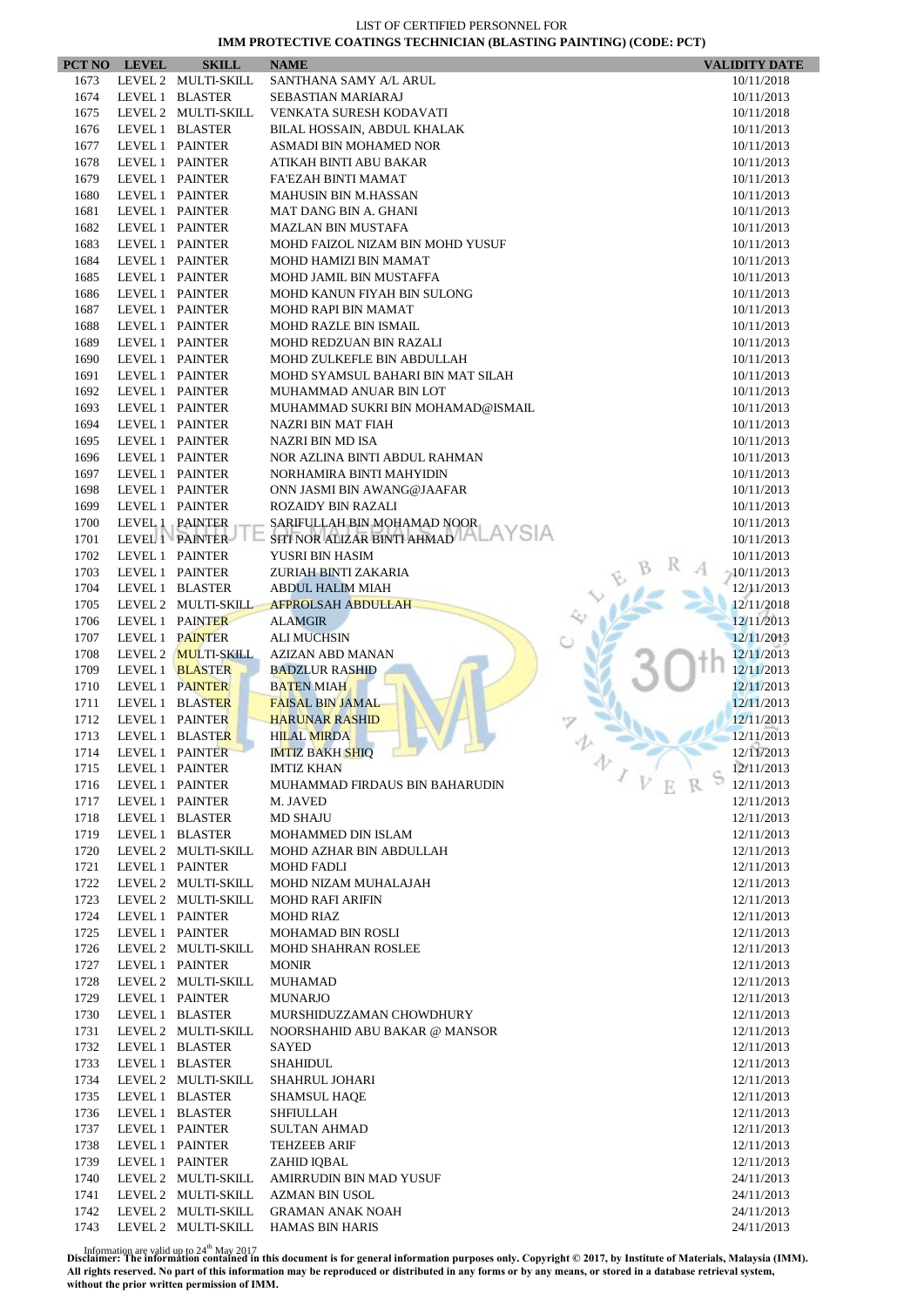|              | PCT NO LEVEL    | <b>SKILL</b>                               | <b>NAME</b>                                            | <b>VALIDITY DATE</b>     |
|--------------|-----------------|--------------------------------------------|--------------------------------------------------------|--------------------------|
| 1673         |                 | LEVEL 2 MULTI-SKILL                        | SANTHANA SAMY A/L ARUL                                 | 10/11/2018               |
| 1674         |                 | LEVEL 1 BLASTER                            | <b>SEBASTIAN MARIARAJ</b>                              | 10/11/2013               |
| 1675         |                 | LEVEL 2 MULTI-SKILL                        | VENKATA SURESH KODAVATI                                | 10/11/2018               |
| 1676         |                 | LEVEL 1 BLASTER                            | BILAL HOSSAIN, ABDUL KHALAK                            | 10/11/2013               |
| 1677         | LEVEL 1 PAINTER |                                            | ASMADI BIN MOHAMED NOR                                 | 10/11/2013               |
| 1678         | LEVEL 1 PAINTER |                                            | ATIKAH BINTI ABU BAKAR                                 | 10/11/2013               |
| 1679<br>1680 | LEVEL 1 PAINTER | LEVEL 1 PAINTER                            | FA'EZAH BINTI MAMAT<br><b>MAHUSIN BIN M.HASSAN</b>     | 10/11/2013               |
| 1681         |                 | LEVEL 1 PAINTER                            | MAT DANG BIN A. GHANI                                  | 10/11/2013<br>10/11/2013 |
| 1682         | LEVEL 1 PAINTER |                                            | <b>MAZLAN BIN MUSTAFA</b>                              | 10/11/2013               |
| 1683         | LEVEL 1 PAINTER |                                            | MOHD FAIZOL NIZAM BIN MOHD YUSUF                       | 10/11/2013               |
| 1684         |                 | LEVEL 1 PAINTER                            | MOHD HAMIZI BIN MAMAT                                  | 10/11/2013               |
| 1685         | LEVEL 1 PAINTER |                                            | MOHD JAMIL BIN MUSTAFFA                                | 10/11/2013               |
| 1686         | LEVEL 1 PAINTER |                                            | MOHD KANUN FIYAH BIN SULONG                            | 10/11/2013               |
| 1687         |                 | LEVEL 1 PAINTER                            | <b>MOHD RAPI BIN MAMAT</b>                             | 10/11/2013               |
| 1688         |                 | LEVEL 1 PAINTER                            | MOHD RAZLE BIN ISMAIL                                  | 10/11/2013               |
| 1689         | LEVEL 1 PAINTER |                                            | MOHD REDZUAN BIN RAZALI                                | 10/11/2013               |
| 1690         | LEVEL 1 PAINTER |                                            | MOHD ZULKEFLE BIN ABDULLAH                             | 10/11/2013               |
| 1691         | LEVEL 1 PAINTER |                                            | MOHD SYAMSUL BAHARI BIN MAT SILAH                      | 10/11/2013               |
| 1692         | LEVEL 1 PAINTER |                                            | MUHAMMAD ANUAR BIN LOT                                 | 10/11/2013               |
| 1693         | LEVEL 1 PAINTER |                                            | MUHAMMAD SUKRI BIN MOHAMAD@ISMAIL                      | 10/11/2013               |
| 1694         | LEVEL 1 PAINTER |                                            | NAZRI BIN MAT FIAH<br><b>NAZRI BIN MD ISA</b>          | 10/11/2013               |
| 1695<br>1696 | LEVEL 1 PAINTER | LEVEL 1 PAINTER                            | NOR AZLINA BINTI ABDUL RAHMAN                          | 10/11/2013<br>10/11/2013 |
| 1697         | LEVEL 1 PAINTER |                                            | NORHAMIRA BINTI MAHYIDIN                               | 10/11/2013               |
| 1698         | LEVEL 1 PAINTER |                                            | ONN JASMI BIN AWANG@JAAFAR                             | 10/11/2013               |
| 1699         | LEVEL 1 PAINTER |                                            | <b>ROZAIDY BIN RAZALI</b>                              | 10/11/2013               |
| 1700         | LEVEL 1 PAINTER |                                            | SARIFULLAH BIN MOHAMAD NOOR                            | 10/11/2013               |
| 1701         |                 | LEVEL 1 PAINTER                            | SITI NOR ALIZAR BINTI AHMAD                            | 10/11/2013               |
| 1702         |                 | LEVEL 1 PAINTER                            | YUSRI BIN HASIM                                        | 10/11/2013               |
| 1703         | LEVEL 1 PAINTER |                                            | ZURIAH BINTI ZAKARIA                                   | $-10/11/2013$            |
| 1704         |                 | LEVEL 1 BLASTER                            | <b>ABDUL HALIM MIAH</b>                                | 12/11/2013               |
| 1705         |                 | LEVEL 2 MULTI-SKILL                        | <b>AFPROLSAH ABDULLAH</b>                              | 12/11/2018               |
| 1706         |                 | LEVEL 1 PAINTER                            | <b>ALAMGIR</b>                                         | 12/11/2013               |
| 1707         | LEVEL 1 PAINTER |                                            | <b>ALI MUCHSIN</b>                                     | 12/11/2013               |
| 1708         |                 | LEVEL 2 <b>MULTI-SKILL</b>                 | AZIZAN ABD MANAN                                       | 12/11/2013               |
| 1709         |                 | LEVEL 1 BLASTER                            | <b>BADZLUR RASHID</b>                                  | 12/11/2013               |
| 1710         |                 | LEVEL 1 PAINTER                            | <b>BATEN MIAH</b>                                      | 12/11/2013               |
| 1711<br>1712 | LEVEL 1 PAINTER | LEVEL 1 BLASTER                            | <b>FAISAL BIN JAMAL</b><br><b>HARUNAR RASHID</b>       | 12/11/2013<br>12/11/2013 |
| 1713         |                 | LEVEL 1 BLASTER                            | <b>HILAL MIRDA</b>                                     | 12/11/2013               |
| 1714         | LEVEL 1 PAINTER |                                            | <b>IMTIZ BAKH SHIQ</b>                                 | 12/11/2013               |
| 1715         | LEVEL 1 PAINTER |                                            | 办<br><b>IMTIZ KHAN</b>                                 | 12/11/2013               |
| 1716         | LEVEL 1 PAINTER |                                            | $\sqrt{V}$<br>MUHAMMAD FIRDAUS BIN BAHARUDIN           | 12/11/2013               |
| 1717         |                 | LEVEL 1 PAINTER                            | M. JAVED                                               | 12/11/2013               |
| 1718         |                 | LEVEL 1 BLASTER                            | <b>MD SHAJU</b>                                        | 12/11/2013               |
| 1719         |                 | LEVEL 1 BLASTER                            | MOHAMMED DIN ISLAM                                     | 12/11/2013               |
| 1720         |                 | LEVEL 2 MULTI-SKILL                        | MOHD AZHAR BIN ABDULLAH                                | 12/11/2013               |
| 1721         |                 | LEVEL 1 PAINTER                            | <b>MOHD FADLI</b>                                      | 12/11/2013               |
| 1722         |                 | LEVEL 2 MULTI-SKILL                        | MOHD NIZAM MUHALAJAH                                   | 12/11/2013               |
| 1723         |                 | LEVEL 2 MULTI-SKILL                        | <b>MOHD RAFI ARIFIN</b>                                | 12/11/2013               |
| 1724         |                 | LEVEL 1 PAINTER                            | <b>MOHD RIAZ</b>                                       | 12/11/2013               |
| 1725<br>1726 |                 | LEVEL 1 PAINTER<br>LEVEL 2 MULTI-SKILL     | <b>MOHAMAD BIN ROSLI</b><br><b>MOHD SHAHRAN ROSLEE</b> | 12/11/2013<br>12/11/2013 |
| 1727         | LEVEL 1 PAINTER |                                            | <b>MONIR</b>                                           | 12/11/2013               |
| 1728         |                 | LEVEL 2 MULTI-SKILL                        | <b>MUHAMAD</b>                                         | 12/11/2013               |
| 1729         |                 | LEVEL 1 PAINTER                            | <b>MUNARJO</b>                                         | 12/11/2013               |
| 1730         |                 | LEVEL 1 BLASTER                            | MURSHIDUZZAMAN CHOWDHURY                               | 12/11/2013               |
| 1731         |                 | LEVEL 2 MULTI-SKILL                        | NOORSHAHID ABU BAKAR @ MANSOR                          | 12/11/2013               |
| 1732         |                 | LEVEL 1 BLASTER                            | <b>SAYED</b>                                           | 12/11/2013               |
| 1733         |                 | LEVEL 1 BLASTER                            | SHAHIDUL                                               | 12/11/2013               |
| 1734         |                 | LEVEL 2 MULTI-SKILL                        | SHAHRUL JOHARI                                         | 12/11/2013               |
| 1735         |                 | LEVEL 1 BLASTER                            | <b>SHAMSUL HAQE</b>                                    | 12/11/2013               |
| 1736         |                 | LEVEL 1 BLASTER                            | SHFIULLAH                                              | 12/11/2013               |
| 1737         |                 | LEVEL 1 PAINTER                            | <b>SULTAN AHMAD</b>                                    | 12/11/2013               |
| 1738         |                 | LEVEL 1 PAINTER                            | <b>TEHZEEB ARIF</b>                                    | 12/11/2013               |
| 1739         | LEVEL 1 PAINTER |                                            | ZAHID IQBAL                                            | 12/11/2013               |
| 1740         |                 | LEVEL 2 MULTI-SKILL                        | AMIRRUDIN BIN MAD YUSUF                                | 24/11/2013               |
| 1741<br>1742 |                 | LEVEL 2 MULTI-SKILL<br>LEVEL 2 MULTI-SKILL | <b>AZMAN BIN USOL</b>                                  | 24/11/2013               |
| 1743         |                 | LEVEL 2 MULTI-SKILL                        | <b>GRAMAN ANAK NOAH</b><br><b>HAMAS BIN HARIS</b>      | 24/11/2013<br>24/11/2013 |
|              |                 |                                            |                                                        |                          |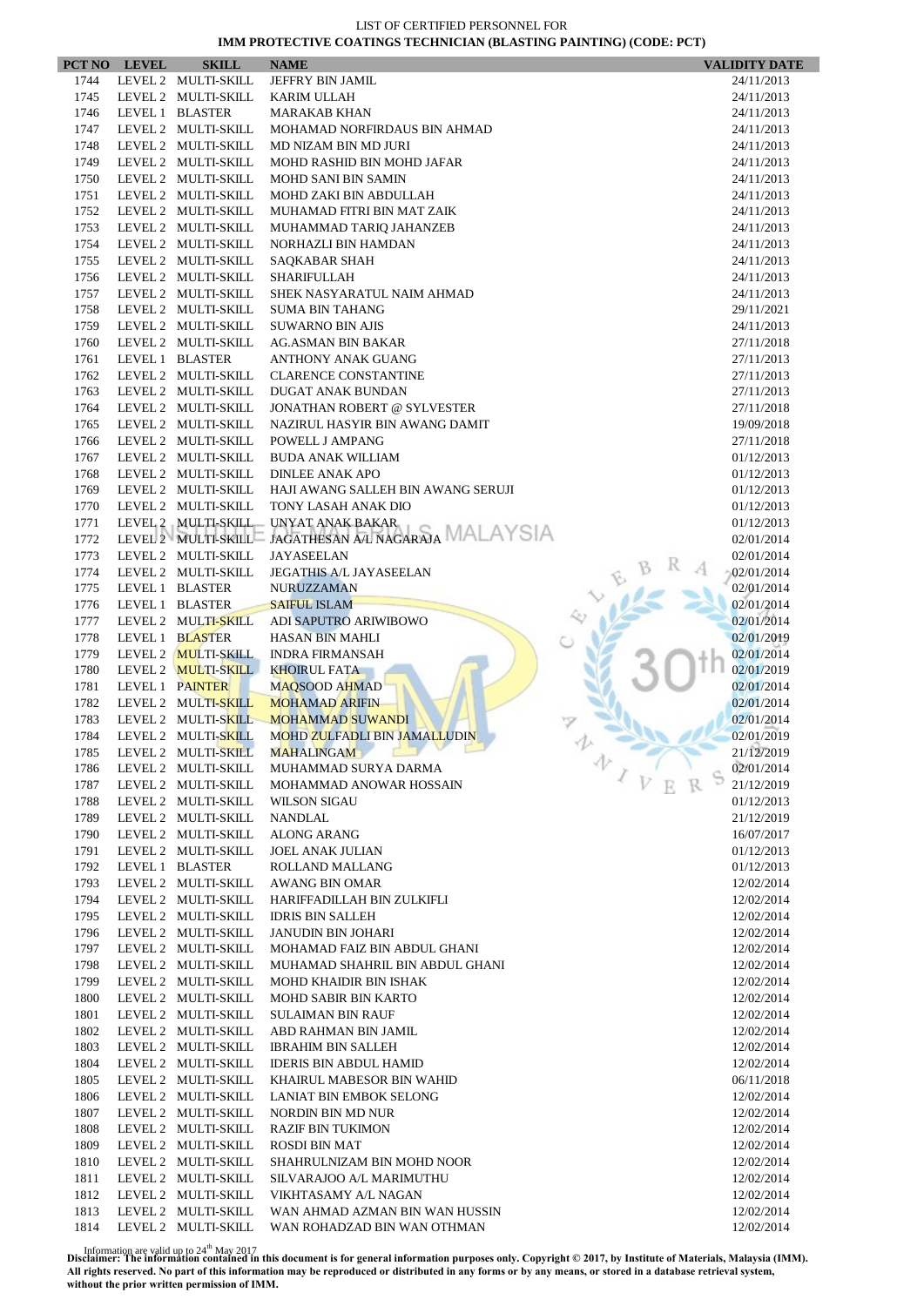|              | PCT NO LEVEL | <b>SKILL</b>                               | <b>NAME</b>                                             | <b>VALIDITY DATE</b>     |
|--------------|--------------|--------------------------------------------|---------------------------------------------------------|--------------------------|
| 1744         |              | LEVEL 2 MULTI-SKILL                        | JEFFRY BIN JAMIL                                        | 24/11/2013               |
| 1745         |              | LEVEL 2 MULTI-SKILL                        | <b>KARIM ULLAH</b>                                      | 24/11/2013               |
| 1746         |              | LEVEL 1 BLASTER                            | <b>MARAKAB KHAN</b>                                     | 24/11/2013               |
| 1747         |              | LEVEL 2 MULTI-SKILL                        | MOHAMAD NORFIRDAUS BIN AHMAD                            | 24/11/2013               |
| 1748         |              | LEVEL 2 MULTI-SKILL                        | MD NIZAM BIN MD JURI                                    | 24/11/2013               |
| 1749         |              | LEVEL 2 MULTI-SKILL                        | MOHD RASHID BIN MOHD JAFAR                              | 24/11/2013               |
| 1750         |              | LEVEL 2 MULTI-SKILL                        | <b>MOHD SANI BIN SAMIN</b>                              | 24/11/2013               |
| 1751<br>1752 |              | LEVEL 2 MULTI-SKILL<br>LEVEL 2 MULTI-SKILL | MOHD ZAKI BIN ABDULLAH<br>MUHAMAD FITRI BIN MAT ZAIK    | 24/11/2013<br>24/11/2013 |
| 1753         |              | LEVEL 2 MULTI-SKILL                        | MUHAMMAD TARIQ JAHANZEB                                 | 24/11/2013               |
| 1754         |              | LEVEL 2 MULTI-SKILL                        | NORHAZLI BIN HAMDAN                                     | 24/11/2013               |
| 1755         |              | LEVEL 2 MULTI-SKILL                        | SAQKABAR SHAH                                           | 24/11/2013               |
| 1756         |              | LEVEL 2 MULTI-SKILL                        | <b>SHARIFULLAH</b>                                      | 24/11/2013               |
| 1757         |              | LEVEL 2 MULTI-SKILL                        | SHEK NASYARATUL NAIM AHMAD                              | 24/11/2013               |
| 1758         |              | LEVEL 2 MULTI-SKILL                        | <b>SUMA BIN TAHANG</b>                                  | 29/11/2021               |
| 1759         |              | LEVEL 2 MULTI-SKILL                        | <b>SUWARNO BIN AJIS</b>                                 | 24/11/2013               |
| 1760         |              | LEVEL 2 MULTI-SKILL                        | <b>AG.ASMAN BIN BAKAR</b>                               | 27/11/2018               |
| 1761         |              | LEVEL 1 BLASTER                            | ANTHONY ANAK GUANG                                      | 27/11/2013               |
| 1762         |              | LEVEL 2 MULTI-SKILL                        | <b>CLARENCE CONSTANTINE</b>                             | 27/11/2013               |
| 1763         |              | LEVEL 2 MULTI-SKILL                        | DUGAT ANAK BUNDAN                                       | 27/11/2013               |
| 1764         |              | LEVEL 2 MULTI-SKILL                        | <b>JONATHAN ROBERT @ SYLVESTER</b>                      | 27/11/2018               |
| 1765         |              | LEVEL 2 MULTI-SKILL                        | NAZIRUL HASYIR BIN AWANG DAMIT                          | 19/09/2018               |
| 1766         |              | LEVEL 2 MULTI-SKILL                        | POWELL J AMPANG                                         | 27/11/2018               |
| 1767<br>1768 |              | LEVEL 2 MULTI-SKILL<br>LEVEL 2 MULTI-SKILL | <b>BUDA ANAK WILLIAM</b><br><b>DINLEE ANAK APO</b>      | 01/12/2013<br>01/12/2013 |
| 1769         |              | LEVEL 2 MULTI-SKILL                        | HAJI AWANG SALLEH BIN AWANG SERUJI                      | 01/12/2013               |
| 1770         |              | LEVEL 2 MULTI-SKILL                        | TONY LASAH ANAK DIO                                     | 01/12/2013               |
| 1771         |              |                                            | LEVEL 2 MULTI-SKILL UNYAT ANAK BAKAR                    | 01/12/2013               |
| 1772         |              |                                            | LEVEL 2 MULTI-SKILL JAGATHESAN AL NAGARAJA MALAYSIA     | 02/01/2014               |
| 1773         |              | LEVEL 2 MULTI-SKILL                        | <b>JAYASEELAN</b>                                       | 02/01/2014               |
| 1774         |              | LEVEL 2 MULTI-SKILL                        | <b>JEGATHIS A/L JAYASEELAN</b>                          | $-02/01/2014$            |
| 1775         |              | LEVEL 1 BLASTER                            | <b>NURUZZAMAN</b>                                       | 02/01/2014               |
| 1776         |              | LEVEL 1 BLASTER                            | <b>SAIFUL ISLAM</b>                                     | 02/01/2014               |
| 1777         |              | LEVEL 2 MULTI-SKILL                        | ADI SAPUTRO ARIWIBOWO                                   | 02/01/2014               |
| 1778         |              | LEVEL 1 BLASTER                            | <b>HASAN BIN MAHLI</b>                                  | 02/01/2019               |
| 1779         |              | LEVEL 2 MULTI-SKILL                        | <b>INDRA FIRMANSAH</b>                                  | 02/01/2014               |
| 1780         |              | LEVEL 2 MULTI-SKILL                        | <b>KHOIRUL FATA</b>                                     | 02/01/2019               |
| 1781         |              | LEVEL 1 PAINTER                            | <b>MAQSOOD AHMAD</b>                                    | 02/01/2014               |
| 1782         |              | LEVEL 2 MULTI-SKILL                        | <b>MOHAMAD ARIFIN</b>                                   | 02/01/2014               |
| 1783<br>1784 |              | LEVEL 2 MULTI-SKILL<br>LEVEL 2 MULTI-SKILL | <b>MOHAMMAD SUWANDI</b><br>MOHD ZULFADLI BIN JAMALLUDIN | 02/01/2014<br>02/01/2019 |
| 1785         |              |                                            | LEVEL 2 MULTI-SKILL MAHALINGAM                          | 21/12/2019               |
| 1786         |              | LEVEL 2 MULTI-SKILL                        | MUHAMMAD SURYA DARMA                                    | 办<br>02/01/2014          |
| 1787         |              | LEVEL 2 MULTI-SKILL                        | MOHAMMAD ANOWAR HOSSAIN                                 | 21/12/2019               |
| 1788         |              | LEVEL 2 MULTI-SKILL                        | <b>WILSON SIGAU</b>                                     | 01/12/2013               |
| 1789         |              | LEVEL 2 MULTI-SKILL                        | NANDLAL                                                 | 21/12/2019               |
| 1790         |              | LEVEL 2 MULTI-SKILL                        | <b>ALONG ARANG</b>                                      | 16/07/2017               |
| 1791         |              | LEVEL 2 MULTI-SKILL                        | <b>JOEL ANAK JULIAN</b>                                 | 01/12/2013               |
| 1792         |              | LEVEL 1 BLASTER                            | ROLLAND MALLANG                                         | 01/12/2013               |
| 1793         |              | LEVEL 2 MULTI-SKILL                        | <b>AWANG BIN OMAR</b>                                   | 12/02/2014               |
| 1794         |              | LEVEL 2 MULTI-SKILL                        | HARIFFADILLAH BIN ZULKIFLI                              | 12/02/2014               |
| 1795         |              | LEVEL 2 MULTI-SKILL                        | <b>IDRIS BIN SALLEH</b>                                 | 12/02/2014               |
| 1796         |              | LEVEL 2 MULTI-SKILL                        | <b>JANUDIN BIN JOHARI</b>                               | 12/02/2014               |
| 1797         |              | LEVEL 2 MULTI-SKILL                        | MOHAMAD FAIZ BIN ABDUL GHANI                            | 12/02/2014               |
| 1798         |              | LEVEL 2 MULTI-SKILL                        | MUHAMAD SHAHRIL BIN ABDUL GHANI                         | 12/02/2014               |
| 1799<br>1800 |              | LEVEL 2 MULTI-SKILL<br>LEVEL 2 MULTI-SKILL | MOHD KHAIDIR BIN ISHAK                                  | 12/02/2014               |
| 1801         |              | LEVEL 2 MULTI-SKILL                        | <b>MOHD SABIR BIN KARTO</b><br><b>SULAIMAN BIN RAUF</b> | 12/02/2014<br>12/02/2014 |
| 1802         |              | LEVEL 2 MULTI-SKILL                        | ABD RAHMAN BIN JAMIL                                    | 12/02/2014               |
| 1803         |              | LEVEL 2 MULTI-SKILL                        | <b>IBRAHIM BIN SALLEH</b>                               | 12/02/2014               |
| 1804         |              | LEVEL 2 MULTI-SKILL                        | <b>IDERIS BIN ABDUL HAMID</b>                           | 12/02/2014               |
| 1805         |              | LEVEL 2 MULTI-SKILL                        | KHAIRUL MABESOR BIN WAHID                               | 06/11/2018               |
| 1806         |              | LEVEL 2 MULTI-SKILL                        | LANIAT BIN EMBOK SELONG                                 | 12/02/2014               |
| 1807         |              | LEVEL 2 MULTI-SKILL                        | NORDIN BIN MD NUR                                       | 12/02/2014               |
| 1808         |              | LEVEL 2 MULTI-SKILL                        | <b>RAZIF BIN TUKIMON</b>                                | 12/02/2014               |
| 1809         |              | LEVEL 2 MULTI-SKILL                        | <b>ROSDI BIN MAT</b>                                    | 12/02/2014               |
| 1810         |              | LEVEL 2 MULTI-SKILL                        | SHAHRULNIZAM BIN MOHD NOOR                              | 12/02/2014               |
| 1811         |              | LEVEL 2 MULTI-SKILL                        | SILVARAJOO A/L MARIMUTHU                                | 12/02/2014               |
| 1812         |              | LEVEL 2 MULTI-SKILL                        | VIKHTASAMY A/L NAGAN                                    | 12/02/2014               |
| 1813         |              | LEVEL 2 MULTI-SKILL                        | WAN AHMAD AZMAN BIN WAN HUSSIN                          | 12/02/2014               |
| 1814         |              | LEVEL 2 MULTI-SKILL                        | WAN ROHADZAD BIN WAN OTHMAN                             | 12/02/2014               |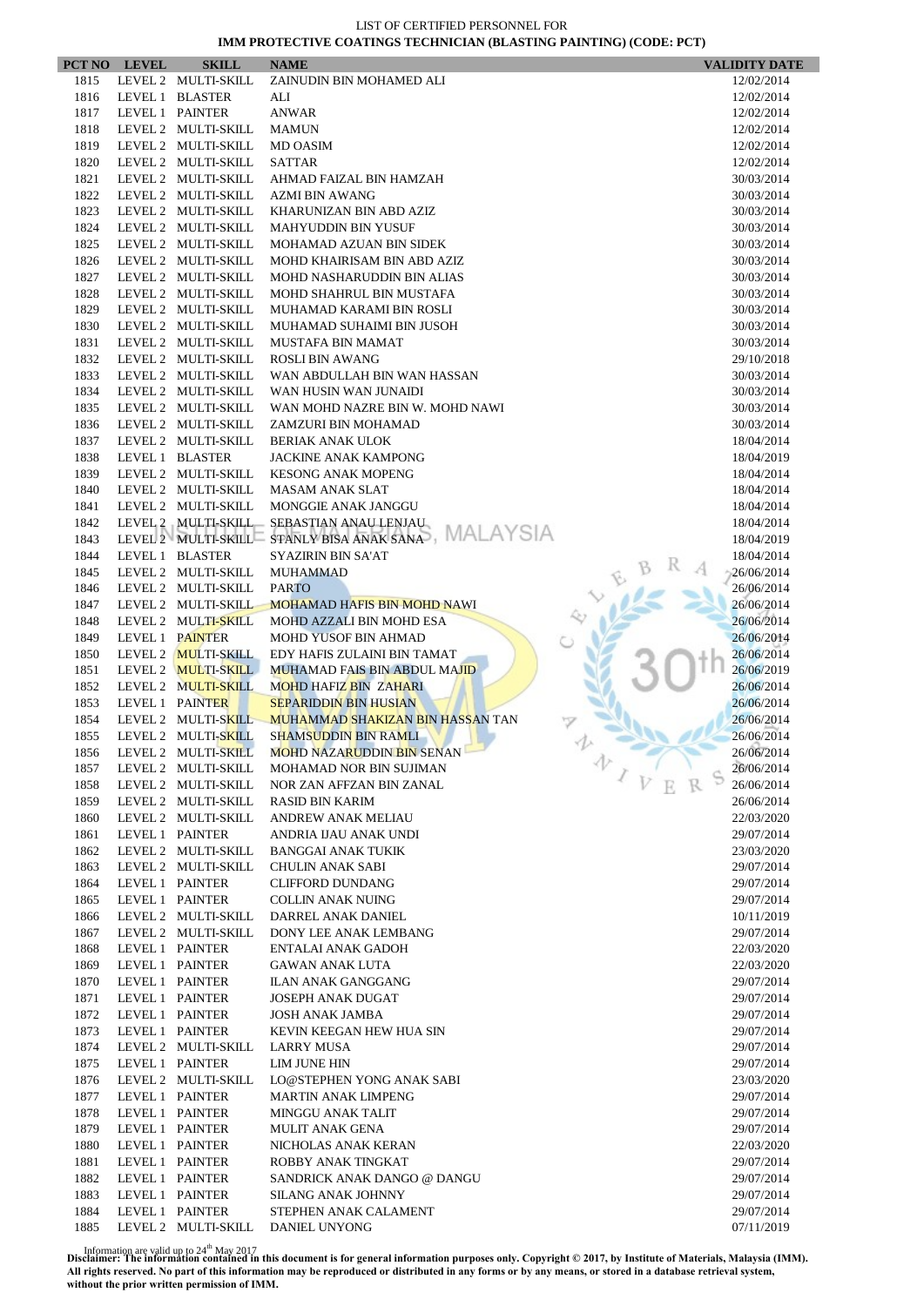|      | PCT NO LEVEL    | <b>SKILL</b>                               | <b>NAME</b>                                          | <b>VALIDITY DATE</b> |
|------|-----------------|--------------------------------------------|------------------------------------------------------|----------------------|
| 1815 |                 | LEVEL 2 MULTI-SKILL                        | ZAINUDIN BIN MOHAMED ALI                             | 12/02/2014           |
| 1816 |                 | LEVEL 1 BLASTER                            | ALI                                                  | 12/02/2014           |
| 1817 |                 | LEVEL 1 PAINTER                            | <b>ANWAR</b>                                         | 12/02/2014           |
| 1818 |                 | LEVEL 2 MULTI-SKILL                        | <b>MAMUN</b>                                         | 12/02/2014           |
| 1819 |                 | LEVEL 2 MULTI-SKILL                        | MD OASIM                                             | 12/02/2014           |
| 1820 |                 | LEVEL 2 MULTI-SKILL                        | <b>SATTAR</b>                                        | 12/02/2014           |
| 1821 |                 | LEVEL 2 MULTI-SKILL                        | AHMAD FAIZAL BIN HAMZAH                              | 30/03/2014           |
| 1822 |                 | LEVEL 2 MULTI-SKILL                        | <b>AZMI BIN AWANG</b>                                | 30/03/2014           |
| 1823 |                 | LEVEL 2 MULTI-SKILL                        | KHARUNIZAN BIN ABD AZIZ                              | 30/03/2014           |
| 1824 |                 | LEVEL 2 MULTI-SKILL                        | <b>MAHYUDDIN BIN YUSUF</b>                           | 30/03/2014           |
| 1825 |                 | LEVEL 2 MULTI-SKILL                        | MOHAMAD AZUAN BIN SIDEK                              | 30/03/2014           |
| 1826 |                 | LEVEL 2 MULTI-SKILL                        | MOHD KHAIRISAM BIN ABD AZIZ                          | 30/03/2014           |
| 1827 |                 | LEVEL 2 MULTI-SKILL                        | MOHD NASHARUDDIN BIN ALIAS                           | 30/03/2014           |
| 1828 |                 | LEVEL 2 MULTI-SKILL                        | MOHD SHAHRUL BIN MUSTAFA                             | 30/03/2014           |
| 1829 |                 | LEVEL 2 MULTI-SKILL                        | MUHAMAD KARAMI BIN ROSLI                             | 30/03/2014           |
| 1830 |                 | LEVEL 2 MULTI-SKILL                        | MUHAMAD SUHAIMI BIN JUSOH                            | 30/03/2014           |
| 1831 |                 | LEVEL 2 MULTI-SKILL                        | MUSTAFA BIN MAMAT                                    | 30/03/2014           |
| 1832 |                 | LEVEL 2 MULTI-SKILL                        | <b>ROSLI BIN AWANG</b>                               | 29/10/2018           |
| 1833 |                 | LEVEL 2 MULTI-SKILL                        | WAN ABDULLAH BIN WAN HASSAN                          | 30/03/2014           |
| 1834 |                 | LEVEL 2 MULTI-SKILL                        | WAN HUSIN WAN JUNAIDI                                | 30/03/2014           |
| 1835 |                 | LEVEL 2 MULTI-SKILL                        | WAN MOHD NAZRE BIN W. MOHD NAWI                      | 30/03/2014           |
| 1836 |                 | LEVEL 2 MULTI-SKILL                        | ZAMZURI BIN MOHAMAD                                  | 30/03/2014           |
| 1837 |                 | LEVEL 2 MULTI-SKILL                        | <b>BERIAK ANAK ULOK</b>                              | 18/04/2014           |
| 1838 |                 | LEVEL 1 BLASTER                            | <b>JACKINE ANAK KAMPONG</b>                          | 18/04/2019           |
| 1839 |                 | LEVEL 2 MULTI-SKILL                        | <b>KESONG ANAK MOPENG</b>                            | 18/04/2014           |
| 1840 |                 | LEVEL 2 MULTI-SKILL                        | <b>MASAM ANAK SLAT</b>                               | 18/04/2014           |
| 1841 |                 | LEVEL 2 MULTI-SKILL                        | MONGGIE ANAK JANGGU                                  | 18/04/2014           |
| 1842 |                 | LEVEL 2 MULTI-SKILL                        | SEBASTIAN ANAU LENJAU                                | 18/04/2014           |
| 1843 |                 |                                            | LEVEL 2 MULTI-SKILL STANLY BISA ANAK SANA, MALAYSIA  | 18/04/2019           |
| 1844 |                 | LEVEL 1 BLASTER                            | <b>SYAZIRIN BIN SA'AT</b>                            | 18/04/2014           |
| 1845 |                 | LEVEL 2 MULTI-SKILL                        | <b>MUHAMMAD</b>                                      | 26/06/2014           |
| 1846 |                 | LEVEL 2 MULTI-SKILL                        | <b>PARTO</b>                                         | 26/06/2014           |
| 1847 |                 | LEVEL 2 MULTI-SKILL                        | <b>MOHAMAD HAFIS BIN MOHD NAWI</b>                   | 26/06/2014           |
| 1848 |                 | LEVEL 2 MULTI-SKILL                        | MOHD AZZALI BIN MOHD ESA                             | 26/06/2014           |
| 1849 |                 | LEVEL 1 PAINTER                            | <b>MOHD YUSOF BIN AHMAD</b>                          | 26/06/2014           |
| 1850 |                 | LEVEL 2 MULTI-SKILL                        | EDY HAFIS ZULAINI BIN TAMAT                          | 26/06/2014           |
| 1851 |                 | LEVEL 2 MULTI-SKILL                        | <b>MUHAMAD FAIS BIN ABDUL MAJID</b>                  | 26/06/2019           |
| 1852 |                 | LEVEL 2 MULTI-SKILL                        | <b>MOHD HAFIZ BIN ZAHARI</b>                         | 26/06/2014           |
| 1853 |                 | LEVEL 1 PAINTER                            | <b>SEPARIDDIN BIN HUSIAN</b>                         | 26/06/2014           |
| 1854 |                 |                                            | LEVEL 2 MULTI-SKILL MUHAMMAD SHAKIZAN BIN HASSAN TAN | 26/06/2014           |
| 1855 |                 | LEVEL 2 MULTI-SKILL                        | SHAMSUDDIN BIN RAMLI                                 | 26/06/2014           |
|      |                 |                                            | 1856 LEVEL 2 MULTI-SKILL MOHD NAZARUDDIN BIN SENAN   | 26/06/2014           |
|      |                 |                                            |                                                      | 办                    |
| 1857 |                 | LEVEL 2 MULTI-SKILL<br>LEVEL 2 MULTI-SKILL | MOHAMAD NOR BIN SUJIMAN                              | 26/06/2014           |
| 1858 |                 |                                            | NOR ZAN AFFZAN BIN ZANAL                             | 26/06/2014           |
| 1859 |                 | LEVEL 2 MULTI-SKILL                        | <b>RASID BIN KARIM</b>                               | 26/06/2014           |
| 1860 |                 | LEVEL 2 MULTI-SKILL                        | ANDREW ANAK MELIAU                                   | 22/03/2020           |
| 1861 |                 | LEVEL 1 PAINTER                            | ANDRIA IJAU ANAK UNDI                                | 29/07/2014           |
| 1862 |                 | LEVEL 2 MULTI-SKILL                        | <b>BANGGAI ANAK TUKIK</b>                            | 23/03/2020           |
| 1863 |                 | LEVEL 2 MULTI-SKILL                        | CHULIN ANAK SABI                                     | 29/07/2014           |
| 1864 |                 | LEVEL 1 PAINTER                            | <b>CLIFFORD DUNDANG</b>                              | 29/07/2014           |
| 1865 |                 | LEVEL 1 PAINTER                            | <b>COLLIN ANAK NUING</b>                             | 29/07/2014           |
| 1866 |                 | LEVEL 2 MULTI-SKILL                        | DARREL ANAK DANIEL                                   | 10/11/2019           |
| 1867 |                 | LEVEL 2 MULTI-SKILL                        | DONY LEE ANAK LEMBANG                                | 29/07/2014           |
| 1868 |                 | LEVEL 1 PAINTER                            | ENTALAI ANAK GADOH                                   | 22/03/2020           |
| 1869 |                 | LEVEL 1 PAINTER                            | <b>GAWAN ANAK LUTA</b>                               | 22/03/2020           |
| 1870 |                 | LEVEL 1 PAINTER                            | <b>ILAN ANAK GANGGANG</b>                            | 29/07/2014           |
| 1871 |                 | LEVEL 1 PAINTER                            | <b>JOSEPH ANAK DUGAT</b>                             | 29/07/2014           |
| 1872 |                 | LEVEL 1 PAINTER                            | JOSH ANAK JAMBA                                      | 29/07/2014           |
| 1873 |                 | LEVEL 1 PAINTER                            | KEVIN KEEGAN HEW HUA SIN                             | 29/07/2014           |
| 1874 |                 | LEVEL 2 MULTI-SKILL                        | LARRY MUSA                                           | 29/07/2014           |
| 1875 |                 | LEVEL 1 PAINTER                            | ${\rm LIM}$ JUNE ${\rm HIN}$                         | 29/07/2014           |
| 1876 |                 | LEVEL 2 MULTI-SKILL                        | LO@STEPHEN YONG ANAK SABI                            | 23/03/2020           |
| 1877 |                 | LEVEL 1 PAINTER                            | <b>MARTIN ANAK LIMPENG</b>                           | 29/07/2014           |
| 1878 |                 | LEVEL 1 PAINTER                            | MINGGU ANAK TALIT                                    | 29/07/2014           |
| 1879 |                 | LEVEL 1 PAINTER                            | <b>MULIT ANAK GENA</b>                               | 29/07/2014           |
| 1880 |                 | LEVEL 1 PAINTER                            | NICHOLAS ANAK KERAN                                  | 22/03/2020           |
| 1881 |                 | LEVEL 1 PAINTER                            | ROBBY ANAK TINGKAT                                   | 29/07/2014           |
| 1882 |                 | LEVEL 1 PAINTER                            | SANDRICK ANAK DANGO @ DANGU                          | 29/07/2014           |
| 1883 |                 | LEVEL 1 PAINTER                            | SILANG ANAK JOHNNY                                   | 29/07/2014           |
| 1884 | LEVEL 1 PAINTER |                                            | STEPHEN ANAK CALAMENT                                | 29/07/2014           |
| 1885 |                 | LEVEL 2 MULTI-SKILL                        | DANIEL UNYONG                                        | 07/11/2019           |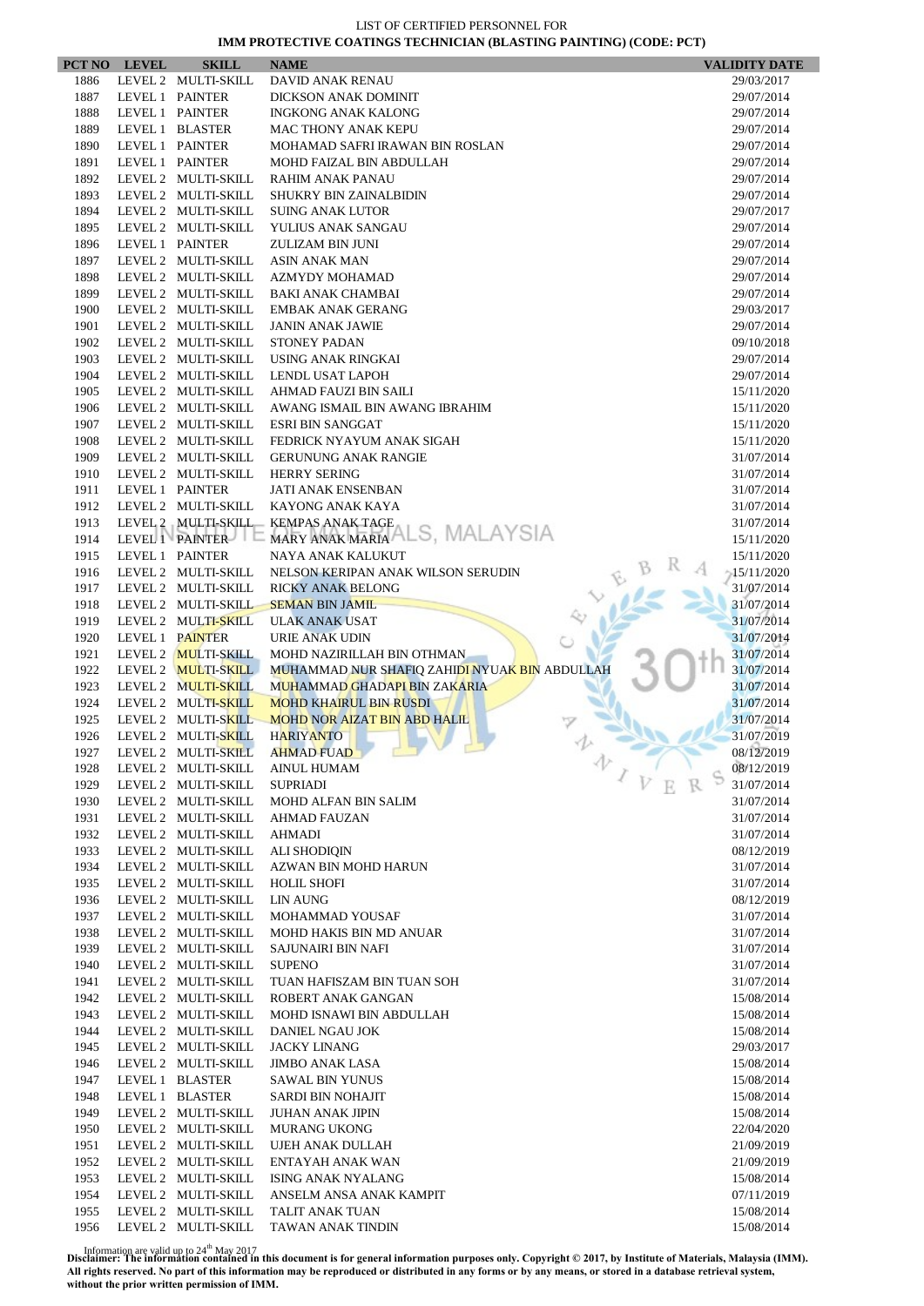|      | PCT NO LEVEL | <b>SKILL</b>        | <b>NAME</b>                                   | <b>VALIDITY DATE</b> |
|------|--------------|---------------------|-----------------------------------------------|----------------------|
| 1886 |              | LEVEL 2 MULTI-SKILL | DAVID ANAK RENAU                              | 29/03/2017           |
| 1887 |              | LEVEL 1 PAINTER     | DICKSON ANAK DOMINIT                          | 29/07/2014           |
| 1888 |              | LEVEL 1 PAINTER     | <b>INGKONG ANAK KALONG</b>                    | 29/07/2014           |
| 1889 |              | LEVEL 1 BLASTER     | <b>MAC THONY ANAK KEPU</b>                    | 29/07/2014           |
| 1890 |              | LEVEL 1 PAINTER     | MOHAMAD SAFRI IRAWAN BIN ROSLAN               | 29/07/2014           |
| 1891 |              | LEVEL 1 PAINTER     | MOHD FAIZAL BIN ABDULLAH                      | 29/07/2014           |
| 1892 |              | LEVEL 2 MULTI-SKILL | <b>RAHIM ANAK PANAU</b>                       | 29/07/2014           |
| 1893 |              | LEVEL 2 MULTI-SKILL | <b>SHUKRY BIN ZAINALBIDIN</b>                 | 29/07/2014           |
| 1894 |              | LEVEL 2 MULTI-SKILL | <b>SUING ANAK LUTOR</b>                       | 29/07/2017           |
| 1895 |              | LEVEL 2 MULTI-SKILL | YULIUS ANAK SANGAU                            | 29/07/2014           |
| 1896 |              | LEVEL 1 PAINTER     | ZULIZAM BIN JUNI                              | 29/07/2014           |
| 1897 |              | LEVEL 2 MULTI-SKILL | <b>ASIN ANAK MAN</b>                          | 29/07/2014           |
| 1898 |              | LEVEL 2 MULTI-SKILL | AZMYDY MOHAMAD                                | 29/07/2014           |
| 1899 |              | LEVEL 2 MULTI-SKILL | <b>BAKI ANAK CHAMBAI</b>                      | 29/07/2014           |
| 1900 |              | LEVEL 2 MULTI-SKILL | <b>EMBAK ANAK GERANG</b>                      | 29/03/2017           |
| 1901 |              | LEVEL 2 MULTI-SKILL | <b>JANIN ANAK JAWIE</b>                       | 29/07/2014           |
| 1902 |              | LEVEL 2 MULTI-SKILL | <b>STONEY PADAN</b>                           | 09/10/2018           |
| 1903 |              | LEVEL 2 MULTI-SKILL | USING ANAK RINGKAI                            | 29/07/2014           |
| 1904 |              | LEVEL 2 MULTI-SKILL | LENDL USAT LAPOH                              | 29/07/2014           |
| 1905 |              | LEVEL 2 MULTI-SKILL | AHMAD FAUZI BIN SAILI                         | 15/11/2020           |
| 1906 |              | LEVEL 2 MULTI-SKILL | AWANG ISMAIL BIN AWANG IBRAHIM                | 15/11/2020           |
| 1907 |              | LEVEL 2 MULTI-SKILL | <b>ESRI BIN SANGGAT</b>                       | 15/11/2020           |
| 1908 |              | LEVEL 2 MULTI-SKILL | FEDRICK NYAYUM ANAK SIGAH                     | 15/11/2020           |
| 1909 |              | LEVEL 2 MULTI-SKILL | <b>GERUNUNG ANAK RANGIE</b>                   | 31/07/2014           |
| 1910 |              | LEVEL 2 MULTI-SKILL | <b>HERRY SERING</b>                           | 31/07/2014           |
| 1911 |              | LEVEL 1 PAINTER     | <b>JATI ANAK ENSENBAN</b>                     | 31/07/2014           |
| 1912 |              | LEVEL 2 MULTI-SKILL | KAYONG ANAK KAYA                              | 31/07/2014           |
| 1913 |              | LEVEL 2 MULTI-SKILL | <b>KEMPAS ANAK TAGE</b>                       | 31/07/2014           |
| 1914 |              | LEVEL 1 PAINTER     | MARY ANAK MARIA ALS, MALAYSIA                 | 15/11/2020           |
| 1915 |              | LEVEL 1 PAINTER     | NAYA ANAK KALUKUT                             | 15/11/2020           |
| 1916 |              | LEVEL 2 MULTI-SKILL | NELSON KERIPAN ANAK WILSON SERUDIN            | $-15/11/2020$        |
| 1917 |              | LEVEL 2 MULTI-SKILL | <b>RICKY ANAK BELONG</b>                      | 31/07/2014           |
| 1918 |              | LEVEL 2 MULTI-SKILL | <b>SEMAN BIN JAMIL</b>                        | 31/07/2014           |
| 1919 |              | LEVEL 2 MULTI-SKILL | <b>ULAK ANAK USAT</b>                         | 31/07/2014           |
| 1920 |              | LEVEL 1 PAINTER     | URIE ANAK UDIN                                | 31/07/2014           |
| 1921 |              | LEVEL 2 MULTI-SKILL | MOHD NAZIRILLAH BIN OTHMAN                    | 31/07/2014           |
| 1922 |              | LEVEL 2 MULTI-SKILL | MUHAMMAD NUR SHAFIQ ZAHIDI NYUAK BIN ABDULLAH | 31/07/2014           |
| 1923 |              | LEVEL 2 MULTI-SKILL | MUHAMMAD GHADAPI BIN ZAKARIA                  | 31/07/2014           |
| 1924 |              | LEVEL 2 MULTI-SKILL | <b>MOHD KHAIRUL BIN RUSDI</b>                 | 31/07/2014           |
| 1925 |              | LEVEL 2 MULTI-SKILL | <b>MOHD NOR AIZAT BIN ABD HALIL</b>           | 31/07/2014           |
| 1926 |              | LEVEL 2 MULTI-SKILL | <b>HARIYANTO</b>                              | 31/07/2019           |
| 1927 |              |                     | LEVEL 2 MULTI-SKILL AHMAD FUAD                | 08/12/2019           |
| 1928 |              | LEVEL 2 MULTI-SKILL | v<br><b>AINUL HUMAM</b>                       | 08/12/2019           |
| 1929 |              | LEVEL 2 MULTI-SKILL | <b>SUPRIADI</b>                               | 31/07/2014           |
| 1930 |              | LEVEL 2 MULTI-SKILL | MOHD ALFAN BIN SALIM                          | 31/07/2014           |
| 1931 |              | LEVEL 2 MULTI-SKILL | <b>AHMAD FAUZAN</b>                           | 31/07/2014           |
| 1932 |              | LEVEL 2 MULTI-SKILL | AHMADI                                        | 31/07/2014           |
| 1933 |              | LEVEL 2 MULTI-SKILL | <b>ALI SHODIQIN</b>                           | 08/12/2019           |
| 1934 |              | LEVEL 2 MULTI-SKILL | AZWAN BIN MOHD HARUN                          | 31/07/2014           |
| 1935 |              | LEVEL 2 MULTI-SKILL | <b>HOLIL SHOFI</b>                            | 31/07/2014           |
| 1936 |              | LEVEL 2 MULTI-SKILL | <b>LIN AUNG</b>                               | 08/12/2019           |
| 1937 |              | LEVEL 2 MULTI-SKILL | MOHAMMAD YOUSAF                               | 31/07/2014           |
| 1938 |              | LEVEL 2 MULTI-SKILL | MOHD HAKIS BIN MD ANUAR                       | 31/07/2014           |
| 1939 |              | LEVEL 2 MULTI-SKILL | SAJUNAIRI BIN NAFI                            | 31/07/2014           |
| 1940 |              | LEVEL 2 MULTI-SKILL | <b>SUPENO</b>                                 | 31/07/2014           |
| 1941 |              | LEVEL 2 MULTI-SKILL | TUAN HAFISZAM BIN TUAN SOH                    | 31/07/2014           |
| 1942 |              | LEVEL 2 MULTI-SKILL | ROBERT ANAK GANGAN                            | 15/08/2014           |
| 1943 |              | LEVEL 2 MULTI-SKILL | MOHD ISNAWI BIN ABDULLAH                      | 15/08/2014           |
| 1944 |              | LEVEL 2 MULTI-SKILL |                                               |                      |
|      |              |                     | DANIEL NGAU JOK                               | 15/08/2014           |
| 1945 |              | LEVEL 2 MULTI-SKILL | <b>JACKY LINANG</b>                           | 29/03/2017           |
| 1946 |              | LEVEL 2 MULTI-SKILL | <b>JIMBO ANAK LASA</b>                        | 15/08/2014           |
| 1947 |              | LEVEL 1 BLASTER     | <b>SAWAL BIN YUNUS</b>                        | 15/08/2014           |
| 1948 |              | LEVEL 1 BLASTER     | SARDI BIN NOHAJIT                             | 15/08/2014           |
| 1949 |              | LEVEL 2 MULTI-SKILL | <b>JUHAN ANAK JIPIN</b>                       | 15/08/2014           |
| 1950 |              | LEVEL 2 MULTI-SKILL | <b>MURANG UKONG</b>                           | 22/04/2020           |
| 1951 |              | LEVEL 2 MULTI-SKILL | UJEH ANAK DULLAH                              | 21/09/2019           |
| 1952 |              | LEVEL 2 MULTI-SKILL | ENTAYAH ANAK WAN                              | 21/09/2019           |
| 1953 |              | LEVEL 2 MULTI-SKILL | ISING ANAK NYALANG                            | 15/08/2014           |
| 1954 |              | LEVEL 2 MULTI-SKILL | ANSELM ANSA ANAK KAMPIT                       | 07/11/2019           |
| 1955 |              | LEVEL 2 MULTI-SKILL | TALIT ANAK TUAN                               | 15/08/2014           |
| 1956 |              | LEVEL 2 MULTI-SKILL | TAWAN ANAK TINDIN                             | 15/08/2014           |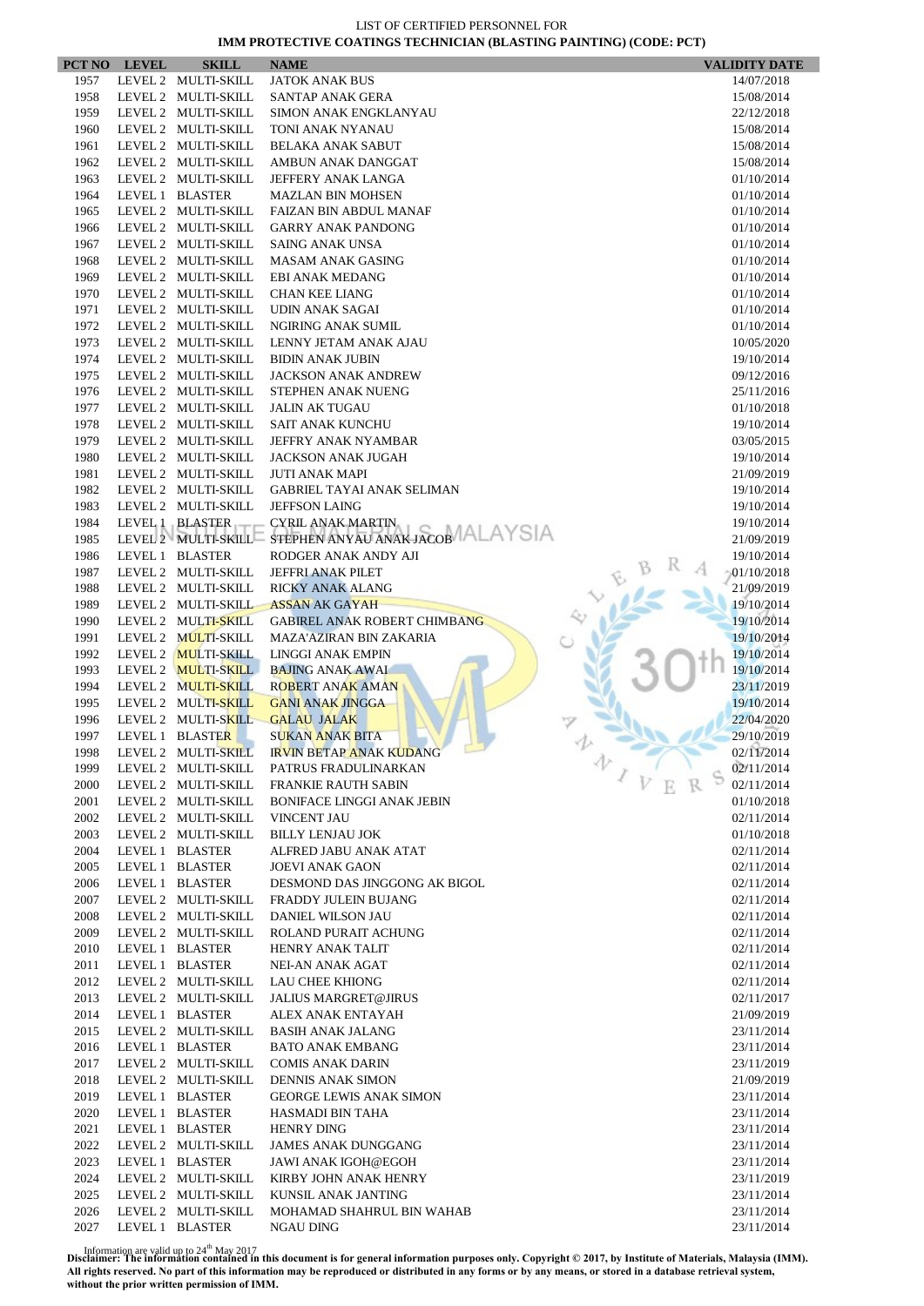|              | PCT NO LEVEL | <b>SKILL</b>                               | <b>NAME</b>                                        | <b>VALIDITY DATE</b>     |
|--------------|--------------|--------------------------------------------|----------------------------------------------------|--------------------------|
| 1957         |              | LEVEL 2 MULTI-SKILL                        | <b>JATOK ANAK BUS</b>                              | 14/07/2018               |
| 1958         |              | LEVEL 2 MULTI-SKILL                        | SANTAP ANAK GERA                                   | 15/08/2014               |
| 1959         |              | LEVEL 2 MULTI-SKILL                        | <b>SIMON ANAK ENGKLANYAU</b>                       | 22/12/2018               |
| 1960         |              | LEVEL 2 MULTI-SKILL                        | TONI ANAK NYANAU                                   | 15/08/2014               |
| 1961         |              | LEVEL 2 MULTI-SKILL                        | <b>BELAKA ANAK SABUT</b>                           | 15/08/2014               |
| 1962         |              | LEVEL 2 MULTI-SKILL                        | AMBUN ANAK DANGGAT                                 | 15/08/2014               |
| 1963         |              | LEVEL 2 MULTI-SKILL                        | JEFFERY ANAK LANGA                                 | 01/10/2014               |
| 1964         |              | LEVEL 1 BLASTER                            | <b>MAZLAN BIN MOHSEN</b>                           | 01/10/2014               |
| 1965         |              | LEVEL 2 MULTI-SKILL                        | FAIZAN BIN ABDUL MANAF                             | 01/10/2014               |
| 1966         |              | LEVEL 2 MULTI-SKILL                        | <b>GARRY ANAK PANDONG</b>                          | 01/10/2014               |
| 1967         |              | LEVEL 2 MULTI-SKILL                        | <b>SAING ANAK UNSA</b>                             | 01/10/2014               |
| 1968         |              | LEVEL 2 MULTI-SKILL                        | <b>MASAM ANAK GASING</b>                           | 01/10/2014               |
| 1969         |              | LEVEL 2 MULTI-SKILL                        | EBI ANAK MEDANG                                    | 01/10/2014               |
| 1970         |              | LEVEL 2 MULTI-SKILL                        | <b>CHAN KEE LIANG</b>                              | 01/10/2014               |
| 1971         |              | LEVEL 2 MULTI-SKILL                        | UDIN ANAK SAGAI                                    | 01/10/2014               |
| 1972         |              | LEVEL 2 MULTI-SKILL                        | <b>NGIRING ANAK SUMIL</b>                          | 01/10/2014               |
| 1973<br>1974 |              | LEVEL 2 MULTI-SKILL                        | LENNY JETAM ANAK AJAU                              | 10/05/2020               |
| 1975         |              | LEVEL 2 MULTI-SKILL<br>LEVEL 2 MULTI-SKILL | <b>BIDIN ANAK JUBIN</b>                            | 19/10/2014               |
| 1976         |              | LEVEL 2 MULTI-SKILL                        | <b>JACKSON ANAK ANDREW</b><br>STEPHEN ANAK NUENG   | 09/12/2016<br>25/11/2016 |
| 1977         |              | LEVEL 2 MULTI-SKILL                        | <b>JALIN AK TUGAU</b>                              | 01/10/2018               |
| 1978         |              | LEVEL 2 MULTI-SKILL                        | <b>SAIT ANAK KUNCHU</b>                            | 19/10/2014               |
| 1979         |              | LEVEL 2 MULTI-SKILL                        | JEFFRY ANAK NYAMBAR                                | 03/05/2015               |
| 1980         |              | LEVEL 2 MULTI-SKILL                        | JACKSON ANAK JUGAH                                 | 19/10/2014               |
| 1981         |              | LEVEL 2 MULTI-SKILL                        | <b>JUTI ANAK MAPI</b>                              | 21/09/2019               |
| 1982         |              | LEVEL 2 MULTI-SKILL                        | <b>GABRIEL TAYAI ANAK SELIMAN</b>                  | 19/10/2014               |
| 1983         |              | LEVEL 2 MULTI-SKILL                        | <b>JEFFSON LAING</b>                               | 19/10/2014               |
| 1984         |              | LEVEL 1 BLASTER                            | <b>CYRIL ANAK MARTIN</b>                           | 19/10/2014               |
| 1985         |              | LEVEL 2 MULTI-SKILL                        | STEPHEN ANYAU ANAK JACOB ALAYSIA                   | 21/09/2019               |
| 1986         |              | LEVEL 1 BLASTER                            | RODGER ANAK ANDY AJI                               | 19/10/2014               |
| 1987         |              | LEVEL 2 MULTI-SKILL                        | JEFFRI ANAK PILET                                  | 01/10/2018               |
| 1988         |              | LEVEL 2 MULTI-SKILL                        | <b>RICKY ANAK ALANG</b>                            | 21/09/2019               |
| 1989         |              | LEVEL 2 MULTI-SKILL                        | <b>ASSAN AK GAYAH</b>                              | 19/10/2014               |
| 1990         |              | LEVEL 2 MULTI-SKILL                        | <b>GABIREL ANAK ROBERT CHIMBANG</b>                | 19/10/2014               |
| 1991         |              | LEVEL 2 MULTI-SKILL                        | <b>MAZA'AZIRAN BIN ZAKARIA</b>                     | 19/10/2014               |
| 1992         |              | LEVEL 2 MULTI-SKILL                        | <b>LINGGI ANAK EMPIN</b>                           | 19/10/2014               |
| 1993         |              | LEVEL 2 MULTI-SKILL                        | <b>BAJING ANAK AWAI</b>                            | 19/10/2014               |
| 1994         |              | LEVEL 2 MULTI-SKILL                        | <b>ROBERT ANAK AMAN</b>                            | 23/11/2019               |
| 1995         |              | LEVEL 2 MULTI-SKILL                        | <b>GANI ANAK JINGGA</b>                            | 19/10/2014               |
| 1996         |              | LEVEL 2 MULTI-SKILL                        | <b>GALAU JALAK</b>                                 | 22/04/2020               |
| 1997         |              | LEVEL 1 BLASTER                            | <b>SUKAN ANAK BITA</b>                             | 29/10/2019               |
| 1998         |              | LEVEL 2 MULTI-SKILL                        | <b>IRVIN BETAP ANAK KUDANG</b><br>办                | 02/11/2014               |
| 1999         |              | LEVEL 2 MULTI-SKILL                        | PATRUS FRADULINARKAN                               | 02/11/2014               |
| 2000         |              | LEVEL 2 MULTI-SKILL                        | <b>FRANKIE RAUTH SABIN</b>                         | 02/11/2014               |
| 2001         |              | LEVEL 2 MULTI-SKILL                        | <b>BONIFACE LINGGI ANAK JEBIN</b>                  | 01/10/2018               |
| 2002         |              | LEVEL 2 MULTI-SKILL                        | <b>VINCENT JAU</b>                                 | 02/11/2014               |
| 2003         |              | LEVEL 2 MULTI-SKILL                        | <b>BILLY LENJAU JOK</b>                            | 01/10/2018               |
| 2004         |              | LEVEL 1 BLASTER                            | ALFRED JABU ANAK ATAT                              | 02/11/2014               |
| 2005         |              | LEVEL 1 BLASTER                            | <b>JOEVI ANAK GAON</b>                             | 02/11/2014               |
| 2006         |              | LEVEL 1 BLASTER                            | DESMOND DAS JINGGONG AK BIGOL                      | 02/11/2014               |
| 2007         |              | LEVEL 2 MULTI-SKILL                        | FRADDY JULEIN BUJANG                               | 02/11/2014               |
| 2008         |              | LEVEL 2 MULTI-SKILL                        | DANIEL WILSON JAU                                  | 02/11/2014               |
| 2009         |              | LEVEL 2 MULTI-SKILL                        | ROLAND PURAIT ACHUNG                               | 02/11/2014               |
| 2010         |              | LEVEL 1 BLASTER                            | <b>HENRY ANAK TALIT</b>                            | 02/11/2014               |
| 2011         |              | LEVEL 1 BLASTER                            | NEI-AN ANAK AGAT                                   | 02/11/2014               |
| 2012<br>2013 |              | LEVEL 2 MULTI-SKILL<br>LEVEL 2 MULTI-SKILL | LAU CHEE KHIONG                                    | 02/11/2014               |
| 2014         |              | LEVEL 1 BLASTER                            | <b>JALIUS MARGRET@JIRUS</b>                        | 02/11/2017               |
| 2015         |              | LEVEL 2 MULTI-SKILL                        | ALEX ANAK ENTAYAH<br><b>BASIH ANAK JALANG</b>      | 21/09/2019               |
| 2016         |              |                                            |                                                    | 23/11/2014               |
| 2017         |              | LEVEL 1 BLASTER<br>LEVEL 2 MULTI-SKILL     | <b>BATO ANAK EMBANG</b><br><b>COMIS ANAK DARIN</b> | 23/11/2014<br>23/11/2019 |
| 2018         |              | LEVEL 2 MULTI-SKILL                        | DENNIS ANAK SIMON                                  | 21/09/2019               |
| 2019         |              | LEVEL 1 BLASTER                            | <b>GEORGE LEWIS ANAK SIMON</b>                     | 23/11/2014               |
| 2020         |              | LEVEL 1 BLASTER                            | HASMADI BIN TAHA                                   | 23/11/2014               |
| 2021         |              | LEVEL 1 BLASTER                            | <b>HENRY DING</b>                                  | 23/11/2014               |
| 2022         |              | LEVEL 2 MULTI-SKILL                        | <b>JAMES ANAK DUNGGANG</b>                         | 23/11/2014               |
| 2023         |              | LEVEL 1 BLASTER                            | JAWI ANAK IGOH@EGOH                                | 23/11/2014               |
| 2024         |              | LEVEL 2 MULTI-SKILL                        | KIRBY JOHN ANAK HENRY                              | 23/11/2019               |
| 2025         |              | LEVEL 2 MULTI-SKILL                        | KUNSIL ANAK JANTING                                | 23/11/2014               |
| 2026         |              | LEVEL 2 MULTI-SKILL                        | MOHAMAD SHAHRUL BIN WAHAB                          | 23/11/2014               |
| 2027         |              | LEVEL 1 BLASTER                            | NGAU DING                                          | 23/11/2014               |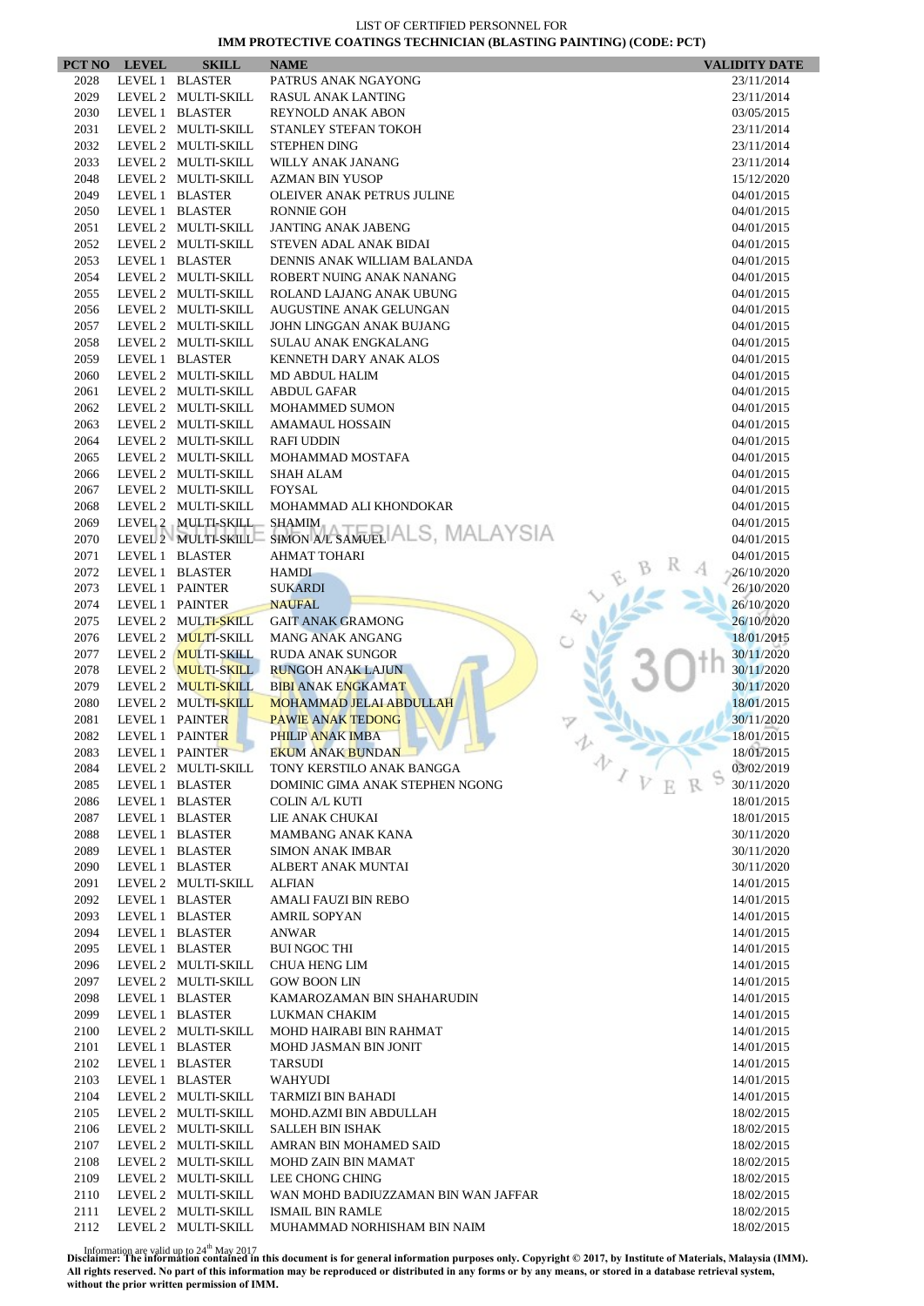|              | PCT NO LEVEL    | <b>SKILL</b>                           | <b>NAME</b>                                             | <b>VALIDITY DATE</b>     |
|--------------|-----------------|----------------------------------------|---------------------------------------------------------|--------------------------|
| 2028         |                 | LEVEL 1 BLASTER                        | PATRUS ANAK NGAYONG                                     | 23/11/2014               |
| 2029         |                 | LEVEL 2 MULTI-SKILL                    | <b>RASUL ANAK LANTING</b>                               | 23/11/2014               |
| 2030         |                 | LEVEL 1 BLASTER                        | <b>REYNOLD ANAK ABON</b>                                | 03/05/2015               |
| 2031         |                 | LEVEL 2 MULTI-SKILL                    | STANLEY STEFAN TOKOH                                    | 23/11/2014               |
| 2032         |                 | LEVEL 2 MULTI-SKILL                    | <b>STEPHEN DING</b>                                     | 23/11/2014               |
| 2033         |                 | LEVEL 2 MULTI-SKILL                    | WILLY ANAK JANANG                                       | 23/11/2014               |
| 2048         |                 | LEVEL 2 MULTI-SKILL                    | <b>AZMAN BIN YUSOP</b>                                  | 15/12/2020               |
| 2049         |                 | LEVEL 1 BLASTER                        | OLEIVER ANAK PETRUS JULINE                              | 04/01/2015               |
| 2050         |                 | LEVEL 1 BLASTER                        | <b>RONNIE GOH</b>                                       | 04/01/2015               |
| 2051         |                 | LEVEL 2 MULTI-SKILL                    | <b>JANTING ANAK JABENG</b>                              | 04/01/2015               |
| 2052         |                 | LEVEL 2 MULTI-SKILL                    | STEVEN ADAL ANAK BIDAI                                  | 04/01/2015               |
| 2053<br>2054 |                 | LEVEL 1 BLASTER<br>LEVEL 2 MULTI-SKILL | DENNIS ANAK WILLIAM BALANDA<br>ROBERT NUING ANAK NANANG | 04/01/2015               |
| 2055         |                 | LEVEL 2 MULTI-SKILL                    | ROLAND LAJANG ANAK UBUNG                                | 04/01/2015<br>04/01/2015 |
| 2056         |                 | LEVEL 2 MULTI-SKILL                    | AUGUSTINE ANAK GELUNGAN                                 | 04/01/2015               |
| 2057         |                 | LEVEL 2 MULTI-SKILL                    | JOHN LINGGAN ANAK BUJANG                                | 04/01/2015               |
| 2058         |                 | LEVEL 2 MULTI-SKILL                    | <b>SULAU ANAK ENGKALANG</b>                             | 04/01/2015               |
| 2059         |                 | LEVEL 1 BLASTER                        | KENNETH DARY ANAK ALOS                                  | 04/01/2015               |
| 2060         |                 | LEVEL 2 MULTI-SKILL                    | MD ABDUL HALIM                                          | 04/01/2015               |
| 2061         |                 | LEVEL 2 MULTI-SKILL                    | <b>ABDUL GAFAR</b>                                      | 04/01/2015               |
| 2062         |                 | LEVEL 2 MULTI-SKILL                    | <b>MOHAMMED SUMON</b>                                   | 04/01/2015               |
| 2063         |                 | LEVEL 2 MULTI-SKILL                    | <b>AMAMAUL HOSSAIN</b>                                  | 04/01/2015               |
| 2064         |                 | LEVEL 2 MULTI-SKILL                    | <b>RAFI UDDIN</b>                                       | 04/01/2015               |
| 2065         |                 | LEVEL 2 MULTI-SKILL                    | MOHAMMAD MOSTAFA                                        | 04/01/2015               |
| 2066         |                 | LEVEL 2 MULTI-SKILL                    | <b>SHAH ALAM</b>                                        | 04/01/2015               |
| 2067         |                 | LEVEL 2 MULTI-SKILL                    | <b>FOYSAL</b>                                           | 04/01/2015               |
| 2068         |                 | LEVEL 2 MULTI-SKILL                    | MOHAMMAD ALI KHONDOKAR                                  | 04/01/2015               |
| 2069         |                 | LEVEL 2 MULTI-SKILL                    | <b>SHAMIM</b>                                           | 04/01/2015               |
| 2070         |                 | LEVEL 2 MULTI-SKILL                    | SIMON AL SAMUEL ALS, MALAYSIA                           | 04/01/2015               |
| 2071         |                 | LEVEL 1 BLASTER                        | <b>AHMAT TOHARI</b>                                     | 04/01/2015               |
| 2072         |                 | LEVEL 1 BLASTER                        | <b>HAMDI</b>                                            | 26/10/2020               |
| 2073         |                 | LEVEL 1 PAINTER                        | <b>SUKARDI</b>                                          | 26/10/2020               |
| 2074         | LEVEL 1 PAINTER |                                        | <b>NAUFAL</b>                                           | 26/10/2020               |
| 2075         |                 | LEVEL 2 MULTI-SKILL                    | <b>GAIT ANAK GRAMONG</b>                                | 26/10/2020               |
| 2076         |                 | LEVEL 2 MULTI-SKILL                    | <b>MANG ANAK ANGANG</b>                                 | 18/01/2015               |
| 2077         |                 | LEVEL 2 MULTI-SKILL                    | <b>RUDA ANAK SUNGOR</b>                                 | 30/11/2020               |
| 2078         |                 | LEVEL 2 MULTI-SKILL                    | <b>RUNGOH ANAK LAJUN</b>                                | 30/11/2020               |
| 2079         |                 | LEVEL 2 MULTI-SKILL                    | <b>BIBI ANAK ENGKAMAT</b>                               | 30/11/2020               |
| 2080         |                 | LEVEL 2 MULTI-SKILL                    | <b>MOHAMMAD JELAI ABDULLAH</b>                          | 18/01/2015               |
| 2081         |                 | LEVEL 1 PAINTER                        | <b>PAWIE ANAK TEDONG</b>                                | 30/11/2020               |
| 2082         | LEVEL 1 PAINTER |                                        | PHILIP ANAK IMBA                                        | 18/01/2015               |
| 2083         | LEVEL 1 PAINTER |                                        | <b>EKUM ANAK BUNDAN</b>                                 | 18/01/2015<br>办          |
| 2084         |                 | LEVEL 2 MULTI-SKILL                    | TONY KERSTILO ANAK BANGGA                               | 03/02/2019               |
| 2085         |                 | LEVEL 1 BLASTER                        | DOMINIC GIMA ANAK STEPHEN NGONG                         | 30/11/2020               |
| 2086<br>2087 |                 | LEVEL 1 BLASTER<br>LEVEL 1 BLASTER     | <b>COLIN A/L KUTI</b><br>LIE ANAK CHUKAI                | 18/01/2015<br>18/01/2015 |
| 2088         |                 | LEVEL 1 BLASTER                        | <b>MAMBANG ANAK KANA</b>                                | 30/11/2020               |
| 2089         |                 | LEVEL 1 BLASTER                        | <b>SIMON ANAK IMBAR</b>                                 | 30/11/2020               |
| 2090         |                 | LEVEL 1 BLASTER                        | ALBERT ANAK MUNTAI                                      | 30/11/2020               |
| 2091         |                 | LEVEL 2 MULTI-SKILL                    | <b>ALFIAN</b>                                           | 14/01/2015               |
| 2092         |                 | LEVEL 1 BLASTER                        | AMALI FAUZI BIN REBO                                    | 14/01/2015               |
| 2093         |                 | LEVEL 1 BLASTER                        | <b>AMRIL SOPYAN</b>                                     | 14/01/2015               |
| 2094         |                 | LEVEL 1 BLASTER                        | ANWAR                                                   | 14/01/2015               |
| 2095         |                 | LEVEL 1 BLASTER                        | <b>BUI NGOC THI</b>                                     | 14/01/2015               |
| 2096         |                 | LEVEL 2 MULTI-SKILL                    | <b>CHUA HENG LIM</b>                                    | 14/01/2015               |
| 2097         |                 | LEVEL 2 MULTI-SKILL                    | <b>GOW BOON LIN</b>                                     | 14/01/2015               |
| 2098         |                 | LEVEL 1 BLASTER                        | KAMAROZAMAN BIN SHAHARUDIN                              | 14/01/2015               |
| 2099         |                 | LEVEL 1 BLASTER                        | LUKMAN CHAKIM                                           | 14/01/2015               |
| 2100         |                 | LEVEL 2 MULTI-SKILL                    | MOHD HAIRABI BIN RAHMAT                                 | 14/01/2015               |
| 2101         |                 | LEVEL 1 BLASTER                        | MOHD JASMAN BIN JONIT                                   | 14/01/2015               |
| 2102         |                 | LEVEL 1 BLASTER                        | TARSUDI                                                 | 14/01/2015               |
| 2103         |                 | LEVEL 1 BLASTER                        | WAHYUDI                                                 | 14/01/2015               |
| 2104         |                 | LEVEL 2 MULTI-SKILL                    | TARMIZI BIN BAHADI                                      | 14/01/2015               |
| 2105         |                 | LEVEL 2 MULTI-SKILL                    | MOHD.AZMI BIN ABDULLAH                                  | 18/02/2015               |
| 2106         |                 | LEVEL 2 MULTI-SKILL                    | <b>SALLEH BIN ISHAK</b>                                 | 18/02/2015               |
| 2107         |                 | LEVEL 2 MULTI-SKILL                    | AMRAN BIN MOHAMED SAID                                  | 18/02/2015               |
| 2108         |                 | LEVEL 2 MULTI-SKILL                    | MOHD ZAIN BIN MAMAT                                     | 18/02/2015               |
| 2109         |                 | LEVEL 2 MULTI-SKILL                    | LEE CHONG CHING                                         | 18/02/2015               |
| 2110         |                 | LEVEL 2 MULTI-SKILL                    | WAN MOHD BADIUZZAMAN BIN WAN JAFFAR                     | 18/02/2015               |
| 2111         |                 | LEVEL 2 MULTI-SKILL                    | <b>ISMAIL BIN RAMLE</b>                                 | 18/02/2015               |
| 2112         |                 | LEVEL 2 MULTI-SKILL                    | MUHAMMAD NORHISHAM BIN NAIM                             | 18/02/2015               |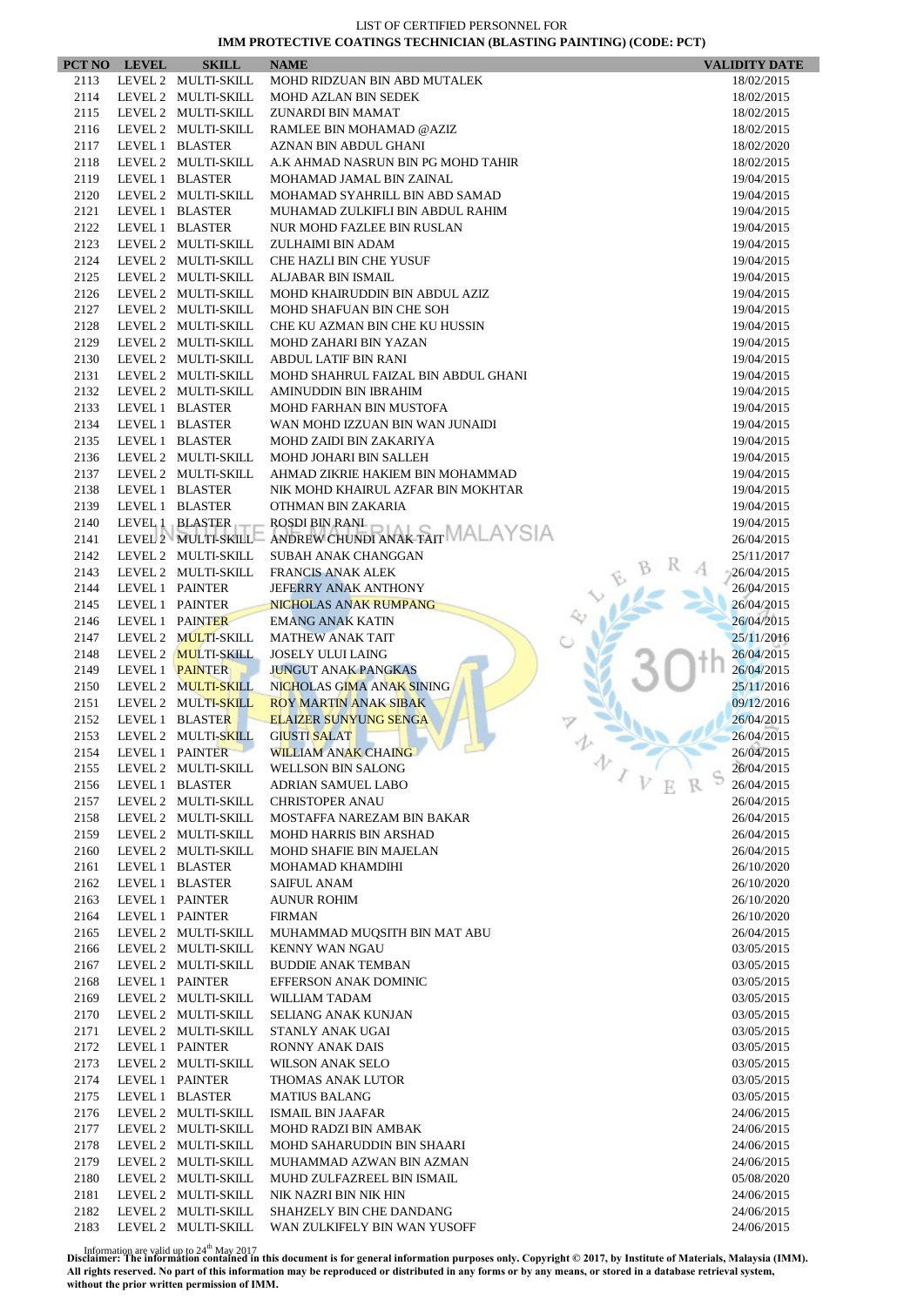|              | PCT NO LEVEL    | <b>SKILL</b>                               | <b>NAME</b>                                                                            | <b>VALIDITY DATE</b>     |
|--------------|-----------------|--------------------------------------------|----------------------------------------------------------------------------------------|--------------------------|
| 2113         |                 | LEVEL 2 MULTI-SKILL                        | MOHD RIDZUAN BIN ABD MUTALEK                                                           | 18/02/2015               |
| 2114         |                 | LEVEL 2 MULTI-SKILL                        | MOHD AZLAN BIN SEDEK                                                                   | 18/02/2015               |
| 2115         |                 | LEVEL 2 MULTI-SKILL                        | ZUNARDI BIN MAMAT                                                                      | 18/02/2015               |
| 2116         |                 | LEVEL 2 MULTI-SKILL                        | RAMLEE BIN MOHAMAD @AZIZ                                                               | 18/02/2015               |
| 2117         |                 | LEVEL 1 BLASTER                            | AZNAN BIN ABDUL GHANI                                                                  | 18/02/2020               |
| 2118         |                 | LEVEL 2 MULTI-SKILL                        | A.K AHMAD NASRUN BIN PG MOHD TAHIR                                                     | 18/02/2015               |
| 2119         |                 | LEVEL 1 BLASTER                            | MOHAMAD JAMAL BIN ZAINAL                                                               | 19/04/2015               |
| 2120<br>2121 |                 | LEVEL 2 MULTI-SKILL<br>LEVEL 1 BLASTER     | MOHAMAD SYAHRILL BIN ABD SAMAD<br>MUHAMAD ZULKIFLI BIN ABDUL RAHIM                     | 19/04/2015<br>19/04/2015 |
| 2122         |                 | LEVEL 1 BLASTER                            | NUR MOHD FAZLEE BIN RUSLAN                                                             | 19/04/2015               |
| 2123         |                 | LEVEL 2 MULTI-SKILL                        | ZULHAIMI BIN ADAM                                                                      | 19/04/2015               |
| 2124         |                 | LEVEL 2 MULTI-SKILL                        | <b>CHE HAZLI BIN CHE YUSUF</b>                                                         | 19/04/2015               |
| 2125         |                 | LEVEL 2 MULTI-SKILL                        | ALJABAR BIN ISMAIL                                                                     | 19/04/2015               |
| 2126         |                 | LEVEL 2 MULTI-SKILL                        | MOHD KHAIRUDDIN BIN ABDUL AZIZ                                                         | 19/04/2015               |
| 2127         |                 | LEVEL 2 MULTI-SKILL                        | MOHD SHAFUAN BIN CHE SOH                                                               | 19/04/2015               |
| 2128         |                 | LEVEL 2 MULTI-SKILL                        | CHE KU AZMAN BIN CHE KU HUSSIN                                                         | 19/04/2015               |
| 2129         |                 | LEVEL 2 MULTI-SKILL                        | MOHD ZAHARI BIN YAZAN                                                                  | 19/04/2015               |
| 2130         |                 | LEVEL 2 MULTI-SKILL                        | ABDUL LATIF BIN RANI                                                                   | 19/04/2015               |
| 2131         |                 | LEVEL 2 MULTI-SKILL                        | MOHD SHAHRUL FAIZAL BIN ABDUL GHANI                                                    | 19/04/2015               |
| 2132         |                 | LEVEL 2 MULTI-SKILL                        | AMINUDDIN BIN IBRAHIM                                                                  | 19/04/2015               |
| 2133         |                 | LEVEL 1 BLASTER                            | MOHD FARHAN BIN MUSTOFA                                                                | 19/04/2015               |
| 2134         |                 | LEVEL 1 BLASTER                            | WAN MOHD IZZUAN BIN WAN JUNAIDI                                                        | 19/04/2015               |
| 2135         |                 | LEVEL 1 BLASTER                            | MOHD ZAIDI BIN ZAKARIYA                                                                | 19/04/2015               |
| 2136<br>2137 |                 | LEVEL 2 MULTI-SKILL<br>LEVEL 2 MULTI-SKILL | MOHD JOHARI BIN SALLEH<br>AHMAD ZIKRIE HAKIEM BIN MOHAMMAD                             | 19/04/2015               |
| 2138         |                 | LEVEL 1 BLASTER                            | NIK MOHD KHAIRUL AZFAR BIN MOKHTAR                                                     | 19/04/2015<br>19/04/2015 |
| 2139         |                 | LEVEL 1 BLASTER                            | OTHMAN BIN ZAKARIA                                                                     | 19/04/2015               |
| 2140         |                 | LEVEL 1 BLASTER                            |                                                                                        | 19/04/2015               |
| 2141         |                 |                                            | LEVEL 1 BLASTER ROSDI BIN RANI<br>LEVEL 2 MULTI-SKILL ANDREW CHUNDI ANAK TAIT MALAYSIA | 26/04/2015               |
| 2142         |                 | LEVEL 2 MULTI-SKILL                        | SUBAH ANAK CHANGGAN                                                                    | 25/11/2017               |
| 2143         |                 | LEVEL 2 MULTI-SKILL                        | <b>FRANCIS ANAK ALEK</b>                                                               | 26/04/2015               |
| 2144         |                 | LEVEL 1 PAINTER                            | <b>JEFERRY ANAK ANTHONY</b>                                                            | 26/04/2015               |
| 2145         |                 | LEVEL 1 PAINTER                            | NICHOLAS ANAK RUMPANG                                                                  | 26/04/2015               |
| 2146         |                 | LEVEL 1 PAINTER                            | <b>EMANG ANAK KATIN</b>                                                                | 26/04/2015               |
| 2147         |                 | LEVEL 2 MULTI-SKILL                        | <b>MATHEW ANAK TAIT</b>                                                                | 25/11/2016               |
| 2148         |                 | LEVEL 2 <b>MULTI-SKILL</b>                 | <b>JOSELY ULUI LAING</b>                                                               | 26/04/2015               |
| 2149         |                 | LEVEL 1 PAINTER                            | <b>JUNGUT ANAK PANGKAS</b>                                                             | 26/04/2015               |
| 2150         |                 | LEVEL 2 MULTI-SKILL                        | NICHOLAS GIMA ANAK SINING                                                              | 25/11/2016               |
| 2151         |                 | LEVEL 2 MULTI-SKILL                        | <b>ROY MARTIN ANAK SIBAK</b>                                                           | 09/12/2016               |
| 2152<br>2153 |                 | LEVEL 1 BLASTER<br>LEVEL 2 MULTI-SKILL     | <b>ELAIZER SUNYUNG SENGA</b><br><b>GIUSTI SALAT</b>                                    | 26/04/2015<br>26/04/2015 |
| 2154         | LEVEL 1 PAINTER |                                            | WILLIAM ANAK CHAING                                                                    | 26/04/2015               |
| 2155         |                 | LEVEL 2 MULTI-SKILL                        | 办<br><b>WELLSON BIN SALONG</b>                                                         | 26/04/2015               |
| 2156         |                 | LEVEL 1 BLASTER                            | ADRIAN SAMUEL LABO                                                                     | 26/04/2015               |
| 2157         |                 | LEVEL 2 MULTI-SKILL                        | <b>CHRISTOPER ANAU</b>                                                                 | 26/04/2015               |
| 2158         |                 | LEVEL 2 MULTI-SKILL                        | MOSTAFFA NAREZAM BIN BAKAR                                                             | 26/04/2015               |
| 2159         |                 | LEVEL 2 MULTI-SKILL                        | <b>MOHD HARRIS BIN ARSHAD</b>                                                          | 26/04/2015               |
| 2160         |                 | LEVEL 2 MULTI-SKILL                        | <b>MOHD SHAFIE BIN MAJELAN</b>                                                         | 26/04/2015               |
| 2161         |                 | LEVEL 1 BLASTER                            | MOHAMAD KHAMDIHI                                                                       | 26/10/2020               |
| 2162         |                 | LEVEL 1 BLASTER                            | <b>SAIFUL ANAM</b>                                                                     | 26/10/2020               |
| 2163         |                 | LEVEL 1 PAINTER                            | <b>AUNUR ROHIM</b>                                                                     | 26/10/2020               |
| 2164         |                 | LEVEL 1 PAINTER                            | <b>FIRMAN</b>                                                                          | 26/10/2020               |
| 2165         |                 | LEVEL 2 MULTI-SKILL                        | MUHAMMAD MUQSITH BIN MAT ABU                                                           | 26/04/2015               |
| 2166         |                 | LEVEL 2 MULTI-SKILL                        | KENNY WAN NGAU                                                                         | 03/05/2015               |
| 2167         |                 | LEVEL 2 MULTI-SKILL                        | <b>BUDDIE ANAK TEMBAN</b>                                                              | 03/05/2015               |
| 2168         |                 | LEVEL 1 PAINTER                            | EFFERSON ANAK DOMINIC                                                                  | 03/05/2015               |
| 2169         |                 | LEVEL 2 MULTI-SKILL                        | WILLIAM TADAM                                                                          | 03/05/2015               |
| 2170<br>2171 |                 | LEVEL 2 MULTI-SKILL<br>LEVEL 2 MULTI-SKILL | SELIANG ANAK KUNJAN<br>STANLY ANAK UGAI                                                | 03/05/2015<br>03/05/2015 |
| 2172         |                 | LEVEL 1 PAINTER                            | RONNY ANAK DAIS                                                                        | 03/05/2015               |
| 2173         |                 | LEVEL 2 MULTI-SKILL                        | <b>WILSON ANAK SELO</b>                                                                | 03/05/2015               |
| 2174         |                 | LEVEL 1 PAINTER                            | THOMAS ANAK LUTOR                                                                      | 03/05/2015               |
| 2175         |                 | LEVEL 1 BLASTER                            | <b>MATIUS BALANG</b>                                                                   | 03/05/2015               |
| 2176         |                 | LEVEL 2 MULTI-SKILL                        | ISMAIL BIN JAAFAR                                                                      | 24/06/2015               |
| 2177         |                 | LEVEL 2 MULTI-SKILL                        | <b>MOHD RADZI BIN AMBAK</b>                                                            | 24/06/2015               |
| 2178         |                 | LEVEL 2 MULTI-SKILL                        | MOHD SAHARUDDIN BIN SHAARI                                                             | 24/06/2015               |
| 2179         |                 | LEVEL 2 MULTI-SKILL                        | MUHAMMAD AZWAN BIN AZMAN                                                               | 24/06/2015               |
| 2180         |                 | LEVEL 2 MULTI-SKILL                        | MUHD ZULFAZREEL BIN ISMAIL                                                             | 05/08/2020               |
| 2181         |                 | LEVEL 2 MULTI-SKILL                        | NIK NAZRI BIN NIK HIN                                                                  | 24/06/2015               |
| 2182         |                 | LEVEL 2 MULTI-SKILL                        | SHAHZELY BIN CHE DANDANG                                                               | 24/06/2015               |
| 2183         |                 | LEVEL 2 MULTI-SKILL                        | WAN ZULKIFELY BIN WAN YUSOFF                                                           | 24/06/2015               |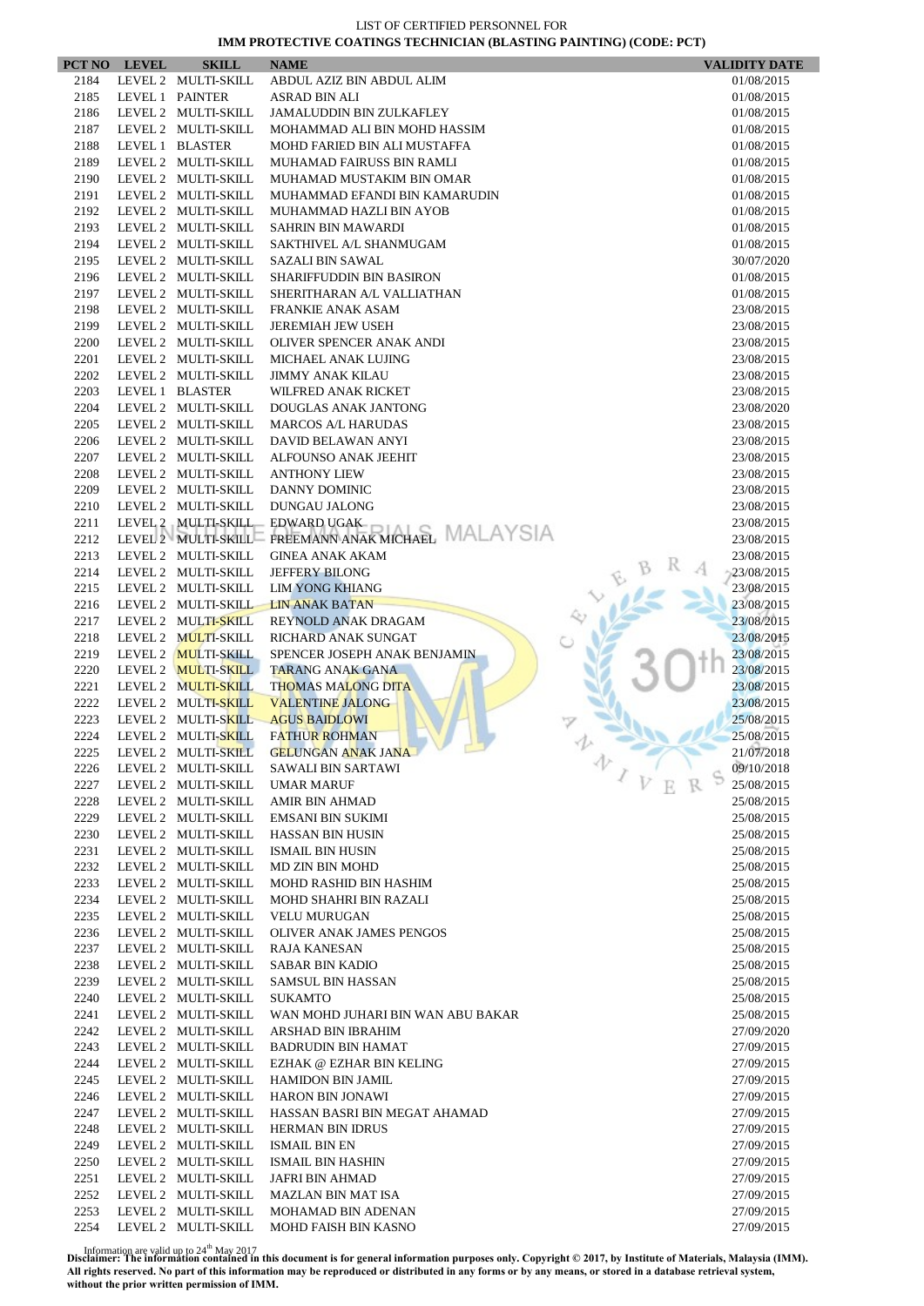|              | PCT NO LEVEL | <b>SKILL</b>                               | <b>NAME</b>                                                |                   | <b>VALIDITY DATE</b>     |
|--------------|--------------|--------------------------------------------|------------------------------------------------------------|-------------------|--------------------------|
| 2184         |              | LEVEL 2 MULTI-SKILL                        | ABDUL AZIZ BIN ABDUL ALIM                                  |                   | 01/08/2015               |
| 2185         |              | LEVEL 1 PAINTER                            | ASRAD BIN ALI                                              |                   | 01/08/2015               |
| 2186         |              | LEVEL 2 MULTI-SKILL                        | <b>JAMALUDDIN BIN ZULKAFLEY</b>                            |                   | 01/08/2015               |
| 2187         |              | LEVEL 2 MULTI-SKILL                        | MOHAMMAD ALI BIN MOHD HASSIM                               |                   | 01/08/2015               |
| 2188         |              | LEVEL 1 BLASTER                            | MOHD FARIED BIN ALI MUSTAFFA                               |                   | 01/08/2015               |
| 2189         |              | LEVEL 2 MULTI-SKILL                        | MUHAMAD FAIRUSS BIN RAMLI                                  |                   | 01/08/2015               |
| 2190<br>2191 |              | LEVEL 2 MULTI-SKILL<br>LEVEL 2 MULTI-SKILL | MUHAMAD MUSTAKIM BIN OMAR<br>MUHAMMAD EFANDI BIN KAMARUDIN |                   | 01/08/2015               |
| 2192         |              | LEVEL 2 MULTI-SKILL                        | MUHAMMAD HAZLI BIN AYOB                                    |                   | 01/08/2015<br>01/08/2015 |
| 2193         |              | LEVEL 2 MULTI-SKILL                        | <b>SAHRIN BIN MAWARDI</b>                                  |                   | 01/08/2015               |
| 2194         |              | LEVEL 2 MULTI-SKILL                        | SAKTHIVEL A/L SHANMUGAM                                    |                   | 01/08/2015               |
| 2195         |              | LEVEL 2 MULTI-SKILL                        | <b>SAZALI BIN SAWAL</b>                                    |                   | 30/07/2020               |
| 2196         |              | LEVEL 2 MULTI-SKILL                        | SHARIFFUDDIN BIN BASIRON                                   |                   | 01/08/2015               |
| 2197         |              | LEVEL 2 MULTI-SKILL                        | SHERITHARAN A/L VALLIATHAN                                 |                   | 01/08/2015               |
| 2198         |              | LEVEL 2 MULTI-SKILL                        | <b>FRANKIE ANAK ASAM</b>                                   |                   | 23/08/2015               |
| 2199         |              | LEVEL 2 MULTI-SKILL                        | JEREMIAH JEW USEH                                          |                   | 23/08/2015               |
| 2200         |              | LEVEL 2 MULTI-SKILL                        | OLIVER SPENCER ANAK ANDI                                   |                   | 23/08/2015               |
| 2201         |              | LEVEL 2 MULTI-SKILL                        | MICHAEL ANAK LUJING                                        |                   | 23/08/2015               |
| 2202         |              | LEVEL 2 MULTI-SKILL                        | <b>JIMMY ANAK KILAU</b>                                    |                   | 23/08/2015               |
| 2203         |              | LEVEL 1 BLASTER                            | WILFRED ANAK RICKET                                        |                   | 23/08/2015               |
| 2204         |              | LEVEL 2 MULTI-SKILL                        | DOUGLAS ANAK JANTONG                                       |                   | 23/08/2020               |
| 2205         |              | LEVEL 2 MULTI-SKILL                        | <b>MARCOS A/L HARUDAS</b>                                  |                   | 23/08/2015               |
| 2206         |              | LEVEL 2 MULTI-SKILL                        | DAVID BELAWAN ANYI                                         |                   | 23/08/2015               |
| 2207         |              | LEVEL 2 MULTI-SKILL                        | ALFOUNSO ANAK JEEHIT<br><b>ANTHONY LIEW</b>                |                   | 23/08/2015               |
| 2208<br>2209 |              | LEVEL 2 MULTI-SKILL<br>LEVEL 2 MULTI-SKILL | <b>DANNY DOMINIC</b>                                       |                   | 23/08/2015<br>23/08/2015 |
| 2210         |              | LEVEL 2 MULTI-SKILL                        | DUNGAU JALONG                                              |                   | 23/08/2015               |
| 2211         |              |                                            | LEVEL 2 MULTI-SKILL EDWARD UGAK                            |                   | 23/08/2015               |
| 2212         |              | LEVEL 2 MULTI-SKILL                        | FREEMANN ANAK MICHAEL MALAYSIA                             |                   | 23/08/2015               |
| 2213         |              | LEVEL 2 MULTI-SKILL                        | <b>GINEA ANAK AKAM</b>                                     |                   | 23/08/2015               |
| 2214         |              | LEVEL 2 MULTI-SKILL                        | <b>JEFFERY BILONG</b>                                      |                   | 23/08/2015               |
| 2215         |              | LEVEL 2 MULTI-SKILL                        | <b>LIM YONG KHIANG</b>                                     |                   | 23/08/2015               |
| 2216         |              | LEVEL 2 MULTI-SKILL                        | <b>LIN ANAK BATAN</b>                                      |                   | 23/08/2015               |
| 2217         |              | LEVEL 2 MULTI-SKILL                        | REYNOLD ANAK DRAGAM                                        |                   | 23/08/2015               |
| 2218         |              | LEVEL 2 MULTI-SKILL                        | RICHARD ANAK SUNGAT                                        |                   | 23/08/2015               |
| 2219         |              | LEVEL 2 MULTI-SKILL                        | SPENCER JOSEPH ANAK BENJAMIN                               |                   | 23/08/2015               |
| 2220         |              | LEVEL 2 MULTI-SKILL                        | <b>TARANG ANAK GANA</b>                                    |                   | 23/08/2015               |
| 2221         |              | LEVEL 2 MULTI-SKILL                        | <b>THOMAS MALONG DITA</b>                                  |                   | 23/08/2015               |
| 2222         |              | LEVEL 2 MULTI-SKILL                        | <b>VALENTINE JALONG</b>                                    |                   | 23/08/2015               |
| 2223         |              | LEVEL 2 MULTI-SKILL                        | <b>AGUS BAIDLOWI</b>                                       |                   | 25/08/2015               |
| 2224<br>2225 |              | LEVEL 2 MULTI-SKILL<br>LEVEL 2 MULTI-SKILL | <b>FATHUR ROHMAN</b><br><b>GELUNGAN ANAK JANA</b>          |                   | 25/08/2015<br>21/07/2018 |
| 2226         |              | LEVEL 2 MULTI-SKILL                        | <b>SAWALI BIN SARTAWI</b>                                  | 办                 | 09/10/2018               |
| 2227         |              | LEVEL 2 MULTI-SKILL                        | <b>UMAR MARUF</b>                                          | $\mathcal{L}_{V}$ | 25/08/2015               |
| 2228         |              | LEVEL 2 MULTI-SKILL                        | AMIR BIN AHMAD                                             |                   | 25/08/2015               |
| 2229         |              | LEVEL 2 MULTI-SKILL                        | <b>EMSANI BIN SUKIMI</b>                                   |                   | 25/08/2015               |
| 2230         |              | LEVEL 2 MULTI-SKILL                        | <b>HASSAN BIN HUSIN</b>                                    |                   | 25/08/2015               |
| 2231         |              | LEVEL 2 MULTI-SKILL                        | <b>ISMAIL BIN HUSIN</b>                                    |                   | 25/08/2015               |
| 2232         |              | LEVEL 2 MULTI-SKILL                        | MD ZIN BIN MOHD                                            |                   | 25/08/2015               |
| 2233         |              | LEVEL 2 MULTI-SKILL                        | MOHD RASHID BIN HASHIM                                     |                   | 25/08/2015               |
| 2234         |              | LEVEL 2 MULTI-SKILL                        | MOHD SHAHRI BIN RAZALI                                     |                   | 25/08/2015               |
| 2235         |              | LEVEL 2 MULTI-SKILL                        | <b>VELU MURUGAN</b>                                        |                   | 25/08/2015               |
| 2236         |              | LEVEL 2 MULTI-SKILL                        | OLIVER ANAK JAMES PENGOS                                   |                   | 25/08/2015               |
| 2237         |              | LEVEL 2 MULTI-SKILL                        | RAJA KANESAN                                               |                   | 25/08/2015               |
| 2238         |              | LEVEL 2 MULTI-SKILL                        | SABAR BIN KADIO                                            |                   | 25/08/2015               |
| 2239         |              | LEVEL 2 MULTI-SKILL                        | <b>SAMSUL BIN HASSAN</b>                                   |                   | 25/08/2015               |
| 2240         |              | LEVEL 2 MULTI-SKILL                        | <b>SUKAMTO</b>                                             |                   | 25/08/2015               |
| 2241         |              | LEVEL 2 MULTI-SKILL                        | WAN MOHD JUHARI BIN WAN ABU BAKAR                          |                   | 25/08/2015               |
| 2242         |              | LEVEL 2 MULTI-SKILL                        | ARSHAD BIN IBRAHIM                                         |                   | 27/09/2020               |
| 2243         |              | LEVEL 2 MULTI-SKILL<br>LEVEL 2 MULTI-SKILL | <b>BADRUDIN BIN HAMAT</b><br>EZHAK @ EZHAR BIN KELING      |                   | 27/09/2015               |
| 2244<br>2245 |              | LEVEL 2 MULTI-SKILL                        | <b>HAMIDON BIN JAMIL</b>                                   |                   | 27/09/2015<br>27/09/2015 |
| 2246         |              | LEVEL 2 MULTI-SKILL                        | <b>HARON BIN JONAWI</b>                                    |                   | 27/09/2015               |
| 2247         |              | LEVEL 2 MULTI-SKILL                        | HASSAN BASRI BIN MEGAT AHAMAD                              |                   | 27/09/2015               |
| 2248         |              | LEVEL 2 MULTI-SKILL                        | <b>HERMAN BIN IDRUS</b>                                    |                   | 27/09/2015               |
| 2249         |              | LEVEL 2 MULTI-SKILL                        | <b>ISMAIL BIN EN</b>                                       |                   | 27/09/2015               |
| 2250         |              | LEVEL 2 MULTI-SKILL                        | <b>ISMAIL BIN HASHIN</b>                                   |                   | 27/09/2015               |
| 2251         |              | LEVEL 2 MULTI-SKILL                        | JAFRI BIN AHMAD                                            |                   | 27/09/2015               |
| 2252         |              | LEVEL 2 MULTI-SKILL                        | <b>MAZLAN BIN MAT ISA</b>                                  |                   | 27/09/2015               |
| 2253         |              | LEVEL 2 MULTI-SKILL                        | MOHAMAD BIN ADENAN                                         |                   | 27/09/2015               |
| 2254         |              | LEVEL 2 MULTI-SKILL                        | MOHD FAISH BIN KASNO                                       |                   | 27/09/2015               |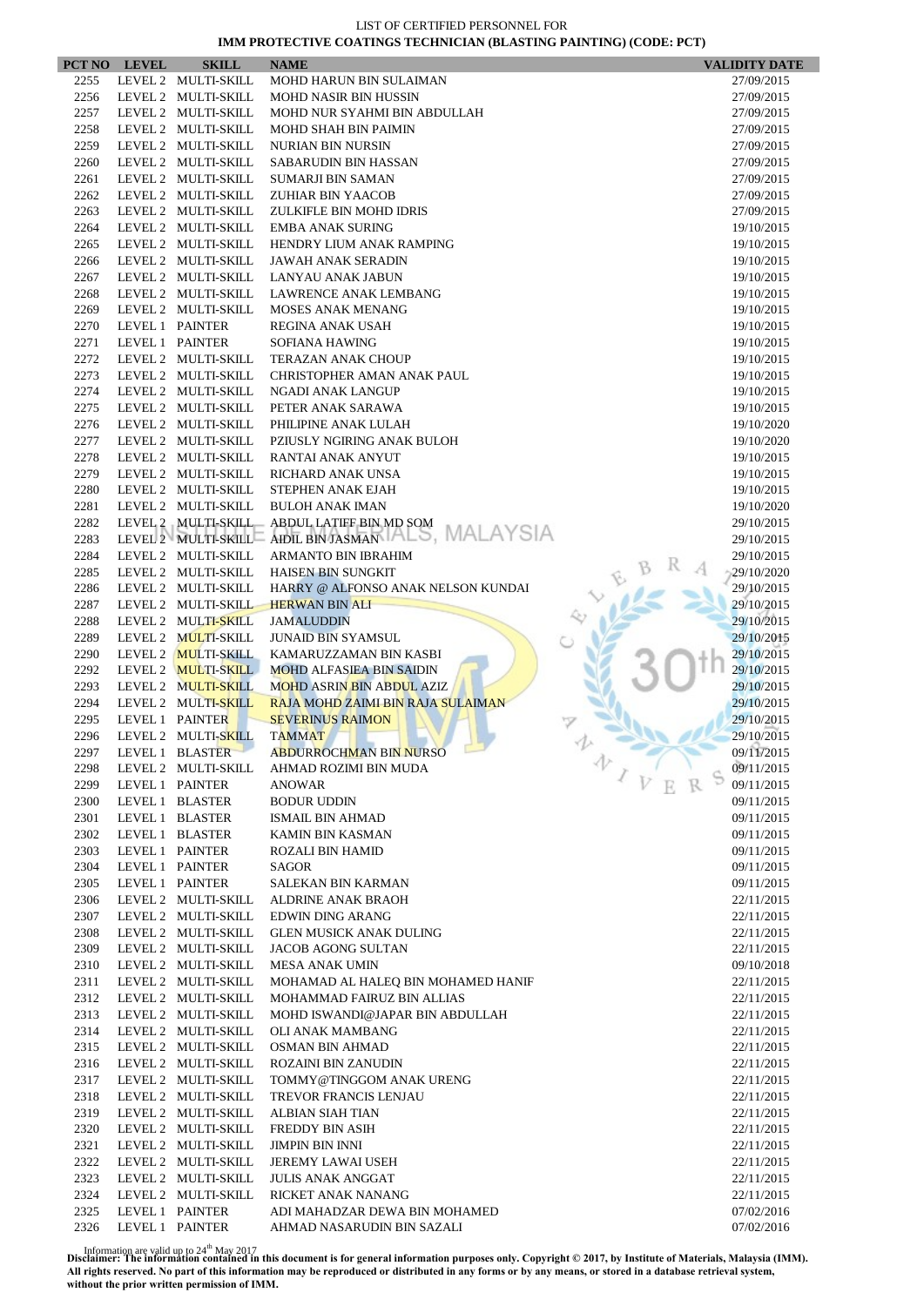| PCT NO       | <b>LEVEL</b>    | <b>SKILL</b>                               | <b>NAME</b>                                         | <b>VALIDITY DATE</b>     |
|--------------|-----------------|--------------------------------------------|-----------------------------------------------------|--------------------------|
| 2255         |                 | LEVEL 2 MULTI-SKILL                        | <b>MOHD HARUN BIN SULAIMAN</b>                      | 27/09/2015               |
| 2256         |                 | LEVEL 2 MULTI-SKILL                        | <b>MOHD NASIR BIN HUSSIN</b>                        | 27/09/2015               |
| 2257         |                 | LEVEL 2 MULTI-SKILL                        | MOHD NUR SYAHMI BIN ABDULLAH                        | 27/09/2015               |
| 2258         |                 | LEVEL 2 MULTI-SKILL                        | <b>MOHD SHAH BIN PAIMIN</b>                         | 27/09/2015               |
| 2259         |                 | LEVEL 2 MULTI-SKILL                        | <b>NURIAN BIN NURSIN</b>                            | 27/09/2015               |
| 2260         |                 | LEVEL 2 MULTI-SKILL                        | SABARUDIN BIN HASSAN                                | 27/09/2015               |
| 2261         |                 | LEVEL 2 MULTI-SKILL                        | <b>SUMARJI BIN SAMAN</b>                            | 27/09/2015               |
| 2262         |                 | LEVEL 2 MULTI-SKILL                        | <b>ZUHIAR BIN YAACOB</b>                            | 27/09/2015               |
| 2263         |                 | LEVEL 2 MULTI-SKILL                        | ZULKIFLE BIN MOHD IDRIS                             | 27/09/2015               |
| 2264         |                 | LEVEL 2 MULTI-SKILL                        | <b>EMBA ANAK SURING</b>                             | 19/10/2015               |
| 2265         |                 | LEVEL 2 MULTI-SKILL                        | HENDRY LIUM ANAK RAMPING                            | 19/10/2015               |
| 2266         |                 | LEVEL 2 MULTI-SKILL                        | JAWAH ANAK SERADIN                                  | 19/10/2015               |
| 2267         |                 | LEVEL 2 MULTI-SKILL                        | <b>LANYAU ANAK JABUN</b>                            | 19/10/2015               |
| 2268         |                 | LEVEL 2 MULTI-SKILL                        | LAWRENCE ANAK LEMBANG                               | 19/10/2015               |
| 2269         |                 | LEVEL 2 MULTI-SKILL                        | <b>MOSES ANAK MENANG</b>                            | 19/10/2015               |
| 2270         | LEVEL 1 PAINTER |                                            | REGINA ANAK USAH                                    | 19/10/2015               |
| 2271         | LEVEL 1 PAINTER |                                            | SOFIANA HAWING                                      | 19/10/2015               |
| 2272         |                 | LEVEL 2 MULTI-SKILL                        | <b>TERAZAN ANAK CHOUP</b>                           | 19/10/2015               |
| 2273         |                 | LEVEL 2 MULTI-SKILL                        | CHRISTOPHER AMAN ANAK PAUL                          | 19/10/2015               |
| 2274         |                 | LEVEL 2 MULTI-SKILL                        | NGADI ANAK LANGUP                                   | 19/10/2015               |
| 2275         |                 | LEVEL 2 MULTI-SKILL                        | PETER ANAK SARAWA                                   | 19/10/2015               |
| 2276         |                 | LEVEL 2 MULTI-SKILL                        | PHILIPINE ANAK LULAH                                | 19/10/2020               |
| 2277         |                 | LEVEL 2 MULTI-SKILL                        | PZIUSLY NGIRING ANAK BULOH                          | 19/10/2020               |
| 2278         |                 | LEVEL 2 MULTI-SKILL                        | RANTAI ANAK ANYUT                                   | 19/10/2015               |
| 2279         |                 | LEVEL 2 MULTI-SKILL                        | RICHARD ANAK UNSA                                   | 19/10/2015               |
| 2280         |                 | LEVEL 2 MULTI-SKILL                        | STEPHEN ANAK EJAH                                   | 19/10/2015               |
| 2281         |                 | LEVEL 2 MULTI-SKILL                        | <b>BULOH ANAK IMAN</b>                              | 19/10/2020               |
| 2282         |                 | LEVEL 2 MULTI-SKILL                        | ABDUL LATIFF BIN MD SOM                             | 29/10/2015               |
| 2283         |                 |                                            | LEVEL 2 MULTI-SKILL AIDIL BIN JASMAN IALS, MALAYSIA | 29/10/2015               |
| 2284         |                 | LEVEL 2 MULTI-SKILL                        | ARMANTO BIN IBRAHIM                                 | 29/10/2015               |
| 2285         |                 | LEVEL 2 MULTI-SKILL                        | <b>HAISEN BIN SUNGKIT</b>                           | 29/10/2020               |
| 2286         |                 | LEVEL 2 MULTI-SKILL                        | HARRY @ ALFONSO ANAK NELSON KUNDAI                  | 29/10/2015               |
| 2287         |                 | LEVEL 2 MULTI-SKILL                        | <b>HERWAN BIN ALI</b>                               | 29/10/2015               |
| 2288         |                 | LEVEL 2 MULTI-SKILL                        | <b>JAMALUDDIN</b>                                   | 29/10/2015               |
| 2289         |                 | LEVEL 2 MULTI-SKILL                        | <b>JUNAID BIN SYAMSUL</b>                           | 29/10/2015               |
| 2290         |                 | LEVEL 2 MULTI-SKILL                        | KAMARUZZAMAN BIN KASBI                              | 29/10/2015               |
| 2292         |                 | LEVEL 2 MULTI-SKILL                        | <b>MOHD ALFASIEA BIN SAIDIN</b>                     | 29/10/2015               |
| 2293         |                 | LEVEL 2 MULTI-SKILL                        | <b>MOHD ASRIN BIN ABDUL AZIZ</b>                    | 29/10/2015               |
| 2294         |                 | LEVEL 2 MULTI-SKILL                        | RAJA MOHD ZAIMI BIN RAJA SULAIMAN                   | 29/10/2015               |
| 2295         |                 | LEVEL 1 PAINTER                            | <b>SEVERINUS RAIMON</b>                             | 29/10/2015               |
| 2296         |                 | LEVEL 2 MULTI-SKILL                        | <b>TAMMAT</b>                                       | 29/10/2015               |
| 2297         |                 | LEVEL 1 BLASTER                            | <b>ABDURROCHMAN BIN NURSO</b>                       | 09/11/2015               |
| 2298         |                 | LEVEL 2 MULTI-SKILL                        | AHMAD ROZIMI BIN MUDA                               | 办<br>09/11/2015          |
| 2299         |                 | LEVEL 1 PAINTER                            | ANOWAR                                              | 09/11/2015               |
| 2300         |                 | LEVEL 1 BLASTER                            | <b>BODUR UDDIN</b>                                  | 09/11/2015               |
| 2301         |                 | LEVEL 1 BLASTER                            | ISMAIL BIN AHMAD                                    | 09/11/2015               |
| 2302         |                 | LEVEL 1 BLASTER                            | KAMIN BIN KASMAN                                    | 09/11/2015               |
| 2303         |                 | LEVEL 1 PAINTER                            | ROZALI BIN HAMID                                    | 09/11/2015               |
| 2304         |                 | LEVEL 1 PAINTER                            | SAGOR                                               | 09/11/2015               |
| 2305         |                 | LEVEL 1 PAINTER                            | <b>SALEKAN BIN KARMAN</b>                           | 09/11/2015               |
| 2306         |                 | LEVEL 2 MULTI-SKILL                        | ALDRINE ANAK BRAOH                                  | 22/11/2015               |
| 2307         |                 | LEVEL 2 MULTI-SKILL                        | EDWIN DING ARANG                                    | 22/11/2015               |
| 2308         |                 | LEVEL 2 MULTI-SKILL                        | <b>GLEN MUSICK ANAK DULING</b>                      | 22/11/2015               |
| 2309         |                 | LEVEL 2 MULTI-SKILL                        | <b>JACOB AGONG SULTAN</b>                           | 22/11/2015               |
| 2310         |                 | LEVEL 2 MULTI-SKILL                        | <b>MESA ANAK UMIN</b>                               | 09/10/2018               |
| 2311         |                 | LEVEL 2 MULTI-SKILL                        | MOHAMAD AL HALEQ BIN MOHAMED HANIF                  | 22/11/2015               |
| 2312         |                 | LEVEL 2 MULTI-SKILL                        | MOHAMMAD FAIRUZ BIN ALLIAS                          | 22/11/2015               |
| 2313         |                 | LEVEL 2 MULTI-SKILL                        | MOHD ISWANDI@JAPAR BIN ABDULLAH                     | 22/11/2015               |
| 2314         |                 | LEVEL 2 MULTI-SKILL                        | OLI ANAK MAMBANG                                    | 22/11/2015               |
| 2315         |                 | LEVEL 2 MULTI-SKILL                        | OSMAN BIN AHMAD                                     | 22/11/2015               |
| 2316         |                 | LEVEL 2 MULTI-SKILL                        | ROZAINI BIN ZANUDIN                                 | 22/11/2015               |
| 2317         |                 | LEVEL 2 MULTI-SKILL                        | TOMMY@TINGGOM ANAK URENG                            | 22/11/2015               |
| 2318         |                 | LEVEL 2 MULTI-SKILL                        | TREVOR FRANCIS LENJAU                               | 22/11/2015               |
| 2319         |                 | LEVEL 2 MULTI-SKILL                        | ALBIAN SIAH TIAN                                    | 22/11/2015               |
| 2320         |                 | LEVEL 2 MULTI-SKILL                        | FREDDY BIN ASIH                                     | 22/11/2015               |
| 2321         |                 | LEVEL 2 MULTI-SKILL                        | <b>JIMPIN BIN INNI</b>                              | 22/11/2015               |
| 2322         |                 | LEVEL 2 MULTI-SKILL                        | JEREMY LAWAI USEH                                   |                          |
|              |                 |                                            |                                                     | 22/11/2015               |
| 2323<br>2324 |                 | LEVEL 2 MULTI-SKILL<br>LEVEL 2 MULTI-SKILL | <b>JULIS ANAK ANGGAT</b><br>RICKET ANAK NANANG      | 22/11/2015               |
| 2325         | LEVEL 1 PAINTER |                                            | ADI MAHADZAR DEWA BIN MOHAMED                       | 22/11/2015<br>07/02/2016 |
| 2326         | LEVEL 1 PAINTER |                                            | AHMAD NASARUDIN BIN SAZALI                          | 07/02/2016               |
|              |                 |                                            |                                                     |                          |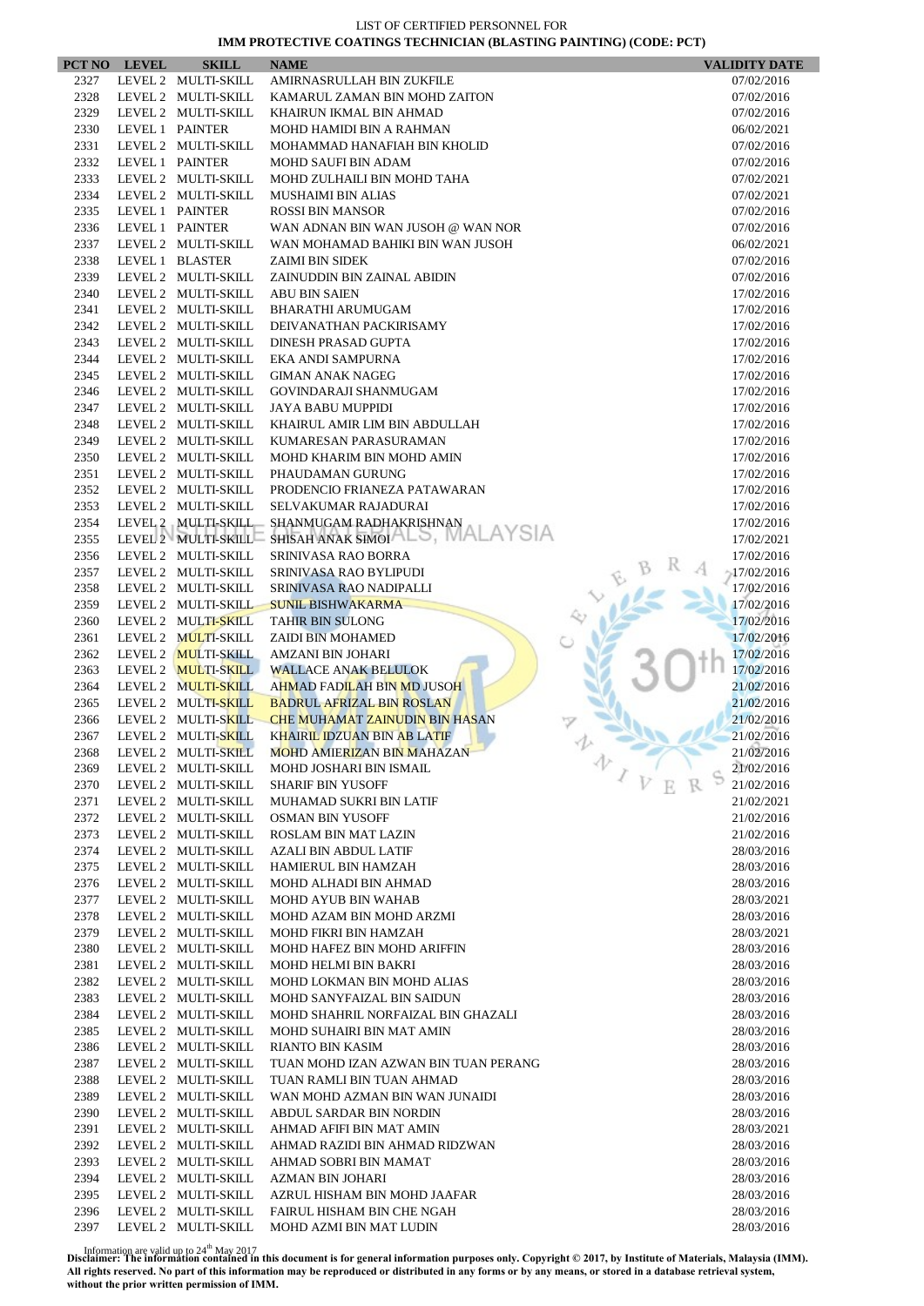|      | PCT NO LEVEL | <b>SKILL</b>        | <b>NAME</b>                                    | <b>VALIDITY DATE</b>     |
|------|--------------|---------------------|------------------------------------------------|--------------------------|
| 2327 |              | LEVEL 2 MULTI-SKILL | AMIRNASRULLAH BIN ZUKFILE                      | 07/02/2016               |
| 2328 |              | LEVEL 2 MULTI-SKILL | KAMARUL ZAMAN BIN MOHD ZAITON                  | 07/02/2016               |
| 2329 |              | LEVEL 2 MULTI-SKILL | KHAIRUN IKMAL BIN AHMAD                        | 07/02/2016               |
| 2330 |              | LEVEL 1 PAINTER     | MOHD HAMIDI BIN A RAHMAN                       | 06/02/2021               |
| 2331 |              | LEVEL 2 MULTI-SKILL | MOHAMMAD HANAFIAH BIN KHOLID                   | 07/02/2016               |
| 2332 |              | LEVEL 1 PAINTER     | <b>MOHD SAUFI BIN ADAM</b>                     | 07/02/2016               |
| 2333 |              | LEVEL 2 MULTI-SKILL | MOHD ZULHAILI BIN MOHD TAHA                    | 07/02/2021               |
| 2334 |              | LEVEL 2 MULTI-SKILL | <b>MUSHAIMI BIN ALIAS</b>                      | 07/02/2021               |
| 2335 |              | LEVEL 1 PAINTER     | <b>ROSSI BIN MANSOR</b>                        | 07/02/2016               |
| 2336 |              | LEVEL 1 PAINTER     | WAN ADNAN BIN WAN JUSOH @ WAN NOR              | 07/02/2016               |
| 2337 |              | LEVEL 2 MULTI-SKILL | WAN MOHAMAD BAHIKI BIN WAN JUSOH               | 06/02/2021               |
| 2338 |              | LEVEL 1 BLASTER     | <b>ZAIMI BIN SIDEK</b>                         | 07/02/2016               |
| 2339 |              | LEVEL 2 MULTI-SKILL | ZAINUDDIN BIN ZAINAL ABIDIN                    | 07/02/2016               |
| 2340 |              | LEVEL 2 MULTI-SKILL | <b>ABU BIN SAIEN</b>                           | 17/02/2016               |
| 2341 |              | LEVEL 2 MULTI-SKILL | <b>BHARATHI ARUMUGAM</b>                       | 17/02/2016               |
| 2342 |              | LEVEL 2 MULTI-SKILL | DEIVANATHAN PACKIRISAMY                        | 17/02/2016               |
| 2343 |              | LEVEL 2 MULTI-SKILL | DINESH PRASAD GUPTA                            | 17/02/2016               |
| 2344 |              | LEVEL 2 MULTI-SKILL | EKA ANDI SAMPURNA                              | 17/02/2016               |
| 2345 |              | LEVEL 2 MULTI-SKILL | <b>GIMAN ANAK NAGEG</b>                        | 17/02/2016               |
| 2346 |              | LEVEL 2 MULTI-SKILL | GOVINDARAJI SHANMUGAM                          | 17/02/2016               |
| 2347 |              | LEVEL 2 MULTI-SKILL | <b>JAYA BABU MUPPIDI</b>                       | 17/02/2016               |
| 2348 |              | LEVEL 2 MULTI-SKILL | KHAIRUL AMIR LIM BIN ABDULLAH                  | 17/02/2016               |
| 2349 |              | LEVEL 2 MULTI-SKILL | KUMARESAN PARASURAMAN                          | 17/02/2016               |
| 2350 |              | LEVEL 2 MULTI-SKILL | MOHD KHARIM BIN MOHD AMIN                      | 17/02/2016               |
| 2351 |              | LEVEL 2 MULTI-SKILL | PHAUDAMAN GURUNG                               | 17/02/2016               |
| 2352 |              | LEVEL 2 MULTI-SKILL | PRODENCIO FRIANEZA PATAWARAN                   | 17/02/2016               |
| 2353 |              | LEVEL 2 MULTI-SKILL | SELVAKUMAR RAJADURAI                           | 17/02/2016               |
| 2354 |              | LEVEL 2 MULTI-SKILL | SHANMUGAM RADHAKRISHNAN                        | 17/02/2016               |
| 2355 |              | LEVEL 2 MULTI-SKILL | SHISAH ANAK SIMOIALS, MAL                      | 17/02/2021               |
| 2356 |              | LEVEL 2 MULTI-SKILL | SRINIVASA RAO BORRA                            | 17/02/2016               |
| 2357 |              | LEVEL 2 MULTI-SKILL | SRINIVASA RAO BYLIPUDI                         | $-17/02/2016$            |
| 2358 |              | LEVEL 2 MULTI-SKILL | SRINIVASA RAO NADIPALLI                        | 17/02/2016               |
| 2359 |              | LEVEL 2 MULTI-SKILL | <b>SUNIL BISHWAKARMA</b>                       | 17/02/2016               |
| 2360 |              | LEVEL 2 MULTI-SKILL | <b>TAHIR BIN SULONG</b>                        | 17/02/2016               |
| 2361 |              | LEVEL 2 MULTI-SKILL | ZAIDI BIN MOHAMED                              | 17/02/2016               |
| 2362 |              | LEVEL 2 MULTI-SKILL | AMZANI BIN JOHARI                              | 17/02/2016               |
| 2363 |              | LEVEL 2 MULTI-SKILL | <b>WALLACE ANAK BELULOK</b>                    | 17/02/2016               |
| 2364 |              | LEVEL 2 MULTI-SKILL | AHMAD FADILAH BIN MD JUSOH                     | 21/02/2016               |
| 2365 |              | LEVEL 2 MULTI-SKILL | <b>BADRUL AFRIZAL BIN ROSLAN</b>               | 21/02/2016               |
| 2366 |              | LEVEL 2 MULTI-SKILL | <b>CHE MUHAMAT ZAINUDIN BIN HASAN</b>          | 21/02/2016               |
| 2367 |              | LEVEL 2 MULTI-SKILL | KHAIRIL IDZUAN BIN AB LATIF                    | 21/02/2016               |
| 2368 |              |                     | LEVEL 2 MULTI-SKILL MOHD AMIERIZAN BIN MAHAZAN | 21/02/2016               |
| 2369 |              | LEVEL 2 MULTI-SKILL | MOHD JOSHARI BIN ISMAIL                        | 办<br>21/02/2016          |
| 2370 |              | LEVEL 2 MULTI-SKILL | <b>SHARIF BIN YUSOFF</b>                       | $\sqrt{V}$<br>21/02/2016 |
| 2371 |              | LEVEL 2 MULTI-SKILL | MUHAMAD SUKRI BIN LATIF                        | 21/02/2021               |
| 2372 |              | LEVEL 2 MULTI-SKILL | <b>OSMAN BIN YUSOFF</b>                        | 21/02/2016               |
| 2373 |              | LEVEL 2 MULTI-SKILL | <b>ROSLAM BIN MAT LAZIN</b>                    | 21/02/2016               |
| 2374 |              | LEVEL 2 MULTI-SKILL | <b>AZALI BIN ABDUL LATIF</b>                   | 28/03/2016               |
| 2375 |              | LEVEL 2 MULTI-SKILL | HAMIERUL BIN HAMZAH                            | 28/03/2016               |
| 2376 |              | LEVEL 2 MULTI-SKILL | MOHD ALHADI BIN AHMAD                          | 28/03/2016               |
| 2377 |              | LEVEL 2 MULTI-SKILL | MOHD AYUB BIN WAHAB                            | 28/03/2021               |
| 2378 |              | LEVEL 2 MULTI-SKILL | MOHD AZAM BIN MOHD ARZMI                       | 28/03/2016               |
| 2379 |              | LEVEL 2 MULTI-SKILL | MOHD FIKRI BIN HAMZAH                          | 28/03/2021               |
| 2380 |              | LEVEL 2 MULTI-SKILL | MOHD HAFEZ BIN MOHD ARIFFIN                    | 28/03/2016               |
| 2381 |              | LEVEL 2 MULTI-SKILL | <b>MOHD HELMI BIN BAKRI</b>                    | 28/03/2016               |
| 2382 |              | LEVEL 2 MULTI-SKILL | MOHD LOKMAN BIN MOHD ALIAS                     | 28/03/2016               |
| 2383 |              | LEVEL 2 MULTI-SKILL | MOHD SANYFAIZAL BIN SAIDUN                     | 28/03/2016               |
| 2384 |              | LEVEL 2 MULTI-SKILL | MOHD SHAHRIL NORFAIZAL BIN GHAZALI             | 28/03/2016               |
| 2385 |              | LEVEL 2 MULTI-SKILL | MOHD SUHAIRI BIN MAT AMIN                      | 28/03/2016               |
| 2386 |              | LEVEL 2 MULTI-SKILL | RIANTO BIN KASIM                               | 28/03/2016               |
| 2387 |              | LEVEL 2 MULTI-SKILL | TUAN MOHD IZAN AZWAN BIN TUAN PERANG           | 28/03/2016               |
| 2388 |              | LEVEL 2 MULTI-SKILL | TUAN RAMLI BIN TUAN AHMAD                      | 28/03/2016               |
| 2389 |              | LEVEL 2 MULTI-SKILL | WAN MOHD AZMAN BIN WAN JUNAIDI                 | 28/03/2016               |
| 2390 |              | LEVEL 2 MULTI-SKILL | ABDUL SARDAR BIN NORDIN                        | 28/03/2016               |
| 2391 |              | LEVEL 2 MULTI-SKILL | AHMAD AFIFI BIN MAT AMIN                       | 28/03/2021               |
| 2392 |              | LEVEL 2 MULTI-SKILL | AHMAD RAZIDI BIN AHMAD RIDZWAN                 | 28/03/2016               |
| 2393 |              | LEVEL 2 MULTI-SKILL | AHMAD SOBRI BIN MAMAT                          | 28/03/2016               |
| 2394 |              | LEVEL 2 MULTI-SKILL | AZMAN BIN JOHARI                               | 28/03/2016               |
| 2395 |              | LEVEL 2 MULTI-SKILL | AZRUL HISHAM BIN MOHD JAAFAR                   | 28/03/2016               |
| 2396 |              | LEVEL 2 MULTI-SKILL | FAIRUL HISHAM BIN CHE NGAH                     | 28/03/2016               |
| 2397 |              | LEVEL 2 MULTI-SKILL | MOHD AZMI BIN MAT LUDIN                        | 28/03/2016               |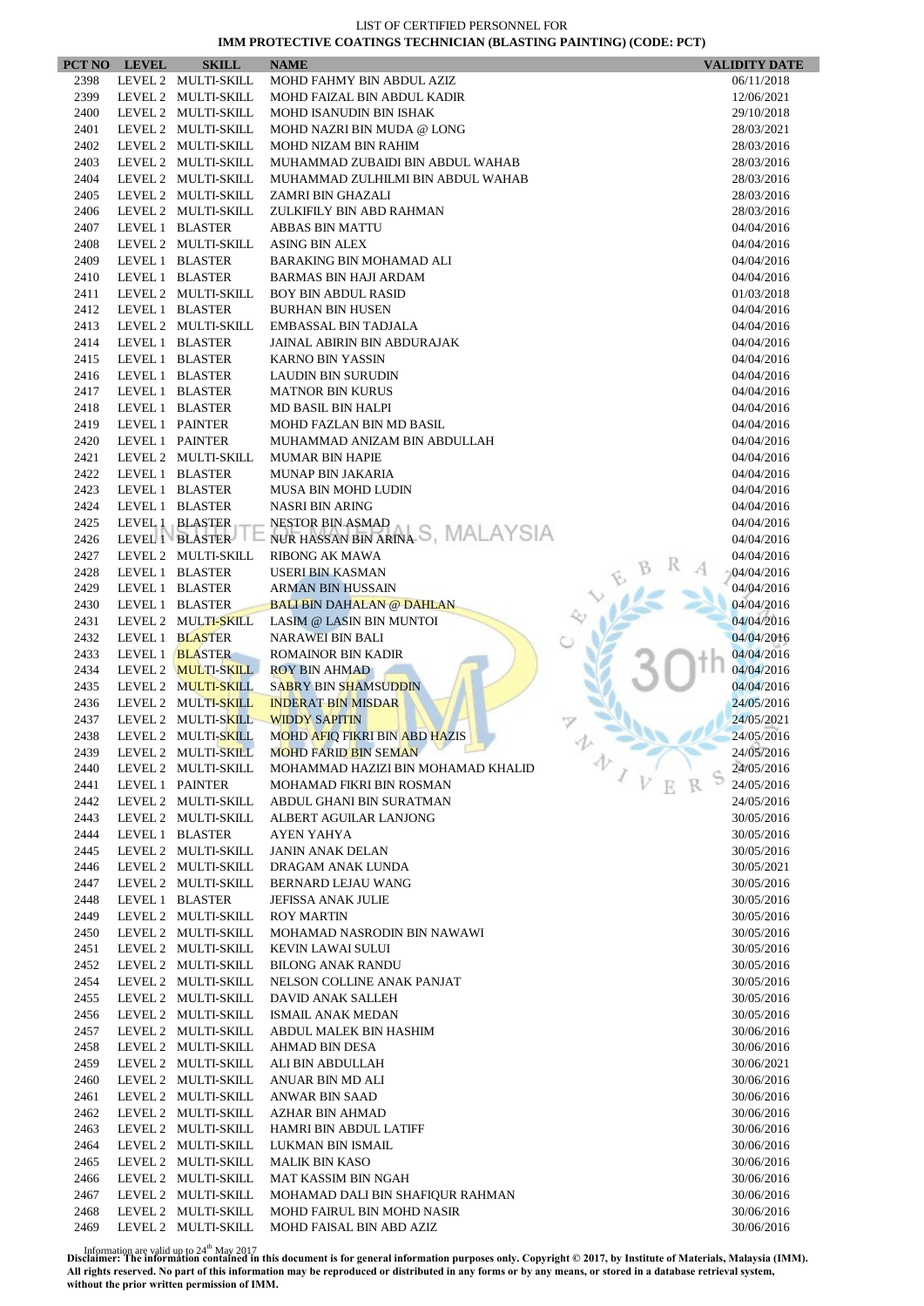|              | PCT NO LEVEL    | <b>SKILL</b>                               | <b>NAME</b>                                   | <b>VALIDITY DATE</b>     |
|--------------|-----------------|--------------------------------------------|-----------------------------------------------|--------------------------|
| 2398         |                 | LEVEL 2 MULTI-SKILL                        | MOHD FAHMY BIN ABDUL AZIZ                     | 06/11/2018               |
| 2399         |                 | LEVEL 2 MULTI-SKILL                        | MOHD FAIZAL BIN ABDUL KADIR                   | 12/06/2021               |
| 2400         |                 | LEVEL 2 MULTI-SKILL                        | <b>MOHD ISANUDIN BIN ISHAK</b>                | 29/10/2018               |
| 2401         |                 | LEVEL 2 MULTI-SKILL                        | MOHD NAZRI BIN MUDA @ LONG                    | 28/03/2021               |
| 2402         |                 | LEVEL 2 MULTI-SKILL                        | <b>MOHD NIZAM BIN RAHIM</b>                   | 28/03/2016               |
| 2403         |                 | LEVEL 2 MULTI-SKILL                        | MUHAMMAD ZUBAIDI BIN ABDUL WAHAB              | 28/03/2016               |
| 2404         |                 | LEVEL 2 MULTI-SKILL                        | MUHAMMAD ZULHILMI BIN ABDUL WAHAB             | 28/03/2016               |
| 2405         |                 | LEVEL 2 MULTI-SKILL                        | ZAMRI BIN GHAZALI                             | 28/03/2016               |
| 2406         |                 | LEVEL 2 MULTI-SKILL                        | ZULKIFILY BIN ABD RAHMAN                      | 28/03/2016               |
| 2407         |                 | LEVEL 1 BLASTER                            | ABBAS BIN MATTU                               | 04/04/2016               |
| 2408         |                 | LEVEL 2 MULTI-SKILL                        | <b>ASING BIN ALEX</b>                         | 04/04/2016               |
| 2409         |                 | LEVEL 1 BLASTER                            | BARAKING BIN MOHAMAD ALI                      | 04/04/2016               |
| 2410         |                 | LEVEL 1 BLASTER                            | <b>BARMAS BIN HAJI ARDAM</b>                  | 04/04/2016               |
| 2411         |                 | LEVEL 2 MULTI-SKILL                        | <b>BOY BIN ABDUL RASID</b>                    | 01/03/2018               |
| 2412         |                 | LEVEL 1 BLASTER                            | <b>BURHAN BIN HUSEN</b>                       | 04/04/2016               |
| 2413         |                 | LEVEL 2 MULTI-SKILL                        | EMBASSAL BIN TADJALA                          | 04/04/2016               |
| 2414         |                 | LEVEL 1 BLASTER                            | JAINAL ABIRIN BIN ABDURAJAK                   | 04/04/2016               |
| 2415         |                 | LEVEL 1 BLASTER                            | <b>KARNO BIN YASSIN</b>                       | 04/04/2016               |
| 2416         |                 | LEVEL 1 BLASTER                            | <b>LAUDIN BIN SURUDIN</b>                     | 04/04/2016               |
| 2417         |                 | LEVEL 1 BLASTER                            | <b>MATNOR BIN KURUS</b>                       | 04/04/2016               |
| 2418         |                 | LEVEL 1 BLASTER                            | MD BASIL BIN HALPI                            | 04/04/2016               |
| 2419         | LEVEL 1 PAINTER |                                            | MOHD FAZLAN BIN MD BASIL                      | 04/04/2016               |
| 2420         |                 | LEVEL 1 PAINTER                            | MUHAMMAD ANIZAM BIN ABDULLAH                  | 04/04/2016               |
| 2421         |                 | LEVEL 2 MULTI-SKILL                        | <b>MUMAR BIN HAPIE</b>                        | 04/04/2016               |
| 2422<br>2423 |                 | LEVEL 1 BLASTER<br>LEVEL 1 BLASTER         | <b>MUNAP BIN JAKARIA</b>                      | 04/04/2016               |
| 2424         |                 | LEVEL 1 BLASTER                            | MUSA BIN MOHD LUDIN<br><b>NASRI BIN ARING</b> | 04/04/2016<br>04/04/2016 |
| 2425         |                 | LEVEL 1 BLASTER                            | <b>NESTOR BIN ASMAD</b>                       | 04/04/2016               |
| 2426         |                 | LEVEL 1 BLASTER                            | NUR HASSAN BIN ARINA S, MALAYSIA              | 04/04/2016               |
| 2427         |                 | LEVEL 2 MULTI-SKILL                        | <b>RIBONG AK MAWA</b>                         | 04/04/2016               |
| 2428         |                 | LEVEL 1 BLASTER                            | USERI BIN KASMAN                              | 04/04/2016               |
| 2429         |                 | LEVEL 1 BLASTER                            | <b>ARMAN BIN HUSSAIN</b>                      | 04/04/2016               |
| 2430         |                 | LEVEL 1 BLASTER                            | <b>BALI BIN DAHALAN @ DAHLAN</b>              | 04/04/2016               |
| 2431         |                 | LEVEL 2 MULTI-SKILL                        | LASIM @ LASIN BIN MUNTOI                      | 04/04/2016               |
| 2432         |                 | LEVEL 1 BLASTER                            | <b>NARAWEI BIN BALI</b>                       | 04/04/2016               |
| 2433         |                 | LEVEL 1 <b>BLASTER</b>                     | <b>ROMAINOR BIN KADIR</b>                     | 04/04/2016               |
| 2434         |                 | LEVEL 2 MULTI-SKILL                        | <b>ROY BIN AHMAD</b>                          | 04/04/2016               |
| 2435         |                 | LEVEL 2 MULTI-SKILL                        | <b>SABRY BIN SHAMSUDDIN</b>                   | 04/04/2016               |
| 2436         |                 | LEVEL 2 MULTI-SKILL                        | <b>INDERAT BIN MISDAR</b>                     | 24/05/2016               |
| 2437         |                 | LEVEL 2 MULTI-SKILL                        | <b>WIDDY SAPITIN</b>                          | 24/05/2021               |
| 2438         |                 | LEVEL 2 MULTI-SKILL                        | <b>MOHD AFIQ FIKRI BIN ABD HAZIS</b>          | 24/05/2016               |
| 2439         |                 |                                            | LEVEL 2 MULTI-SKILL MOHD FARID BIN SEMAN      | 24/05/2016<br>办          |
| 2440         |                 | LEVEL 2 MULTI-SKILL                        | MOHAMMAD HAZIZI BIN MOHAMAD KHALID            | 24/05/2016               |
| 2441         |                 | LEVEL 1 PAINTER                            | MOHAMAD FIKRI BIN ROSMAN                      | 24/05/2016               |
| 2442         |                 | LEVEL 2 MULTI-SKILL                        | ABDUL GHANI BIN SURATMAN                      | 24/05/2016               |
| 2443         |                 | LEVEL 2 MULTI-SKILL                        | ALBERT AGUILAR LANJONG                        | 30/05/2016               |
| 2444         |                 | LEVEL 1 BLASTER                            | <b>AYEN YAHYA</b>                             | 30/05/2016               |
| 2445         |                 | LEVEL 2 MULTI-SKILL                        | <b>JANIN ANAK DELAN</b>                       | 30/05/2016               |
| 2446         |                 | LEVEL 2 MULTI-SKILL                        | DRAGAM ANAK LUNDA                             | 30/05/2021               |
| 2447         |                 | LEVEL 2 MULTI-SKILL                        | BERNARD LEJAU WANG                            | 30/05/2016               |
| 2448         |                 | LEVEL 1 BLASTER                            | <b>JEFISSA ANAK JULIE</b>                     | 30/05/2016               |
| 2449         |                 | LEVEL 2 MULTI-SKILL                        | <b>ROY MARTIN</b>                             | 30/05/2016               |
| 2450         |                 | LEVEL 2 MULTI-SKILL                        | MOHAMAD NASRODIN BIN NAWAWI                   | 30/05/2016               |
| 2451         |                 | LEVEL 2 MULTI-SKILL                        | <b>KEVIN LAWAI SULUI</b>                      | 30/05/2016               |
| 2452         |                 | LEVEL 2 MULTI-SKILL                        | <b>BILONG ANAK RANDU</b>                      | 30/05/2016               |
| 2454         |                 | LEVEL 2 MULTI-SKILL<br>LEVEL 2 MULTI-SKILL | NELSON COLLINE ANAK PANJAT                    | 30/05/2016               |
| 2455<br>2456 |                 | LEVEL 2 MULTI-SKILL                        | DAVID ANAK SALLEH<br><b>ISMAIL ANAK MEDAN</b> | 30/05/2016<br>30/05/2016 |
| 2457         |                 | LEVEL 2 MULTI-SKILL                        |                                               |                          |
| 2458         |                 | LEVEL 2 MULTI-SKILL                        | ABDUL MALEK BIN HASHIM<br>AHMAD BIN DESA      | 30/06/2016<br>30/06/2016 |
| 2459         |                 | LEVEL 2 MULTI-SKILL                        | ALI BIN ABDULLAH                              | 30/06/2021               |
| 2460         |                 | LEVEL 2 MULTI-SKILL                        | ANUAR BIN MD ALI                              | 30/06/2016               |
| 2461         |                 | LEVEL 2 MULTI-SKILL                        | ANWAR BIN SAAD                                | 30/06/2016               |
| 2462         |                 | LEVEL 2 MULTI-SKILL                        | AZHAR BIN AHMAD                               | 30/06/2016               |
| 2463         |                 | LEVEL 2 MULTI-SKILL                        | HAMRI BIN ABDUL LATIFF                        | 30/06/2016               |
| 2464         |                 | LEVEL 2 MULTI-SKILL                        | LUKMAN BIN ISMAIL                             | 30/06/2016               |
| 2465         |                 | LEVEL 2 MULTI-SKILL                        | <b>MALIK BIN KASO</b>                         | 30/06/2016               |
| 2466         |                 | LEVEL 2 MULTI-SKILL                        | MAT KASSIM BIN NGAH                           | 30/06/2016               |
| 2467         |                 | LEVEL 2 MULTI-SKILL                        | MOHAMAD DALI BIN SHAFIQUR RAHMAN              | 30/06/2016               |
| 2468         |                 | LEVEL 2 MULTI-SKILL                        | <b>MOHD FAIRUL BIN MOHD NASIR</b>             | 30/06/2016               |
| 2469         |                 | LEVEL 2 MULTI-SKILL                        | MOHD FAISAL BIN ABD AZIZ                      | 30/06/2016               |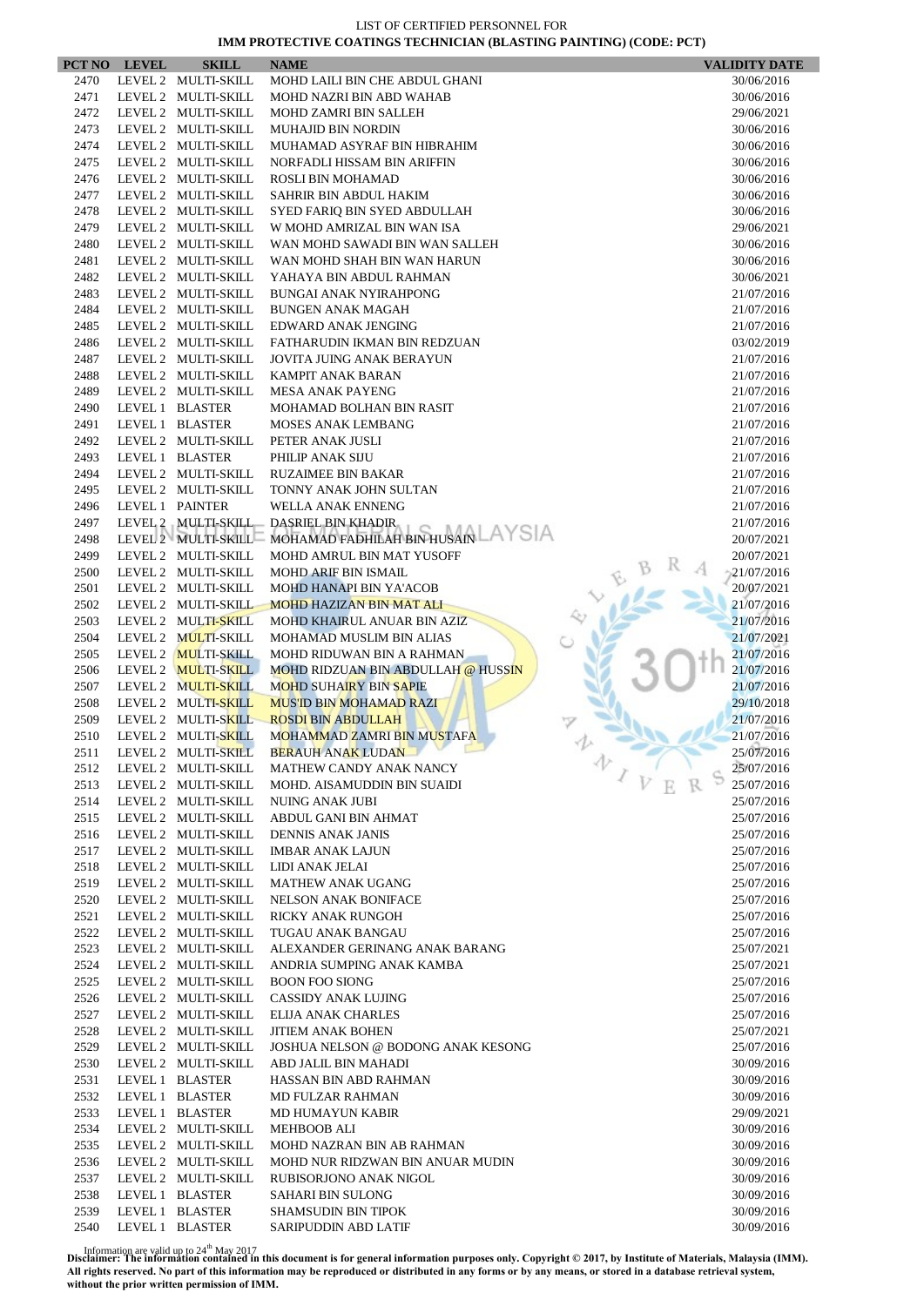|              | PCT NO LEVEL | <b>SKILL</b>                               | <b>NAME</b>                                         | <b>VALIDITY DATE</b>     |
|--------------|--------------|--------------------------------------------|-----------------------------------------------------|--------------------------|
| 2470         |              | LEVEL 2 MULTI-SKILL                        | MOHD LAILI BIN CHE ABDUL GHANI                      | 30/06/2016               |
| 2471         |              | LEVEL 2 MULTI-SKILL                        | MOHD NAZRI BIN ABD WAHAB                            | 30/06/2016               |
| 2472         |              | LEVEL 2 MULTI-SKILL                        | <b>MOHD ZAMRI BIN SALLEH</b>                        | 29/06/2021               |
| 2473         |              | LEVEL 2 MULTI-SKILL                        | <b>MUHAJID BIN NORDIN</b>                           | 30/06/2016               |
| 2474         |              | LEVEL 2 MULTI-SKILL                        | MUHAMAD ASYRAF BIN HIBRAHIM                         | 30/06/2016               |
| 2475         |              | LEVEL 2 MULTI-SKILL                        | NORFADLI HISSAM BIN ARIFFIN                         | 30/06/2016               |
| 2476<br>2477 |              | LEVEL 2 MULTI-SKILL<br>LEVEL 2 MULTI-SKILL | ROSLI BIN MOHAMAD<br>SAHRIR BIN ABDUL HAKIM         | 30/06/2016<br>30/06/2016 |
| 2478         |              | LEVEL 2 MULTI-SKILL                        | SYED FARIQ BIN SYED ABDULLAH                        | 30/06/2016               |
| 2479         |              | LEVEL 2 MULTI-SKILL                        | W MOHD AMRIZAL BIN WAN ISA                          | 29/06/2021               |
| 2480         |              | LEVEL 2 MULTI-SKILL                        | WAN MOHD SAWADI BIN WAN SALLEH                      | 30/06/2016               |
| 2481         |              | LEVEL 2 MULTI-SKILL                        | WAN MOHD SHAH BIN WAN HARUN                         | 30/06/2016               |
| 2482         |              | LEVEL 2 MULTI-SKILL                        | YAHAYA BIN ABDUL RAHMAN                             | 30/06/2021               |
| 2483         |              | LEVEL 2 MULTI-SKILL                        | <b>BUNGAI ANAK NYIRAHPONG</b>                       | 21/07/2016               |
| 2484         |              | LEVEL 2 MULTI-SKILL                        | <b>BUNGEN ANAK MAGAH</b>                            | 21/07/2016               |
| 2485         |              | LEVEL 2 MULTI-SKILL                        | EDWARD ANAK JENGING                                 | 21/07/2016               |
| 2486         |              | LEVEL 2 MULTI-SKILL                        | FATHARUDIN IKMAN BIN REDZUAN                        | 03/02/2019               |
| 2487         |              | LEVEL 2 MULTI-SKILL                        | <b>JOVITA JUING ANAK BERAYUN</b>                    | 21/07/2016               |
| 2488         |              | LEVEL 2 MULTI-SKILL                        | <b>KAMPIT ANAK BARAN</b>                            | 21/07/2016               |
| 2489         |              | LEVEL 2 MULTI-SKILL                        | <b>MESA ANAK PAYENG</b>                             | 21/07/2016               |
| 2490         |              | LEVEL 1 BLASTER                            | <b>MOHAMAD BOLHAN BIN RASIT</b>                     | 21/07/2016               |
| 2491         |              | LEVEL 1 BLASTER                            | <b>MOSES ANAK LEMBANG</b>                           | 21/07/2016               |
| 2492         |              | LEVEL 2 MULTI-SKILL                        | PETER ANAK JUSLI                                    | 21/07/2016               |
| 2493         |              | LEVEL 1 BLASTER                            | PHILIP ANAK SIJU                                    | 21/07/2016               |
| 2494<br>2495 |              | LEVEL 2 MULTI-SKILL<br>LEVEL 2 MULTI-SKILL | <b>RUZAIMEE BIN BAKAR</b><br>TONNY ANAK JOHN SULTAN | 21/07/2016<br>21/07/2016 |
| 2496         |              | LEVEL 1 PAINTER                            | WELLA ANAK ENNENG                                   | 21/07/2016               |
| 2497         |              |                                            | LEVEL 2 MULTI-SKILL DASRIEL BIN KHADIR              | 21/07/2016               |
| 2498         |              | LEVEL 2 MULTI-SKILL                        | .AYSIA<br>MOHAMAD FADHILAH BIN HUSAIN               | 20/07/2021               |
| 2499         |              | LEVEL 2 MULTI-SKILL                        | MOHD AMRUL BIN MAT YUSOFF                           | 20/07/2021               |
| 2500         |              | LEVEL 2 MULTI-SKILL                        | MOHD ARIF BIN ISMAIL                                | 21/07/2016               |
| 2501         |              | LEVEL 2 MULTI-SKILL                        | MOHD HANAPI BIN YA'ACOB                             | 20/07/2021               |
| 2502         |              | LEVEL 2 MULTI-SKILL                        | <b>MOHD HAZIZAN BIN MAT ALI</b>                     | 21/07/2016               |
| 2503         |              | LEVEL 2 MULTI-SKILL                        | MOHD KHAIRUL ANUAR BIN AZIZ                         | 21/07/2016               |
| 2504         |              | LEVEL 2 MULTI-SKILL                        | MOHAMAD MUSLIM BIN ALIAS                            | 21/07/2021               |
| 2505         |              | LEVEL 2 MULTI-SKILL                        | MOHD RIDUWAN BIN A RAHMAN                           | 21/07/2016               |
| 2506         |              | LEVEL 2 MULTI-SKILL                        | <b>MOHD RIDZUAN BIN ABDULLAH @ HUSSIN</b>           | 21/07/2016               |
| 2507         |              | LEVEL 2 MULTI-SKILL                        | <b>MOHD SUHAIRY BIN SAPIE</b>                       | 21/07/2016               |
| 2508         |              | LEVEL 2 MULTI-SKILL                        | <b>MUS'ID BIN MOHAMAD RAZI</b>                      | 29/10/2018               |
| 2509         |              | LEVEL 2 MULTI-SKILL                        | <b>ROSDI BIN ABDULLAH</b>                           | 21/07/2016               |
| 2510         |              | LEVEL 2 MULTI-SKILL                        | <b>MOHAMMAD ZAMRI BIN MUSTAFA</b>                   | 21/07/2016               |
| 2511         |              | LEVEL 2 MULTI-SKILL                        | <b>BERAUH ANAK LUDAN</b><br>MATHEW CANDY ANAK NANCY | 25/07/2016<br>办          |
| 2512<br>2513 |              | LEVEL 2 MULTI-SKILL<br>LEVEL 2 MULTI-SKILL | MOHD. AISAMUDDIN BIN SUAIDI                         | 25/07/2016<br>25/07/2016 |
| 2514         |              | LEVEL 2 MULTI-SKILL                        | NUING ANAK JUBI                                     | 25/07/2016               |
| 2515         |              | LEVEL 2 MULTI-SKILL                        | ABDUL GANI BIN AHMAT                                | 25/07/2016               |
| 2516         |              | LEVEL 2 MULTI-SKILL                        | <b>DENNIS ANAK JANIS</b>                            | 25/07/2016               |
| 2517         |              | LEVEL 2 MULTI-SKILL                        | <b>IMBAR ANAK LAJUN</b>                             | 25/07/2016               |
| 2518         |              | LEVEL 2 MULTI-SKILL                        | LIDI ANAK JELAI                                     | 25/07/2016               |
| 2519         |              | LEVEL 2 MULTI-SKILL                        | <b>MATHEW ANAK UGANG</b>                            | 25/07/2016               |
| 2520         |              | LEVEL 2 MULTI-SKILL                        | <b>NELSON ANAK BONIFACE</b>                         | 25/07/2016               |
| 2521         |              | LEVEL 2 MULTI-SKILL                        | <b>RICKY ANAK RUNGOH</b>                            | 25/07/2016               |
| 2522         |              | LEVEL 2 MULTI-SKILL                        | TUGAU ANAK BANGAU                                   | 25/07/2016               |
| 2523         |              | LEVEL 2 MULTI-SKILL                        | ALEXANDER GERINANG ANAK BARANG                      | 25/07/2021               |
| 2524         |              | LEVEL 2 MULTI-SKILL                        | ANDRIA SUMPING ANAK KAMBA                           | 25/07/2021               |
| 2525         |              | LEVEL 2 MULTI-SKILL                        | <b>BOON FOO SIONG</b>                               | 25/07/2016               |
| 2526         |              | LEVEL 2 MULTI-SKILL                        | CASSIDY ANAK LUJING                                 | 25/07/2016               |
| 2527         |              | LEVEL 2 MULTI-SKILL                        | ELIJA ANAK CHARLES                                  | 25/07/2016               |
| 2528         |              | LEVEL 2 MULTI-SKILL                        | <b>JITIEM ANAK BOHEN</b>                            | 25/07/2021               |
| 2529         |              | LEVEL 2 MULTI-SKILL                        | <b>JOSHUA NELSON @ BODONG ANAK KESONG</b>           | 25/07/2016               |
| 2530         |              | LEVEL 2 MULTI-SKILL                        | ABD JALIL BIN MAHADI                                | 30/09/2016               |
| 2531<br>2532 |              | LEVEL 1 BLASTER<br>LEVEL 1 BLASTER         | HASSAN BIN ABD RAHMAN<br><b>MD FULZAR RAHMAN</b>    | 30/09/2016<br>30/09/2016 |
| 2533         |              | LEVEL 1 BLASTER                            | MD HUMAYUN KABIR                                    | 29/09/2021               |
| 2534         |              | LEVEL 2 MULTI-SKILL                        | <b>MEHBOOB ALI</b>                                  | 30/09/2016               |
| 2535         |              | LEVEL 2 MULTI-SKILL                        | MOHD NAZRAN BIN AB RAHMAN                           | 30/09/2016               |
| 2536         |              | LEVEL 2 MULTI-SKILL                        | MOHD NUR RIDZWAN BIN ANUAR MUDIN                    | 30/09/2016               |
| 2537         |              | LEVEL 2 MULTI-SKILL                        | RUBISORJONO ANAK NIGOL                              | 30/09/2016               |
| 2538         |              | LEVEL 1 BLASTER                            | SAHARI BIN SULONG                                   | 30/09/2016               |
| 2539         |              | LEVEL 1 BLASTER                            | <b>SHAMSUDIN BIN TIPOK</b>                          | 30/09/2016               |
| 2540         |              | LEVEL 1 BLASTER                            | <b>SARIPUDDIN ABD LATIF</b>                         | 30/09/2016               |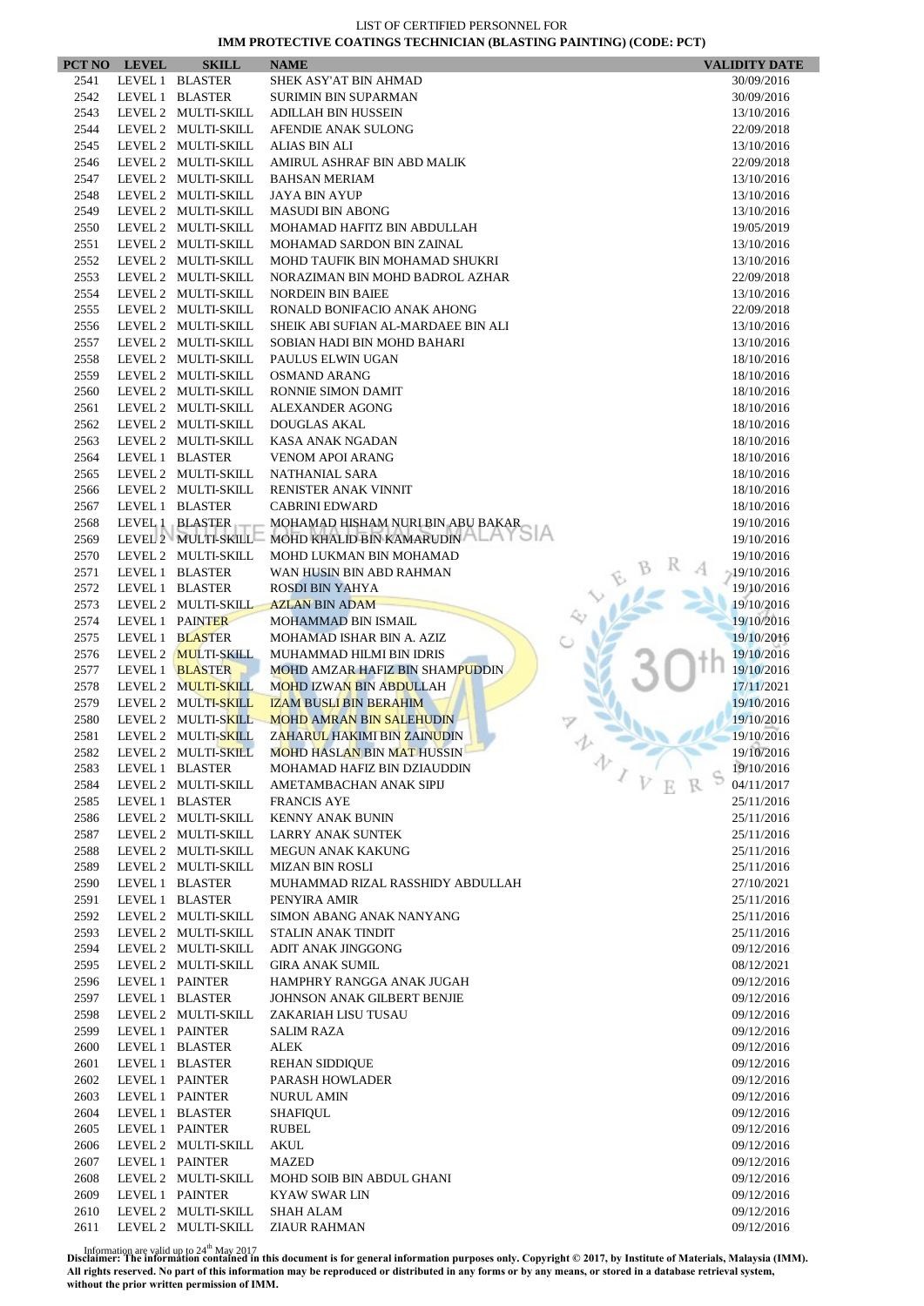|              | PCT NO LEVEL | <b>SKILL</b>                                  | <b>NAME</b>                                                              | <b>VALIDITY DATE</b>     |
|--------------|--------------|-----------------------------------------------|--------------------------------------------------------------------------|--------------------------|
| 2541         |              | LEVEL 1 BLASTER                               | SHEK ASY'AT BIN AHMAD                                                    | 30/09/2016               |
| 2542         |              | LEVEL 1 BLASTER                               | <b>SURIMIN BIN SUPARMAN</b>                                              | 30/09/2016               |
| 2543         |              | LEVEL 2 MULTI-SKILL                           | <b>ADILLAH BIN HUSSEIN</b>                                               | 13/10/2016               |
| 2544         |              | LEVEL 2 MULTI-SKILL                           | AFENDIE ANAK SULONG                                                      | 22/09/2018               |
| 2545         |              | LEVEL 2 MULTI-SKILL                           | ALIAS BIN ALI                                                            | 13/10/2016               |
| 2546         |              | LEVEL 2 MULTI-SKILL                           | AMIRUL ASHRAF BIN ABD MALIK                                              | 22/09/2018               |
| 2547         |              | LEVEL 2 MULTI-SKILL                           | <b>BAHSAN MERIAM</b>                                                     | 13/10/2016               |
| 2548         |              | LEVEL 2 MULTI-SKILL                           | <b>JAYA BIN AYUP</b>                                                     | 13/10/2016               |
| 2549         |              | LEVEL 2 MULTI-SKILL                           | <b>MASUDI BIN ABONG</b>                                                  | 13/10/2016               |
| 2550         |              | LEVEL 2 MULTI-SKILL                           | MOHAMAD HAFITZ BIN ABDULLAH                                              | 19/05/2019               |
| 2551         |              | LEVEL 2 MULTI-SKILL                           | MOHAMAD SARDON BIN ZAINAL                                                | 13/10/2016               |
| 2552         |              | LEVEL 2 MULTI-SKILL                           | MOHD TAUFIK BIN MOHAMAD SHUKRI                                           | 13/10/2016               |
| 2553         |              | LEVEL 2 MULTI-SKILL                           | NORAZIMAN BIN MOHD BADROL AZHAR                                          | 22/09/2018               |
| 2554         |              | LEVEL 2 MULTI-SKILL                           | <b>NORDEIN BIN BAIEE</b>                                                 | 13/10/2016               |
| 2555         |              | LEVEL 2 MULTI-SKILL                           | RONALD BONIFACIO ANAK AHONG                                              | 22/09/2018               |
| 2556         |              | LEVEL 2 MULTI-SKILL                           | SHEIK ABI SUFIAN AL-MARDAEE BIN ALI                                      | 13/10/2016               |
| 2557         |              | LEVEL 2 MULTI-SKILL                           | SOBIAN HADI BIN MOHD BAHARI                                              | 13/10/2016               |
| 2558         |              | LEVEL 2 MULTI-SKILL                           | PAULUS ELWIN UGAN                                                        | 18/10/2016               |
| 2559         |              | LEVEL 2 MULTI-SKILL                           | <b>OSMAND ARANG</b>                                                      | 18/10/2016               |
| 2560         |              | LEVEL 2 MULTI-SKILL                           | <b>RONNIE SIMON DAMIT</b>                                                | 18/10/2016               |
| 2561         |              | LEVEL 2 MULTI-SKILL                           | <b>ALEXANDER AGONG</b>                                                   | 18/10/2016               |
| 2562         |              | LEVEL 2 MULTI-SKILL                           | <b>DOUGLAS AKAL</b>                                                      | 18/10/2016               |
| 2563         |              | LEVEL 2 MULTI-SKILL                           | <b>KASA ANAK NGADAN</b>                                                  | 18/10/2016               |
| 2564         |              | LEVEL 1 BLASTER                               | <b>VENOM APOI ARANG</b>                                                  | 18/10/2016               |
| 2565         |              | LEVEL 2 MULTI-SKILL                           | NATHANIAL SARA                                                           | 18/10/2016               |
| 2566         |              | LEVEL 2 MULTI-SKILL                           | RENISTER ANAK VINNIT                                                     | 18/10/2016               |
| 2567         |              | LEVEL 1 BLASTER                               | <b>CABRINI EDWARD</b>                                                    | 18/10/2016               |
| 2568         |              | LEVEL 1 BLASTER                               | MOHAMAD HISHAM NURI BIN ABU BAKAR                                        | 19/10/2016               |
| 2569         |              |                                               | LEVEL 2 MULTI-SKILL MOHD KHALID BIN KAMARUDIN                            | 19/10/2016               |
| 2570         |              | LEVEL 2 MULTI-SKILL                           | MOHD LUKMAN BIN MOHAMAD                                                  | 19/10/2016               |
| 2571         |              | LEVEL 1 BLASTER                               | WAN HUSIN BIN ABD RAHMAN                                                 | $-19/10/2016$            |
| 2572         |              | LEVEL 1 BLASTER                               | <b>ROSDI BIN YAHYA</b>                                                   | 19/10/2016               |
| 2573         |              | LEVEL 2 MULTI-SKILL                           | <b>AZLAN BIN ADAM</b>                                                    | 19/10/2016               |
| 2574         |              | LEVEL 1 PAINTER                               | <b>MOHAMMAD BIN ISMAIL</b>                                               | 19/10/2016               |
| 2575         |              | LEVEL 1 BLASTER                               | MOHAMAD ISHAR BIN A. AZIZ                                                | 19/10/2016               |
| 2576<br>2577 |              | LEVEL 2 <b>MULTI-SKILL</b><br>LEVEL 1 BLASTER | MUHAMMAD HILMI BIN IDRIS                                                 | 19/10/2016<br>19/10/2016 |
| 2578         |              | LEVEL 2 MULTI-SKILL                           | <b>MOHD AMZAR HAFIZ BIN SHAMPUDDIN</b><br><b>MOHD IZWAN BIN ABDULLAH</b> | 17/11/2021               |
| 2579         |              | LEVEL 2 MULTI-SKILL                           | <b>IZAM BUSLI BIN BERAHIM</b>                                            | 19/10/2016               |
| 2580         |              | LEVEL 2 MULTI-SKILL                           | <b>MOHD AMRAN BIN SALEHUDIN</b>                                          | 19/10/2016               |
| 2581         |              | LEVEL 2 MULTI-SKILL                           | ZAHARUL HAKIMI BIN ZAINUDIN                                              | 19/10/2016               |
| 2582         |              | LEVEL 2 MULTI-SKILL                           | <b>MOHD HASLAN BIN MAT HUSSIN</b>                                        | 19/10/2016               |
| 2583         |              | LEVEL 1 BLASTER                               | MOHAMAD HAFIZ BIN DZIAUDDIN                                              | 办<br>19/10/2016          |
| 2584         |              | LEVEL 2 MULTI-SKILL                           | AMETAMBACHAN ANAK SIPIJ                                                  | 04/11/2017               |
| 2585         |              | LEVEL 1 BLASTER                               | <b>FRANCIS AYE</b>                                                       | 25/11/2016               |
| 2586         |              | LEVEL 2 MULTI-SKILL                           | <b>KENNY ANAK BUNIN</b>                                                  | 25/11/2016               |
| 2587         |              | LEVEL 2 MULTI-SKILL                           | <b>LARRY ANAK SUNTEK</b>                                                 | 25/11/2016               |
| 2588         |              | LEVEL 2 MULTI-SKILL                           | <b>MEGUN ANAK KAKUNG</b>                                                 | 25/11/2016               |
| 2589         |              | LEVEL 2 MULTI-SKILL                           | <b>MIZAN BIN ROSLI</b>                                                   | 25/11/2016               |
| 2590         |              | LEVEL 1 BLASTER                               | MUHAMMAD RIZAL RASSHIDY ABDULLAH                                         | 27/10/2021               |
| 2591         |              | LEVEL 1 BLASTER                               | PENYIRA AMIR                                                             | 25/11/2016               |
| 2592         |              | LEVEL 2 MULTI-SKILL                           | SIMON ABANG ANAK NANYANG                                                 | 25/11/2016               |
| 2593         |              | LEVEL 2 MULTI-SKILL                           | STALIN ANAK TINDIT                                                       | 25/11/2016               |
| 2594         |              | LEVEL 2 MULTI-SKILL                           | ADIT ANAK JINGGONG                                                       | 09/12/2016               |
| 2595         |              | LEVEL 2 MULTI-SKILL                           | <b>GIRA ANAK SUMIL</b>                                                   | 08/12/2021               |
| 2596         |              | LEVEL 1 PAINTER                               | HAMPHRY RANGGA ANAK JUGAH                                                | 09/12/2016               |
| 2597         |              | LEVEL 1 BLASTER                               | JOHNSON ANAK GILBERT BENJIE                                              | 09/12/2016               |
| 2598         |              | LEVEL 2 MULTI-SKILL                           | ZAKARIAH LISU TUSAU                                                      | 09/12/2016               |
| 2599         |              | LEVEL 1 PAINTER                               | <b>SALIM RAZA</b>                                                        | 09/12/2016               |
| 2600         |              | LEVEL 1 BLASTER                               | ALEK                                                                     | 09/12/2016               |
| 2601         |              | LEVEL 1 BLASTER                               | <b>REHAN SIDDIQUE</b>                                                    | 09/12/2016               |
| 2602         |              | LEVEL 1 PAINTER                               | PARASH HOWLADER                                                          | 09/12/2016               |
| 2603         |              | LEVEL 1 PAINTER                               | <b>NURUL AMIN</b>                                                        | 09/12/2016               |
| 2604         |              | LEVEL 1 BLASTER                               | SHAFIQUL                                                                 | 09/12/2016               |
| 2605         |              | LEVEL 1 PAINTER                               | RUBEL                                                                    | 09/12/2016               |
| 2606         |              | LEVEL 2 MULTI-SKILL                           | AKUL                                                                     | 09/12/2016               |
| 2607         |              | LEVEL 1 PAINTER                               | <b>MAZED</b>                                                             | 09/12/2016               |
| 2608         |              | LEVEL 2 MULTI-SKILL                           | MOHD SOIB BIN ABDUL GHANI                                                | 09/12/2016               |
| 2609         |              | LEVEL 1 PAINTER                               | <b>KYAW SWAR LIN</b>                                                     | 09/12/2016               |
| 2610         |              | LEVEL 2 MULTI-SKILL                           | SHAH ALAM                                                                | 09/12/2016               |
| 2611         |              | LEVEL 2 MULTI-SKILL                           | <b>ZIAUR RAHMAN</b>                                                      | 09/12/2016               |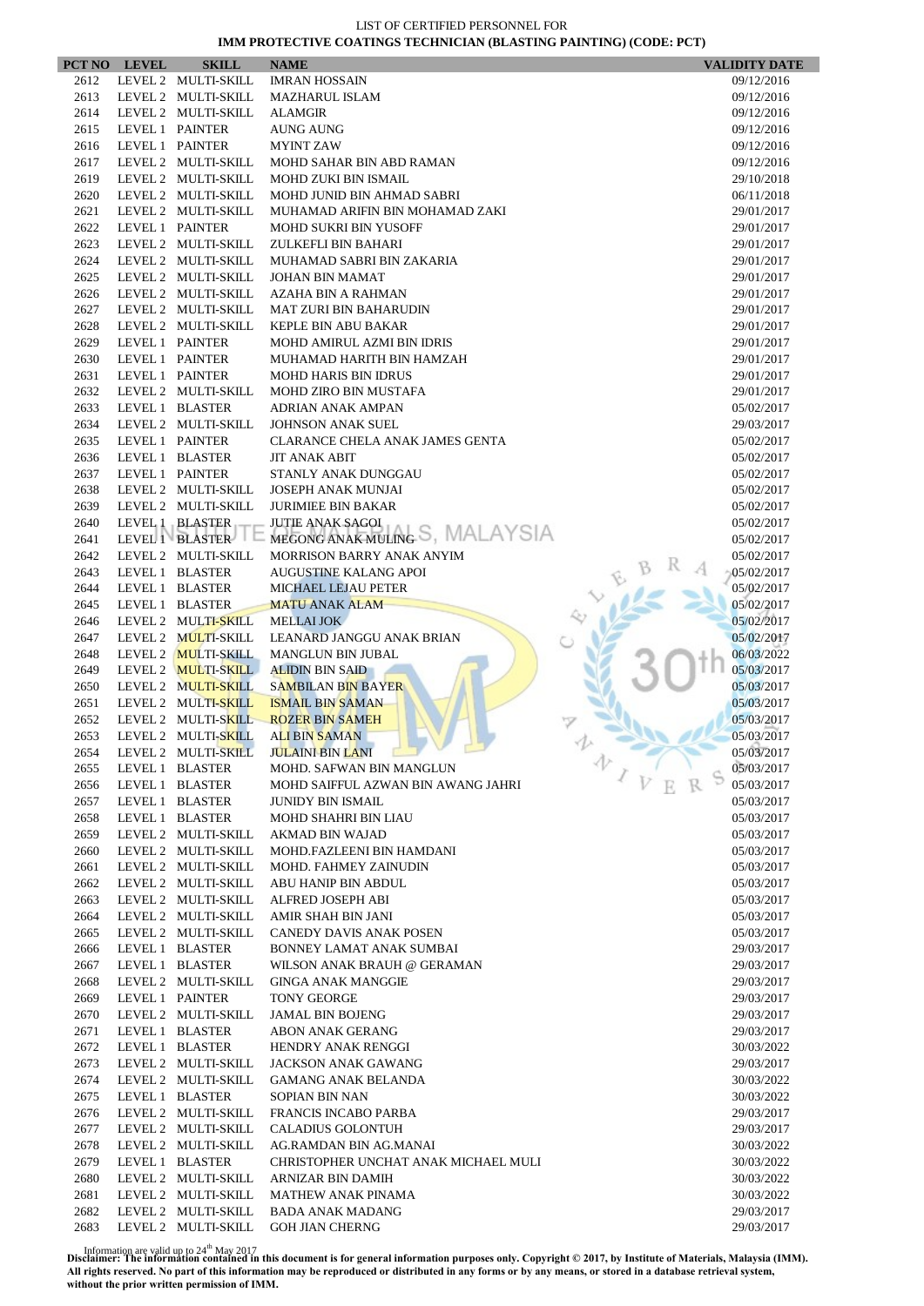$\overline{\phantom{a}}$ 

| PCT NO       | <b>LEVEL</b> | <b>SKILL</b>                               | <b>NAME</b>                            |                | <b>VALIDITY DATE</b> |
|--------------|--------------|--------------------------------------------|----------------------------------------|----------------|----------------------|
| 2612         |              | LEVEL 2 MULTI-SKILL                        | <b>IMRAN HOSSAIN</b>                   |                | 09/12/2016           |
| 2613         |              | LEVEL 2 MULTI-SKILL                        | <b>MAZHARUL ISLAM</b>                  |                | 09/12/2016           |
| 2614         |              | LEVEL 2 MULTI-SKILL                        | <b>ALAMGIR</b>                         |                | 09/12/2016           |
| 2615         |              | LEVEL 1 PAINTER                            | <b>AUNG AUNG</b>                       |                | 09/12/2016           |
| 2616         |              | LEVEL 1 PAINTER                            | <b>MYINT ZAW</b>                       |                | 09/12/2016           |
| 2617         |              | LEVEL 2 MULTI-SKILL                        | MOHD SAHAR BIN ABD RAMAN               |                | 09/12/2016           |
| 2619         |              | LEVEL 2 MULTI-SKILL                        | MOHD ZUKI BIN ISMAIL                   |                | 29/10/2018           |
| 2620         |              | LEVEL 2 MULTI-SKILL                        | MOHD JUNID BIN AHMAD SABRI             |                | 06/11/2018           |
| 2621         |              | LEVEL 2 MULTI-SKILL                        | MUHAMAD ARIFIN BIN MOHAMAD ZAKI        |                | 29/01/2017           |
| 2622         |              | LEVEL 1 PAINTER                            | <b>MOHD SUKRI BIN YUSOFF</b>           |                | 29/01/2017           |
| 2623         |              | LEVEL 2 MULTI-SKILL                        | ZULKEFLI BIN BAHARI                    |                | 29/01/2017           |
| 2624         |              | LEVEL 2 MULTI-SKILL                        | MUHAMAD SABRI BIN ZAKARIA              |                | 29/01/2017           |
| 2625         |              | LEVEL 2 MULTI-SKILL                        | <b>JOHAN BIN MAMAT</b>                 |                | 29/01/2017           |
| 2626         |              | LEVEL 2 MULTI-SKILL                        | AZAHA BIN A RAHMAN                     |                | 29/01/2017           |
| 2627         |              | LEVEL 2 MULTI-SKILL                        | <b>MAT ZURI BIN BAHARUDIN</b>          |                | 29/01/2017           |
| 2628         |              | LEVEL 2 MULTI-SKILL                        | <b>KEPLE BIN ABU BAKAR</b>             |                | 29/01/2017           |
| 2629         |              | LEVEL 1 PAINTER                            | <b>MOHD AMIRUL AZMI BIN IDRIS</b>      |                | 29/01/2017           |
| 2630         |              | LEVEL 1 PAINTER                            | MUHAMAD HARITH BIN HAMZAH              |                | 29/01/2017           |
| 2631         |              | LEVEL 1 PAINTER                            | <b>MOHD HARIS BIN IDRUS</b>            |                | 29/01/2017           |
| 2632         |              | LEVEL 2 MULTI-SKILL                        | <b>MOHD ZIRO BIN MUSTAFA</b>           |                | 29/01/2017           |
| 2633         |              | LEVEL 1 BLASTER                            | <b>ADRIAN ANAK AMPAN</b>               |                | 05/02/2017           |
| 2634         |              | LEVEL 2 MULTI-SKILL                        | <b>JOHNSON ANAK SUEL</b>               |                | 29/03/2017           |
| 2635         |              | LEVEL 1 PAINTER                            | <b>CLARANCE CHELA ANAK JAMES GENTA</b> |                | 05/02/2017           |
| 2636         |              | LEVEL 1 BLASTER                            | <b>JIT ANAK ABIT</b>                   |                | 05/02/2017           |
| 2637         |              | LEVEL 1 PAINTER                            | STANLY ANAK DUNGGAU                    |                | 05/02/2017           |
| 2638         |              | LEVEL 2 MULTI-SKILL                        | <b>JOSEPH ANAK MUNJAI</b>              |                | 05/02/2017           |
| 2639         |              | LEVEL 2 MULTI-SKILL                        | <b>JURIMIEE BIN BAKAR</b>              |                | 05/02/2017           |
| 2640         |              | LEVEL 1 BLASTER                            | <b>JUTIE ANAK SAGOI</b>                |                | 05/02/2017           |
| 2641         |              | LEVEL 1 BLASTER                            | MEGONG ANAK MULING S, MALAYSIA         |                | 05/02/2017           |
| 2642         |              | LEVEL 2 MULTI-SKILL                        | MORRISON BARRY ANAK ANYIM              |                | 05/02/2017           |
| 2643         |              | LEVEL 1 BLASTER                            | <b>AUGUSTINE KALANG APOI</b>           |                | 05/02/2017           |
| 2644         |              | LEVEL 1 BLASTER                            | MICHAEL LEJAU PETER                    |                | 05/02/2017           |
| 2645         |              | LEVEL 1 BLASTER                            | <b>MATU ANAK ALAM</b>                  |                | 05/02/2017           |
| 2646         |              | LEVEL 2 MULTI-SKILL                        | <b>MELLAI JOK</b>                      |                | 05/02/2017           |
| 2647         |              | LEVEL 2 MULTI-SKILL                        | LEANARD JANGGU ANAK BRIAN              |                | 05/02/2017           |
| 2648         |              | LEVEL 2 MULTI-SKILL                        | <b>MANGLUN BIN JUBAL</b>               |                | 06/03/2022           |
| 2649         |              | LEVEL 2 MULTI-SKILL                        | <b>ALIDIN BIN SAID</b>                 |                | 05/03/2017           |
| 2650         |              | LEVEL 2 MULTI-SKILL                        | <b>SAMBILAN BIN BAYER</b>              |                | 05/03/2017           |
| 2651         |              | LEVEL 2 MULTI-SKILL                        | <b>ISMAIL BIN SAMAN</b>                |                | 05/03/2017           |
| 2652         |              | LEVEL 2 MULTI-SKILL                        | <b>ROZER BIN SAMEH</b>                 |                | 05/03/2017           |
| 2653         |              | LEVEL 2 MULTI-SKILL                        | <b>ALI BIN SAMAN</b>                   |                | 05/03/2017           |
| 2654         |              | LEVEL 2 MULTI-SKILL                        | <b>JULAINI BIN LANI</b>                |                | 05/03/2017           |
| 2655         |              | LEVEL 1 BLASTER                            | MOHD. SAFWAN BIN MANGLUN               | 办              | 05/03/2017           |
| 2656         |              | LEVEL 1 BLASTER                            | MOHD SAIFFUL AZWAN BIN AWANG JAHRI     | $\overline{V}$ | 05/03/2017           |
| 2657         |              | LEVEL 1 BLASTER                            | <b>JUNIDY BIN ISMAIL</b>               |                | 05/03/2017           |
| 2658         |              | LEVEL 1 BLASTER                            | <b>MOHD SHAHRI BIN LIAU</b>            |                | 05/03/2017           |
| 2659         |              | LEVEL 2 MULTI-SKILL                        | AKMAD BIN WAJAD                        |                | 05/03/2017           |
| 2660         |              | LEVEL 2 MULTI-SKILL                        | MOHD.FAZLEENI BIN HAMDANI              |                | 05/03/2017           |
| 2661         |              | LEVEL 2 MULTI-SKILL                        | <b>MOHD. FAHMEY ZAINUDIN</b>           |                | 05/03/2017           |
| 2662         |              | LEVEL 2 MULTI-SKILL                        | ABU HANIP BIN ABDUL                    |                | 05/03/2017           |
| 2663         |              | LEVEL 2 MULTI-SKILL                        | ALFRED JOSEPH ABI                      |                | 05/03/2017           |
| 2664         |              | LEVEL 2 MULTI-SKILL                        | AMIR SHAH BIN JANI                     |                | 05/03/2017           |
| 2665         |              | LEVEL 2 MULTI-SKILL                        | CANEDY DAVIS ANAK POSEN                |                | 05/03/2017           |
| 2666         |              | LEVEL 1 BLASTER                            | BONNEY LAMAT ANAK SUMBAI               |                | 29/03/2017           |
| 2667         |              | LEVEL 1 BLASTER                            | WILSON ANAK BRAUH @ GERAMAN            |                | 29/03/2017           |
| 2668         |              | LEVEL 2 MULTI-SKILL                        | <b>GINGA ANAK MANGGIE</b>              |                | 29/03/2017           |
| 2669         |              | LEVEL 1 PAINTER                            | <b>TONY GEORGE</b>                     |                | 29/03/2017           |
| 2670         |              | LEVEL 2 MULTI-SKILL                        | JAMAL BIN BOJENG                       |                | 29/03/2017           |
| 2671         |              | LEVEL 1 BLASTER                            | <b>ABON ANAK GERANG</b>                |                | 29/03/2017           |
| 2672         |              | LEVEL 1 BLASTER                            | HENDRY ANAK RENGGI                     |                | 30/03/2022           |
| 2673         |              | LEVEL 2 MULTI-SKILL                        | <b>JACKSON ANAK GAWANG</b>             |                | 29/03/2017           |
| 2674         |              | LEVEL 2 MULTI-SKILL                        | <b>GAMANG ANAK BELANDA</b>             |                | 30/03/2022           |
| 2675         |              | LEVEL 1 BLASTER                            | SOPIAN BIN NAN                         |                | 30/03/2022           |
| 2676         |              | LEVEL 2 MULTI-SKILL                        | FRANCIS INCABO PARBA                   |                | 29/03/2017           |
| 2677         |              | LEVEL 2 MULTI-SKILL                        | <b>CALADIUS GOLONTUH</b>               |                | 29/03/2017           |
|              |              |                                            |                                        |                |                      |
| 2678         |              | LEVEL 2 MULTI-SKILL<br>LEVEL 1 BLASTER     | AG.RAMDAN BIN AG.MANAI                 |                | 30/03/2022           |
| 2679         |              |                                            | CHRISTOPHER UNCHAT ANAK MICHAEL MULI   |                | 30/03/2022           |
| 2680         |              | LEVEL 2 MULTI-SKILL                        | ARNIZAR BIN DAMIH                      |                | 30/03/2022           |
| 2681<br>2682 |              | LEVEL 2 MULTI-SKILL<br>LEVEL 2 MULTI-SKILL | <b>MATHEW ANAK PINAMA</b>              |                | 30/03/2022           |
|              |              |                                            | BADA ANAK MADANG                       |                | 29/03/2017           |
| 2683         |              | LEVEL 2 MULTI-SKILL                        | <b>GOH JIAN CHERNG</b>                 |                | 29/03/2017           |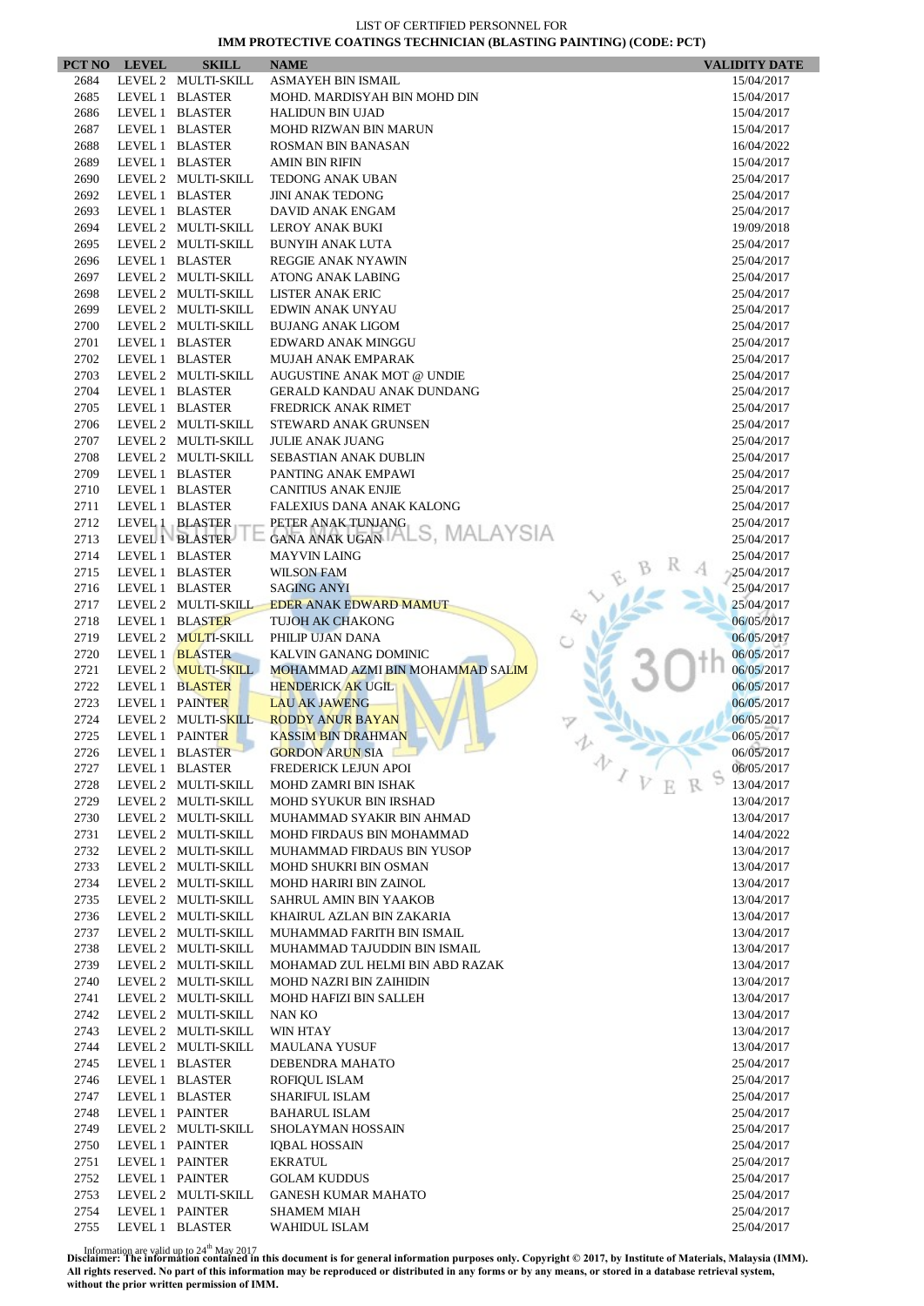| PCT NO       | <b>LEVEL</b>    | <b>SKILL</b>                               | <b>NAME</b>                                      | <b>VALIDITY DATE</b>     |
|--------------|-----------------|--------------------------------------------|--------------------------------------------------|--------------------------|
| 2684         |                 | LEVEL 2 MULTI-SKILL                        | <b>ASMAYEH BIN ISMAIL</b>                        | 15/04/2017               |
| 2685         |                 | LEVEL 1 BLASTER                            | MOHD. MARDISYAH BIN MOHD DIN                     | 15/04/2017               |
| 2686         |                 | LEVEL 1 BLASTER                            | <b>HALIDUN BIN UJAD</b>                          | 15/04/2017               |
| 2687         |                 | LEVEL 1 BLASTER                            | <b>MOHD RIZWAN BIN MARUN</b>                     | 15/04/2017               |
| 2688         |                 | LEVEL 1 BLASTER                            | ROSMAN BIN BANASAN                               | 16/04/2022               |
| 2689         |                 | LEVEL 1 BLASTER                            | <b>AMIN BIN RIFIN</b>                            | 15/04/2017               |
| 2690         |                 | LEVEL 2 MULTI-SKILL                        | <b>TEDONG ANAK UBAN</b>                          | 25/04/2017               |
| 2692         |                 | LEVEL 1 BLASTER                            | <b>JINI ANAK TEDONG</b>                          | 25/04/2017               |
| 2693         |                 | LEVEL 1 BLASTER                            | DAVID ANAK ENGAM                                 | 25/04/2017               |
| 2694         |                 | LEVEL 2 MULTI-SKILL                        | LEROY ANAK BUKI                                  | 19/09/2018               |
| 2695         |                 | LEVEL 2 MULTI-SKILL                        | <b>BUNYIH ANAK LUTA</b>                          | 25/04/2017               |
| 2696         |                 | LEVEL 1 BLASTER                            | <b>REGGIE ANAK NYAWIN</b>                        | 25/04/2017               |
| 2697         |                 | LEVEL 2 MULTI-SKILL                        | ATONG ANAK LABING                                | 25/04/2017               |
| 2698         |                 | LEVEL 2 MULTI-SKILL                        | LISTER ANAK ERIC                                 | 25/04/2017               |
| 2699         |                 | LEVEL 2 MULTI-SKILL                        | EDWIN ANAK UNYAU                                 | 25/04/2017               |
| 2700         |                 | LEVEL 2 MULTI-SKILL                        | <b>BUJANG ANAK LIGOM</b>                         | 25/04/2017               |
| 2701         |                 | LEVEL 1 BLASTER                            | EDWARD ANAK MINGGU                               | 25/04/2017               |
| 2702         |                 | LEVEL 1 BLASTER                            | <b>MUJAH ANAK EMPARAK</b>                        | 25/04/2017               |
| 2703         |                 | LEVEL 2 MULTI-SKILL                        | AUGUSTINE ANAK MOT @ UNDIE                       | 25/04/2017               |
| 2704         |                 | LEVEL 1 BLASTER                            | <b>GERALD KANDAU ANAK DUNDANG</b>                | 25/04/2017               |
| 2705         |                 | LEVEL 1 BLASTER                            | <b>FREDRICK ANAK RIMET</b>                       | 25/04/2017               |
| 2706         |                 | LEVEL 2 MULTI-SKILL                        | STEWARD ANAK GRUNSEN                             | 25/04/2017               |
| 2707         |                 | LEVEL 2 MULTI-SKILL                        | <b>JULIE ANAK JUANG</b>                          | 25/04/2017               |
| 2708         |                 | LEVEL 2 MULTI-SKILL                        | <b>SEBASTIAN ANAK DUBLIN</b>                     | 25/04/2017               |
| 2709         |                 | LEVEL 1 BLASTER                            | PANTING ANAK EMPAWI                              | 25/04/2017               |
| 2710         |                 | LEVEL 1 BLASTER                            | <b>CANITIUS ANAK ENJIE</b>                       | 25/04/2017               |
| 2711         |                 | LEVEL 1 BLASTER                            | FALEXIUS DANA ANAK KALONG                        | 25/04/2017               |
| 2712         |                 | LEVEL 1 BLASTER                            | PETER ANAK TUNJANG                               | 25/04/2017               |
| 2713         |                 | LEVEL 1 BLASTER                            | GANA ANAK UGAN TALS, MALAYSIA                    | 25/04/2017               |
| 2714         |                 | LEVEL 1 BLASTER                            | <b>MAYVIN LAING</b>                              | 25/04/2017               |
| 2715         |                 | LEVEL 1 BLASTER                            | <b>WILSON FAM</b>                                | 25/04/2017               |
| 2716         |                 | LEVEL 1 BLASTER                            | <b>SAGING ANYI</b>                               | 25/04/2017               |
| 2717         |                 | LEVEL 2 MULTI-SKILL                        | <b>EDER ANAK EDWARD MAMUT</b>                    | 25/04/2017               |
| 2718         |                 | LEVEL 1 BLASTER                            | TUJOH AK CHAKONG                                 | 06/05/2017               |
| 2719         |                 | LEVEL 2 MULTI-SKILL                        | PHILIP UJAN DANA                                 | 06/05/2017               |
| 2720         |                 | LEVEL 1 BLASTER                            | KALVIN GANANG DOMINIC                            | 06/05/2017               |
| 2721         |                 | LEVEL 2 MULTI-SKILL                        | <b>MOHAMMAD AZMI BIN MOHAMMAD SALIM</b>          | 06/05/2017               |
| 2722         |                 | LEVEL 1 BLASTER                            | <b>HENDERICK AK UGIL</b>                         | 06/05/2017               |
| 2723         |                 | LEVEL 1 PAINTER                            | <b>LAU AK JAWENG</b>                             | 06/05/2017               |
| 2724         |                 | LEVEL 2 MULTI-SKILL                        | <b>RODDY ANUR BAYAN</b>                          | 06/05/2017               |
| 2725         | LEVEL 1 PAINTER |                                            | <b>KASSIM BIN DRAHMAN</b>                        | 06/05/2017               |
|              |                 | 2726 LEVEL 1 BLASTER                       | <b>GORDON ARUN SIA</b>                           | 06/05/2017<br>办          |
| 2727         |                 | LEVEL 1 BLASTER                            | FREDERICK LEJUN APOI                             | 06/05/2017               |
| 2728         |                 | LEVEL 2 MULTI-SKILL                        | MOHD ZAMRI BIN ISHAK                             | 13/04/2017               |
| 2729         |                 | LEVEL 2 MULTI-SKILL                        | MOHD SYUKUR BIN IRSHAD                           | 13/04/2017               |
| 2730         |                 | LEVEL 2 MULTI-SKILL                        | MUHAMMAD SYAKIR BIN AHMAD                        | 13/04/2017               |
| 2731         |                 | LEVEL 2 MULTI-SKILL                        | MOHD FIRDAUS BIN MOHAMMAD                        | 14/04/2022               |
| 2732         |                 | LEVEL 2 MULTI-SKILL                        | MUHAMMAD FIRDAUS BIN YUSOP                       | 13/04/2017               |
| 2733<br>2734 |                 | LEVEL 2 MULTI-SKILL<br>LEVEL 2 MULTI-SKILL | MOHD SHUKRI BIN OSMAN                            | 13/04/2017               |
| 2735         |                 | LEVEL 2 MULTI-SKILL                        | MOHD HARIRI BIN ZAINOL<br>SAHRUL AMIN BIN YAAKOB | 13/04/2017<br>13/04/2017 |
| 2736         |                 | LEVEL 2 MULTI-SKILL                        | KHAIRUL AZLAN BIN ZAKARIA                        | 13/04/2017               |
| 2737         |                 | LEVEL 2 MULTI-SKILL                        | MUHAMMAD FARITH BIN ISMAIL                       | 13/04/2017               |
| 2738         |                 | LEVEL 2 MULTI-SKILL                        | MUHAMMAD TAJUDDIN BIN ISMAIL                     | 13/04/2017               |
| 2739         |                 | LEVEL 2 MULTI-SKILL                        | MOHAMAD ZUL HELMI BIN ABD RAZAK                  | 13/04/2017               |
| 2740         |                 | LEVEL 2 MULTI-SKILL                        | <b>MOHD NAZRI BIN ZAIHIDIN</b>                   | 13/04/2017               |
| 2741         |                 | LEVEL 2 MULTI-SKILL                        | <b>MOHD HAFIZI BIN SALLEH</b>                    | 13/04/2017               |
| 2742         |                 | LEVEL 2 MULTI-SKILL                        | NAN KO                                           | 13/04/2017               |
| 2743         |                 | LEVEL 2 MULTI-SKILL                        | WIN HTAY                                         | 13/04/2017               |
| 2744         |                 | LEVEL 2 MULTI-SKILL                        | <b>MAULANA YUSUF</b>                             | 13/04/2017               |
| 2745         |                 | LEVEL 1 BLASTER                            | DEBENDRA MAHATO                                  | 25/04/2017               |
| 2746         |                 | LEVEL 1 BLASTER                            | ROFIQUL ISLAM                                    | 25/04/2017               |
| 2747         |                 | LEVEL 1 BLASTER                            | SHARIFUL ISLAM                                   | 25/04/2017               |
| 2748         |                 | LEVEL 1 PAINTER                            | <b>BAHARUL ISLAM</b>                             | 25/04/2017               |
| 2749         |                 | LEVEL 2 MULTI-SKILL                        | SHOLAYMAN HOSSAIN                                | 25/04/2017               |
| 2750         |                 | LEVEL 1 PAINTER                            | <b>IQBAL HOSSAIN</b>                             | 25/04/2017               |
| 2751         |                 | LEVEL 1 PAINTER                            | <b>EKRATUL</b>                                   | 25/04/2017               |
| 2752         |                 | LEVEL 1 PAINTER                            | <b>GOLAM KUDDUS</b>                              | 25/04/2017               |
| 2753         |                 | LEVEL 2 MULTI-SKILL                        | <b>GANESH KUMAR MAHATO</b>                       | 25/04/2017               |
| 2754         |                 | LEVEL 1 PAINTER                            | SHAMEM MIAH                                      | 25/04/2017               |
| 2755         |                 | LEVEL 1 BLASTER                            | WAHIDUL ISLAM                                    | 25/04/2017               |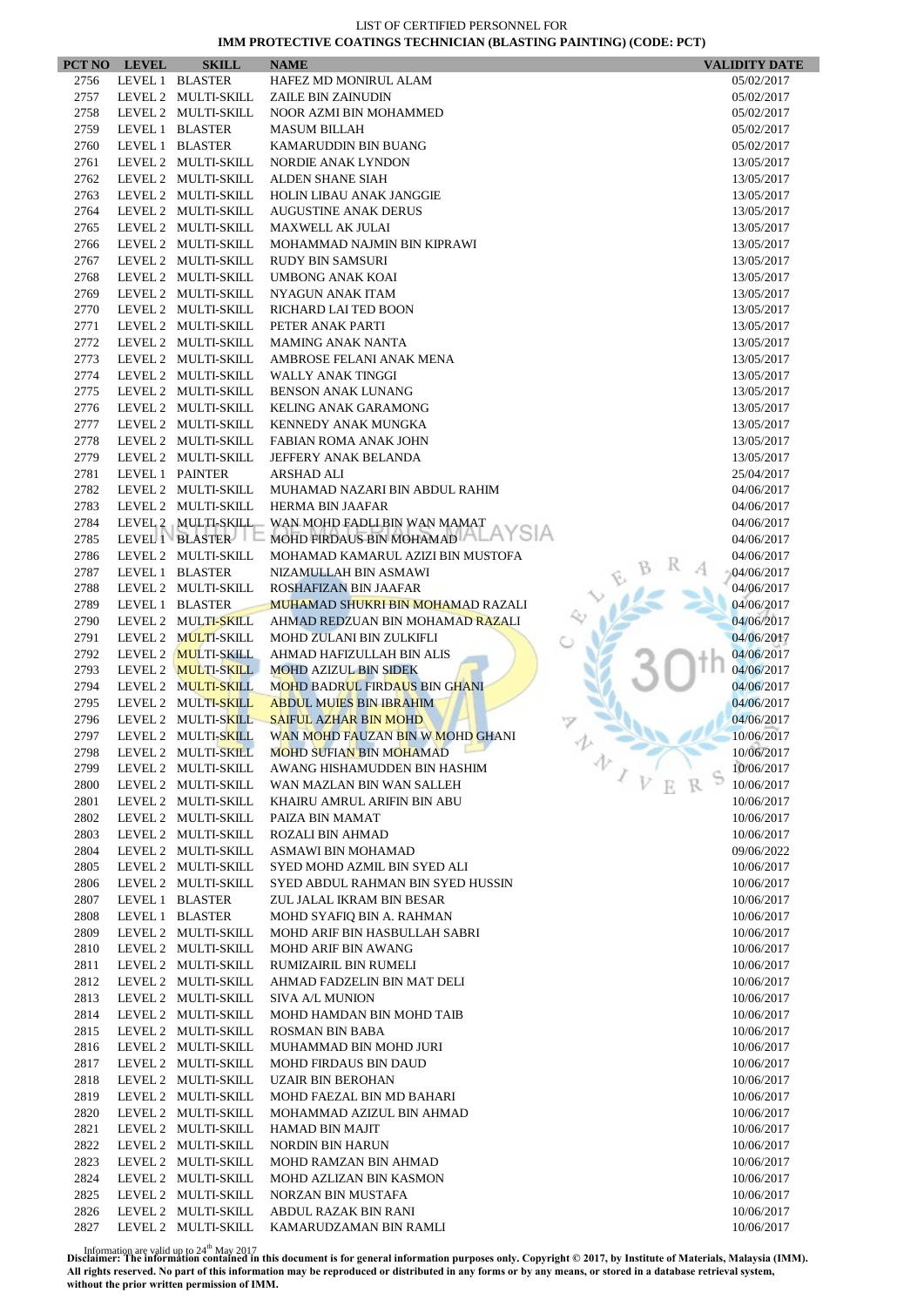|      | PCT NO LEVEL | <b>SKILL</b>        | <b>NAME</b>                              | <b>VALIDITY DATE</b>         |
|------|--------------|---------------------|------------------------------------------|------------------------------|
| 2756 |              | LEVEL 1 BLASTER     | HAFEZ MD MONIRUL ALAM                    | 05/02/2017                   |
| 2757 |              | LEVEL 2 MULTI-SKILL | ZAILE BIN ZAINUDIN                       | 05/02/2017                   |
| 2758 |              | LEVEL 2 MULTI-SKILL | NOOR AZMI BIN MOHAMMED                   | 05/02/2017                   |
| 2759 |              | LEVEL 1 BLASTER     | <b>MASUM BILLAH</b>                      | 05/02/2017                   |
| 2760 |              | LEVEL 1 BLASTER     | KAMARUDDIN BIN BUANG                     | 05/02/2017                   |
| 2761 |              | LEVEL 2 MULTI-SKILL | <b>NORDIE ANAK LYNDON</b>                | 13/05/2017                   |
| 2762 |              | LEVEL 2 MULTI-SKILL | ALDEN SHANE SIAH                         | 13/05/2017                   |
| 2763 |              | LEVEL 2 MULTI-SKILL | <b>HOLIN LIBAU ANAK JANGGIE</b>          | 13/05/2017                   |
| 2764 |              | LEVEL 2 MULTI-SKILL | <b>AUGUSTINE ANAK DERUS</b>              | 13/05/2017                   |
| 2765 |              | LEVEL 2 MULTI-SKILL | <b>MAXWELL AK JULAI</b>                  | 13/05/2017                   |
| 2766 |              | LEVEL 2 MULTI-SKILL | MOHAMMAD NAJMIN BIN KIPRAWI              | 13/05/2017                   |
| 2767 |              | LEVEL 2 MULTI-SKILL | <b>RUDY BIN SAMSURI</b>                  | 13/05/2017                   |
| 2768 |              | LEVEL 2 MULTI-SKILL | <b>UMBONG ANAK KOAI</b>                  | 13/05/2017                   |
| 2769 |              | LEVEL 2 MULTI-SKILL | NYAGUN ANAK ITAM                         | 13/05/2017                   |
| 2770 |              | LEVEL 2 MULTI-SKILL | RICHARD LAI TED BOON                     | 13/05/2017                   |
| 2771 |              | LEVEL 2 MULTI-SKILL | PETER ANAK PARTI                         | 13/05/2017                   |
| 2772 |              | LEVEL 2 MULTI-SKILL | <b>MAMING ANAK NANTA</b>                 | 13/05/2017                   |
| 2773 |              | LEVEL 2 MULTI-SKILL | AMBROSE FELANI ANAK MENA                 | 13/05/2017                   |
| 2774 |              | LEVEL 2 MULTI-SKILL | WALLY ANAK TINGGI                        | 13/05/2017                   |
| 2775 |              | LEVEL 2 MULTI-SKILL | <b>BENSON ANAK LUNANG</b>                | 13/05/2017                   |
| 2776 |              | LEVEL 2 MULTI-SKILL | <b>KELING ANAK GARAMONG</b>              | 13/05/2017                   |
| 2777 |              | LEVEL 2 MULTI-SKILL | KENNEDY ANAK MUNGKA                      | 13/05/2017                   |
| 2778 |              | LEVEL 2 MULTI-SKILL | <b>FABIAN ROMA ANAK JOHN</b>             | 13/05/2017                   |
| 2779 |              | LEVEL 2 MULTI-SKILL | JEFFERY ANAK BELANDA                     | 13/05/2017                   |
| 2781 |              | LEVEL 1 PAINTER     | <b>ARSHAD ALI</b>                        | 25/04/2017                   |
| 2782 |              | LEVEL 2 MULTI-SKILL | MUHAMAD NAZARI BIN ABDUL RAHIM           | 04/06/2017                   |
| 2783 |              | LEVEL 2 MULTI-SKILL | <b>HERMA BIN JAAFAR</b>                  | 04/06/2017                   |
| 2784 |              | LEVEL 2 MULTI-SKILL | WAN MOHD FADLI BIN WAN MAMAT             | 04/06/2017                   |
| 2785 |              | LEVEL 1 BLASTER     | MOHD FIRDAUS BIN MOHAMAD ALAYSIA         | 04/06/2017                   |
| 2786 |              | LEVEL 2 MULTI-SKILL | MOHAMAD KAMARUL AZIZI BIN MUSTOFA        | 04/06/2017                   |
| 2787 |              | LEVEL 1 BLASTER     | NIZAMULLAH BIN ASMAWI                    | 04/06/2017                   |
| 2788 |              | LEVEL 2 MULTI-SKILL | ROSHAFIZAN BIN JAAFAR                    | 04/06/2017                   |
| 2789 |              | LEVEL 1 BLASTER     | <b>MUHAMAD SHUKRI BIN MOHAMAD RAZALI</b> | 04/06/2017                   |
| 2790 |              | LEVEL 2 MULTI-SKILL | AHMAD REDZUAN BIN MOHAMAD RAZALI         | 04/06/2017                   |
| 2791 |              | LEVEL 2 MULTI-SKILL | MOHD ZULANI BIN ZULKIFLI                 | 04/06/2017                   |
| 2792 |              | LEVEL 2 MULTI-SKILL | AHMAD HAFIZULLAH BIN ALIS                | 04/06/2017                   |
| 2793 |              | LEVEL 2 MULTI-SKILL | <b>MOHD AZIZUL BIN SIDEK</b>             | 04/06/2017                   |
| 2794 |              | LEVEL 2 MULTI-SKILL | <b>MOHD BADRUL FIRDAUS BIN GHANI</b>     | 04/06/2017                   |
| 2795 |              | LEVEL 2 MULTI-SKILL | <b>ABDUL MUIES BIN IBRAHIM</b>           | 04/06/2017                   |
| 2796 |              | LEVEL 2 MULTI-SKILL | <b>SAIFUL AZHAR BIN MOHD</b>             | 04/06/2017                   |
| 2797 |              | LEVEL 2 MULTI-SKILL | WAN MOHD FAUZAN BIN W MOHD GHANI         | 10/06/2017                   |
| 2798 |              | LEVEL 2 MULTI-SKILL | <b>MOHD SUFIAN BIN MOHAMAD</b>           | 10/06/2017                   |
| 2799 |              | LEVEL 2 MULTI-SKILL | AWANG HISHAMUDDEN BIN HASHIM             | 办<br>10/06/2017              |
| 2800 |              | LEVEL 2 MULTI-SKILL | WAN MAZLAN BIN WAN SALLEH                | $\overline{V}$<br>10/06/2017 |
| 2801 |              | LEVEL 2 MULTI-SKILL | KHAIRU AMRUL ARIFIN BIN ABU              | 10/06/2017                   |
| 2802 |              | LEVEL 2 MULTI-SKILL | PAIZA BIN MAMAT                          | 10/06/2017                   |
| 2803 |              | LEVEL 2 MULTI-SKILL | ROZALI BIN AHMAD                         | 10/06/2017                   |
| 2804 |              | LEVEL 2 MULTI-SKILL | ASMAWI BIN MOHAMAD                       | 09/06/2022                   |
| 2805 |              | LEVEL 2 MULTI-SKILL | SYED MOHD AZMIL BIN SYED ALI             | 10/06/2017                   |
| 2806 |              | LEVEL 2 MULTI-SKILL | SYED ABDUL RAHMAN BIN SYED HUSSIN        | 10/06/2017                   |
| 2807 |              | LEVEL 1 BLASTER     | ZUL JALAL IKRAM BIN BESAR                | 10/06/2017                   |
| 2808 |              | LEVEL 1 BLASTER     | MOHD SYAFIQ BIN A. RAHMAN                | 10/06/2017                   |
| 2809 |              | LEVEL 2 MULTI-SKILL | MOHD ARIF BIN HASBULLAH SABRI            | 10/06/2017                   |
| 2810 |              | LEVEL 2 MULTI-SKILL | MOHD ARIF BIN AWANG                      | 10/06/2017                   |
| 2811 |              | LEVEL 2 MULTI-SKILL | RUMIZAIRIL BIN RUMELI                    | 10/06/2017                   |
| 2812 |              | LEVEL 2 MULTI-SKILL | AHMAD FADZELIN BIN MAT DELI              | 10/06/2017                   |
| 2813 |              | LEVEL 2 MULTI-SKILL | <b>SIVA A/L MUNION</b>                   | 10/06/2017                   |
| 2814 |              | LEVEL 2 MULTI-SKILL | MOHD HAMDAN BIN MOHD TAIB                | 10/06/2017                   |
| 2815 |              | LEVEL 2 MULTI-SKILL | ROSMAN BIN BABA                          | 10/06/2017                   |
| 2816 |              | LEVEL 2 MULTI-SKILL | MUHAMMAD BIN MOHD JURI                   | 10/06/2017                   |
| 2817 |              | LEVEL 2 MULTI-SKILL | <b>MOHD FIRDAUS BIN DAUD</b>             | 10/06/2017                   |
| 2818 |              | LEVEL 2 MULTI-SKILL | <b>UZAIR BIN BEROHAN</b>                 | 10/06/2017                   |
| 2819 |              | LEVEL 2 MULTI-SKILL | MOHD FAEZAL BIN MD BAHARI                | 10/06/2017                   |
| 2820 |              | LEVEL 2 MULTI-SKILL | MOHAMMAD AZIZUL BIN AHMAD                | 10/06/2017                   |
| 2821 |              | LEVEL 2 MULTI-SKILL | <b>HAMAD BIN MAJIT</b>                   | 10/06/2017                   |
| 2822 |              | LEVEL 2 MULTI-SKILL | <b>NORDIN BIN HARUN</b>                  |                              |
| 2823 |              | LEVEL 2 MULTI-SKILL | MOHD RAMZAN BIN AHMAD                    | 10/06/2017<br>10/06/2017     |
| 2824 |              | LEVEL 2 MULTI-SKILL | MOHD AZLIZAN BIN KASMON                  | 10/06/2017                   |
| 2825 |              | LEVEL 2 MULTI-SKILL | NORZAN BIN MUSTAFA                       | 10/06/2017                   |
| 2826 |              | LEVEL 2 MULTI-SKILL | ABDUL RAZAK BIN RANI                     | 10/06/2017                   |
| 2827 |              | LEVEL 2 MULTI-SKILL | KAMARUDZAMAN BIN RAMLI                   | 10/06/2017                   |
|      |              |                     |                                          |                              |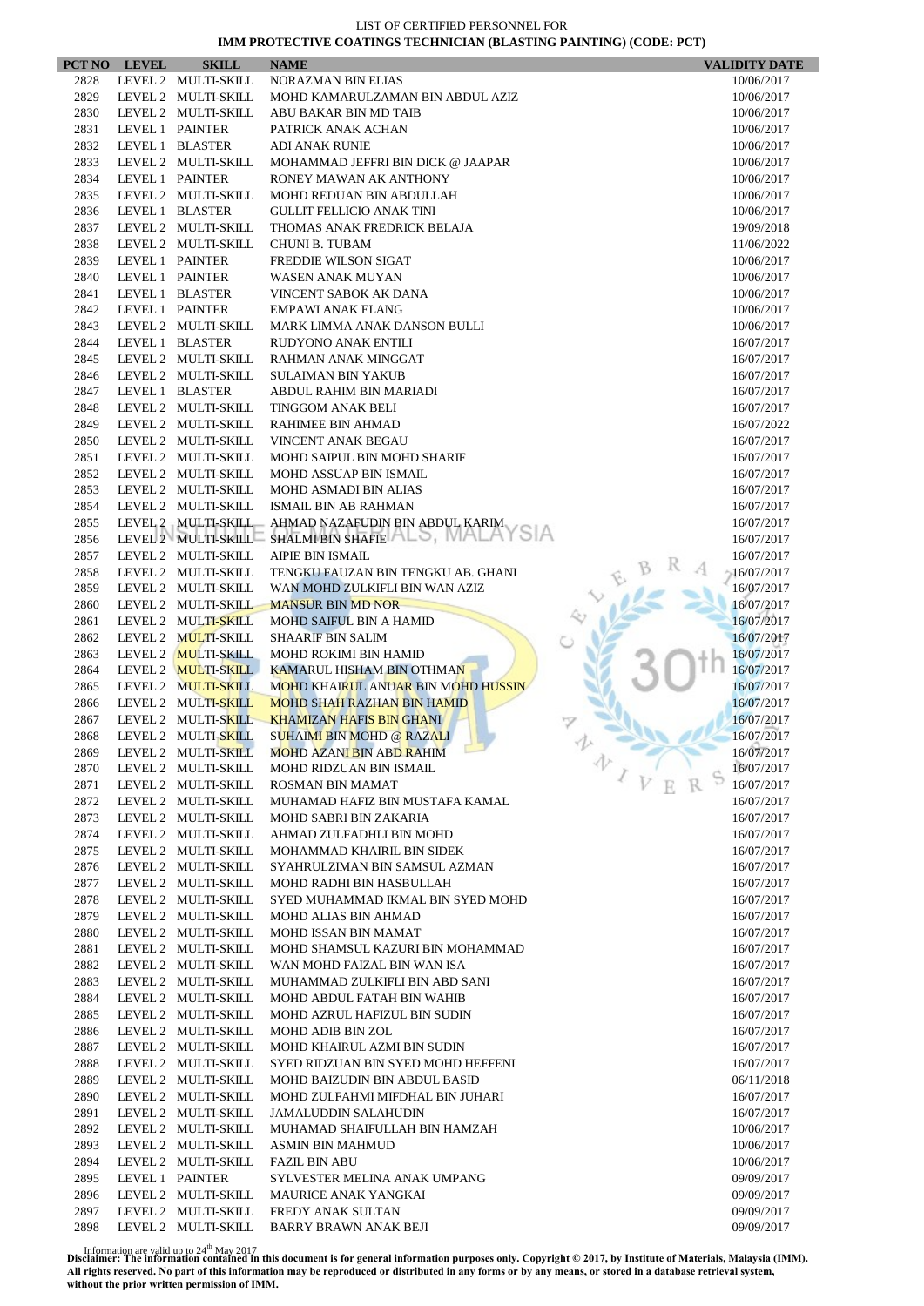|              | PCT NO LEVEL | <b>SKILL</b>                               | <b>NAME</b>                                                  | <b>VALIDITY DATE</b>     |
|--------------|--------------|--------------------------------------------|--------------------------------------------------------------|--------------------------|
| 2828         |              | LEVEL 2 MULTI-SKILL                        | <b>NORAZMAN BIN ELIAS</b>                                    | 10/06/2017               |
| 2829         |              | LEVEL 2 MULTI-SKILL                        | MOHD KAMARULZAMAN BIN ABDUL AZIZ                             | 10/06/2017               |
| 2830         |              | LEVEL 2 MULTI-SKILL                        | ABU BAKAR BIN MD TAIB                                        | 10/06/2017               |
| 2831         |              | LEVEL 1 PAINTER                            | PATRICK ANAK ACHAN                                           | 10/06/2017               |
| 2832         |              | LEVEL 1 BLASTER                            | <b>ADI ANAK RUNIE</b>                                        | 10/06/2017               |
| 2833         |              | LEVEL 2 MULTI-SKILL                        | MOHAMMAD JEFFRI BIN DICK @ JAAPAR                            | 10/06/2017               |
| 2834         |              | LEVEL 1 PAINTER                            | RONEY MAWAN AK ANTHONY                                       | 10/06/2017               |
| 2835         |              | LEVEL 2 MULTI-SKILL                        | MOHD REDUAN BIN ABDULLAH                                     | 10/06/2017               |
| 2836         |              | LEVEL 1 BLASTER                            | <b>GULLIT FELLICIO ANAK TINI</b>                             | 10/06/2017               |
| 2837         |              | LEVEL 2 MULTI-SKILL                        | THOMAS ANAK FREDRICK BELAJA                                  | 19/09/2018               |
| 2838         |              | LEVEL 2 MULTI-SKILL                        | <b>CHUNI B. TUBAM</b>                                        | 11/06/2022               |
| 2839         |              | LEVEL 1 PAINTER                            | FREDDIE WILSON SIGAT                                         | 10/06/2017               |
| 2840         |              | LEVEL 1 PAINTER                            | WASEN ANAK MUYAN                                             | 10/06/2017               |
| 2841         |              | LEVEL 1 BLASTER                            | VINCENT SABOK AK DANA                                        | 10/06/2017               |
| 2842         |              | LEVEL 1 PAINTER                            | <b>EMPAWI ANAK ELANG</b>                                     | 10/06/2017               |
| 2843         |              | LEVEL 2 MULTI-SKILL                        | MARK LIMMA ANAK DANSON BULLI                                 | 10/06/2017               |
| 2844         |              | LEVEL 1 BLASTER                            | RUDYONO ANAK ENTILI                                          | 16/07/2017               |
| 2845         |              | LEVEL 2 MULTI-SKILL                        | RAHMAN ANAK MINGGAT                                          | 16/07/2017               |
| 2846         |              | LEVEL 2 MULTI-SKILL                        | <b>SULAIMAN BIN YAKUB</b>                                    | 16/07/2017               |
| 2847         |              | LEVEL 1 BLASTER                            | ABDUL RAHIM BIN MARIADI                                      | 16/07/2017               |
| 2848         |              | LEVEL 2 MULTI-SKILL                        | <b>TINGGOM ANAK BELI</b>                                     | 16/07/2017               |
| 2849         |              | LEVEL 2 MULTI-SKILL                        | RAHIMEE BIN AHMAD                                            | 16/07/2022               |
| 2850         |              | LEVEL 2 MULTI-SKILL                        | VINCENT ANAK BEGAU                                           | 16/07/2017               |
| 2851         |              | LEVEL 2 MULTI-SKILL                        | MOHD SAIPUL BIN MOHD SHARIF                                  | 16/07/2017               |
| 2852         |              | LEVEL 2 MULTI-SKILL                        | MOHD ASSUAP BIN ISMAIL                                       | 16/07/2017               |
| 2853         |              | LEVEL 2 MULTI-SKILL                        | <b>MOHD ASMADI BIN ALIAS</b>                                 | 16/07/2017               |
| 2854<br>2855 |              | LEVEL 2 MULTI-SKILL<br>LEVEL 2 MULTI-SKILL | ISMAIL BIN AB RAHMAN                                         | 16/07/2017               |
| 2856         |              | LEVEL 2 MULTI-SKILL                        | AHMAD NAZAFUDIN BIN ABDUL KARIM<br>SHALMI BIN SHAFIE 3, WALA | 16/07/2017               |
| 2857         |              | LEVEL 2 MULTI-SKILL                        | <b>AIPIE BIN ISMAIL</b>                                      | 16/07/2017<br>16/07/2017 |
| 2858         |              | LEVEL 2 MULTI-SKILL                        | TENGKU FAUZAN BIN TENGKU AB. GHANI                           | 16/07/2017               |
| 2859         |              | LEVEL 2 MULTI-SKILL                        | WAN MOHD ZULKIFLI BIN WAN AZIZ                               | 16/07/2017               |
| 2860         |              | LEVEL 2 MULTI-SKILL                        | <b>MANSUR BIN MD NOR</b>                                     | 16/07/2017               |
| 2861         |              | LEVEL 2 MULTI-SKILL                        | MOHD SAIFUL BIN A HAMID                                      | 16/07/2017               |
| 2862         |              | LEVEL 2 MULTI-SKILL                        | <b>SHAARIF BIN SALIM</b>                                     | 16/07/2017               |
| 2863         |              | LEVEL 2 MULTI-SKILL                        | <b>MOHD ROKIMI BIN HAMID</b>                                 | 16/07/2017               |
| 2864         |              | LEVEL 2 MULTI-SKILL                        | <b>KAMARUL HISHAM BIN OTHMAN</b>                             | 16/07/2017               |
| 2865         |              | LEVEL 2 MULTI-SKILL                        | MOHD KHAIRUL ANUAR BIN MOHD HUSSIN                           | 16/07/2017               |
| 2866         |              | LEVEL 2 MULTI-SKILL                        | <b>MOHD SHAH RAZHAN BIN HAMID</b>                            | 16/07/2017               |
| 2867         |              | LEVEL 2 MULTI-SKILL                        | <b>KHAMIZAN HAFIS BIN GHANI</b>                              | 16/07/2017               |
| 2868         |              | LEVEL 2 MULTI-SKILL                        | <b>SUHAIMI BIN MOHD @ RAZALI</b>                             | 16/07/2017               |
| 2869         |              | LEVEL 2 MULTI-SKILL                        | <b>MOHD AZANI BIN ABD RAHIM</b>                              | 16/07/2017               |
| 2870         |              | LEVEL 2 MULTI-SKILL                        | MOHD RIDZUAN BIN ISMAIL                                      | 办<br>16/07/2017          |
| 2871         |              | LEVEL 2 MULTI-SKILL                        | ROSMAN BIN MAMAT                                             | $\sqrt{V}$<br>16/07/2017 |
| 2872         |              | LEVEL 2 MULTI-SKILL                        | MUHAMAD HAFIZ BIN MUSTAFA KAMAL                              | 16/07/2017               |
| 2873         |              | LEVEL 2 MULTI-SKILL                        | MOHD SABRI BIN ZAKARIA                                       | 16/07/2017               |
| 2874         |              | LEVEL 2 MULTI-SKILL                        | AHMAD ZULFADHLI BIN MOHD                                     | 16/07/2017               |
| 2875         |              | LEVEL 2 MULTI-SKILL                        | MOHAMMAD KHAIRIL BIN SIDEK                                   | 16/07/2017               |
| 2876         |              | LEVEL 2 MULTI-SKILL                        | SYAHRULZIMAN BIN SAMSUL AZMAN                                | 16/07/2017               |
| 2877         |              | LEVEL 2 MULTI-SKILL                        | MOHD RADHI BIN HASBULLAH                                     | 16/07/2017               |
| 2878         |              | LEVEL 2 MULTI-SKILL                        | SYED MUHAMMAD IKMAL BIN SYED MOHD                            | 16/07/2017               |
| 2879         |              | LEVEL 2 MULTI-SKILL                        | MOHD ALIAS BIN AHMAD                                         | 16/07/2017               |
| 2880         |              | LEVEL 2 MULTI-SKILL                        | MOHD ISSAN BIN MAMAT                                         | 16/07/2017               |
| 2881         |              | LEVEL 2 MULTI-SKILL                        | MOHD SHAMSUL KAZURI BIN MOHAMMAD                             | 16/07/2017               |
| 2882         |              | LEVEL 2 MULTI-SKILL                        | WAN MOHD FAIZAL BIN WAN ISA                                  | 16/07/2017               |
| 2883         |              | LEVEL 2 MULTI-SKILL                        | MUHAMMAD ZULKIFLI BIN ABD SANI                               | 16/07/2017               |
| 2884         |              | LEVEL 2 MULTI-SKILL                        | MOHD ABDUL FATAH BIN WAHIB                                   | 16/07/2017               |
| 2885         |              | LEVEL 2 MULTI-SKILL                        | MOHD AZRUL HAFIZUL BIN SUDIN                                 | 16/07/2017               |
| 2886         |              | LEVEL 2 MULTI-SKILL                        | MOHD ADIB BIN ZOL                                            | 16/07/2017               |
| 2887         |              | LEVEL 2 MULTI-SKILL                        | MOHD KHAIRUL AZMI BIN SUDIN                                  | 16/07/2017               |
| 2888         |              | LEVEL 2 MULTI-SKILL                        | SYED RIDZUAN BIN SYED MOHD HEFFENI                           | 16/07/2017               |
| 2889<br>2890 |              | LEVEL 2 MULTI-SKILL<br>LEVEL 2 MULTI-SKILL | MOHD BAIZUDIN BIN ABDUL BASID                                | 06/11/2018               |
| 2891         |              | LEVEL 2 MULTI-SKILL                        | MOHD ZULFAHMI MIFDHAL BIN JUHARI<br>JAMALUDDIN SALAHUDIN     | 16/07/2017<br>16/07/2017 |
| 2892         |              | LEVEL 2 MULTI-SKILL                        | MUHAMAD SHAIFULLAH BIN HAMZAH                                | 10/06/2017               |
| 2893         |              | LEVEL 2 MULTI-SKILL                        | <b>ASMIN BIN MAHMUD</b>                                      | 10/06/2017               |
| 2894         |              | LEVEL 2 MULTI-SKILL                        | <b>FAZIL BIN ABU</b>                                         | 10/06/2017               |
| 2895         |              | LEVEL 1 PAINTER                            | SYLVESTER MELINA ANAK UMPANG                                 | 09/09/2017               |
| 2896         |              | LEVEL 2 MULTI-SKILL                        | <b>MAURICE ANAK YANGKAI</b>                                  | 09/09/2017               |
| 2897         |              | LEVEL 2 MULTI-SKILL                        | FREDY ANAK SULTAN                                            | 09/09/2017               |
| 2898         |              | LEVEL 2 MULTI-SKILL                        | <b>BARRY BRAWN ANAK BEJI</b>                                 | 09/09/2017               |
|              |              |                                            |                                                              |                          |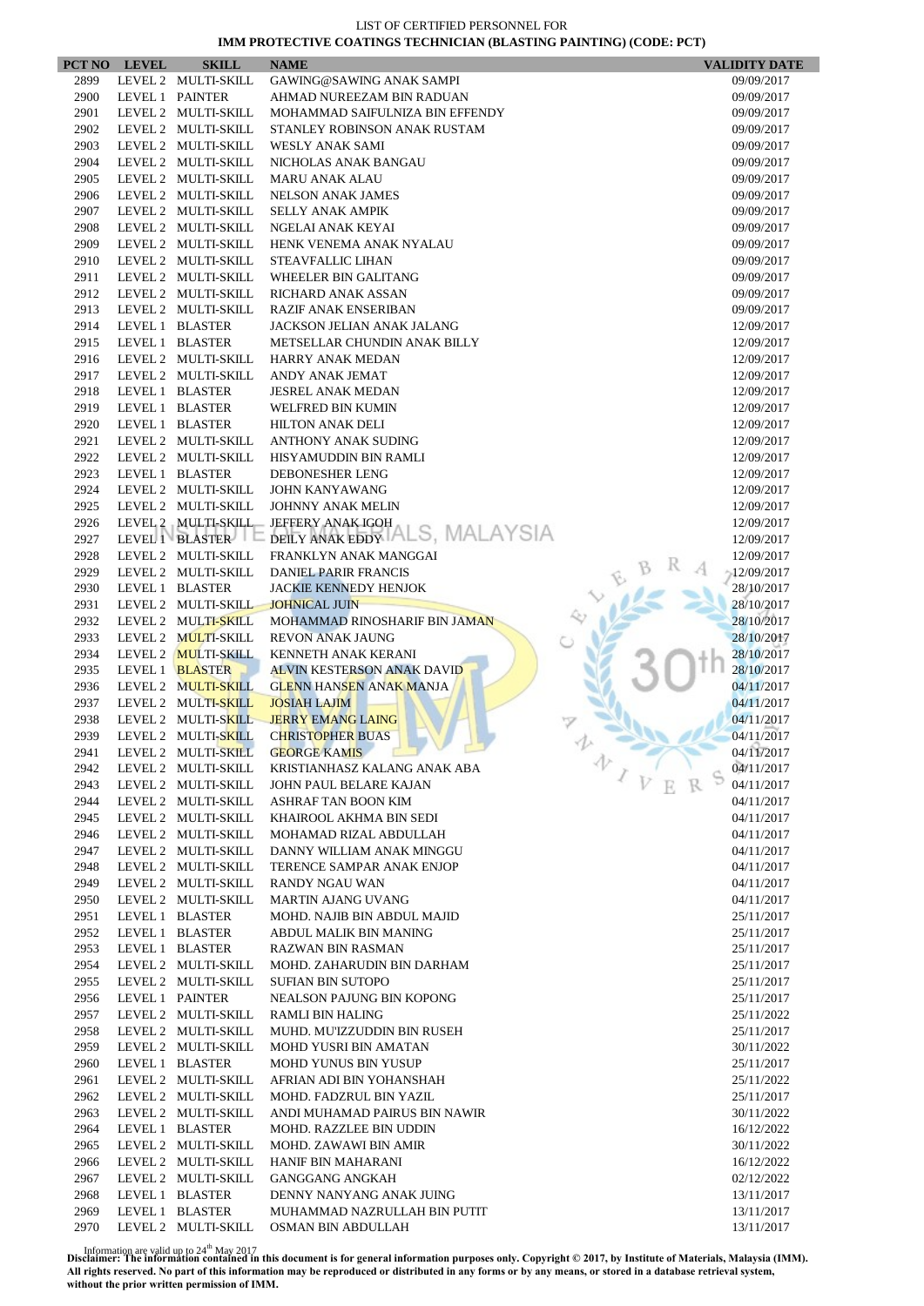|      | PCT NO LEVEL | <b>SKILL</b>        | <b>NAME</b>                                   | <b>VALIDITY DATE</b>     |
|------|--------------|---------------------|-----------------------------------------------|--------------------------|
| 2899 |              | LEVEL 2 MULTI-SKILL | GAWING@SAWING ANAK SAMPI                      | 09/09/2017               |
| 2900 |              | LEVEL 1 PAINTER     | AHMAD NUREEZAM BIN RADUAN                     | 09/09/2017               |
| 2901 |              | LEVEL 2 MULTI-SKILL | MOHAMMAD SAIFULNIZA BIN EFFENDY               | 09/09/2017               |
| 2902 |              | LEVEL 2 MULTI-SKILL | STANLEY ROBINSON ANAK RUSTAM                  | 09/09/2017               |
| 2903 |              | LEVEL 2 MULTI-SKILL | WESLY ANAK SAMI                               | 09/09/2017               |
| 2904 |              | LEVEL 2 MULTI-SKILL | NICHOLAS ANAK BANGAU                          | 09/09/2017               |
| 2905 |              | LEVEL 2 MULTI-SKILL | <b>MARU ANAK ALAU</b>                         | 09/09/2017               |
| 2906 |              | LEVEL 2 MULTI-SKILL | <b>NELSON ANAK JAMES</b>                      | 09/09/2017               |
| 2907 |              | LEVEL 2 MULTI-SKILL | <b>SELLY ANAK AMPIK</b>                       | 09/09/2017               |
| 2908 |              | LEVEL 2 MULTI-SKILL | NGELAI ANAK KEYAI                             | 09/09/2017               |
| 2909 |              | LEVEL 2 MULTI-SKILL | HENK VENEMA ANAK NYALAU                       | 09/09/2017               |
| 2910 |              | LEVEL 2 MULTI-SKILL | <b>STEAVFALLIC LIHAN</b>                      | 09/09/2017               |
| 2911 |              | LEVEL 2 MULTI-SKILL | WHEELER BIN GALITANG                          | 09/09/2017               |
| 2912 |              | LEVEL 2 MULTI-SKILL | RICHARD ANAK ASSAN                            | 09/09/2017               |
| 2913 |              | LEVEL 2 MULTI-SKILL | <b>RAZIF ANAK ENSERIBAN</b>                   | 09/09/2017               |
| 2914 |              | LEVEL 1 BLASTER     | JACKSON JELIAN ANAK JALANG                    | 12/09/2017               |
| 2915 |              | LEVEL 1 BLASTER     | METSELLAR CHUNDIN ANAK BILLY                  | 12/09/2017               |
| 2916 |              | LEVEL 2 MULTI-SKILL | HARRY ANAK MEDAN                              | 12/09/2017               |
| 2917 |              | LEVEL 2 MULTI-SKILL | ANDY ANAK JEMAT                               | 12/09/2017               |
| 2918 |              | LEVEL 1 BLASTER     | <b>JESREL ANAK MEDAN</b>                      | 12/09/2017               |
| 2919 |              | LEVEL 1 BLASTER     | WELFRED BIN KUMIN                             | 12/09/2017               |
| 2920 |              | LEVEL 1 BLASTER     | <b>HILTON ANAK DELI</b>                       | 12/09/2017               |
| 2921 |              | LEVEL 2 MULTI-SKILL | ANTHONY ANAK SUDING                           | 12/09/2017               |
| 2922 |              | LEVEL 2 MULTI-SKILL | HISYAMUDDIN BIN RAMLI                         | 12/09/2017               |
| 2923 |              | LEVEL 1 BLASTER     | DEBONESHER LENG                               | 12/09/2017               |
| 2924 |              | LEVEL 2 MULTI-SKILL | <b>JOHN KANYAWANG</b>                         | 12/09/2017               |
| 2925 |              | LEVEL 2 MULTI-SKILL | <b>JOHNNY ANAK MELIN</b>                      | 12/09/2017               |
| 2926 |              | LEVEL 2 MULTI-SKILL | JEFFERY ANAK IGOH                             | 12/09/2017               |
| 2927 |              | LEVEL 1 BLASTER E   | DEILY ANAK EDDY TALS, MALAYSIA                | 12/09/2017               |
| 2928 |              | LEVEL 2 MULTI-SKILL | FRANKLYN ANAK MANGGAI                         | 12/09/2017               |
| 2929 |              | LEVEL 2 MULTI-SKILL | <b>DANIEL PARIR FRANCIS</b>                   | $-12/09/2017$            |
| 2930 |              | LEVEL 1 BLASTER     | <b>JACKIE KENNEDY HENJOK</b>                  | 28/10/2017               |
| 2931 |              | LEVEL 2 MULTI-SKILL | <b>JOHNICAL JUIN</b>                          | 28/10/2017               |
| 2932 |              | LEVEL 2 MULTI-SKILL | MOHAMMAD RINOSHARIF BIN JAMAN                 | 28/10/2017               |
| 2933 |              | LEVEL 2 MULTI-SKILL | <b>REVON ANAK JAUNG</b>                       | 28/10/2017               |
| 2934 |              | LEVEL 2 MULTI-SKILL | KENNETH ANAK KERANI                           | 28/10/2017               |
| 2935 |              | LEVEL 1 BLASTER     | ALVIN KESTERSON ANAK DAVID                    | 28/10/2017               |
| 2936 |              | LEVEL 2 MULTI-SKILL | <b>GLENN HANSEN ANAK MANJA</b>                | 04/11/2017               |
| 2937 |              | LEVEL 2 MULTI-SKILL | <b>JOSIAH LAJIM</b>                           | 04/11/2017               |
| 2938 |              | LEVEL 2 MULTI-SKILL | <b>JERRY EMANG LAING</b>                      | 04/11/2017               |
| 2939 |              | LEVEL 2 MULTI-SKILL | <b>CHRISTOPHER BUAS</b>                       | 04/11/2017               |
| 2941 |              | LEVEL 2 MULTI-SKILL | <b>GEORGE KAMIS</b>                           | 04/11/2017               |
| 2942 |              | LEVEL 2 MULTI-SKILL | KRISTIANHASZ KALANG ANAK ABA                  | 办<br>04/11/2017          |
| 2943 |              | LEVEL 2 MULTI-SKILL | JOHN PAUL BELARE KAJAN                        | 04/11/2017               |
| 2944 |              | LEVEL 2 MULTI-SKILL | ASHRAF TAN BOON KIM                           | 04/11/2017               |
| 2945 |              | LEVEL 2 MULTI-SKILL | KHAIROOL AKHMA BIN SEDI                       | 04/11/2017               |
| 2946 |              | LEVEL 2 MULTI-SKILL | MOHAMAD RIZAL ABDULLAH                        | 04/11/2017               |
| 2947 |              | LEVEL 2 MULTI-SKILL | DANNY WILLIAM ANAK MINGGU                     | 04/11/2017               |
| 2948 |              | LEVEL 2 MULTI-SKILL | TERENCE SAMPAR ANAK ENJOP                     | 04/11/2017               |
| 2949 |              | LEVEL 2 MULTI-SKILL | RANDY NGAU WAN                                | 04/11/2017               |
| 2950 |              | LEVEL 2 MULTI-SKILL | MARTIN AJANG UVANG                            | 04/11/2017               |
| 2951 |              | LEVEL 1 BLASTER     | MOHD. NAJIB BIN ABDUL MAJID                   | 25/11/2017               |
| 2952 |              | LEVEL 1 BLASTER     | ABDUL MALIK BIN MANING                        | 25/11/2017               |
| 2953 |              | LEVEL 1 BLASTER     | <b>RAZWAN BIN RASMAN</b>                      | 25/11/2017               |
| 2954 |              | LEVEL 2 MULTI-SKILL | MOHD. ZAHARUDIN BIN DARHAM                    | 25/11/2017               |
| 2955 |              | LEVEL 2 MULTI-SKILL | <b>SUFIAN BIN SUTOPO</b>                      | 25/11/2017               |
| 2956 |              | LEVEL 1 PAINTER     | NEALSON PAJUNG BIN KOPONG                     | 25/11/2017               |
| 2957 |              | LEVEL 2 MULTI-SKILL | RAMLI BIN HALING                              | 25/11/2022               |
| 2958 |              | LEVEL 2 MULTI-SKILL | MUHD. MU'IZZUDDIN BIN RUSEH                   | 25/11/2017               |
| 2959 |              | LEVEL 2 MULTI-SKILL |                                               |                          |
| 2960 |              | LEVEL 1 BLASTER     | MOHD YUSRI BIN AMATAN<br>MOHD YUNUS BIN YUSUP | 30/11/2022<br>25/11/2017 |
| 2961 |              | LEVEL 2 MULTI-SKILL | AFRIAN ADI BIN YOHANSHAH                      |                          |
|      |              | LEVEL 2 MULTI-SKILL |                                               | 25/11/2022               |
| 2962 |              |                     | MOHD. FADZRUL BIN YAZIL                       | 25/11/2017               |
| 2963 |              | LEVEL 2 MULTI-SKILL | ANDI MUHAMAD PAIRUS BIN NAWIR                 | 30/11/2022               |
| 2964 |              | LEVEL 1 BLASTER     | <b>MOHD. RAZZLEE BIN UDDIN</b>                | 16/12/2022               |
| 2965 |              | LEVEL 2 MULTI-SKILL | <b>MOHD. ZAWAWI BIN AMIR</b>                  | 30/11/2022               |
| 2966 |              | LEVEL 2 MULTI-SKILL | HANIF BIN MAHARANI                            | 16/12/2022               |
| 2967 |              | LEVEL 2 MULTI-SKILL | GANGGANG ANGKAH                               | 02/12/2022               |
| 2968 |              | LEVEL 1 BLASTER     | DENNY NANYANG ANAK JUING                      | 13/11/2017               |
| 2969 |              | LEVEL 1 BLASTER     | MUHAMMAD NAZRULLAH BIN PUTIT                  | 13/11/2017               |
| 2970 |              | LEVEL 2 MULTI-SKILL | OSMAN BIN ABDULLAH                            | 13/11/2017               |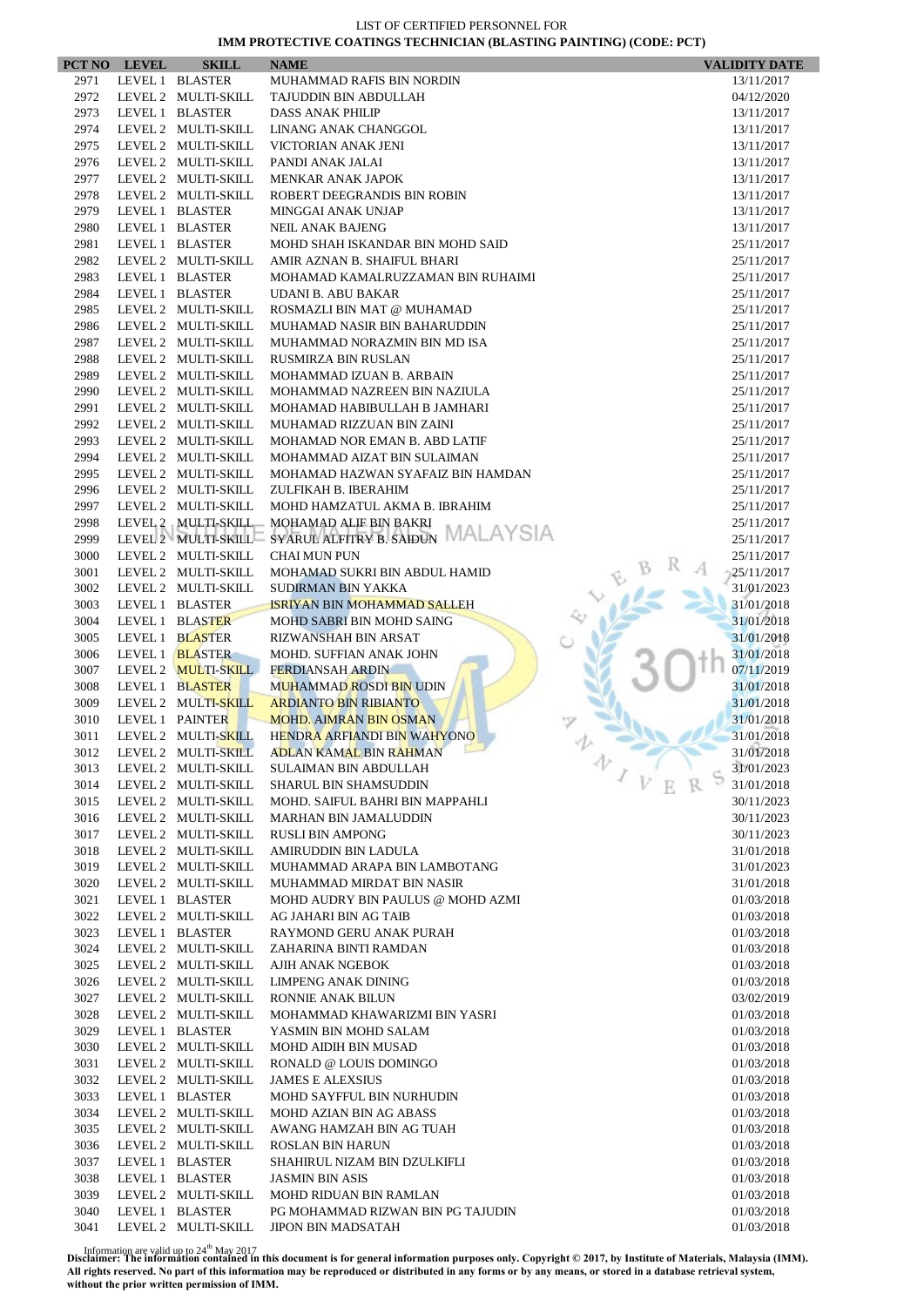|              | PCT NO LEVEL    | <b>SKILL</b>                               | <b>NAME</b>                                                | <b>VALIDITY DATE</b>     |
|--------------|-----------------|--------------------------------------------|------------------------------------------------------------|--------------------------|
| 2971         |                 | LEVEL 1 BLASTER                            | MUHAMMAD RAFIS BIN NORDIN                                  | 13/11/2017               |
| 2972         |                 | LEVEL 2 MULTI-SKILL                        | TAJUDDIN BIN ABDULLAH                                      | 04/12/2020               |
| 2973         |                 | LEVEL 1 BLASTER                            | <b>DASS ANAK PHILIP</b>                                    | 13/11/2017               |
| 2974         |                 | LEVEL 2 MULTI-SKILL                        | LINANG ANAK CHANGGOL                                       | 13/11/2017               |
| 2975         |                 | LEVEL 2 MULTI-SKILL                        | VICTORIAN ANAK JENI                                        | 13/11/2017               |
| 2976         |                 | LEVEL 2 MULTI-SKILL                        | PANDI ANAK JALAI                                           | 13/11/2017               |
| 2977         |                 | LEVEL 2 MULTI-SKILL                        | MENKAR ANAK JAPOK                                          | 13/11/2017               |
| 2978         |                 | LEVEL 2 MULTI-SKILL                        | ROBERT DEEGRANDIS BIN ROBIN                                | 13/11/2017               |
| 2979         |                 | LEVEL 1 BLASTER                            | MINGGAI ANAK UNJAP                                         | 13/11/2017               |
| 2980         |                 | LEVEL 1 BLASTER                            | <b>NEIL ANAK BAJENG</b>                                    | 13/11/2017               |
| 2981         |                 | LEVEL 1 BLASTER                            | MOHD SHAH ISKANDAR BIN MOHD SAID                           | 25/11/2017               |
| 2982         |                 | LEVEL 2 MULTI-SKILL                        | AMIR AZNAN B. SHAIFUL BHARI                                | 25/11/2017               |
| 2983         |                 | LEVEL 1 BLASTER                            | MOHAMAD KAMALRUZZAMAN BIN RUHAIMI                          | 25/11/2017               |
| 2984         |                 | LEVEL 1 BLASTER                            | UDANI B. ABU BAKAR                                         | 25/11/2017               |
| 2985         |                 | LEVEL 2 MULTI-SKILL                        | ROSMAZLI BIN MAT @ MUHAMAD                                 | 25/11/2017               |
| 2986         |                 | LEVEL 2 MULTI-SKILL                        | MUHAMAD NASIR BIN BAHARUDDIN                               | 25/11/2017               |
| 2987         |                 | LEVEL 2 MULTI-SKILL                        | MUHAMMAD NORAZMIN BIN MD ISA                               | 25/11/2017               |
| 2988         |                 | LEVEL 2 MULTI-SKILL                        | <b>RUSMIRZA BIN RUSLAN</b>                                 | 25/11/2017               |
| 2989         |                 | LEVEL 2 MULTI-SKILL                        | MOHAMMAD IZUAN B. ARBAIN                                   | 25/11/2017               |
| 2990         |                 | LEVEL 2 MULTI-SKILL                        | MOHAMMAD NAZREEN BIN NAZIULA                               | 25/11/2017               |
| 2991         |                 | LEVEL 2 MULTI-SKILL                        | MOHAMAD HABIBULLAH B JAMHARI                               | 25/11/2017               |
| 2992         |                 | LEVEL 2 MULTI-SKILL                        | MUHAMAD RIZZUAN BIN ZAINI                                  | 25/11/2017               |
| 2993         |                 | LEVEL 2 MULTI-SKILL                        | MOHAMAD NOR EMAN B. ABD LATIF                              | 25/11/2017               |
| 2994         |                 | LEVEL 2 MULTI-SKILL                        | MOHAMMAD AIZAT BIN SULAIMAN                                | 25/11/2017               |
| 2995         |                 | LEVEL 2 MULTI-SKILL                        | MOHAMAD HAZWAN SYAFAIZ BIN HAMDAN                          | 25/11/2017               |
| 2996         |                 | LEVEL 2 MULTI-SKILL                        | ZULFIKAH B. IBERAHIM                                       | 25/11/2017               |
| 2997         |                 | LEVEL 2 MULTI-SKILL                        | MOHD HAMZATUL AKMA B. IBRAHIM                              | 25/11/2017               |
| 2998         |                 | LEVEL 2 MULTI-SKILL                        | MOHAMAD ALIF BIN BAKRI<br>SYARULALFITRY B. SAIDUN MALAYSIA | 25/11/2017               |
| 2999         |                 | LEVEL 2 MULTI-SKILL                        |                                                            | 25/11/2017               |
| 3000         |                 | LEVEL 2 MULTI-SKILL                        | <b>CHAI MUN PUN</b>                                        | 25/11/2017               |
| 3001<br>3002 |                 | LEVEL 2 MULTI-SKILL<br>LEVEL 2 MULTI-SKILL | MOHAMAD SUKRI BIN ABDUL HAMID<br>SUDIRMAN BIN YAKKA        | 25/11/2017<br>31/01/2023 |
| 3003         |                 | LEVEL 1 BLASTER                            | <b>ISRIYAN BIN MOHAMMAD SALLEH</b>                         | 31/01/2018               |
| 3004         |                 | LEVEL 1 BLASTER                            | MOHD SABRI BIN MOHD SAING                                  | 31/01/2018               |
| 3005         |                 | LEVEL 1 BLASTER                            | RIZWANSHAH BIN ARSAT                                       | 31/01/2018               |
| 3006         |                 | LEVEL 1 BLASTER                            | MOHD. SUFFIAN ANAK JOHN                                    | 31/01/2018               |
| 3007         |                 | LEVEL 2 MULTI-SKILL                        | <b>FERDIANSAH ARDIN</b>                                    | 07/11/2019               |
| 3008         |                 | LEVEL 1 BLASTER                            | <b>MUHAMMAD ROSDI BIN UDIN</b>                             | 31/01/2018               |
| 3009         |                 | LEVEL 2 MULTI-SKILL                        | <b>ARDIANTO BIN RIBIANTO</b>                               | 31/01/2018               |
| 3010         | LEVEL 1 PAINTER |                                            | <b>MOHD. AIMRAN BIN OSMAN</b>                              | 31/01/2018               |
| 3011         |                 | LEVEL 2 MULTI-SKILL                        | HENDRA ARFIANDI BIN WAHYONO                                | 31/01/2018               |
| 3012         |                 | LEVEL 2 MULTI-SKILL                        | <b>ADLAN KAMAL BIN RAHMAN</b>                              | 31/01/2018               |
| 3013         |                 | LEVEL 2 MULTI-SKILL                        | v<br>SULAIMAN BIN ABDULLAH                                 | 31/01/2023               |
| 3014         |                 | LEVEL 2 MULTI-SKILL                        | <b>SHARUL BIN SHAMSUDDIN</b>                               | 31/01/2018               |
| 3015         |                 | LEVEL 2 MULTI-SKILL                        | MOHD. SAIFUL BAHRI BIN MAPPAHLI                            | 30/11/2023               |
| 3016         |                 | LEVEL 2 MULTI-SKILL                        | <b>MARHAN BIN JAMALUDDIN</b>                               | 30/11/2023               |
| 3017         |                 | LEVEL 2 MULTI-SKILL                        | <b>RUSLI BIN AMPONG</b>                                    | 30/11/2023               |
| 3018         |                 | LEVEL 2 MULTI-SKILL                        | AMIRUDDIN BIN LADULA                                       | 31/01/2018               |
| 3019         |                 | LEVEL 2 MULTI-SKILL                        | MUHAMMAD ARAPA BIN LAMBOTANG                               | 31/01/2023               |
| 3020         |                 | LEVEL 2 MULTI-SKILL                        | MUHAMMAD MIRDAT BIN NASIR                                  | 31/01/2018               |
| 3021         |                 | LEVEL 1 BLASTER                            | MOHD AUDRY BIN PAULUS @ MOHD AZMI                          | 01/03/2018               |
| 3022         |                 | LEVEL 2 MULTI-SKILL                        | AG JAHARI BIN AG TAIB                                      | 01/03/2018               |
| 3023         |                 | LEVEL 1 BLASTER                            | RAYMOND GERU ANAK PURAH                                    | 01/03/2018               |
| 3024         |                 | LEVEL 2 MULTI-SKILL                        | ZAHARINA BINTI RAMDAN                                      | 01/03/2018               |
| 3025         |                 | LEVEL 2 MULTI-SKILL                        | AJIH ANAK NGEBOK                                           | 01/03/2018               |
| 3026         |                 | LEVEL 2 MULTI-SKILL                        | LIMPENG ANAK DINING                                        | 01/03/2018               |
| 3027         |                 | LEVEL 2 MULTI-SKILL                        | RONNIE ANAK BILUN                                          | 03/02/2019               |
| 3028         |                 | LEVEL 2 MULTI-SKILL                        | MOHAMMAD KHAWARIZMI BIN YASRI                              | 01/03/2018               |
| 3029         |                 | LEVEL 1 BLASTER                            | YASMIN BIN MOHD SALAM                                      | 01/03/2018               |
| 3030         |                 | LEVEL 2 MULTI-SKILL                        | MOHD AIDIH BIN MUSAD                                       | 01/03/2018               |
| 3031         |                 | LEVEL 2 MULTI-SKILL                        | RONALD @ LOUIS DOMINGO                                     | 01/03/2018               |
| 3032         |                 | LEVEL 2 MULTI-SKILL                        | <b>JAMES E ALEXSIUS</b>                                    | 01/03/2018               |
| 3033         |                 | LEVEL 1 BLASTER                            | MOHD SAYFFUL BIN NURHUDIN                                  | 01/03/2018               |
| 3034         |                 | LEVEL 2 MULTI-SKILL                        | MOHD AZIAN BIN AG ABASS                                    | 01/03/2018               |
| 3035         |                 | LEVEL 2 MULTI-SKILL                        | AWANG HAMZAH BIN AG TUAH                                   | 01/03/2018               |
| 3036         |                 | LEVEL 2 MULTI-SKILL                        | <b>ROSLAN BIN HARUN</b>                                    | 01/03/2018               |
| 3037<br>3038 |                 | LEVEL 1 BLASTER                            | SHAHIRUL NIZAM BIN DZULKIFLI                               | 01/03/2018               |
| 3039         |                 | LEVEL 1 BLASTER<br>LEVEL 2 MULTI-SKILL     | <b>JASMIN BIN ASIS</b><br><b>MOHD RIDUAN BIN RAMLAN</b>    | 01/03/2018<br>01/03/2018 |
| 3040         |                 | LEVEL 1 BLASTER                            | PG MOHAMMAD RIZWAN BIN PG TAJUDIN                          | 01/03/2018               |
| 3041         |                 | LEVEL 2 MULTI-SKILL                        | JIPON BIN MADSATAH                                         | 01/03/2018               |
|              |                 |                                            |                                                            |                          |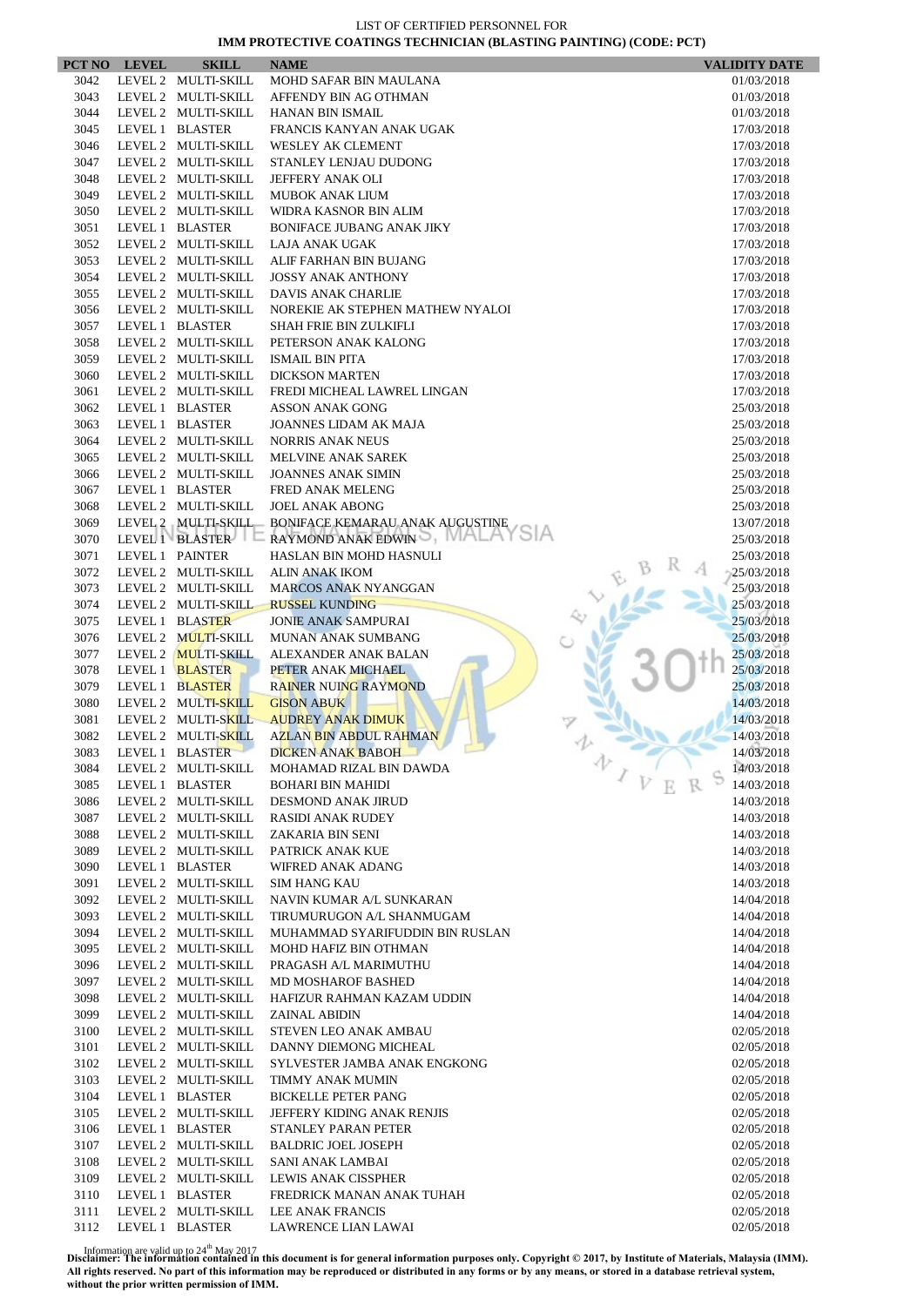|      | PCT NO LEVEL    | <b>SKILL</b>        | <b>NAME</b>                                              | <b>VALIDITY DATE</b> |
|------|-----------------|---------------------|----------------------------------------------------------|----------------------|
| 3042 |                 | LEVEL 2 MULTI-SKILL | MOHD SAFAR BIN MAULANA                                   | 01/03/2018           |
| 3043 |                 | LEVEL 2 MULTI-SKILL | AFFENDY BIN AG OTHMAN                                    | 01/03/2018           |
| 3044 |                 | LEVEL 2 MULTI-SKILL | <b>HANAN BIN ISMAIL</b>                                  | 01/03/2018           |
| 3045 |                 | LEVEL 1 BLASTER     | FRANCIS KANYAN ANAK UGAK                                 | 17/03/2018           |
| 3046 |                 | LEVEL 2 MULTI-SKILL | <b>WESLEY AK CLEMENT</b>                                 | 17/03/2018           |
| 3047 |                 | LEVEL 2 MULTI-SKILL | STANLEY LENJAU DUDONG                                    | 17/03/2018           |
| 3048 |                 | LEVEL 2 MULTI-SKILL | JEFFERY ANAK OLI                                         | 17/03/2018           |
| 3049 |                 | LEVEL 2 MULTI-SKILL | <b>MUBOK ANAK LIUM</b>                                   | 17/03/2018           |
| 3050 |                 | LEVEL 2 MULTI-SKILL | WIDRA KASNOR BIN ALIM                                    | 17/03/2018           |
| 3051 |                 | LEVEL 1 BLASTER     | <b>BONIFACE JUBANG ANAK JIKY</b>                         | 17/03/2018           |
| 3052 |                 | LEVEL 2 MULTI-SKILL | LAJA ANAK UGAK                                           | 17/03/2018           |
| 3053 |                 | LEVEL 2 MULTI-SKILL | ALIF FARHAN BIN BUJANG                                   | 17/03/2018           |
| 3054 |                 | LEVEL 2 MULTI-SKILL | <b>JOSSY ANAK ANTHONY</b>                                | 17/03/2018           |
| 3055 |                 | LEVEL 2 MULTI-SKILL | DAVIS ANAK CHARLIE                                       | 17/03/2018           |
| 3056 |                 | LEVEL 2 MULTI-SKILL | NOREKIE AK STEPHEN MATHEW NYALOI                         | 17/03/2018           |
| 3057 |                 | LEVEL 1 BLASTER     | <b>SHAH FRIE BIN ZULKIFLI</b>                            | 17/03/2018           |
| 3058 |                 | LEVEL 2 MULTI-SKILL | PETERSON ANAK KALONG                                     | 17/03/2018           |
| 3059 |                 | LEVEL 2 MULTI-SKILL | <b>ISMAIL BIN PITA</b>                                   | 17/03/2018           |
| 3060 |                 | LEVEL 2 MULTI-SKILL | <b>DICKSON MARTEN</b>                                    | 17/03/2018           |
| 3061 |                 | LEVEL 2 MULTI-SKILL | FREDI MICHEAL LAWREL LINGAN                              | 17/03/2018           |
| 3062 |                 | LEVEL 1 BLASTER     | <b>ASSON ANAK GONG</b>                                   | 25/03/2018           |
| 3063 |                 | LEVEL 1 BLASTER     | JOANNES LIDAM AK MAJA                                    | 25/03/2018           |
| 3064 |                 | LEVEL 2 MULTI-SKILL | <b>NORRIS ANAK NEUS</b>                                  | 25/03/2018           |
| 3065 |                 | LEVEL 2 MULTI-SKILL | <b>MELVINE ANAK SAREK</b>                                | 25/03/2018           |
| 3066 |                 | LEVEL 2 MULTI-SKILL | <b>JOANNES ANAK SIMIN</b>                                | 25/03/2018           |
| 3067 |                 | LEVEL 1 BLASTER     | FRED ANAK MELENG                                         | 25/03/2018           |
| 3068 |                 | LEVEL 2 MULTI-SKILL | <b>JOEL ANAK ABONG</b>                                   | 25/03/2018           |
| 3069 |                 | LEVEL 2 MULTI-SKILL | BONIFACE KEMARAU ANAK AUGUSTINE                          | 13/07/2018           |
| 3070 |                 | LEVEL 1 BLASTER     | RAYMOND ANAK EDWIN                                       | 25/03/2018           |
| 3071 | LEVEL 1 PAINTER |                     | HASLAN BIN MOHD HASNULI                                  | 25/03/2018           |
| 3072 |                 | LEVEL 2 MULTI-SKILL | <b>ALIN ANAK IKOM</b>                                    | 25/03/2018           |
| 3073 |                 | LEVEL 2 MULTI-SKILL | <b>MARCOS ANAK NYANGGAN</b>                              | 25/03/2018           |
| 3074 |                 | LEVEL 2 MULTI-SKILL | <b>RUSSEL KUNDING</b>                                    | 25/03/2018           |
| 3075 |                 | LEVEL 1 BLASTER     | <b>JONIE ANAK SAMPURAI</b>                               | 25/03/2018           |
| 3076 |                 | LEVEL 2 MULTI-SKILL | <b>MUNAN ANAK SUMBANG</b>                                | 25/03/2018           |
| 3077 |                 | LEVEL 2 MULTI-SKILL | ALEXANDER ANAK BALAN                                     | 25/03/2018           |
| 3078 |                 | LEVEL 1 BLASTER     | PETER ANAK MICHAEL                                       | 25/03/2018           |
| 3079 |                 | LEVEL 1 BLASTER     | <b>RAINER NUING RAYMOND</b>                              | 25/03/2018           |
| 3080 |                 | LEVEL 2 MULTI-SKILL | <b>GISON ABUK</b>                                        | 14/03/2018           |
| 3081 |                 | LEVEL 2 MULTI-SKILL | <b>AUDREY ANAK DIMUK</b>                                 | 14/03/2018           |
| 3082 |                 | LEVEL 2 MULTI-SKILL | AZLAN BIN ABDUL RAHMAN                                   | 14/03/2018           |
| 3083 |                 | LEVEL 1 BLASTER     | DICKEN ANAK BABOH                                        | 14/03/2018           |
| 3084 |                 | LEVEL 2 MULTI-SKILL | MOHAMAD RIZAL BIN DAWDA                                  | 办<br>14/03/2018      |
| 3085 |                 | LEVEL 1 BLASTER     | <b>BOHARI BIN MAHIDI</b>                                 | 14/03/2018           |
| 3086 |                 | LEVEL 2 MULTI-SKILL | DESMOND ANAK JIRUD                                       | 14/03/2018           |
| 3087 |                 | LEVEL 2 MULTI-SKILL | <b>RASIDI ANAK RUDEY</b>                                 | 14/03/2018           |
| 3088 |                 | LEVEL 2 MULTI-SKILL | ZAKARIA BIN SENI                                         | 14/03/2018           |
| 3089 |                 | LEVEL 2 MULTI-SKILL | PATRICK ANAK KUE                                         | 14/03/2018           |
| 3090 |                 | LEVEL 1 BLASTER     | WIFRED ANAK ADANG                                        | 14/03/2018           |
| 3091 |                 | LEVEL 2 MULTI-SKILL | <b>SIM HANG KAU</b>                                      | 14/03/2018           |
| 3092 |                 | LEVEL 2 MULTI-SKILL | NAVIN KUMAR A/L SUNKARAN                                 | 14/04/2018           |
| 3093 |                 | LEVEL 2 MULTI-SKILL | TIRUMURUGON A/L SHANMUGAM                                | 14/04/2018           |
| 3094 |                 | LEVEL 2 MULTI-SKILL |                                                          |                      |
| 3095 |                 | LEVEL 2 MULTI-SKILL | MUHAMMAD SYARIFUDDIN BIN RUSLAN<br>MOHD HAFIZ BIN OTHMAN | 14/04/2018           |
|      |                 |                     |                                                          | 14/04/2018           |
| 3096 |                 | LEVEL 2 MULTI-SKILL | PRAGASH A/L MARIMUTHU                                    | 14/04/2018           |
| 3097 |                 | LEVEL 2 MULTI-SKILL | <b>MD MOSHAROF BASHED</b>                                | 14/04/2018           |
| 3098 |                 | LEVEL 2 MULTI-SKILL | HAFIZUR RAHMAN KAZAM UDDIN                               | 14/04/2018           |
| 3099 |                 | LEVEL 2 MULTI-SKILL | <b>ZAINAL ABIDIN</b>                                     | 14/04/2018           |
| 3100 |                 | LEVEL 2 MULTI-SKILL | STEVEN LEO ANAK AMBAU                                    | 02/05/2018           |
| 3101 |                 | LEVEL 2 MULTI-SKILL | DANNY DIEMONG MICHEAL                                    | 02/05/2018           |
| 3102 |                 | LEVEL 2 MULTI-SKILL | SYLVESTER JAMBA ANAK ENGKONG                             | 02/05/2018           |
| 3103 |                 | LEVEL 2 MULTI-SKILL | TIMMY ANAK MUMIN                                         | 02/05/2018           |
| 3104 |                 | LEVEL 1 BLASTER     | <b>BICKELLE PETER PANG</b>                               | 02/05/2018           |
| 3105 |                 | LEVEL 2 MULTI-SKILL | JEFFERY KIDING ANAK RENJIS                               | 02/05/2018           |
| 3106 |                 | LEVEL 1 BLASTER     | STANLEY PARAN PETER                                      | 02/05/2018           |
| 3107 |                 | LEVEL 2 MULTI-SKILL | <b>BALDRIC JOEL JOSEPH</b>                               | 02/05/2018           |
| 3108 |                 | LEVEL 2 MULTI-SKILL | SANI ANAK LAMBAI                                         | 02/05/2018           |
| 3109 |                 | LEVEL 2 MULTI-SKILL | LEWIS ANAK CISSPHER                                      | 02/05/2018           |
| 3110 |                 | LEVEL 1 BLASTER     | FREDRICK MANAN ANAK TUHAH                                | 02/05/2018           |
| 3111 |                 | LEVEL 2 MULTI-SKILL | LEE ANAK FRANCIS                                         | 02/05/2018           |
| 3112 |                 | LEVEL 1 BLASTER     | LAWRENCE LIAN LAWAI                                      | 02/05/2018           |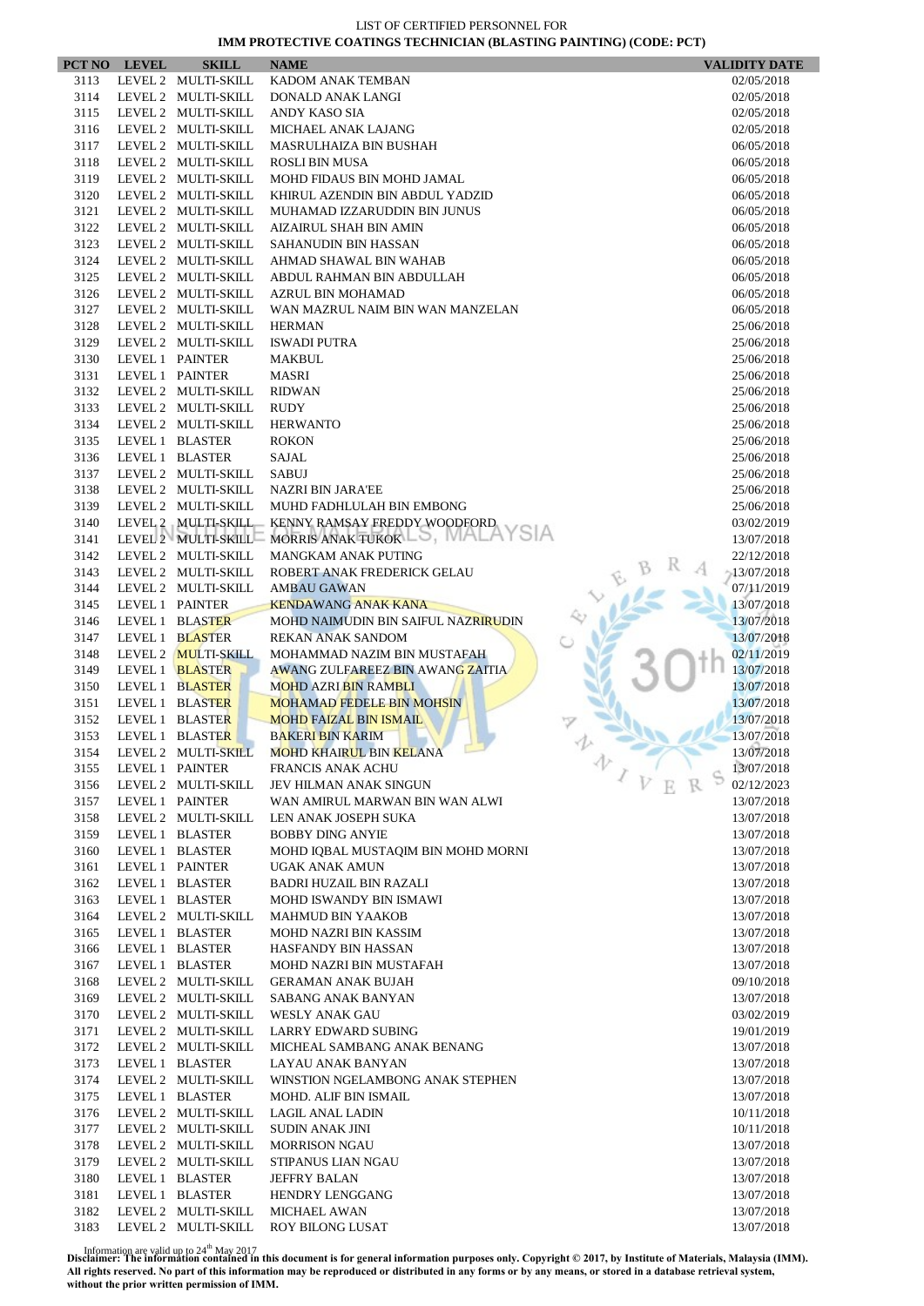|              | PCT NO LEVEL    | <b>SKILL</b>                               | <b>NAME</b>                                                   | <b>VALIDITY DATE</b>     |
|--------------|-----------------|--------------------------------------------|---------------------------------------------------------------|--------------------------|
| 3113         |                 | LEVEL 2 MULTI-SKILL                        | KADOM ANAK TEMBAN                                             | 02/05/2018               |
| 3114         |                 | LEVEL 2 MULTI-SKILL                        | DONALD ANAK LANGI                                             | 02/05/2018               |
| 3115         |                 | LEVEL 2 MULTI-SKILL                        | ANDY KASO SIA                                                 | 02/05/2018               |
| 3116         |                 | LEVEL 2 MULTI-SKILL                        | MICHAEL ANAK LAJANG                                           | 02/05/2018               |
| 3117         |                 | LEVEL 2 MULTI-SKILL                        | MASRULHAIZA BIN BUSHAH                                        | 06/05/2018               |
| 3118         |                 | LEVEL 2 MULTI-SKILL                        | <b>ROSLI BIN MUSA</b>                                         | 06/05/2018               |
| 3119<br>3120 |                 | LEVEL 2 MULTI-SKILL<br>LEVEL 2 MULTI-SKILL | MOHD FIDAUS BIN MOHD JAMAL<br>KHIRUL AZENDIN BIN ABDUL YADZID | 06/05/2018               |
| 3121         |                 | LEVEL 2 MULTI-SKILL                        | MUHAMAD IZZARUDDIN BIN JUNUS                                  | 06/05/2018<br>06/05/2018 |
| 3122         |                 | LEVEL 2 MULTI-SKILL                        | AIZAIRUL SHAH BIN AMIN                                        | 06/05/2018               |
| 3123         |                 | LEVEL 2 MULTI-SKILL                        | SAHANUDIN BIN HASSAN                                          | 06/05/2018               |
| 3124         |                 | LEVEL 2 MULTI-SKILL                        | AHMAD SHAWAL BIN WAHAB                                        | 06/05/2018               |
| 3125         |                 | LEVEL 2 MULTI-SKILL                        | ABDUL RAHMAN BIN ABDULLAH                                     | 06/05/2018               |
| 3126         |                 | LEVEL 2 MULTI-SKILL                        | AZRUL BIN MOHAMAD                                             | 06/05/2018               |
| 3127         |                 | LEVEL 2 MULTI-SKILL                        | WAN MAZRUL NAIM BIN WAN MANZELAN                              | 06/05/2018               |
| 3128         |                 | LEVEL 2 MULTI-SKILL                        | <b>HERMAN</b>                                                 | 25/06/2018               |
| 3129         |                 | LEVEL 2 MULTI-SKILL                        | <b>ISWADI PUTRA</b>                                           | 25/06/2018               |
| 3130         | LEVEL 1 PAINTER |                                            | MAKBUL                                                        | 25/06/2018               |
| 3131         | LEVEL 1 PAINTER |                                            | <b>MASRI</b>                                                  | 25/06/2018               |
| 3132         |                 | LEVEL 2 MULTI-SKILL                        | <b>RIDWAN</b>                                                 | 25/06/2018               |
| 3133         |                 | LEVEL 2 MULTI-SKILL                        | RUDY                                                          | 25/06/2018               |
| 3134         |                 | LEVEL 2 MULTI-SKILL                        | <b>HERWANTO</b>                                               | 25/06/2018               |
| 3135         |                 | LEVEL 1 BLASTER                            | <b>ROKON</b>                                                  | 25/06/2018               |
| 3136         |                 | LEVEL 1 BLASTER                            | <b>SAJAL</b>                                                  | 25/06/2018               |
| 3137         |                 | LEVEL 2 MULTI-SKILL<br>LEVEL 2 MULTI-SKILL | <b>SABUJ</b>                                                  | 25/06/2018               |
| 3138<br>3139 |                 | LEVEL 2 MULTI-SKILL                        | <b>NAZRI BIN JARA'EE</b><br>MUHD FADHLULAH BIN EMBONG         | 25/06/2018<br>25/06/2018 |
| 3140         |                 | LEVEL 2 MULTI-SKILL                        | KENNY RAMSAY FREDDY WOODFORD                                  | 03/02/2019               |
| 3141         |                 | LEVEL 2 MULTI-SKILL                        | MORRIS ANAK TUKOK                                             | 13/07/2018               |
| 3142         |                 | LEVEL 2 MULTI-SKILL                        | MANGKAM ANAK PUTING                                           | 22/12/2018               |
| 3143         |                 | LEVEL 2 MULTI-SKILL                        | ROBERT ANAK FREDERICK GELAU                                   | $-13/07/2018$            |
| 3144         |                 | LEVEL 2 MULTI-SKILL                        | <b>AMBAU GAWAN</b>                                            | 07/11/2019               |
| 3145         | LEVEL 1 PAINTER |                                            | <b>KENDAWANG ANAK KANA</b>                                    | 13/07/2018               |
| 3146         |                 | LEVEL 1 BLASTER                            | MOHD NAIMUDIN BIN SAIFUL NAZRIRUDIN                           | 13/07/2018               |
| 3147         |                 | LEVEL 1 BLASTER                            | <b>REKAN ANAK SANDOM</b>                                      | 13/07/2018               |
| 3148         |                 | LEVEL 2 MULTI-SKILL                        | MOHAMMAD NAZIM BIN MUSTAFAH                                   | 02/11/2019               |
| 3149         |                 | LEVEL 1 BLASTER                            | AWANG ZULFAREEZ BIN AWAN <mark>G Z</mark> AITIA               | 13/07/2018               |
| 3150         |                 | LEVEL 1 BLASTER                            | <b>MOHD AZRI BIN RAMBLI</b>                                   | 13/07/2018               |
| 3151         |                 | LEVEL 1 BLASTER                            | <b>MOHAMAD FEDELE BIN MOHSIN</b>                              | 13/07/2018               |
| 3152         |                 | LEVEL 1 BLASTER                            | <b>MOHD FAIZAL BIN ISMAIL</b>                                 | 13/07/2018               |
| 3153         |                 | LEVEL 1 BLASTER                            | <b>BAKERI BIN KARIM</b>                                       | 13/07/2018               |
| 3154         |                 | LEVEL 2 MULTI-SKILL                        | <b>MOHD KHAIRUL BIN KELANA</b><br>办                           | 13/07/2018               |
| 3155<br>3156 |                 | LEVEL 1 PAINTER<br>LEVEL 2 MULTI-SKILL     | FRANCIS ANAK ACHU<br>JEV HILMAN ANAK SINGUN                   | 13/07/2018<br>02/12/2023 |
| 3157         |                 | LEVEL 1 PAINTER                            | WAN AMIRUL MARWAN BIN WAN ALWI                                | 13/07/2018               |
| 3158         |                 | LEVEL 2 MULTI-SKILL                        | LEN ANAK JOSEPH SUKA                                          | 13/07/2018               |
| 3159         |                 | LEVEL 1 BLASTER                            | <b>BOBBY DING ANYIE</b>                                       | 13/07/2018               |
| 3160         |                 | LEVEL 1 BLASTER                            | MOHD IQBAL MUSTAQIM BIN MOHD MORNI                            | 13/07/2018               |
| 3161         |                 | LEVEL 1 PAINTER                            | UGAK ANAK AMUN                                                | 13/07/2018               |
| 3162         |                 | LEVEL 1 BLASTER                            | BADRI HUZAIL BIN RAZALI                                       | 13/07/2018               |
| 3163         |                 | LEVEL 1 BLASTER                            | MOHD ISWANDY BIN ISMAWI                                       | 13/07/2018               |
| 3164         |                 | LEVEL 2 MULTI-SKILL                        | <b>MAHMUD BIN YAAKOB</b>                                      | 13/07/2018               |
| 3165         |                 | LEVEL 1 BLASTER                            | MOHD NAZRI BIN KASSIM                                         | 13/07/2018               |
| 3166         |                 | LEVEL 1 BLASTER                            | HASFANDY BIN HASSAN                                           | 13/07/2018               |
| 3167         |                 | LEVEL 1 BLASTER                            | MOHD NAZRI BIN MUSTAFAH                                       | 13/07/2018               |
| 3168         |                 | LEVEL 2 MULTI-SKILL                        | <b>GERAMAN ANAK BUJAH</b>                                     | 09/10/2018               |
| 3169         |                 | LEVEL 2 MULTI-SKILL                        | SABANG ANAK BANYAN                                            | 13/07/2018               |
| 3170         |                 | LEVEL 2 MULTI-SKILL                        | WESLY ANAK GAU                                                | 03/02/2019               |
| 3171         |                 | LEVEL 2 MULTI-SKILL                        | LARRY EDWARD SUBING                                           | 19/01/2019               |
| 3172<br>3173 |                 | LEVEL 2 MULTI-SKILL<br>LEVEL 1 BLASTER     | MICHEAL SAMBANG ANAK BENANG                                   | 13/07/2018               |
| 3174         |                 | LEVEL 2 MULTI-SKILL                        | LAYAU ANAK BANYAN<br>WINSTION NGELAMBONG ANAK STEPHEN         | 13/07/2018<br>13/07/2018 |
| 3175         |                 | LEVEL 1 BLASTER                            | MOHD. ALIF BIN ISMAIL                                         | 13/07/2018               |
| 3176         |                 | LEVEL 2 MULTI-SKILL                        | LAGIL ANAL LADIN                                              | 10/11/2018               |
| 3177         |                 | LEVEL 2 MULTI-SKILL                        | <b>SUDIN ANAK JINI</b>                                        | 10/11/2018               |
| 3178         |                 | LEVEL 2 MULTI-SKILL                        | <b>MORRISON NGAU</b>                                          | 13/07/2018               |
| 3179         |                 | LEVEL 2 MULTI-SKILL                        | STIPANUS LIAN NGAU                                            | 13/07/2018               |
| 3180         |                 | LEVEL 1 BLASTER                            | JEFFRY BALAN                                                  | 13/07/2018               |
| 3181         |                 | LEVEL 1 BLASTER                            | HENDRY LENGGANG                                               | 13/07/2018               |
| 3182         |                 | LEVEL 2 MULTI-SKILL                        | <b>MICHAEL AWAN</b>                                           | 13/07/2018               |
| 3183         |                 | LEVEL 2 MULTI-SKILL                        | ROY BILONG LUSAT                                              | 13/07/2018               |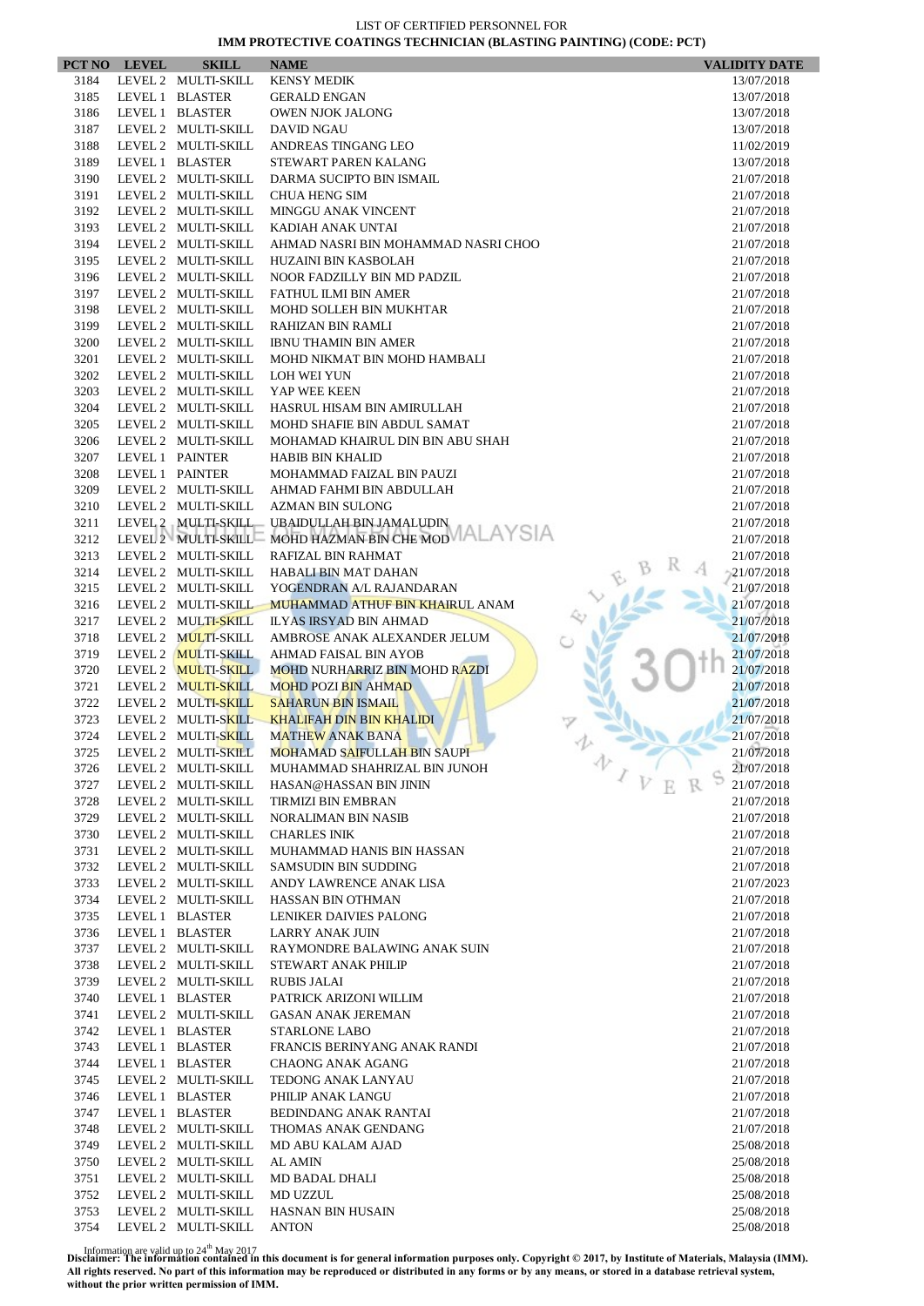|              | PCT NO LEVEL | <b>SKILL</b>                               | <b>NAME</b>                                                   | <b>VALIDITY DATE</b>     |
|--------------|--------------|--------------------------------------------|---------------------------------------------------------------|--------------------------|
| 3184         |              | LEVEL 2 MULTI-SKILL                        | <b>KENSY MEDIK</b>                                            | 13/07/2018               |
| 3185         |              | LEVEL 1 BLASTER                            | <b>GERALD ENGAN</b>                                           | 13/07/2018               |
| 3186         |              | LEVEL 1 BLASTER                            | <b>OWEN NJOK JALONG</b>                                       | 13/07/2018               |
| 3187         |              | LEVEL 2 MULTI-SKILL                        | DAVID NGAU                                                    | 13/07/2018               |
| 3188         |              | LEVEL 2 MULTI-SKILL                        | ANDREAS TINGANG LEO                                           | 11/02/2019               |
| 3189<br>3190 |              | LEVEL 1 BLASTER<br>LEVEL 2 MULTI-SKILL     | STEWART PAREN KALANG<br>DARMA SUCIPTO BIN ISMAIL              | 13/07/2018<br>21/07/2018 |
| 3191         |              | LEVEL 2 MULTI-SKILL                        | <b>CHUA HENG SIM</b>                                          | 21/07/2018               |
| 3192         |              | LEVEL 2 MULTI-SKILL                        | <b>MINGGU ANAK VINCENT</b>                                    | 21/07/2018               |
| 3193         |              | LEVEL 2 MULTI-SKILL                        | KADIAH ANAK UNTAI                                             | 21/07/2018               |
| 3194         |              | LEVEL 2 MULTI-SKILL                        | AHMAD NASRI BIN MOHAMMAD NASRI CHOO                           | 21/07/2018               |
| 3195         |              | LEVEL 2 MULTI-SKILL                        | <b>HUZAINI BIN KASBOLAH</b>                                   | 21/07/2018               |
| 3196         |              | LEVEL 2 MULTI-SKILL                        | NOOR FADZILLY BIN MD PADZIL                                   | 21/07/2018               |
| 3197         |              | LEVEL 2 MULTI-SKILL                        | FATHUL ILMI BIN AMER                                          | 21/07/2018               |
| 3198         |              | LEVEL 2 MULTI-SKILL                        | MOHD SOLLEH BIN MUKHTAR                                       | 21/07/2018               |
| 3199         |              | LEVEL 2 MULTI-SKILL                        | RAHIZAN BIN RAMLI                                             | 21/07/2018               |
| 3200         |              | LEVEL 2 MULTI-SKILL                        | <b>IBNU THAMIN BIN AMER</b>                                   | 21/07/2018               |
| 3201         |              | LEVEL 2 MULTI-SKILL                        | MOHD NIKMAT BIN MOHD HAMBALI                                  | 21/07/2018               |
| 3202         |              | LEVEL 2 MULTI-SKILL                        | LOH WEI YUN                                                   | 21/07/2018               |
| 3203<br>3204 |              | LEVEL 2 MULTI-SKILL<br>LEVEL 2 MULTI-SKILL | YAP WEE KEEN<br>HASRUL HISAM BIN AMIRULLAH                    | 21/07/2018               |
| 3205         |              | LEVEL 2 MULTI-SKILL                        | MOHD SHAFIE BIN ABDUL SAMAT                                   | 21/07/2018<br>21/07/2018 |
| 3206         |              | LEVEL 2 MULTI-SKILL                        | MOHAMAD KHAIRUL DIN BIN ABU SHAH                              | 21/07/2018               |
| 3207         |              | LEVEL 1 PAINTER                            | <b>HABIB BIN KHALID</b>                                       | 21/07/2018               |
| 3208         |              | LEVEL 1 PAINTER                            | MOHAMMAD FAIZAL BIN PAUZI                                     | 21/07/2018               |
| 3209         |              | LEVEL 2 MULTI-SKILL                        | AHMAD FAHMI BIN ABDULLAH                                      | 21/07/2018               |
| 3210         |              | LEVEL 2 MULTI-SKILL                        | <b>AZMAN BIN SULONG</b>                                       | 21/07/2018               |
| 3211         |              | LEVEL 2 MULTI-SKILL                        | UBAIDULLAH BIN JAMALUDIN                                      | 21/07/2018               |
| 3212         |              | LEVEL 2 MULTI-SKILL                        | MOHD HAZMAN BIN CHE MOD VALAYSIA                              | 21/07/2018               |
| 3213         |              | LEVEL 2 MULTI-SKILL                        | RAFIZAL BIN RAHMAT                                            | 21/07/2018               |
| 3214         |              | LEVEL 2 MULTI-SKILL                        | HABALI BIN MAT DAHAN                                          | $-21/07/2018$            |
| 3215         |              | LEVEL 2 MULTI-SKILL                        | YOGENDRAN A/L RAJANDARAN                                      | 21/07/2018               |
| 3216         |              | LEVEL 2 MULTI-SKILL                        | MUHAMMAD ATHUF BIN KHAIRUL ANAM                               | 21/07/2018               |
| 3217         |              | LEVEL 2 MULTI-SKILL                        | ILYAS IRSYAD BIN AHMAD                                        | 21/07/2018               |
| 3718         |              | LEVEL 2 MULTI-SKILL                        | AMBROSE ANAK ALEXANDER JELUM                                  | 21/07/2018               |
| 3719<br>3720 |              | LEVEL 2 MULTI-SKILL<br>LEVEL 2 MULTI-SKILL | AHMAD FAISAL BIN AYOB<br><b>MOHD NURHARRIZ BIN MOHD RAZDI</b> | 21/07/2018<br>21/07/2018 |
| 3721         |              | LEVEL 2 MULTI-SKILL                        | <b>MOHD POZI BIN AHMAD</b>                                    | 21/07/2018               |
| 3722         |              | LEVEL 2 MULTI-SKILL                        | <b>SAHARUN BIN ISMAIL</b>                                     | 21/07/2018               |
| 3723         |              | LEVEL 2 MULTI-SKILL                        | <b>KHALIFAH DIN BIN KHALIDI</b>                               | 21/07/2018               |
| 3724         |              | LEVEL 2 MULTI-SKILL                        | <b>MATHEW ANAK BANA</b>                                       | 21/07/2018               |
| 3725         |              |                                            | LEVEL 2 MULTI-SKILL MOHAMAD SAIFULLAH BIN SAUPI               | 21/07/2018               |
| 3726         |              | LEVEL 2 MULTI-SKILL                        | MUHAMMAD SHAHRIZAL BIN JUNOH                                  | 办<br>21/07/2018          |
| 3727         |              | LEVEL 2 MULTI-SKILL                        | HASAN@HASSAN BIN JININ                                        | $\sqrt{V}$<br>21/07/2018 |
| 3728         |              | LEVEL 2 MULTI-SKILL                        | <b>TIRMIZI BIN EMBRAN</b>                                     | 21/07/2018               |
| 3729         |              | LEVEL 2 MULTI-SKILL                        | <b>NORALIMAN BIN NASIB</b>                                    | 21/07/2018               |
| 3730         |              | LEVEL 2 MULTI-SKILL                        | <b>CHARLES INIK</b>                                           | 21/07/2018               |
| 3731<br>3732 |              | LEVEL 2 MULTI-SKILL<br>LEVEL 2 MULTI-SKILL | MUHAMMAD HANIS BIN HASSAN<br><b>SAMSUDIN BIN SUDDING</b>      | 21/07/2018               |
| 3733         |              | LEVEL 2 MULTI-SKILL                        | ANDY LAWRENCE ANAK LISA                                       | 21/07/2018<br>21/07/2023 |
| 3734         |              | LEVEL 2 MULTI-SKILL                        | HASSAN BIN OTHMAN                                             | 21/07/2018               |
| 3735         |              | LEVEL 1 BLASTER                            | LENIKER DAIVIES PALONG                                        | 21/07/2018               |
| 3736         |              | LEVEL 1 BLASTER                            | <b>LARRY ANAK JUIN</b>                                        | 21/07/2018               |
| 3737         |              | LEVEL 2 MULTI-SKILL                        | RAYMONDRE BALAWING ANAK SUIN                                  | 21/07/2018               |
| 3738         |              | LEVEL 2 MULTI-SKILL                        | STEWART ANAK PHILIP                                           | 21/07/2018               |
| 3739         |              | LEVEL 2 MULTI-SKILL                        | <b>RUBIS JALAI</b>                                            | 21/07/2018               |
| 3740         |              | LEVEL 1 BLASTER                            | PATRICK ARIZONI WILLIM                                        | 21/07/2018               |
| 3741         |              | LEVEL 2 MULTI-SKILL                        | <b>GASAN ANAK JEREMAN</b>                                     | 21/07/2018               |
| 3742         |              | LEVEL 1 BLASTER                            | STARLONE LABO                                                 | 21/07/2018               |
| 3743         |              | LEVEL 1 BLASTER                            | FRANCIS BERINYANG ANAK RANDI                                  | 21/07/2018               |
| 3744         |              | LEVEL 1 BLASTER                            | <b>CHAONG ANAK AGANG</b>                                      | 21/07/2018               |
| 3745         |              | LEVEL 2 MULTI-SKILL                        | TEDONG ANAK LANYAU                                            | 21/07/2018               |
| 3746         |              | LEVEL 1 BLASTER                            | PHILIP ANAK LANGU                                             | 21/07/2018               |
| 3747         |              | LEVEL 1 BLASTER                            | BEDINDANG ANAK RANTAI                                         | 21/07/2018               |
| 3748<br>3749 |              | LEVEL 2 MULTI-SKILL<br>LEVEL 2 MULTI-SKILL | THOMAS ANAK GENDANG<br>MD ABU KALAM AJAD                      | 21/07/2018<br>25/08/2018 |
| 3750         |              | LEVEL 2 MULTI-SKILL                        | AL AMIN                                                       | 25/08/2018               |
| 3751         |              | LEVEL 2 MULTI-SKILL                        | MD BADAL DHALI                                                | 25/08/2018               |
| 3752         |              | LEVEL 2 MULTI-SKILL                        | MD UZZUL                                                      | 25/08/2018               |
| 3753         |              | LEVEL 2 MULTI-SKILL                        | <b>HASNAN BIN HUSAIN</b>                                      | 25/08/2018               |
| 3754         |              | LEVEL 2 MULTI-SKILL                        | <b>ANTON</b>                                                  | 25/08/2018               |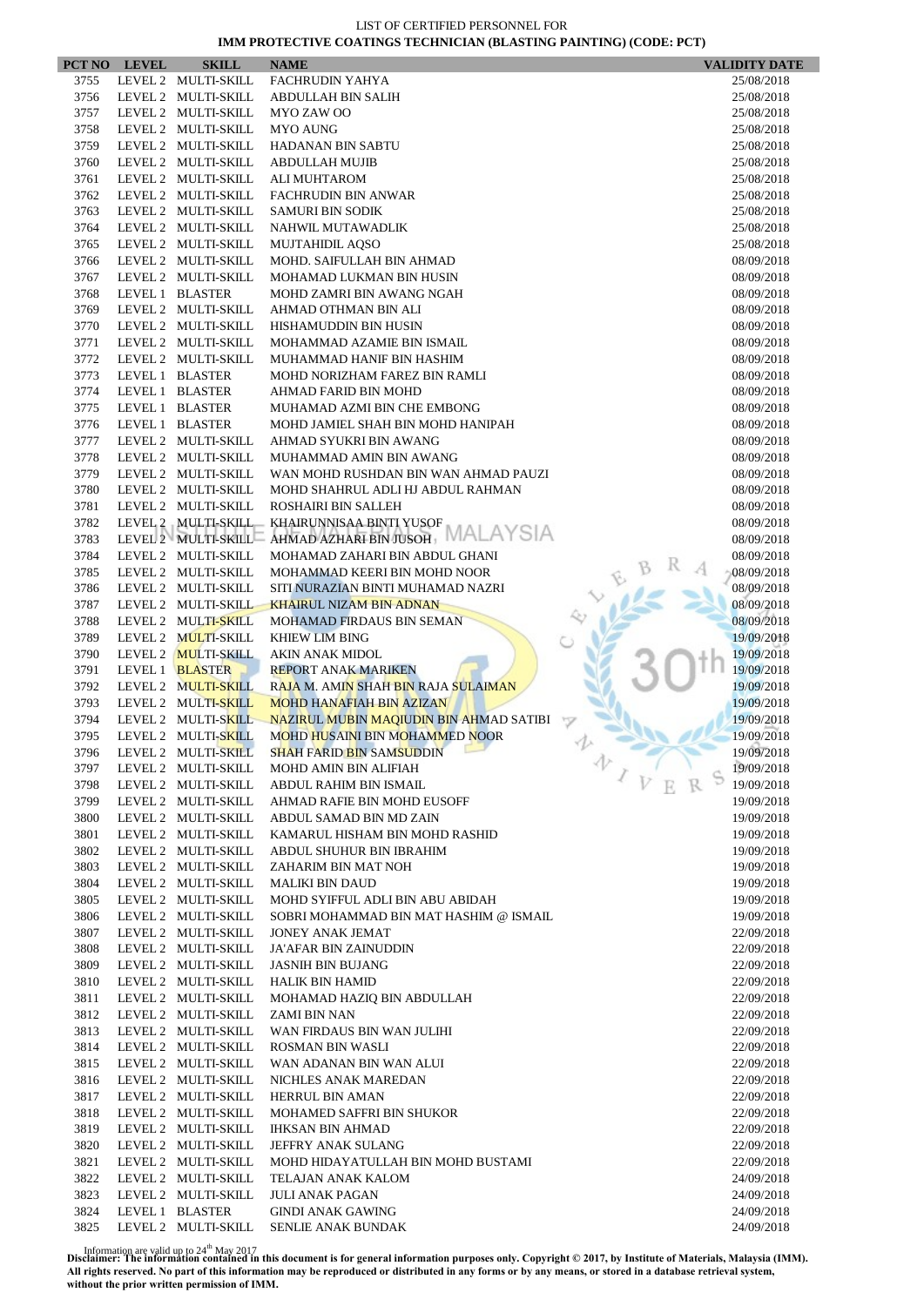|              | PCT NO LEVEL | <b>SKILL</b>                               | <b>NAME</b>                                           |   | <b>VALIDITY DATE</b>     |
|--------------|--------------|--------------------------------------------|-------------------------------------------------------|---|--------------------------|
| 3755         |              | LEVEL 2 MULTI-SKILL                        | FACHRUDIN YAHYA                                       |   | 25/08/2018               |
| 3756         |              | LEVEL 2 MULTI-SKILL                        | ABDULLAH BIN SALIH                                    |   | 25/08/2018               |
| 3757         |              | LEVEL 2 MULTI-SKILL                        | MYO ZAW OO                                            |   | 25/08/2018               |
| 3758         |              | LEVEL 2 MULTI-SKILL                        | <b>MYO AUNG</b>                                       |   | 25/08/2018               |
| 3759         |              | LEVEL 2 MULTI-SKILL                        | <b>HADANAN BIN SABTU</b>                              |   | 25/08/2018               |
| 3760         |              | LEVEL 2 MULTI-SKILL                        | <b>ABDULLAH MUJIB</b>                                 |   | 25/08/2018               |
| 3761         |              | LEVEL 2 MULTI-SKILL                        | ALI MUHTAROM                                          |   | 25/08/2018               |
| 3762<br>3763 |              | LEVEL 2 MULTI-SKILL<br>LEVEL 2 MULTI-SKILL | <b>FACHRUDIN BIN ANWAR</b><br><b>SAMURI BIN SODIK</b> |   | 25/08/2018               |
| 3764         |              | LEVEL 2 MULTI-SKILL                        | NAHWIL MUTAWADLIK                                     |   | 25/08/2018<br>25/08/2018 |
| 3765         |              | LEVEL 2 MULTI-SKILL                        | <b>MUJTAHIDIL AOSO</b>                                |   | 25/08/2018               |
| 3766         |              | LEVEL 2 MULTI-SKILL                        | MOHD. SAIFULLAH BIN AHMAD                             |   | 08/09/2018               |
| 3767         |              | LEVEL 2 MULTI-SKILL                        | MOHAMAD LUKMAN BIN HUSIN                              |   | 08/09/2018               |
| 3768         |              | LEVEL 1 BLASTER                            | MOHD ZAMRI BIN AWANG NGAH                             |   | 08/09/2018               |
| 3769         |              | LEVEL 2 MULTI-SKILL                        | AHMAD OTHMAN BIN ALI                                  |   | 08/09/2018               |
| 3770         |              | LEVEL 2 MULTI-SKILL                        | HISHAMUDDIN BIN HUSIN                                 |   | 08/09/2018               |
| 3771         |              | LEVEL 2 MULTI-SKILL                        | MOHAMMAD AZAMIE BIN ISMAIL                            |   | 08/09/2018               |
| 3772         |              | LEVEL 2 MULTI-SKILL                        | MUHAMMAD HANIF BIN HASHIM                             |   | 08/09/2018               |
| 3773         |              | LEVEL 1 BLASTER                            | MOHD NORIZHAM FAREZ BIN RAMLI                         |   | 08/09/2018               |
| 3774         |              | LEVEL 1 BLASTER                            | AHMAD FARID BIN MOHD                                  |   | 08/09/2018               |
| 3775         |              | LEVEL 1 BLASTER                            | MUHAMAD AZMI BIN CHE EMBONG                           |   | 08/09/2018               |
| 3776         |              | LEVEL 1 BLASTER                            | MOHD JAMIEL SHAH BIN MOHD HANIPAH                     |   | 08/09/2018               |
| 3777         |              | LEVEL 2 MULTI-SKILL                        | AHMAD SYUKRI BIN AWANG                                |   | 08/09/2018               |
| 3778         |              | LEVEL 2 MULTI-SKILL                        | MUHAMMAD AMIN BIN AWANG                               |   | 08/09/2018               |
| 3779         |              | LEVEL 2 MULTI-SKILL                        | WAN MOHD RUSHDAN BIN WAN AHMAD PAUZI                  |   | 08/09/2018               |
| 3780         |              | LEVEL 2 MULTI-SKILL                        | MOHD SHAHRUL ADLI HJ ABDUL RAHMAN                     |   | 08/09/2018               |
| 3781<br>3782 |              | LEVEL 2 MULTI-SKILL<br>LEVEL 2 MULTI-SKILL | ROSHAIRI BIN SALLEH<br>KHAIRUNNISAA BINTI YUSOF       |   | 08/09/2018<br>08/09/2018 |
| 3783         |              | LEVEL 2 MULTI-SKILL                        | AHMAD AZHARI BIN JUSOH, MALAYSIA                      |   | 08/09/2018               |
| 3784         |              | LEVEL 2 MULTI-SKILL                        | MOHAMAD ZAHARI BIN ABDUL GHANI                        |   | 08/09/2018               |
| 3785         |              | LEVEL 2 MULTI-SKILL                        | MOHAMMAD KEERI BIN MOHD NOOR                          |   | 08/09/2018               |
| 3786         |              | LEVEL 2 MULTI-SKILL                        | SITI NURAZIAN BINTI MUHAMAD NAZRI                     |   | 08/09/2018               |
| 3787         |              | LEVEL 2 MULTI-SKILL                        | <b>KHAIRUL NIZAM BIN ADNAN</b>                        |   | 08/09/2018               |
| 3788         |              | LEVEL 2 MULTI-SKILL                        | MOHAMAD FIRDAUS BIN SEMAN                             |   | 08/09/2018               |
| 3789         |              | LEVEL 2 MULTI-SKILL                        | <b>KHIEW LIM BING</b>                                 |   | 19/09/2018               |
| 3790         |              | LEVEL 2 MULTI-SKILL                        | <b>AKIN ANAK MIDOL</b>                                |   | 19/09/2018               |
| 3791         |              | LEVEL 1 BLASTER                            | <b>REPORT ANAK MARIKEN</b>                            |   | 19/09/2018               |
| 3792         |              | LEVEL 2 MULTI-SKILL                        | RAJA M. AMIN SHAH BIN RAJA SULAIMAN                   |   | 19/09/2018               |
| 3793         |              | LEVEL 2 MULTI-SKILL                        | <b>MOHD HANAFIAH BIN AZIZAN</b>                       |   | 19/09/2018               |
| 3794         |              | LEVEL 2 MULTI-SKILL                        | NAZIRUL MUBIN MAQIUDIN BIN AHMAD SATIBI               |   | 19/09/2018               |
| 3795         |              | LEVEL 2 MULTI-SKILL                        | MOHD HUSAINI BIN MOHAMMED NOOR                        |   | 19/09/2018               |
| 3796         |              | LEVEL 2 MULTI-SKILL                        | <b>SHAH FARID BIN SAMSUDDIN</b>                       | 办 | 19/09/2018               |
| 3797         |              | LEVEL 2 MULTI-SKILL                        | MOHD AMIN BIN ALIFIAH                                 |   | 19/09/2018               |
| 3798         |              | LEVEL 2 MULTI-SKILL                        | ABDUL RAHIM BIN ISMAIL<br>AHMAD RAFIE BIN MOHD EUSOFF |   | 19/09/2018               |
| 3799<br>3800 |              | LEVEL 2 MULTI-SKILL<br>LEVEL 2 MULTI-SKILL | ABDUL SAMAD BIN MD ZAIN                               |   | 19/09/2018<br>19/09/2018 |
| 3801         |              | LEVEL 2 MULTI-SKILL                        | KAMARUL HISHAM BIN MOHD RASHID                        |   | 19/09/2018               |
| 3802         |              | LEVEL 2 MULTI-SKILL                        | ABDUL SHUHUR BIN IBRAHIM                              |   | 19/09/2018               |
| 3803         |              | LEVEL 2 MULTI-SKILL                        | ZAHARIM BIN MAT NOH                                   |   | 19/09/2018               |
| 3804         |              | LEVEL 2 MULTI-SKILL                        | <b>MALIKI BIN DAUD</b>                                |   | 19/09/2018               |
| 3805         |              | LEVEL 2 MULTI-SKILL                        | MOHD SYIFFUL ADLI BIN ABU ABIDAH                      |   | 19/09/2018               |
| 3806         |              | LEVEL 2 MULTI-SKILL                        | SOBRI MOHAMMAD BIN MAT HASHIM @ ISMAIL                |   | 19/09/2018               |
| 3807         |              | LEVEL 2 MULTI-SKILL                        | <b>JONEY ANAK JEMAT</b>                               |   | 22/09/2018               |
| 3808         |              | LEVEL 2 MULTI-SKILL                        | JA'AFAR BIN ZAINUDDIN                                 |   | 22/09/2018               |
| 3809         |              | LEVEL 2 MULTI-SKILL                        | <b>JASNIH BIN BUJANG</b>                              |   | 22/09/2018               |
| 3810         |              | LEVEL 2 MULTI-SKILL                        | <b>HALIK BIN HAMID</b>                                |   | 22/09/2018               |
| 3811         |              | LEVEL 2 MULTI-SKILL                        | MOHAMAD HAZIQ BIN ABDULLAH                            |   | 22/09/2018               |
| 3812         |              | LEVEL 2 MULTI-SKILL                        | ZAMI BIN NAN                                          |   | 22/09/2018               |
| 3813         |              | LEVEL 2 MULTI-SKILL                        | WAN FIRDAUS BIN WAN JULIHI                            |   | 22/09/2018               |
| 3814         |              | LEVEL 2 MULTI-SKILL                        | <b>ROSMAN BIN WASLI</b>                               |   | 22/09/2018               |
| 3815         |              | LEVEL 2 MULTI-SKILL                        | WAN ADANAN BIN WAN ALUI                               |   | 22/09/2018               |
| 3816<br>3817 |              | LEVEL 2 MULTI-SKILL<br>LEVEL 2 MULTI-SKILL | NICHLES ANAK MAREDAN                                  |   | 22/09/2018               |
| 3818         |              | LEVEL 2 MULTI-SKILL                        | HERRUL BIN AMAN<br>MOHAMED SAFFRI BIN SHUKOR          |   | 22/09/2018<br>22/09/2018 |
| 3819         |              | LEVEL 2 MULTI-SKILL                        | <b>IHKSAN BIN AHMAD</b>                               |   | 22/09/2018               |
| 3820         |              | LEVEL 2 MULTI-SKILL                        | JEFFRY ANAK SULANG                                    |   | 22/09/2018               |
| 3821         |              | LEVEL 2 MULTI-SKILL                        | MOHD HIDAYATULLAH BIN MOHD BUSTAMI                    |   | 22/09/2018               |
| 3822         |              | LEVEL 2 MULTI-SKILL                        | TELAJAN ANAK KALOM                                    |   | 24/09/2018               |
| 3823         |              | LEVEL 2 MULTI-SKILL                        | <b>JULI ANAK PAGAN</b>                                |   | 24/09/2018               |
| 3824         |              | LEVEL 1 BLASTER                            | <b>GINDI ANAK GAWING</b>                              |   | 24/09/2018               |
| 3825         |              | LEVEL 2 MULTI-SKILL                        | SENLIE ANAK BUNDAK                                    |   | 24/09/2018               |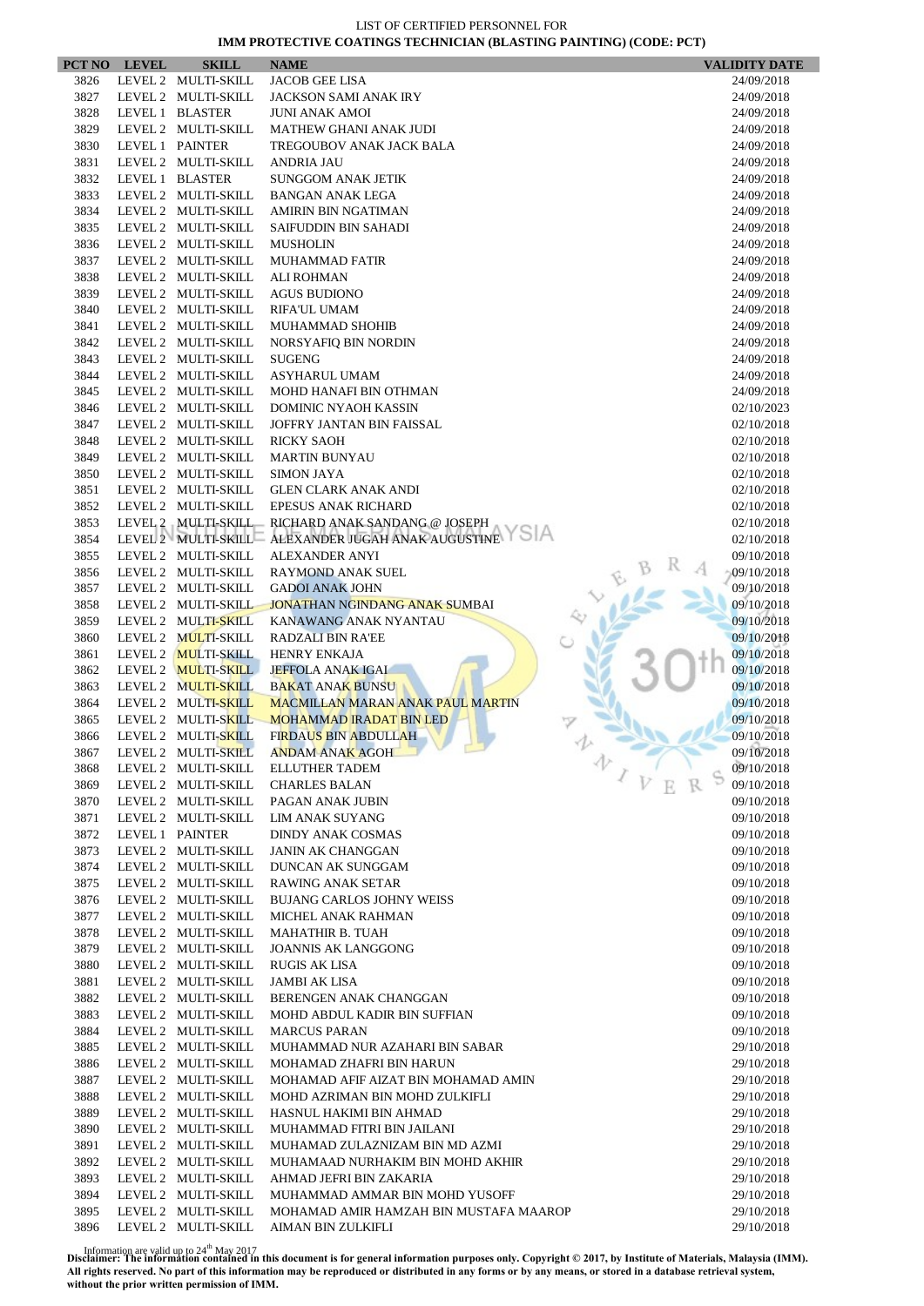|              | PCT NO LEVEL    | <b>SKILL</b>                               | <b>NAME</b>                                          | <b>VALIDITY DATE</b>     |
|--------------|-----------------|--------------------------------------------|------------------------------------------------------|--------------------------|
| 3826         |                 | LEVEL 2 MULTI-SKILL                        | <b>JACOB GEE LISA</b>                                | 24/09/2018               |
| 3827         |                 | LEVEL 2 MULTI-SKILL                        | <b>JACKSON SAMI ANAK IRY</b>                         | 24/09/2018               |
| 3828         |                 | LEVEL 1 BLASTER                            | <b>JUNI ANAK AMOI</b>                                | 24/09/2018               |
| 3829         |                 | LEVEL 2 MULTI-SKILL                        | <b>MATHEW GHANI ANAK JUDI</b>                        | 24/09/2018               |
| 3830         |                 | LEVEL 1 PAINTER                            | TREGOUBOV ANAK JACK BALA                             | 24/09/2018               |
| 3831         |                 | LEVEL 2 MULTI-SKILL                        | <b>ANDRIA JAU</b>                                    | 24/09/2018               |
| 3832         |                 | LEVEL 1 BLASTER                            | <b>SUNGGOM ANAK JETIK</b>                            | 24/09/2018               |
| 3833         |                 | LEVEL 2 MULTI-SKILL                        | <b>BANGAN ANAK LEGA</b>                              | 24/09/2018               |
| 3834         |                 | LEVEL 2 MULTI-SKILL                        | AMIRIN BIN NGATIMAN                                  | 24/09/2018               |
| 3835         |                 | LEVEL 2 MULTI-SKILL                        | <b>SAIFUDDIN BIN SAHADI</b>                          | 24/09/2018               |
| 3836         |                 | LEVEL 2 MULTI-SKILL                        | <b>MUSHOLIN</b>                                      | 24/09/2018               |
| 3837         |                 | LEVEL 2 MULTI-SKILL                        | <b>MUHAMMAD FATIR</b>                                | 24/09/2018               |
| 3838         |                 | LEVEL 2 MULTI-SKILL                        | <b>ALI ROHMAN</b>                                    | 24/09/2018               |
| 3839<br>3840 |                 | LEVEL 2 MULTI-SKILL<br>LEVEL 2 MULTI-SKILL | <b>AGUS BUDIONO</b>                                  | 24/09/2018               |
| 3841         |                 | LEVEL 2 MULTI-SKILL                        | <b>RIFA'UL UMAM</b><br>MUHAMMAD SHOHIB               | 24/09/2018<br>24/09/2018 |
| 3842         |                 | LEVEL 2 MULTI-SKILL                        | NORSYAFIQ BIN NORDIN                                 | 24/09/2018               |
| 3843         |                 | LEVEL 2 MULTI-SKILL                        | <b>SUGENG</b>                                        | 24/09/2018               |
| 3844         |                 | LEVEL 2 MULTI-SKILL                        | <b>ASYHARUL UMAM</b>                                 | 24/09/2018               |
| 3845         |                 | LEVEL 2 MULTI-SKILL                        | MOHD HANAFI BIN OTHMAN                               | 24/09/2018               |
| 3846         |                 | LEVEL 2 MULTI-SKILL                        | <b>DOMINIC NYAOH KASSIN</b>                          | 02/10/2023               |
| 3847         |                 | LEVEL 2 MULTI-SKILL                        | JOFFRY JANTAN BIN FAISSAL                            | 02/10/2018               |
| 3848         |                 | LEVEL 2 MULTI-SKILL                        | <b>RICKY SAOH</b>                                    | 02/10/2018               |
| 3849         |                 | LEVEL 2 MULTI-SKILL                        | <b>MARTIN BUNYAU</b>                                 | 02/10/2018               |
| 3850         |                 | LEVEL 2 MULTI-SKILL                        | <b>SIMON JAYA</b>                                    | 02/10/2018               |
| 3851         |                 | LEVEL 2 MULTI-SKILL                        | <b>GLEN CLARK ANAK ANDI</b>                          | 02/10/2018               |
| 3852         |                 | LEVEL 2 MULTI-SKILL                        | <b>EPESUS ANAK RICHARD</b>                           | 02/10/2018               |
| 3853         |                 | LEVEL 2 MULTI-SKILL                        | RICHARD ANAK SANDANG @ JOSEPH                        | 02/10/2018               |
| 3854         |                 | LEVEL 2 MULTI-SKILL                        | ALEXANDER JUGAH ANAK AUGUSTINE Y SIA                 | 02/10/2018               |
| 3855         |                 | LEVEL 2 MULTI-SKILL                        | <b>ALEXANDER ANYI</b>                                | 09/10/2018               |
| 3856         |                 | LEVEL 2 MULTI-SKILL                        | <b>RAYMOND ANAK SUEL</b>                             | 09/10/2018               |
| 3857         |                 | LEVEL 2 MULTI-SKILL                        | <b>GADOI ANAK JOHN</b>                               | 09/10/2018               |
| 3858         |                 | LEVEL 2 MULTI-SKILL                        | <b>JONATHAN NGINDANG ANAK SUMBAI</b>                 | 09/10/2018               |
| 3859         |                 | LEVEL 2 MULTI-SKILL                        | KANAWANG ANAK NYANTAU                                | 09/10/2018               |
| 3860         |                 | LEVEL 2 MULTI-SKILL                        | <b>RADZALI BIN RA'EE</b>                             | 09/10/2018               |
| 3861         |                 | LEVEL 2 MULTI-SKILL                        | <b>HENRY ENKAJA</b>                                  | 09/10/2018               |
| 3862         |                 | LEVEL 2 MULTI-SKILL                        | <b>JEFFOLA ANAK IGAI</b>                             | 09/10/2018               |
| 3863         |                 | LEVEL 2 MULTI-SKILL                        | <b>BAKAT ANAK BUNSU</b>                              | 09/10/2018               |
| 3864         |                 | LEVEL 2 MULTI-SKILL                        | <b>MACMILLAN MARAN ANAK PAUL MARTIN</b>              | 09/10/2018               |
| 3865         |                 | LEVEL 2 MULTI-SKILL                        | <b>MOHAMMAD IRADAT BIN LED</b>                       | 09/10/2018               |
| 3866         |                 | LEVEL 2 MULTI-SKILL                        | <b>FIRDAUS BIN ABDULLAH</b>                          | 09/10/2018               |
| 3867         |                 | LEVEL 2 MULTI-SKILL                        | ANDAM ANAK AGOH                                      | 09/10/2018<br>v          |
| 3868         |                 | LEVEL 2 MULTI-SKILL                        | <b>ELLUTHER TADEM</b>                                | 09/10/2018               |
| 3869         |                 | LEVEL 2 MULTI-SKILL                        | <b>CHARLES BALAN</b>                                 | 09/10/2018               |
| 3870         |                 | LEVEL 2 MULTI-SKILL                        | PAGAN ANAK JUBIN                                     | 09/10/2018               |
| 3871         | LEVEL 1 PAINTER | LEVEL 2 MULTI-SKILL                        | LIM ANAK SUYANG                                      | 09/10/2018               |
| 3872<br>3873 |                 | LEVEL 2 MULTI-SKILL                        | <b>DINDY ANAK COSMAS</b><br><b>JANIN AK CHANGGAN</b> | 09/10/2018               |
| 3874         |                 | LEVEL 2 MULTI-SKILL                        | DUNCAN AK SUNGGAM                                    | 09/10/2018<br>09/10/2018 |
| 3875         |                 | LEVEL 2 MULTI-SKILL                        | <b>RAWING ANAK SETAR</b>                             | 09/10/2018               |
| 3876         |                 | LEVEL 2 MULTI-SKILL                        | <b>BUJANG CARLOS JOHNY WEISS</b>                     | 09/10/2018               |
| 3877         |                 | LEVEL 2 MULTI-SKILL                        | MICHEL ANAK RAHMAN                                   | 09/10/2018               |
| 3878         |                 | LEVEL 2 MULTI-SKILL                        | <b>MAHATHIR B. TUAH</b>                              | 09/10/2018               |
| 3879         |                 | LEVEL 2 MULTI-SKILL                        | <b>JOANNIS AK LANGGONG</b>                           | 09/10/2018               |
| 3880         |                 | LEVEL 2 MULTI-SKILL                        | <b>RUGIS AK LISA</b>                                 | 09/10/2018               |
| 3881         |                 | LEVEL 2 MULTI-SKILL                        | <b>JAMBI AK LISA</b>                                 | 09/10/2018               |
| 3882         |                 | LEVEL 2 MULTI-SKILL                        | BERENGEN ANAK CHANGGAN                               | 09/10/2018               |
| 3883         |                 | LEVEL 2 MULTI-SKILL                        | MOHD ABDUL KADIR BIN SUFFIAN                         | 09/10/2018               |
| 3884         |                 | LEVEL 2 MULTI-SKILL                        | <b>MARCUS PARAN</b>                                  | 09/10/2018               |
| 3885         |                 | LEVEL 2 MULTI-SKILL                        | MUHAMMAD NUR AZAHARI BIN SABAR                       | 29/10/2018               |
| 3886         |                 | LEVEL 2 MULTI-SKILL                        | MOHAMAD ZHAFRI BIN HARUN                             | 29/10/2018               |
| 3887         |                 | LEVEL 2 MULTI-SKILL                        | MOHAMAD AFIF AIZAT BIN MOHAMAD AMIN                  | 29/10/2018               |
| 3888         |                 | LEVEL 2 MULTI-SKILL                        | MOHD AZRIMAN BIN MOHD ZULKIFLI                       | 29/10/2018               |
| 3889         |                 | LEVEL 2 MULTI-SKILL                        | HASNUL HAKIMI BIN AHMAD                              | 29/10/2018               |
| 3890         |                 | LEVEL 2 MULTI-SKILL                        | MUHAMMAD FITRI BIN JAILANI                           | 29/10/2018               |
| 3891         |                 | LEVEL 2 MULTI-SKILL                        | MUHAMAD ZULAZNIZAM BIN MD AZMI                       | 29/10/2018               |
| 3892         |                 | LEVEL 2 MULTI-SKILL                        | MUHAMAAD NURHAKIM BIN MOHD AKHIR                     | 29/10/2018               |
| 3893         |                 | LEVEL 2 MULTI-SKILL                        | AHMAD JEFRI BIN ZAKARIA                              | 29/10/2018               |
| 3894         |                 | LEVEL 2 MULTI-SKILL                        | MUHAMMAD AMMAR BIN MOHD YUSOFF                       | 29/10/2018               |
| 3895         |                 | LEVEL 2 MULTI-SKILL                        | MOHAMAD AMIR HAMZAH BIN MUSTAFA MAAROP               | 29/10/2018               |
| 3896         |                 | LEVEL 2 MULTI-SKILL                        | AIMAN BIN ZULKIFLI                                   | 29/10/2018               |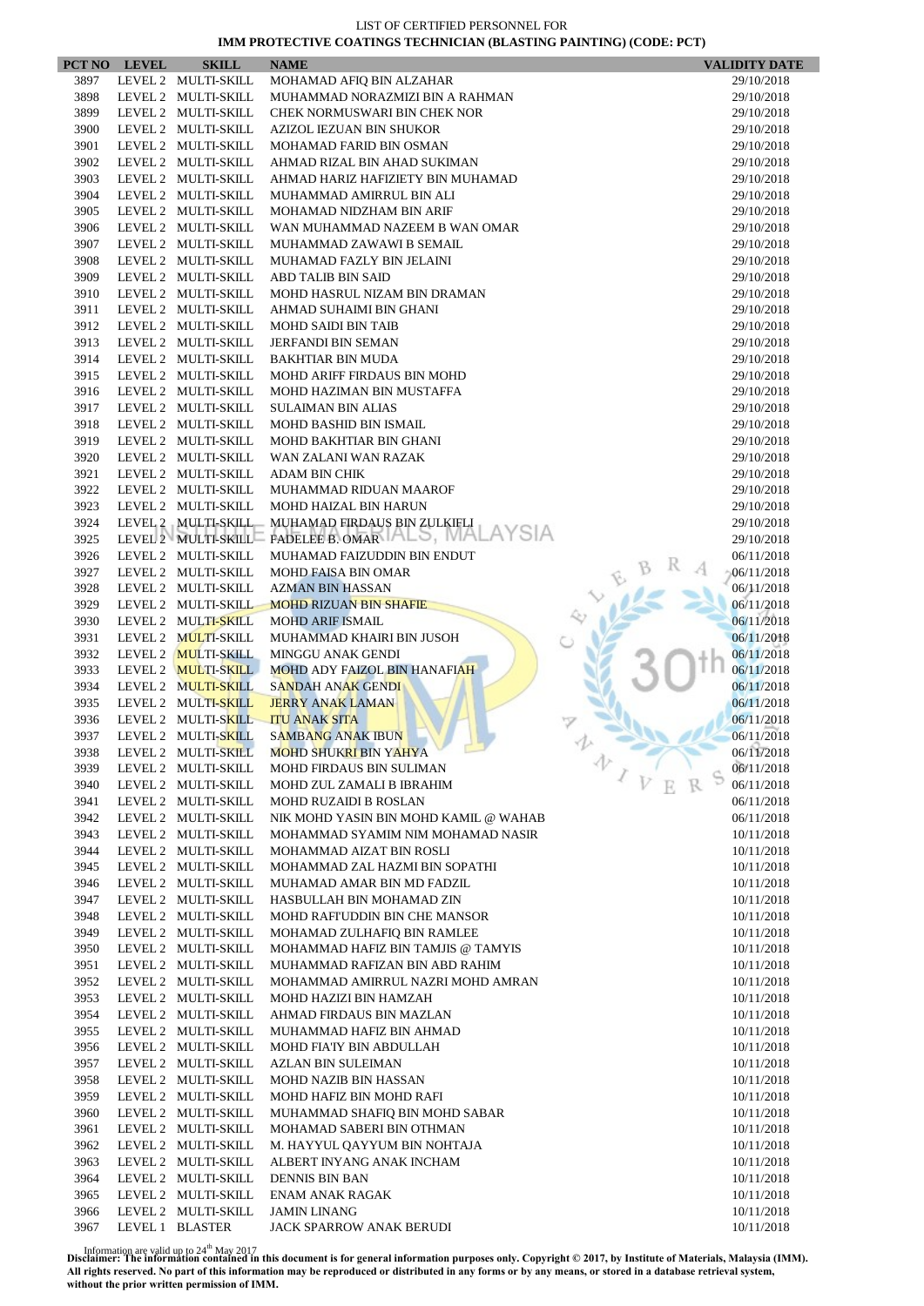|      | PCT NO LEVEL | <b>SKILL</b>        | <b>NAME</b>                                 | <b>VALIDITY DATE</b>     |
|------|--------------|---------------------|---------------------------------------------|--------------------------|
| 3897 |              | LEVEL 2 MULTI-SKILL | MOHAMAD AFIQ BIN ALZAHAR                    | 29/10/2018               |
| 3898 |              | LEVEL 2 MULTI-SKILL | MUHAMMAD NORAZMIZI BIN A RAHMAN             | 29/10/2018               |
| 3899 |              | LEVEL 2 MULTI-SKILL | CHEK NORMUSWARI BIN CHEK NOR                | 29/10/2018               |
| 3900 |              | LEVEL 2 MULTI-SKILL | AZIZOL IEZUAN BIN SHUKOR                    | 29/10/2018               |
| 3901 |              | LEVEL 2 MULTI-SKILL | MOHAMAD FARID BIN OSMAN                     | 29/10/2018               |
| 3902 |              | LEVEL 2 MULTI-SKILL | AHMAD RIZAL BIN AHAD SUKIMAN                | 29/10/2018               |
| 3903 |              | LEVEL 2 MULTI-SKILL | AHMAD HARIZ HAFIZIETY BIN MUHAMAD           | 29/10/2018               |
| 3904 |              | LEVEL 2 MULTI-SKILL | MUHAMMAD AMIRRUL BIN ALI                    | 29/10/2018               |
| 3905 |              | LEVEL 2 MULTI-SKILL | MOHAMAD NIDZHAM BIN ARIF                    | 29/10/2018               |
| 3906 |              | LEVEL 2 MULTI-SKILL | WAN MUHAMMAD NAZEEM B WAN OMAR              | 29/10/2018               |
| 3907 |              | LEVEL 2 MULTI-SKILL | MUHAMMAD ZAWAWI B SEMAIL                    | 29/10/2018               |
| 3908 |              | LEVEL 2 MULTI-SKILL | MUHAMAD FAZLY BIN JELAINI                   | 29/10/2018               |
| 3909 |              | LEVEL 2 MULTI-SKILL | <b>ABD TALIB BIN SAID</b>                   | 29/10/2018               |
| 3910 |              | LEVEL 2 MULTI-SKILL | MOHD HASRUL NIZAM BIN DRAMAN                | 29/10/2018               |
| 3911 |              | LEVEL 2 MULTI-SKILL | AHMAD SUHAIMI BIN GHANI                     | 29/10/2018               |
| 3912 |              | LEVEL 2 MULTI-SKILL | <b>MOHD SAIDI BIN TAIB</b>                  | 29/10/2018               |
| 3913 |              | LEVEL 2 MULTI-SKILL | <b>JERFANDI BIN SEMAN</b>                   | 29/10/2018               |
| 3914 |              | LEVEL 2 MULTI-SKILL | <b>BAKHTIAR BIN MUDA</b>                    | 29/10/2018               |
| 3915 |              | LEVEL 2 MULTI-SKILL | MOHD ARIFF FIRDAUS BIN MOHD                 | 29/10/2018               |
| 3916 |              | LEVEL 2 MULTI-SKILL | MOHD HAZIMAN BIN MUSTAFFA                   | 29/10/2018               |
| 3917 |              | LEVEL 2 MULTI-SKILL | <b>SULAIMAN BIN ALIAS</b>                   | 29/10/2018               |
| 3918 |              | LEVEL 2 MULTI-SKILL | <b>MOHD BASHID BIN ISMAIL</b>               | 29/10/2018               |
| 3919 |              | LEVEL 2 MULTI-SKILL | MOHD BAKHTIAR BIN GHANI                     | 29/10/2018               |
| 3920 |              | LEVEL 2 MULTI-SKILL | WAN ZALANI WAN RAZAK                        | 29/10/2018               |
| 3921 |              | LEVEL 2 MULTI-SKILL | <b>ADAM BIN CHIK</b>                        | 29/10/2018               |
| 3922 |              | LEVEL 2 MULTI-SKILL | MUHAMMAD RIDUAN MAAROF                      | 29/10/2018               |
| 3923 |              | LEVEL 2 MULTI-SKILL | MOHD HAIZAL BIN HARUN                       | 29/10/2018               |
| 3924 |              | LEVEL 2 MULTI-SKILL | MUHAMAD FIRDAUS BIN ZULKIFLI                | 29/10/2018               |
| 3925 |              |                     | LEVEL 2 MULTI-SKILL FADELEE B. OMAR ALO, MA | 29/10/2018               |
| 3926 |              | LEVEL 2 MULTI-SKILL | MUHAMAD FAIZUDDIN BIN ENDUT                 | 06/11/2018               |
| 3927 |              | LEVEL 2 MULTI-SKILL | <b>MOHD FAISA BIN OMAR</b>                  | 06/11/2018               |
| 3928 |              | LEVEL 2 MULTI-SKILL | <b>AZMAN BIN HASSAN</b>                     | 06/11/2018               |
| 3929 |              | LEVEL 2 MULTI-SKILL | <b>MOHD RIZUAN BIN SHAFIE</b>               | 06/11/2018               |
| 3930 |              | LEVEL 2 MULTI-SKILL | <b>MOHD ARIF ISMAIL</b>                     | 06/11/2018               |
| 3931 |              | LEVEL 2 MULTI-SKILL | MUHAMMAD KHAIRI BIN JUSOH                   | 06/11/2018               |
| 3932 |              | LEVEL 2 MULTI-SKILL | MINGGU ANAK GENDI                           | 06/11/2018               |
| 3933 |              | LEVEL 2 MULTI-SKILL | <b>MOHD ADY FAIZOL BIN HANAFIAH</b>         | 06/11/2018               |
| 3934 |              | LEVEL 2 MULTI-SKILL | <b>SANDAH ANAK GENDI</b>                    | 06/11/2018               |
| 3935 |              | LEVEL 2 MULTI-SKILL | <b>JERRY ANAK LAMAN</b>                     | 06/11/2018               |
| 3936 |              | LEVEL 2 MULTI-SKILL | <b>ITU ANAK SITA</b>                        | 06/11/2018               |
| 3937 |              | LEVEL 2 MULTI-SKILL | <b>SAMBANG ANAK IBUN</b>                    | 06/11/2018               |
| 3938 |              | LEVEL 2 MULTI-SKILL | <b>MOHD SHUKRI BIN YAHYA</b>                | 06/11/2018               |
| 3939 |              | LEVEL 2 MULTI-SKILL | MOHD FIRDAUS BIN SULIMAN                    | 办<br>06/11/2018          |
| 3940 |              | LEVEL 2 MULTI-SKILL | MOHD ZUL ZAMALI B IBRAHIM                   | 06/11/2018               |
| 3941 |              | LEVEL 2 MULTI-SKILL | <b>MOHD RUZAIDI B ROSLAN</b>                | 06/11/2018               |
| 3942 |              | LEVEL 2 MULTI-SKILL | NIK MOHD YASIN BIN MOHD KAMIL @ WAHAB       | 06/11/2018               |
| 3943 |              | LEVEL 2 MULTI-SKILL | MOHAMMAD SYAMIM NIM MOHAMAD NASIR           | 10/11/2018               |
| 3944 |              | LEVEL 2 MULTI-SKILL | MOHAMMAD AIZAT BIN ROSLI                    | 10/11/2018               |
| 3945 |              | LEVEL 2 MULTI-SKILL | MOHAMMAD ZAL HAZMI BIN SOPATHI              | 10/11/2018               |
| 3946 |              | LEVEL 2 MULTI-SKILL | MUHAMAD AMAR BIN MD FADZIL                  | 10/11/2018               |
| 3947 |              | LEVEL 2 MULTI-SKILL | HASBULLAH BIN MOHAMAD ZIN                   | 10/11/2018               |
| 3948 |              | LEVEL 2 MULTI-SKILL | MOHD RAFI'UDDIN BIN CHE MANSOR              | 10/11/2018               |
| 3949 |              | LEVEL 2 MULTI-SKILL | MOHAMAD ZULHAFIQ BIN RAMLEE                 | 10/11/2018               |
| 3950 |              | LEVEL 2 MULTI-SKILL | MOHAMMAD HAFIZ BIN TAMJIS @ TAMYIS          | 10/11/2018               |
| 3951 |              | LEVEL 2 MULTI-SKILL | MUHAMMAD RAFIZAN BIN ABD RAHIM              | 10/11/2018               |
| 3952 |              | LEVEL 2 MULTI-SKILL | MOHAMMAD AMIRRUL NAZRI MOHD AMRAN           | 10/11/2018               |
| 3953 |              | LEVEL 2 MULTI-SKILL | MOHD HAZIZI BIN HAMZAH                      | 10/11/2018               |
| 3954 |              | LEVEL 2 MULTI-SKILL | AHMAD FIRDAUS BIN MAZLAN                    | 10/11/2018               |
| 3955 |              | LEVEL 2 MULTI-SKILL | MUHAMMAD HAFIZ BIN AHMAD                    | 10/11/2018               |
| 3956 |              | LEVEL 2 MULTI-SKILL | MOHD FIA'IY BIN ABDULLAH                    | 10/11/2018               |
| 3957 |              | LEVEL 2 MULTI-SKILL | AZLAN BIN SULEIMAN                          | 10/11/2018               |
| 3958 |              | LEVEL 2 MULTI-SKILL | MOHD NAZIB BIN HASSAN                       | 10/11/2018               |
| 3959 |              | LEVEL 2 MULTI-SKILL | MOHD HAFIZ BIN MOHD RAFI                    | 10/11/2018               |
| 3960 |              | LEVEL 2 MULTI-SKILL | MUHAMMAD SHAFIQ BIN MOHD SABAR              | 10/11/2018               |
| 3961 |              | LEVEL 2 MULTI-SKILL | MOHAMAD SABERI BIN OTHMAN                   | 10/11/2018               |
| 3962 |              | LEVEL 2 MULTI-SKILL | M. HAYYUL QAYYUM BIN NOHTAJA                | 10/11/2018               |
| 3963 |              | LEVEL 2 MULTI-SKILL | ALBERT INYANG ANAK INCHAM                   | 10/11/2018               |
| 3964 |              | LEVEL 2 MULTI-SKILL |                                             |                          |
| 3965 |              | LEVEL 2 MULTI-SKILL | DENNIS BIN BAN<br>ENAM ANAK RAGAK           | 10/11/2018<br>10/11/2018 |
| 3966 |              | LEVEL 2 MULTI-SKILL | <b>JAMIN LINANG</b>                         | 10/11/2018               |
| 3967 |              | LEVEL 1 BLASTER     | JACK SPARROW ANAK BERUDI                    | 10/11/2018               |
|      |              |                     |                                             |                          |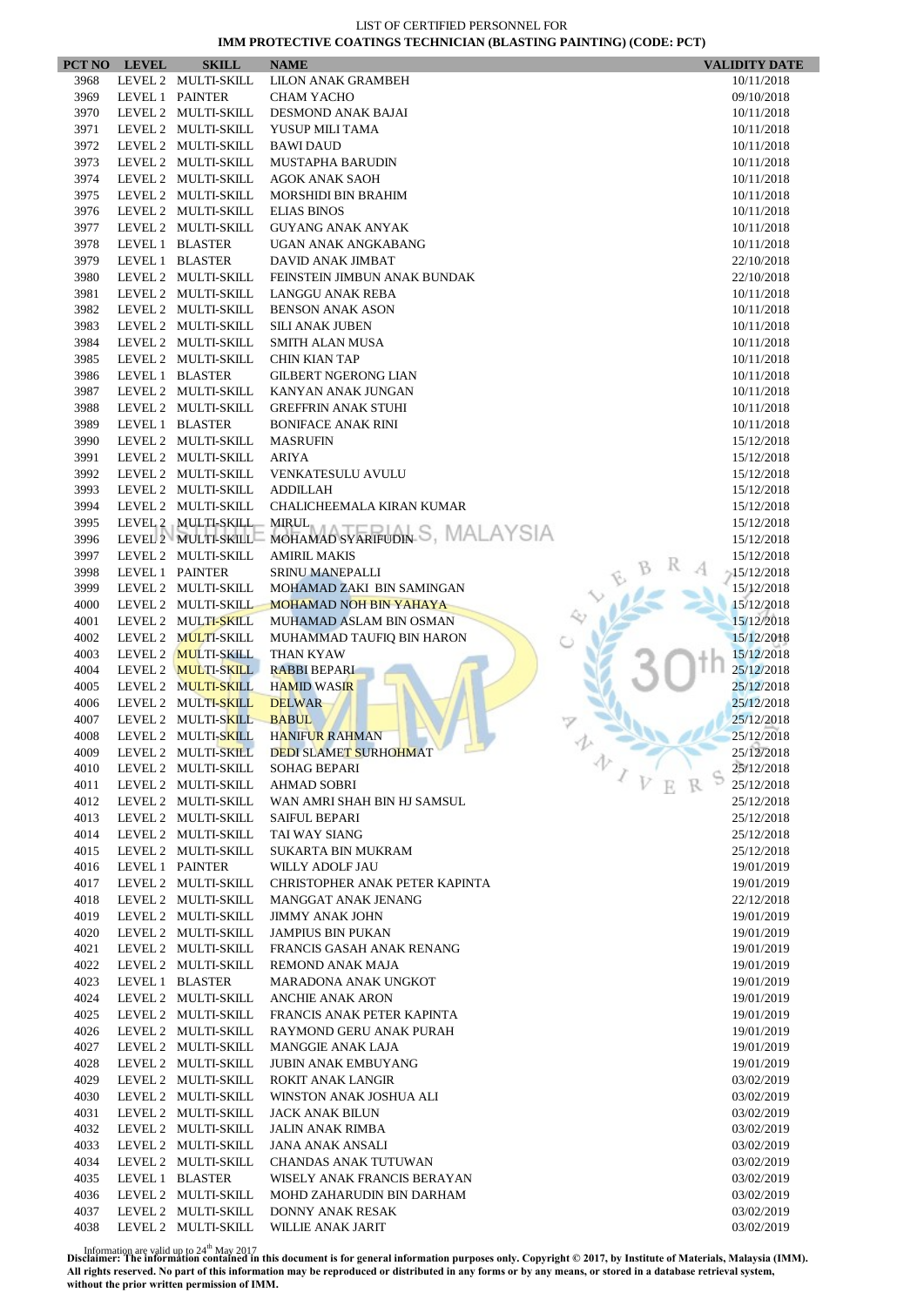|      | PCT NO LEVEL | <b>SKILL</b>        | <b>NAME</b>                    | <b>VALIDITY DATE</b> |
|------|--------------|---------------------|--------------------------------|----------------------|
| 3968 |              | LEVEL 2 MULTI-SKILL | <b>LILON ANAK GRAMBEH</b>      | 10/11/2018           |
| 3969 |              | LEVEL 1 PAINTER     | <b>CHAM YACHO</b>              | 09/10/2018           |
| 3970 |              | LEVEL 2 MULTI-SKILL | DESMOND ANAK BAJAI             | 10/11/2018           |
| 3971 |              | LEVEL 2 MULTI-SKILL | YUSUP MILI TAMA                | 10/11/2018           |
| 3972 |              | LEVEL 2 MULTI-SKILL | <b>BAWI DAUD</b>               | 10/11/2018           |
| 3973 |              | LEVEL 2 MULTI-SKILL | <b>MUSTAPHA BARUDIN</b>        | 10/11/2018           |
| 3974 |              | LEVEL 2 MULTI-SKILL | <b>AGOK ANAK SAOH</b>          | 10/11/2018           |
| 3975 |              | LEVEL 2 MULTI-SKILL | <b>MORSHIDI BIN BRAHIM</b>     | 10/11/2018           |
| 3976 |              | LEVEL 2 MULTI-SKILL | <b>ELIAS BINOS</b>             | 10/11/2018           |
| 3977 |              | LEVEL 2 MULTI-SKILL | <b>GUYANG ANAK ANYAK</b>       | 10/11/2018           |
| 3978 |              | LEVEL 1 BLASTER     | UGAN ANAK ANGKABANG            | 10/11/2018           |
| 3979 |              | LEVEL 1 BLASTER     | DAVID ANAK JIMBAT              | 22/10/2018           |
| 3980 |              | LEVEL 2 MULTI-SKILL | FEINSTEIN JIMBUN ANAK BUNDAK   | 22/10/2018           |
| 3981 |              | LEVEL 2 MULTI-SKILL | LANGGU ANAK REBA               | 10/11/2018           |
| 3982 |              | LEVEL 2 MULTI-SKILL | <b>BENSON ANAK ASON</b>        | 10/11/2018           |
| 3983 |              | LEVEL 2 MULTI-SKILL | <b>SILI ANAK JUBEN</b>         | 10/11/2018           |
| 3984 |              | LEVEL 2 MULTI-SKILL | SMITH ALAN MUSA                | 10/11/2018           |
| 3985 |              | LEVEL 2 MULTI-SKILL | <b>CHIN KIAN TAP</b>           | 10/11/2018           |
| 3986 |              | LEVEL 1 BLASTER     | <b>GILBERT NGERONG LIAN</b>    | 10/11/2018           |
| 3987 |              | LEVEL 2 MULTI-SKILL | KANYAN ANAK JUNGAN             | 10/11/2018           |
| 3988 |              | LEVEL 2 MULTI-SKILL | <b>GREFFRIN ANAK STUHI</b>     | 10/11/2018           |
| 3989 |              | LEVEL 1 BLASTER     | <b>BONIFACE ANAK RINI</b>      | 10/11/2018           |
| 3990 |              | LEVEL 2 MULTI-SKILL | <b>MASRUFIN</b>                | 15/12/2018           |
| 3991 |              | LEVEL 2 MULTI-SKILL | <b>ARIYA</b>                   | 15/12/2018           |
| 3992 |              | LEVEL 2 MULTI-SKILL | VENKATESULU AVULU              | 15/12/2018           |
| 3993 |              | LEVEL 2 MULTI-SKILL | <b>ADDILLAH</b>                | 15/12/2018           |
| 3994 |              | LEVEL 2 MULTI-SKILL | CHALICHEEMALA KIRAN KUMAR      | 15/12/2018           |
| 3995 |              | LEVEL 2 MULTI-SKILL | <b>MIRUL</b>                   | 15/12/2018           |
| 3996 |              | LEVEL 2 MULTI-SKILL | MOHAMAD SYARIFUDIN S, MALAYSIA | 15/12/2018           |
| 3997 |              | LEVEL 2 MULTI-SKILL | <b>AMIRIL MAKIS</b>            | 15/12/2018           |
| 3998 |              | LEVEL 1 PAINTER     | <b>SRINU MANEPALLI</b>         | $-15/12/2018$        |
| 3999 |              | LEVEL 2 MULTI-SKILL | MOHAMAD ZAKI BIN SAMINGAN      | 15/12/2018           |
| 4000 |              | LEVEL 2 MULTI-SKILL | <b>MOHAMAD NOH BIN YAHAYA</b>  | 15/12/2018           |
| 4001 |              | LEVEL 2 MULTI-SKILL | MUHAMAD ASLAM BIN OSMAN        | 15/12/2018           |
| 4002 |              | LEVEL 2 MULTI-SKILL | MUHAMMAD TAUFIQ BIN HARON      | 15/12/2018           |
| 4003 |              | LEVEL 2 MULTI-SKILL | THAN KYAW                      | 15/12/2018           |
| 4004 |              | LEVEL 2 MULTI-SKILL | <b>RABBI BEPARI</b>            | 25/12/2018           |
| 4005 |              | LEVEL 2 MULTI-SKILL | <b>HAMID WASIR</b>             | 25/12/2018           |
| 4006 |              | LEVEL 2 MULTI-SKILL | <b>DELWAR</b>                  | 25/12/2018           |
| 4007 |              | LEVEL 2 MULTI-SKILL | <b>BABUL</b>                   | 25/12/2018           |
| 4008 |              | LEVEL 2 MULTI-SKILL | <b>HANIFUR RAHMAN</b>          | 25/12/2018           |
| 4009 |              | LEVEL 2 MULTI-SKILL | DEDI SLAMET SURHOHMAT          | 25/12/2018           |
| 4010 |              | LEVEL 2 MULTI-SKILL | 办<br><b>SOHAG BEPARI</b>       | 25/12/2018           |
| 4011 |              | LEVEL 2 MULTI-SKILL | <b>AHMAD SOBRI</b>             | 25/12/2018           |
| 4012 |              | LEVEL 2 MULTI-SKILL | WAN AMRI SHAH BIN HJ SAMSUL    | 25/12/2018           |
| 4013 |              | LEVEL 2 MULTI-SKILL | <b>SAIFUL BEPARI</b>           | 25/12/2018           |
| 4014 |              | LEVEL 2 MULTI-SKILL | TAI WAY SIANG                  | 25/12/2018           |
| 4015 |              | LEVEL 2 MULTI-SKILL | <b>SUKARTA BIN MUKRAM</b>      | 25/12/2018           |
| 4016 |              | LEVEL 1 PAINTER     | WILLY ADOLF JAU                | 19/01/2019           |
| 4017 |              | LEVEL 2 MULTI-SKILL | CHRISTOPHER ANAK PETER KAPINTA | 19/01/2019           |
| 4018 |              | LEVEL 2 MULTI-SKILL | MANGGAT ANAK JENANG            | 22/12/2018           |
| 4019 |              | LEVEL 2 MULTI-SKILL | <b>JIMMY ANAK JOHN</b>         | 19/01/2019           |
| 4020 |              | LEVEL 2 MULTI-SKILL | <b>JAMPIUS BIN PUKAN</b>       | 19/01/2019           |
| 4021 |              | LEVEL 2 MULTI-SKILL | FRANCIS GASAH ANAK RENANG      | 19/01/2019           |
| 4022 |              | LEVEL 2 MULTI-SKILL | <b>REMOND ANAK MAJA</b>        | 19/01/2019           |
| 4023 |              | LEVEL 1 BLASTER     | MARADONA ANAK UNGKOT           | 19/01/2019           |
| 4024 |              | LEVEL 2 MULTI-SKILL | <b>ANCHIE ANAK ARON</b>        | 19/01/2019           |
| 4025 |              | LEVEL 2 MULTI-SKILL | FRANCIS ANAK PETER KAPINTA     | 19/01/2019           |
| 4026 |              | LEVEL 2 MULTI-SKILL | RAYMOND GERU ANAK PURAH        | 19/01/2019           |
| 4027 |              | LEVEL 2 MULTI-SKILL | <b>MANGGIE ANAK LAJA</b>       | 19/01/2019           |
| 4028 |              | LEVEL 2 MULTI-SKILL | <b>JUBIN ANAK EMBUYANG</b>     | 19/01/2019           |
| 4029 |              | LEVEL 2 MULTI-SKILL | <b>ROKIT ANAK LANGIR</b>       | 03/02/2019           |
| 4030 |              | LEVEL 2 MULTI-SKILL | WINSTON ANAK JOSHUA ALI        | 03/02/2019           |
| 4031 |              | LEVEL 2 MULTI-SKILL | JACK ANAK BILUN                | 03/02/2019           |
| 4032 |              | LEVEL 2 MULTI-SKILL | JALIN ANAK RIMBA               | 03/02/2019           |
| 4033 |              | LEVEL 2 MULTI-SKILL | JANA ANAK ANSALI               | 03/02/2019           |
| 4034 |              | LEVEL 2 MULTI-SKILL | CHANDAS ANAK TUTUWAN           | 03/02/2019           |
| 4035 |              | LEVEL 1 BLASTER     | WISELY ANAK FRANCIS BERAYAN    | 03/02/2019           |
| 4036 |              | LEVEL 2 MULTI-SKILL | MOHD ZAHARUDIN BIN DARHAM      | 03/02/2019           |
| 4037 |              | LEVEL 2 MULTI-SKILL | DONNY ANAK RESAK               | 03/02/2019           |
| 4038 |              | LEVEL 2 MULTI-SKILL | WILLIE ANAK JARIT              | 03/02/2019           |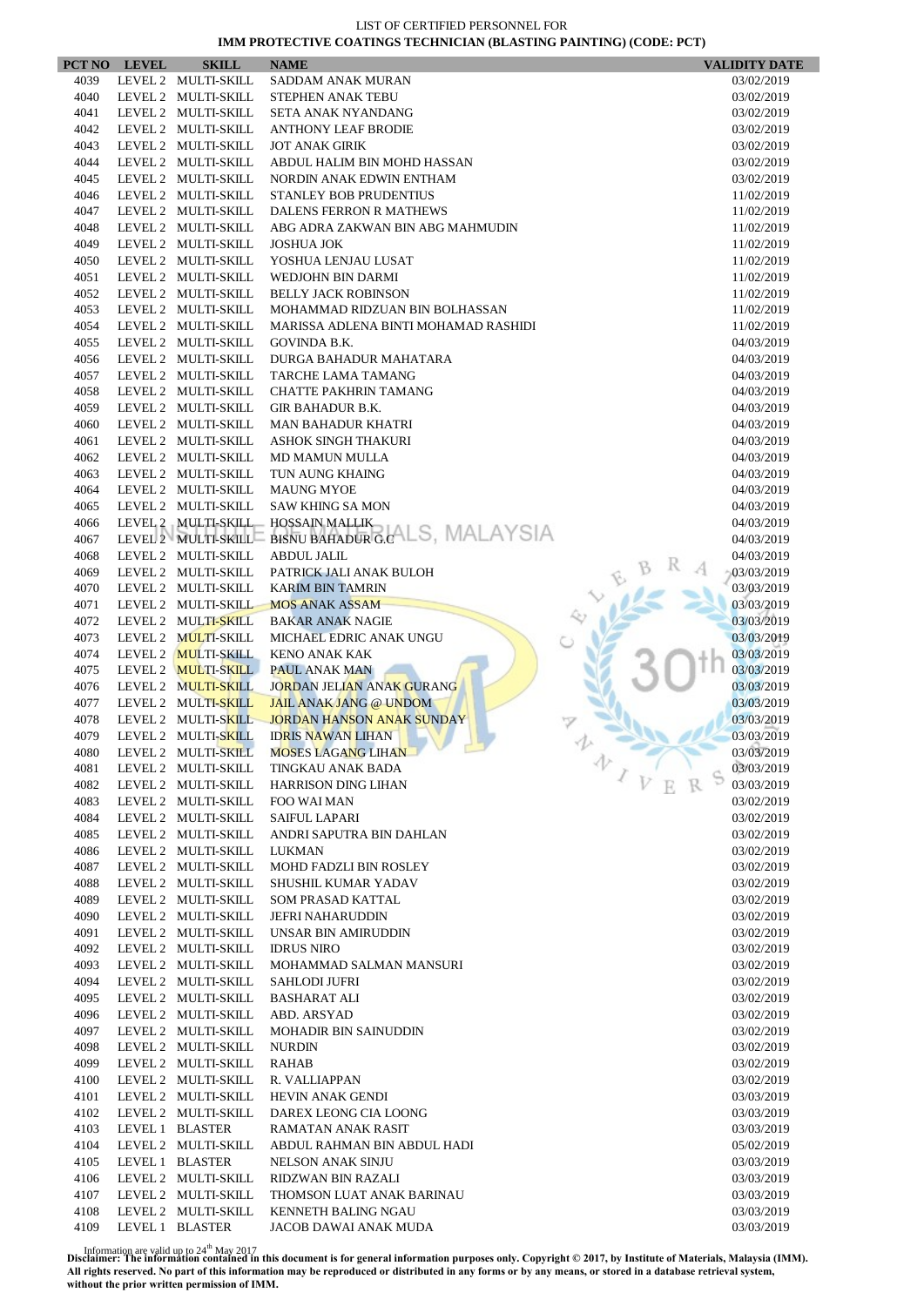|              | PCT NO LEVEL | <b>SKILL</b>        | <b>NAME</b>                           | <b>VALIDITY DATE</b>     |
|--------------|--------------|---------------------|---------------------------------------|--------------------------|
| 4039         |              | LEVEL 2 MULTI-SKILL | SADDAM ANAK MURAN                     | 03/02/2019               |
| 4040         |              | LEVEL 2 MULTI-SKILL | STEPHEN ANAK TEBU                     | 03/02/2019               |
| 4041         |              | LEVEL 2 MULTI-SKILL | SETA ANAK NYANDANG                    | 03/02/2019               |
| 4042         |              | LEVEL 2 MULTI-SKILL | <b>ANTHONY LEAF BRODIE</b>            | 03/02/2019               |
| 4043         |              | LEVEL 2 MULTI-SKILL | <b>JOT ANAK GIRIK</b>                 | 03/02/2019               |
| 4044         |              | LEVEL 2 MULTI-SKILL | ABDUL HALIM BIN MOHD HASSAN           | 03/02/2019               |
| 4045         |              | LEVEL 2 MULTI-SKILL | NORDIN ANAK EDWIN ENTHAM              | 03/02/2019               |
| 4046         |              | LEVEL 2 MULTI-SKILL | STANLEY BOB PRUDENTIUS                | 11/02/2019               |
| 4047         |              | LEVEL 2 MULTI-SKILL | DALENS FERRON R MATHEWS               | 11/02/2019               |
| 4048         |              | LEVEL 2 MULTI-SKILL | ABG ADRA ZAKWAN BIN ABG MAHMUDIN      | 11/02/2019               |
| 4049         |              | LEVEL 2 MULTI-SKILL | <b>JOSHUA JOK</b>                     | 11/02/2019               |
| 4050         |              | LEVEL 2 MULTI-SKILL | YOSHUA LENJAU LUSAT                   | 11/02/2019               |
| 4051         |              | LEVEL 2 MULTI-SKILL | WEDJOHN BIN DARMI                     | 11/02/2019               |
| 4052         |              | LEVEL 2 MULTI-SKILL | <b>BELLY JACK ROBINSON</b>            | 11/02/2019               |
| 4053         |              | LEVEL 2 MULTI-SKILL | MOHAMMAD RIDZUAN BIN BOLHASSAN        | 11/02/2019               |
| 4054         |              | LEVEL 2 MULTI-SKILL | MARISSA ADLENA BINTI MOHAMAD RASHIDI  | 11/02/2019               |
| 4055         |              | LEVEL 2 MULTI-SKILL | <b>GOVINDA B.K.</b>                   | 04/03/2019               |
| 4056         |              | LEVEL 2 MULTI-SKILL | DURGA BAHADUR MAHATARA                | 04/03/2019               |
| 4057         |              | LEVEL 2 MULTI-SKILL | TARCHE LAMA TAMANG                    | 04/03/2019               |
| 4058         |              | LEVEL 2 MULTI-SKILL | <b>CHATTE PAKHRIN TAMANG</b>          | 04/03/2019               |
| 4059         |              | LEVEL 2 MULTI-SKILL | <b>GIR BAHADUR B.K.</b>               | 04/03/2019               |
| 4060         |              | LEVEL 2 MULTI-SKILL | <b>MAN BAHADUR KHATRI</b>             | 04/03/2019               |
| 4061         |              | LEVEL 2 MULTI-SKILL | ASHOK SINGH THAKURI                   | 04/03/2019               |
| 4062         |              | LEVEL 2 MULTI-SKILL | <b>MD MAMUN MULLA</b>                 | 04/03/2019               |
| 4063         |              | LEVEL 2 MULTI-SKILL | TUN AUNG KHAING                       | 04/03/2019               |
| 4064         |              | LEVEL 2 MULTI-SKILL | <b>MAUNG MYOE</b>                     | 04/03/2019               |
| 4065         |              | LEVEL 2 MULTI-SKILL | <b>SAW KHING SA MON</b>               | 04/03/2019               |
| 4066         |              | LEVEL 2 MULTI-SKILL | <b>HOSSAIN MALLIK</b>                 | 04/03/2019               |
| 4067         |              | LEVEL 2 MULTI-SKILL | <b>BISNU BAHADUR G.CALS, MALAYSIA</b> | 04/03/2019               |
| 4068         |              | LEVEL 2 MULTI-SKILL | <b>ABDUL JALIL</b>                    | 04/03/2019               |
| 4069         |              | LEVEL 2 MULTI-SKILL | PATRICK JALI ANAK BULOH               | 03/03/2019               |
| 4070         |              | LEVEL 2 MULTI-SKILL | <b>KARIM BIN TAMRIN</b>               | 03/03/2019               |
| 4071         |              | LEVEL 2 MULTI-SKILL | <b>MOS ANAK ASSAM</b>                 | 03/03/2019               |
| 4072         |              | LEVEL 2 MULTI-SKILL | <b>BAKAR ANAK NAGIE</b>               | 03/03/2019               |
| 4073         |              | LEVEL 2 MULTI-SKILL | MICHAEL EDRIC ANAK UNGU               | 03/03/2019               |
| 4074         |              | LEVEL 2 MULTI-SKILL | <b>KENO ANAK KAK</b>                  | 03/03/2019               |
| 4075         |              | LEVEL 2 MULTI-SKILL | <b>PAUL ANAK MAN</b>                  | 03/03/2019               |
| 4076         |              | LEVEL 2 MULTI-SKILL | <b>JORDAN JELIAN ANAK GURANG</b>      | 03/03/2019               |
| 4077         |              | LEVEL 2 MULTI-SKILL | <b>JAIL ANAK JANG @ UNDOM</b>         | 03/03/2019               |
| 4078         |              | LEVEL 2 MULTI-SKILL | <b>JORDAN HANSON ANAK SUNDAY</b>      | 03/03/2019               |
| 4079         |              | LEVEL 2 MULTI-SKILL | <b>IDRIS NAWAN LIHAN</b>              | 03/03/2019               |
| 4080         |              | LEVEL 2 MULTI-SKILL | <b>MOSES LAGANG LIHAN</b>             | 03/03/2019               |
| 4081         |              | LEVEL 2 MULTI-SKILL | <b>TINGKAU ANAK BADA</b>              | v<br>03/03/2019          |
| 4082         |              | LEVEL 2 MULTI-SKILL | <b>HARRISON DING LIHAN</b>            | 03/03/2019               |
| 4083         |              | LEVEL 2 MULTI-SKILL | FOO WAI MAN                           | 03/02/2019               |
| 4084         |              | LEVEL 2 MULTI-SKILL | <b>SAIFUL LAPARI</b>                  | 03/02/2019               |
| 4085         |              | LEVEL 2 MULTI-SKILL | ANDRI SAPUTRA BIN DAHLAN              | 03/02/2019               |
| 4086         |              | LEVEL 2 MULTI-SKILL | LUKMAN                                | 03/02/2019               |
| 4087         |              | LEVEL 2 MULTI-SKILL | <b>MOHD FADZLI BIN ROSLEY</b>         | 03/02/2019               |
| 4088         |              | LEVEL 2 MULTI-SKILL | SHUSHIL KUMAR YADAV                   | 03/02/2019               |
| 4089         |              | LEVEL 2 MULTI-SKILL | SOM PRASAD KATTAL                     | 03/02/2019               |
| 4090         |              | LEVEL 2 MULTI-SKILL | <b>JEFRI NAHARUDDIN</b>               | 03/02/2019               |
| 4091         |              | LEVEL 2 MULTI-SKILL | UNSAR BIN AMIRUDDIN                   | 03/02/2019               |
| 4092         |              | LEVEL 2 MULTI-SKILL | <b>IDRUS NIRO</b>                     | 03/02/2019               |
| 4093         |              | LEVEL 2 MULTI-SKILL | MOHAMMAD SALMAN MANSURI               | 03/02/2019               |
| 4094         |              | LEVEL 2 MULTI-SKILL | <b>SAHLODI JUFRI</b>                  | 03/02/2019               |
| 4095         |              | LEVEL 2 MULTI-SKILL | <b>BASHARAT ALI</b>                   | 03/02/2019               |
| 4096         |              | LEVEL 2 MULTI-SKILL | ABD. ARSYAD                           | 03/02/2019               |
| 4097         |              | LEVEL 2 MULTI-SKILL | <b>MOHADIR BIN SAINUDDIN</b>          | 03/02/2019               |
| 4098         |              | LEVEL 2 MULTI-SKILL |                                       |                          |
| 4099         |              | LEVEL 2 MULTI-SKILL | <b>NURDIN</b>                         | 03/02/2019               |
|              |              | LEVEL 2 MULTI-SKILL | RAHAB                                 | 03/02/2019               |
| 4100<br>4101 |              | LEVEL 2 MULTI-SKILL | R. VALLIAPPAN<br>HEVIN ANAK GENDI     | 03/02/2019<br>03/03/2019 |
| 4102         |              |                     |                                       |                          |
|              |              | LEVEL 2 MULTI-SKILL | DAREX LEONG CIA LOONG                 | 03/03/2019               |
| 4103         |              | LEVEL 1 BLASTER     | RAMATAN ANAK RASIT                    | 03/03/2019               |
| 4104         |              | LEVEL 2 MULTI-SKILL | ABDUL RAHMAN BIN ABDUL HADI           | 05/02/2019               |
| 4105         |              | LEVEL 1 BLASTER     | NELSON ANAK SINJU                     | 03/03/2019               |
| 4106         |              | LEVEL 2 MULTI-SKILL | RIDZWAN BIN RAZALI                    | 03/03/2019               |
| 4107         |              | LEVEL 2 MULTI-SKILL | THOMSON LUAT ANAK BARINAU             | 03/03/2019               |
| 4108         |              | LEVEL 2 MULTI-SKILL | <b>KENNETH BALING NGAU</b>            | 03/03/2019               |
| 4109         |              | LEVEL 1 BLASTER     | JACOB DAWAI ANAK MUDA                 | 03/03/2019               |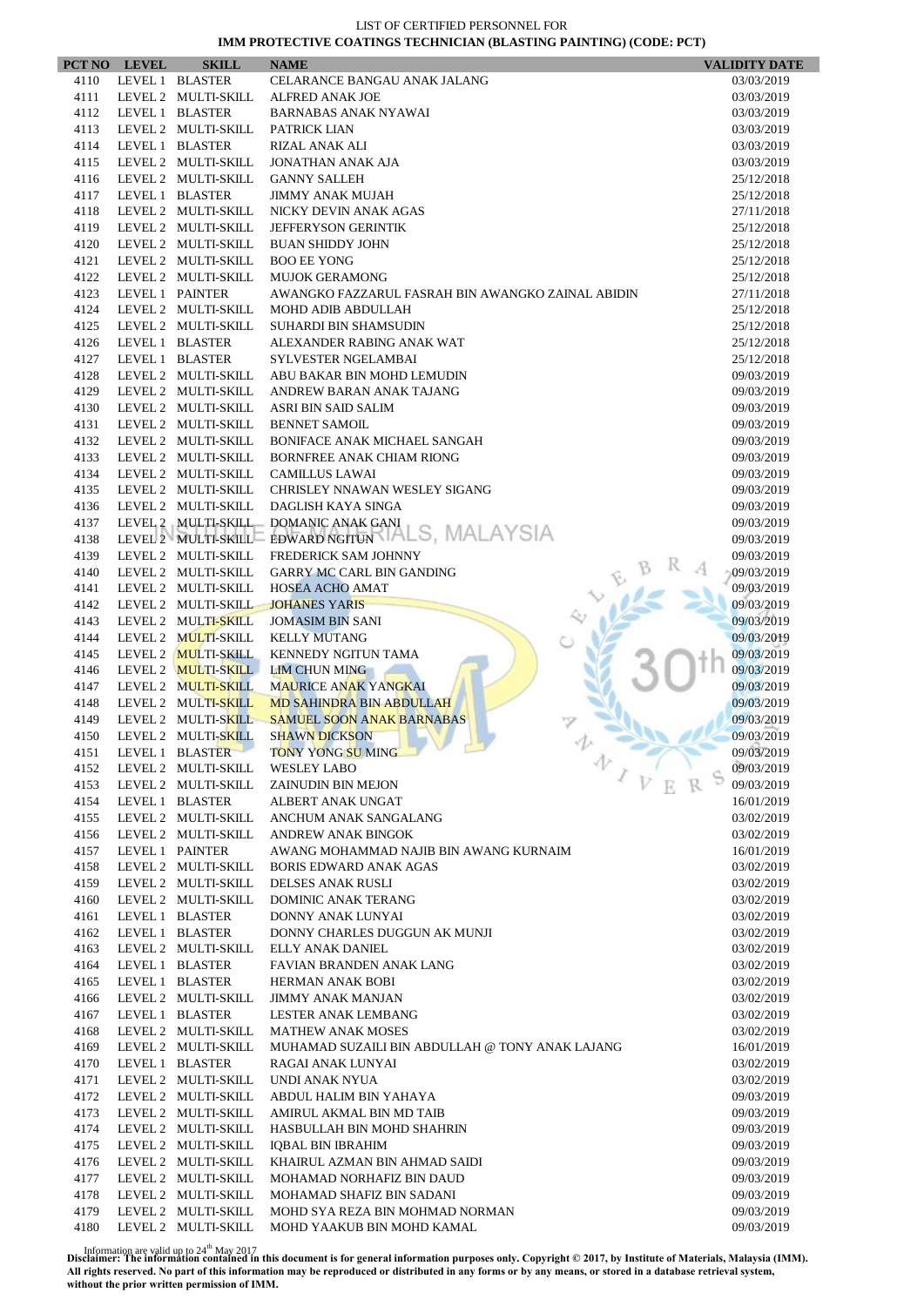|              | PCT NO LEVEL    | <b>SKILL</b>                               | <b>NAME</b>                                                                 | <b>VALIDITY DATE</b>     |
|--------------|-----------------|--------------------------------------------|-----------------------------------------------------------------------------|--------------------------|
| 4110         |                 | LEVEL 1 BLASTER                            | CELARANCE BANGAU ANAK JALANG                                                | 03/03/2019               |
| 4111         |                 | LEVEL 2 MULTI-SKILL                        | <b>ALFRED ANAK JOE</b>                                                      | 03/03/2019               |
| 4112         |                 | LEVEL 1 BLASTER                            | <b>BARNABAS ANAK NYAWAI</b>                                                 | 03/03/2019               |
| 4113         |                 | LEVEL 2 MULTI-SKILL                        | PATRICK LIAN                                                                | 03/03/2019               |
| 4114         |                 | LEVEL 1 BLASTER                            | RIZAL ANAK ALI                                                              | 03/03/2019               |
| 4115         |                 | LEVEL 2 MULTI-SKILL                        | <b>JONATHAN ANAK AJA</b>                                                    | 03/03/2019               |
| 4116<br>4117 |                 | LEVEL 2 MULTI-SKILL<br>LEVEL 1 BLASTER     | <b>GANNY SALLEH</b><br><b>JIMMY ANAK MUJAH</b>                              | 25/12/2018<br>25/12/2018 |
| 4118         |                 | LEVEL 2 MULTI-SKILL                        | NICKY DEVIN ANAK AGAS                                                       | 27/11/2018               |
| 4119         |                 | LEVEL 2 MULTI-SKILL                        | <b>JEFFERYSON GERINTIK</b>                                                  | 25/12/2018               |
| 4120         |                 | LEVEL 2 MULTI-SKILL                        | <b>BUAN SHIDDY JOHN</b>                                                     | 25/12/2018               |
| 4121         |                 | LEVEL 2 MULTI-SKILL                        | <b>BOO EE YONG</b>                                                          | 25/12/2018               |
| 4122         |                 | LEVEL 2 MULTI-SKILL                        | <b>MUJOK GERAMONG</b>                                                       | 25/12/2018               |
| 4123         | LEVEL 1 PAINTER |                                            | AWANGKO FAZZARUL FASRAH BIN AWANGKO ZAINAL ABIDIN                           | 27/11/2018               |
| 4124         |                 | LEVEL 2 MULTI-SKILL                        | MOHD ADIB ABDULLAH                                                          | 25/12/2018               |
| 4125         |                 | LEVEL 2 MULTI-SKILL                        | SUHARDI BIN SHAMSUDIN                                                       | 25/12/2018               |
| 4126         |                 | LEVEL 1 BLASTER                            | ALEXANDER RABING ANAK WAT                                                   | 25/12/2018               |
| 4127         |                 | LEVEL 1 BLASTER                            | <b>SYLVESTER NGELAMBAI</b>                                                  | 25/12/2018               |
| 4128         |                 | LEVEL 2 MULTI-SKILL                        | ABU BAKAR BIN MOHD LEMUDIN                                                  | 09/03/2019               |
| 4129         |                 | LEVEL 2 MULTI-SKILL                        | ANDREW BARAN ANAK TAJANG                                                    | 09/03/2019               |
| 4130         |                 | LEVEL 2 MULTI-SKILL                        | ASRI BIN SAID SALIM                                                         | 09/03/2019               |
| 4131         |                 | LEVEL 2 MULTI-SKILL                        | <b>BENNET SAMOIL</b>                                                        | 09/03/2019               |
| 4132         |                 | LEVEL 2 MULTI-SKILL                        | <b>BONIFACE ANAK MICHAEL SANGAH</b>                                         | 09/03/2019               |
| 4133         |                 | LEVEL 2 MULTI-SKILL                        | <b>BORNFREE ANAK CHIAM RIONG</b><br><b>CAMILLUS LAWAI</b>                   | 09/03/2019               |
| 4134<br>4135 |                 | LEVEL 2 MULTI-SKILL<br>LEVEL 2 MULTI-SKILL | CHRISLEY NNAWAN WESLEY SIGANG                                               | 09/03/2019<br>09/03/2019 |
| 4136         |                 | LEVEL 2 MULTI-SKILL                        | DAGLISH KAYA SINGA                                                          | 09/03/2019               |
| 4137         |                 |                                            | LEVEL 2 MULTI-SKILL DOMANIC ANAK GANI                                       | 09/03/2019               |
| 4138         |                 |                                            | LEVEL 2 MULTI-SKILL EDWARD NGITUN ALS, MALAYSIA                             | 09/03/2019               |
| 4139         |                 | LEVEL 2 MULTI-SKILL                        | FREDERICK SAM JOHNNY                                                        | 09/03/2019               |
| 4140         |                 | LEVEL 2 MULTI-SKILL                        | <b>GARRY MC CARL BIN GANDING</b>                                            | 09/03/2019               |
| 4141         |                 | LEVEL 2 MULTI-SKILL                        | <b>HOSEA ACHO AMAT</b>                                                      | 09/03/2019               |
| 4142         |                 | LEVEL 2 MULTI-SKILL                        | <b>JOHANES YARIS</b>                                                        | 09/03/2019               |
| 4143         |                 | LEVEL 2 MULTI-SKILL                        | <b>JOMASIM BIN SANI</b>                                                     | 09/03/2019               |
| 4144         |                 | LEVEL 2 MULTI-SKILL                        | <b>KELLY MUTANG</b>                                                         | 09/03/2019               |
| 4145         |                 | LEVEL 2 MULTI-SKILL                        | KENNEDY NGITUN TAMA                                                         | 09/03/2019               |
| 4146         |                 | LEVEL 2 MULTI-SKILL                        | <b>LIM CHUN MING</b>                                                        | 09/03/2019               |
| 4147         |                 | LEVEL 2 MULTI-SKILL                        | <b>MAURICE ANAK YANGKAI</b>                                                 | 09/03/2019               |
| 4148         |                 | LEVEL 2 MULTI-SKILL                        | <b>MD SAHINDRA BIN ABDULLAH</b>                                             | 09/03/2019               |
| 4149         |                 | LEVEL 2 MULTI-SKILL                        | <b>SAMUEL SOON ANAK BARNABAS</b>                                            | 09/03/2019               |
| 4150<br>4151 |                 | LEVEL 2 MULTI-SKILL<br>LEVEL 1 BLASTER     | <b>SHAWN DICKSON</b><br>TONY YONG SU MING                                   | 09/03/2019<br>09/03/2019 |
| 4152         |                 | LEVEL 2 MULTI-SKILL                        | 办<br><b>WESLEY LABO</b>                                                     | 09/03/2019               |
| 4153         |                 | LEVEL 2 MULTI-SKILL                        | <b>ZAINUDIN BIN MEJON</b>                                                   | 09/03/2019               |
| 4154         |                 | LEVEL 1 BLASTER                            | ALBERT ANAK UNGAT                                                           | 16/01/2019               |
| 4155         |                 | LEVEL 2 MULTI-SKILL                        | ANCHUM ANAK SANGALANG                                                       | 03/02/2019               |
| 4156         |                 | LEVEL 2 MULTI-SKILL                        | <b>ANDREW ANAK BINGOK</b>                                                   | 03/02/2019               |
| 4157         |                 | LEVEL 1 PAINTER                            | AWANG MOHAMMAD NAJIB BIN AWANG KURNAIM                                      | 16/01/2019               |
| 4158         |                 | LEVEL 2 MULTI-SKILL                        | <b>BORIS EDWARD ANAK AGAS</b>                                               | 03/02/2019               |
| 4159         |                 | LEVEL 2 MULTI-SKILL                        | DELSES ANAK RUSLI                                                           | 03/02/2019               |
| 4160         |                 | LEVEL 2 MULTI-SKILL                        | DOMINIC ANAK TERANG                                                         | 03/02/2019               |
| 4161         |                 | LEVEL 1 BLASTER                            | DONNY ANAK LUNYAI                                                           | 03/02/2019               |
| 4162         |                 | LEVEL 1 BLASTER                            | DONNY CHARLES DUGGUN AK MUNJI                                               | 03/02/2019               |
| 4163         |                 | LEVEL 2 MULTI-SKILL                        | <b>ELLY ANAK DANIEL</b>                                                     | 03/02/2019               |
| 4164         |                 | LEVEL 1 BLASTER                            | FAVIAN BRANDEN ANAK LANG                                                    | 03/02/2019               |
| 4165         |                 | LEVEL 1 BLASTER                            | <b>HERMAN ANAK BOBI</b>                                                     | 03/02/2019               |
| 4166<br>4167 |                 | LEVEL 2 MULTI-SKILL<br>LEVEL 1 BLASTER     | <b>JIMMY ANAK MANJAN</b>                                                    | 03/02/2019               |
|              |                 |                                            | LESTER ANAK LEMBANG                                                         | 03/02/2019               |
| 4168<br>4169 |                 | LEVEL 2 MULTI-SKILL<br>LEVEL 2 MULTI-SKILL | <b>MATHEW ANAK MOSES</b><br>MUHAMAD SUZAILI BIN ABDULLAH @ TONY ANAK LAJANG | 03/02/2019<br>16/01/2019 |
| 4170         |                 | LEVEL 1 BLASTER                            | RAGAI ANAK LUNYAI                                                           | 03/02/2019               |
| 4171         |                 | LEVEL 2 MULTI-SKILL                        | UNDI ANAK NYUA                                                              | 03/02/2019               |
| 4172         |                 | LEVEL 2 MULTI-SKILL                        | ABDUL HALIM BIN YAHAYA                                                      | 09/03/2019               |
| 4173         |                 | LEVEL 2 MULTI-SKILL                        | AMIRUL AKMAL BIN MD TAIB                                                    | 09/03/2019               |
| 4174         |                 | LEVEL 2 MULTI-SKILL                        | HASBULLAH BIN MOHD SHAHRIN                                                  | 09/03/2019               |
| 4175         |                 | LEVEL 2 MULTI-SKILL                        | IQBAL BIN IBRAHIM                                                           | 09/03/2019               |
| 4176         |                 | LEVEL 2 MULTI-SKILL                        | KHAIRUL AZMAN BIN AHMAD SAIDI                                               | 09/03/2019               |
| 4177         |                 | LEVEL 2 MULTI-SKILL                        | MOHAMAD NORHAFIZ BIN DAUD                                                   | 09/03/2019               |
| 4178         |                 | LEVEL 2 MULTI-SKILL                        | MOHAMAD SHAFIZ BIN SADANI                                                   | 09/03/2019               |
| 4179         |                 | LEVEL 2 MULTI-SKILL                        | MOHD SYA REZA BIN MOHMAD NORMAN                                             | 09/03/2019               |
| 4180         |                 | LEVEL 2 MULTI-SKILL                        | MOHD YAAKUB BIN MOHD KAMAL                                                  | 09/03/2019               |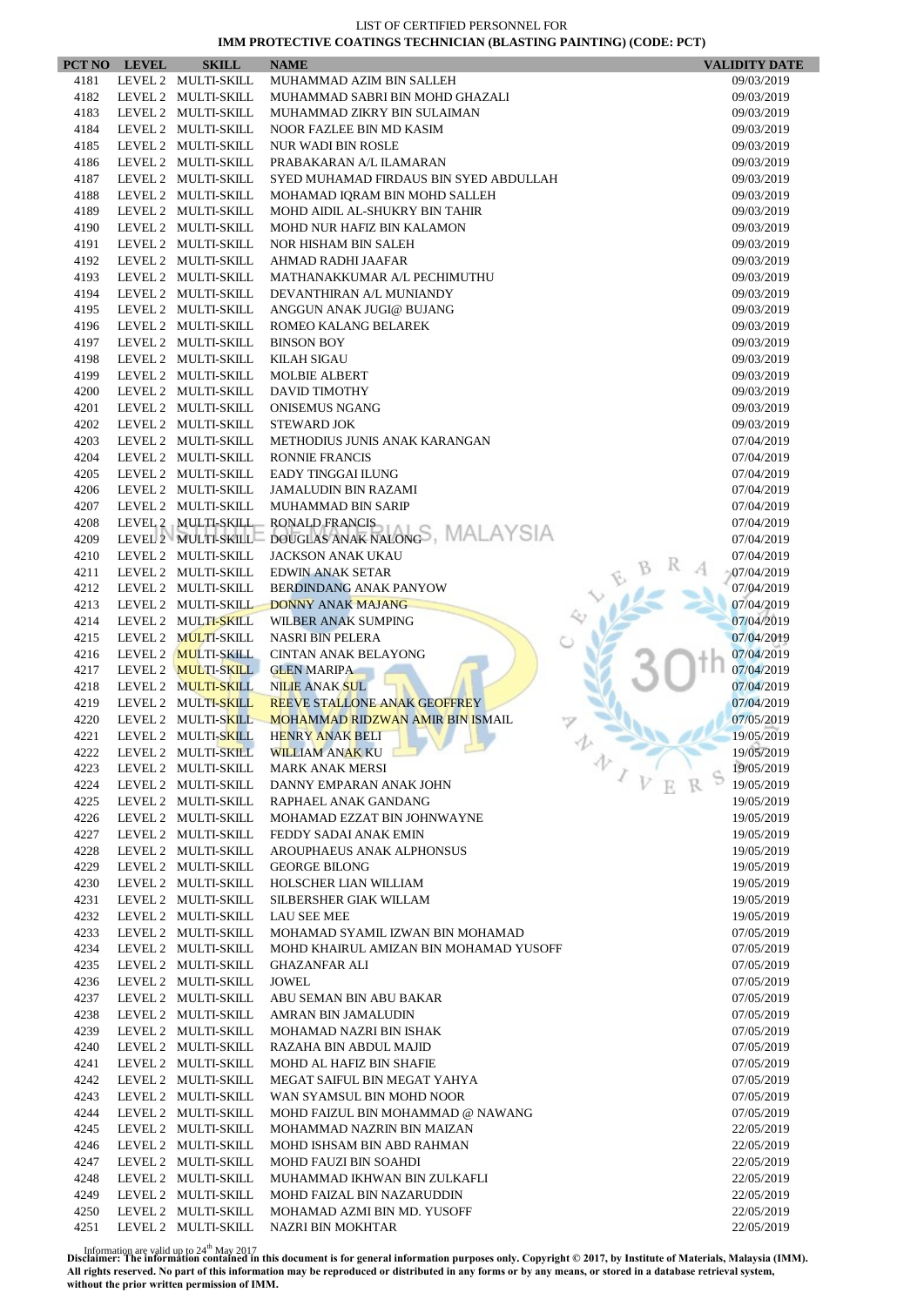| PCT NO       | <b>LEVEL</b> | <b>SKILL</b>                               | <b>NAME</b>                                                                | <b>VALIDITY DATE</b>     |
|--------------|--------------|--------------------------------------------|----------------------------------------------------------------------------|--------------------------|
| 4181         |              | LEVEL 2 MULTI-SKILL                        | MUHAMMAD AZIM BIN SALLEH                                                   | 09/03/2019               |
| 4182         |              | LEVEL 2 MULTI-SKILL                        | MUHAMMAD SABRI BIN MOHD GHAZALI                                            | 09/03/2019               |
| 4183         |              | LEVEL 2 MULTI-SKILL                        | MUHAMMAD ZIKRY BIN SULAIMAN                                                | 09/03/2019               |
| 4184         |              | LEVEL 2 MULTI-SKILL                        | NOOR FAZLEE BIN MD KASIM                                                   | 09/03/2019               |
| 4185         |              | LEVEL 2 MULTI-SKILL                        | <b>NUR WADI BIN ROSLE</b>                                                  | 09/03/2019               |
| 4186         |              | LEVEL 2 MULTI-SKILL                        | PRABAKARAN A/L ILAMARAN                                                    | 09/03/2019               |
| 4187         |              | LEVEL 2 MULTI-SKILL                        | SYED MUHAMAD FIRDAUS BIN SYED ABDULLAH                                     | 09/03/2019               |
| 4188<br>4189 |              | LEVEL 2 MULTI-SKILL<br>LEVEL 2 MULTI-SKILL | MOHAMAD IQRAM BIN MOHD SALLEH<br>MOHD AIDIL AL-SHUKRY BIN TAHIR            | 09/03/2019<br>09/03/2019 |
| 4190         |              | LEVEL 2 MULTI-SKILL                        | MOHD NUR HAFIZ BIN KALAMON                                                 | 09/03/2019               |
| 4191         |              | LEVEL 2 MULTI-SKILL                        | NOR HISHAM BIN SALEH                                                       | 09/03/2019               |
| 4192         |              | LEVEL 2 MULTI-SKILL                        | AHMAD RADHI JAAFAR                                                         | 09/03/2019               |
| 4193         |              | LEVEL 2 MULTI-SKILL                        | MATHANAKKUMAR A/L PECHIMUTHU                                               | 09/03/2019               |
| 4194         |              | LEVEL 2 MULTI-SKILL                        | DEVANTHIRAN A/L MUNIANDY                                                   | 09/03/2019               |
| 4195         |              | LEVEL 2 MULTI-SKILL                        | ANGGUN ANAK JUGI@ BUJANG                                                   | 09/03/2019               |
| 4196         |              | LEVEL 2 MULTI-SKILL                        | ROMEO KALANG BELAREK                                                       | 09/03/2019               |
| 4197         |              | LEVEL 2 MULTI-SKILL                        | <b>BINSON BOY</b>                                                          | 09/03/2019               |
| 4198         |              | LEVEL 2 MULTI-SKILL                        | <b>KILAH SIGAU</b>                                                         | 09/03/2019               |
| 4199         |              | LEVEL 2 MULTI-SKILL                        | MOLBIE ALBERT                                                              | 09/03/2019               |
| 4200         |              | LEVEL 2 MULTI-SKILL                        | <b>DAVID TIMOTHY</b>                                                       | 09/03/2019               |
| 4201         |              | LEVEL 2 MULTI-SKILL                        | <b>ONISEMUS NGANG</b>                                                      | 09/03/2019               |
| 4202         |              | LEVEL 2 MULTI-SKILL                        | <b>STEWARD JOK</b>                                                         | 09/03/2019               |
| 4203<br>4204 |              | LEVEL 2 MULTI-SKILL                        | METHODIUS JUNIS ANAK KARANGAN                                              | 07/04/2019               |
| 4205         |              | LEVEL 2 MULTI-SKILL<br>LEVEL 2 MULTI-SKILL | <b>RONNIE FRANCIS</b><br><b>EADY TINGGAI ILUNG</b>                         | 07/04/2019<br>07/04/2019 |
| 4206         |              | LEVEL 2 MULTI-SKILL                        | <b>JAMALUDIN BIN RAZAMI</b>                                                | 07/04/2019               |
| 4207         |              | LEVEL 2 MULTI-SKILL                        | <b>MUHAMMAD BIN SARIP</b>                                                  | 07/04/2019               |
| 4208         |              | LEVEL 2 MULTI-SKILL                        | <b>RONALD FRANCIS</b>                                                      | 07/04/2019               |
| 4209         |              | LEVEL 2 MULTI-SKILL                        | DOUGLAS ANAK NALONGS, MALAYSIA                                             | 07/04/2019               |
| 4210         |              | LEVEL 2 MULTI-SKILL                        | <b>JACKSON ANAK UKAU</b>                                                   | 07/04/2019               |
| 4211         |              | LEVEL 2 MULTI-SKILL                        | <b>EDWIN ANAK SETAR</b>                                                    | 07/04/2019               |
| 4212         |              | LEVEL 2 MULTI-SKILL                        | <b>BERDINDANG ANAK PANYOW</b>                                              | 07/04/2019               |
| 4213         |              | LEVEL 2 MULTI-SKILL                        | <b>DONNY ANAK MAJANG</b>                                                   | 07/04/2019               |
| 4214         |              | LEVEL 2 MULTI-SKILL                        | WILBER ANAK SUMPING                                                        | 07/04/2019               |
| 4215         |              | LEVEL 2 MULTI-SKILL                        | <b>NASRI BIN PELERA</b>                                                    | 07/04/2019               |
| 4216         |              | LEVEL 2 MULTI-SKILL                        | <b>CINTAN ANAK BELAYONG</b>                                                | 07/04/2019               |
| 4217         |              | LEVEL 2 MULTI-SKILL                        | <b>GLEN MARIPA</b>                                                         | 07/04/2019               |
| 4218         |              | LEVEL 2 MULTI-SKILL                        | <b>NILIE ANAK SUL</b>                                                      | 07/04/2019               |
| 4219<br>4220 |              | LEVEL 2 MULTI-SKILL<br>LEVEL 2 MULTI-SKILL | <b>REEVE STALLONE ANAK GEOFFREY</b><br>MOHAMMAD RIDZWAN AMIR BIN ISMAIL    | 07/04/2019<br>07/05/2019 |
| 4221         |              | LEVEL 2 MULTI-SKILL                        | <b>HENRY ANAK BELI</b>                                                     | 19/05/2019               |
| 4222         |              | LEVEL 2 MULTI-SKILL                        | WILLIAM ANAK KU                                                            | 19/05/2019               |
| 4223         |              | LEVEL 2 MULTI-SKILL                        | 办<br><b>MARK ANAK MERSI</b>                                                | 19/05/2019               |
| 4224         |              | LEVEL 2 MULTI-SKILL                        | $\mathcal{L}_{V}$<br>DANNY EMPARAN ANAK JOHN                               | 19/05/2019               |
| 4225         |              | LEVEL 2 MULTI-SKILL                        | RAPHAEL ANAK GANDANG                                                       | 19/05/2019               |
| 4226         |              | LEVEL 2 MULTI-SKILL                        | MOHAMAD EZZAT BIN JOHNWAYNE                                                | 19/05/2019               |
| 4227         |              | LEVEL 2 MULTI-SKILL                        | FEDDY SADAI ANAK EMIN                                                      | 19/05/2019               |
| 4228         |              | LEVEL 2 MULTI-SKILL                        | AROUPHAEUS ANAK ALPHONSUS                                                  | 19/05/2019               |
| 4229         |              | LEVEL 2 MULTI-SKILL                        | <b>GEORGE BILONG</b>                                                       | 19/05/2019               |
| 4230         |              | LEVEL 2 MULTI-SKILL                        | HOLSCHER LIAN WILLIAM                                                      | 19/05/2019               |
| 4231         |              | LEVEL 2 MULTI-SKILL                        | SILBERSHER GIAK WILLAM                                                     | 19/05/2019               |
| 4232         |              | LEVEL 2 MULTI-SKILL                        | <b>LAU SEE MEE</b>                                                         | 19/05/2019               |
| 4233<br>4234 |              | LEVEL 2 MULTI-SKILL                        | MOHAMAD SYAMIL IZWAN BIN MOHAMAD<br>MOHD KHAIRUL AMIZAN BIN MOHAMAD YUSOFF | 07/05/2019               |
| 4235         |              | LEVEL 2 MULTI-SKILL<br>LEVEL 2 MULTI-SKILL | <b>GHAZANFAR ALI</b>                                                       | 07/05/2019<br>07/05/2019 |
| 4236         |              | LEVEL 2 MULTI-SKILL                        | JOWEL                                                                      | 07/05/2019               |
| 4237         |              | LEVEL 2 MULTI-SKILL                        | ABU SEMAN BIN ABU BAKAR                                                    | 07/05/2019               |
| 4238         |              | LEVEL 2 MULTI-SKILL                        | AMRAN BIN JAMALUDIN                                                        | 07/05/2019               |
| 4239         |              | LEVEL 2 MULTI-SKILL                        | MOHAMAD NAZRI BIN ISHAK                                                    | 07/05/2019               |
| 4240         |              | LEVEL 2 MULTI-SKILL                        | RAZAHA BIN ABDUL MAJID                                                     | 07/05/2019               |
| 4241         |              | LEVEL 2 MULTI-SKILL                        | MOHD AL HAFIZ BIN SHAFIE                                                   | 07/05/2019               |
| 4242         |              | LEVEL 2 MULTI-SKILL                        | MEGAT SAIFUL BIN MEGAT YAHYA                                               | 07/05/2019               |
| 4243         |              | LEVEL 2 MULTI-SKILL                        | WAN SYAMSUL BIN MOHD NOOR                                                  | 07/05/2019               |
| 4244         |              | LEVEL 2 MULTI-SKILL                        | MOHD FAIZUL BIN MOHAMMAD @ NAWANG                                          | 07/05/2019               |
| 4245         |              | LEVEL 2 MULTI-SKILL                        | MOHAMMAD NAZRIN BIN MAIZAN                                                 | 22/05/2019               |
| 4246         |              | LEVEL 2 MULTI-SKILL                        | MOHD ISHSAM BIN ABD RAHMAN                                                 | 22/05/2019               |
| 4247         |              | LEVEL 2 MULTI-SKILL                        | MOHD FAUZI BIN SOAHDI                                                      | 22/05/2019               |
| 4248<br>4249 |              | LEVEL 2 MULTI-SKILL                        | MUHAMMAD IKHWAN BIN ZULKAFLI<br>MOHD FAIZAL BIN NAZARUDDIN                 | 22/05/2019               |
| 4250         |              | LEVEL 2 MULTI-SKILL<br>LEVEL 2 MULTI-SKILL | MOHAMAD AZMI BIN MD. YUSOFF                                                | 22/05/2019<br>22/05/2019 |
| 4251         |              | LEVEL 2 MULTI-SKILL                        | NAZRI BIN MOKHTAR                                                          | 22/05/2019               |
|              |              |                                            |                                                                            |                          |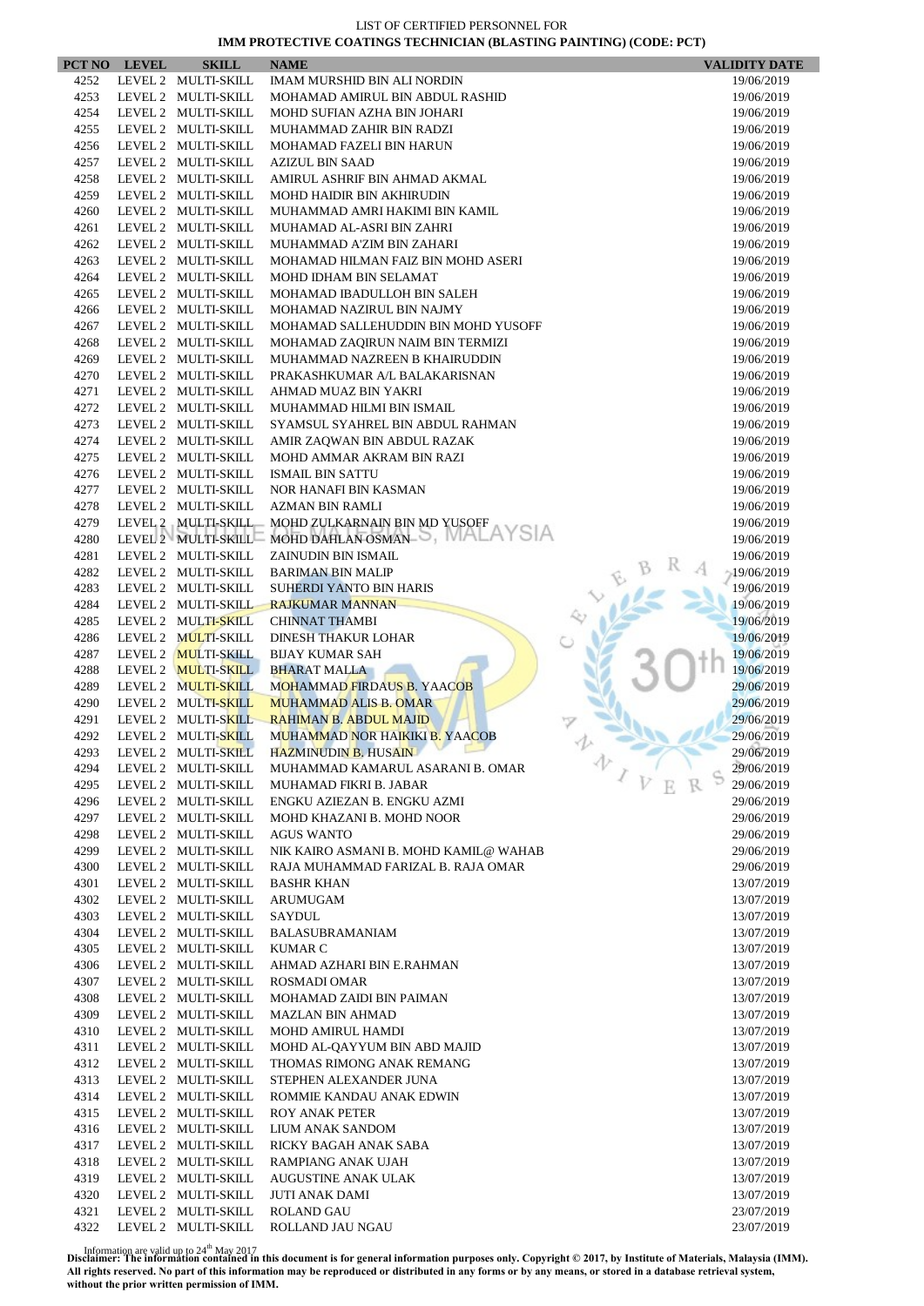|              | PCT NO LEVEL | <b>SKILL</b>                               | <b>NAME</b>                                                 | <b>VALIDITY DATE</b>     |
|--------------|--------------|--------------------------------------------|-------------------------------------------------------------|--------------------------|
| 4252         |              | LEVEL 2 MULTI-SKILL                        | <b>IMAM MURSHID BIN ALI NORDIN</b>                          | 19/06/2019               |
| 4253         |              | LEVEL 2 MULTI-SKILL                        | MOHAMAD AMIRUL BIN ABDUL RASHID                             | 19/06/2019               |
| 4254         |              | LEVEL 2 MULTI-SKILL                        | MOHD SUFIAN AZHA BIN JOHARI                                 | 19/06/2019               |
| 4255         |              | LEVEL 2 MULTI-SKILL                        | MUHAMMAD ZAHIR BIN RADZI                                    | 19/06/2019               |
| 4256         |              | LEVEL 2 MULTI-SKILL                        | MOHAMAD FAZELI BIN HARUN                                    | 19/06/2019               |
| 4257         |              | LEVEL 2 MULTI-SKILL                        | <b>AZIZUL BIN SAAD</b>                                      | 19/06/2019               |
| 4258         |              | LEVEL 2 MULTI-SKILL                        | AMIRUL ASHRIF BIN AHMAD AKMAL                               | 19/06/2019               |
| 4259<br>4260 |              | LEVEL 2 MULTI-SKILL<br>LEVEL 2 MULTI-SKILL | MOHD HAIDIR BIN AKHIRUDIN<br>MUHAMMAD AMRI HAKIMI BIN KAMIL | 19/06/2019               |
| 4261         |              | LEVEL 2 MULTI-SKILL                        | MUHAMAD AL-ASRI BIN ZAHRI                                   | 19/06/2019<br>19/06/2019 |
| 4262         |              | LEVEL 2 MULTI-SKILL                        | MUHAMMAD A'ZIM BIN ZAHARI                                   | 19/06/2019               |
| 4263         |              | LEVEL 2 MULTI-SKILL                        | MOHAMAD HILMAN FAIZ BIN MOHD ASERI                          | 19/06/2019               |
| 4264         |              | LEVEL 2 MULTI-SKILL                        | MOHD IDHAM BIN SELAMAT                                      | 19/06/2019               |
| 4265         |              | LEVEL 2 MULTI-SKILL                        | MOHAMAD IBADULLOH BIN SALEH                                 | 19/06/2019               |
| 4266         |              | LEVEL 2 MULTI-SKILL                        | MOHAMAD NAZIRUL BIN NAJMY                                   | 19/06/2019               |
| 4267         |              | LEVEL 2 MULTI-SKILL                        | MOHAMAD SALLEHUDDIN BIN MOHD YUSOFF                         | 19/06/2019               |
| 4268         |              | LEVEL 2 MULTI-SKILL                        | MOHAMAD ZAQIRUN NAIM BIN TERMIZI                            | 19/06/2019               |
| 4269         |              | LEVEL 2 MULTI-SKILL                        | MUHAMMAD NAZREEN B KHAIRUDDIN                               | 19/06/2019               |
| 4270         |              | LEVEL 2 MULTI-SKILL                        | PRAKASHKUMAR A/L BALAKARISNAN                               | 19/06/2019               |
| 4271         |              | LEVEL 2 MULTI-SKILL                        | AHMAD MUAZ BIN YAKRI                                        | 19/06/2019               |
| 4272         |              | LEVEL 2 MULTI-SKILL                        | MUHAMMAD HILMI BIN ISMAIL                                   | 19/06/2019               |
| 4273         |              | LEVEL 2 MULTI-SKILL                        | SYAMSUL SYAHREL BIN ABDUL RAHMAN                            | 19/06/2019               |
| 4274         |              | LEVEL 2 MULTI-SKILL                        | AMIR ZAQWAN BIN ABDUL RAZAK                                 | 19/06/2019               |
| 4275         |              | LEVEL 2 MULTI-SKILL                        | MOHD AMMAR AKRAM BIN RAZI                                   | 19/06/2019               |
| 4276         |              | LEVEL 2 MULTI-SKILL                        | <b>ISMAIL BIN SATTU</b>                                     | 19/06/2019               |
| 4277         |              | LEVEL 2 MULTI-SKILL                        | NOR HANAFI BIN KASMAN                                       | 19/06/2019               |
| 4278<br>4279 |              | LEVEL 2 MULTI-SKILL<br>LEVEL 2 MULTI-SKILL | AZMAN BIN RAMLI<br>MOHD ZULKARNAIN BIN MD YUSOFF            | 19/06/2019<br>19/06/2019 |
| 4280         |              | LEVEL 2 MULTI-SKILL                        | MOHD DAHLAN OSMAN                                           | 19/06/2019               |
| 4281         |              | LEVEL 2 MULTI-SKILL                        | ZAINUDIN BIN ISMAIL                                         | 19/06/2019               |
| 4282         |              | LEVEL 2 MULTI-SKILL                        | <b>BARIMAN BIN MALIP</b>                                    | 19/06/2019               |
| 4283         |              | LEVEL 2 MULTI-SKILL                        | <b>SUHERDI YANTO BIN HARIS</b>                              | 19/06/2019               |
| 4284         |              | LEVEL 2 MULTI-SKILL                        | <b>RAJKUMAR MANNAN</b>                                      | 19/06/2019               |
| 4285         |              | LEVEL 2 MULTI-SKILL                        | <b>CHINNAT THAMBI</b>                                       | 19/06/2019               |
| 4286         |              | LEVEL 2 MULTI-SKILL                        | <b>DINESH THAKUR LOHAR</b>                                  | 19/06/2019               |
| 4287         |              | LEVEL 2 MULTI-SKILL                        | <b>BIJAY KUMAR SAH</b>                                      | 19/06/2019               |
| 4288         |              | LEVEL 2 MULTI-SKILL                        | <b>BHARAT MALLA</b>                                         | 19/06/2019               |
| 4289         |              | LEVEL 2 MULTI-SKILL                        | MOHAMMAD FIRDAUS B. YAACOB                                  | 29/06/2019               |
| 4290         |              | LEVEL 2 MULTI-SKILL                        | <b>MUHAMMAD ALIS B. OMAR</b>                                | 29/06/2019               |
| 4291         |              | LEVEL 2 MULTI-SKILL                        | <b>RAHIMAN B. ABDUL MAJID</b>                               | 29/06/2019               |
| 4292         |              | LEVEL 2 MULTI-SKILL                        | MUHAMMAD NOR HAIKIKI B. YAACOB                              | 29/06/2019               |
| 4293         |              | LEVEL 2 MULTI-SKILL                        | <b>HAZMINUDIN B. HUSAIN</b>                                 | 29/06/2019<br>办          |
| 4294         |              | LEVEL 2 MULTI-SKILL                        | MUHAMMAD KAMARUL ASARANI B. OMAR                            | 29/06/2019               |
| 4295         |              | LEVEL 2 MULTI-SKILL<br>LEVEL 2 MULTI-SKILL | MUHAMAD FIKRI B. JABAR<br>ENGKU AZIEZAN B. ENGKU AZMI       | 29/06/2019               |
| 4296<br>4297 |              | LEVEL 2 MULTI-SKILL                        | MOHD KHAZANI B. MOHD NOOR                                   | 29/06/2019<br>29/06/2019 |
| 4298         |              | LEVEL 2 MULTI-SKILL                        | <b>AGUS WANTO</b>                                           | 29/06/2019               |
| 4299         |              | LEVEL 2 MULTI-SKILL                        | NIK KAIRO ASMANI B. MOHD KAMIL@ WAHAB                       | 29/06/2019               |
| 4300         |              | LEVEL 2 MULTI-SKILL                        | RAJA MUHAMMAD FARIZAL B. RAJA OMAR                          | 29/06/2019               |
| 4301         |              | LEVEL 2 MULTI-SKILL                        | <b>BASHR KHAN</b>                                           | 13/07/2019               |
| 4302         |              | LEVEL 2 MULTI-SKILL                        | ARUMUGAM                                                    | 13/07/2019               |
| 4303         |              | LEVEL 2 MULTI-SKILL                        | SAYDUL                                                      | 13/07/2019               |
| 4304         |              | LEVEL 2 MULTI-SKILL                        | <b>BALASUBRAMANIAM</b>                                      | 13/07/2019               |
| 4305         |              | LEVEL 2 MULTI-SKILL                        | <b>KUMAR C</b>                                              | 13/07/2019               |
| 4306         |              | LEVEL 2 MULTI-SKILL                        | AHMAD AZHARI BIN E.RAHMAN                                   | 13/07/2019               |
| 4307         |              | LEVEL 2 MULTI-SKILL                        | ROSMADI OMAR                                                | 13/07/2019               |
| 4308         |              | LEVEL 2 MULTI-SKILL                        | MOHAMAD ZAIDI BIN PAIMAN                                    | 13/07/2019               |
| 4309         |              | LEVEL 2 MULTI-SKILL                        | <b>MAZLAN BIN AHMAD</b>                                     | 13/07/2019               |
| 4310         |              | LEVEL 2 MULTI-SKILL                        | MOHD AMIRUL HAMDI                                           | 13/07/2019               |
| 4311         |              | LEVEL 2 MULTI-SKILL                        | MOHD AL-QAYYUM BIN ABD MAJID                                | 13/07/2019               |
| 4312         |              | LEVEL 2 MULTI-SKILL                        | THOMAS RIMONG ANAK REMANG                                   | 13/07/2019               |
| 4313<br>4314 |              | LEVEL 2 MULTI-SKILL                        | STEPHEN ALEXANDER JUNA                                      | 13/07/2019               |
| 4315         |              | LEVEL 2 MULTI-SKILL<br>LEVEL 2 MULTI-SKILL | ROMMIE KANDAU ANAK EDWIN<br>ROY ANAK PETER                  | 13/07/2019               |
| 4316         |              | LEVEL 2 MULTI-SKILL                        | LIUM ANAK SANDOM                                            | 13/07/2019<br>13/07/2019 |
| 4317         |              | LEVEL 2 MULTI-SKILL                        | RICKY BAGAH ANAK SABA                                       | 13/07/2019               |
| 4318         |              | LEVEL 2 MULTI-SKILL                        | RAMPIANG ANAK UJAH                                          | 13/07/2019               |
| 4319         |              | LEVEL 2 MULTI-SKILL                        | AUGUSTINE ANAK ULAK                                         | 13/07/2019               |
| 4320         |              | LEVEL 2 MULTI-SKILL                        | JUTI ANAK DAMI                                              | 13/07/2019               |
| 4321         |              | LEVEL 2 MULTI-SKILL                        | <b>ROLAND GAU</b>                                           | 23/07/2019               |
| 4322         |              | LEVEL 2 MULTI-SKILL                        | ROLLAND JAU NGAU                                            | 23/07/2019               |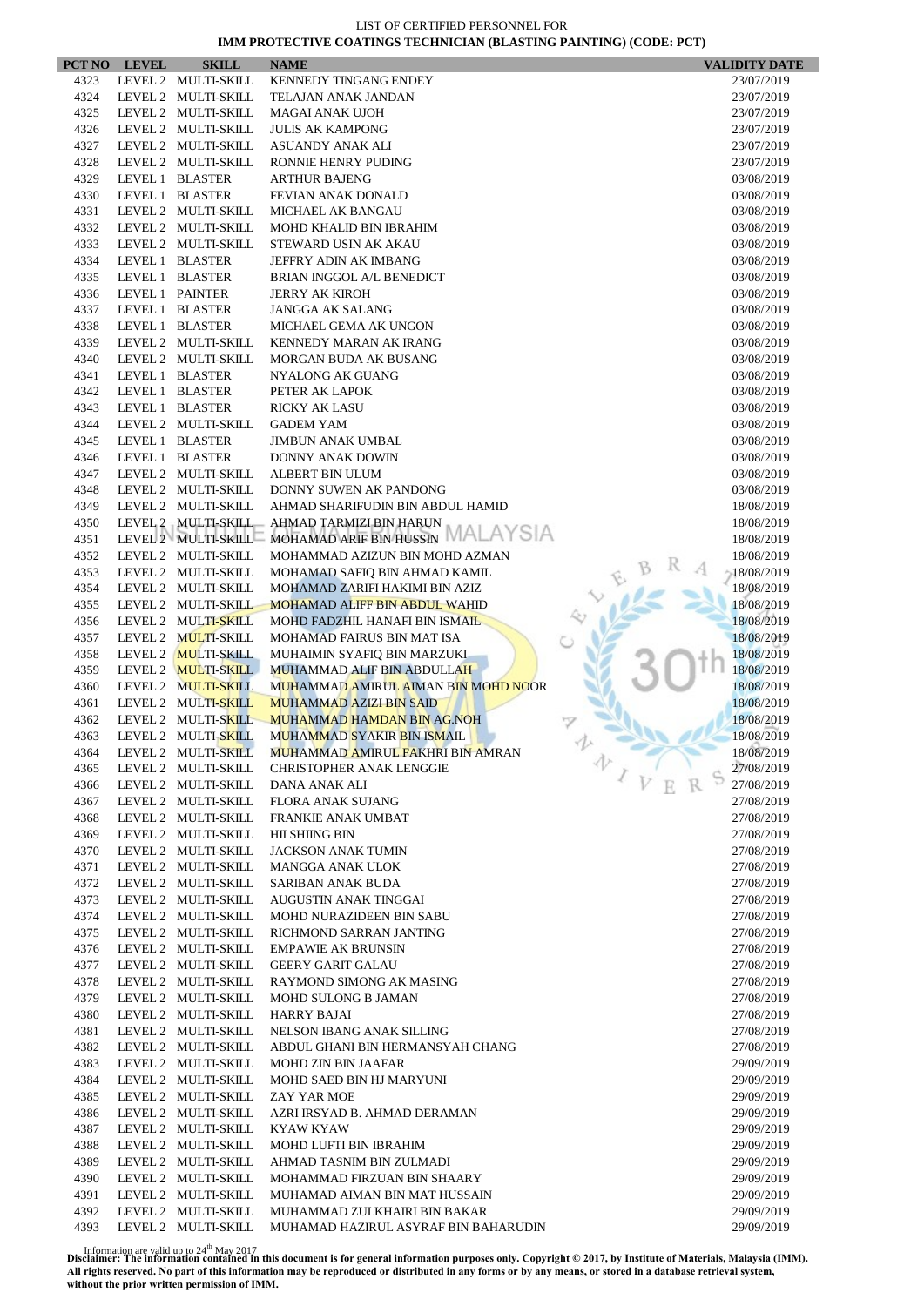$\overline{\phantom{a}}$ 

| PCT NO | <b>LEVEL</b> | <b>SKILL</b>        | <b>NAME</b>                          | <b>VALIDITY DATE</b>     |
|--------|--------------|---------------------|--------------------------------------|--------------------------|
| 4323   |              | LEVEL 2 MULTI-SKILL | <b>KENNEDY TINGANG ENDEY</b>         | 23/07/2019               |
| 4324   |              | LEVEL 2 MULTI-SKILL | TELAJAN ANAK JANDAN                  | 23/07/2019               |
| 4325   |              | LEVEL 2 MULTI-SKILL | <b>MAGAI ANAK UJOH</b>               | 23/07/2019               |
| 4326   |              | LEVEL 2 MULTI-SKILL | <b>JULIS AK KAMPONG</b>              | 23/07/2019               |
| 4327   |              | LEVEL 2 MULTI-SKILL | ASUANDY ANAK ALI                     | 23/07/2019               |
| 4328   |              | LEVEL 2 MULTI-SKILL | RONNIE HENRY PUDING                  | 23/07/2019               |
| 4329   |              | LEVEL 1 BLASTER     | <b>ARTHUR BAJENG</b>                 | 03/08/2019               |
| 4330   |              | LEVEL 1 BLASTER     | FEVIAN ANAK DONALD                   | 03/08/2019               |
| 4331   |              | LEVEL 2 MULTI-SKILL | MICHAEL AK BANGAU                    | 03/08/2019               |
| 4332   |              | LEVEL 2 MULTI-SKILL | <b>MOHD KHALID BIN IBRAHIM</b>       | 03/08/2019               |
| 4333   |              | LEVEL 2 MULTI-SKILL | STEWARD USIN AK AKAU                 | 03/08/2019               |
| 4334   |              | LEVEL 1 BLASTER     | JEFFRY ADIN AK IMBANG                | 03/08/2019               |
| 4335   |              | LEVEL 1 BLASTER     | BRIAN INGGOL A/L BENEDICT            | 03/08/2019               |
| 4336   |              | LEVEL 1 PAINTER     | <b>JERRY AK KIROH</b>                | 03/08/2019               |
| 4337   |              | LEVEL 1 BLASTER     | <b>JANGGA AK SALANG</b>              | 03/08/2019               |
| 4338   |              | LEVEL 1 BLASTER     | MICHAEL GEMA AK UNGON                | 03/08/2019               |
| 4339   |              | LEVEL 2 MULTI-SKILL | KENNEDY MARAN AK IRANG               | 03/08/2019               |
| 4340   |              | LEVEL 2 MULTI-SKILL | MORGAN BUDA AK BUSANG                | 03/08/2019               |
| 4341   |              | LEVEL 1 BLASTER     | NYALONG AK GUANG                     | 03/08/2019               |
| 4342   |              | LEVEL 1 BLASTER     | PETER AK LAPOK                       | 03/08/2019               |
| 4343   |              | LEVEL 1 BLASTER     | <b>RICKY AK LASU</b>                 | 03/08/2019               |
| 4344   |              | LEVEL 2 MULTI-SKILL | <b>GADEM YAM</b>                     | 03/08/2019               |
| 4345   |              | LEVEL 1 BLASTER     | JIMBUN ANAK UMBAL                    | 03/08/2019               |
| 4346   |              | LEVEL 1 BLASTER     | DONNY ANAK DOWIN                     | 03/08/2019               |
| 4347   |              | LEVEL 2 MULTI-SKILL | <b>ALBERT BIN ULUM</b>               | 03/08/2019               |
| 4348   |              | LEVEL 2 MULTI-SKILL | DONNY SUWEN AK PANDONG               | 03/08/2019               |
| 4349   |              | LEVEL 2 MULTI-SKILL | AHMAD SHARIFUDIN BIN ABDUL HAMID     | 18/08/2019               |
| 4350   |              | LEVEL 2 MULTI-SKILL | AHMAD TARMIZI BIN HARUN              | 18/08/2019               |
| 4351   |              | LEVEL 2 MULTI-SKILL | MOHAMAD ARIF BIN HUSSIN MALAYSIA     | 18/08/2019               |
| 4352   |              | LEVEL 2 MULTI-SKILL | MOHAMMAD AZIZUN BIN MOHD AZMAN       | 18/08/2019               |
| 4353   |              | LEVEL 2 MULTI-SKILL | MOHAMAD SAFIQ BIN AHMAD KAMIL        | 18/08/2019               |
| 4354   |              | LEVEL 2 MULTI-SKILL | MOHAMAD ZARIFI HAKIMI BIN AZIZ       | 18/08/2019               |
| 4355   |              | LEVEL 2 MULTI-SKILL | <b>MOHAMAD ALIFF BIN ABDUL WAHID</b> | 18/08/2019               |
| 4356   |              | LEVEL 2 MULTI-SKILL | MOHD FADZHIL HANAFI BIN ISMAIL       | 18/08/2019               |
| 4357   |              | LEVEL 2 MULTI-SKILL | MOHAMAD FAIRUS BIN MAT ISA           | 18/08/2019               |
| 4358   |              | LEVEL 2 MULTI-SKILL | MUHAIMIN SYAFIQ BIN MARZUKI          | 18/08/2019               |
| 4359   |              | LEVEL 2 MULTI-SKILL | <b>MUHAMMAD ALIF BIN ABDULLAH</b>    | 18/08/2019               |
| 4360   |              | LEVEL 2 MULTI-SKILL | MUHAMMAD AMIRUL AIMAN BIN MOHD NOOR  | 18/08/2019               |
| 4361   |              | LEVEL 2 MULTI-SKILL | <b>MUHAMMAD AZIZI BIN SAID</b>       | 18/08/2019               |
| 4362   |              | LEVEL 2 MULTI-SKILL | MUHAMMAD HAMDAN BIN AG.NOH           | 18/08/2019               |
| 4363   |              | LEVEL 2 MULTI-SKILL | <b>MUHAMMAD SYAKIR BIN ISMAIL</b>    | 18/08/2019               |
| 4364   |              | LEVEL 2 MULTI-SKILL | MUHAMMAD AMIRUL FAKHRI BIN AMRAN     | 18/08/2019               |
| 4365   |              | LEVEL 2 MULTI-SKILL | <b>CHRISTOPHER ANAK LENGGIE</b>      | 办<br>27/08/2019          |
| 4366   |              | LEVEL 2 MULTI-SKILL | DANA ANAK ALI                        | $\sqrt{V}$<br>27/08/2019 |
| 4367   |              | LEVEL 2 MULTI-SKILL | FLORA ANAK SUJANG                    | 27/08/2019               |
| 4368   |              | LEVEL 2 MULTI-SKILL | FRANKIE ANAK UMBAT                   | 27/08/2019               |
| 4369   |              | LEVEL 2 MULTI-SKILL | HII SHIING BIN                       | 27/08/2019               |
| 4370   |              | LEVEL 2 MULTI-SKILL | <b>JACKSON ANAK TUMIN</b>            | 27/08/2019               |
| 4371   |              | LEVEL 2 MULTI-SKILL | <b>MANGGA ANAK ULOK</b>              | 27/08/2019               |
| 4372   |              | LEVEL 2 MULTI-SKILL | SARIBAN ANAK BUDA                    | 27/08/2019               |
| 4373   |              | LEVEL 2 MULTI-SKILL | AUGUSTIN ANAK TINGGAI                | 27/08/2019               |
| 4374   |              | LEVEL 2 MULTI-SKILL | MOHD NURAZIDEEN BIN SABU             | 27/08/2019               |
| 4375   |              | LEVEL 2 MULTI-SKILL | RICHMOND SARRAN JANTING              | 27/08/2019               |
| 4376   |              | LEVEL 2 MULTI-SKILL | <b>EMPAWIE AK BRUNSIN</b>            | 27/08/2019               |
| 4377   |              | LEVEL 2 MULTI-SKILL | <b>GEERY GARIT GALAU</b>             | 27/08/2019               |
| 4378   |              | LEVEL 2 MULTI-SKILL | RAYMOND SIMONG AK MASING             | 27/08/2019               |
| 4379   |              | LEVEL 2 MULTI-SKILL | <b>MOHD SULONG B JAMAN</b>           | 27/08/2019               |
| 4380   |              | LEVEL 2 MULTI-SKILL | HARRY BAJAI                          | 27/08/2019               |
| 4381   |              | LEVEL 2 MULTI-SKILL | NELSON IBANG ANAK SILLING            | 27/08/2019               |
| 4382   |              | LEVEL 2 MULTI-SKILL | ABDUL GHANI BIN HERMANSYAH CHANG     | 27/08/2019               |
| 4383   |              | LEVEL 2 MULTI-SKILL | <b>MOHD ZIN BIN JAAFAR</b>           | 29/09/2019               |
| 4384   |              | LEVEL 2 MULTI-SKILL | MOHD SAED BIN HJ MARYUNI             | 29/09/2019               |
| 4385   |              | LEVEL 2 MULTI-SKILL | ZAY YAR MOE                          | 29/09/2019               |
| 4386   |              | LEVEL 2 MULTI-SKILL | AZRI IRSYAD B. AHMAD DERAMAN         | 29/09/2019               |
| 4387   |              | LEVEL 2 MULTI-SKILL | KYAW KYAW                            | 29/09/2019               |
| 4388   |              | LEVEL 2 MULTI-SKILL | MOHD LUFTI BIN IBRAHIM               | 29/09/2019               |
| 4389   |              | LEVEL 2 MULTI-SKILL | AHMAD TASNIM BIN ZULMADI             | 29/09/2019               |
| 4390   |              | LEVEL 2 MULTI-SKILL | MOHAMMAD FIRZUAN BIN SHAARY          | 29/09/2019               |
| 4391   |              | LEVEL 2 MULTI-SKILL | MUHAMAD AIMAN BIN MAT HUSSAIN        | 29/09/2019               |
| 4392   |              | LEVEL 2 MULTI-SKILL | MUHAMMAD ZULKHAIRI BIN BAKAR         | 29/09/2019               |
| 4393   |              | LEVEL 2 MULTI-SKILL | MUHAMAD HAZIRUL ASYRAF BIN BAHARUDIN | 29/09/2019               |
|        |              |                     |                                      |                          |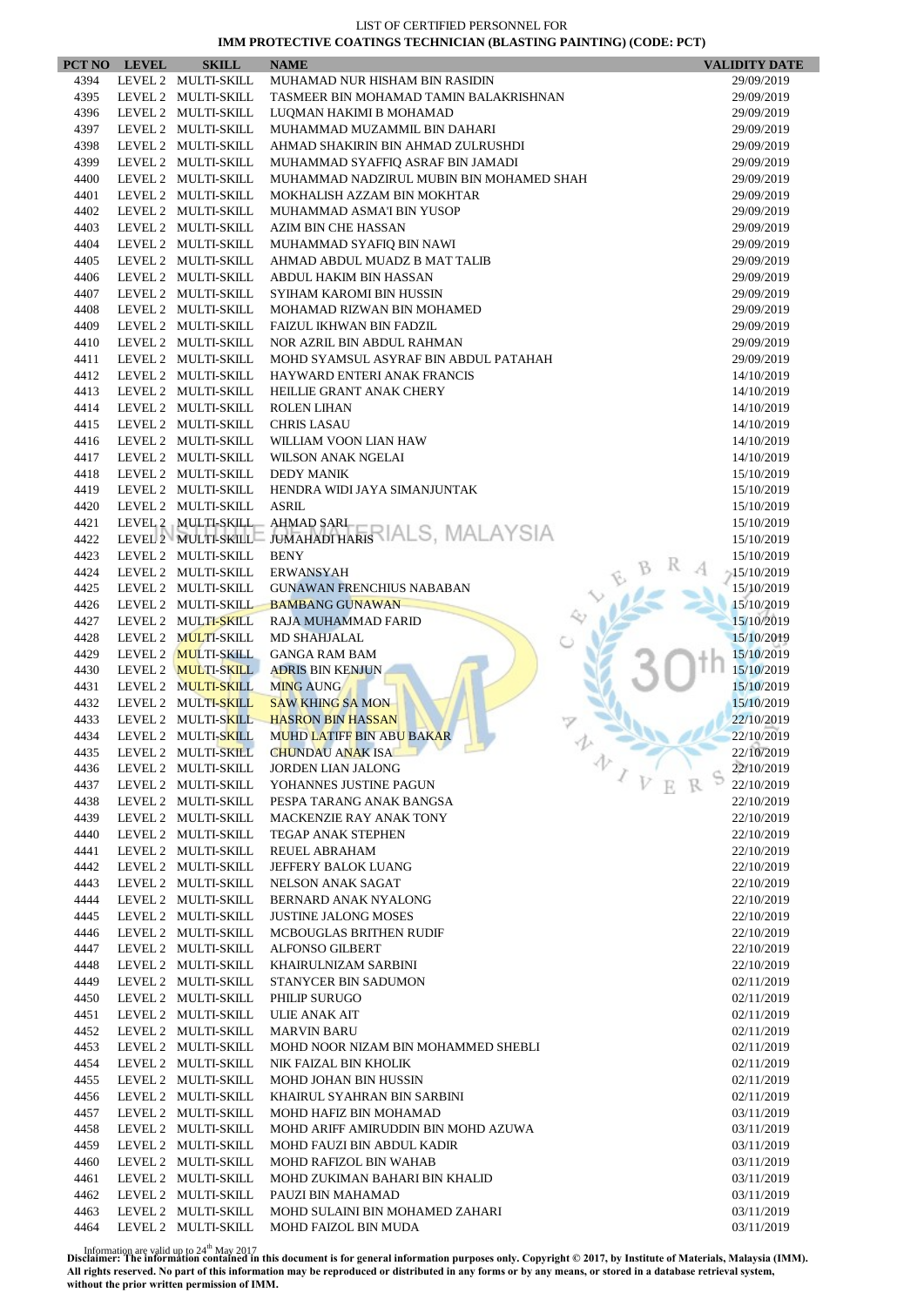| PCT NO       | <b>LEVEL</b> | <b>SKILL</b>                               | <b>NAME</b>                                                             | <b>VALIDITY DATE</b>        |
|--------------|--------------|--------------------------------------------|-------------------------------------------------------------------------|-----------------------------|
| 4394         |              | LEVEL 2 MULTI-SKILL                        | MUHAMAD NUR HISHAM BIN RASIDIN                                          | 29/09/2019                  |
| 4395         |              | LEVEL 2 MULTI-SKILL                        | TASMEER BIN MOHAMAD TAMIN BALAKRISHNAN                                  | 29/09/2019                  |
| 4396         |              | LEVEL 2 MULTI-SKILL                        | LUQMAN HAKIMI B MOHAMAD                                                 | 29/09/2019                  |
| 4397         |              | LEVEL 2 MULTI-SKILL                        | MUHAMMAD MUZAMMIL BIN DAHARI                                            | 29/09/2019                  |
| 4398         |              | LEVEL 2 MULTI-SKILL                        | AHMAD SHAKIRIN BIN AHMAD ZULRUSHDI                                      | 29/09/2019                  |
| 4399         |              | LEVEL 2 MULTI-SKILL                        | MUHAMMAD SYAFFIQ ASRAF BIN JAMADI                                       | 29/09/2019                  |
| 4400<br>4401 |              | LEVEL 2 MULTI-SKILL<br>LEVEL 2 MULTI-SKILL | MUHAMMAD NADZIRUL MUBIN BIN MOHAMED SHAH<br>MOKHALISH AZZAM BIN MOKHTAR | 29/09/2019<br>29/09/2019    |
| 4402         |              | LEVEL 2 MULTI-SKILL                        | MUHAMMAD ASMA'I BIN YUSOP                                               | 29/09/2019                  |
| 4403         |              | LEVEL 2 MULTI-SKILL                        | AZIM BIN CHE HASSAN                                                     | 29/09/2019                  |
| 4404         |              | LEVEL 2 MULTI-SKILL                        | MUHAMMAD SYAFIO BIN NAWI                                                | 29/09/2019                  |
| 4405         |              | LEVEL 2 MULTI-SKILL                        | AHMAD ABDUL MUADZ B MAT TALIB                                           | 29/09/2019                  |
| 4406         |              | LEVEL 2 MULTI-SKILL                        | ABDUL HAKIM BIN HASSAN                                                  | 29/09/2019                  |
| 4407         |              | LEVEL 2 MULTI-SKILL                        | SYIHAM KAROMI BIN HUSSIN                                                | 29/09/2019                  |
| 4408         |              | LEVEL 2 MULTI-SKILL                        | MOHAMAD RIZWAN BIN MOHAMED                                              | 29/09/2019                  |
| 4409         |              | LEVEL 2 MULTI-SKILL                        | FAIZUL IKHWAN BIN FADZIL                                                | 29/09/2019                  |
| 4410         |              | LEVEL 2 MULTI-SKILL                        | NOR AZRIL BIN ABDUL RAHMAN                                              | 29/09/2019                  |
| 4411         |              | LEVEL 2 MULTI-SKILL                        | MOHD SYAMSUL ASYRAF BIN ABDUL PATAHAH                                   | 29/09/2019                  |
| 4412<br>4413 |              | LEVEL 2 MULTI-SKILL<br>LEVEL 2 MULTI-SKILL | HAYWARD ENTERI ANAK FRANCIS<br>HEILLIE GRANT ANAK CHERY                 | 14/10/2019                  |
| 4414         |              | LEVEL 2 MULTI-SKILL                        | <b>ROLEN LIHAN</b>                                                      | 14/10/2019<br>14/10/2019    |
| 4415         |              | LEVEL 2 MULTI-SKILL                        | <b>CHRIS LASAU</b>                                                      | 14/10/2019                  |
| 4416         |              | LEVEL 2 MULTI-SKILL                        | WILLIAM VOON LIAN HAW                                                   | 14/10/2019                  |
| 4417         |              | LEVEL 2 MULTI-SKILL                        | WILSON ANAK NGELAI                                                      | 14/10/2019                  |
| 4418         |              | LEVEL 2 MULTI-SKILL                        | <b>DEDY MANIK</b>                                                       | 15/10/2019                  |
| 4419         |              | LEVEL 2 MULTI-SKILL                        | HENDRA WIDI JAYA SIMANJUNTAK                                            | 15/10/2019                  |
| 4420         |              | LEVEL 2 MULTI-SKILL                        | <b>ASRIL</b>                                                            | 15/10/2019                  |
| 4421         |              | LEVEL 2 MULTI-SKILL                        | AHMAD SARI<br>jumahadi haris IALS, MALAYSIA                             | 15/10/2019                  |
| 4422         |              | LEVEL 2 MULTI-SKILL                        |                                                                         | 15/10/2019                  |
| 4423         |              | LEVEL 2 MULTI-SKILL                        | <b>BENY</b>                                                             | 15/10/2019                  |
| 4424<br>4425 |              | LEVEL 2 MULTI-SKILL<br>LEVEL 2 MULTI-SKILL | <b>ERWANSYAH</b><br><b>GUNAWAN FRENCHIUS NABABAN</b>                    | $-15/10/2019$<br>15/10/2019 |
| 4426         |              | LEVEL 2 MULTI-SKILL                        | <b>BAMBANG GUNAWAN</b>                                                  | 15/10/2019                  |
| 4427         |              | LEVEL 2 MULTI-SKILL                        | RAJA MUHAMMAD FARID                                                     | 15/10/2019                  |
| 4428         |              | LEVEL 2 MULTI-SKILL                        | MD SHAHJALAL                                                            | 15/10/2019                  |
| 4429         |              | LEVEL 2 MULTI-SKILL                        | <b>GANGA RAM BAM</b>                                                    | 15/10/2019                  |
| 4430         |              | LEVEL 2 MULTI-SKILL                        | <b>ADRIS BIN KENJUN</b>                                                 | 15/10/2019                  |
| 4431         |              | LEVEL 2 MULTI-SKILL                        | <b>MING AUNG</b>                                                        | 15/10/2019                  |
| 4432         |              | LEVEL 2 MULTI-SKILL                        | <b>SAW KHING SA MON</b>                                                 | 15/10/2019                  |
| 4433         |              | LEVEL 2 MULTI-SKILL                        | <b>HASRON BIN HASSAN</b>                                                | 22/10/2019                  |
| 4434         |              | LEVEL 2 MULTI-SKILL                        | <b>MUHD LATIFF BIN ABU BAKAR</b>                                        | 22/10/2019                  |
| 4435<br>4436 |              | LEVEL 2 MULTI-SKILL<br>LEVEL 2 MULTI-SKILL | <b>CHUNDAU ANAK ISA</b><br>$\bar{\diamondsuit}$<br>JORDEN LIAN JALONG   | 22/10/2019<br>22/10/2019    |
| 4437         |              | LEVEL 2 MULTI-SKILL                        | $\mathcal{I}$ $\mathcal{V}$<br>YOHANNES JUSTINE PAGUN                   | 22/10/2019                  |
| 4438         |              | LEVEL 2 MULTI-SKILL                        | PESPA TARANG ANAK BANGSA                                                | 22/10/2019                  |
| 4439         |              | LEVEL 2 MULTI-SKILL                        | <b>MACKENZIE RAY ANAK TONY</b>                                          | 22/10/2019                  |
| 4440         |              | LEVEL 2 MULTI-SKILL                        | <b>TEGAP ANAK STEPHEN</b>                                               | 22/10/2019                  |
| 4441         |              | LEVEL 2 MULTI-SKILL                        | <b>REUEL ABRAHAM</b>                                                    | 22/10/2019                  |
| 4442         |              | LEVEL 2 MULTI-SKILL                        | JEFFERY BALOK LUANG                                                     | 22/10/2019                  |
| 4443         |              | LEVEL 2 MULTI-SKILL                        | <b>NELSON ANAK SAGAT</b>                                                | 22/10/2019                  |
| 4444         |              | LEVEL 2 MULTI-SKILL                        | BERNARD ANAK NYALONG                                                    | 22/10/2019                  |
| 4445<br>4446 |              | LEVEL 2 MULTI-SKILL<br>LEVEL 2 MULTI-SKILL | <b>JUSTINE JALONG MOSES</b><br><b>MCBOUGLAS BRITHEN RUDIF</b>           | 22/10/2019<br>22/10/2019    |
| 4447         |              | LEVEL 2 MULTI-SKILL                        | <b>ALFONSO GILBERT</b>                                                  | 22/10/2019                  |
| 4448         |              | LEVEL 2 MULTI-SKILL                        | KHAIRULNIZAM SARBINI                                                    | 22/10/2019                  |
| 4449         |              | LEVEL 2 MULTI-SKILL                        | STANYCER BIN SADUMON                                                    | 02/11/2019                  |
| 4450         |              | LEVEL 2 MULTI-SKILL                        | PHILIP SURUGO                                                           | 02/11/2019                  |
| 4451         |              | LEVEL 2 MULTI-SKILL                        | <b>ULIE ANAK AIT</b>                                                    | 02/11/2019                  |
| 4452         |              | LEVEL 2 MULTI-SKILL                        | <b>MARVIN BARU</b>                                                      | 02/11/2019                  |
| 4453         |              | LEVEL 2 MULTI-SKILL                        | MOHD NOOR NIZAM BIN MOHAMMED SHEBLI                                     | 02/11/2019                  |
| 4454         |              | LEVEL 2 MULTI-SKILL                        | NIK FAIZAL BIN KHOLIK                                                   | 02/11/2019                  |
| 4455         |              | LEVEL 2 MULTI-SKILL                        | <b>MOHD JOHAN BIN HUSSIN</b>                                            | 02/11/2019                  |
| 4456         |              | LEVEL 2 MULTI-SKILL                        | KHAIRUL SYAHRAN BIN SARBINI                                             | 02/11/2019                  |
| 4457<br>4458 |              | LEVEL 2 MULTI-SKILL<br>LEVEL 2 MULTI-SKILL | MOHD HAFIZ BIN MOHAMAD<br>MOHD ARIFF AMIRUDDIN BIN MOHD AZUWA           | 03/11/2019<br>03/11/2019    |
| 4459         |              | LEVEL 2 MULTI-SKILL                        | MOHD FAUZI BIN ABDUL KADIR                                              | 03/11/2019                  |
| 4460         |              | LEVEL 2 MULTI-SKILL                        | MOHD RAFIZOL BIN WAHAB                                                  | 03/11/2019                  |
| 4461         |              | LEVEL 2 MULTI-SKILL                        | MOHD ZUKIMAN BAHARI BIN KHALID                                          | 03/11/2019                  |
| 4462         |              | LEVEL 2 MULTI-SKILL                        | PAUZI BIN MAHAMAD                                                       | 03/11/2019                  |
| 4463         |              | LEVEL 2 MULTI-SKILL                        | MOHD SULAINI BIN MOHAMED ZAHARI                                         | 03/11/2019                  |
| 4464         |              | LEVEL 2 MULTI-SKILL                        | <b>MOHD FAIZOL BIN MUDA</b>                                             | 03/11/2019                  |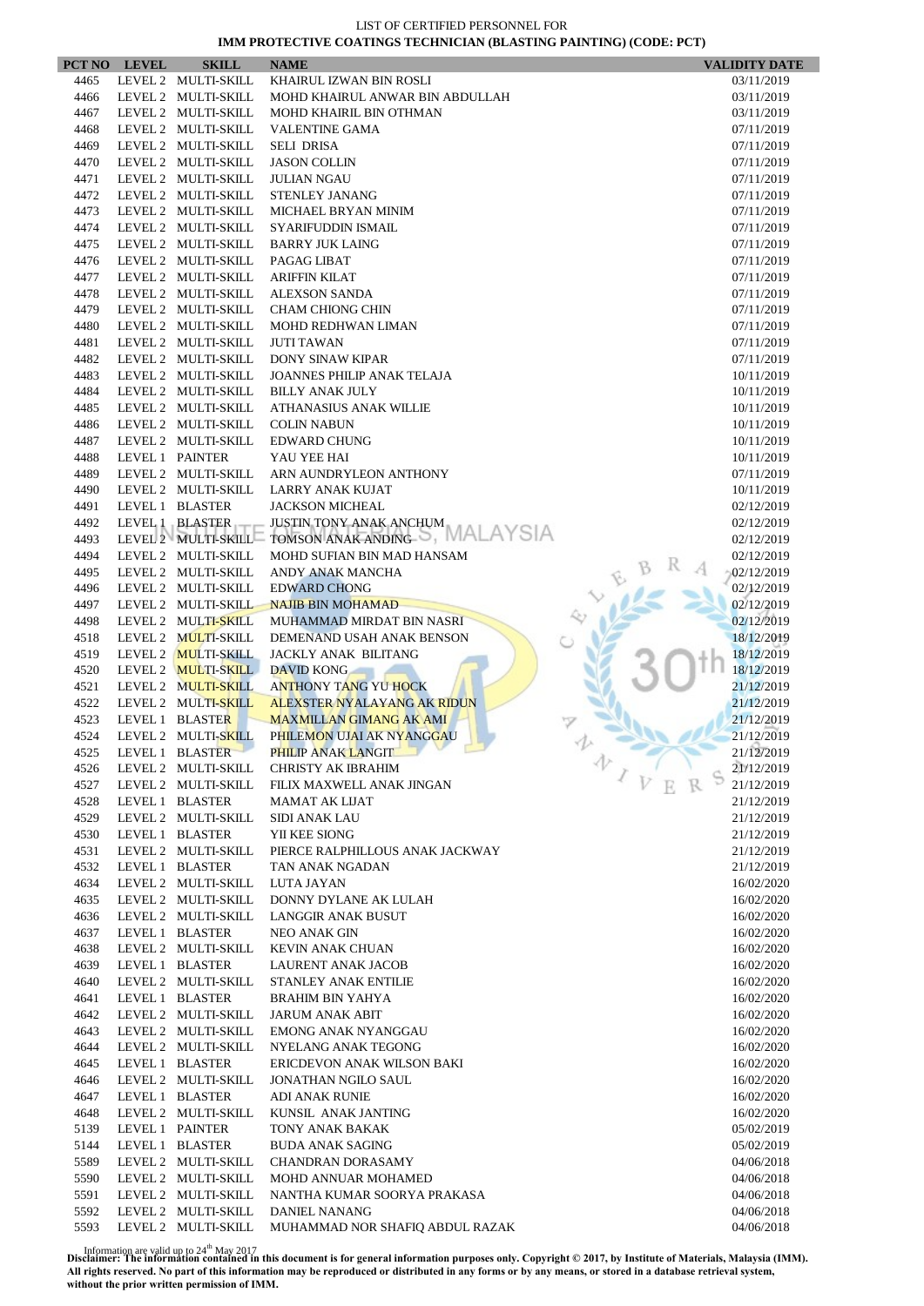| PCT NO       | <b>LEVEL</b> | <b>SKILL</b>                               | <b>NAME</b>                                          | <b>VALIDITY DATE</b>     |
|--------------|--------------|--------------------------------------------|------------------------------------------------------|--------------------------|
| 4465         |              | LEVEL 2 MULTI-SKILL                        | KHAIRUL IZWAN BIN ROSLI                              | 03/11/2019               |
| 4466         |              | LEVEL 2 MULTI-SKILL                        | MOHD KHAIRUL ANWAR BIN ABDULLAH                      | 03/11/2019               |
| 4467         |              | LEVEL 2 MULTI-SKILL                        | MOHD KHAIRIL BIN OTHMAN                              | 03/11/2019               |
| 4468         |              | LEVEL 2 MULTI-SKILL                        | <b>VALENTINE GAMA</b>                                | 07/11/2019               |
| 4469         |              | LEVEL 2 MULTI-SKILL                        | <b>SELI DRISA</b>                                    | 07/11/2019               |
| 4470         |              | LEVEL 2 MULTI-SKILL                        | <b>JASON COLLIN</b>                                  | 07/11/2019               |
| 4471         |              | LEVEL 2 MULTI-SKILL                        | <b>JULIAN NGAU</b>                                   | 07/11/2019               |
| 4472         |              | LEVEL 2 MULTI-SKILL                        | STENLEY JANANG                                       | 07/11/2019               |
| 4473         |              | LEVEL 2 MULTI-SKILL                        | MICHAEL BRYAN MINIM                                  | 07/11/2019               |
| 4474         |              | LEVEL 2 MULTI-SKILL                        | SYARIFUDDIN ISMAIL                                   | 07/11/2019               |
| 4475         |              | LEVEL 2 MULTI-SKILL                        | <b>BARRY JUK LAING</b>                               | 07/11/2019               |
| 4476         |              | LEVEL 2 MULTI-SKILL                        | PAGAG LIBAT                                          | 07/11/2019               |
| 4477         |              | LEVEL 2 MULTI-SKILL                        | <b>ARIFFIN KILAT</b>                                 | 07/11/2019               |
| 4478         |              | LEVEL 2 MULTI-SKILL                        | <b>ALEXSON SANDA</b>                                 | 07/11/2019               |
| 4479         |              | LEVEL 2 MULTI-SKILL                        | <b>CHAM CHIONG CHIN</b>                              | 07/11/2019               |
| 4480         |              | LEVEL 2 MULTI-SKILL                        | <b>MOHD REDHWAN LIMAN</b>                            | 07/11/2019               |
| 4481         |              | LEVEL 2 MULTI-SKILL                        | <b>JUTI TAWAN</b>                                    | 07/11/2019               |
| 4482<br>4483 |              | LEVEL 2 MULTI-SKILL<br>LEVEL 2 MULTI-SKILL | <b>DONY SINAW KIPAR</b>                              | 07/11/2019               |
|              |              | LEVEL 2 MULTI-SKILL                        | JOANNES PHILIP ANAK TELAJA<br><b>BILLY ANAK JULY</b> | 10/11/2019               |
| 4484<br>4485 |              | LEVEL 2 MULTI-SKILL                        | ATHANASIUS ANAK WILLIE                               | 10/11/2019<br>10/11/2019 |
| 4486         |              | LEVEL 2 MULTI-SKILL                        | <b>COLIN NABUN</b>                                   | 10/11/2019               |
| 4487         |              | LEVEL 2 MULTI-SKILL                        | <b>EDWARD CHUNG</b>                                  | 10/11/2019               |
| 4488         |              | LEVEL 1 PAINTER                            | YAU YEE HAI                                          | 10/11/2019               |
| 4489         |              | LEVEL 2 MULTI-SKILL                        | ARN AUNDRYLEON ANTHONY                               | 07/11/2019               |
| 4490         |              | LEVEL 2 MULTI-SKILL                        | <b>LARRY ANAK KUJAT</b>                              | 10/11/2019               |
| 4491         |              | LEVEL 1 BLASTER                            | <b>JACKSON MICHEAL</b>                               | 02/12/2019               |
| 4492         |              | LEVEL 1 BLASTER                            | JUSTIN TONY ANAK ANCHUM                              | 02/12/2019               |
| 4493         |              | LEVEL 2 MULTI-SKILL                        | TOMSON ANAK ANDING S, MALAYSIA                       | 02/12/2019               |
| 4494         |              | LEVEL 2 MULTI-SKILL                        | MOHD SUFIAN BIN MAD HANSAM                           | 02/12/2019               |
| 4495         |              | LEVEL 2 MULTI-SKILL                        | ANDY ANAK MANCHA                                     | $-02/12/2019$            |
| 4496         |              | LEVEL 2 MULTI-SKILL                        | <b>EDWARD CHONG</b>                                  | 02/12/2019               |
| 4497         |              | LEVEL 2 MULTI-SKILL                        | <b>NAJIB BIN MOHAMAD</b>                             | 02/12/2019               |
| 4498         |              | LEVEL 2 MULTI-SKILL                        | MUHAMMAD MIRDAT BIN NASRI                            | 02/12/2019               |
| 4518         |              | LEVEL 2 MULTI-SKILL                        | DEMENAND USAH ANAK BENSON                            | 18/12/2019               |
| 4519         |              | LEVEL 2 MULTI-SKILL                        | JACKLY ANAK BILITANG                                 | 18/12/2019               |
| 4520         |              | LEVEL 2 MULTI-SKILL                        | <b>DAVID KONG</b>                                    | 18/12/2019               |
| 4521         |              | LEVEL 2 MULTI-SKILL                        | <b>ANTHONY TANG YU HOCK</b>                          | 21/12/2019               |
| 4522         |              | LEVEL 2 MULTI-SKILL                        | <b>ALEXSTER NYALAYANG AK RIDUN</b>                   | 21/12/2019               |
| 4523         |              | LEVEL 1 BLASTER                            | <b>MAXMILLAN GIMANG AK AMI</b>                       | 21/12/2019               |
| 4524         |              | LEVEL 2 MULTI-SKILL                        | PHILEMON UJAI AK NYANGGAU                            | 21/12/2019               |
| 4525         |              | LEVEL 1 BLASTER                            | PHILIP ANAK LANGIT                                   | 21/12/2019               |
| 4526         |              | LEVEL 2 MULTI-SKILL                        | CHRISTY AK IBRAHIM                                   | 办<br>21/12/2019          |
| 4527         |              | LEVEL 2 MULTI-SKILL                        | FILIX MAXWELL ANAK JINGAN                            | 21/12/2019               |
| 4528         |              | LEVEL 1 BLASTER                            | MAMAT AK LIJAT                                       | 21/12/2019               |
| 4529         |              | LEVEL 2 MULTI-SKILL                        | SIDI ANAK LAU                                        | 21/12/2019               |
| 4530         |              | LEVEL 1 BLASTER                            | YII KEE SIONG                                        | 21/12/2019               |
| 4531         |              | LEVEL 2 MULTI-SKILL                        | PIERCE RALPHILLOUS ANAK JACKWAY                      | 21/12/2019               |
| 4532         |              | LEVEL 1 BLASTER                            | TAN ANAK NGADAN                                      | 21/12/2019               |
| 4634         |              | LEVEL 2 MULTI-SKILL                        | LUTA JAYAN                                           | 16/02/2020               |
| 4635         |              | LEVEL 2 MULTI-SKILL                        | DONNY DYLANE AK LULAH                                | 16/02/2020               |
| 4636         |              | LEVEL 2 MULTI-SKILL                        | LANGGIR ANAK BUSUT                                   | 16/02/2020               |
| 4637         |              | LEVEL 1 BLASTER                            | <b>NEO ANAK GIN</b>                                  | 16/02/2020               |
| 4638         |              | LEVEL 2 MULTI-SKILL                        | <b>KEVIN ANAK CHUAN</b>                              | 16/02/2020               |
| 4639         |              | LEVEL 1 BLASTER                            | LAURENT ANAK JACOB                                   | 16/02/2020               |
| 4640         |              | LEVEL 2 MULTI-SKILL<br>LEVEL 1 BLASTER     | STANLEY ANAK ENTILIE                                 | 16/02/2020               |
| 4641         |              |                                            | BRAHIM BIN YAHYA                                     | 16/02/2020               |
| 4642         |              | LEVEL 2 MULTI-SKILL                        | JARUM ANAK ABIT                                      | 16/02/2020               |
| 4643<br>4644 |              | LEVEL 2 MULTI-SKILL<br>LEVEL 2 MULTI-SKILL | EMONG ANAK NYANGGAU<br>NYELANG ANAK TEGONG           | 16/02/2020<br>16/02/2020 |
| 4645         |              | LEVEL 1 BLASTER                            | ERICDEVON ANAK WILSON BAKI                           | 16/02/2020               |
| 4646         |              | LEVEL 2 MULTI-SKILL                        | JONATHAN NGILO SAUL                                  | 16/02/2020               |
| 4647         |              | LEVEL 1 BLASTER                            | <b>ADI ANAK RUNIE</b>                                | 16/02/2020               |
| 4648         |              | LEVEL 2 MULTI-SKILL                        | KUNSIL ANAK JANTING                                  | 16/02/2020               |
| 5139         |              | LEVEL 1 PAINTER                            | TONY ANAK BAKAK                                      | 05/02/2019               |
| 5144         |              | LEVEL 1 BLASTER                            | <b>BUDA ANAK SAGING</b>                              | 05/02/2019               |
| 5589         |              | LEVEL 2 MULTI-SKILL                        | <b>CHANDRAN DORASAMY</b>                             | 04/06/2018               |
| 5590         |              | LEVEL 2 MULTI-SKILL                        | MOHD ANNUAR MOHAMED                                  | 04/06/2018               |
| 5591         |              | LEVEL 2 MULTI-SKILL                        | NANTHA KUMAR SOORYA PRAKASA                          | 04/06/2018               |
| 5592         |              | LEVEL 2 MULTI-SKILL                        | DANIEL NANANG                                        | 04/06/2018               |
| 5593         |              | LEVEL 2 MULTI-SKILL                        | MUHAMMAD NOR SHAFIQ ABDUL RAZAK                      | 04/06/2018               |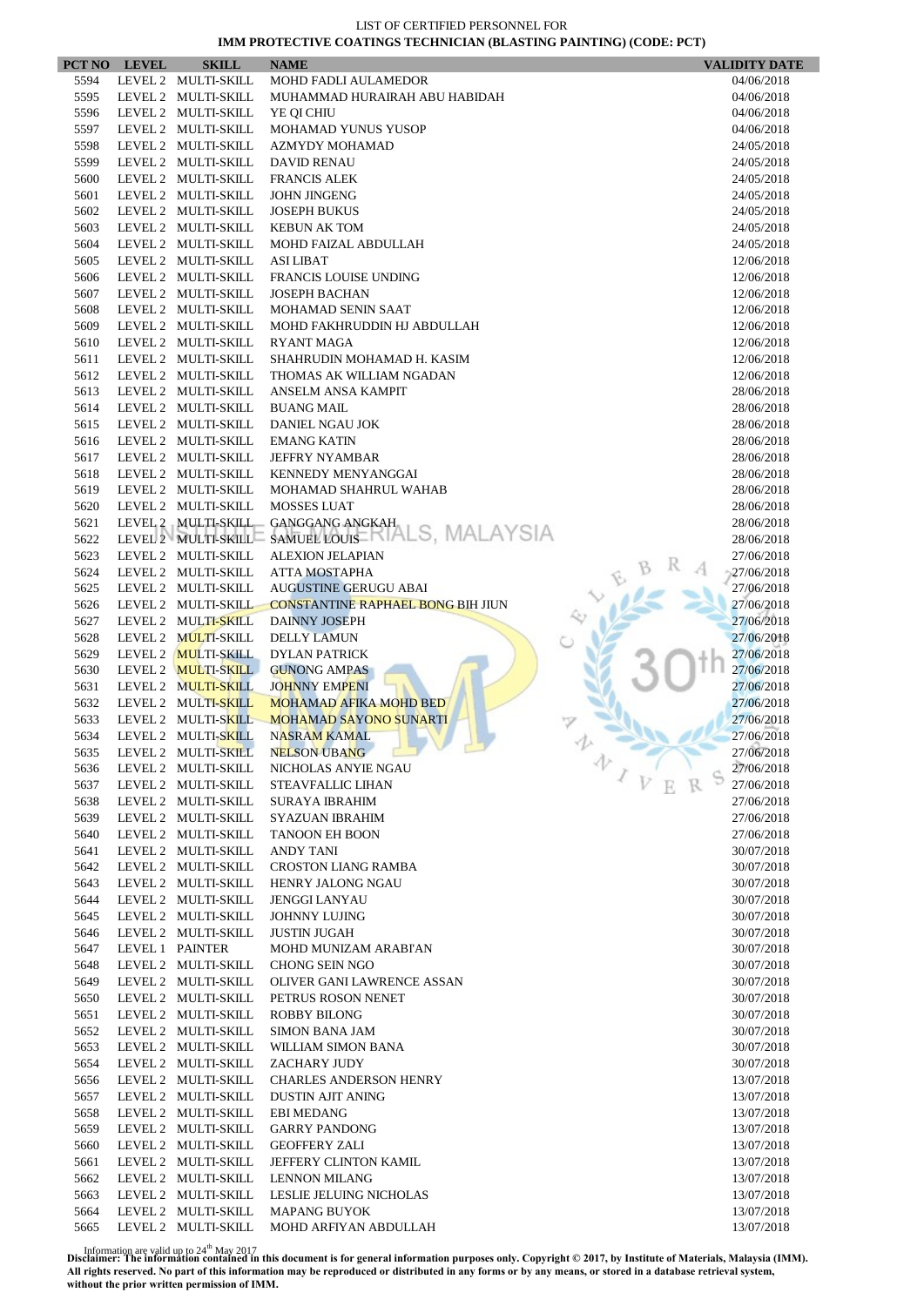|      | PCT NO LEVEL | <b>SKILL</b>        | <b>NAME</b>                              | <b>VALIDITY DATE</b> |
|------|--------------|---------------------|------------------------------------------|----------------------|
| 5594 |              | LEVEL 2 MULTI-SKILL | MOHD FADLI AULAMEDOR                     | 04/06/2018           |
| 5595 |              | LEVEL 2 MULTI-SKILL | MUHAMMAD HURAIRAH ABU HABIDAH            | 04/06/2018           |
| 5596 |              | LEVEL 2 MULTI-SKILL | YE QI CHIU                               | 04/06/2018           |
| 5597 |              | LEVEL 2 MULTI-SKILL | MOHAMAD YUNUS YUSOP                      | 04/06/2018           |
| 5598 |              | LEVEL 2 MULTI-SKILL | <b>AZMYDY MOHAMAD</b>                    | 24/05/2018           |
| 5599 |              | LEVEL 2 MULTI-SKILL | <b>DAVID RENAU</b>                       | 24/05/2018           |
| 5600 |              | LEVEL 2 MULTI-SKILL | <b>FRANCIS ALEK</b>                      | 24/05/2018           |
| 5601 |              | LEVEL 2 MULTI-SKILL | <b>JOHN JINGENG</b>                      | 24/05/2018           |
| 5602 |              | LEVEL 2 MULTI-SKILL | <b>JOSEPH BUKUS</b>                      | 24/05/2018           |
| 5603 |              | LEVEL 2 MULTI-SKILL | <b>KEBUN AK TOM</b>                      | 24/05/2018           |
| 5604 |              | LEVEL 2 MULTI-SKILL | MOHD FAIZAL ABDULLAH                     | 24/05/2018           |
| 5605 |              | LEVEL 2 MULTI-SKILL | <b>ASI LIBAT</b>                         | 12/06/2018           |
| 5606 |              | LEVEL 2 MULTI-SKILL | <b>FRANCIS LOUISE UNDING</b>             | 12/06/2018           |
| 5607 |              | LEVEL 2 MULTI-SKILL | <b>JOSEPH BACHAN</b>                     | 12/06/2018           |
| 5608 |              | LEVEL 2 MULTI-SKILL | MOHAMAD SENIN SAAT                       | 12/06/2018           |
| 5609 |              | LEVEL 2 MULTI-SKILL | MOHD FAKHRUDDIN HJ ABDULLAH              | 12/06/2018           |
| 5610 |              | LEVEL 2 MULTI-SKILL | <b>RYANT MAGA</b>                        | 12/06/2018           |
| 5611 |              | LEVEL 2 MULTI-SKILL | SHAHRUDIN MOHAMAD H. KASIM               | 12/06/2018           |
| 5612 |              | LEVEL 2 MULTI-SKILL | THOMAS AK WILLIAM NGADAN                 | 12/06/2018           |
| 5613 |              | LEVEL 2 MULTI-SKILL | ANSELM ANSA KAMPIT                       | 28/06/2018           |
| 5614 |              | LEVEL 2 MULTI-SKILL | <b>BUANG MAIL</b>                        | 28/06/2018           |
| 5615 |              | LEVEL 2 MULTI-SKILL | DANIEL NGAU JOK                          | 28/06/2018           |
| 5616 |              | LEVEL 2 MULTI-SKILL | <b>EMANG KATIN</b>                       | 28/06/2018           |
| 5617 |              | LEVEL 2 MULTI-SKILL | <b>JEFFRY NYAMBAR</b>                    | 28/06/2018           |
| 5618 |              | LEVEL 2 MULTI-SKILL | KENNEDY MENYANGGAI                       | 28/06/2018           |
| 5619 |              | LEVEL 2 MULTI-SKILL | MOHAMAD SHAHRUL WAHAB                    | 28/06/2018           |
| 5620 |              | LEVEL 2 MULTI-SKILL | <b>MOSSES LUAT</b>                       | 28/06/2018           |
| 5621 |              | LEVEL 2 MULTI-SKILL | GANGGANG ANGKAH                          | 28/06/2018           |
| 5622 |              | LEVEL 2 MULTI-SKILL | SAMUELLOUIS-RIALS, MALAYSIA              | 28/06/2018           |
| 5623 |              | LEVEL 2 MULTI-SKILL | <b>ALEXION JELAPIAN</b>                  | 27/06/2018           |
| 5624 |              | LEVEL 2 MULTI-SKILL | <b>ATTA MOSTAPHA</b>                     | 27/06/2018           |
| 5625 |              | LEVEL 2 MULTI-SKILL | <b>AUGUSTINE GERUGU ABAI</b>             | 27/06/2018           |
| 5626 |              | LEVEL 2 MULTI-SKILL | <b>CONSTANTINE RAPHAEL BONG BIH JIUN</b> | 27/06/2018           |
| 5627 |              | LEVEL 2 MULTI-SKILL | <b>DAINNY JOSEPH</b>                     | 27/06/2018           |
| 5628 |              | LEVEL 2 MULTI-SKILL | <b>DELLY LAMUN</b>                       | 27/06/2018           |
| 5629 |              | LEVEL 2 MULTI-SKILL | <b>DYLAN PATRICK</b>                     | 27/06/2018           |
| 5630 |              | LEVEL 2 MULTI-SKILL | <b>GUNONG AMPAS</b>                      | 27/06/2018           |
| 5631 |              | LEVEL 2 MULTI-SKILL | <b>JOHNNY EMPENI</b>                     | 27/06/2018           |
| 5632 |              | LEVEL 2 MULTI-SKILL | <b>MOHAMAD AFIKA MOHD BED</b>            | 27/06/2018           |
| 5633 |              | LEVEL 2 MULTI-SKILL | <b>MOHAMAD SAYONO SUNARTI</b>            | 27/06/2018           |
| 5634 |              | LEVEL 2 MULTI-SKILL | <b>NASRAM KAMAL</b>                      | 27/06/2018           |
| 5635 |              | LEVEL 2 MULTI-SKILL | NELSON UBANG                             | 27/06/2018           |
| 5636 |              | LEVEL 2 MULTI-SKILL | NICHOLAS ANYIE NGAU                      | 办<br>27/06/2018      |
| 5637 |              | LEVEL 2 MULTI-SKILL | <b>STEAVFALLIC LIHAN</b>                 | 27/06/2018           |
| 5638 |              | LEVEL 2 MULTI-SKILL | <b>SURAYA IBRAHIM</b>                    | 27/06/2018           |
| 5639 |              | LEVEL 2 MULTI-SKILL | <b>SYAZUAN IBRAHIM</b>                   | 27/06/2018           |
| 5640 |              | LEVEL 2 MULTI-SKILL | <b>TANOON EH BOON</b>                    | 27/06/2018           |
| 5641 |              | LEVEL 2 MULTI-SKILL | ANDY TANI                                | 30/07/2018           |
| 5642 |              | LEVEL 2 MULTI-SKILL | <b>CROSTON LIANG RAMBA</b>               | 30/07/2018           |
| 5643 |              | LEVEL 2 MULTI-SKILL | <b>HENRY JALONG NGAU</b>                 | 30/07/2018           |
| 5644 |              | LEVEL 2 MULTI-SKILL | <b>JENGGI LANYAU</b>                     | 30/07/2018           |
| 5645 |              | LEVEL 2 MULTI-SKILL | <b>JOHNNY LUJING</b>                     | 30/07/2018           |
| 5646 |              | LEVEL 2 MULTI-SKILL | <b>JUSTIN JUGAH</b>                      | 30/07/2018           |
| 5647 |              | LEVEL 1 PAINTER     | MOHD MUNIZAM ARABI'AN                    | 30/07/2018           |
| 5648 |              | LEVEL 2 MULTI-SKILL | <b>CHONG SEIN NGO</b>                    | 30/07/2018           |
| 5649 |              | LEVEL 2 MULTI-SKILL | OLIVER GANI LAWRENCE ASSAN               | 30/07/2018           |
| 5650 |              | LEVEL 2 MULTI-SKILL | PETRUS ROSON NENET                       | 30/07/2018           |
| 5651 |              | LEVEL 2 MULTI-SKILL | ROBBY BILONG                             | 30/07/2018           |
| 5652 |              | LEVEL 2 MULTI-SKILL | <b>SIMON BANA JAM</b>                    | 30/07/2018           |
| 5653 |              | LEVEL 2 MULTI-SKILL | WILLIAM SIMON BANA                       | 30/07/2018           |
| 5654 |              | LEVEL 2 MULTI-SKILL | ZACHARY JUDY                             | 30/07/2018           |
| 5656 |              | LEVEL 2 MULTI-SKILL | <b>CHARLES ANDERSON HENRY</b>            | 13/07/2018           |
| 5657 |              | LEVEL 2 MULTI-SKILL | <b>DUSTIN AJIT ANING</b>                 | 13/07/2018           |
| 5658 |              | LEVEL 2 MULTI-SKILL | <b>EBI MEDANG</b>                        | 13/07/2018           |
| 5659 |              | LEVEL 2 MULTI-SKILL | <b>GARRY PANDONG</b>                     | 13/07/2018           |
| 5660 |              | LEVEL 2 MULTI-SKILL | <b>GEOFFERY ZALI</b>                     | 13/07/2018           |
| 5661 |              | LEVEL 2 MULTI-SKILL | JEFFERY CLINTON KAMIL                    | 13/07/2018           |
| 5662 |              | LEVEL 2 MULTI-SKILL | <b>LENNON MILANG</b>                     | 13/07/2018           |
| 5663 |              | LEVEL 2 MULTI-SKILL | LESLIE JELUING NICHOLAS                  | 13/07/2018           |
| 5664 |              | LEVEL 2 MULTI-SKILL | <b>MAPANG BUYOK</b>                      | 13/07/2018           |
| 5665 |              | LEVEL 2 MULTI-SKILL | MOHD ARFIYAN ABDULLAH                    | 13/07/2018           |
|      |              |                     |                                          |                      |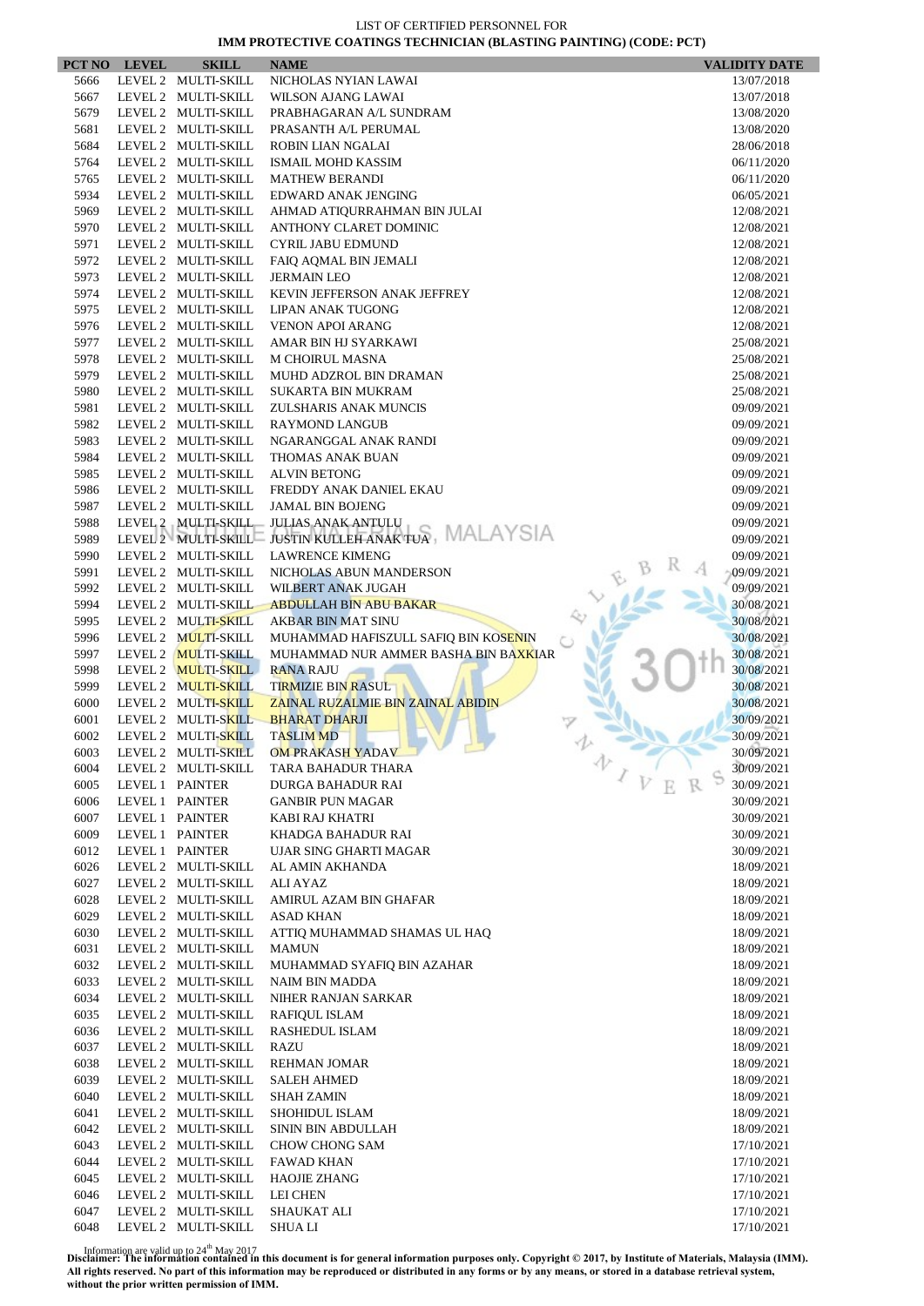|      | PCT NO LEVEL | <b>SKILL</b>        | <b>NAME</b>                                          | <b>VALIDITY DATE</b> |
|------|--------------|---------------------|------------------------------------------------------|----------------------|
| 5666 |              | LEVEL 2 MULTI-SKILL | NICHOLAS NYIAN LAWAI                                 | 13/07/2018           |
| 5667 |              | LEVEL 2 MULTI-SKILL | WILSON AJANG LAWAI                                   | 13/07/2018           |
| 5679 |              | LEVEL 2 MULTI-SKILL | PRABHAGARAN A/L SUNDRAM                              | 13/08/2020           |
| 5681 |              | LEVEL 2 MULTI-SKILL | PRASANTH A/L PERUMAL                                 | 13/08/2020           |
| 5684 |              | LEVEL 2 MULTI-SKILL | ROBIN LIAN NGALAI                                    | 28/06/2018           |
| 5764 |              | LEVEL 2 MULTI-SKILL | <b>ISMAIL MOHD KASSIM</b>                            | 06/11/2020           |
| 5765 |              | LEVEL 2 MULTI-SKILL | <b>MATHEW BERANDI</b>                                | 06/11/2020           |
| 5934 |              | LEVEL 2 MULTI-SKILL | EDWARD ANAK JENGING                                  | 06/05/2021           |
| 5969 |              | LEVEL 2 MULTI-SKILL | AHMAD ATIQURRAHMAN BIN JULAI                         | 12/08/2021           |
| 5970 |              | LEVEL 2 MULTI-SKILL | ANTHONY CLARET DOMINIC                               | 12/08/2021           |
| 5971 |              | LEVEL 2 MULTI-SKILL | <b>CYRIL JABU EDMUND</b>                             | 12/08/2021           |
| 5972 |              | LEVEL 2 MULTI-SKILL | FAIQ AQMAL BIN JEMALI                                | 12/08/2021           |
| 5973 |              | LEVEL 2 MULTI-SKILL | <b>JERMAIN LEO</b>                                   | 12/08/2021           |
| 5974 |              | LEVEL 2 MULTI-SKILL | KEVIN JEFFERSON ANAK JEFFREY                         | 12/08/2021           |
| 5975 |              | LEVEL 2 MULTI-SKILL | LIPAN ANAK TUGONG                                    | 12/08/2021           |
| 5976 |              | LEVEL 2 MULTI-SKILL | <b>VENON APOI ARANG</b>                              | 12/08/2021           |
| 5977 |              | LEVEL 2 MULTI-SKILL | AMAR BIN HJ SYARKAWI                                 | 25/08/2021           |
| 5978 |              | LEVEL 2 MULTI-SKILL | <b>M CHOIRUL MASNA</b>                               | 25/08/2021           |
| 5979 |              | LEVEL 2 MULTI-SKILL | MUHD ADZROL BIN DRAMAN                               | 25/08/2021           |
| 5980 |              | LEVEL 2 MULTI-SKILL | <b>SUKARTA BIN MUKRAM</b>                            | 25/08/2021           |
| 5981 |              | LEVEL 2 MULTI-SKILL | ZULSHARIS ANAK MUNCIS                                | 09/09/2021           |
| 5982 |              | LEVEL 2 MULTI-SKILL | <b>RAYMOND LANGUB</b>                                | 09/09/2021           |
| 5983 |              | LEVEL 2 MULTI-SKILL | NGARANGGAL ANAK RANDI                                | 09/09/2021           |
| 5984 |              | LEVEL 2 MULTI-SKILL | THOMAS ANAK BUAN                                     | 09/09/2021           |
| 5985 |              | LEVEL 2 MULTI-SKILL | <b>ALVIN BETONG</b>                                  | 09/09/2021           |
| 5986 |              | LEVEL 2 MULTI-SKILL | FREDDY ANAK DANIEL EKAU                              | 09/09/2021           |
| 5987 |              | LEVEL 2 MULTI-SKILL | <b>JAMAL BIN BOJENG</b>                              | 09/09/2021           |
| 5988 |              | LEVEL 2 MULTI-SKILL | <b>JULIAS ANAK ANTULU</b>                            | 09/09/2021           |
| 5989 |              |                     | LEVEL 2 MULTI-SKILL JUSTIN KULLEH ANAK TUA, MALAYSIA | 09/09/2021           |
| 5990 |              | LEVEL 2 MULTI-SKILL | <b>LAWRENCE KIMENG</b>                               | 09/09/2021           |
| 5991 |              | LEVEL 2 MULTI-SKILL | NICHOLAS ABUN MANDERSON                              | 09/09/2021           |
| 5992 |              | LEVEL 2 MULTI-SKILL | WILBERT ANAK JUGAH                                   | 09/09/2021           |
| 5994 |              | LEVEL 2 MULTI-SKILL | <b>ABDULLAH BIN ABU BAKAR</b>                        | 30/08/2021           |
| 5995 |              | LEVEL 2 MULTI-SKILL | AKBAR BIN MAT SINU                                   | 30/08/2021           |
| 5996 |              | LEVEL 2 MULTI-SKILL | MUHAMMAD HAFISZULL SAFIQ BIN KOSENIN                 | 30/08/2021           |
| 5997 |              | LEVEL 2 MULTI-SKILL | MUHAMMAD NUR AMMER BASHA BIN BA <mark>XKI</mark> AR  | 30/08/2021           |
| 5998 |              | LEVEL 2 MULTI-SKILL | <b>RANA RAJU</b>                                     | 30/08/2021           |
| 5999 |              | LEVEL 2 MULTI-SKILL | <b>TIRMIZIE BIN RASUL</b>                            | 30/08/2021           |
| 6000 |              | LEVEL 2 MULTI-SKILL | ZAINAL RUZALMIE BIN ZAINAL ABIDIN                    | 30/08/2021           |
| 6001 |              | LEVEL 2 MULTI-SKILL | <b>BHARAT DHARJI</b>                                 | 30/09/2021           |
| 6002 |              | LEVEL 2 MULTI-SKILL | <b>TASLIM MD</b>                                     | 30/09/2021           |
| 6003 |              | LEVEL 2 MULTI-SKILL | <b>OM PRAKASH YADAV</b>                              | 30/09/2021           |
| 6004 |              | LEVEL 2 MULTI-SKILL | 办<br>TARA BAHADUR THARA                              | 30/09/2021           |
| 6005 |              | LEVEL 1 PAINTER     | DURGA BAHADUR RAI                                    | 30/09/2021           |
| 6006 |              | LEVEL 1 PAINTER     | <b>GANBIR PUN MAGAR</b>                              | 30/09/2021           |
| 6007 |              | LEVEL 1 PAINTER     | KABI RAJ KHATRI                                      | 30/09/2021           |
| 6009 |              | LEVEL 1 PAINTER     | KHADGA BAHADUR RAI                                   | 30/09/2021           |
| 6012 |              | LEVEL 1 PAINTER     | <b>UJAR SING GHARTI MAGAR</b>                        | 30/09/2021           |
| 6026 |              | LEVEL 2 MULTI-SKILL | AL AMIN AKHANDA                                      | 18/09/2021           |
| 6027 |              | LEVEL 2 MULTI-SKILL | ALI AYAZ                                             | 18/09/2021           |
| 6028 |              | LEVEL 2 MULTI-SKILL | AMIRUL AZAM BIN GHAFAR                               | 18/09/2021           |
| 6029 |              | LEVEL 2 MULTI-SKILL | <b>ASAD KHAN</b>                                     | 18/09/2021           |
| 6030 |              | LEVEL 2 MULTI-SKILL | ATTIQ MUHAMMAD SHAMAS UL HAQ                         | 18/09/2021           |
| 6031 |              | LEVEL 2 MULTI-SKILL | <b>MAMUN</b>                                         | 18/09/2021           |
| 6032 |              | LEVEL 2 MULTI-SKILL | MUHAMMAD SYAFIQ BIN AZAHAR                           | 18/09/2021           |
| 6033 |              | LEVEL 2 MULTI-SKILL | <b>NAIM BIN MADDA</b>                                | 18/09/2021           |
| 6034 |              | LEVEL 2 MULTI-SKILL | NIHER RANJAN SARKAR                                  |                      |
| 6035 |              | LEVEL 2 MULTI-SKILL | <b>RAFIQUL ISLAM</b>                                 | 18/09/2021           |
| 6036 |              | LEVEL 2 MULTI-SKILL |                                                      | 18/09/2021           |
|      |              |                     | RASHEDUL ISLAM                                       | 18/09/2021           |
| 6037 |              | LEVEL 2 MULTI-SKILL | <b>RAZU</b>                                          | 18/09/2021           |
| 6038 |              | LEVEL 2 MULTI-SKILL | REHMAN JOMAR                                         | 18/09/2021           |
| 6039 |              | LEVEL 2 MULTI-SKILL | <b>SALEH AHMED</b>                                   | 18/09/2021           |
| 6040 |              | LEVEL 2 MULTI-SKILL | <b>SHAH ZAMIN</b>                                    | 18/09/2021           |
| 6041 |              | LEVEL 2 MULTI-SKILL | SHOHIDUL ISLAM                                       | 18/09/2021           |
| 6042 |              | LEVEL 2 MULTI-SKILL | SININ BIN ABDULLAH                                   | 18/09/2021           |
| 6043 |              | LEVEL 2 MULTI-SKILL | CHOW CHONG SAM                                       | 17/10/2021           |
| 6044 |              | LEVEL 2 MULTI-SKILL | <b>FAWAD KHAN</b>                                    | 17/10/2021           |
| 6045 |              | LEVEL 2 MULTI-SKILL | <b>HAOJIE ZHANG</b>                                  | 17/10/2021           |
| 6046 |              | LEVEL 2 MULTI-SKILL | LEI CHEN                                             | 17/10/2021           |
| 6047 |              | LEVEL 2 MULTI-SKILL | <b>SHAUKAT ALI</b>                                   | 17/10/2021           |
| 6048 |              | LEVEL 2 MULTI-SKILL | <b>SHUALI</b>                                        | 17/10/2021           |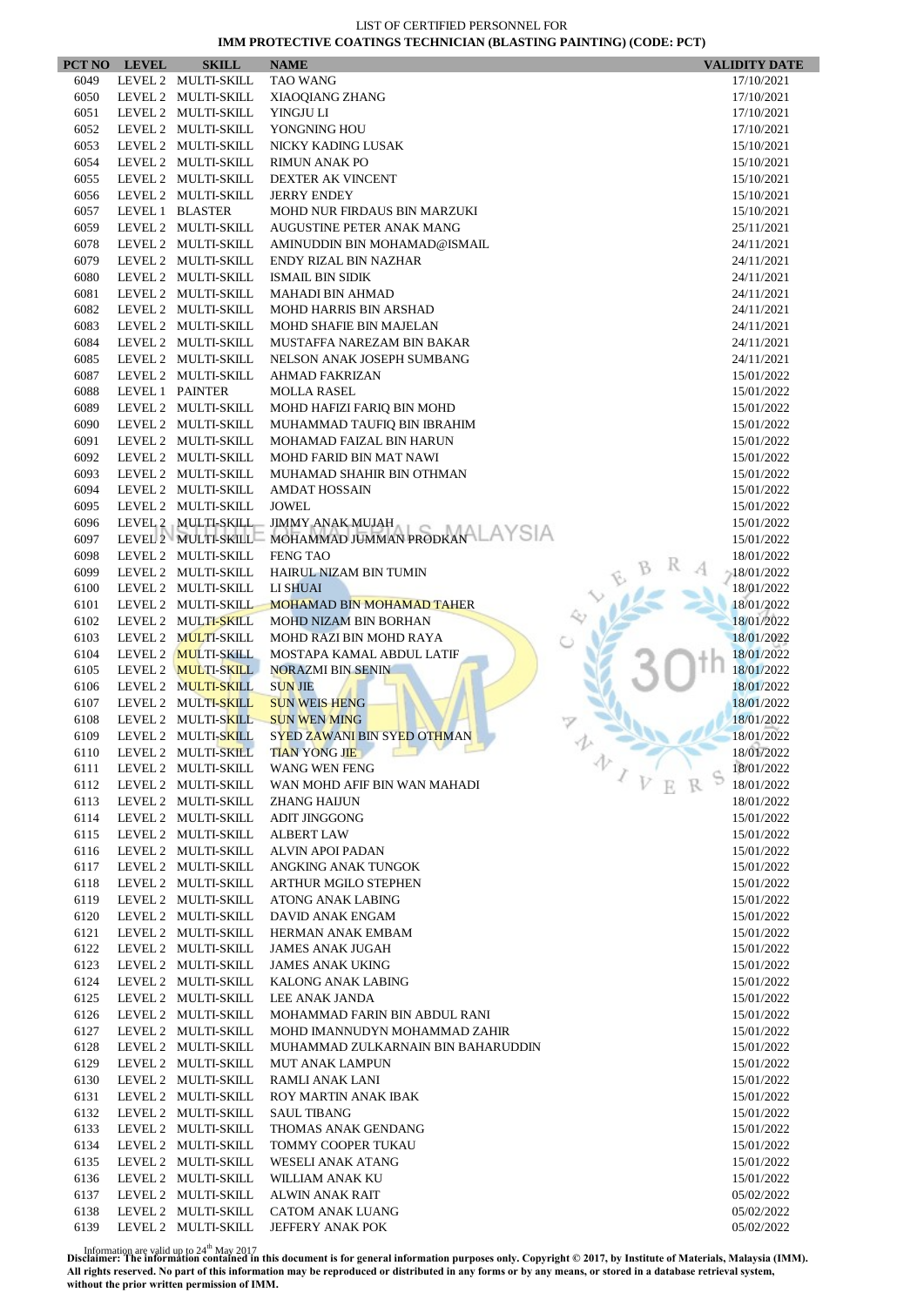|              | PCT NO LEVEL | <b>SKILL</b>                               | <b>NAME</b>                                               | <b>VALIDITY DATE</b>     |
|--------------|--------------|--------------------------------------------|-----------------------------------------------------------|--------------------------|
| 6049         |              | LEVEL 2 MULTI-SKILL                        | <b>TAO WANG</b>                                           | 17/10/2021               |
| 6050         |              | LEVEL 2 MULTI-SKILL                        | XIAOQIANG ZHANG                                           | 17/10/2021               |
| 6051         |              | LEVEL 2 MULTI-SKILL                        | YINGJU LI                                                 | 17/10/2021               |
| 6052         |              | LEVEL 2 MULTI-SKILL                        | YONGNING HOU                                              | 17/10/2021               |
| 6053         |              | LEVEL 2 MULTI-SKILL                        | NICKY KADING LUSAK                                        | 15/10/2021               |
| 6054         |              | LEVEL 2 MULTI-SKILL                        | <b>RIMUN ANAK PO</b>                                      | 15/10/2021               |
| 6055         |              | LEVEL 2 MULTI-SKILL                        | DEXTER AK VINCENT                                         | 15/10/2021               |
| 6056         |              | LEVEL 2 MULTI-SKILL                        | <b>JERRY ENDEY</b>                                        | 15/10/2021               |
| 6057         |              | LEVEL 1 BLASTER                            | MOHD NUR FIRDAUS BIN MARZUKI<br>AUGUSTINE PETER ANAK MANG | 15/10/2021               |
| 6059<br>6078 |              | LEVEL 2 MULTI-SKILL<br>LEVEL 2 MULTI-SKILL | AMINUDDIN BIN MOHAMAD@ISMAIL                              | 25/11/2021<br>24/11/2021 |
| 6079         |              | LEVEL 2 MULTI-SKILL                        | ENDY RIZAL BIN NAZHAR                                     | 24/11/2021               |
| 6080         |              | LEVEL 2 MULTI-SKILL                        | <b>ISMAIL BIN SIDIK</b>                                   | 24/11/2021               |
| 6081         |              | LEVEL 2 MULTI-SKILL                        | <b>MAHADI BIN AHMAD</b>                                   | 24/11/2021               |
| 6082         |              | LEVEL 2 MULTI-SKILL                        | <b>MOHD HARRIS BIN ARSHAD</b>                             | 24/11/2021               |
| 6083         |              | LEVEL 2 MULTI-SKILL                        | MOHD SHAFIE BIN MAJELAN                                   | 24/11/2021               |
| 6084         |              | LEVEL 2 MULTI-SKILL                        | MUSTAFFA NAREZAM BIN BAKAR                                | 24/11/2021               |
| 6085         |              | LEVEL 2 MULTI-SKILL                        | NELSON ANAK JOSEPH SUMBANG                                | 24/11/2021               |
| 6087         |              | LEVEL 2 MULTI-SKILL                        | <b>AHMAD FAKRIZAN</b>                                     | 15/01/2022               |
| 6088         |              | LEVEL 1 PAINTER                            | <b>MOLLA RASEL</b>                                        | 15/01/2022               |
| 6089         |              | LEVEL 2 MULTI-SKILL                        | MOHD HAFIZI FARIO BIN MOHD                                | 15/01/2022               |
| 6090         |              | LEVEL 2 MULTI-SKILL                        | MUHAMMAD TAUFIQ BIN IBRAHIM                               | 15/01/2022               |
| 6091         |              | LEVEL 2 MULTI-SKILL                        | MOHAMAD FAIZAL BIN HARUN                                  | 15/01/2022               |
| 6092         |              | LEVEL 2 MULTI-SKILL                        | MOHD FARID BIN MAT NAWI                                   | 15/01/2022               |
| 6093         |              | LEVEL 2 MULTI-SKILL                        | MUHAMAD SHAHIR BIN OTHMAN                                 | 15/01/2022               |
| 6094         |              | LEVEL 2 MULTI-SKILL                        | <b>AMDAT HOSSAIN</b>                                      | 15/01/2022               |
| 6095         |              | LEVEL 2 MULTI-SKILL                        | <b>JOWEL</b>                                              | 15/01/2022               |
| 6096         |              | LEVEL 2 MULTI-SKILL                        | <b>JIMMY ANAK MUJAH</b>                                   | 15/01/2022               |
| 6097         |              | LEVEL 2 MULTI-SKILL                        | MOHAMMAD JUMMAN PRODKAN LAYSIA                            | 15/01/2022               |
| 6098         |              | LEVEL 2 MULTI-SKILL                        | <b>FENG TAO</b>                                           | 18/01/2022               |
| 6099         |              | LEVEL 2 MULTI-SKILL                        | HAIRUL NIZAM BIN TUMIN                                    | 18/01/2022               |
| 6100         |              | LEVEL 2 MULTI-SKILL                        | LI SHUAI                                                  | 18/01/2022               |
| 6101         |              | LEVEL 2 MULTI-SKILL                        | <b>MOHAMAD BIN MOHAMAD TAHER</b>                          | 18/01/2022               |
| 6102<br>6103 |              | LEVEL 2 MULTI-SKILL<br>LEVEL 2 MULTI-SKILL | MOHD NIZAM BIN BORHAN                                     | 18/01/2022<br>18/01/2022 |
| 6104         |              | LEVEL 2 MULTI-SKILL                        | MOHD RAZI BIN MOHD RAYA<br>MOSTAPA KAMAL ABDUL LATIF      | 18/01/2022               |
| 6105         |              | LEVEL 2 MULTI-SKILL                        | <b>NORAZMI BIN SENIN</b>                                  | 18/01/2022               |
| 6106         |              | LEVEL 2 MULTI-SKILL                        | <b>SUN JIE</b>                                            | 18/01/2022               |
| 6107         |              | LEVEL 2 MULTI-SKILL                        | <b>SUN WEIS HENG</b>                                      | 18/01/2022               |
| 6108         |              | LEVEL 2 MULTI-SKILL                        | <b>SUN WEN MING</b>                                       | 18/01/2022               |
| 6109         |              | LEVEL 2 MULTI-SKILL                        | SYED ZAWANI BIN SYED OTHMAN                               | 18/01/2022               |
| 6110         |              | LEVEL 2 MULTI-SKILL                        | <b>TIAN YONG JIE</b>                                      | 18/01/2022               |
| 6111         |              | LEVEL 2 MULTI-SKILL                        | WANG WEN FENG                                             | 办<br>18/01/2022          |
| 6112         |              | LEVEL 2 MULTI-SKILL                        | WAN MOHD AFIF BIN WAN MAHADI                              | 18/01/2022               |
| 6113         |              | LEVEL 2 MULTI-SKILL                        | ZHANG HAIJUN                                              | 18/01/2022               |
| 6114         |              | LEVEL 2 MULTI-SKILL                        | ADIT JINGGONG                                             | 15/01/2022               |
| 6115         |              | LEVEL 2 MULTI-SKILL                        | <b>ALBERT LAW</b>                                         | 15/01/2022               |
| 6116         |              | LEVEL 2 MULTI-SKILL                        | ALVIN APOI PADAN                                          | 15/01/2022               |
| 6117         |              | LEVEL 2 MULTI-SKILL                        | ANGKING ANAK TUNGOK                                       | 15/01/2022               |
| 6118         |              | LEVEL 2 MULTI-SKILL                        | <b>ARTHUR MGILO STEPHEN</b><br>ATONG ANAK LABING          | 15/01/2022               |
| 6119<br>6120 |              | LEVEL 2 MULTI-SKILL<br>LEVEL 2 MULTI-SKILL | DAVID ANAK ENGAM                                          | 15/01/2022<br>15/01/2022 |
| 6121         |              | LEVEL 2 MULTI-SKILL                        | HERMAN ANAK EMBAM                                         | 15/01/2022               |
| 6122         |              | LEVEL 2 MULTI-SKILL                        | <b>JAMES ANAK JUGAH</b>                                   | 15/01/2022               |
| 6123         |              | LEVEL 2 MULTI-SKILL                        | <b>JAMES ANAK UKING</b>                                   | 15/01/2022               |
| 6124         |              | LEVEL 2 MULTI-SKILL                        | KALONG ANAK LABING                                        | 15/01/2022               |
| 6125         |              | LEVEL 2 MULTI-SKILL                        | LEE ANAK JANDA                                            | 15/01/2022               |
| 6126         |              | LEVEL 2 MULTI-SKILL                        | MOHAMMAD FARIN BIN ABDUL RANI                             | 15/01/2022               |
| 6127         |              | LEVEL 2 MULTI-SKILL                        | MOHD IMANNUDYN MOHAMMAD ZAHIR                             | 15/01/2022               |
| 6128         |              | LEVEL 2 MULTI-SKILL                        | MUHAMMAD ZULKARNAIN BIN BAHARUDDIN                        | 15/01/2022               |
| 6129         |              | LEVEL 2 MULTI-SKILL                        | <b>MUT ANAK LAMPUN</b>                                    | 15/01/2022               |
| 6130         |              | LEVEL 2 MULTI-SKILL                        | RAMLI ANAK LANI                                           | 15/01/2022               |
| 6131         |              | LEVEL 2 MULTI-SKILL                        | ROY MARTIN ANAK IBAK                                      | 15/01/2022               |
| 6132         |              | LEVEL 2 MULTI-SKILL                        | SAUL TIBANG                                               | 15/01/2022               |
| 6133         |              | LEVEL 2 MULTI-SKILL                        | THOMAS ANAK GENDANG                                       | 15/01/2022               |
| 6134         |              | LEVEL 2 MULTI-SKILL                        | TOMMY COOPER TUKAU                                        | 15/01/2022               |
| 6135         |              | LEVEL 2 MULTI-SKILL                        | WESELI ANAK ATANG                                         | 15/01/2022               |
| 6136         |              | LEVEL 2 MULTI-SKILL                        | WILLIAM ANAK KU                                           | 15/01/2022               |
| 6137         |              | LEVEL 2 MULTI-SKILL                        | ALWIN ANAK RAIT                                           | 05/02/2022               |
| 6138<br>6139 |              | LEVEL 2 MULTI-SKILL                        | <b>CATOM ANAK LUANG</b>                                   | 05/02/2022               |
|              |              | LEVEL 2 MULTI-SKILL                        | JEFFERY ANAK POK                                          | 05/02/2022               |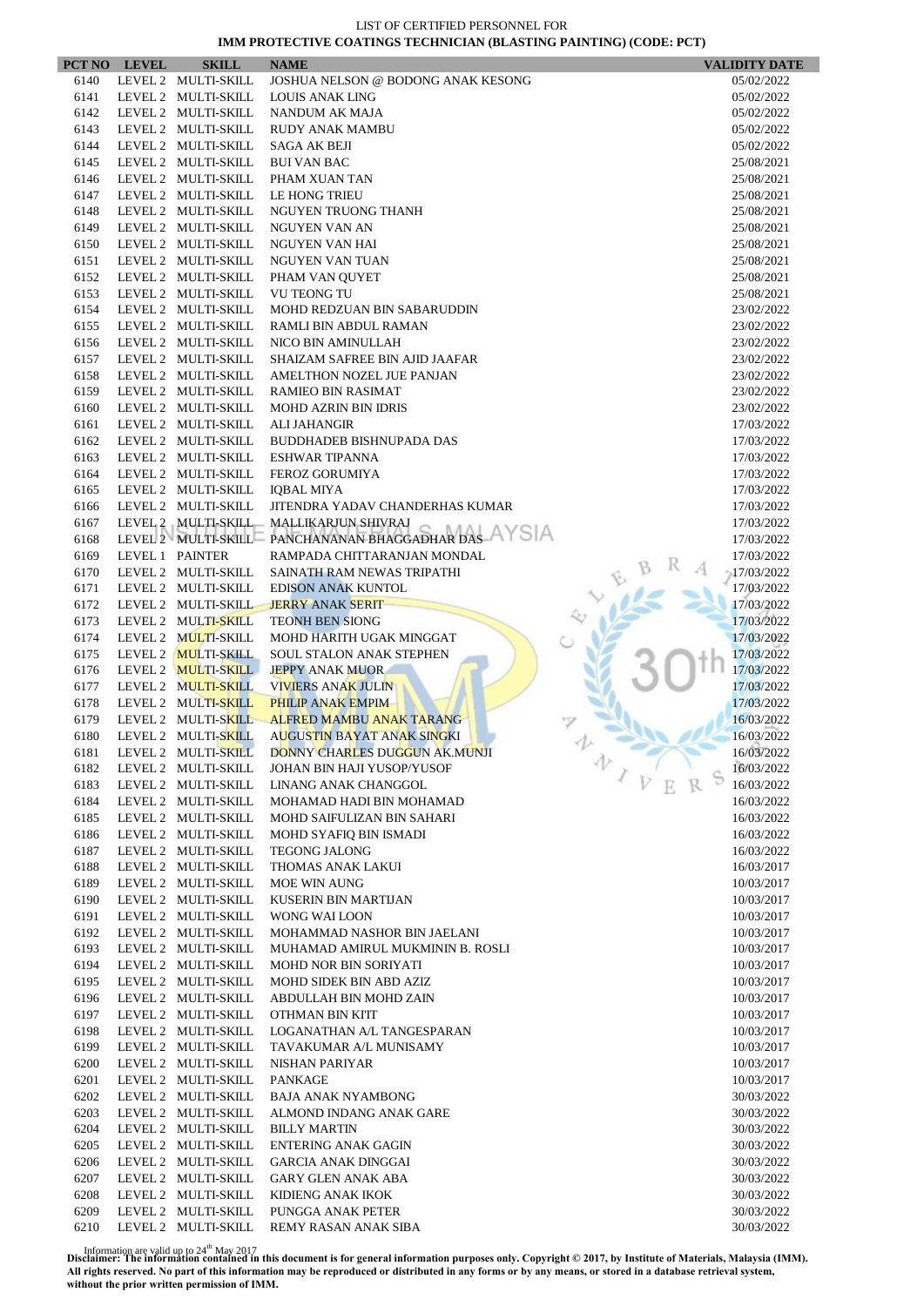| 6140<br>LEVEL 2 MULTI-SKILL<br>JOSHUA NELSON @ BODONG ANAK KESONG<br>05/02/2022<br>6141<br>LEVEL 2 MULTI-SKILL<br><b>LOUIS ANAK LING</b><br>05/02/2022<br>6142<br>LEVEL 2 MULTI-SKILL<br>05/02/2022<br>NANDUM AK MAJA<br>6143<br>LEVEL 2 MULTI-SKILL<br><b>RUDY ANAK MAMBU</b><br>05/02/2022<br>6144<br>LEVEL 2 MULTI-SKILL<br><b>SAGA AK BEJI</b><br>05/02/2022<br>6145<br>LEVEL 2 MULTI-SKILL<br>25/08/2021<br><b>BUI VAN BAC</b><br>LEVEL 2 MULTI-SKILL<br>6146<br>PHAM XUAN TAN<br>25/08/2021<br>6147<br>LEVEL 2 MULTI-SKILL<br>LE HONG TRIEU<br>25/08/2021<br>6148<br>LEVEL 2 MULTI-SKILL<br>NGUYEN TRUONG THANH<br>25/08/2021<br>6149<br>LEVEL 2 MULTI-SKILL<br><b>NGUYEN VAN AN</b><br>25/08/2021<br>6150<br>LEVEL 2 MULTI-SKILL<br>NGUYEN VAN HAI<br>25/08/2021<br>6151<br>LEVEL 2 MULTI-SKILL<br>NGUYEN VAN TUAN<br>25/08/2021<br>LEVEL 2 MULTI-SKILL<br>6152<br>PHAM VAN QUYET<br>25/08/2021<br>6153<br>LEVEL 2 MULTI-SKILL<br><b>VU TEONG TU</b><br>25/08/2021<br>6154<br>LEVEL 2 MULTI-SKILL<br>23/02/2022<br>MOHD REDZUAN BIN SABARUDDIN<br>LEVEL 2 MULTI-SKILL<br>6155<br>RAMLI BIN ABDUL RAMAN<br>23/02/2022<br>6156<br>LEVEL 2 MULTI-SKILL<br>NICO BIN AMINULLAH<br>23/02/2022<br>6157<br>LEVEL 2 MULTI-SKILL<br>SHAIZAM SAFREE BIN AJID JAAFAR<br>23/02/2022<br>6158<br>LEVEL 2 MULTI-SKILL<br>AMELTHON NOZEL JUE PANJAN<br>23/02/2022<br>LEVEL 2 MULTI-SKILL<br>6159<br><b>RAMIEO BIN RASIMAT</b><br>23/02/2022<br>6160<br>LEVEL 2 MULTI-SKILL<br><b>MOHD AZRIN BIN IDRIS</b><br>23/02/2022<br>LEVEL 2 MULTI-SKILL<br>6161<br><b>ALI JAHANGIR</b><br>17/03/2022<br>6162<br>LEVEL 2 MULTI-SKILL<br><b>BUDDHADEB BISHNUPADA DAS</b><br>17/03/2022<br>6163<br>LEVEL 2 MULTI-SKILL<br><b>ESHWAR TIPANNA</b><br>17/03/2022<br>LEVEL 2 MULTI-SKILL<br>6164<br><b>FEROZ GORUMIYA</b><br>17/03/2022<br>6165<br>LEVEL 2 MULTI-SKILL<br><b>IQBAL MIYA</b><br>17/03/2022<br>LEVEL 2 MULTI-SKILL<br>JITENDRA YADAV CHANDERHAS KUMAR<br>17/03/2022<br>6166<br>LEVEL 2 MULTI-SKILL MALLIKARJUN SHIVRAJ<br>6167<br>17/03/2022<br>LEVEL 2 MULTI-SKILL PANCHANANAN BHAGGADHAR DAS AYSIA<br>6168<br>17/03/2022<br>6169<br>LEVEL 1 PAINTER<br>RAMPADA CHITTARANJAN MONDAL<br>17/03/2022<br>6170<br>LEVEL 2 MULTI-SKILL<br>$-17/03/2022$<br>SAINATH RAM NEWAS TRIPATHI<br>6171<br>LEVEL 2 MULTI-SKILL<br><b>EDISON ANAK KUNTOL</b><br>17/03/2022<br>6172<br>LEVEL 2 MULTI-SKILL<br><b>JERRY ANAK SERIT</b><br>17/03/2022<br>LEVEL 2 MULTI-SKILL<br>17/03/2022<br>6173<br><b>TEONH BEN SIONG</b><br>LEVEL 2 MULTI-SKILL<br>6174<br>17/03/2022<br>MOHD HARITH UGAK MINGGAT<br>LEVEL 2 MULTI-SKILL<br>6175<br>SOUL STALON ANAK STEPHEN<br>17/03/2022<br>17/03/2022<br>6176<br>LEVEL 2 MULTI-SKILL<br><b>JEPPY ANAK MUOR</b><br>6177<br>LEVEL 2 MULTI-SKILL<br><b>VIVIERS ANAK JULIN</b><br>17/03/2022<br>LEVEL 2 MULTI-SKILL<br>17/03/2022<br>6178<br><b>PHILIP ANAK EMPIM</b><br>6179<br>LEVEL 2 MULTI-SKILL<br>ALFRED MAMBU ANAK TARANG<br>16/03/2022<br>LEVEL 2 MULTI-SKILL<br>AUGUSTIN BAYAT ANAK SINGKI<br>16/03/2022<br>6180<br>6181<br>LEVEL 2 MULTI-SKILL<br>16/03/2022<br>DONNY CHARLES DUGGUN AK.MUNJI<br>v<br>16/03/2022<br>6182<br>LEVEL 2 MULTI-SKILL<br>JOHAN BIN HAJI YUSOP/YUSOF<br>16/03/2022<br>6183<br>LEVEL 2 MULTI-SKILL<br>LINANG ANAK CHANGGOL<br>6184<br>LEVEL 2 MULTI-SKILL<br>MOHAMAD HADI BIN MOHAMAD<br>16/03/2022<br>6185<br>LEVEL 2 MULTI-SKILL<br>MOHD SAIFULIZAN BIN SAHARI<br>16/03/2022<br>6186<br>LEVEL 2 MULTI-SKILL<br>MOHD SYAFIQ BIN ISMADI<br>16/03/2022<br>6187<br>LEVEL 2 MULTI-SKILL<br><b>TEGONG JALONG</b><br>16/03/2022<br>LEVEL 2 MULTI-SKILL<br>6188<br>THOMAS ANAK LAKUI<br>16/03/2017<br>6189<br>LEVEL 2 MULTI-SKILL<br>MOE WIN AUNG<br>10/03/2017<br>LEVEL 2 MULTI-SKILL<br>6190<br>KUSERIN BIN MARTIJAN<br>10/03/2017<br>6191<br>LEVEL 2 MULTI-SKILL<br>WONG WAI LOON<br>10/03/2017<br>6192<br>LEVEL 2 MULTI-SKILL<br>MOHAMMAD NASHOR BIN JAELANI<br>10/03/2017<br>6193<br>LEVEL 2 MULTI-SKILL<br>MUHAMAD AMIRUL MUKMININ B. ROSLI<br>10/03/2017<br>6194<br>LEVEL 2 MULTI-SKILL<br><b>MOHD NOR BIN SORIYATI</b><br>10/03/2017<br>6195<br>LEVEL 2 MULTI-SKILL<br>MOHD SIDEK BIN ABD AZIZ<br>10/03/2017<br>LEVEL 2 MULTI-SKILL<br>6196<br>ABDULLAH BIN MOHD ZAIN<br>10/03/2017<br>6197<br>LEVEL 2 MULTI-SKILL<br>OTHMAN BIN KI'IT<br>10/03/2017<br>6198<br>LEVEL 2 MULTI-SKILL<br>LOGANATHAN A/L TANGESPARAN<br>10/03/2017<br>6199<br>LEVEL 2 MULTI-SKILL<br>TAVAKUMAR A/L MUNISAMY<br>10/03/2017<br>LEVEL 2 MULTI-SKILL<br>6200<br>NISHAN PARIYAR<br>10/03/2017<br>6201<br>LEVEL 2 MULTI-SKILL<br>PANKAGE<br>10/03/2017<br>6202<br>LEVEL 2 MULTI-SKILL<br><b>BAJA ANAK NYAMBONG</b><br>30/03/2022<br>6203<br>LEVEL 2 MULTI-SKILL<br>ALMOND INDANG ANAK GARE<br>30/03/2022<br>6204<br>LEVEL 2 MULTI-SKILL<br><b>BILLY MARTIN</b><br>30/03/2022<br>LEVEL 2 MULTI-SKILL<br>6205<br><b>ENTERING ANAK GAGIN</b><br>30/03/2022<br>6206<br>LEVEL 2 MULTI-SKILL<br><b>GARCIA ANAK DINGGAI</b><br>30/03/2022<br>6207<br>LEVEL 2 MULTI-SKILL<br>GARY GLEN ANAK ABA<br>30/03/2022<br>6208<br>LEVEL 2 MULTI-SKILL<br>KIDIENG ANAK IKOK<br>30/03/2022<br>6209<br>LEVEL 2 MULTI-SKILL<br>PUNGGA ANAK PETER<br>30/03/2022<br>6210<br>LEVEL 2 MULTI-SKILL<br>REMY RASAN ANAK SIBA<br>30/03/2022 | PCT NO LEVEL | <b>SKILL</b> | <b>NAME</b> | <b>VALIDITY DATE</b> |
|-------------------------------------------------------------------------------------------------------------------------------------------------------------------------------------------------------------------------------------------------------------------------------------------------------------------------------------------------------------------------------------------------------------------------------------------------------------------------------------------------------------------------------------------------------------------------------------------------------------------------------------------------------------------------------------------------------------------------------------------------------------------------------------------------------------------------------------------------------------------------------------------------------------------------------------------------------------------------------------------------------------------------------------------------------------------------------------------------------------------------------------------------------------------------------------------------------------------------------------------------------------------------------------------------------------------------------------------------------------------------------------------------------------------------------------------------------------------------------------------------------------------------------------------------------------------------------------------------------------------------------------------------------------------------------------------------------------------------------------------------------------------------------------------------------------------------------------------------------------------------------------------------------------------------------------------------------------------------------------------------------------------------------------------------------------------------------------------------------------------------------------------------------------------------------------------------------------------------------------------------------------------------------------------------------------------------------------------------------------------------------------------------------------------------------------------------------------------------------------------------------------------------------------------------------------------------------------------------------------------------------------------------------------------------------------------------------------------------------------------------------------------------------------------------------------------------------------------------------------------------------------------------------------------------------------------------------------------------------------------------------------------------------------------------------------------------------------------------------------------------------------------------------------------------------------------------------------------------------------------------------------------------------------------------------------------------------------------------------------------------------------------------------------------------------------------------------------------------------------------------------------------------------------------------------------------------------------------------------------------------------------------------------------------------------------------------------------------------------------------------------------------------------------------------------------------------------------------------------------------------------------------------------------------------------------------------------------------------------------------------------------------------------------------------------------------------------------------------------------------------------------------------------------------------------------------------------------------------------------------------------------------------------------------------------------------------------------------------------------------------------------------------------------------------------------------------------------------------------------------------------------------------------------------------------------------------------------------------------------------------------------------------------------------------------------------------------------------------------------------------------------------------------------------------------------------------------------------------------------------------------------------------------------------------------------------------------------------------------------------------------------------------------------------------------------------------------------------------------------------------------------------------------------------------------------------------------------------------------|--------------|--------------|-------------|----------------------|
|                                                                                                                                                                                                                                                                                                                                                                                                                                                                                                                                                                                                                                                                                                                                                                                                                                                                                                                                                                                                                                                                                                                                                                                                                                                                                                                                                                                                                                                                                                                                                                                                                                                                                                                                                                                                                                                                                                                                                                                                                                                                                                                                                                                                                                                                                                                                                                                                                                                                                                                                                                                                                                                                                                                                                                                                                                                                                                                                                                                                                                                                                                                                                                                                                                                                                                                                                                                                                                                                                                                                                                                                                                                                                                                                                                                                                                                                                                                                                                                                                                                                                                                                                                                                                                                                                                                                                                                                                                                                                                                                                                                                                                                                                                                                                                                                                                                                                                                                                                                                                                                                                                                                                                                                                               |              |              |             |                      |
|                                                                                                                                                                                                                                                                                                                                                                                                                                                                                                                                                                                                                                                                                                                                                                                                                                                                                                                                                                                                                                                                                                                                                                                                                                                                                                                                                                                                                                                                                                                                                                                                                                                                                                                                                                                                                                                                                                                                                                                                                                                                                                                                                                                                                                                                                                                                                                                                                                                                                                                                                                                                                                                                                                                                                                                                                                                                                                                                                                                                                                                                                                                                                                                                                                                                                                                                                                                                                                                                                                                                                                                                                                                                                                                                                                                                                                                                                                                                                                                                                                                                                                                                                                                                                                                                                                                                                                                                                                                                                                                                                                                                                                                                                                                                                                                                                                                                                                                                                                                                                                                                                                                                                                                                                               |              |              |             |                      |
|                                                                                                                                                                                                                                                                                                                                                                                                                                                                                                                                                                                                                                                                                                                                                                                                                                                                                                                                                                                                                                                                                                                                                                                                                                                                                                                                                                                                                                                                                                                                                                                                                                                                                                                                                                                                                                                                                                                                                                                                                                                                                                                                                                                                                                                                                                                                                                                                                                                                                                                                                                                                                                                                                                                                                                                                                                                                                                                                                                                                                                                                                                                                                                                                                                                                                                                                                                                                                                                                                                                                                                                                                                                                                                                                                                                                                                                                                                                                                                                                                                                                                                                                                                                                                                                                                                                                                                                                                                                                                                                                                                                                                                                                                                                                                                                                                                                                                                                                                                                                                                                                                                                                                                                                                               |              |              |             |                      |
|                                                                                                                                                                                                                                                                                                                                                                                                                                                                                                                                                                                                                                                                                                                                                                                                                                                                                                                                                                                                                                                                                                                                                                                                                                                                                                                                                                                                                                                                                                                                                                                                                                                                                                                                                                                                                                                                                                                                                                                                                                                                                                                                                                                                                                                                                                                                                                                                                                                                                                                                                                                                                                                                                                                                                                                                                                                                                                                                                                                                                                                                                                                                                                                                                                                                                                                                                                                                                                                                                                                                                                                                                                                                                                                                                                                                                                                                                                                                                                                                                                                                                                                                                                                                                                                                                                                                                                                                                                                                                                                                                                                                                                                                                                                                                                                                                                                                                                                                                                                                                                                                                                                                                                                                                               |              |              |             |                      |
|                                                                                                                                                                                                                                                                                                                                                                                                                                                                                                                                                                                                                                                                                                                                                                                                                                                                                                                                                                                                                                                                                                                                                                                                                                                                                                                                                                                                                                                                                                                                                                                                                                                                                                                                                                                                                                                                                                                                                                                                                                                                                                                                                                                                                                                                                                                                                                                                                                                                                                                                                                                                                                                                                                                                                                                                                                                                                                                                                                                                                                                                                                                                                                                                                                                                                                                                                                                                                                                                                                                                                                                                                                                                                                                                                                                                                                                                                                                                                                                                                                                                                                                                                                                                                                                                                                                                                                                                                                                                                                                                                                                                                                                                                                                                                                                                                                                                                                                                                                                                                                                                                                                                                                                                                               |              |              |             |                      |
|                                                                                                                                                                                                                                                                                                                                                                                                                                                                                                                                                                                                                                                                                                                                                                                                                                                                                                                                                                                                                                                                                                                                                                                                                                                                                                                                                                                                                                                                                                                                                                                                                                                                                                                                                                                                                                                                                                                                                                                                                                                                                                                                                                                                                                                                                                                                                                                                                                                                                                                                                                                                                                                                                                                                                                                                                                                                                                                                                                                                                                                                                                                                                                                                                                                                                                                                                                                                                                                                                                                                                                                                                                                                                                                                                                                                                                                                                                                                                                                                                                                                                                                                                                                                                                                                                                                                                                                                                                                                                                                                                                                                                                                                                                                                                                                                                                                                                                                                                                                                                                                                                                                                                                                                                               |              |              |             |                      |
|                                                                                                                                                                                                                                                                                                                                                                                                                                                                                                                                                                                                                                                                                                                                                                                                                                                                                                                                                                                                                                                                                                                                                                                                                                                                                                                                                                                                                                                                                                                                                                                                                                                                                                                                                                                                                                                                                                                                                                                                                                                                                                                                                                                                                                                                                                                                                                                                                                                                                                                                                                                                                                                                                                                                                                                                                                                                                                                                                                                                                                                                                                                                                                                                                                                                                                                                                                                                                                                                                                                                                                                                                                                                                                                                                                                                                                                                                                                                                                                                                                                                                                                                                                                                                                                                                                                                                                                                                                                                                                                                                                                                                                                                                                                                                                                                                                                                                                                                                                                                                                                                                                                                                                                                                               |              |              |             |                      |
|                                                                                                                                                                                                                                                                                                                                                                                                                                                                                                                                                                                                                                                                                                                                                                                                                                                                                                                                                                                                                                                                                                                                                                                                                                                                                                                                                                                                                                                                                                                                                                                                                                                                                                                                                                                                                                                                                                                                                                                                                                                                                                                                                                                                                                                                                                                                                                                                                                                                                                                                                                                                                                                                                                                                                                                                                                                                                                                                                                                                                                                                                                                                                                                                                                                                                                                                                                                                                                                                                                                                                                                                                                                                                                                                                                                                                                                                                                                                                                                                                                                                                                                                                                                                                                                                                                                                                                                                                                                                                                                                                                                                                                                                                                                                                                                                                                                                                                                                                                                                                                                                                                                                                                                                                               |              |              |             |                      |
|                                                                                                                                                                                                                                                                                                                                                                                                                                                                                                                                                                                                                                                                                                                                                                                                                                                                                                                                                                                                                                                                                                                                                                                                                                                                                                                                                                                                                                                                                                                                                                                                                                                                                                                                                                                                                                                                                                                                                                                                                                                                                                                                                                                                                                                                                                                                                                                                                                                                                                                                                                                                                                                                                                                                                                                                                                                                                                                                                                                                                                                                                                                                                                                                                                                                                                                                                                                                                                                                                                                                                                                                                                                                                                                                                                                                                                                                                                                                                                                                                                                                                                                                                                                                                                                                                                                                                                                                                                                                                                                                                                                                                                                                                                                                                                                                                                                                                                                                                                                                                                                                                                                                                                                                                               |              |              |             |                      |
|                                                                                                                                                                                                                                                                                                                                                                                                                                                                                                                                                                                                                                                                                                                                                                                                                                                                                                                                                                                                                                                                                                                                                                                                                                                                                                                                                                                                                                                                                                                                                                                                                                                                                                                                                                                                                                                                                                                                                                                                                                                                                                                                                                                                                                                                                                                                                                                                                                                                                                                                                                                                                                                                                                                                                                                                                                                                                                                                                                                                                                                                                                                                                                                                                                                                                                                                                                                                                                                                                                                                                                                                                                                                                                                                                                                                                                                                                                                                                                                                                                                                                                                                                                                                                                                                                                                                                                                                                                                                                                                                                                                                                                                                                                                                                                                                                                                                                                                                                                                                                                                                                                                                                                                                                               |              |              |             |                      |
|                                                                                                                                                                                                                                                                                                                                                                                                                                                                                                                                                                                                                                                                                                                                                                                                                                                                                                                                                                                                                                                                                                                                                                                                                                                                                                                                                                                                                                                                                                                                                                                                                                                                                                                                                                                                                                                                                                                                                                                                                                                                                                                                                                                                                                                                                                                                                                                                                                                                                                                                                                                                                                                                                                                                                                                                                                                                                                                                                                                                                                                                                                                                                                                                                                                                                                                                                                                                                                                                                                                                                                                                                                                                                                                                                                                                                                                                                                                                                                                                                                                                                                                                                                                                                                                                                                                                                                                                                                                                                                                                                                                                                                                                                                                                                                                                                                                                                                                                                                                                                                                                                                                                                                                                                               |              |              |             |                      |
|                                                                                                                                                                                                                                                                                                                                                                                                                                                                                                                                                                                                                                                                                                                                                                                                                                                                                                                                                                                                                                                                                                                                                                                                                                                                                                                                                                                                                                                                                                                                                                                                                                                                                                                                                                                                                                                                                                                                                                                                                                                                                                                                                                                                                                                                                                                                                                                                                                                                                                                                                                                                                                                                                                                                                                                                                                                                                                                                                                                                                                                                                                                                                                                                                                                                                                                                                                                                                                                                                                                                                                                                                                                                                                                                                                                                                                                                                                                                                                                                                                                                                                                                                                                                                                                                                                                                                                                                                                                                                                                                                                                                                                                                                                                                                                                                                                                                                                                                                                                                                                                                                                                                                                                                                               |              |              |             |                      |
|                                                                                                                                                                                                                                                                                                                                                                                                                                                                                                                                                                                                                                                                                                                                                                                                                                                                                                                                                                                                                                                                                                                                                                                                                                                                                                                                                                                                                                                                                                                                                                                                                                                                                                                                                                                                                                                                                                                                                                                                                                                                                                                                                                                                                                                                                                                                                                                                                                                                                                                                                                                                                                                                                                                                                                                                                                                                                                                                                                                                                                                                                                                                                                                                                                                                                                                                                                                                                                                                                                                                                                                                                                                                                                                                                                                                                                                                                                                                                                                                                                                                                                                                                                                                                                                                                                                                                                                                                                                                                                                                                                                                                                                                                                                                                                                                                                                                                                                                                                                                                                                                                                                                                                                                                               |              |              |             |                      |
|                                                                                                                                                                                                                                                                                                                                                                                                                                                                                                                                                                                                                                                                                                                                                                                                                                                                                                                                                                                                                                                                                                                                                                                                                                                                                                                                                                                                                                                                                                                                                                                                                                                                                                                                                                                                                                                                                                                                                                                                                                                                                                                                                                                                                                                                                                                                                                                                                                                                                                                                                                                                                                                                                                                                                                                                                                                                                                                                                                                                                                                                                                                                                                                                                                                                                                                                                                                                                                                                                                                                                                                                                                                                                                                                                                                                                                                                                                                                                                                                                                                                                                                                                                                                                                                                                                                                                                                                                                                                                                                                                                                                                                                                                                                                                                                                                                                                                                                                                                                                                                                                                                                                                                                                                               |              |              |             |                      |
|                                                                                                                                                                                                                                                                                                                                                                                                                                                                                                                                                                                                                                                                                                                                                                                                                                                                                                                                                                                                                                                                                                                                                                                                                                                                                                                                                                                                                                                                                                                                                                                                                                                                                                                                                                                                                                                                                                                                                                                                                                                                                                                                                                                                                                                                                                                                                                                                                                                                                                                                                                                                                                                                                                                                                                                                                                                                                                                                                                                                                                                                                                                                                                                                                                                                                                                                                                                                                                                                                                                                                                                                                                                                                                                                                                                                                                                                                                                                                                                                                                                                                                                                                                                                                                                                                                                                                                                                                                                                                                                                                                                                                                                                                                                                                                                                                                                                                                                                                                                                                                                                                                                                                                                                                               |              |              |             |                      |
|                                                                                                                                                                                                                                                                                                                                                                                                                                                                                                                                                                                                                                                                                                                                                                                                                                                                                                                                                                                                                                                                                                                                                                                                                                                                                                                                                                                                                                                                                                                                                                                                                                                                                                                                                                                                                                                                                                                                                                                                                                                                                                                                                                                                                                                                                                                                                                                                                                                                                                                                                                                                                                                                                                                                                                                                                                                                                                                                                                                                                                                                                                                                                                                                                                                                                                                                                                                                                                                                                                                                                                                                                                                                                                                                                                                                                                                                                                                                                                                                                                                                                                                                                                                                                                                                                                                                                                                                                                                                                                                                                                                                                                                                                                                                                                                                                                                                                                                                                                                                                                                                                                                                                                                                                               |              |              |             |                      |
|                                                                                                                                                                                                                                                                                                                                                                                                                                                                                                                                                                                                                                                                                                                                                                                                                                                                                                                                                                                                                                                                                                                                                                                                                                                                                                                                                                                                                                                                                                                                                                                                                                                                                                                                                                                                                                                                                                                                                                                                                                                                                                                                                                                                                                                                                                                                                                                                                                                                                                                                                                                                                                                                                                                                                                                                                                                                                                                                                                                                                                                                                                                                                                                                                                                                                                                                                                                                                                                                                                                                                                                                                                                                                                                                                                                                                                                                                                                                                                                                                                                                                                                                                                                                                                                                                                                                                                                                                                                                                                                                                                                                                                                                                                                                                                                                                                                                                                                                                                                                                                                                                                                                                                                                                               |              |              |             |                      |
|                                                                                                                                                                                                                                                                                                                                                                                                                                                                                                                                                                                                                                                                                                                                                                                                                                                                                                                                                                                                                                                                                                                                                                                                                                                                                                                                                                                                                                                                                                                                                                                                                                                                                                                                                                                                                                                                                                                                                                                                                                                                                                                                                                                                                                                                                                                                                                                                                                                                                                                                                                                                                                                                                                                                                                                                                                                                                                                                                                                                                                                                                                                                                                                                                                                                                                                                                                                                                                                                                                                                                                                                                                                                                                                                                                                                                                                                                                                                                                                                                                                                                                                                                                                                                                                                                                                                                                                                                                                                                                                                                                                                                                                                                                                                                                                                                                                                                                                                                                                                                                                                                                                                                                                                                               |              |              |             |                      |
|                                                                                                                                                                                                                                                                                                                                                                                                                                                                                                                                                                                                                                                                                                                                                                                                                                                                                                                                                                                                                                                                                                                                                                                                                                                                                                                                                                                                                                                                                                                                                                                                                                                                                                                                                                                                                                                                                                                                                                                                                                                                                                                                                                                                                                                                                                                                                                                                                                                                                                                                                                                                                                                                                                                                                                                                                                                                                                                                                                                                                                                                                                                                                                                                                                                                                                                                                                                                                                                                                                                                                                                                                                                                                                                                                                                                                                                                                                                                                                                                                                                                                                                                                                                                                                                                                                                                                                                                                                                                                                                                                                                                                                                                                                                                                                                                                                                                                                                                                                                                                                                                                                                                                                                                                               |              |              |             |                      |
|                                                                                                                                                                                                                                                                                                                                                                                                                                                                                                                                                                                                                                                                                                                                                                                                                                                                                                                                                                                                                                                                                                                                                                                                                                                                                                                                                                                                                                                                                                                                                                                                                                                                                                                                                                                                                                                                                                                                                                                                                                                                                                                                                                                                                                                                                                                                                                                                                                                                                                                                                                                                                                                                                                                                                                                                                                                                                                                                                                                                                                                                                                                                                                                                                                                                                                                                                                                                                                                                                                                                                                                                                                                                                                                                                                                                                                                                                                                                                                                                                                                                                                                                                                                                                                                                                                                                                                                                                                                                                                                                                                                                                                                                                                                                                                                                                                                                                                                                                                                                                                                                                                                                                                                                                               |              |              |             |                      |
|                                                                                                                                                                                                                                                                                                                                                                                                                                                                                                                                                                                                                                                                                                                                                                                                                                                                                                                                                                                                                                                                                                                                                                                                                                                                                                                                                                                                                                                                                                                                                                                                                                                                                                                                                                                                                                                                                                                                                                                                                                                                                                                                                                                                                                                                                                                                                                                                                                                                                                                                                                                                                                                                                                                                                                                                                                                                                                                                                                                                                                                                                                                                                                                                                                                                                                                                                                                                                                                                                                                                                                                                                                                                                                                                                                                                                                                                                                                                                                                                                                                                                                                                                                                                                                                                                                                                                                                                                                                                                                                                                                                                                                                                                                                                                                                                                                                                                                                                                                                                                                                                                                                                                                                                                               |              |              |             |                      |
|                                                                                                                                                                                                                                                                                                                                                                                                                                                                                                                                                                                                                                                                                                                                                                                                                                                                                                                                                                                                                                                                                                                                                                                                                                                                                                                                                                                                                                                                                                                                                                                                                                                                                                                                                                                                                                                                                                                                                                                                                                                                                                                                                                                                                                                                                                                                                                                                                                                                                                                                                                                                                                                                                                                                                                                                                                                                                                                                                                                                                                                                                                                                                                                                                                                                                                                                                                                                                                                                                                                                                                                                                                                                                                                                                                                                                                                                                                                                                                                                                                                                                                                                                                                                                                                                                                                                                                                                                                                                                                                                                                                                                                                                                                                                                                                                                                                                                                                                                                                                                                                                                                                                                                                                                               |              |              |             |                      |
|                                                                                                                                                                                                                                                                                                                                                                                                                                                                                                                                                                                                                                                                                                                                                                                                                                                                                                                                                                                                                                                                                                                                                                                                                                                                                                                                                                                                                                                                                                                                                                                                                                                                                                                                                                                                                                                                                                                                                                                                                                                                                                                                                                                                                                                                                                                                                                                                                                                                                                                                                                                                                                                                                                                                                                                                                                                                                                                                                                                                                                                                                                                                                                                                                                                                                                                                                                                                                                                                                                                                                                                                                                                                                                                                                                                                                                                                                                                                                                                                                                                                                                                                                                                                                                                                                                                                                                                                                                                                                                                                                                                                                                                                                                                                                                                                                                                                                                                                                                                                                                                                                                                                                                                                                               |              |              |             |                      |
|                                                                                                                                                                                                                                                                                                                                                                                                                                                                                                                                                                                                                                                                                                                                                                                                                                                                                                                                                                                                                                                                                                                                                                                                                                                                                                                                                                                                                                                                                                                                                                                                                                                                                                                                                                                                                                                                                                                                                                                                                                                                                                                                                                                                                                                                                                                                                                                                                                                                                                                                                                                                                                                                                                                                                                                                                                                                                                                                                                                                                                                                                                                                                                                                                                                                                                                                                                                                                                                                                                                                                                                                                                                                                                                                                                                                                                                                                                                                                                                                                                                                                                                                                                                                                                                                                                                                                                                                                                                                                                                                                                                                                                                                                                                                                                                                                                                                                                                                                                                                                                                                                                                                                                                                                               |              |              |             |                      |
|                                                                                                                                                                                                                                                                                                                                                                                                                                                                                                                                                                                                                                                                                                                                                                                                                                                                                                                                                                                                                                                                                                                                                                                                                                                                                                                                                                                                                                                                                                                                                                                                                                                                                                                                                                                                                                                                                                                                                                                                                                                                                                                                                                                                                                                                                                                                                                                                                                                                                                                                                                                                                                                                                                                                                                                                                                                                                                                                                                                                                                                                                                                                                                                                                                                                                                                                                                                                                                                                                                                                                                                                                                                                                                                                                                                                                                                                                                                                                                                                                                                                                                                                                                                                                                                                                                                                                                                                                                                                                                                                                                                                                                                                                                                                                                                                                                                                                                                                                                                                                                                                                                                                                                                                                               |              |              |             |                      |
|                                                                                                                                                                                                                                                                                                                                                                                                                                                                                                                                                                                                                                                                                                                                                                                                                                                                                                                                                                                                                                                                                                                                                                                                                                                                                                                                                                                                                                                                                                                                                                                                                                                                                                                                                                                                                                                                                                                                                                                                                                                                                                                                                                                                                                                                                                                                                                                                                                                                                                                                                                                                                                                                                                                                                                                                                                                                                                                                                                                                                                                                                                                                                                                                                                                                                                                                                                                                                                                                                                                                                                                                                                                                                                                                                                                                                                                                                                                                                                                                                                                                                                                                                                                                                                                                                                                                                                                                                                                                                                                                                                                                                                                                                                                                                                                                                                                                                                                                                                                                                                                                                                                                                                                                                               |              |              |             |                      |
|                                                                                                                                                                                                                                                                                                                                                                                                                                                                                                                                                                                                                                                                                                                                                                                                                                                                                                                                                                                                                                                                                                                                                                                                                                                                                                                                                                                                                                                                                                                                                                                                                                                                                                                                                                                                                                                                                                                                                                                                                                                                                                                                                                                                                                                                                                                                                                                                                                                                                                                                                                                                                                                                                                                                                                                                                                                                                                                                                                                                                                                                                                                                                                                                                                                                                                                                                                                                                                                                                                                                                                                                                                                                                                                                                                                                                                                                                                                                                                                                                                                                                                                                                                                                                                                                                                                                                                                                                                                                                                                                                                                                                                                                                                                                                                                                                                                                                                                                                                                                                                                                                                                                                                                                                               |              |              |             |                      |
|                                                                                                                                                                                                                                                                                                                                                                                                                                                                                                                                                                                                                                                                                                                                                                                                                                                                                                                                                                                                                                                                                                                                                                                                                                                                                                                                                                                                                                                                                                                                                                                                                                                                                                                                                                                                                                                                                                                                                                                                                                                                                                                                                                                                                                                                                                                                                                                                                                                                                                                                                                                                                                                                                                                                                                                                                                                                                                                                                                                                                                                                                                                                                                                                                                                                                                                                                                                                                                                                                                                                                                                                                                                                                                                                                                                                                                                                                                                                                                                                                                                                                                                                                                                                                                                                                                                                                                                                                                                                                                                                                                                                                                                                                                                                                                                                                                                                                                                                                                                                                                                                                                                                                                                                                               |              |              |             |                      |
|                                                                                                                                                                                                                                                                                                                                                                                                                                                                                                                                                                                                                                                                                                                                                                                                                                                                                                                                                                                                                                                                                                                                                                                                                                                                                                                                                                                                                                                                                                                                                                                                                                                                                                                                                                                                                                                                                                                                                                                                                                                                                                                                                                                                                                                                                                                                                                                                                                                                                                                                                                                                                                                                                                                                                                                                                                                                                                                                                                                                                                                                                                                                                                                                                                                                                                                                                                                                                                                                                                                                                                                                                                                                                                                                                                                                                                                                                                                                                                                                                                                                                                                                                                                                                                                                                                                                                                                                                                                                                                                                                                                                                                                                                                                                                                                                                                                                                                                                                                                                                                                                                                                                                                                                                               |              |              |             |                      |
|                                                                                                                                                                                                                                                                                                                                                                                                                                                                                                                                                                                                                                                                                                                                                                                                                                                                                                                                                                                                                                                                                                                                                                                                                                                                                                                                                                                                                                                                                                                                                                                                                                                                                                                                                                                                                                                                                                                                                                                                                                                                                                                                                                                                                                                                                                                                                                                                                                                                                                                                                                                                                                                                                                                                                                                                                                                                                                                                                                                                                                                                                                                                                                                                                                                                                                                                                                                                                                                                                                                                                                                                                                                                                                                                                                                                                                                                                                                                                                                                                                                                                                                                                                                                                                                                                                                                                                                                                                                                                                                                                                                                                                                                                                                                                                                                                                                                                                                                                                                                                                                                                                                                                                                                                               |              |              |             |                      |
|                                                                                                                                                                                                                                                                                                                                                                                                                                                                                                                                                                                                                                                                                                                                                                                                                                                                                                                                                                                                                                                                                                                                                                                                                                                                                                                                                                                                                                                                                                                                                                                                                                                                                                                                                                                                                                                                                                                                                                                                                                                                                                                                                                                                                                                                                                                                                                                                                                                                                                                                                                                                                                                                                                                                                                                                                                                                                                                                                                                                                                                                                                                                                                                                                                                                                                                                                                                                                                                                                                                                                                                                                                                                                                                                                                                                                                                                                                                                                                                                                                                                                                                                                                                                                                                                                                                                                                                                                                                                                                                                                                                                                                                                                                                                                                                                                                                                                                                                                                                                                                                                                                                                                                                                                               |              |              |             |                      |
|                                                                                                                                                                                                                                                                                                                                                                                                                                                                                                                                                                                                                                                                                                                                                                                                                                                                                                                                                                                                                                                                                                                                                                                                                                                                                                                                                                                                                                                                                                                                                                                                                                                                                                                                                                                                                                                                                                                                                                                                                                                                                                                                                                                                                                                                                                                                                                                                                                                                                                                                                                                                                                                                                                                                                                                                                                                                                                                                                                                                                                                                                                                                                                                                                                                                                                                                                                                                                                                                                                                                                                                                                                                                                                                                                                                                                                                                                                                                                                                                                                                                                                                                                                                                                                                                                                                                                                                                                                                                                                                                                                                                                                                                                                                                                                                                                                                                                                                                                                                                                                                                                                                                                                                                                               |              |              |             |                      |
|                                                                                                                                                                                                                                                                                                                                                                                                                                                                                                                                                                                                                                                                                                                                                                                                                                                                                                                                                                                                                                                                                                                                                                                                                                                                                                                                                                                                                                                                                                                                                                                                                                                                                                                                                                                                                                                                                                                                                                                                                                                                                                                                                                                                                                                                                                                                                                                                                                                                                                                                                                                                                                                                                                                                                                                                                                                                                                                                                                                                                                                                                                                                                                                                                                                                                                                                                                                                                                                                                                                                                                                                                                                                                                                                                                                                                                                                                                                                                                                                                                                                                                                                                                                                                                                                                                                                                                                                                                                                                                                                                                                                                                                                                                                                                                                                                                                                                                                                                                                                                                                                                                                                                                                                                               |              |              |             |                      |
|                                                                                                                                                                                                                                                                                                                                                                                                                                                                                                                                                                                                                                                                                                                                                                                                                                                                                                                                                                                                                                                                                                                                                                                                                                                                                                                                                                                                                                                                                                                                                                                                                                                                                                                                                                                                                                                                                                                                                                                                                                                                                                                                                                                                                                                                                                                                                                                                                                                                                                                                                                                                                                                                                                                                                                                                                                                                                                                                                                                                                                                                                                                                                                                                                                                                                                                                                                                                                                                                                                                                                                                                                                                                                                                                                                                                                                                                                                                                                                                                                                                                                                                                                                                                                                                                                                                                                                                                                                                                                                                                                                                                                                                                                                                                                                                                                                                                                                                                                                                                                                                                                                                                                                                                                               |              |              |             |                      |
|                                                                                                                                                                                                                                                                                                                                                                                                                                                                                                                                                                                                                                                                                                                                                                                                                                                                                                                                                                                                                                                                                                                                                                                                                                                                                                                                                                                                                                                                                                                                                                                                                                                                                                                                                                                                                                                                                                                                                                                                                                                                                                                                                                                                                                                                                                                                                                                                                                                                                                                                                                                                                                                                                                                                                                                                                                                                                                                                                                                                                                                                                                                                                                                                                                                                                                                                                                                                                                                                                                                                                                                                                                                                                                                                                                                                                                                                                                                                                                                                                                                                                                                                                                                                                                                                                                                                                                                                                                                                                                                                                                                                                                                                                                                                                                                                                                                                                                                                                                                                                                                                                                                                                                                                                               |              |              |             |                      |
|                                                                                                                                                                                                                                                                                                                                                                                                                                                                                                                                                                                                                                                                                                                                                                                                                                                                                                                                                                                                                                                                                                                                                                                                                                                                                                                                                                                                                                                                                                                                                                                                                                                                                                                                                                                                                                                                                                                                                                                                                                                                                                                                                                                                                                                                                                                                                                                                                                                                                                                                                                                                                                                                                                                                                                                                                                                                                                                                                                                                                                                                                                                                                                                                                                                                                                                                                                                                                                                                                                                                                                                                                                                                                                                                                                                                                                                                                                                                                                                                                                                                                                                                                                                                                                                                                                                                                                                                                                                                                                                                                                                                                                                                                                                                                                                                                                                                                                                                                                                                                                                                                                                                                                                                                               |              |              |             |                      |
|                                                                                                                                                                                                                                                                                                                                                                                                                                                                                                                                                                                                                                                                                                                                                                                                                                                                                                                                                                                                                                                                                                                                                                                                                                                                                                                                                                                                                                                                                                                                                                                                                                                                                                                                                                                                                                                                                                                                                                                                                                                                                                                                                                                                                                                                                                                                                                                                                                                                                                                                                                                                                                                                                                                                                                                                                                                                                                                                                                                                                                                                                                                                                                                                                                                                                                                                                                                                                                                                                                                                                                                                                                                                                                                                                                                                                                                                                                                                                                                                                                                                                                                                                                                                                                                                                                                                                                                                                                                                                                                                                                                                                                                                                                                                                                                                                                                                                                                                                                                                                                                                                                                                                                                                                               |              |              |             |                      |
|                                                                                                                                                                                                                                                                                                                                                                                                                                                                                                                                                                                                                                                                                                                                                                                                                                                                                                                                                                                                                                                                                                                                                                                                                                                                                                                                                                                                                                                                                                                                                                                                                                                                                                                                                                                                                                                                                                                                                                                                                                                                                                                                                                                                                                                                                                                                                                                                                                                                                                                                                                                                                                                                                                                                                                                                                                                                                                                                                                                                                                                                                                                                                                                                                                                                                                                                                                                                                                                                                                                                                                                                                                                                                                                                                                                                                                                                                                                                                                                                                                                                                                                                                                                                                                                                                                                                                                                                                                                                                                                                                                                                                                                                                                                                                                                                                                                                                                                                                                                                                                                                                                                                                                                                                               |              |              |             |                      |
|                                                                                                                                                                                                                                                                                                                                                                                                                                                                                                                                                                                                                                                                                                                                                                                                                                                                                                                                                                                                                                                                                                                                                                                                                                                                                                                                                                                                                                                                                                                                                                                                                                                                                                                                                                                                                                                                                                                                                                                                                                                                                                                                                                                                                                                                                                                                                                                                                                                                                                                                                                                                                                                                                                                                                                                                                                                                                                                                                                                                                                                                                                                                                                                                                                                                                                                                                                                                                                                                                                                                                                                                                                                                                                                                                                                                                                                                                                                                                                                                                                                                                                                                                                                                                                                                                                                                                                                                                                                                                                                                                                                                                                                                                                                                                                                                                                                                                                                                                                                                                                                                                                                                                                                                                               |              |              |             |                      |
|                                                                                                                                                                                                                                                                                                                                                                                                                                                                                                                                                                                                                                                                                                                                                                                                                                                                                                                                                                                                                                                                                                                                                                                                                                                                                                                                                                                                                                                                                                                                                                                                                                                                                                                                                                                                                                                                                                                                                                                                                                                                                                                                                                                                                                                                                                                                                                                                                                                                                                                                                                                                                                                                                                                                                                                                                                                                                                                                                                                                                                                                                                                                                                                                                                                                                                                                                                                                                                                                                                                                                                                                                                                                                                                                                                                                                                                                                                                                                                                                                                                                                                                                                                                                                                                                                                                                                                                                                                                                                                                                                                                                                                                                                                                                                                                                                                                                                                                                                                                                                                                                                                                                                                                                                               |              |              |             |                      |
|                                                                                                                                                                                                                                                                                                                                                                                                                                                                                                                                                                                                                                                                                                                                                                                                                                                                                                                                                                                                                                                                                                                                                                                                                                                                                                                                                                                                                                                                                                                                                                                                                                                                                                                                                                                                                                                                                                                                                                                                                                                                                                                                                                                                                                                                                                                                                                                                                                                                                                                                                                                                                                                                                                                                                                                                                                                                                                                                                                                                                                                                                                                                                                                                                                                                                                                                                                                                                                                                                                                                                                                                                                                                                                                                                                                                                                                                                                                                                                                                                                                                                                                                                                                                                                                                                                                                                                                                                                                                                                                                                                                                                                                                                                                                                                                                                                                                                                                                                                                                                                                                                                                                                                                                                               |              |              |             |                      |
|                                                                                                                                                                                                                                                                                                                                                                                                                                                                                                                                                                                                                                                                                                                                                                                                                                                                                                                                                                                                                                                                                                                                                                                                                                                                                                                                                                                                                                                                                                                                                                                                                                                                                                                                                                                                                                                                                                                                                                                                                                                                                                                                                                                                                                                                                                                                                                                                                                                                                                                                                                                                                                                                                                                                                                                                                                                                                                                                                                                                                                                                                                                                                                                                                                                                                                                                                                                                                                                                                                                                                                                                                                                                                                                                                                                                                                                                                                                                                                                                                                                                                                                                                                                                                                                                                                                                                                                                                                                                                                                                                                                                                                                                                                                                                                                                                                                                                                                                                                                                                                                                                                                                                                                                                               |              |              |             |                      |
|                                                                                                                                                                                                                                                                                                                                                                                                                                                                                                                                                                                                                                                                                                                                                                                                                                                                                                                                                                                                                                                                                                                                                                                                                                                                                                                                                                                                                                                                                                                                                                                                                                                                                                                                                                                                                                                                                                                                                                                                                                                                                                                                                                                                                                                                                                                                                                                                                                                                                                                                                                                                                                                                                                                                                                                                                                                                                                                                                                                                                                                                                                                                                                                                                                                                                                                                                                                                                                                                                                                                                                                                                                                                                                                                                                                                                                                                                                                                                                                                                                                                                                                                                                                                                                                                                                                                                                                                                                                                                                                                                                                                                                                                                                                                                                                                                                                                                                                                                                                                                                                                                                                                                                                                                               |              |              |             |                      |
|                                                                                                                                                                                                                                                                                                                                                                                                                                                                                                                                                                                                                                                                                                                                                                                                                                                                                                                                                                                                                                                                                                                                                                                                                                                                                                                                                                                                                                                                                                                                                                                                                                                                                                                                                                                                                                                                                                                                                                                                                                                                                                                                                                                                                                                                                                                                                                                                                                                                                                                                                                                                                                                                                                                                                                                                                                                                                                                                                                                                                                                                                                                                                                                                                                                                                                                                                                                                                                                                                                                                                                                                                                                                                                                                                                                                                                                                                                                                                                                                                                                                                                                                                                                                                                                                                                                                                                                                                                                                                                                                                                                                                                                                                                                                                                                                                                                                                                                                                                                                                                                                                                                                                                                                                               |              |              |             |                      |
|                                                                                                                                                                                                                                                                                                                                                                                                                                                                                                                                                                                                                                                                                                                                                                                                                                                                                                                                                                                                                                                                                                                                                                                                                                                                                                                                                                                                                                                                                                                                                                                                                                                                                                                                                                                                                                                                                                                                                                                                                                                                                                                                                                                                                                                                                                                                                                                                                                                                                                                                                                                                                                                                                                                                                                                                                                                                                                                                                                                                                                                                                                                                                                                                                                                                                                                                                                                                                                                                                                                                                                                                                                                                                                                                                                                                                                                                                                                                                                                                                                                                                                                                                                                                                                                                                                                                                                                                                                                                                                                                                                                                                                                                                                                                                                                                                                                                                                                                                                                                                                                                                                                                                                                                                               |              |              |             |                      |
|                                                                                                                                                                                                                                                                                                                                                                                                                                                                                                                                                                                                                                                                                                                                                                                                                                                                                                                                                                                                                                                                                                                                                                                                                                                                                                                                                                                                                                                                                                                                                                                                                                                                                                                                                                                                                                                                                                                                                                                                                                                                                                                                                                                                                                                                                                                                                                                                                                                                                                                                                                                                                                                                                                                                                                                                                                                                                                                                                                                                                                                                                                                                                                                                                                                                                                                                                                                                                                                                                                                                                                                                                                                                                                                                                                                                                                                                                                                                                                                                                                                                                                                                                                                                                                                                                                                                                                                                                                                                                                                                                                                                                                                                                                                                                                                                                                                                                                                                                                                                                                                                                                                                                                                                                               |              |              |             |                      |
|                                                                                                                                                                                                                                                                                                                                                                                                                                                                                                                                                                                                                                                                                                                                                                                                                                                                                                                                                                                                                                                                                                                                                                                                                                                                                                                                                                                                                                                                                                                                                                                                                                                                                                                                                                                                                                                                                                                                                                                                                                                                                                                                                                                                                                                                                                                                                                                                                                                                                                                                                                                                                                                                                                                                                                                                                                                                                                                                                                                                                                                                                                                                                                                                                                                                                                                                                                                                                                                                                                                                                                                                                                                                                                                                                                                                                                                                                                                                                                                                                                                                                                                                                                                                                                                                                                                                                                                                                                                                                                                                                                                                                                                                                                                                                                                                                                                                                                                                                                                                                                                                                                                                                                                                                               |              |              |             |                      |
|                                                                                                                                                                                                                                                                                                                                                                                                                                                                                                                                                                                                                                                                                                                                                                                                                                                                                                                                                                                                                                                                                                                                                                                                                                                                                                                                                                                                                                                                                                                                                                                                                                                                                                                                                                                                                                                                                                                                                                                                                                                                                                                                                                                                                                                                                                                                                                                                                                                                                                                                                                                                                                                                                                                                                                                                                                                                                                                                                                                                                                                                                                                                                                                                                                                                                                                                                                                                                                                                                                                                                                                                                                                                                                                                                                                                                                                                                                                                                                                                                                                                                                                                                                                                                                                                                                                                                                                                                                                                                                                                                                                                                                                                                                                                                                                                                                                                                                                                                                                                                                                                                                                                                                                                                               |              |              |             |                      |
|                                                                                                                                                                                                                                                                                                                                                                                                                                                                                                                                                                                                                                                                                                                                                                                                                                                                                                                                                                                                                                                                                                                                                                                                                                                                                                                                                                                                                                                                                                                                                                                                                                                                                                                                                                                                                                                                                                                                                                                                                                                                                                                                                                                                                                                                                                                                                                                                                                                                                                                                                                                                                                                                                                                                                                                                                                                                                                                                                                                                                                                                                                                                                                                                                                                                                                                                                                                                                                                                                                                                                                                                                                                                                                                                                                                                                                                                                                                                                                                                                                                                                                                                                                                                                                                                                                                                                                                                                                                                                                                                                                                                                                                                                                                                                                                                                                                                                                                                                                                                                                                                                                                                                                                                                               |              |              |             |                      |
|                                                                                                                                                                                                                                                                                                                                                                                                                                                                                                                                                                                                                                                                                                                                                                                                                                                                                                                                                                                                                                                                                                                                                                                                                                                                                                                                                                                                                                                                                                                                                                                                                                                                                                                                                                                                                                                                                                                                                                                                                                                                                                                                                                                                                                                                                                                                                                                                                                                                                                                                                                                                                                                                                                                                                                                                                                                                                                                                                                                                                                                                                                                                                                                                                                                                                                                                                                                                                                                                                                                                                                                                                                                                                                                                                                                                                                                                                                                                                                                                                                                                                                                                                                                                                                                                                                                                                                                                                                                                                                                                                                                                                                                                                                                                                                                                                                                                                                                                                                                                                                                                                                                                                                                                                               |              |              |             |                      |
|                                                                                                                                                                                                                                                                                                                                                                                                                                                                                                                                                                                                                                                                                                                                                                                                                                                                                                                                                                                                                                                                                                                                                                                                                                                                                                                                                                                                                                                                                                                                                                                                                                                                                                                                                                                                                                                                                                                                                                                                                                                                                                                                                                                                                                                                                                                                                                                                                                                                                                                                                                                                                                                                                                                                                                                                                                                                                                                                                                                                                                                                                                                                                                                                                                                                                                                                                                                                                                                                                                                                                                                                                                                                                                                                                                                                                                                                                                                                                                                                                                                                                                                                                                                                                                                                                                                                                                                                                                                                                                                                                                                                                                                                                                                                                                                                                                                                                                                                                                                                                                                                                                                                                                                                                               |              |              |             |                      |
|                                                                                                                                                                                                                                                                                                                                                                                                                                                                                                                                                                                                                                                                                                                                                                                                                                                                                                                                                                                                                                                                                                                                                                                                                                                                                                                                                                                                                                                                                                                                                                                                                                                                                                                                                                                                                                                                                                                                                                                                                                                                                                                                                                                                                                                                                                                                                                                                                                                                                                                                                                                                                                                                                                                                                                                                                                                                                                                                                                                                                                                                                                                                                                                                                                                                                                                                                                                                                                                                                                                                                                                                                                                                                                                                                                                                                                                                                                                                                                                                                                                                                                                                                                                                                                                                                                                                                                                                                                                                                                                                                                                                                                                                                                                                                                                                                                                                                                                                                                                                                                                                                                                                                                                                                               |              |              |             |                      |
|                                                                                                                                                                                                                                                                                                                                                                                                                                                                                                                                                                                                                                                                                                                                                                                                                                                                                                                                                                                                                                                                                                                                                                                                                                                                                                                                                                                                                                                                                                                                                                                                                                                                                                                                                                                                                                                                                                                                                                                                                                                                                                                                                                                                                                                                                                                                                                                                                                                                                                                                                                                                                                                                                                                                                                                                                                                                                                                                                                                                                                                                                                                                                                                                                                                                                                                                                                                                                                                                                                                                                                                                                                                                                                                                                                                                                                                                                                                                                                                                                                                                                                                                                                                                                                                                                                                                                                                                                                                                                                                                                                                                                                                                                                                                                                                                                                                                                                                                                                                                                                                                                                                                                                                                                               |              |              |             |                      |
|                                                                                                                                                                                                                                                                                                                                                                                                                                                                                                                                                                                                                                                                                                                                                                                                                                                                                                                                                                                                                                                                                                                                                                                                                                                                                                                                                                                                                                                                                                                                                                                                                                                                                                                                                                                                                                                                                                                                                                                                                                                                                                                                                                                                                                                                                                                                                                                                                                                                                                                                                                                                                                                                                                                                                                                                                                                                                                                                                                                                                                                                                                                                                                                                                                                                                                                                                                                                                                                                                                                                                                                                                                                                                                                                                                                                                                                                                                                                                                                                                                                                                                                                                                                                                                                                                                                                                                                                                                                                                                                                                                                                                                                                                                                                                                                                                                                                                                                                                                                                                                                                                                                                                                                                                               |              |              |             |                      |
|                                                                                                                                                                                                                                                                                                                                                                                                                                                                                                                                                                                                                                                                                                                                                                                                                                                                                                                                                                                                                                                                                                                                                                                                                                                                                                                                                                                                                                                                                                                                                                                                                                                                                                                                                                                                                                                                                                                                                                                                                                                                                                                                                                                                                                                                                                                                                                                                                                                                                                                                                                                                                                                                                                                                                                                                                                                                                                                                                                                                                                                                                                                                                                                                                                                                                                                                                                                                                                                                                                                                                                                                                                                                                                                                                                                                                                                                                                                                                                                                                                                                                                                                                                                                                                                                                                                                                                                                                                                                                                                                                                                                                                                                                                                                                                                                                                                                                                                                                                                                                                                                                                                                                                                                                               |              |              |             |                      |
|                                                                                                                                                                                                                                                                                                                                                                                                                                                                                                                                                                                                                                                                                                                                                                                                                                                                                                                                                                                                                                                                                                                                                                                                                                                                                                                                                                                                                                                                                                                                                                                                                                                                                                                                                                                                                                                                                                                                                                                                                                                                                                                                                                                                                                                                                                                                                                                                                                                                                                                                                                                                                                                                                                                                                                                                                                                                                                                                                                                                                                                                                                                                                                                                                                                                                                                                                                                                                                                                                                                                                                                                                                                                                                                                                                                                                                                                                                                                                                                                                                                                                                                                                                                                                                                                                                                                                                                                                                                                                                                                                                                                                                                                                                                                                                                                                                                                                                                                                                                                                                                                                                                                                                                                                               |              |              |             |                      |
|                                                                                                                                                                                                                                                                                                                                                                                                                                                                                                                                                                                                                                                                                                                                                                                                                                                                                                                                                                                                                                                                                                                                                                                                                                                                                                                                                                                                                                                                                                                                                                                                                                                                                                                                                                                                                                                                                                                                                                                                                                                                                                                                                                                                                                                                                                                                                                                                                                                                                                                                                                                                                                                                                                                                                                                                                                                                                                                                                                                                                                                                                                                                                                                                                                                                                                                                                                                                                                                                                                                                                                                                                                                                                                                                                                                                                                                                                                                                                                                                                                                                                                                                                                                                                                                                                                                                                                                                                                                                                                                                                                                                                                                                                                                                                                                                                                                                                                                                                                                                                                                                                                                                                                                                                               |              |              |             |                      |
|                                                                                                                                                                                                                                                                                                                                                                                                                                                                                                                                                                                                                                                                                                                                                                                                                                                                                                                                                                                                                                                                                                                                                                                                                                                                                                                                                                                                                                                                                                                                                                                                                                                                                                                                                                                                                                                                                                                                                                                                                                                                                                                                                                                                                                                                                                                                                                                                                                                                                                                                                                                                                                                                                                                                                                                                                                                                                                                                                                                                                                                                                                                                                                                                                                                                                                                                                                                                                                                                                                                                                                                                                                                                                                                                                                                                                                                                                                                                                                                                                                                                                                                                                                                                                                                                                                                                                                                                                                                                                                                                                                                                                                                                                                                                                                                                                                                                                                                                                                                                                                                                                                                                                                                                                               |              |              |             |                      |
|                                                                                                                                                                                                                                                                                                                                                                                                                                                                                                                                                                                                                                                                                                                                                                                                                                                                                                                                                                                                                                                                                                                                                                                                                                                                                                                                                                                                                                                                                                                                                                                                                                                                                                                                                                                                                                                                                                                                                                                                                                                                                                                                                                                                                                                                                                                                                                                                                                                                                                                                                                                                                                                                                                                                                                                                                                                                                                                                                                                                                                                                                                                                                                                                                                                                                                                                                                                                                                                                                                                                                                                                                                                                                                                                                                                                                                                                                                                                                                                                                                                                                                                                                                                                                                                                                                                                                                                                                                                                                                                                                                                                                                                                                                                                                                                                                                                                                                                                                                                                                                                                                                                                                                                                                               |              |              |             |                      |
|                                                                                                                                                                                                                                                                                                                                                                                                                                                                                                                                                                                                                                                                                                                                                                                                                                                                                                                                                                                                                                                                                                                                                                                                                                                                                                                                                                                                                                                                                                                                                                                                                                                                                                                                                                                                                                                                                                                                                                                                                                                                                                                                                                                                                                                                                                                                                                                                                                                                                                                                                                                                                                                                                                                                                                                                                                                                                                                                                                                                                                                                                                                                                                                                                                                                                                                                                                                                                                                                                                                                                                                                                                                                                                                                                                                                                                                                                                                                                                                                                                                                                                                                                                                                                                                                                                                                                                                                                                                                                                                                                                                                                                                                                                                                                                                                                                                                                                                                                                                                                                                                                                                                                                                                                               |              |              |             |                      |
|                                                                                                                                                                                                                                                                                                                                                                                                                                                                                                                                                                                                                                                                                                                                                                                                                                                                                                                                                                                                                                                                                                                                                                                                                                                                                                                                                                                                                                                                                                                                                                                                                                                                                                                                                                                                                                                                                                                                                                                                                                                                                                                                                                                                                                                                                                                                                                                                                                                                                                                                                                                                                                                                                                                                                                                                                                                                                                                                                                                                                                                                                                                                                                                                                                                                                                                                                                                                                                                                                                                                                                                                                                                                                                                                                                                                                                                                                                                                                                                                                                                                                                                                                                                                                                                                                                                                                                                                                                                                                                                                                                                                                                                                                                                                                                                                                                                                                                                                                                                                                                                                                                                                                                                                                               |              |              |             |                      |
|                                                                                                                                                                                                                                                                                                                                                                                                                                                                                                                                                                                                                                                                                                                                                                                                                                                                                                                                                                                                                                                                                                                                                                                                                                                                                                                                                                                                                                                                                                                                                                                                                                                                                                                                                                                                                                                                                                                                                                                                                                                                                                                                                                                                                                                                                                                                                                                                                                                                                                                                                                                                                                                                                                                                                                                                                                                                                                                                                                                                                                                                                                                                                                                                                                                                                                                                                                                                                                                                                                                                                                                                                                                                                                                                                                                                                                                                                                                                                                                                                                                                                                                                                                                                                                                                                                                                                                                                                                                                                                                                                                                                                                                                                                                                                                                                                                                                                                                                                                                                                                                                                                                                                                                                                               |              |              |             |                      |
|                                                                                                                                                                                                                                                                                                                                                                                                                                                                                                                                                                                                                                                                                                                                                                                                                                                                                                                                                                                                                                                                                                                                                                                                                                                                                                                                                                                                                                                                                                                                                                                                                                                                                                                                                                                                                                                                                                                                                                                                                                                                                                                                                                                                                                                                                                                                                                                                                                                                                                                                                                                                                                                                                                                                                                                                                                                                                                                                                                                                                                                                                                                                                                                                                                                                                                                                                                                                                                                                                                                                                                                                                                                                                                                                                                                                                                                                                                                                                                                                                                                                                                                                                                                                                                                                                                                                                                                                                                                                                                                                                                                                                                                                                                                                                                                                                                                                                                                                                                                                                                                                                                                                                                                                                               |              |              |             |                      |
|                                                                                                                                                                                                                                                                                                                                                                                                                                                                                                                                                                                                                                                                                                                                                                                                                                                                                                                                                                                                                                                                                                                                                                                                                                                                                                                                                                                                                                                                                                                                                                                                                                                                                                                                                                                                                                                                                                                                                                                                                                                                                                                                                                                                                                                                                                                                                                                                                                                                                                                                                                                                                                                                                                                                                                                                                                                                                                                                                                                                                                                                                                                                                                                                                                                                                                                                                                                                                                                                                                                                                                                                                                                                                                                                                                                                                                                                                                                                                                                                                                                                                                                                                                                                                                                                                                                                                                                                                                                                                                                                                                                                                                                                                                                                                                                                                                                                                                                                                                                                                                                                                                                                                                                                                               |              |              |             |                      |
|                                                                                                                                                                                                                                                                                                                                                                                                                                                                                                                                                                                                                                                                                                                                                                                                                                                                                                                                                                                                                                                                                                                                                                                                                                                                                                                                                                                                                                                                                                                                                                                                                                                                                                                                                                                                                                                                                                                                                                                                                                                                                                                                                                                                                                                                                                                                                                                                                                                                                                                                                                                                                                                                                                                                                                                                                                                                                                                                                                                                                                                                                                                                                                                                                                                                                                                                                                                                                                                                                                                                                                                                                                                                                                                                                                                                                                                                                                                                                                                                                                                                                                                                                                                                                                                                                                                                                                                                                                                                                                                                                                                                                                                                                                                                                                                                                                                                                                                                                                                                                                                                                                                                                                                                                               |              |              |             |                      |
|                                                                                                                                                                                                                                                                                                                                                                                                                                                                                                                                                                                                                                                                                                                                                                                                                                                                                                                                                                                                                                                                                                                                                                                                                                                                                                                                                                                                                                                                                                                                                                                                                                                                                                                                                                                                                                                                                                                                                                                                                                                                                                                                                                                                                                                                                                                                                                                                                                                                                                                                                                                                                                                                                                                                                                                                                                                                                                                                                                                                                                                                                                                                                                                                                                                                                                                                                                                                                                                                                                                                                                                                                                                                                                                                                                                                                                                                                                                                                                                                                                                                                                                                                                                                                                                                                                                                                                                                                                                                                                                                                                                                                                                                                                                                                                                                                                                                                                                                                                                                                                                                                                                                                                                                                               |              |              |             |                      |
|                                                                                                                                                                                                                                                                                                                                                                                                                                                                                                                                                                                                                                                                                                                                                                                                                                                                                                                                                                                                                                                                                                                                                                                                                                                                                                                                                                                                                                                                                                                                                                                                                                                                                                                                                                                                                                                                                                                                                                                                                                                                                                                                                                                                                                                                                                                                                                                                                                                                                                                                                                                                                                                                                                                                                                                                                                                                                                                                                                                                                                                                                                                                                                                                                                                                                                                                                                                                                                                                                                                                                                                                                                                                                                                                                                                                                                                                                                                                                                                                                                                                                                                                                                                                                                                                                                                                                                                                                                                                                                                                                                                                                                                                                                                                                                                                                                                                                                                                                                                                                                                                                                                                                                                                                               |              |              |             |                      |
|                                                                                                                                                                                                                                                                                                                                                                                                                                                                                                                                                                                                                                                                                                                                                                                                                                                                                                                                                                                                                                                                                                                                                                                                                                                                                                                                                                                                                                                                                                                                                                                                                                                                                                                                                                                                                                                                                                                                                                                                                                                                                                                                                                                                                                                                                                                                                                                                                                                                                                                                                                                                                                                                                                                                                                                                                                                                                                                                                                                                                                                                                                                                                                                                                                                                                                                                                                                                                                                                                                                                                                                                                                                                                                                                                                                                                                                                                                                                                                                                                                                                                                                                                                                                                                                                                                                                                                                                                                                                                                                                                                                                                                                                                                                                                                                                                                                                                                                                                                                                                                                                                                                                                                                                                               |              |              |             |                      |
|                                                                                                                                                                                                                                                                                                                                                                                                                                                                                                                                                                                                                                                                                                                                                                                                                                                                                                                                                                                                                                                                                                                                                                                                                                                                                                                                                                                                                                                                                                                                                                                                                                                                                                                                                                                                                                                                                                                                                                                                                                                                                                                                                                                                                                                                                                                                                                                                                                                                                                                                                                                                                                                                                                                                                                                                                                                                                                                                                                                                                                                                                                                                                                                                                                                                                                                                                                                                                                                                                                                                                                                                                                                                                                                                                                                                                                                                                                                                                                                                                                                                                                                                                                                                                                                                                                                                                                                                                                                                                                                                                                                                                                                                                                                                                                                                                                                                                                                                                                                                                                                                                                                                                                                                                               |              |              |             |                      |
|                                                                                                                                                                                                                                                                                                                                                                                                                                                                                                                                                                                                                                                                                                                                                                                                                                                                                                                                                                                                                                                                                                                                                                                                                                                                                                                                                                                                                                                                                                                                                                                                                                                                                                                                                                                                                                                                                                                                                                                                                                                                                                                                                                                                                                                                                                                                                                                                                                                                                                                                                                                                                                                                                                                                                                                                                                                                                                                                                                                                                                                                                                                                                                                                                                                                                                                                                                                                                                                                                                                                                                                                                                                                                                                                                                                                                                                                                                                                                                                                                                                                                                                                                                                                                                                                                                                                                                                                                                                                                                                                                                                                                                                                                                                                                                                                                                                                                                                                                                                                                                                                                                                                                                                                                               |              |              |             |                      |
|                                                                                                                                                                                                                                                                                                                                                                                                                                                                                                                                                                                                                                                                                                                                                                                                                                                                                                                                                                                                                                                                                                                                                                                                                                                                                                                                                                                                                                                                                                                                                                                                                                                                                                                                                                                                                                                                                                                                                                                                                                                                                                                                                                                                                                                                                                                                                                                                                                                                                                                                                                                                                                                                                                                                                                                                                                                                                                                                                                                                                                                                                                                                                                                                                                                                                                                                                                                                                                                                                                                                                                                                                                                                                                                                                                                                                                                                                                                                                                                                                                                                                                                                                                                                                                                                                                                                                                                                                                                                                                                                                                                                                                                                                                                                                                                                                                                                                                                                                                                                                                                                                                                                                                                                                               |              |              |             |                      |